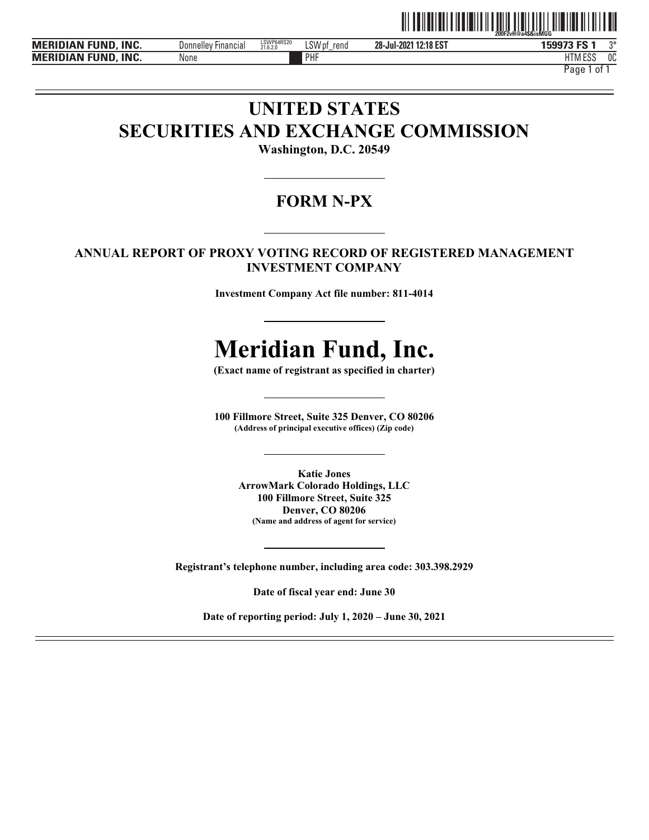|                               |                     |                        |                | 200F2vH@a4\$&isMGG    |                   |  |  |  |
|-------------------------------|---------------------|------------------------|----------------|-----------------------|-------------------|--|--|--|
| <b>MERIDIAN FUND,</b><br>INC. | Donnelley Financial | LSWP64RS20<br>21.6.2.0 | LSW pf<br>rend | 28-Jul-2021 12:18 EST | 159973 FS 1<br>η÷ |  |  |  |

PHF FILE IN THE HTML IN THE HTML IN THE HTML IN THE HTML IN THE HTML IN THE HTML IN THE HTML IN THE HTML IN TH HTM ESS 0C

ˆ200F2vH@a4\$&isMGGŠ **200F2vH@a4\$&isMGG**

Page 1 of 1

## **UNITED STATES SECURITIES AND EXCHANGE COMMISSION**

**MERIDIAN FUND, INC.** 

**None** 

**Washington, D.C. 20549** 

## **FORM N-PX**

## **ANNUAL REPORT OF PROXY VOTING RECORD OF REGISTERED MANAGEMENT INVESTMENT COMPANY**

**Investment Company Act file number: 811-4014** 

# **Meridian Fund, Inc.**

**(Exact name of registrant as specified in charter)** 

**100 Fillmore Street, Suite 325 Denver, CO 80206 (Address of principal executive offices) (Zip code)** 

> **Katie Jones ArrowMark Colorado Holdings, LLC 100 Fillmore Street, Suite 325 Denver, CO 80206 (Name and address of agent for service)**

**Registrant's telephone number, including area code: 303.398.2929** 

**Date of fiscal year end: June 30** 

**Date of reporting period: July 1, 2020 – June 30, 2021**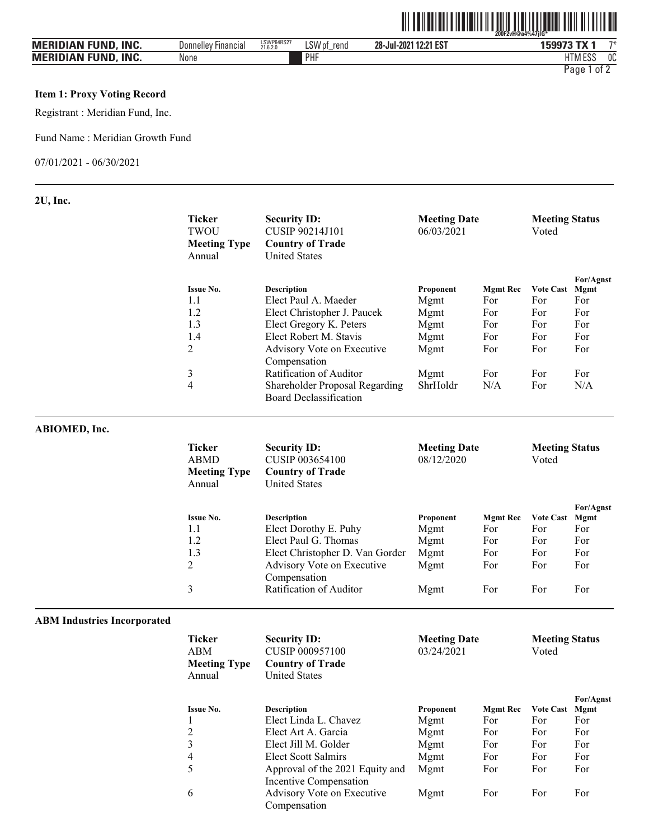|                            |                            |                        |             |                       | 200F2vH@a4%47ifG*   |
|----------------------------|----------------------------|------------------------|-------------|-----------------------|---------------------|
| <b>MERIDIAN FUND, INC.</b> | <b>Donnelley Financial</b> | LSWP64RS27<br>21.6.2.0 | LSW pf rend | 28-Jul-2021 12:21 EST | $7*$<br>159973 TX 1 |
| <b>MERIDIAN FUND, INC.</b> | None                       |                        | PHF         |                       | 0C<br>HTM ESS       |
|                            |                            |                        |             |                       | Page 1 of 2         |

## **Item 1: Proxy Voting Record**

Registrant : Meridian Fund, Inc.

Fund Name : Meridian Growth Fund

07/01/2021 - 06/30/2021

### **2U, Inc.**

| <b>Ticker</b><br><b>TWOU</b><br><b>Meeting Type</b><br>Annual | <b>Security ID:</b><br>CUSIP 90214J101<br><b>Country of Trade</b><br><b>United States</b> |           | <b>Meeting Date</b> | <b>Meeting Status</b><br>Voted |                   |  |
|---------------------------------------------------------------|-------------------------------------------------------------------------------------------|-----------|---------------------|--------------------------------|-------------------|--|
| <b>Issue No.</b>                                              | <b>Description</b>                                                                        | Proponent | <b>Mgmt Rec</b>     | <b>Vote Cast</b>               | For/Agnst<br>Mgmt |  |
| 1.1                                                           | Elect Paul A. Maeder                                                                      | Mgmt      | For                 | For                            | For               |  |
| 1.2                                                           | Elect Christopher J. Paucek                                                               | Mgmt      | For                 | For                            | For               |  |
| 1.3                                                           | Elect Gregory K. Peters                                                                   | Mgmt      | For                 | For                            | For               |  |
| 1.4                                                           | Elect Robert M. Stavis                                                                    | Mgmt      | For                 | For                            | For               |  |
| 2                                                             | Advisory Vote on Executive                                                                | Mgmt      | For                 | For                            | For               |  |
|                                                               | Compensation                                                                              |           |                     |                                |                   |  |
| 3                                                             | Ratification of Auditor                                                                   | Mgmt      | For                 | For                            | For               |  |
| 4                                                             | Shareholder Proposal Regarding<br><b>Board Declassification</b>                           | ShrHoldr  | N/A                 | For                            | N/A               |  |

#### **ABIOMED, Inc.**

**ABM Industries Incorporated**

| <b>Ticker</b><br><b>ABMD</b><br><b>Meeting Type</b><br>Annual | <b>Security ID:</b><br><b>Meeting Date</b><br>CUSIP 003654100<br>08/12/2020<br>Voted<br><b>Country of Trade</b><br><b>United States</b>                                         |                                                   | <b>Meeting Status</b>                              |                                                     |                                                             |
|---------------------------------------------------------------|---------------------------------------------------------------------------------------------------------------------------------------------------------------------------------|---------------------------------------------------|----------------------------------------------------|-----------------------------------------------------|-------------------------------------------------------------|
| <b>Issue No.</b><br>1.1<br>1.2<br>1.3<br>$\overline{2}$<br>3  | <b>Description</b><br>Elect Dorothy E. Puhy<br>Elect Paul G. Thomas<br>Elect Christopher D. Van Gorder<br>Advisory Vote on Executive<br>Compensation<br>Ratification of Auditor | Proponent<br>Mgmt<br>Mgmt<br>Mgmt<br>Mgmt<br>Mgmt | <b>Mgmt Rec</b><br>For<br>For<br>For<br>For<br>For | <b>Vote Cast</b><br>For<br>For<br>For<br>For<br>For | For/Agnst<br><b>Mgmt</b><br>For<br>For<br>For<br>For<br>For |
| <b>Ticker</b><br><b>ABM</b><br><b>Meeting Type</b><br>Annual  | <b>Security ID:</b><br>CUSIP 000957100<br><b>Country of Trade</b><br><b>United States</b>                                                                                       | <b>Meeting Date</b><br>03/24/2021                 |                                                    | <b>Meeting Status</b><br>Voted                      |                                                             |
| <b>Issue No.</b><br>1<br>$\overline{c}$<br>3<br>4<br>5        | Description<br>Elect Linda L. Chavez<br>Elect Art A. Garcia<br>Elect Jill M. Golder<br><b>Elect Scott Salmirs</b><br>Approval of the 2021 Equity and<br>Incentive Compensation  | Proponent<br>Mgmt<br>Mgmt<br>Mgmt<br>Mgmt<br>Mgmt | <b>Mgmt Rec</b><br>For<br>For<br>For<br>For<br>For | <b>Vote Cast</b><br>For<br>For<br>For<br>For<br>For | For/Agnst<br><b>Mgmt</b><br>For<br>For<br>For<br>For<br>For |
| 6                                                             | Advisory Vote on Executive                                                                                                                                                      | Mgmt                                              | For                                                | For                                                 | For                                                         |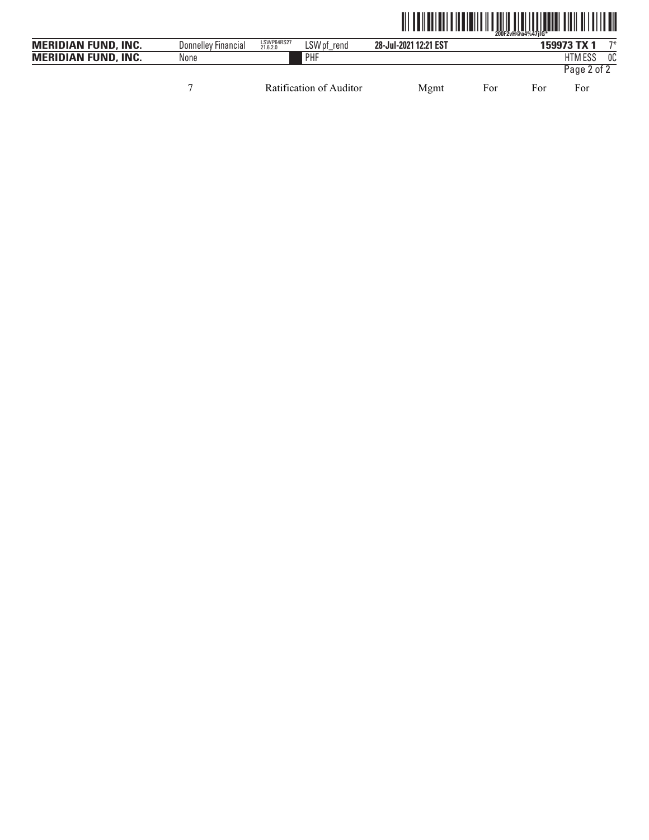

| <b>MERIDIAN FUND, INC.</b> | Donnelley Financial | LSWP64RS27<br>LSW pf rend<br>21.6.2.0 | 28-Jul-2021 12:21 EST |     |     | 159973 TX 1    | $7*$ |
|----------------------------|---------------------|---------------------------------------|-----------------------|-----|-----|----------------|------|
| <b>MERIDIAN FUND, INC.</b> | None                | PHF                                   |                       |     |     | <b>HTM ESS</b> | 0C   |
|                            |                     |                                       |                       |     |     | Page 2 of 2    |      |
|                            |                     | Ratification of Auditor               | Mgmt                  | For | For | For            |      |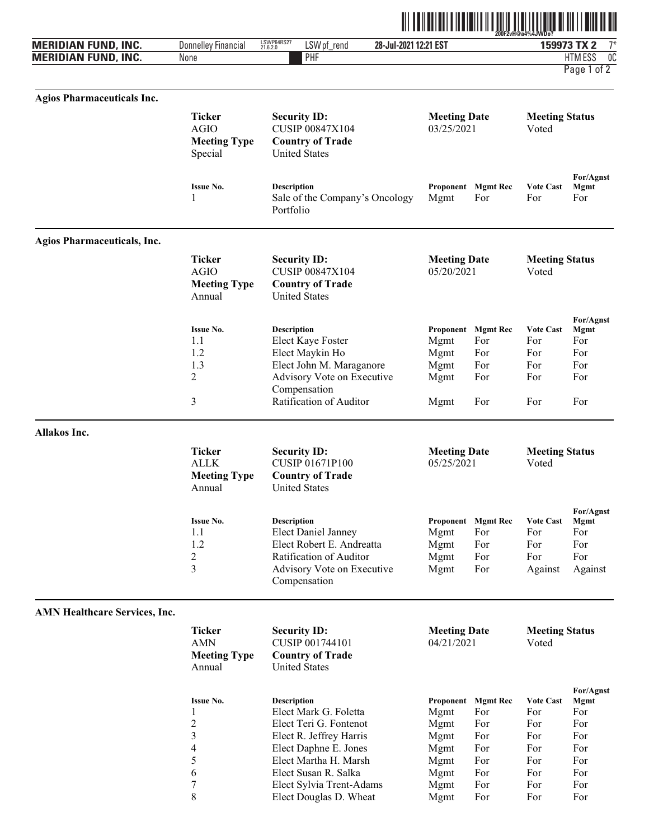| <b>MERIDIAN FUND, INC.</b>           | <b>Donnelley Financial</b>                                            | LSWP64RS27<br>21.6.2.0<br>LSW pf_rend<br>28-Jul-2021 12:21 EST                                                                                                                                                                   |                                                                           |                                                                         |                                                                          | 159973 TX 2<br>$7^*$                                                             |
|--------------------------------------|-----------------------------------------------------------------------|----------------------------------------------------------------------------------------------------------------------------------------------------------------------------------------------------------------------------------|---------------------------------------------------------------------------|-------------------------------------------------------------------------|--------------------------------------------------------------------------|----------------------------------------------------------------------------------|
| <b>MERIDIAN FUND, INC.</b>           | None                                                                  | PHF                                                                                                                                                                                                                              |                                                                           |                                                                         |                                                                          | <b>HTMESS</b><br>0 <sup>C</sup><br>Page 1 of 2                                   |
| <b>Agios Pharmaceuticals Inc.</b>    |                                                                       |                                                                                                                                                                                                                                  |                                                                           |                                                                         |                                                                          |                                                                                  |
|                                      | <b>Ticker</b><br><b>AGIO</b><br><b>Meeting Type</b><br>Special        | <b>Security ID:</b><br><b>CUSIP 00847X104</b><br><b>Country of Trade</b><br><b>United States</b>                                                                                                                                 | <b>Meeting Date</b><br>03/25/2021                                         |                                                                         | <b>Meeting Status</b><br>Voted                                           |                                                                                  |
|                                      | <b>Issue No.</b><br>1                                                 | <b>Description</b><br>Sale of the Company's Oncology<br>Portfolio                                                                                                                                                                | Mgmt                                                                      | Proponent Mgmt Rec<br>For                                               | <b>Vote Cast</b><br>For                                                  | For/Agnst<br><b>Mgmt</b><br>For                                                  |
| Agios Pharmaceuticals, Inc.          |                                                                       |                                                                                                                                                                                                                                  |                                                                           |                                                                         |                                                                          |                                                                                  |
|                                      | <b>Ticker</b><br><b>AGIO</b><br><b>Meeting Type</b><br>Annual         | <b>Security ID:</b><br>CUSIP 00847X104<br><b>Country of Trade</b><br><b>United States</b>                                                                                                                                        | <b>Meeting Date</b><br>05/20/2021                                         |                                                                         | <b>Meeting Status</b><br>Voted                                           |                                                                                  |
|                                      | <b>Issue No.</b><br>1.1<br>1.2<br>1.3<br>2<br>3                       | <b>Description</b><br>Elect Kaye Foster<br>Elect Maykin Ho<br>Elect John M. Maraganore<br>Advisory Vote on Executive<br>Compensation<br>Ratification of Auditor                                                                  | Proponent<br>Mgmt<br>Mgmt<br>Mgmt<br>Mgmt<br>Mgmt                         | <b>Mgmt</b> Rec<br>For<br>For<br>For<br>For<br>For                      | <b>Vote Cast</b><br>For<br>For<br>For<br>For<br>For                      | For/Agnst<br><b>Mgmt</b><br>For<br>For<br>For<br>For<br>For                      |
| Allakos Inc.                         |                                                                       |                                                                                                                                                                                                                                  |                                                                           |                                                                         |                                                                          |                                                                                  |
|                                      | <b>Ticker</b><br><b>ALLK</b><br><b>Meeting Type</b><br>Annual         | <b>Security ID:</b><br>CUSIP 01671P100<br><b>Country of Trade</b><br><b>United States</b>                                                                                                                                        | <b>Meeting Date</b><br>05/25/2021                                         |                                                                         | <b>Meeting Status</b><br>Voted                                           |                                                                                  |
|                                      | <b>Issue No.</b><br>1.1<br>1.2<br>$\overline{c}$<br>3                 | <b>Description</b><br><b>Elect Daniel Janney</b><br>Elect Robert E. Andreatta<br>Ratification of Auditor<br>Advisory Vote on Executive<br>Compensation                                                                           | Proponent<br>Mgmt<br>Mgmt<br>Mgmt<br>Mgmt                                 | <b>Mgmt Rec</b><br>For<br>For<br>For<br>For                             | <b>Vote Cast</b><br>For<br>For<br>For<br>Against                         | For/Agnst<br><b>Mgmt</b><br>For<br>For<br>For<br>Against                         |
| <b>AMN Healthcare Services, Inc.</b> |                                                                       |                                                                                                                                                                                                                                  |                                                                           |                                                                         |                                                                          |                                                                                  |
|                                      | <b>Ticker</b><br><b>AMN</b><br><b>Meeting Type</b><br>Annual          | <b>Security ID:</b><br>CUSIP 001744101<br><b>Country of Trade</b><br><b>United States</b>                                                                                                                                        | <b>Meeting Date</b><br>04/21/2021                                         |                                                                         | <b>Meeting Status</b><br>Voted                                           |                                                                                  |
|                                      | <b>Issue No.</b><br>1<br>$\overline{c}$<br>3<br>4<br>5<br>6<br>7<br>8 | <b>Description</b><br>Elect Mark G. Foletta<br>Elect Teri G. Fontenot<br>Elect R. Jeffrey Harris<br>Elect Daphne E. Jones<br>Elect Martha H. Marsh<br>Elect Susan R. Salka<br>Elect Sylvia Trent-Adams<br>Elect Douglas D. Wheat | Proponent<br>Mgmt<br>Mgmt<br>Mgmt<br>Mgmt<br>Mgmt<br>Mgmt<br>Mgmt<br>Mgmt | <b>Mgmt Rec</b><br>For<br>For<br>For<br>For<br>For<br>For<br>For<br>For | <b>Vote Cast</b><br>For<br>For<br>For<br>For<br>For<br>For<br>For<br>For | For/Agnst<br><b>Mgmt</b><br>For<br>For<br>For<br>For<br>For<br>For<br>For<br>For |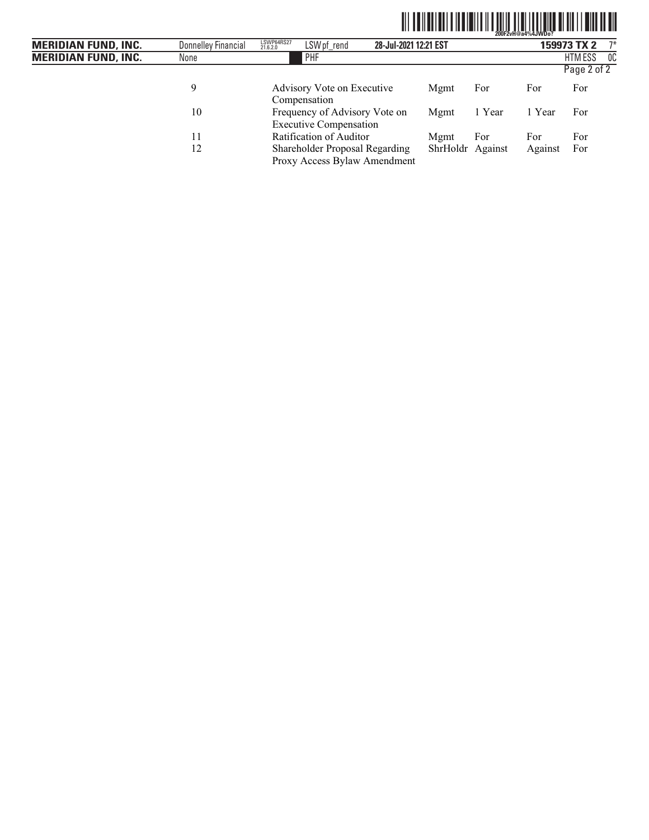

| <b>MERIDIAN FUND, INC.</b> | <b>Donnelley Financial</b> | LSWP64RS27<br>21.6.2.0 | LSW pf rend                                                           | 28-Jul-2021 12:21 EST |                  |        |         | 159973 TX 2     | $7^*$ |
|----------------------------|----------------------------|------------------------|-----------------------------------------------------------------------|-----------------------|------------------|--------|---------|-----------------|-------|
| <b>MERIDIAN FUND, INC.</b> | None                       |                        | PHF                                                                   |                       |                  |        |         | HTM ESS         | 0C    |
|                            |                            |                        |                                                                       |                       |                  |        |         | Page $2$ of $2$ |       |
|                            | 9                          |                        | Advisory Vote on Executive<br>Compensation                            |                       | Mgmt             | For    | For     | For             |       |
|                            | 10                         |                        | Frequency of Advisory Vote on<br><b>Executive Compensation</b>        |                       | Mgmt             | 1 Year | 1 Year  | For             |       |
|                            | 11                         |                        | Ratification of Auditor                                               |                       | Mgmt             | For    | For     | For             |       |
|                            | 12                         |                        | <b>Shareholder Proposal Regarding</b><br>Proxy Access Bylaw Amendment |                       | ShrHoldr Against |        | Against | For             |       |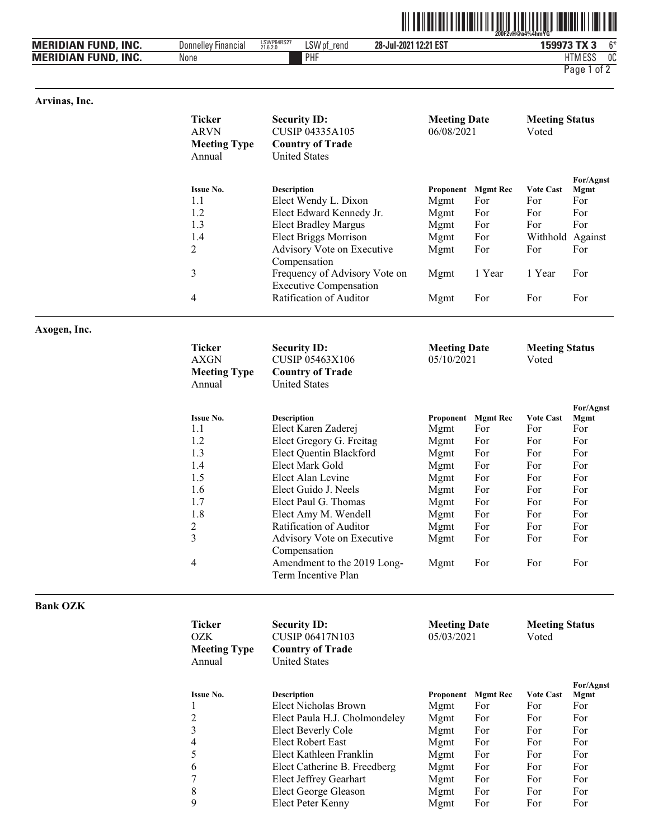| <b>MERIDIAN FUND, INC.</b> | <b>Donnelley Financial</b>                          | LSWP64RS27<br>21.6.2.0<br>LSW pf_rend<br>28-Jul-2021 12:21 EST           |                                   |                 |                                | 159973 TX 3<br>$6*$                             |
|----------------------------|-----------------------------------------------------|--------------------------------------------------------------------------|-----------------------------------|-----------------|--------------------------------|-------------------------------------------------|
| <b>MERIDIAN FUND, INC.</b> | None                                                | PHF                                                                      |                                   |                 |                                | <b>HTM ESS</b><br>0 <sup>C</sup><br>Page 1 of 2 |
| Arvinas, Inc.              |                                                     |                                                                          |                                   |                 |                                |                                                 |
|                            | <b>Ticker</b><br><b>ARVN</b><br><b>Meeting Type</b> | <b>Security ID:</b><br><b>CUSIP 04335A105</b><br><b>Country of Trade</b> | <b>Meeting Date</b><br>06/08/2021 |                 | <b>Meeting Status</b><br>Voted |                                                 |
|                            | Annual                                              | <b>United States</b>                                                     |                                   |                 |                                |                                                 |
|                            | <b>Issue No.</b>                                    | <b>Description</b>                                                       | Proponent                         | <b>Mgmt Rec</b> | <b>Vote Cast</b>               | For/Agnst<br><b>Mgmt</b>                        |
|                            | 1.1                                                 | Elect Wendy L. Dixon                                                     | Mgmt                              | For             | For                            | For                                             |
|                            | 1.2                                                 | Elect Edward Kennedy Jr.                                                 | Mgmt                              | For             | For                            | For                                             |
|                            | 1.3                                                 | <b>Elect Bradley Margus</b>                                              | Mgmt                              | For             | For                            | For                                             |
|                            | 1.4                                                 | <b>Elect Briggs Morrison</b>                                             | Mgmt                              | For             | Withhold Against               |                                                 |
|                            | 2                                                   | Advisory Vote on Executive<br>Compensation                               | Mgmt                              | For             | For                            | For                                             |
|                            | 3                                                   | Frequency of Advisory Vote on                                            | Mgmt                              | 1 Year          | 1 Year                         | For                                             |
|                            | 4                                                   | <b>Executive Compensation</b><br>Ratification of Auditor                 | Mgmt                              | For             | For                            | For                                             |
| Axogen, Inc.               |                                                     |                                                                          |                                   |                 |                                |                                                 |
|                            | <b>Ticker</b>                                       | <b>Security ID:</b>                                                      | <b>Meeting Date</b>               |                 | <b>Meeting Status</b>          |                                                 |
|                            | <b>AXGN</b>                                         | CUSIP 05463X106                                                          | 05/10/2021                        |                 | Voted                          |                                                 |
|                            | <b>Meeting Type</b>                                 | <b>Country of Trade</b>                                                  |                                   |                 |                                |                                                 |
|                            | Annual                                              | <b>United States</b>                                                     |                                   |                 |                                |                                                 |
|                            |                                                     |                                                                          |                                   |                 |                                | For/Agnst                                       |
|                            | <b>Issue No.</b>                                    | <b>Description</b>                                                       | Proponent                         | <b>Mgmt Rec</b> | <b>Vote Cast</b>               | <b>Mgmt</b>                                     |
|                            | 1.1                                                 | Elect Karen Zaderej                                                      | Mgmt                              | For             | For                            | For                                             |
|                            | 1.2                                                 | Elect Gregory G. Freitag                                                 | Mgmt                              | For             | For                            | For                                             |
|                            | 1.3                                                 | Elect Quentin Blackford                                                  | Mgmt                              | For             | For                            | For                                             |
|                            | 1.4                                                 | Elect Mark Gold                                                          | Mgmt                              | For             | For                            | For                                             |
|                            | 1.5                                                 | Elect Alan Levine                                                        | Mgmt                              | For             | For                            | For                                             |
|                            | 1.6                                                 | Elect Guido J. Neels                                                     | Mgmt                              | For             | For                            | For                                             |
|                            | 1.7                                                 | Elect Paul G. Thomas                                                     | Mgmt                              | For             | For                            | For                                             |
|                            | 1.8                                                 | Elect Amy M. Wendell                                                     | Mgmt                              | For             | For                            | For                                             |
|                            | $\overline{2}$                                      | Ratification of Auditor                                                  | Mgmt                              | For             | For                            | For                                             |
|                            | 3                                                   | Advisory Vote on Executive                                               | Mgmt                              | For             | For                            | For                                             |
|                            |                                                     | Compensation                                                             |                                   |                 |                                |                                                 |
|                            | 4                                                   | Amendment to the 2019 Long-<br>Term Incentive Plan                       | Mgmt                              | For             | For                            | For                                             |
| <b>Bank OZK</b>            |                                                     |                                                                          |                                   |                 |                                |                                                 |
|                            | <b>Ticker</b>                                       | <b>Security ID:</b>                                                      | <b>Meeting Date</b>               |                 | <b>Meeting Status</b>          |                                                 |
|                            | <b>OZK</b>                                          | CUSIP 06417N103                                                          | 05/03/2021                        |                 | Voted                          |                                                 |
|                            | <b>Meeting Type</b>                                 | <b>Country of Trade</b>                                                  |                                   |                 |                                |                                                 |
|                            | Annual                                              | <b>United States</b>                                                     |                                   |                 |                                |                                                 |
|                            | <b>Issue No.</b>                                    | <b>Description</b>                                                       | Proponent                         | <b>Mgmt Rec</b> | <b>Vote Cast</b>               | For/Agnst<br><b>Mgmt</b>                        |
|                            | 1                                                   | <b>Elect Nicholas Brown</b>                                              | Mgmt                              | For             | For                            | For                                             |
|                            | $\boldsymbol{2}$                                    | Elect Paula H.J. Cholmondeley                                            | Mgmt                              | For             | For                            | For                                             |
|                            | 3                                                   | Elect Beverly Cole                                                       | Mgmt                              | For             | For                            | For                                             |
|                            | 4                                                   | <b>Elect Robert East</b>                                                 | Mgmt                              | For             | For                            | For                                             |
|                            | 5                                                   | Elect Kathleen Franklin                                                  | Mgmt                              | For             | For                            | For                                             |
|                            | 6                                                   | Elect Catherine B. Freedberg                                             | Mgmt                              | For             | For                            | For                                             |
|                            | 7                                                   | Elect Jeffrey Gearhart                                                   | Mgmt                              | For             | For                            | For                                             |
|                            | $\,$ 8 $\,$                                         | Elect George Gleason                                                     | Mgmt                              | For             | For                            | For                                             |
|                            | 9                                                   | Elect Peter Kenny                                                        | Mgmt                              | For             | For                            | For                                             |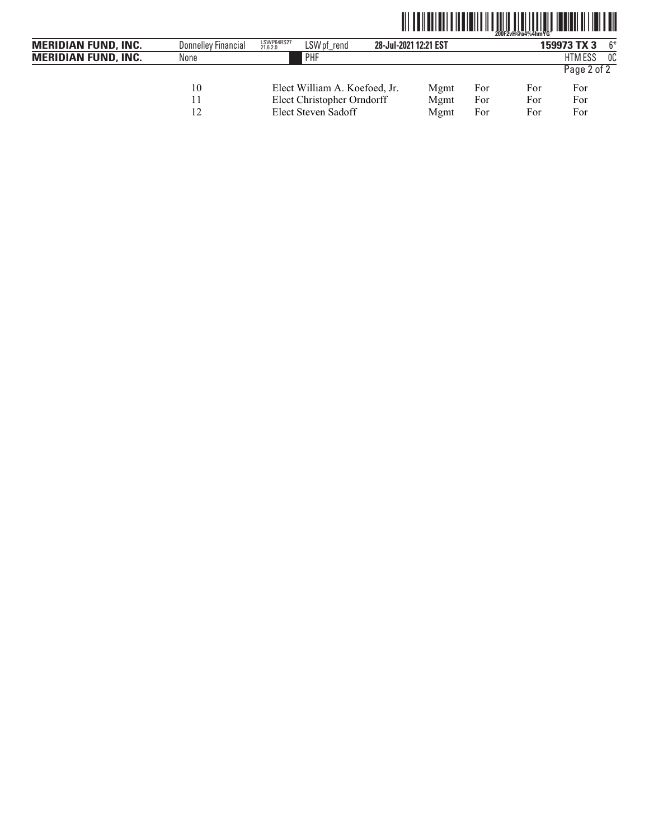

|                            |                     |                        |                               |                       |      |     | ------------------ |                |      |
|----------------------------|---------------------|------------------------|-------------------------------|-----------------------|------|-----|--------------------|----------------|------|
| <b>MERIDIAN FUND, INC.</b> | Donnelley Financial | LSWP64RS27<br>21.6.2.0 | LSW pf rend                   | 28-Jul-2021 12:21 EST |      |     |                    | 159973 TX 3    | $6*$ |
| <b>MERIDIAN FUND, INC.</b> | None                |                        | PHF                           |                       |      |     |                    | <b>HTM ESS</b> | 0C   |
|                            |                     |                        |                               |                       |      |     |                    | Page 2 of 2    |      |
|                            | 10                  |                        | Elect William A. Koefoed, Jr. |                       | Mgmt | For | For                | For            |      |
|                            |                     |                        | Elect Christopher Orndorff    |                       | Mgmt | For | For                | For            |      |
|                            |                     |                        | Elect Steven Sadoff           |                       | Mgmt | For | For                | For            |      |
|                            |                     |                        |                               |                       |      |     |                    |                |      |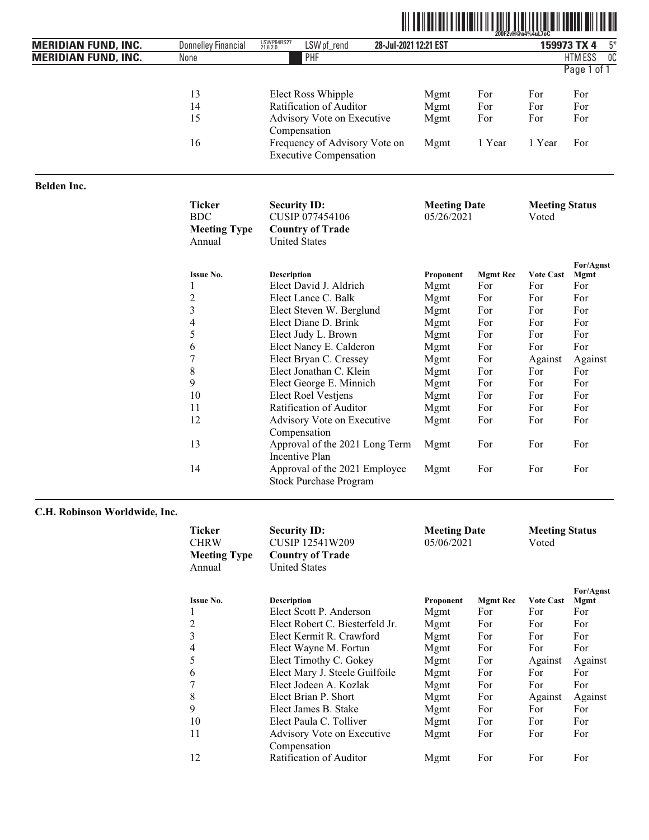| <b>MERIDIAN FUND, INC.</b>    | <b>Donnelley Financial</b> | LSWP64RS27<br>21.6.2.0<br>LSW pf_rend<br>28-Jul-2021 12:21 EST |                     |                 |                       | 159973 TX 4<br>$5*$              |
|-------------------------------|----------------------------|----------------------------------------------------------------|---------------------|-----------------|-----------------------|----------------------------------|
| <b>MERIDIAN FUND, INC.</b>    | None                       | PHF                                                            |                     |                 |                       | <b>HTMESS</b><br>$\overline{00}$ |
|                               |                            |                                                                |                     |                 |                       | Page 1 of 1                      |
|                               | 13                         | <b>Elect Ross Whipple</b>                                      | Mgmt                | For             | For                   | For                              |
|                               | 14                         | Ratification of Auditor                                        | Mgmt                | For             | For                   | For                              |
|                               | 15                         | Advisory Vote on Executive<br>Compensation                     | Mgmt                | For             | For                   | For                              |
|                               | 16                         | Frequency of Advisory Vote on<br><b>Executive Compensation</b> | Mgmt                | 1 Year          | 1 Year                | For                              |
| <b>Belden Inc.</b>            |                            |                                                                |                     |                 |                       |                                  |
|                               | <b>Ticker</b>              | <b>Security ID:</b>                                            | <b>Meeting Date</b> |                 | <b>Meeting Status</b> |                                  |
|                               | <b>BDC</b>                 | CUSIP 077454106                                                | 05/26/2021          |                 | Voted                 |                                  |
|                               | <b>Meeting Type</b>        | <b>Country of Trade</b>                                        |                     |                 |                       |                                  |
|                               | Annual                     | <b>United States</b>                                           |                     |                 |                       |                                  |
|                               | <b>Issue No.</b>           | <b>Description</b>                                             | Proponent           | <b>Mgmt Rec</b> | <b>Vote Cast</b>      | For/Agnst<br>Mgmt                |
|                               | 1                          | Elect David J. Aldrich                                         | Mgmt                | For             | For                   | For                              |
|                               | $\overline{c}$             | Elect Lance C. Balk                                            | Mgmt                | For             | For                   | For                              |
|                               | 3                          | Elect Steven W. Berglund                                       | Mgmt                | For             | For                   | For                              |
|                               | 4                          | Elect Diane D. Brink                                           | Mgmt                | For             | For                   | For                              |
|                               | 5                          | Elect Judy L. Brown                                            | Mgmt                | For             | For                   | For                              |
|                               | 6                          | Elect Nancy E. Calderon                                        | Mgmt                | For             | For                   | For                              |
|                               | $\boldsymbol{7}$           | Elect Bryan C. Cressey                                         | Mgmt                | For             | Against               | Against                          |
|                               | 8                          | Elect Jonathan C. Klein                                        | Mgmt                | For             | For                   | For                              |
|                               | 9                          | Elect George E. Minnich                                        | Mgmt                | For             | For                   | For                              |
|                               | 10                         | <b>Elect Roel Vestjens</b>                                     | Mgmt                | For             | For                   | For                              |
|                               | 11                         | Ratification of Auditor                                        | Mgmt                | For             | For                   | For                              |
|                               | 12                         | Advisory Vote on Executive<br>Compensation                     | Mgmt                | For             | For                   | For                              |
|                               | 13                         | Approval of the 2021 Long Term<br><b>Incentive Plan</b>        | Mgmt                | For             | For                   | For                              |
|                               | 14                         | Approval of the 2021 Employee<br><b>Stock Purchase Program</b> | Mgmt                | For             | For                   | For                              |
| C.H. Robinson Worldwide, Inc. |                            |                                                                |                     |                 |                       |                                  |
|                               | Ticker                     | <b>Security ID:</b>                                            | <b>Meeting Date</b> |                 | <b>Meeting Status</b> |                                  |

| <b>Ticker</b><br><b>Security ID:</b><br><b>CUSIP 12541W209</b><br><b>CHRW</b> |                                            |           | <b>Meeting Date</b><br>05/06/2021 |                  | <b>Meeting Status</b><br>Voted |  |
|-------------------------------------------------------------------------------|--------------------------------------------|-----------|-----------------------------------|------------------|--------------------------------|--|
| <b>Meeting Type</b>                                                           | <b>Country of Trade</b>                    |           |                                   |                  |                                |  |
| Annual                                                                        | <b>United States</b>                       |           |                                   |                  |                                |  |
| <b>Issue No.</b>                                                              | <b>Description</b>                         | Proponent | <b>Mgmt Rec</b>                   | <b>Vote Cast</b> | For/Agnst<br>Mgmt              |  |
| 1                                                                             | Elect Scott P. Anderson                    | Mgmt      | For                               | For              | For                            |  |
| $\overline{2}$                                                                | Elect Robert C. Biesterfeld Jr.            | Mgmt      | For                               | For              | For                            |  |
| 3                                                                             | Elect Kermit R. Crawford                   | Mgmt      | For                               | For              | For                            |  |
| $\overline{4}$                                                                | Elect Wayne M. Fortun                      | Mgmt      | For                               | For              | For                            |  |
| 5                                                                             | Elect Timothy C. Gokey                     | Mgmt      | For                               | Against          | Against                        |  |
| 6                                                                             | Elect Mary J. Steele Guilfoile             | Mgmt      | For                               | For              | For                            |  |
| 7                                                                             | Elect Jodeen A. Kozlak                     | Mgmt      | For                               | For              | For                            |  |
| 8                                                                             | Elect Brian P. Short                       | Mgmt      | For                               | Against          | Against                        |  |
| 9                                                                             | Elect James B. Stake                       | Mgmt      | For                               | For              | For                            |  |
| 10                                                                            | Elect Paula C. Tolliver                    | Mgmt      | For                               | For              | For                            |  |
| 11                                                                            | Advisory Vote on Executive<br>Compensation | Mgmt      | For                               | For              | For                            |  |
| 12                                                                            | Ratification of Auditor                    | Mgmt      | For                               | For              | For                            |  |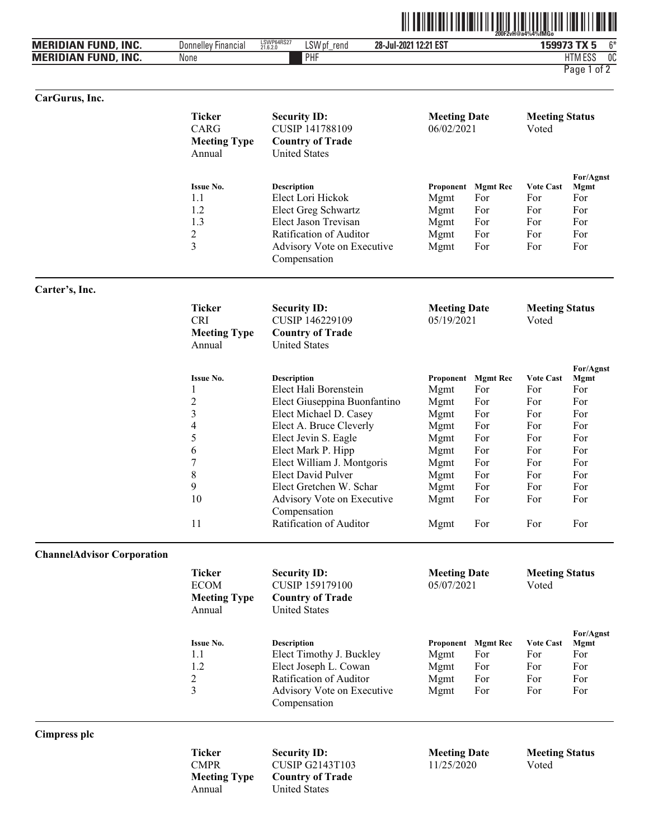| <b>MERIDIAN FUND, INC.</b>        | <b>Donnelley Financial</b> | LSWP64RS27<br>21.6.2.0<br>LSW pf rend      | 28-Jul-2021 12:21 EST |                     |                        |                         | 159973 TX 5<br>$6*$             |
|-----------------------------------|----------------------------|--------------------------------------------|-----------------------|---------------------|------------------------|-------------------------|---------------------------------|
| <b>MERIDIAN FUND, INC.</b>        | None                       | PHF                                        |                       |                     |                        |                         | <b>HTMESS</b><br>$\overline{0}$ |
|                                   |                            |                                            |                       |                     |                        |                         | Page 1 of 2                     |
| CarGurus, Inc.                    |                            |                                            |                       |                     |                        |                         |                                 |
|                                   | <b>Ticker</b>              | <b>Security ID:</b>                        |                       | <b>Meeting Date</b> |                        | <b>Meeting Status</b>   |                                 |
|                                   | CARG                       | CUSIP 141788109                            |                       | 06/02/2021          |                        | Voted                   |                                 |
|                                   | <b>Meeting Type</b>        | <b>Country of Trade</b>                    |                       |                     |                        |                         |                                 |
|                                   | Annual                     | <b>United States</b>                       |                       |                     |                        |                         |                                 |
|                                   |                            |                                            |                       |                     |                        |                         | For/Agnst                       |
|                                   | <b>Issue No.</b><br>1.1    | <b>Description</b><br>Elect Lori Hickok    |                       | Proponent<br>Mgmt   | <b>Mgmt</b> Rec<br>For | <b>Vote Cast</b><br>For | <b>Mgmt</b><br>For              |
|                                   | 1.2                        | <b>Elect Greg Schwartz</b>                 |                       | Mgmt                | For                    | For                     | For                             |
|                                   | 1.3                        | Elect Jason Trevisan                       |                       | Mgmt                | For                    | For                     | For                             |
|                                   | $\overline{c}$             | Ratification of Auditor                    |                       | Mgmt                | For                    | For                     | For                             |
|                                   | 3                          | Advisory Vote on Executive                 |                       | Mgmt                | For                    | For                     | For                             |
|                                   |                            | Compensation                               |                       |                     |                        |                         |                                 |
| Carter's, Inc.                    |                            |                                            |                       |                     |                        |                         |                                 |
|                                   | <b>Ticker</b>              | <b>Security ID:</b>                        |                       | <b>Meeting Date</b> |                        | <b>Meeting Status</b>   |                                 |
|                                   | <b>CRI</b>                 | CUSIP 146229109                            |                       | 05/19/2021          |                        | Voted                   |                                 |
|                                   | <b>Meeting Type</b>        | <b>Country of Trade</b>                    |                       |                     |                        |                         |                                 |
|                                   | Annual                     | <b>United States</b>                       |                       |                     |                        |                         |                                 |
|                                   |                            |                                            |                       |                     |                        |                         | For/Agnst                       |
|                                   | <b>Issue No.</b>           | <b>Description</b>                         |                       | Proponent           | <b>Mgmt Rec</b>        | <b>Vote Cast</b>        | <b>Mgmt</b>                     |
|                                   | 1                          | Elect Hali Borenstein                      |                       | Mgmt                | For                    | For                     | For                             |
|                                   | $\overline{c}$             | Elect Giuseppina Buonfantino               |                       | Mgmt                | For                    | For                     | For                             |
|                                   | $\mathfrak{Z}$             | Elect Michael D. Casey                     |                       | Mgmt                | For                    | For                     | For                             |
|                                   | 4                          | Elect A. Bruce Cleverly                    |                       | Mgmt                | For                    | For                     | For                             |
|                                   | 5                          | Elect Jevin S. Eagle                       |                       | Mgmt                | For                    | For                     | For                             |
|                                   | 6                          | Elect Mark P. Hipp                         |                       | Mgmt                | For                    | For                     | For                             |
|                                   | 7                          | Elect William J. Montgoris                 |                       | Mgmt                | For                    | For                     | For                             |
|                                   | 8                          | Elect David Pulver                         |                       | Mgmt                | For                    | For                     | For                             |
|                                   | 9                          | Elect Gretchen W. Schar                    |                       | Mgmt                | For                    | For                     | For                             |
|                                   | 10                         | Advisory Vote on Executive                 |                       | Mgmt                | For                    | For                     | For                             |
|                                   |                            | Compensation                               |                       |                     |                        |                         |                                 |
|                                   | 11                         | Ratification of Auditor                    |                       | Mgmt                | For                    | For                     | For                             |
| <b>ChannelAdvisor Corporation</b> |                            |                                            |                       |                     |                        |                         |                                 |
|                                   | <b>Ticker</b>              | <b>Security ID:</b>                        |                       | <b>Meeting Date</b> |                        | <b>Meeting Status</b>   |                                 |
|                                   | <b>ECOM</b>                | CUSIP 159179100                            |                       | 05/07/2021          |                        | Voted                   |                                 |
|                                   | <b>Meeting Type</b>        | <b>Country of Trade</b>                    |                       |                     |                        |                         |                                 |
|                                   | Annual                     | <b>United States</b>                       |                       |                     |                        |                         |                                 |
|                                   |                            |                                            |                       |                     |                        |                         | For/Agnst                       |
|                                   | <b>Issue No.</b>           | Description                                |                       |                     | Proponent Mgmt Rec     | <b>Vote Cast</b>        | <b>Mgmt</b>                     |
|                                   | 1.1<br>1.2                 | Elect Timothy J. Buckley                   |                       | Mgmt                | For                    | For                     | For                             |
|                                   |                            | Elect Joseph L. Cowan                      |                       | Mgmt                | For                    | For                     | For                             |
|                                   | 2                          | Ratification of Auditor                    |                       | Mgmt                | For                    | For                     | For                             |
|                                   | 3                          | Advisory Vote on Executive<br>Compensation |                       | Mgmt                | For                    | For                     | For                             |
| <b>Cimpress plc</b>               |                            |                                            |                       |                     |                        |                         |                                 |
|                                   | <b>Ticker</b>              | <b>Security ID:</b>                        |                       | <b>Meeting Date</b> |                        | <b>Meeting Status</b>   |                                 |
|                                   | <b>CMPR</b>                | <b>CUSIP G2143T103</b>                     |                       | 11/25/2020          |                        | Voted                   |                                 |
|                                   | <b>Meeting Type</b>        | <b>Country of Trade</b>                    |                       |                     |                        |                         |                                 |

Annual United States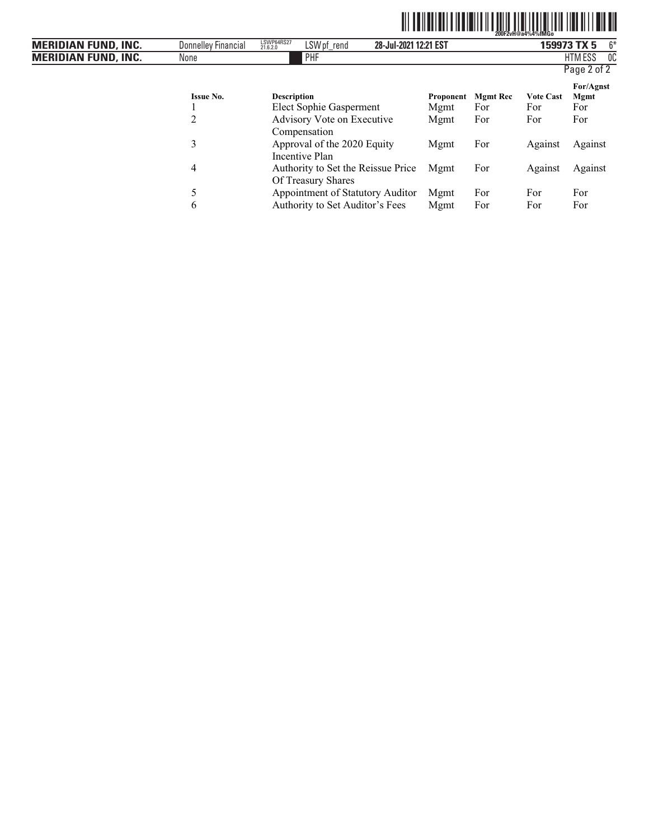

| <b>MERIDIAN FUND, INC.</b> | <b>Donnelley Financial</b> | LSWP64RS27<br>28-Jul-2021 12:21 EST<br>LSW pf_rend<br>21.6.2.0 |           |                 |                  | $6*$<br>159973 TX 5      |
|----------------------------|----------------------------|----------------------------------------------------------------|-----------|-----------------|------------------|--------------------------|
| <b>MERIDIAN FUND, INC.</b> | None                       | <b>PHF</b>                                                     |           |                 |                  | HTM ESS<br>0C            |
|                            |                            |                                                                |           |                 |                  | Page 2 of 2              |
|                            | <b>Issue No.</b>           | <b>Description</b>                                             | Proponent | <b>Mgmt Rec</b> | <b>Vote Cast</b> | For/Agnst<br><b>Mgmt</b> |
|                            |                            | Elect Sophie Gasperment                                        | Mgmt      | For             | For              | For                      |
|                            | 2                          | Advisory Vote on Executive<br>Compensation                     | Mgmt      | For             | For              | For                      |
|                            | 3                          | Approval of the 2020 Equity<br>Incentive Plan                  | Mgmt      | For             | Against          | Against                  |
|                            | 4                          | Authority to Set the Reissue Price<br>Of Treasury Shares       | Mgmt      | For             | Against          | Against                  |
|                            | 5                          | Appointment of Statutory Auditor                               | Mgmt      | For             | For              | For                      |
|                            | 6                          | Authority to Set Auditor's Fees                                | Mgmt      | For             | For              | For                      |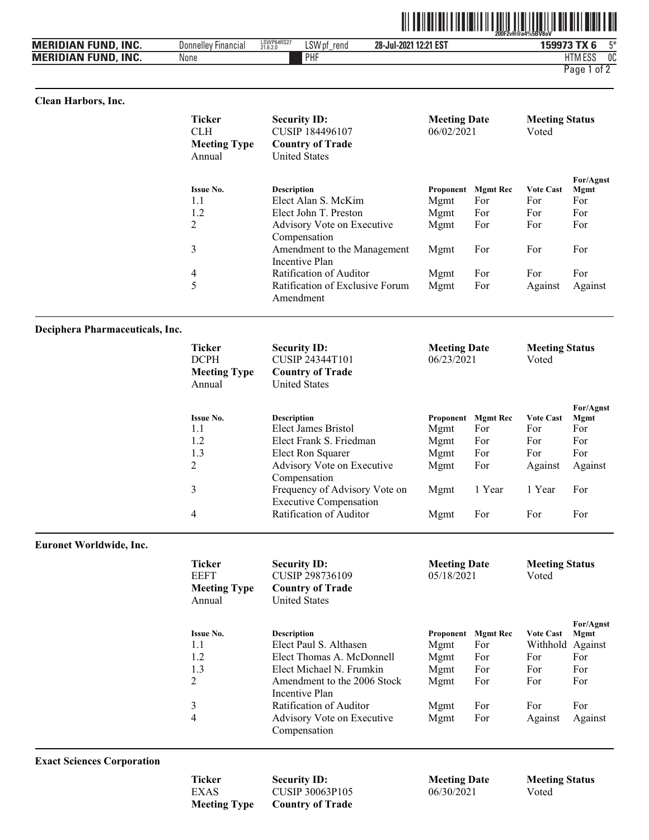| <b>MERIDIAN FUND, INC.</b>      | <b>Donnelley Financial</b> | LSWP64RS27<br>21.6.2.0<br>LSW pf_rend                    | 28-Jul-2021 12:21 EST |                     |                       | 159973 TX 6<br>$5^*$            |
|---------------------------------|----------------------------|----------------------------------------------------------|-----------------------|---------------------|-----------------------|---------------------------------|
| <b>MERIDIAN FUND, INC.</b>      | None                       | PHF                                                      |                       |                     |                       | <b>HTMESS</b><br>0 <sup>C</sup> |
|                                 |                            |                                                          |                       |                     |                       | Page 1 of 2                     |
| <b>Clean Harbors, Inc.</b>      |                            |                                                          |                       |                     |                       |                                 |
|                                 | <b>Ticker</b>              | <b>Security ID:</b>                                      | <b>Meeting Date</b>   |                     | <b>Meeting Status</b> |                                 |
|                                 | <b>CLH</b>                 | <b>CUSIP 184496107</b>                                   | 06/02/2021            |                     | Voted                 |                                 |
|                                 | <b>Meeting Type</b>        | <b>Country of Trade</b>                                  |                       |                     |                       |                                 |
|                                 | Annual                     | <b>United States</b>                                     |                       |                     |                       |                                 |
|                                 |                            |                                                          |                       |                     |                       | For/Agnst                       |
|                                 | <b>Issue No.</b>           | <b>Description</b>                                       | Proponent             | <b>Mgmt Rec</b>     | <b>Vote Cast</b>      | <b>Mgmt</b>                     |
|                                 | 1.1                        | Elect Alan S. McKim                                      | Mgmt                  | For                 | For                   | For                             |
|                                 | 1.2                        | Elect John T. Preston                                    | Mgmt                  | For                 | For                   | For                             |
|                                 | 2                          | Advisory Vote on Executive<br>Compensation               | Mgmt                  | For                 | For                   | For                             |
|                                 | 3                          | Amendment to the Management                              | Mgmt                  | For                 | For                   | For                             |
|                                 |                            | Incentive Plan                                           |                       |                     |                       |                                 |
|                                 | 4                          | Ratification of Auditor                                  | Mgmt                  | For                 | For                   | For                             |
|                                 | 5                          | Ratification of Exclusive Forum                          | Mgmt                  | For                 | Against               | Against                         |
|                                 |                            | Amendment                                                |                       |                     |                       |                                 |
| Deciphera Pharmaceuticals, Inc. |                            |                                                          |                       |                     |                       |                                 |
|                                 | <b>Ticker</b>              | <b>Security ID:</b>                                      |                       | <b>Meeting Date</b> |                       | <b>Meeting Status</b>           |
|                                 | <b>DCPH</b>                | <b>CUSIP 24344T101</b>                                   | 06/23/2021            |                     | Voted                 |                                 |
|                                 | <b>Meeting Type</b>        | <b>Country of Trade</b>                                  |                       |                     |                       |                                 |
|                                 | Annual                     | <b>United States</b>                                     |                       |                     |                       |                                 |
|                                 |                            |                                                          |                       |                     |                       | For/Agnst                       |
|                                 | <b>Issue No.</b>           | <b>Description</b>                                       |                       | Proponent Mgmt Rec  | <b>Vote Cast</b>      | <b>Mgmt</b>                     |
|                                 | 1.1                        | <b>Elect James Bristol</b>                               | Mgmt                  | For                 | For                   | For                             |
|                                 | 1.2                        | Elect Frank S. Friedman                                  | Mgmt                  | For                 | For                   | For                             |
|                                 | 1.3                        | Elect Ron Squarer                                        | Mgmt                  | For                 | For                   | For                             |
|                                 | 2                          | Advisory Vote on Executive                               | Mgmt                  | For                 | Against               | Against                         |
|                                 |                            | Compensation                                             |                       |                     |                       |                                 |
|                                 | 3                          | Frequency of Advisory Vote on                            | Mgmt                  | 1 Year              | 1 Year                | For                             |
|                                 | 4                          | <b>Executive Compensation</b><br>Ratification of Auditor | Mgmt                  | For                 | For                   | For                             |
|                                 |                            |                                                          |                       |                     |                       |                                 |
| Euronet Worldwide, Inc.         |                            |                                                          |                       |                     |                       |                                 |
|                                 | <b>Ticker</b>              | <b>Security ID:</b>                                      | <b>Meeting Date</b>   |                     | <b>Meeting Status</b> |                                 |
|                                 | <b>EEFT</b>                | CUSIP 298736109                                          | 05/18/2021            |                     | Voted                 |                                 |
|                                 | <b>Meeting Type</b>        | <b>Country of Trade</b>                                  |                       |                     |                       |                                 |
|                                 | Annual                     | <b>United States</b>                                     |                       |                     |                       |                                 |
|                                 |                            |                                                          |                       |                     |                       | For/Agnst                       |
|                                 | Issue No.                  | Description                                              |                       | Proponent Mgmt Rec  | <b>Vote Cast</b>      | <b>Mgmt</b>                     |
|                                 | 1.1                        | Elect Paul S. Althasen                                   | Mgmt                  | For                 | Withhold              | Against                         |
|                                 | 1.2                        | Elect Thomas A. McDonnell                                | Mgmt                  | For                 | For                   | For                             |
|                                 | 1.3                        | Elect Michael N. Frumkin                                 | Mgmt                  | For                 | For                   | For                             |
|                                 | 2                          | Amendment to the 2006 Stock<br>Incentive Plan            | Mgmt                  | For                 | For                   | For                             |
|                                 | 3                          | Ratification of Auditor                                  | Mgmt                  | For                 | For                   | For                             |
|                                 | 4                          | Advisory Vote on Executive                               | Mgmt                  | For                 | Against               | Against                         |
|                                 |                            | Compensation                                             |                       |                     |                       |                                 |

**Exact Sciences Corporation**

| Ticker              | <b>Security ID:</b>     | <b>Meeting Date</b> | <b>Meeting Status</b> |
|---------------------|-------------------------|---------------------|-----------------------|
| EXAS                | CUSIP 30063P105         | 06/30/2021          | Voted                 |
| <b>Meeting Type</b> | <b>Country of Trade</b> |                     |                       |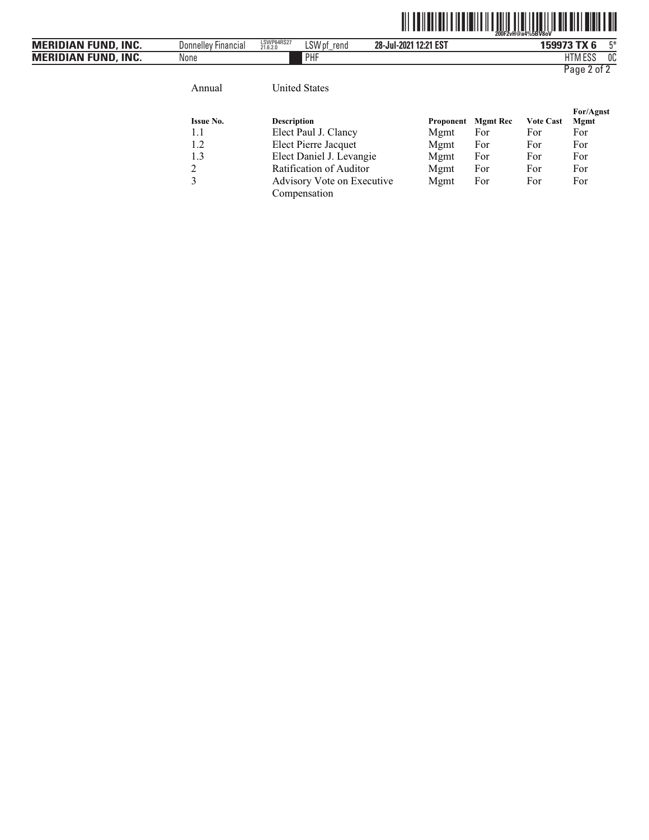

|                            |                            |                               |                                            |                       |           |                 | 200F2vH@a4%5BV8o\ | IIIIII            |      |
|----------------------------|----------------------------|-------------------------------|--------------------------------------------|-----------------------|-----------|-----------------|-------------------|-------------------|------|
| <b>MERIDIAN FUND, INC.</b> | <b>Donnelley Financial</b> | <b>LSWP64RS27</b><br>21.6.2.0 | LSW pf_rend                                | 28-Jul-2021 12:21 EST |           |                 |                   | 159973 TX 6       | $5*$ |
| <b>MERIDIAN FUND, INC.</b> | None                       |                               | PHF                                        |                       |           |                 |                   | HTM ESS           | 0C   |
|                            |                            |                               |                                            |                       |           |                 |                   | Page 2 of 2       |      |
|                            | Annual                     |                               | <b>United States</b>                       |                       |           |                 |                   |                   |      |
|                            | <b>Issue No.</b>           | <b>Description</b>            |                                            |                       | Proponent | <b>Mgmt Rec</b> | <b>Vote Cast</b>  | For/Agnst<br>Mgmt |      |
|                            | 1.1                        |                               | Elect Paul J. Clancy                       |                       | Mgmt      | For             | For               | For               |      |
|                            | 1.2                        |                               | Elect Pierre Jacquet                       |                       | Mgmt      | For             | For               | For               |      |
|                            | 1.3                        |                               | Elect Daniel J. Levangie                   |                       | Mgmt      | For             | For               | For               |      |
|                            | 2                          |                               | Ratification of Auditor                    |                       | Mgmt      | For             | For               | For               |      |
|                            | 3                          |                               | Advisory Vote on Executive<br>Compensation |                       | Mgmt      | For             | For               | For               |      |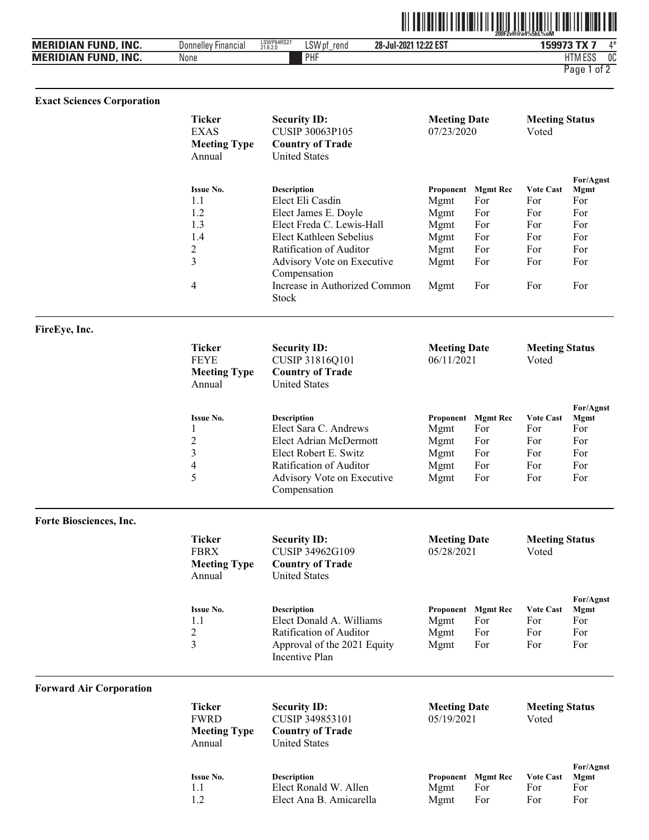| <b>MERIDIAN FUND, INC.</b>        | <b>Donnelley Financial</b>    | LSWP64RS27<br>21.6.2.0<br>28-Jul-2021 12:22 EST<br>LSW pf_rend |                     |                           |                         | 159973 TX 7<br>$4*$             |
|-----------------------------------|-------------------------------|----------------------------------------------------------------|---------------------|---------------------------|-------------------------|---------------------------------|
| <b>MERIDIAN FUND, INC.</b>        | None                          | PHF                                                            |                     |                           |                         | <b>HTMESS</b><br>0 <sup>C</sup> |
|                                   |                               |                                                                |                     |                           |                         | Page 1 of 2                     |
| <b>Exact Sciences Corporation</b> |                               |                                                                |                     |                           |                         |                                 |
|                                   | <b>Ticker</b>                 | <b>Security ID:</b>                                            | <b>Meeting Date</b> |                           | <b>Meeting Status</b>   |                                 |
|                                   | <b>EXAS</b>                   | CUSIP 30063P105                                                | 07/23/2020          |                           | Voted                   |                                 |
|                                   | <b>Meeting Type</b><br>Annual | <b>Country of Trade</b><br><b>United States</b>                |                     |                           |                         |                                 |
|                                   | <b>Issue No.</b>              |                                                                |                     |                           |                         | For/Agnst                       |
|                                   | 1.1                           | <b>Description</b><br>Elect Eli Casdin                         | Mgmt                | Proponent Mgmt Rec<br>For | <b>Vote Cast</b><br>For | <b>Mgmt</b><br>For              |
|                                   | 1.2                           | Elect James E. Doyle                                           | Mgmt                | For                       | For                     | For                             |
|                                   | 1.3                           | Elect Freda C. Lewis-Hall                                      | Mgmt                | For                       | For                     | For                             |
|                                   | 1.4                           | Elect Kathleen Sebelius                                        | Mgmt                | For                       | For                     | For                             |
|                                   | $\overline{c}$                | Ratification of Auditor                                        | Mgmt                | For                       | For                     | For                             |
|                                   | $\overline{\mathbf{3}}$       | Advisory Vote on Executive                                     | Mgmt                | For                       | For                     | For                             |
|                                   |                               | Compensation                                                   |                     |                           |                         |                                 |
|                                   | 4                             | Increase in Authorized Common<br>Stock                         | Mgmt                | For                       | For                     | For                             |
| FireEye, Inc.                     |                               |                                                                |                     |                           |                         |                                 |
|                                   | <b>Ticker</b>                 | <b>Security ID:</b>                                            | <b>Meeting Date</b> |                           | <b>Meeting Status</b>   |                                 |
|                                   | <b>FEYE</b>                   | CUSIP 31816Q101                                                | 06/11/2021          |                           | Voted                   |                                 |
|                                   | <b>Meeting Type</b>           | <b>Country of Trade</b>                                        |                     |                           |                         |                                 |
|                                   | Annual                        | <b>United States</b>                                           |                     |                           |                         |                                 |
|                                   | <b>Issue No.</b>              | <b>Description</b>                                             |                     | Proponent Mgmt Rec        | <b>Vote Cast</b>        | For/Agnst<br><b>Mgmt</b>        |
|                                   | 1                             | Elect Sara C. Andrews                                          | Mgmt                | For                       | For                     | For                             |
|                                   | $\overline{c}$                | Elect Adrian McDermott                                         | Mgmt                | For                       | For                     | For                             |
|                                   | 3                             | Elect Robert E. Switz                                          | Mgmt                | For                       | For                     | For                             |
|                                   | $\overline{\mathcal{L}}$      | Ratification of Auditor                                        | Mgmt                | For                       | For                     | For                             |
|                                   | 5                             | Advisory Vote on Executive                                     | Mgmt                | For                       | For                     | For                             |
|                                   |                               | Compensation                                                   |                     |                           |                         |                                 |
| Forte Biosciences, Inc.           |                               |                                                                |                     |                           |                         |                                 |
|                                   | <b>Ticker</b>                 | <b>Security ID:</b>                                            | <b>Meeting Date</b> |                           | <b>Meeting Status</b>   |                                 |
|                                   | <b>FBRX</b>                   | <b>CUSIP 34962G109</b>                                         | 05/28/2021          |                           | Voted                   |                                 |
|                                   | <b>Meeting Type</b>           | <b>Country of Trade</b>                                        |                     |                           |                         |                                 |
|                                   | Annual                        | <b>United States</b>                                           |                     |                           |                         |                                 |
|                                   |                               |                                                                |                     |                           |                         |                                 |
|                                   | <b>Issue No.</b>              | <b>Description</b>                                             |                     |                           | <b>Vote Cast</b>        | For/Agnst                       |
|                                   | 1.1                           | Elect Donald A. Williams                                       | Mgmt                | Proponent Mgmt Rec<br>For | For                     | <b>Mgmt</b><br>For              |
|                                   | $\overline{c}$                | Ratification of Auditor                                        | Mgmt                | For                       | For                     | For                             |
|                                   | 3                             | Approval of the 2021 Equity                                    | Mgmt                | For                       | For                     | For                             |
|                                   |                               | <b>Incentive Plan</b>                                          |                     |                           |                         |                                 |
| <b>Forward Air Corporation</b>    |                               |                                                                |                     |                           |                         |                                 |
|                                   | <b>Ticker</b>                 | <b>Security ID:</b>                                            | <b>Meeting Date</b> |                           | <b>Meeting Status</b>   |                                 |
|                                   | <b>FWRD</b>                   | CUSIP 349853101                                                | 05/19/2021          |                           | Voted                   |                                 |
|                                   | <b>Meeting Type</b>           | <b>Country of Trade</b>                                        |                     |                           |                         |                                 |
|                                   | Annual                        | <b>United States</b>                                           |                     |                           |                         |                                 |
|                                   |                               |                                                                |                     |                           |                         | For/Agnst                       |
|                                   | <b>Issue No.</b><br>1.1       | Description<br>Elect Ronald W. Allen                           | Mgmt                | Proponent Mgmt Rec<br>For | <b>Vote Cast</b><br>For | <b>Mgmt</b><br>For              |
|                                   | 1.2                           | Elect Ana B. Amicarella                                        | Mgmt                | For                       | For                     | For                             |
|                                   |                               |                                                                |                     |                           |                         |                                 |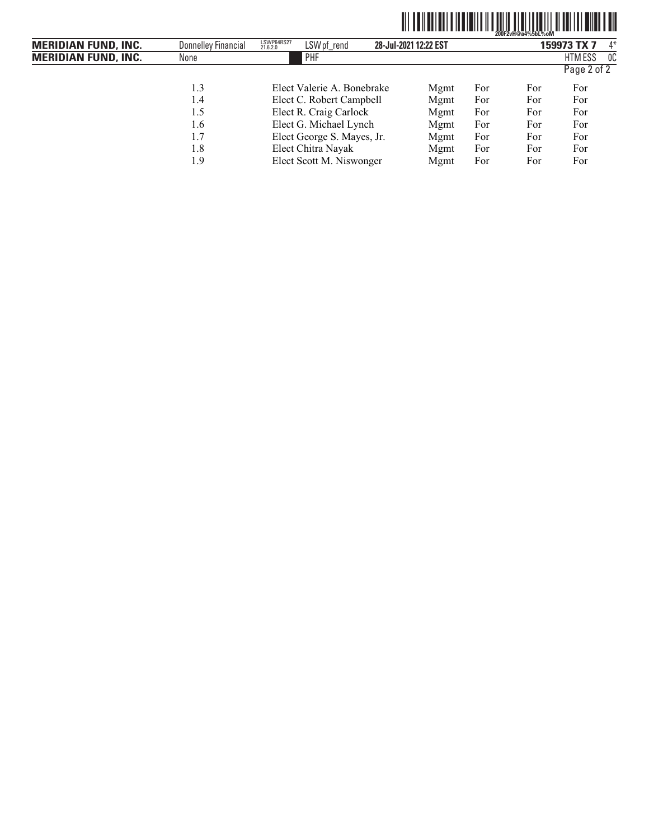

|                            |                     |                                       |                       |      |     | $20012011 \& 0770301700101$ |                      |  |  |  |  |
|----------------------------|---------------------|---------------------------------------|-----------------------|------|-----|-----------------------------|----------------------|--|--|--|--|
| <b>MERIDIAN FUND, INC.</b> | Donnelley Financial | LSWP64RS27<br>LSW pf rend<br>21.6.2.0 | 28-Jul-2021 12:22 EST |      |     |                             | 159973 TX 7<br>4*    |  |  |  |  |
| <b>MERIDIAN FUND, INC.</b> | None                | <b>PHF</b>                            |                       |      |     |                             | 0C<br><b>HTM ESS</b> |  |  |  |  |
|                            |                     |                                       |                       |      |     |                             | Page 2 of $2$        |  |  |  |  |
|                            | 1.3                 | Elect Valerie A. Bonebrake            |                       | Mgmt | For | For                         | For                  |  |  |  |  |
|                            | 1.4                 | Elect C. Robert Campbell              |                       | Mgmt | For | For                         | For                  |  |  |  |  |
|                            | 1.5                 | Elect R. Craig Carlock                |                       | Mgmt | For | For                         | For                  |  |  |  |  |
|                            | 1.6                 | Elect G. Michael Lynch                |                       | Mgmt | For | For                         | For                  |  |  |  |  |
|                            | 1.7                 | Elect George S. Mayes, Jr.            |                       | Mgmt | For | For                         | For                  |  |  |  |  |
|                            | 1.8                 | Elect Chitra Nayak                    |                       | Mgmt | For | For                         | For                  |  |  |  |  |
|                            | 1.9                 | Elect Scott M. Niswonger              |                       | Mgmt | For | For                         | For                  |  |  |  |  |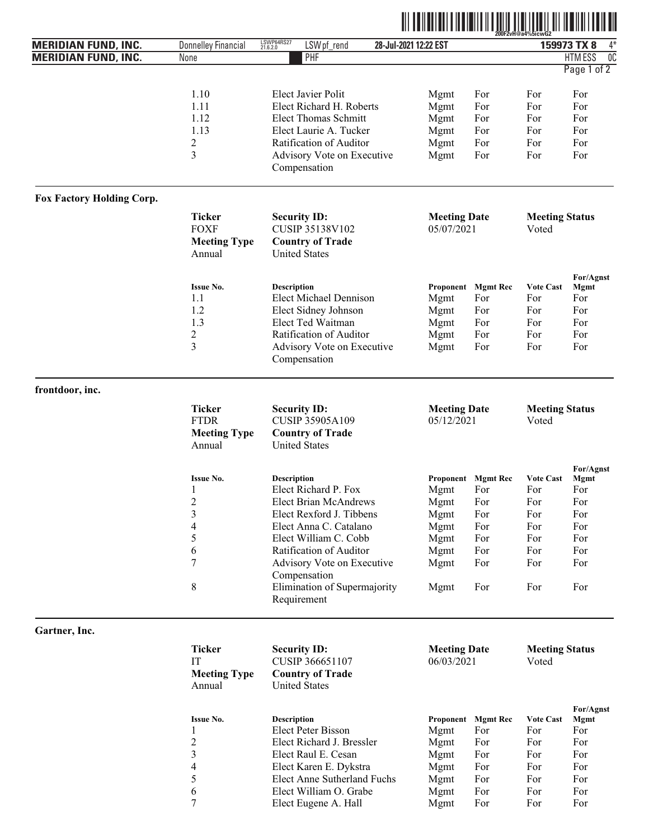| <b>MERIDIAN FUND, INC.</b> | <b>Donnelley Financial</b>    | LSWP64RS27<br>21.6.2.0<br>LSW pf_rend                | 28-Jul-2021 12:22 EST |                           |                 |                                                                                                             | 159973 TX 8<br>$4*$                                                                                         |
|----------------------------|-------------------------------|------------------------------------------------------|-----------------------|---------------------------|-----------------|-------------------------------------------------------------------------------------------------------------|-------------------------------------------------------------------------------------------------------------|
| <b>MERIDIAN FUND, INC.</b> | None                          | PHF                                                  |                       |                           |                 |                                                                                                             | <b>HTMESS</b><br>0 <sup>C</sup>                                                                             |
|                            |                               |                                                      |                       |                           |                 |                                                                                                             | Page 1 of 2                                                                                                 |
|                            | 1.10                          | Elect Javier Polit                                   | Mgmt                  | For                       |                 | For                                                                                                         | For                                                                                                         |
|                            | 1.11                          | Elect Richard H. Roberts                             | Mgmt                  | For                       |                 | For                                                                                                         | For                                                                                                         |
|                            | 1.12                          | <b>Elect Thomas Schmitt</b>                          | Mgmt                  | For                       |                 | For                                                                                                         | For                                                                                                         |
|                            | 1.13                          | Elect Laurie A. Tucker                               | Mgmt                  | For                       |                 | For                                                                                                         | For                                                                                                         |
|                            | $\overline{c}$                | Ratification of Auditor                              | Mgmt                  | For                       |                 | For                                                                                                         | For                                                                                                         |
|                            | $\overline{3}$                | Advisory Vote on Executive                           | Mgmt                  | For                       |                 | For                                                                                                         | For                                                                                                         |
|                            |                               | Compensation                                         |                       |                           |                 |                                                                                                             |                                                                                                             |
| Fox Factory Holding Corp.  |                               |                                                      |                       |                           |                 |                                                                                                             |                                                                                                             |
|                            | <b>Ticker</b>                 | <b>Security ID:</b>                                  |                       | <b>Meeting Date</b>       |                 | <b>Meeting Status</b>                                                                                       |                                                                                                             |
|                            | <b>FOXF</b>                   | CUSIP 35138V102                                      |                       | 05/07/2021                |                 | Voted                                                                                                       |                                                                                                             |
|                            | <b>Meeting Type</b>           | <b>Country of Trade</b>                              |                       |                           |                 |                                                                                                             |                                                                                                             |
|                            | Annual                        | <b>United States</b>                                 |                       |                           |                 |                                                                                                             |                                                                                                             |
|                            | <b>Issue No.</b>              |                                                      |                       |                           |                 | <b>Vote Cast</b>                                                                                            | For/Agnst                                                                                                   |
|                            | 1.1                           | <b>Description</b><br><b>Elect Michael Dennison</b>  | Mgmt                  | Proponent Mgmt Rec<br>For |                 | For                                                                                                         | <b>Mgmt</b><br>For                                                                                          |
|                            | 1.2                           | Elect Sidney Johnson                                 | Mgmt                  | For                       |                 | For                                                                                                         | For                                                                                                         |
|                            | 1.3                           | Elect Ted Waitman                                    | Mgmt                  | For                       |                 | For                                                                                                         | For                                                                                                         |
|                            | $\overline{c}$                | Ratification of Auditor                              | Mgmt                  | For                       |                 | For                                                                                                         | For                                                                                                         |
|                            | 3                             | Advisory Vote on Executive                           | Mgmt                  | For                       |                 | For                                                                                                         | For                                                                                                         |
|                            |                               | Compensation                                         |                       |                           |                 |                                                                                                             |                                                                                                             |
| frontdoor, inc.            |                               |                                                      |                       |                           |                 |                                                                                                             |                                                                                                             |
|                            | <b>Ticker</b>                 | <b>Security ID:</b>                                  |                       | <b>Meeting Date</b>       |                 | <b>Meeting Status</b>                                                                                       |                                                                                                             |
|                            | <b>FTDR</b>                   | CUSIP 35905A109                                      |                       | 05/12/2021                |                 | Voted                                                                                                       |                                                                                                             |
|                            | <b>Meeting Type</b>           | <b>Country of Trade</b>                              |                       |                           |                 |                                                                                                             |                                                                                                             |
|                            | Annual                        | <b>United States</b>                                 |                       |                           |                 |                                                                                                             |                                                                                                             |
|                            |                               |                                                      |                       |                           |                 |                                                                                                             | For/Agnst                                                                                                   |
|                            | <b>Issue No.</b>              | <b>Description</b>                                   |                       | <b>Proponent</b> Mgmt Rec |                 | <b>Vote Cast</b>                                                                                            | Mgmt                                                                                                        |
|                            | $\mathbf{1}$                  | Elect Richard P. Fox<br><b>Elect Brian McAndrews</b> |                       | Mgmt For                  |                 | For                                                                                                         | For                                                                                                         |
|                            | $\overline{\mathbf{c}}$<br>3  | Elect Rexford J. Tibbens                             | Mgmt                  | For<br>For                |                 | For<br>For                                                                                                  | For<br>For                                                                                                  |
|                            |                               | Elect Anna C. Catalano                               | Mgmt                  |                           |                 |                                                                                                             | For                                                                                                         |
|                            | 4                             | Elect William C. Cobb                                | Mgmt<br>Mgmt          | For                       |                 | For<br>For                                                                                                  | For                                                                                                         |
|                            | 5<br>6                        | Ratification of Auditor                              | Mgmt                  | For<br>For                |                 | For                                                                                                         | $\operatorname*{For}% \nolimits_{\mathbb{Z}}\left( \mathbb{Z}^{\Sigma\left( 1\right) }\right) ^{\otimes n}$ |
|                            | 7                             | Advisory Vote on Executive                           | Mgmt                  | For                       |                 | For                                                                                                         | For                                                                                                         |
|                            |                               | Compensation                                         |                       |                           |                 |                                                                                                             |                                                                                                             |
|                            | $\,8\,$                       | Elimination of Supermajority                         | Mgmt                  | For                       |                 | For                                                                                                         | For                                                                                                         |
|                            |                               | Requirement                                          |                       |                           |                 |                                                                                                             |                                                                                                             |
| Gartner, Inc.              |                               |                                                      |                       |                           |                 |                                                                                                             |                                                                                                             |
|                            | <b>Ticker</b>                 | <b>Security ID:</b>                                  |                       | <b>Meeting Date</b>       |                 | <b>Meeting Status</b>                                                                                       |                                                                                                             |
|                            | <b>IT</b>                     | CUSIP 366651107                                      |                       | 06/03/2021                |                 | Voted                                                                                                       |                                                                                                             |
|                            | <b>Meeting Type</b><br>Annual | <b>Country of Trade</b><br><b>United States</b>      |                       |                           |                 |                                                                                                             |                                                                                                             |
|                            |                               |                                                      |                       |                           |                 |                                                                                                             | For/Agnst                                                                                                   |
|                            | <b>Issue No.</b>              | Description                                          | Proponent             |                           | <b>Mgmt Rec</b> | <b>Vote Cast</b>                                                                                            | <b>Mgmt</b>                                                                                                 |
|                            | 1                             | <b>Elect Peter Bisson</b>                            | Mgmt                  | For                       |                 | For                                                                                                         | For                                                                                                         |
|                            | $\boldsymbol{2}$              | Elect Richard J. Bressler                            | Mgmt                  | For                       |                 | For                                                                                                         | For                                                                                                         |
|                            | 3                             | Elect Raul E. Cesan                                  | Mgmt                  | For                       |                 | $\operatorname*{For}% \nolimits_{\mathbb{Z}}\left( \mathbb{Z}^{\Sigma\left( 1\right) }\right) ^{\otimes n}$ | For                                                                                                         |
|                            | 4                             | Elect Karen E. Dykstra                               | Mgmt                  | For                       |                 | For                                                                                                         | For                                                                                                         |
|                            | 5                             | Elect Anne Sutherland Fuchs                          | Mgmt                  | For                       |                 | For                                                                                                         | For                                                                                                         |
|                            | 6                             | Elect William O. Grabe                               | Mgmt                  | For                       |                 | For                                                                                                         | For                                                                                                         |
|                            | $\tau$                        | Elect Eugene A. Hall                                 | Mgmt                  | For                       |                 | For                                                                                                         | For                                                                                                         |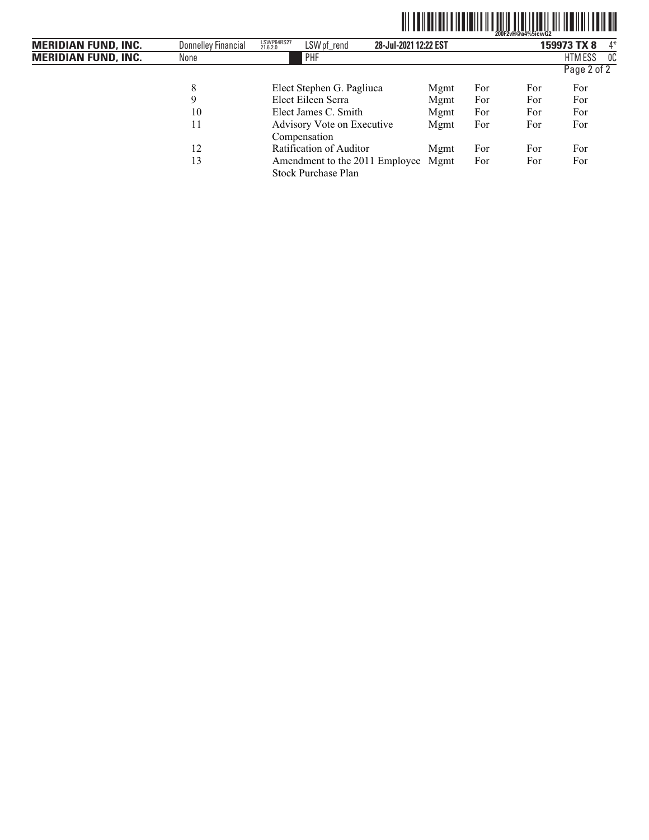

| <b>MERIDIAN FUND, INC.</b> | <b>Donnelley Financial</b> | LSWP64RS27<br>21.6.2.0     | LSW pf rend                    | 28-Jul-2021 12:22 EST |     |     | 159973 TX 8 | $4*$ |  |  |
|----------------------------|----------------------------|----------------------------|--------------------------------|-----------------------|-----|-----|-------------|------|--|--|
| <b>MERIDIAN FUND, INC.</b> | None                       | PHF                        |                                |                       |     |     | HTM ESS     | 0C   |  |  |
|                            |                            |                            |                                |                       |     |     | Page 2 of 2 |      |  |  |
|                            | 8                          |                            | Elect Stephen G. Pagliuca      | Mgmt                  | For | For | For         |      |  |  |
|                            | 9                          | Elect Eileen Serra         |                                | Mgmt                  | For | For | For         |      |  |  |
|                            | 10                         | Elect James C. Smith       |                                | Mgmt                  | For | For | For         |      |  |  |
|                            | 11                         |                            | Advisory Vote on Executive     | Mgmt                  | For | For | For         |      |  |  |
|                            |                            | Compensation               |                                |                       |     |     |             |      |  |  |
|                            | 12                         | Ratification of Auditor    |                                | Mgmt                  | For | For | For         |      |  |  |
|                            | 13                         | <b>Stock Purchase Plan</b> | Amendment to the 2011 Employee | Mgmt                  | For | For | For         |      |  |  |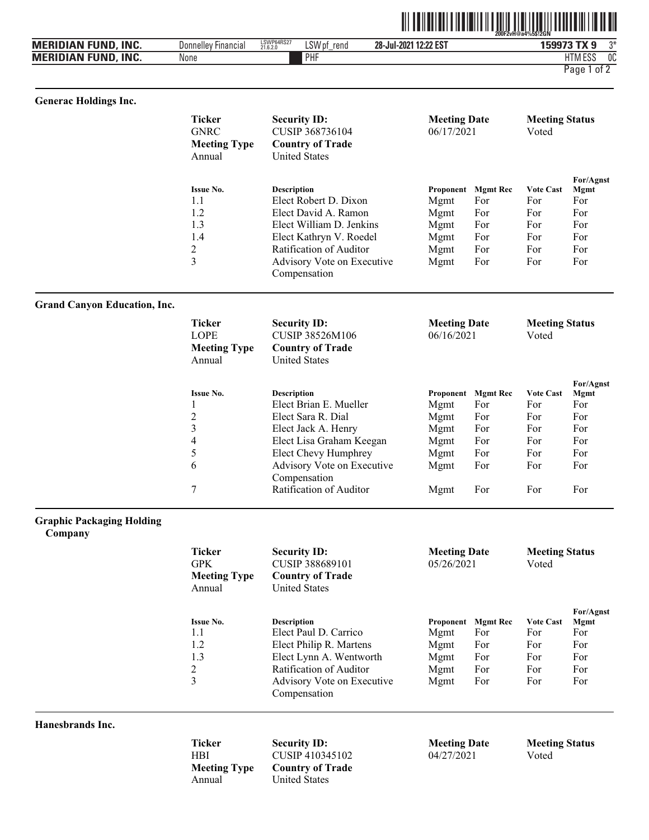| <b>MERIDIAN FUND, INC.</b>                  | <b>Donnelley Financial</b>    | LSWP64RS27<br>21.6.2.0 | LSW pf_rend                                        | 28-Jul-2021 12:22 EST |                     |                           |                         | 159973 TX 9<br>$3*$             |
|---------------------------------------------|-------------------------------|------------------------|----------------------------------------------------|-----------------------|---------------------|---------------------------|-------------------------|---------------------------------|
| <b>MERIDIAN FUND, INC.</b>                  | None                          |                        | PHF                                                |                       |                     |                           |                         | $\overline{0}$<br><b>HTMESS</b> |
|                                             |                               |                        |                                                    |                       |                     |                           |                         | Page 1 of 2                     |
| <b>Generac Holdings Inc.</b>                |                               |                        |                                                    |                       |                     |                           |                         |                                 |
|                                             | <b>Ticker</b>                 | <b>Security ID:</b>    |                                                    |                       | <b>Meeting Date</b> |                           | <b>Meeting Status</b>   |                                 |
|                                             | <b>GNRC</b>                   |                        | CUSIP 368736104                                    |                       | 06/17/2021          |                           | Voted                   |                                 |
|                                             | <b>Meeting Type</b><br>Annual | <b>United States</b>   | <b>Country of Trade</b>                            |                       |                     |                           |                         |                                 |
|                                             |                               |                        |                                                    |                       |                     |                           |                         |                                 |
|                                             |                               |                        |                                                    |                       |                     |                           |                         | For/Agnst                       |
|                                             | <b>Issue No.</b><br>1.1       | <b>Description</b>     | Elect Robert D. Dixon                              |                       | Mgmt                | Proponent Mgmt Rec<br>For | <b>Vote Cast</b><br>For | <b>Mgmt</b><br>For              |
|                                             | 1.2                           |                        | Elect David A. Ramon                               |                       | Mgmt                | For                       | For                     | For                             |
|                                             | 1.3                           |                        | Elect William D. Jenkins                           |                       | Mgmt                | For                       | For                     | For                             |
|                                             | 1.4                           |                        | Elect Kathryn V. Roedel                            |                       | Mgmt                | For                       | For                     | For                             |
|                                             | $\overline{c}$                |                        | Ratification of Auditor                            |                       | Mgmt                | For                       | For                     | For                             |
|                                             | $\overline{3}$                |                        | Advisory Vote on Executive                         |                       | Mgmt                | For                       | For                     | For                             |
|                                             |                               |                        | Compensation                                       |                       |                     |                           |                         |                                 |
| <b>Grand Canyon Education, Inc.</b>         |                               |                        |                                                    |                       |                     |                           |                         |                                 |
|                                             | <b>Ticker</b>                 | <b>Security ID:</b>    |                                                    |                       | <b>Meeting Date</b> |                           | <b>Meeting Status</b>   |                                 |
|                                             | <b>LOPE</b>                   |                        | CUSIP 38526M106                                    |                       | 06/16/2021          |                           | Voted                   |                                 |
|                                             | <b>Meeting Type</b>           |                        | <b>Country of Trade</b>                            |                       |                     |                           |                         |                                 |
|                                             | Annual                        | <b>United States</b>   |                                                    |                       |                     |                           |                         |                                 |
|                                             |                               |                        |                                                    |                       |                     |                           |                         | For/Agnst                       |
|                                             | <b>Issue No.</b><br>-1        | <b>Description</b>     | Elect Brian E. Mueller                             |                       | Mgmt                | Proponent Mgmt Rec<br>For | <b>Vote Cast</b><br>For | <b>Mgmt</b><br>For              |
|                                             | $\overline{c}$                |                        | Elect Sara R. Dial                                 |                       | Mgmt                | For                       | For                     | For                             |
|                                             | 3                             |                        | Elect Jack A. Henry                                |                       | Mgmt                | For                       | For                     | For                             |
|                                             | 4                             |                        | Elect Lisa Graham Keegan                           |                       | Mgmt                | For                       | For                     | For                             |
|                                             | 5                             |                        | Elect Chevy Humphrey                               |                       | Mgmt                | For                       | For                     | For                             |
|                                             | 6                             |                        | Advisory Vote on Executive                         |                       | Mgmt                | For                       | For                     | For                             |
|                                             |                               |                        | Compensation                                       |                       |                     |                           |                         |                                 |
|                                             | 7                             |                        | Ratification of Auditor                            |                       | Mgmt                | For                       | For                     | For                             |
| <b>Graphic Packaging Holding</b><br>Company |                               |                        |                                                    |                       |                     |                           |                         |                                 |
|                                             | <b>Ticker</b>                 | <b>Security ID:</b>    |                                                    |                       | <b>Meeting Date</b> |                           | <b>Meeting Status</b>   |                                 |
|                                             | <b>GPK</b>                    |                        | CUSIP 388689101                                    |                       | 05/26/2021          |                           | Voted                   |                                 |
|                                             | <b>Meeting Type</b>           |                        | <b>Country of Trade</b>                            |                       |                     |                           |                         |                                 |
|                                             | Annual                        | <b>United States</b>   |                                                    |                       |                     |                           |                         |                                 |
|                                             |                               |                        |                                                    |                       |                     |                           |                         | For/Agnst                       |
|                                             | <b>Issue No.</b>              | <b>Description</b>     |                                                    |                       |                     | Proponent Mgmt Rec        | <b>Vote Cast</b>        | <b>Mgmt</b>                     |
|                                             | 1.1                           |                        | Elect Paul D. Carrico                              |                       | Mgmt                | For                       | For                     | For                             |
|                                             | 1.2                           |                        | Elect Philip R. Martens                            |                       | Mgmt                | For                       | For                     | For                             |
|                                             | 1.3<br>$\boldsymbol{2}$       |                        | Elect Lynn A. Wentworth<br>Ratification of Auditor |                       | Mgmt                | For<br>For                | For<br>For              | For<br>For                      |
|                                             | $\overline{3}$                |                        | Advisory Vote on Executive                         |                       | Mgmt<br>Mgmt        | For                       | For                     | For                             |
|                                             |                               |                        | Compensation                                       |                       |                     |                           |                         |                                 |
| Hanesbrands Inc.                            |                               |                        |                                                    |                       |                     |                           |                         |                                 |
|                                             | <b>Ticker</b>                 | <b>Security ID:</b>    |                                                    |                       | <b>Meeting Date</b> |                           | <b>Meeting Status</b>   |                                 |
|                                             | <b>HBI</b>                    |                        | CUSIP 410345102                                    |                       | 04/27/2021          |                           | Voted                   |                                 |
|                                             | <b>Meeting Type</b>           |                        | <b>Country of Trade</b>                            |                       |                     |                           |                         |                                 |
|                                             | Annual                        | <b>United States</b>   |                                                    |                       |                     |                           |                         |                                 |
|                                             |                               |                        |                                                    |                       |                     |                           |                         |                                 |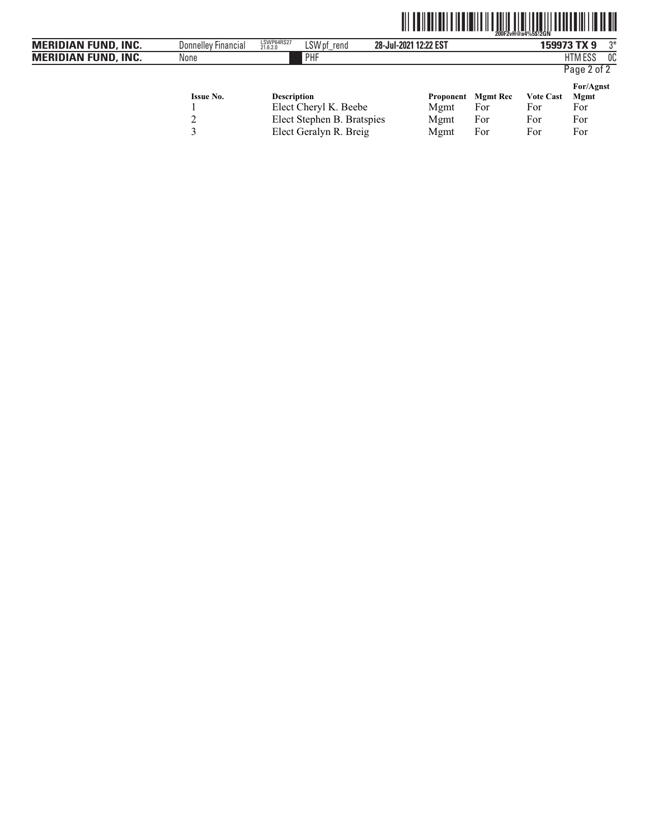

|                  | $3^*$                                                      |
|------------------|------------------------------------------------------------|
|                  | 0C                                                         |
|                  |                                                            |
| <b>Vote Cast</b> |                                                            |
| For<br>For       |                                                            |
| For<br>For       |                                                            |
| For<br>For       |                                                            |
|                  | 159973 TX 9<br>HTM ESS<br>Page 2 of 2<br>For/Agnst<br>Mgmt |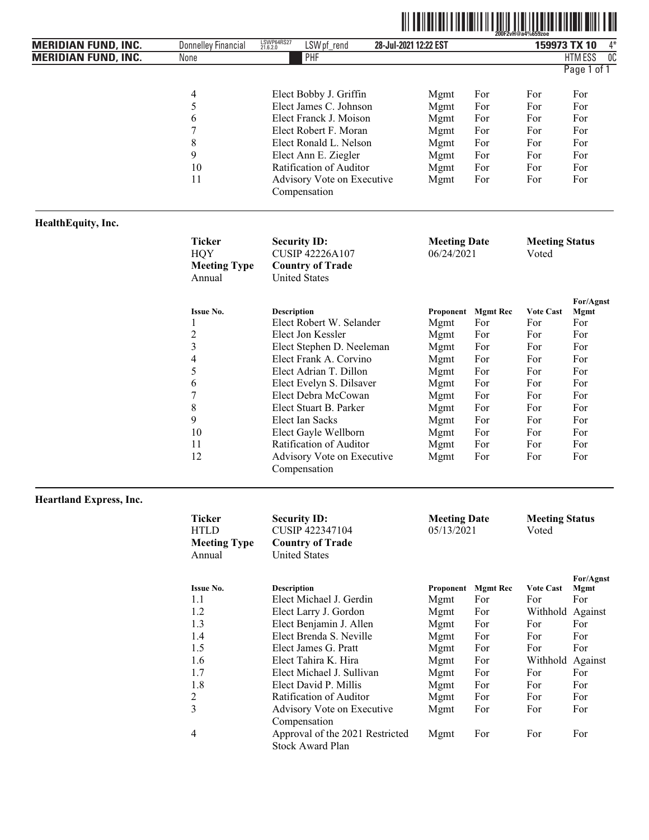

| <b>MERIDIAN FUND, INC.</b> | <b>Donnelley Financial</b> | LSWP64RS27<br>21.6.2.0<br>LSW pf_rend         | 28-Jul-2021 12:22 EST |                        | 200F2vH@a4%659zoe<br>159973 TX 10 | $4*$                                                                                                        |
|----------------------------|----------------------------|-----------------------------------------------|-----------------------|------------------------|-----------------------------------|-------------------------------------------------------------------------------------------------------------|
| <b>MERIDIAN FUND, INC.</b> | None                       | PHF                                           |                       |                        |                                   | HTM ESS<br>0 <sup>C</sup>                                                                                   |
|                            |                            |                                               |                       |                        |                                   | Page 1 of 1                                                                                                 |
|                            |                            |                                               |                       |                        |                                   |                                                                                                             |
|                            | 4                          | Elect Bobby J. Griffin                        | Mgmt                  | For                    | For                               | For                                                                                                         |
|                            | 5                          | Elect James C. Johnson                        | Mgmt                  | For                    | For                               | For                                                                                                         |
|                            | 6                          | Elect Franck J. Moison                        | Mgmt                  | For                    | For                               | For                                                                                                         |
|                            | 7                          | Elect Robert F. Moran                         | Mgmt                  | For                    | For                               | For                                                                                                         |
|                            | $\,$ 8 $\,$                | Elect Ronald L. Nelson                        | Mgmt                  | For                    | For                               | For                                                                                                         |
|                            | 9                          | Elect Ann E. Ziegler                          | Mgmt                  | For                    | For                               | For                                                                                                         |
|                            | 10                         | Ratification of Auditor                       | Mgmt                  | For                    | For                               | For                                                                                                         |
|                            | 11                         | Advisory Vote on Executive<br>Compensation    | Mgmt                  | For                    | For                               | For                                                                                                         |
| HealthEquity, Inc.         |                            |                                               |                       |                        |                                   |                                                                                                             |
|                            | <b>Ticker</b>              | <b>Security ID:</b>                           | <b>Meeting Date</b>   |                        | <b>Meeting Status</b>             |                                                                                                             |
|                            | <b>HQY</b>                 | <b>CUSIP 42226A107</b>                        | 06/24/2021            |                        | Voted                             |                                                                                                             |
|                            | <b>Meeting Type</b>        | <b>Country of Trade</b>                       |                       |                        |                                   |                                                                                                             |
|                            | Annual                     | <b>United States</b>                          |                       |                        |                                   |                                                                                                             |
|                            |                            |                                               |                       |                        |                                   | For/Agnst                                                                                                   |
|                            | <b>Issue No.</b>           | Description                                   | Proponent             | <b>Mgmt</b> Rec        | <b>Vote Cast</b>                  | <b>Mgmt</b>                                                                                                 |
|                            | 1                          | Elect Robert W. Selander                      | Mgmt                  | For                    | For                               | For                                                                                                         |
|                            | $\overline{2}$             | Elect Jon Kessler                             | Mgmt                  | For                    | For                               | For                                                                                                         |
|                            | 3                          | Elect Stephen D. Neeleman                     | Mgmt                  | For                    | For                               | For                                                                                                         |
|                            | 4                          | Elect Frank A. Corvino                        | Mgmt                  | For                    | For                               | For                                                                                                         |
|                            | 5                          | Elect Adrian T. Dillon                        | Mgmt                  | For                    | For                               | For                                                                                                         |
|                            | 6                          | Elect Evelyn S. Dilsaver                      | Mgmt                  | For                    | For                               | For                                                                                                         |
|                            | $\tau$                     | Elect Debra McCowan                           | Mgmt                  | For                    | For                               | For                                                                                                         |
|                            | $\,$ 8 $\,$                | Elect Stuart B. Parker                        | Mgmt                  | For                    | For                               | For                                                                                                         |
|                            | 9                          | Elect Ian Sacks                               | Mgmt                  | For                    | For                               | For                                                                                                         |
|                            | 10                         | Elect Gayle Wellborn                          | Mgmt                  | For                    | For                               | $\operatorname*{For}% \nolimits_{\mathbb{Z}}\left( \mathbb{Z}^{\Sigma\left( 1\right) }\right) ^{\otimes n}$ |
|                            | 11                         | Ratification of Auditor                       | Mgmt                  | For                    | For                               | For                                                                                                         |
|                            | 12                         | Advisory Vote on Executive                    | Mgmt                  | For                    | For                               | For                                                                                                         |
|                            |                            | Compensation                                  |                       |                        |                                   |                                                                                                             |
| Heartland Express, Inc.    |                            |                                               |                       |                        |                                   |                                                                                                             |
|                            | <b>Ticker</b>              | <b>Security ID:</b>                           | <b>Meeting Date</b>   |                        | <b>Meeting Status</b>             |                                                                                                             |
|                            | <b>HTLD</b>                | CUSIP 422347104                               | 05/13/2021            |                        | Voted                             |                                                                                                             |
|                            | <b>Meeting Type</b>        | <b>Country of Trade</b>                       |                       |                        |                                   |                                                                                                             |
|                            | Annual                     | <b>United States</b>                          |                       |                        |                                   |                                                                                                             |
|                            |                            |                                               |                       |                        |                                   | For/Agnst                                                                                                   |
|                            | <b>Issue No.</b><br>1.1    | <b>Description</b><br>Elect Michael J. Gerdin | Proponent<br>Mgmt     | <b>Mgmt Rec</b><br>For | <b>Vote Cast</b><br>For           | <b>Mgmt</b><br>For                                                                                          |
|                            | 1.2                        | Elect Larry J. Gordon                         | Mgmt                  | For                    | Withhold Against                  |                                                                                                             |
|                            | 1.3                        | Elect Benjamin J. Allen                       | Mgmt                  | For                    | For                               | For                                                                                                         |
|                            | 1.4                        | Elect Brenda S. Neville                       | Mgmt                  | For                    | For                               | For                                                                                                         |
|                            | 1.5                        | Elect James G. Pratt                          |                       | For                    | For                               | For                                                                                                         |
|                            | 1.6                        | Elect Tahira K. Hira                          | Mgmt<br>Mgmt          | For                    | Withhold Against                  |                                                                                                             |
|                            | 1.7                        | Elect Michael J. Sullivan                     | Mgmt                  | For                    | For                               | For                                                                                                         |
|                            | 1.8                        | Elect David P. Millis                         |                       | For                    | For                               | For                                                                                                         |
|                            | $\overline{2}$             | Ratification of Auditor                       | Mgmt                  | For                    | For                               | For                                                                                                         |
|                            | 3                          | Advisory Vote on Executive                    | Mgmt<br>Mgmt          | For                    | For                               | For                                                                                                         |
|                            |                            | Compensation                                  |                       |                        |                                   |                                                                                                             |
|                            | 4                          | Approval of the 2021 Restricted               | Mgmt                  | For                    | For                               | For                                                                                                         |
|                            |                            | <b>Stock Award Plan</b>                       |                       |                        |                                   |                                                                                                             |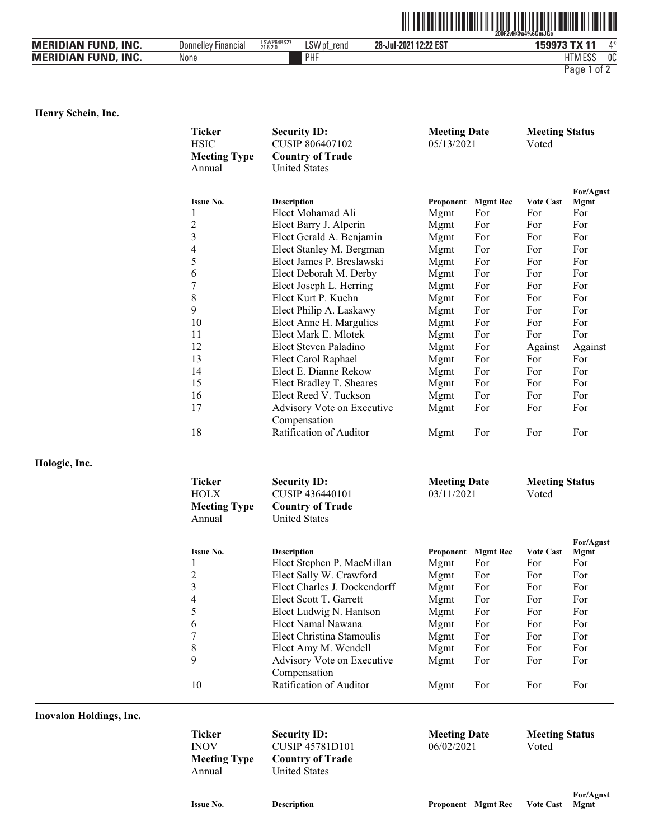| <b>MERIDIAN FUND, INC.</b> | <b>Donnelley Financial</b> | LSWP64RS27<br>21.6.2.0 | LSW pf_rend               | 28-Jul-2021 12:22 EST |                                   |                           | 159973 TX 11          | 4*                 |
|----------------------------|----------------------------|------------------------|---------------------------|-----------------------|-----------------------------------|---------------------------|-----------------------|--------------------|
| <b>MERIDIAN FUND, INC.</b> | None                       |                        | PHF                       |                       |                                   |                           |                       | OC<br>HTM ESS      |
|                            |                            |                        |                           |                       |                                   |                           |                       | Page 1 of 2        |
| Henry Schein, Inc.         |                            |                        |                           |                       |                                   |                           |                       |                    |
|                            | <b>Ticker</b>              |                        | <b>Security ID:</b>       |                       | <b>Meeting Date</b><br>05/13/2021 |                           | <b>Meeting Status</b> |                    |
|                            | <b>HSIC</b>                |                        | <b>CUSIP 806407102</b>    |                       |                                   |                           | Voted                 |                    |
|                            | <b>Meeting Type</b>        |                        | <b>Country of Trade</b>   |                       |                                   |                           |                       |                    |
|                            | Annual                     |                        | <b>United States</b>      |                       |                                   |                           |                       |                    |
|                            | <b>Issue No.</b>           | <b>Description</b>     |                           |                       |                                   |                           | <b>Vote Cast</b>      | For/Agnst          |
|                            |                            |                        | Elect Mohamad Ali         |                       | Mgmt                              | Proponent Mgmt Rec<br>For | For                   | <b>Mgmt</b><br>For |
|                            | $\overline{c}$             |                        | Elect Barry J. Alperin    |                       | Mgmt                              | For                       | For                   | For                |
|                            | $\mathfrak{Z}$             |                        | Elect Gerald A. Benjamin  |                       | Mgmt                              | For                       | For                   | For                |
|                            | 4                          |                        | Elect Stanley M. Bergman  |                       | Mgmt                              | For                       | For                   | For                |
|                            | 5                          |                        | Elect James P. Breslawski |                       | Mgmt                              | For                       | For                   | For                |
|                            | 6                          |                        | Elect Deborah M. Derby    |                       | Mgmt                              | For                       | For                   | For                |
|                            | $\overline{7}$             |                        | Elect Joseph L. Herring   |                       | Mgmt                              | For                       | For                   | For                |
|                            | $\,$ 8 $\,$                |                        | Elect Kurt P. Kuehn       |                       | Mgmt                              | For                       | For                   | For                |
|                            | 9                          |                        | Elect Philip A. Laskawy   |                       | Mgmt                              | For                       | For                   | For                |
|                            | 10                         |                        | Elect Anne H. Margulies   |                       | Mgmt                              | For                       | For                   | For                |
|                            | 11                         |                        | Elect Mark E. Mlotek      |                       | Mgmt                              | For                       | For                   | For                |
|                            | 12                         |                        | Elect Steven Paladino     |                       | Mgmt                              | For                       | Against               | Against            |

17 Advisory Vote on Executive Compensation

|  | Hologic, Inc. |  |
|--|---------------|--|
|--|---------------|--|

| <b>Ticker</b><br><b>HOLX</b><br><b>Meeting Type</b><br>Annual | <b>Security ID:</b><br>CUSIP 436440101<br><b>Country of Trade</b><br><b>United States</b> | <b>Meeting Date</b><br>03/11/2021 |                 | <b>Meeting Status</b><br>Voted |                          |
|---------------------------------------------------------------|-------------------------------------------------------------------------------------------|-----------------------------------|-----------------|--------------------------------|--------------------------|
| <b>Issue No.</b>                                              | <b>Description</b>                                                                        | Proponent                         | <b>Mgmt Rec</b> | <b>Vote Cast</b>               | For/Agnst<br><b>Mgmt</b> |
| 1                                                             | Elect Stephen P. MacMillan                                                                | Mgmt                              | For             | For                            | For                      |
| 2                                                             | Elect Sally W. Crawford                                                                   | Mgmt                              | For             | For                            | For                      |
| 3                                                             | Elect Charles J. Dockendorff                                                              | Mgmt                              | For             | For.                           | For                      |
| 4                                                             | Elect Scott T. Garrett                                                                    | Mgmt                              | For             | For.                           | For                      |
| 5                                                             | Elect Ludwig N. Hantson                                                                   | Mgmt                              | For             | For.                           | For                      |
| 6                                                             | Elect Namal Nawana                                                                        | Mgmt                              | For             | For                            | For                      |
| 7                                                             | Elect Christina Stamoulis                                                                 | Mgmt                              | For             | For                            | For                      |
| 8                                                             | Elect Amy M. Wendell                                                                      | Mgmt                              | For             | For                            | For                      |
| 9                                                             | Advisory Vote on Executive<br>Compensation                                                | Mgmt                              | For             | For                            | For                      |
| 10                                                            | Ratification of Auditor                                                                   | Mgmt                              | For             | For                            | For                      |

13 Elect Carol Raphael Mgmt For For For For 14 Elect E. Dianne Rekow Mgmt For For For 14 Elect E. Dianne Rekow Mgmt For For For For<br>15 Elect Bradley T. Sheares Mgmt For For For

16 Elect Reed V. Tuckson Mgmt For For For

18 Ratification of Auditor Mgmt For For For

15 Elect Bradley T. Sheares Mgmt For For For

Mgmt For For For

**Inovalon Holdings, Inc.**

| <b>Ticker</b>       | <b>Security ID:</b>     | <b>Meeting Date</b> | <b>Meeting Status</b> |
|---------------------|-------------------------|---------------------|-----------------------|
| <b>INOV</b>         | CUSIP 45781D101         | 06/02/2021          | Voted                 |
| <b>Meeting Type</b> | <b>Country of Trade</b> |                     |                       |
| Annual              | <b>United States</b>    |                     |                       |
|                     |                         |                     |                       |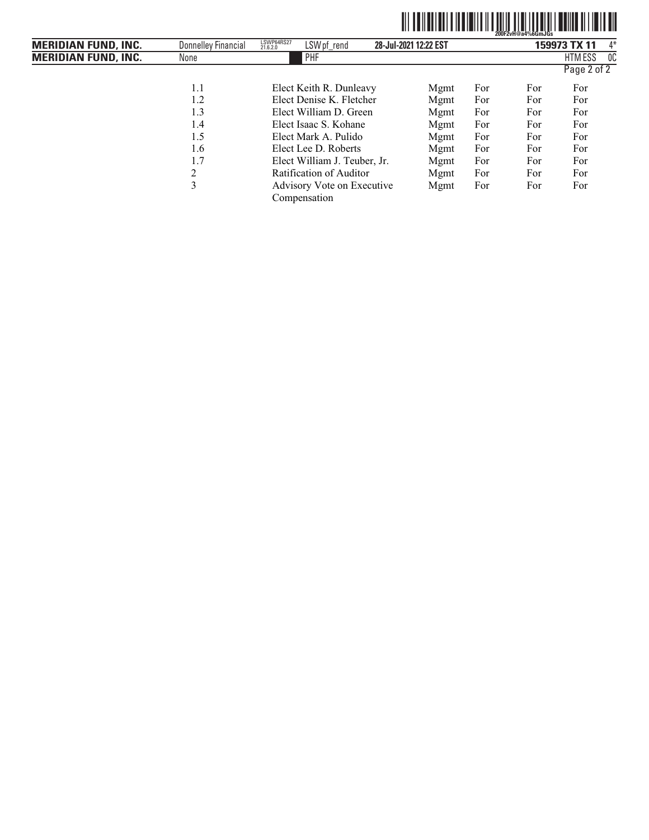

|                            |                            |                                            |                       |      |     | ______________ |               |      |
|----------------------------|----------------------------|--------------------------------------------|-----------------------|------|-----|----------------|---------------|------|
| <b>MERIDIAN FUND, INC.</b> | <b>Donnelley Financial</b> | LSWP64RS27<br>LSW pf_rend<br>21.6.2.0      | 28-Jul-2021 12:22 EST |      |     |                | 159973 TX 11  | $4*$ |
| <b>MERIDIAN FUND, INC.</b> | None                       | <b>PHF</b>                                 |                       |      |     |                | HTM ESS       | 0C   |
|                            |                            |                                            |                       |      |     |                | Page 2 of $2$ |      |
|                            | 1.1                        | Elect Keith R. Dunleavy                    |                       | Mgmt | For | For            | For           |      |
|                            | 1.2                        | Elect Denise K. Fletcher                   |                       | Mgmt | For | For            | For           |      |
|                            | 1.3                        | Elect William D. Green                     |                       | Mgmt | For | For            | For           |      |
|                            | 1.4                        | Elect Isaac S. Kohane                      |                       | Mgmt | For | For            | For           |      |
|                            | 1.5                        | Elect Mark A. Pulido                       |                       | Mgmt | For | For            | For           |      |
|                            | 1.6                        | Elect Lee D. Roberts                       |                       | Mgmt | For | For            | For           |      |
|                            | 1.7                        | Elect William J. Teuber, Jr.               |                       | Mgmt | For | For            | For           |      |
|                            | 2                          | Ratification of Auditor                    |                       | Mgmt | For | For            | For           |      |
|                            | 3                          | Advisory Vote on Executive<br>Compensation |                       | Mgmt | For | For            | For           |      |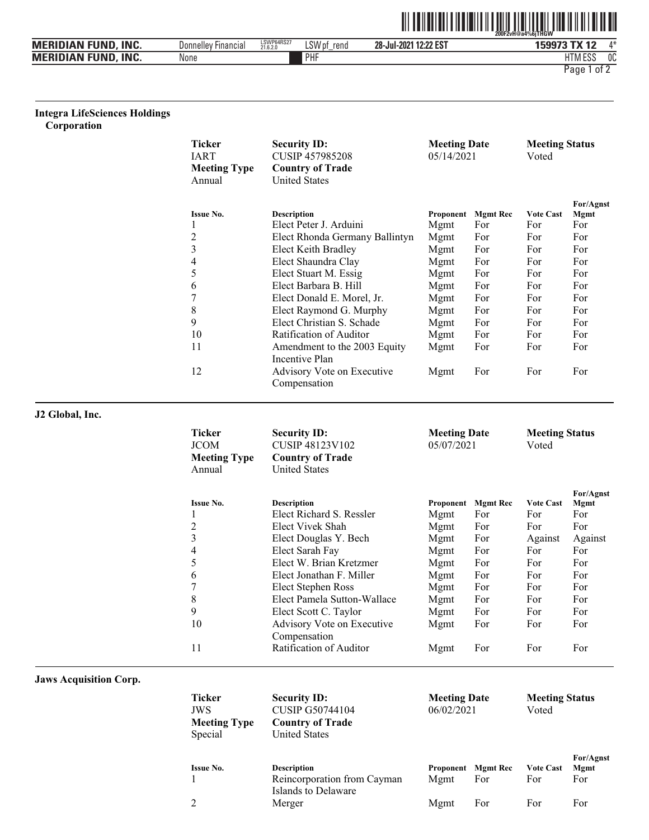|                            |                     |                        |                |                       | 200F2vH@a4%6iTHGW |             |
|----------------------------|---------------------|------------------------|----------------|-----------------------|-------------------|-------------|
| <b>MERIDIAN FUND, INC.</b> | Donnelley Financial | LSWP64RS27<br>21.6.2.0 | LSW pf<br>rend | 28-Jul-2021 12:22 EST | 159973 TX 12      | $\Lambda^*$ |
| <b>MERIDIAN FUND, INC.</b> | None                |                        | PHF            |                       | <b>HTM ESS</b>    | 0C          |

#### Page 1 of 2

#### **Integra LifeSciences Holdings Corporation**

| <b>Ticker</b><br><b>IART</b><br><b>Meeting Type</b><br>Annual                            | <b>Security ID:</b><br><b>CUSIP 457985208</b><br><b>Country of Trade</b><br><b>United States</b>                                                                                                                                                                            | <b>Meeting Date</b><br>05/14/2021                                                 |                                                                                | <b>Meeting Status</b><br>Voted                                                  |                                                                                  |
|------------------------------------------------------------------------------------------|-----------------------------------------------------------------------------------------------------------------------------------------------------------------------------------------------------------------------------------------------------------------------------|-----------------------------------------------------------------------------------|--------------------------------------------------------------------------------|---------------------------------------------------------------------------------|----------------------------------------------------------------------------------|
| <b>Issue No.</b><br>1<br>2<br>$\overline{\mathbf{3}}$<br>4<br>5<br>6<br>$\tau$<br>8<br>9 | <b>Description</b><br>Elect Peter J. Arduini<br>Elect Rhonda Germany Ballintyn<br><b>Elect Keith Bradley</b><br>Elect Shaundra Clay<br>Elect Stuart M. Essig<br>Elect Barbara B. Hill<br>Elect Donald E. Morel, Jr.<br>Elect Raymond G. Murphy<br>Elect Christian S. Schade | Proponent<br>Mgmt<br>Mgmt<br>Mgmt<br>Mgmt<br>Mgmt<br>Mgmt<br>Mgmt<br>Mgmt<br>Mgmt | <b>Mgmt Rec</b><br>For<br>For<br>For<br>For<br>For<br>For<br>For<br>For<br>For | <b>Vote Cast</b><br>For<br>For<br>For<br>For<br>For<br>For<br>For<br>For<br>For | For/Agnst<br>Mgmt<br>For<br>For<br>For<br>For<br>For<br>For<br>For<br>For<br>For |
| 10                                                                                       | Ratification of Auditor                                                                                                                                                                                                                                                     | Mgmt                                                                              | For                                                                            | For                                                                             | For                                                                              |
| 11                                                                                       | Amendment to the 2003 Equity<br><b>Incentive Plan</b>                                                                                                                                                                                                                       | Mgmt                                                                              | For                                                                            | For                                                                             | For                                                                              |
| 12                                                                                       | <b>Advisory Vote on Executive</b><br>Compensation                                                                                                                                                                                                                           | Mgmt                                                                              | For                                                                            | For                                                                             | For                                                                              |
| <b>Ticker</b><br><b>JCOM</b><br><b>Meeting Type</b><br>Annual                            | <b>Security ID:</b><br><b>CUSIP 48123V102</b><br><b>Country of Trade</b><br><b>United States</b>                                                                                                                                                                            | <b>Meeting Date</b><br>05/07/2021                                                 |                                                                                | <b>Meeting Status</b><br>Voted                                                  |                                                                                  |
| <b>Issue No.</b><br>1<br>$\overline{2}$<br>3<br>4<br>5                                   | <b>Description</b><br>Elect Richard S. Ressler<br>Elect Vivek Shah<br>Elect Douglas Y. Bech<br>Elect Sarah Fay<br>Elect W. Brian Kretzmer                                                                                                                                   | Proponent<br>Mgmt<br>Mgmt<br>Mgmt<br>Mgmt<br>Mgmt                                 | <b>Mgmt Rec</b><br>For<br>For<br>For<br>For<br>For                             | <b>Vote Cast</b><br>For<br>For<br>Against<br>For<br>For<br>For                  | For/Agnst<br>Mgmt<br>For<br>For<br>Against<br>For<br>For<br>For                  |

## **Jaws Acquisition Corp.**

**J2 Global, Inc.**

| <b>Ticker</b><br><b>JWS</b><br><b>Meeting Type</b><br>Special | <b>Security ID:</b><br><b>CUSIP G50744104</b><br><b>Country of Trade</b><br><b>United States</b> | <b>Meeting Date</b><br>06/02/2021 |                 | <b>Meeting Status</b><br>Voted |                   |
|---------------------------------------------------------------|--------------------------------------------------------------------------------------------------|-----------------------------------|-----------------|--------------------------------|-------------------|
| <b>Issue No.</b>                                              | <b>Description</b>                                                                               | Proponent                         | <b>Mgmt Rec</b> | <b>Vote Cast</b>               | For/Agnst<br>Mgmt |
| $\mathbf{1}$                                                  | Reincorporation from Cayman<br>Islands to Delaware                                               | Mgmt                              | For             | For                            | For               |
| $\mathfrak{D}$                                                | Merger                                                                                           | Mgmt                              | For             | For                            | For               |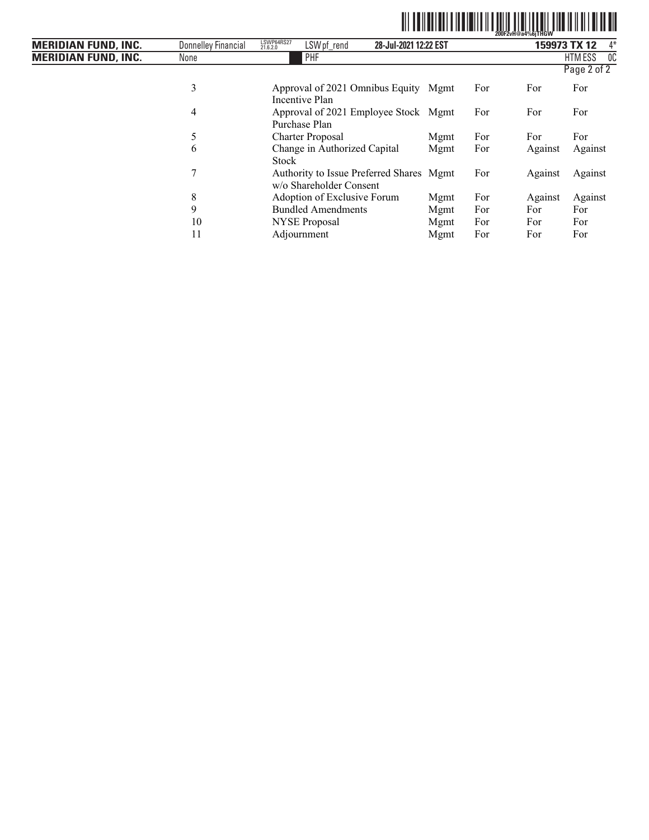

| <b>MERIDIAN FUND, INC.</b> | <b>Donnelley Financial</b> | LSWP64RS27<br>LSW pf rend<br>21.6.2.0                               | 28-Jul-2021 12:22 EST |      |     |         | 159973 TX 12<br>$4*$ |
|----------------------------|----------------------------|---------------------------------------------------------------------|-----------------------|------|-----|---------|----------------------|
| <b>MERIDIAN FUND, INC.</b> | None                       | <b>PHF</b>                                                          |                       |      |     |         | HTM ESS<br>0C        |
|                            |                            |                                                                     |                       |      |     |         | Page 2 of $2$        |
|                            | 3                          | Approval of 2021 Omnibus Equity<br>Incentive Plan                   |                       | Mgmt | For | For     | For                  |
|                            | 4                          | Approval of 2021 Employee Stock Mgmt<br>Purchase Plan               |                       |      | For | For     | For                  |
|                            | 5                          | <b>Charter Proposal</b>                                             |                       | Mgmt | For | For     | For                  |
|                            | 6                          | Change in Authorized Capital<br><b>Stock</b>                        |                       | Mgmt | For | Against | Against              |
|                            | 7                          | Authority to Issue Preferred Shares Mgmt<br>w/o Shareholder Consent |                       |      | For | Against | Against              |
|                            | 8                          | Adoption of Exclusive Forum                                         |                       | Mgmt | For | Against | Against              |
|                            | 9                          | <b>Bundled Amendments</b>                                           |                       | Mgmt | For | For     | For                  |
|                            | 10                         | <b>NYSE Proposal</b>                                                |                       | Mgmt | For | For     | For                  |
|                            | 11                         | Adjournment                                                         |                       | Mgmt | For | For     | For                  |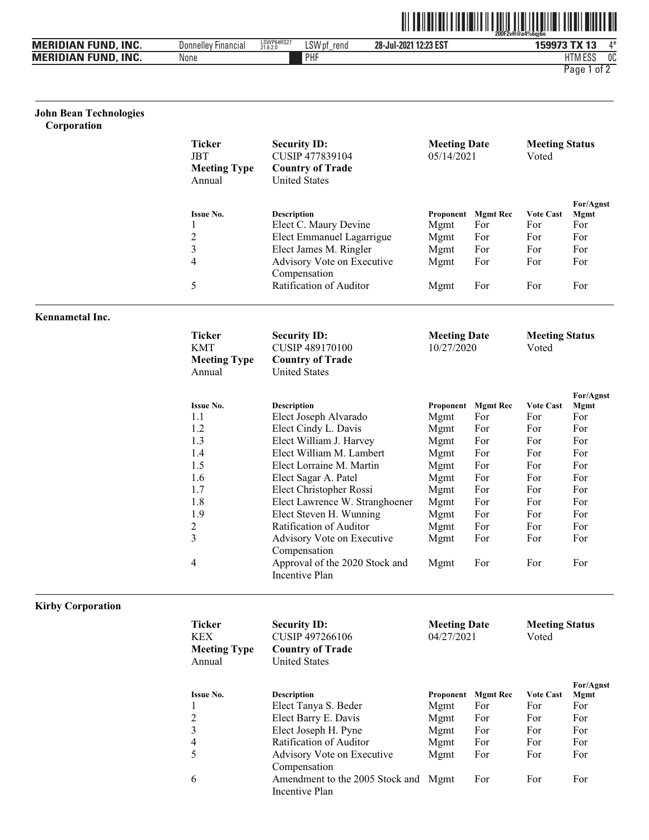| <b>MERIDIAN FUND, INC.</b>                   | <b>Donnelley Financial</b>                                   | LSWP64RS27<br>21.6.2.0<br>LSW pf_rend<br>28-Jul-2021 12:23 EST                                   |                                   |                           | 159973 TX 13                   | 4*                              |
|----------------------------------------------|--------------------------------------------------------------|--------------------------------------------------------------------------------------------------|-----------------------------------|---------------------------|--------------------------------|---------------------------------|
| <b>MERIDIAN FUND, INC.</b>                   | None                                                         | PHF                                                                                              |                                   |                           |                                | HTM ESS<br>0 <sup>C</sup>       |
|                                              |                                                              |                                                                                                  |                                   |                           |                                | Page 1 of 2                     |
| <b>John Bean Technologies</b><br>Corporation |                                                              |                                                                                                  |                                   |                           |                                |                                 |
|                                              | <b>Ticker</b><br><b>JBT</b><br><b>Meeting Type</b><br>Annual | <b>Security ID:</b><br>CUSIP 477839104<br><b>Country of Trade</b><br><b>United States</b>        | <b>Meeting Date</b><br>05/14/2021 |                           | <b>Meeting Status</b><br>Voted |                                 |
|                                              | <b>Issue No.</b><br>1                                        | Description<br>Elect C. Maury Devine                                                             | Proponent<br>Mgmt                 | <b>Mgmt Rec</b><br>For    | <b>Vote Cast</b><br>For        | For/Agnst<br><b>Mgmt</b><br>For |
|                                              | $\overline{c}$                                               | Elect Emmanuel Lagarrigue                                                                        | Mgmt                              | For                       | For                            | For                             |
|                                              | 3                                                            | Elect James M. Ringler                                                                           | Mgmt                              | For                       | For                            | For                             |
|                                              | 4                                                            | Advisory Vote on Executive<br>Compensation                                                       | Mgmt                              | For                       | For                            | For                             |
|                                              | 5                                                            | Ratification of Auditor                                                                          | Mgmt                              | For                       | For                            | For                             |
| Kennametal Inc.                              |                                                              |                                                                                                  |                                   |                           |                                |                                 |
|                                              | <b>Ticker</b><br><b>KMT</b><br><b>Meeting Type</b><br>Annual | <b>Security ID:</b><br><b>CUSIP 489170100</b><br><b>Country of Trade</b><br><b>United States</b> | <b>Meeting Date</b><br>10/27/2020 |                           | <b>Meeting Status</b><br>Voted |                                 |
|                                              | <b>Issue No.</b><br>1.1                                      | Description<br>Elect Joseph Alvarado                                                             | Mgmt                              | Proponent Mgmt Rec<br>For | <b>Vote Cast</b><br>For        | For/Agnst<br><b>Mgmt</b><br>For |
|                                              | 1.2                                                          | Elect Cindy L. Davis                                                                             | Mgmt                              | For                       | For                            | For                             |
|                                              | 1.3                                                          | Elect William J. Harvey                                                                          | Mgmt                              | For                       | For                            | For                             |
|                                              | 1.4                                                          | Elect William M. Lambert                                                                         | Mgmt                              | For                       | For                            | For                             |
|                                              | 1.5                                                          | Elect Lorraine M. Martin                                                                         | Mgmt                              | For                       | For                            | For                             |
|                                              | 1.6                                                          | Elect Sagar A. Patel                                                                             | Mgmt                              | For                       | For                            | For                             |
|                                              | 1.7                                                          | Elect Christopher Rossi                                                                          | Mgmt                              | For                       | For                            | For                             |
|                                              | 1.8                                                          | Elect Lawrence W. Stranghoener                                                                   | Mgmt                              | For                       | For                            | For                             |
|                                              | 1.9                                                          | Elect Steven H. Wunning                                                                          | Mgmt                              | For                       | For                            | For                             |
|                                              | 2                                                            | Ratification of Auditor                                                                          | Mgmt                              | For                       | For                            | For                             |
|                                              | 3                                                            | Advisory Vote on Executive<br>Compensation                                                       | Mgmt                              | For                       | For                            | For                             |
|                                              | 4                                                            | Approval of the 2020 Stock and                                                                   | Mgmt                              | For                       | For                            | For                             |

4 Approval of the 2020 Stock and Incentive Plan

## **Kirby Corporation**

| <b>Ticker</b><br><b>KEX</b><br><b>Meeting Type</b><br>Annual | <b>Security ID:</b><br>CUSIP 497266106<br><b>Country of Trade</b><br><b>United States</b> | <b>Meeting Date</b><br>04/27/2021 |                 | <b>Meeting Status</b><br>Voted |                   |
|--------------------------------------------------------------|-------------------------------------------------------------------------------------------|-----------------------------------|-----------------|--------------------------------|-------------------|
| <b>Issue No.</b>                                             | <b>Description</b>                                                                        | Proponent                         | <b>Mgmt Rec</b> | <b>Vote Cast</b>               | For/Agnst<br>Mgmt |
| 1                                                            | Elect Tanya S. Beder                                                                      | Mgmt                              | For             | For                            | For               |
| 2                                                            | Elect Barry E. Davis                                                                      | Mgmt                              | For             | For                            | For               |
| 3                                                            | Elect Joseph H. Pyne                                                                      | Mgmt                              | For             | For                            | For               |
| $\overline{4}$                                               | Ratification of Auditor                                                                   | Mgmt                              | For             | For                            | For               |
| 5                                                            | Advisory Vote on Executive                                                                | Mgmt                              | For             | For                            | For               |
| 6                                                            | Compensation<br>Amendment to the 2005 Stock and Mgmt<br>Incentive Plan                    |                                   | For             | For                            | For               |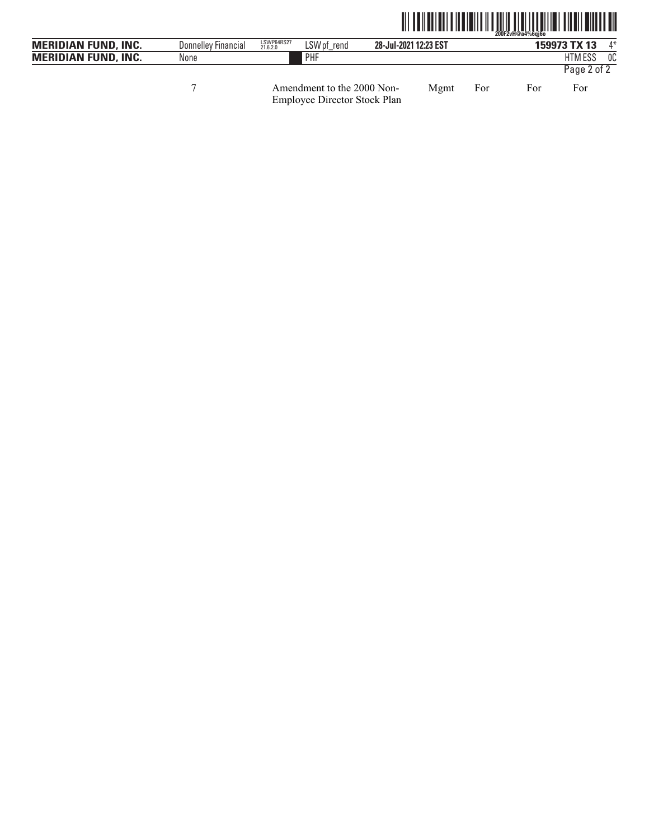

| <b>MERIDIAN FUND, INC.</b> | Donnelley Financial | LSWP64RS27<br>21.6.2.0 | LSW pf rend                                                | 28-Jul-2021 12:23 EST |      |     |     | 159973 TX 13   | $4*$ |
|----------------------------|---------------------|------------------------|------------------------------------------------------------|-----------------------|------|-----|-----|----------------|------|
| <b>MERIDIAN FUND, INC.</b> | None                |                        | PHF                                                        |                       |      |     |     | <b>HTM ESS</b> | 0C   |
|                            |                     |                        |                                                            |                       |      |     |     | Page 2 of 2    |      |
|                            |                     |                        | Amendment to the 2000 Non-<br>Employee Director Stock Plan |                       | Mgmt | For | For | For            |      |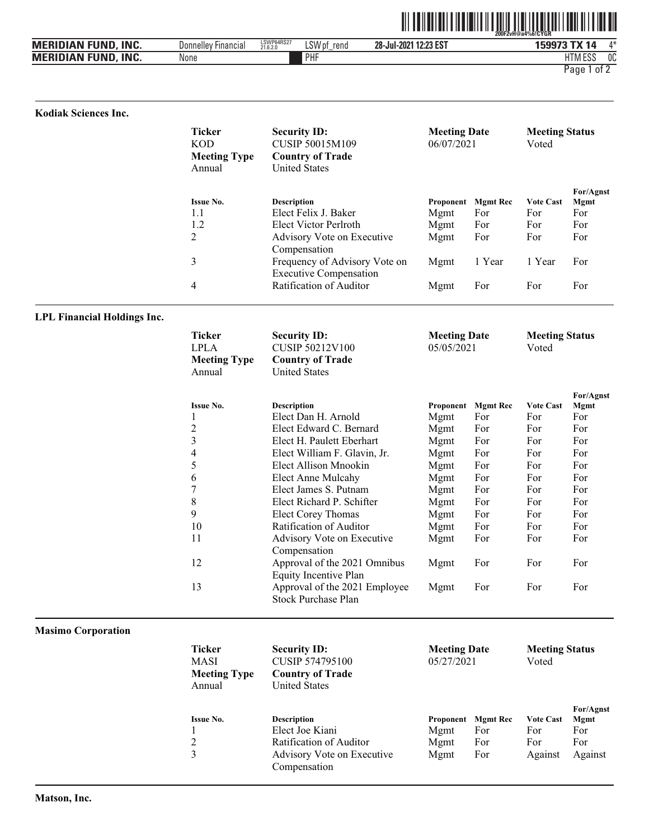| <b>MERIDIAN FUND, INC.</b>         | <b>Donnelley Financial</b>    | LSWP64RS27<br>21.6.2.0<br>LSW pf_rend<br>28-Jul-2021 12:23 EST |                     |                    | 159973 TX 14          | 4*                       |
|------------------------------------|-------------------------------|----------------------------------------------------------------|---------------------|--------------------|-----------------------|--------------------------|
| <b>MERIDIAN FUND, INC.</b>         | None                          | PHF                                                            |                     |                    |                       | OC<br><b>HTM ESS</b>     |
|                                    |                               |                                                                |                     |                    |                       | Page 1 of 2              |
| <b>Kodiak Sciences Inc.</b>        |                               |                                                                |                     |                    |                       |                          |
|                                    | <b>Ticker</b>                 | <b>Security ID:</b>                                            | <b>Meeting Date</b> |                    | <b>Meeting Status</b> |                          |
|                                    | <b>KOD</b>                    | CUSIP 50015M109                                                | 06/07/2021          |                    | Voted                 |                          |
|                                    | <b>Meeting Type</b>           | <b>Country of Trade</b>                                        |                     |                    |                       |                          |
|                                    | Annual                        | <b>United States</b>                                           |                     |                    |                       |                          |
|                                    |                               |                                                                |                     |                    |                       |                          |
|                                    | <b>Issue No.</b>              | <b>Description</b>                                             |                     | Proponent Mgmt Rec | <b>Vote Cast</b>      | For/Agnst<br><b>Mgmt</b> |
|                                    | 1.1                           | Elect Felix J. Baker                                           | Mgmt                | For                | For                   | For                      |
|                                    | 1.2                           | Elect Victor Perlroth                                          | Mgmt                | For                | For                   | For                      |
|                                    | $\overline{2}$                | Advisory Vote on Executive                                     | Mgmt                | For                | For                   | For                      |
|                                    |                               | Compensation                                                   |                     |                    |                       |                          |
|                                    | 3                             | Frequency of Advisory Vote on                                  | Mgmt                | 1 Year             | 1 Year                | For                      |
|                                    |                               | <b>Executive Compensation</b>                                  |                     |                    |                       |                          |
|                                    | 4                             | Ratification of Auditor                                        | Mgmt                | For                | For                   | For                      |
|                                    |                               |                                                                |                     |                    |                       |                          |
| <b>LPL Financial Holdings Inc.</b> |                               |                                                                |                     |                    |                       |                          |
|                                    | <b>Ticker</b>                 | <b>Security ID:</b>                                            | <b>Meeting Date</b> |                    | <b>Meeting Status</b> |                          |
|                                    | <b>LPLA</b>                   | <b>CUSIP 50212V100</b>                                         | 05/05/2021          |                    | Voted                 |                          |
|                                    | <b>Meeting Type</b>           | <b>Country of Trade</b>                                        |                     |                    |                       |                          |
|                                    | Annual                        | <b>United States</b>                                           |                     |                    |                       |                          |
|                                    |                               |                                                                |                     |                    |                       | For/Agnst                |
|                                    | <b>Issue No.</b>              | <b>Description</b>                                             |                     | Proponent Mgmt Rec | <b>Vote Cast</b>      | <b>Mgmt</b>              |
|                                    | 1                             | Elect Dan H. Arnold                                            | Mgmt                | For                | For                   | For                      |
|                                    | $\overline{c}$                | Elect Edward C. Bernard                                        | Mgmt                | For                | For                   | For                      |
|                                    | 3                             | Elect H. Paulett Eberhart                                      | Mgmt                | For                | For                   | For                      |
|                                    | 4                             | Elect William F. Glavin, Jr.                                   | Mgmt                | For                | For                   | For                      |
|                                    | 5                             | Elect Allison Mnookin                                          | Mgmt                | For                | For                   | For                      |
|                                    | 6                             | Elect Anne Mulcahy                                             | Mgmt                | For                | For                   | For                      |
|                                    | 7                             | Elect James S. Putnam                                          | Mgmt                | For                | For                   | For                      |
|                                    | $\,8\,$                       | Elect Richard P. Schifter                                      | Mgmt                | For                | For                   | For                      |
|                                    | 9                             | <b>Elect Corey Thomas</b>                                      | Mgmt                | For                | For                   | For                      |
|                                    | 10                            | Ratification of Auditor                                        | Mgmt                | For                | For                   | For                      |
|                                    | 11                            | Advisory Vote on Executive                                     | Mgmt                | For                | For                   | For                      |
|                                    |                               | Compensation                                                   |                     |                    |                       |                          |
|                                    | 12                            | Approval of the 2021 Omnibus                                   | Mgmt                | For                | For                   | For                      |
|                                    |                               | <b>Equity Incentive Plan</b>                                   |                     |                    |                       |                          |
|                                    | 13                            | Approval of the 2021 Employee                                  | Mgmt                | For                | For                   | For                      |
|                                    |                               | <b>Stock Purchase Plan</b>                                     |                     |                    |                       |                          |
| <b>Masimo Corporation</b>          |                               |                                                                |                     |                    |                       |                          |
|                                    |                               |                                                                |                     |                    |                       |                          |
|                                    | <b>Ticker</b>                 | <b>Security ID:</b>                                            | <b>Meeting Date</b> |                    | <b>Meeting Status</b> |                          |
|                                    | <b>MASI</b>                   | CUSIP 574795100                                                | 05/27/2021          |                    | Voted                 |                          |
|                                    | <b>Meeting Type</b><br>Annual | <b>Country of Trade</b><br><b>United States</b>                |                     |                    |                       |                          |
|                                    |                               |                                                                |                     |                    |                       |                          |
|                                    | <b>Issue No.</b>              | <b>Description</b>                                             |                     | Proponent Mgmt Rec | <b>Vote Cast</b>      | For/Agnst<br><b>Mgmt</b> |
|                                    |                               | Elect Joe Kiani                                                | Mgmt                | For                | For                   | For                      |
|                                    | $\overline{c}$                | Ratification of Auditor                                        | Mgmt                | For                | For                   | For                      |
|                                    | 3                             | Advisory Vote on Executive                                     | Mgmt                | For                | Against               | Against                  |
|                                    |                               | Compensation                                                   |                     |                    |                       |                          |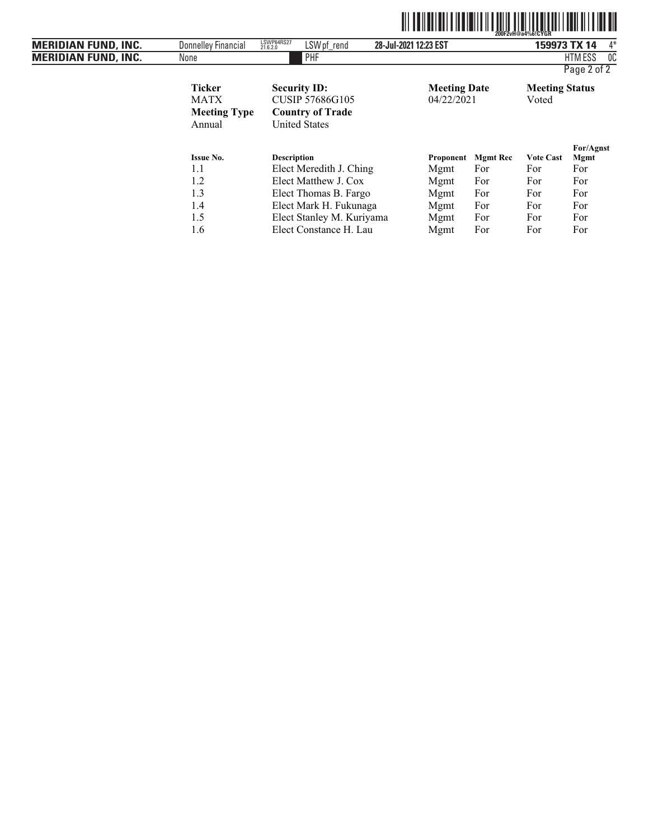

| <b>MERIDIAN FUND, INC.</b> | <b>Donnelley Financial</b>                                    | LSWP64RS27<br>21.6.2.0 | LSW pf_rend                                                                                                                                               | 28-Jul-2021 12:23 EST                                     |                                                           |                                                            | 159973 TX 14                                                | 4* |
|----------------------------|---------------------------------------------------------------|------------------------|-----------------------------------------------------------------------------------------------------------------------------------------------------------|-----------------------------------------------------------|-----------------------------------------------------------|------------------------------------------------------------|-------------------------------------------------------------|----|
| <b>MERIDIAN FUND, INC.</b> | None                                                          |                        | <b>PHF</b>                                                                                                                                                |                                                           |                                                           |                                                            | <b>HTM ESS</b>                                              | 0C |
|                            |                                                               |                        |                                                                                                                                                           |                                                           |                                                           |                                                            | Page 2 of 2                                                 |    |
|                            | <b>Ticker</b><br><b>MATX</b><br><b>Meeting Type</b><br>Annual |                        | <b>Security ID:</b><br><b>CUSIP 57686G105</b><br><b>Country of Trade</b><br><b>United States</b>                                                          | <b>Meeting Date</b><br>04/22/2021                         |                                                           | <b>Meeting Status</b><br>Voted                             |                                                             |    |
|                            | <b>Issue No.</b><br>1.1<br>1.2<br>1.3<br>1.4<br>1.5<br>1.6    | <b>Description</b>     | Elect Meredith J. Ching<br>Elect Matthew J. Cox<br>Elect Thomas B. Fargo<br>Elect Mark H. Fukunaga<br>Elect Stanley M. Kuriyama<br>Elect Constance H. Lau | Proponent<br>Mgmt<br>Mgmt<br>Mgmt<br>Mgmt<br>Mgmt<br>Mgmt | <b>Mgmt Rec</b><br>For<br>For<br>For<br>For<br>For<br>For | <b>Vote Cast</b><br>For<br>For<br>For<br>For<br>For<br>For | For/Agnst<br>Mgmt<br>For<br>For<br>For<br>For<br>For<br>For |    |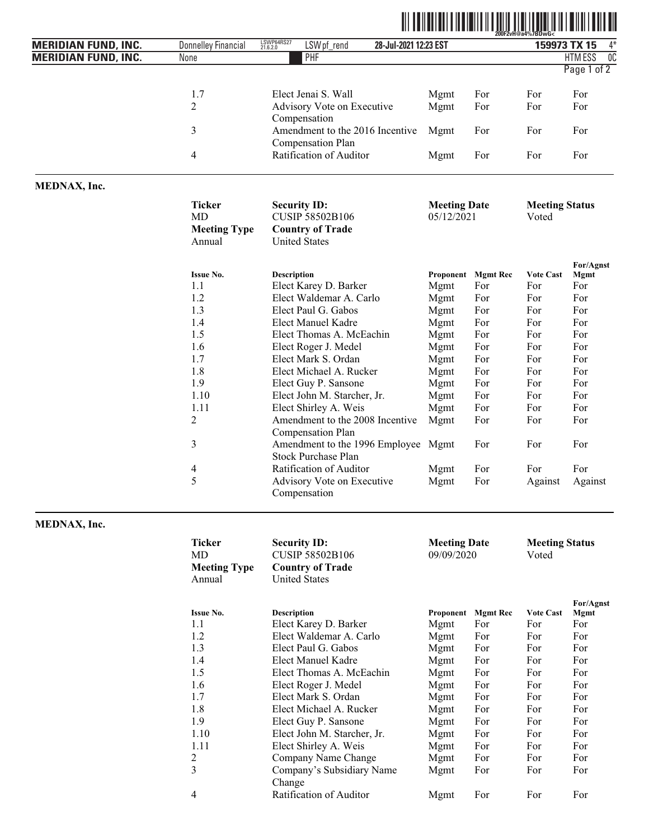| <b>MERIDIAN FUND, INC.</b> | <b>Donnelley Financial</b> | LSWP64RS27<br>21.6.2.0 | LSW pf rend<br>28-Jul-2021 12:23 EST                        |                     |                 | 159973 TX 15          | $4^*$                           |
|----------------------------|----------------------------|------------------------|-------------------------------------------------------------|---------------------|-----------------|-----------------------|---------------------------------|
| <b>MERIDIAN FUND, INC.</b> | None                       |                        | PHF                                                         |                     |                 |                       | <b>HTMESS</b><br>0 <sup>C</sup> |
|                            |                            |                        |                                                             |                     |                 |                       | Page 1 of 2                     |
|                            |                            |                        |                                                             |                     |                 |                       |                                 |
|                            | 1.7                        |                        | Elect Jenai S. Wall                                         | Mgmt                | For             | For                   | For                             |
|                            | $\overline{2}$             |                        | Advisory Vote on Executive                                  | Mgmt                | For             | For                   | For                             |
|                            |                            | Compensation           |                                                             |                     |                 |                       |                                 |
|                            | 3                          |                        | Amendment to the 2016 Incentive                             | Mgmt                | For             | For                   | For                             |
|                            |                            |                        | Compensation Plan                                           |                     |                 |                       |                                 |
|                            | 4                          |                        | Ratification of Auditor                                     | Mgmt                | For             | For                   | For                             |
| MEDNAX, Inc.               |                            |                        |                                                             |                     |                 |                       |                                 |
|                            | <b>Ticker</b>              | <b>Security ID:</b>    |                                                             | <b>Meeting Date</b> |                 | <b>Meeting Status</b> |                                 |
|                            | MD                         |                        | <b>CUSIP 58502B106</b>                                      | 05/12/2021          |                 | Voted                 |                                 |
|                            | <b>Meeting Type</b>        |                        | <b>Country of Trade</b>                                     |                     |                 |                       |                                 |
|                            | Annual                     | <b>United States</b>   |                                                             |                     |                 |                       |                                 |
|                            |                            |                        |                                                             |                     |                 |                       |                                 |
|                            | <b>Issue No.</b>           | <b>Description</b>     |                                                             | Proponent           | <b>Mgmt Rec</b> | <b>Vote Cast</b>      | For/Agnst<br><b>Mgmt</b>        |
|                            | 1.1                        |                        | Elect Karey D. Barker                                       | Mgmt                | For             | For                   | For                             |
|                            | 1.2                        |                        | Elect Waldemar A. Carlo                                     | Mgmt                | For             | For                   | For                             |
|                            | 1.3                        |                        | Elect Paul G. Gabos                                         | Mgmt                | For             | For                   | For                             |
|                            |                            |                        |                                                             |                     |                 |                       |                                 |
|                            | 1.4                        |                        | Elect Manuel Kadre                                          | Mgmt                | For             | For                   | For                             |
|                            | 1.5                        |                        | Elect Thomas A. McEachin                                    | Mgmt                | For             | For                   | For                             |
|                            | 1.6                        |                        | Elect Roger J. Medel                                        | Mgmt                | For             | For                   | For                             |
|                            | 1.7                        |                        | Elect Mark S. Ordan                                         | Mgmt                | For             | For                   | For                             |
|                            | 1.8                        |                        | Elect Michael A. Rucker                                     | Mgmt                | For             | For                   | For                             |
|                            | 1.9                        |                        | Elect Guy P. Sansone                                        | Mgmt                | For             | For                   | For                             |
|                            | 1.10                       |                        | Elect John M. Starcher, Jr.                                 | Mgmt                | For             | For                   | For                             |
|                            | 1.11                       |                        | Elect Shirley A. Weis                                       | Mgmt                | For             | For                   | For                             |
|                            | $\overline{2}$             |                        | Amendment to the 2008 Incentive<br><b>Compensation Plan</b> | Mgmt                | For             | For                   | For                             |
|                            | 3                          |                        | Amendment to the 1996 Employee                              | Mgmt                | For             | For                   | For                             |
|                            |                            |                        | <b>Stock Purchase Plan</b>                                  |                     |                 |                       |                                 |
|                            |                            |                        | Ratification of Auditor                                     |                     | For             | For                   | For                             |
|                            | 4                          |                        |                                                             | Mgmt                |                 |                       |                                 |
|                            | 5                          | Compensation           | Advisory Vote on Executive                                  | Mgmt                | For             | Against               | Against                         |
|                            |                            |                        |                                                             |                     |                 |                       |                                 |
| MEDNAX, Inc.               |                            |                        |                                                             |                     |                 |                       |                                 |
|                            | <b>Ticker</b>              | <b>Security ID:</b>    |                                                             | <b>Meeting Date</b> |                 | <b>Meeting Status</b> |                                 |
|                            | MD                         |                        | <b>CUSIP 58502B106</b>                                      | 09/09/2020          |                 | Voted                 |                                 |
|                            | <b>Meeting Type</b>        |                        | <b>Country of Trade</b>                                     |                     |                 |                       |                                 |
|                            | Annual                     | <b>United States</b>   |                                                             |                     |                 |                       |                                 |
|                            |                            |                        |                                                             |                     |                 |                       | For/Agnst                       |
|                            | <b>Issue No.</b>           | <b>Description</b>     |                                                             | Proponent           | <b>Mgmt</b> Rec | <b>Vote Cast</b>      | <b>Mgmt</b>                     |
|                            | 1.1                        |                        | Elect Karey D. Barker                                       | Mgmt                | For             | For                   | For                             |
|                            | 1.2                        |                        | Elect Waldemar A. Carlo                                     | Mgmt                | For             | For                   | For                             |
|                            | 1.3                        |                        | Elect Paul G. Gabos                                         | Mgmt                | For             | For                   | For                             |
|                            | $1\Lambda$                 |                        | Flaot Monuol                                                | $M_{\rm cm}$        | $E_0r$          | $E_{\alpha r}$        | $E_{\alpha r}$                  |

| , ,,,,,,,,, |                                     |           |                 |                  |                  |
|-------------|-------------------------------------|-----------|-----------------|------------------|------------------|
| Issue No.   | <b>Description</b>                  | Proponent | <b>Mgmt Rec</b> | <b>Vote Cast</b> | For/Agns<br>Mgmt |
| 1.1         | Elect Karey D. Barker               | Mgmt      | For             | For              | For              |
| 1.2         | Elect Waldemar A. Carlo             | Mgmt      | For             | For              | For              |
| 1.3         | Elect Paul G. Gabos                 | Mgmt      | For             | For              | For              |
| 1.4         | Elect Manuel Kadre                  | Mgmt      | For             | For              | For              |
| 1.5         | Elect Thomas A. McEachin            | Mgmt      | For             | For              | For              |
| 1.6         | Elect Roger J. Medel                | Mgmt      | For             | For              | For              |
| 1.7         | Elect Mark S. Ordan                 | Mgmt      | For             | For              | For              |
| 1.8         | Elect Michael A. Rucker             | Mgmt      | For             | For              | For              |
| 1.9         | Elect Guy P. Sansone                | Mgmt      | For             | For              | For              |
| 1.10        | Elect John M. Starcher, Jr.         | Mgmt      | For             | For              | For              |
| 1.11        | Elect Shirley A. Weis               | Mgmt      | For             | For              | For              |
| 2           | Company Name Change                 | Mgmt      | For             | For              | For              |
| 3           | Company's Subsidiary Name<br>Change | Mgmt      | For             | For              | For              |
| 4           | Ratification of Auditor             | Mgmt      | For             | For              | For              |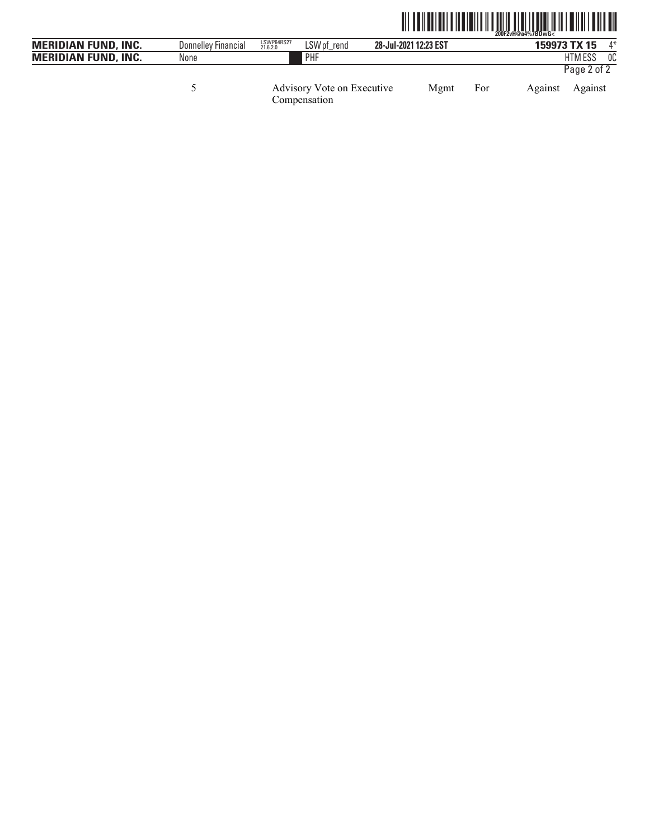

| <b>MERIDIAN FUND, INC.</b> | Donnelley Financial | LSWP64RS27<br>21.6.2.0 | LSW pf rend                                | 28-Jul-2021 12:23 EST |      |     |         | 159973 TX 15    | $4*$ |
|----------------------------|---------------------|------------------------|--------------------------------------------|-----------------------|------|-----|---------|-----------------|------|
| <b>MERIDIAN FUND, INC.</b> | None                |                        | PHF                                        |                       |      |     |         | HTM ESS         | 0C   |
|                            |                     |                        |                                            |                       |      |     |         | Page $2$ of $2$ |      |
|                            |                     |                        | Advisory Vote on Executive<br>Compensation |                       | Mgmt | For | Against | Against         |      |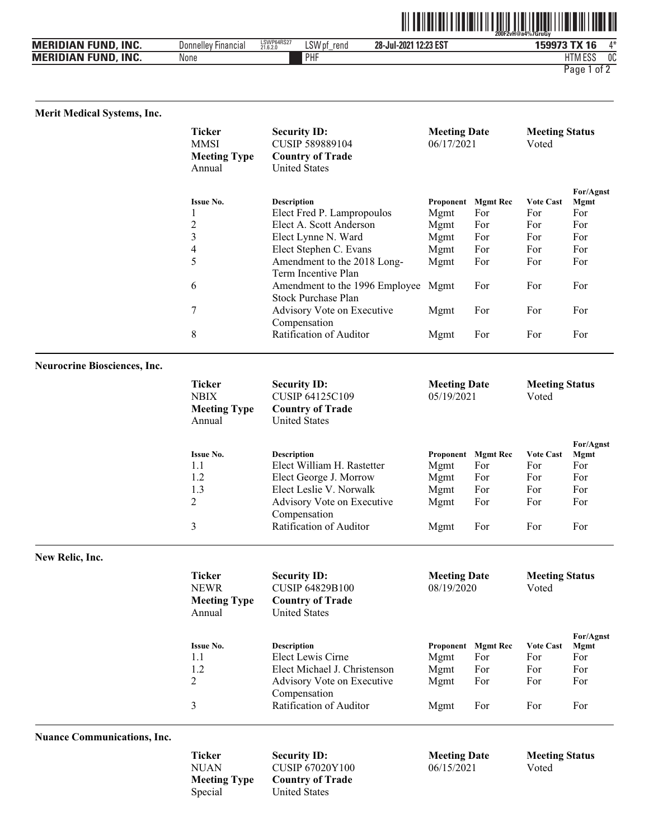| <b>MERIDIAN FUND, INC.</b>   | <b>Donnelley Financial</b>                   | LSWP64RS27<br>21.6.2.0<br>LSW pf_rend<br>28-Jul-2021 12:23 EST     |                     |                    | 159973 TX 16          | $4*$                             |
|------------------------------|----------------------------------------------|--------------------------------------------------------------------|---------------------|--------------------|-----------------------|----------------------------------|
| <b>MERIDIAN FUND, INC.</b>   | None                                         | PHF                                                                |                     |                    |                       | $\overline{0}$<br><b>HTM ESS</b> |
|                              |                                              |                                                                    |                     |                    |                       | Page 1 of 2                      |
| Merit Medical Systems, Inc.  |                                              |                                                                    |                     |                    |                       |                                  |
|                              | <b>Ticker</b>                                | <b>Security ID:</b>                                                | <b>Meeting Date</b> |                    | <b>Meeting Status</b> |                                  |
|                              | <b>MMSI</b><br><b>Meeting Type</b><br>Annual | CUSIP 589889104<br><b>Country of Trade</b><br><b>United States</b> | 06/17/2021          |                    | Voted                 |                                  |
|                              | <b>Issue No.</b>                             | Description                                                        |                     | Proponent Mgmt Rec | <b>Vote Cast</b>      | For/Agnst<br><b>Mgmt</b>         |
|                              | 1                                            | Elect Fred P. Lampropoulos                                         | Mgmt                | For                | For                   | For                              |
|                              | $\overline{c}$                               | Elect A. Scott Anderson                                            | Mgmt                | For                | For                   | For                              |
|                              | 3                                            | Elect Lynne N. Ward                                                | Mgmt                | For                | For                   | For                              |
|                              | 4                                            | Elect Stephen C. Evans                                             | Mgmt                | For                | For                   | For                              |
|                              | 5                                            | Amendment to the 2018 Long-<br>Term Incentive Plan                 | Mgmt                | For                | For                   | For                              |
|                              | 6                                            | Amendment to the 1996 Employee<br><b>Stock Purchase Plan</b>       | Mgmt                | For                | For                   | For                              |
|                              | 7                                            | Advisory Vote on Executive<br>Compensation                         | Mgmt                | For                | For                   | For                              |
|                              | 8                                            | Ratification of Auditor                                            | Mgmt                | For                | For                   | For                              |
| Neurocrine Biosciences, Inc. |                                              |                                                                    |                     |                    |                       |                                  |
|                              | <b>Ticker</b>                                | <b>Security ID:</b>                                                | <b>Meeting Date</b> |                    | <b>Meeting Status</b> |                                  |
|                              | <b>NBIX</b><br><b>Meeting Type</b><br>Annual | CUSIP 64125C109<br><b>Country of Trade</b><br><b>United States</b> | 05/19/2021          |                    | Voted                 |                                  |
|                              | <b>Issue No.</b>                             | <b>Description</b>                                                 |                     | Proponent Mgmt Rec | <b>Vote Cast</b>      | For/Agnst<br><b>Mgmt</b>         |
|                              | 1.1                                          | Elect William H. Rastetter                                         | Mgmt                | For                | For                   | For                              |
|                              | 1.2                                          | Elect George J. Morrow                                             | Mgmt                | For                | For                   | For                              |
|                              | 1.3                                          | Elect Leslie V. Norwalk                                            | Mgmt                | For                | For                   | For                              |
|                              | $\overline{2}$                               | Advisory Vote on Executive<br>Compensation                         | Mgmt                | For                | For                   | For                              |
|                              | 3                                            | Ratification of Auditor                                            | Mgmt                | For                | For                   | For                              |
| New Relic, Inc.              |                                              |                                                                    |                     |                    |                       |                                  |
|                              | <b>Ticker</b>                                | <b>Security ID:</b>                                                | <b>Meeting Date</b> |                    | <b>Meeting Status</b> |                                  |

| <b>Ticker</b><br><b>NEWR</b><br><b>Meeting Type</b> | <b>Security ID:</b><br><b>CUSIP 64829B100</b><br><b>Country of Trade</b> |           | <b>Meeting Date</b><br>08/19/2020 |                  | <b>Meeting Status</b><br>Voted |  |
|-----------------------------------------------------|--------------------------------------------------------------------------|-----------|-----------------------------------|------------------|--------------------------------|--|
| Annual                                              | <b>United States</b>                                                     |           |                                   |                  |                                |  |
|                                                     |                                                                          |           |                                   |                  | For/Agnst                      |  |
| <b>Issue No.</b>                                    | <b>Description</b>                                                       | Proponent | <b>Mgmt Rec</b>                   | <b>Vote Cast</b> | Mgmt                           |  |
| 1.1                                                 | Elect Lewis Cirne                                                        | Mgmt      | For                               | For              | For                            |  |
| 1.2                                                 | Elect Michael J. Christenson                                             | Mgmt      | For                               | For              | For                            |  |
| 2                                                   | Advisory Vote on Executive<br>Compensation                               | Mgmt      | For                               | For              | For                            |  |
| 3                                                   | Ratification of Auditor                                                  | Mgmt      | For                               | For              | For                            |  |

**Nuance Communications, Inc.**

**Ticker Security ID: Meeting Date Meeting Status**<br>NUAN CUSIP 67020Y100 06/15/2021 Voted NUAN CUSIP 67020Y100<br>Meeting Type Country of Trade **Meeting Type Country of Trade**<br>Special United States United States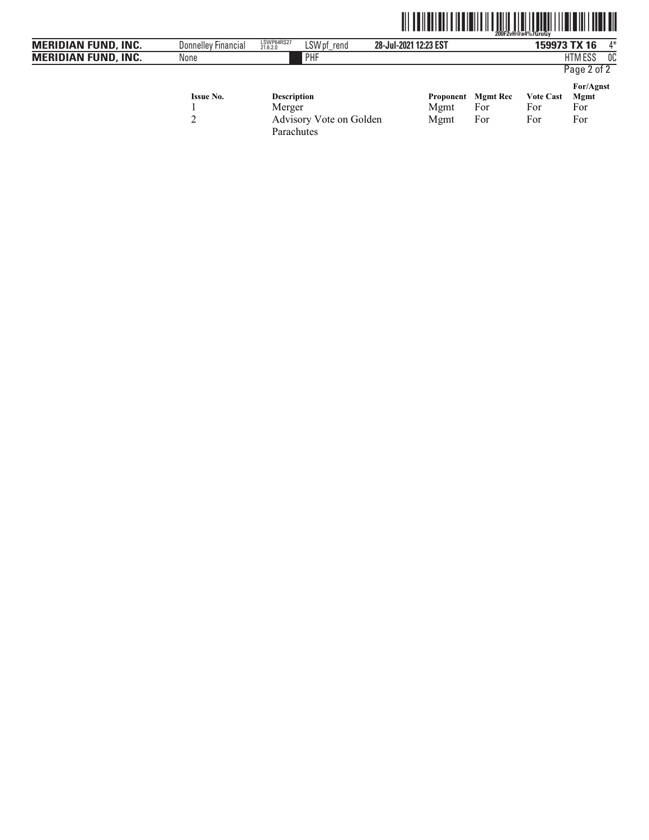

| <b>Donnelley Financial</b> | LSWP64RS27<br>21.6.2.0 | LSW pf rend |                                            |                         |                       |                  |                   | $4^*$                                                              |
|----------------------------|------------------------|-------------|--------------------------------------------|-------------------------|-----------------------|------------------|-------------------|--------------------------------------------------------------------|
| None                       |                        | <b>PHF</b>  |                                            |                         |                       |                  |                   | 0C                                                                 |
|                            |                        |             |                                            |                         |                       |                  |                   |                                                                    |
| <b>Issue No.</b>           |                        |             |                                            |                         | <b>Mgmt Rec</b>       | <b>Vote Cast</b> | For/Agnst<br>Mgmt |                                                                    |
|                            |                        |             |                                            | Mgmt                    | For                   | For              | For               |                                                                    |
| ∠                          |                        |             |                                            | Mgmt                    | For                   | For              | For               |                                                                    |
|                            |                        |             | <b>Description</b><br>Merger<br>Parachutes | Advisory Vote on Golden | 28-Jul-2021 12:23 EST | Proponent        |                   | zuurzvnwa4%/grugv<br>159973 TX 16<br><b>HTM ESS</b><br>Page 2 of 2 |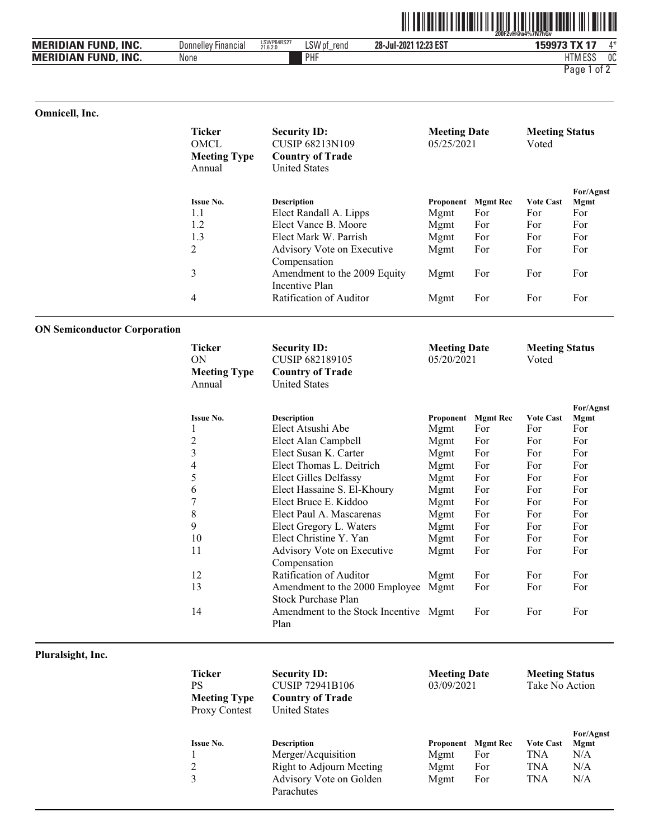|                                     |                                                               |                                                                                           | <u> 111 TENEDI EN ENERGI II DENGAN ALAM AND BERKEN III D</u> |                 |                                |                                 |
|-------------------------------------|---------------------------------------------------------------|-------------------------------------------------------------------------------------------|--------------------------------------------------------------|-----------------|--------------------------------|---------------------------------|
| <b>MERIDIAN FUND, INC.</b>          | <b>Donnelley Financial</b>                                    | LSWP64RS27<br>21.6.2.0<br>28-Jul-2021 12:23 EST<br>LSW pf_rend                            |                                                              |                 | 159973 TX 17                   | $4*$                            |
| <b>MERIDIAN FUND, INC.</b>          | None                                                          | PHF                                                                                       |                                                              |                 |                                | <b>HTMESS</b><br>$\overline{0}$ |
|                                     |                                                               |                                                                                           |                                                              |                 |                                | Page 1 of 2                     |
| Omnicell, Inc.                      |                                                               |                                                                                           |                                                              |                 |                                |                                 |
|                                     | <b>Ticker</b><br><b>OMCL</b><br><b>Meeting Type</b><br>Annual | <b>Security ID:</b><br>CUSIP 68213N109<br><b>Country of Trade</b><br><b>United States</b> | <b>Meeting Date</b><br>05/25/2021                            |                 | <b>Meeting Status</b><br>Voted |                                 |
|                                     | <b>Issue No.</b>                                              | <b>Description</b>                                                                        | Proponent                                                    | <b>Mgmt</b> Rec | <b>Vote Cast</b>               | For/Agnst<br><b>Mgmt</b>        |
|                                     | 1.1                                                           | Elect Randall A. Lipps                                                                    | Mgmt                                                         | For             | For                            | For                             |
|                                     | 1.2                                                           | Elect Vance B. Moore                                                                      | Mgmt                                                         | For             | For                            | For                             |
|                                     | 1.3                                                           | Elect Mark W. Parrish                                                                     | Mgmt                                                         | For             | For                            | For                             |
|                                     | 2                                                             | Advisory Vote on Executive<br>Compensation                                                | Mgmt                                                         | For             | For                            | For                             |
|                                     | 3                                                             | Amendment to the 2009 Equity<br><b>Incentive Plan</b>                                     | Mgmt                                                         | For             | For                            | For                             |
|                                     | 4                                                             | Ratification of Auditor                                                                   | Mgmt                                                         | For             | For                            | For                             |
| <b>ON Semiconductor Corporation</b> |                                                               |                                                                                           |                                                              |                 |                                |                                 |
|                                     | <b>Ticker</b><br>ON<br><b>Meeting Type</b><br>Annual          | <b>Security ID:</b><br>CUSIP 682189105<br><b>Country of Trade</b><br><b>United States</b> | <b>Meeting Date</b><br>05/20/2021                            |                 | <b>Meeting Status</b><br>Voted |                                 |
|                                     | <b>Issue No.</b>                                              | <b>Description</b>                                                                        | Proponent                                                    | <b>Mgmt Rec</b> | <b>Vote Cast</b>               | For/Agnst<br><b>Mgmt</b>        |
|                                     | 1                                                             | Elect Atsushi Abe                                                                         | Mgmt                                                         | For             | For                            | For                             |
|                                     | $\overline{c}$                                                | Elect Alan Campbell                                                                       | Mgmt                                                         | For             | For                            | For                             |
|                                     | 3                                                             | Elect Susan K. Carter                                                                     | Mgmt                                                         | For             | For                            | For                             |
|                                     | 4                                                             | Elect Thomas L. Deitrich                                                                  | Mgmt                                                         | For             | For                            | For                             |
|                                     | 5                                                             | <b>Elect Gilles Delfassy</b>                                                              | Mgmt                                                         | For             | For                            | For                             |
|                                     | 6                                                             | Elect Hassaine S. El-Khoury                                                               | Mgmt                                                         | For             | For                            | For                             |
|                                     | 7                                                             | Elect Bruce E. Kiddoo                                                                     | Mgmt                                                         | For             | For                            | For                             |
|                                     | 8                                                             | Elect Paul A. Mascarenas                                                                  | Mgmt                                                         | For             | For                            | For                             |
|                                     | 9                                                             | Elect Gregory L. Waters                                                                   | Mgmt                                                         | For             | For                            | For                             |
|                                     | 10                                                            | Elect Christine Y. Yan                                                                    | Mgmt                                                         | For             | For                            | For                             |
|                                     | 11                                                            | Advisory Vote on Executive                                                                | Mgmt                                                         | For             | For                            | For                             |

11 Advisory Vote on Executive Compensation

Plan

Stock Purchase Plan

| Pluralsight, Inc. |  |
|-------------------|--|
|-------------------|--|

| <b>Ticker</b><br><b>Security ID:</b><br><b>CUSIP 72941B106</b><br><b>PS</b><br><b>Meeting Type</b><br><b>Country of Trade</b><br><b>United States</b><br>Proxy Contest |                                                                                                                      | <b>Meeting Date</b><br>03/09/2021 |                                      | <b>Meeting Status</b><br>Take No Action             |                                        |
|------------------------------------------------------------------------------------------------------------------------------------------------------------------------|----------------------------------------------------------------------------------------------------------------------|-----------------------------------|--------------------------------------|-----------------------------------------------------|----------------------------------------|
| <b>Issue No.</b><br>2<br>$\mathcal{E}$                                                                                                                                 | <b>Description</b><br>Merger/Acquisition<br><b>Right to Adjourn Meeting</b><br>Advisory Vote on Golden<br>Parachutes | Proponent<br>Mgmt<br>Mgmt<br>Mgmt | <b>Mgmt Rec</b><br>For<br>For<br>For | <b>Vote Cast</b><br><b>TNA</b><br>TNA<br><b>TNA</b> | For/Agnst<br>Mgmt<br>N/A<br>N/A<br>N/A |

12 Ratification of Auditor Mgmt For For For For<br>13 Amendment to the 2000 Employee Mgmt For For For 13 Amendment to the 2000 Employee Mgmt For For For For

14 Amendment to the Stock Incentive Mgmt For For For

Mgmt For For For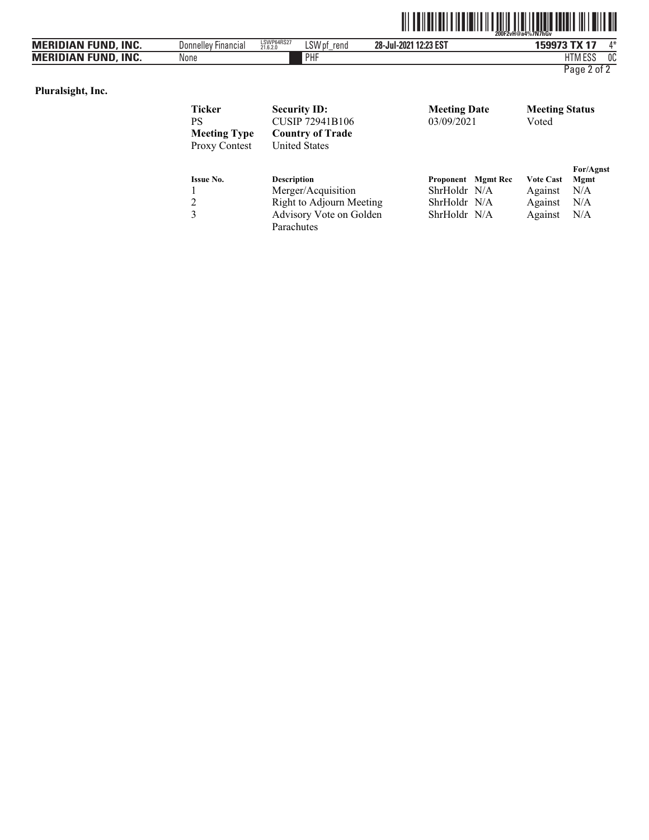

| <b>MERIDIAN FUND, INC.</b> | Donnelley Financial | LSWP64RS27<br>21.6.2.0 | LSW pf rend | 28-Jul-2021 12:23 EST | $\Lambda^*$<br>159973 TX 17 |
|----------------------------|---------------------|------------------------|-------------|-----------------------|-----------------------------|
| <b>MERIDIAN FUND, INC.</b> | None                |                        | PHF         |                       | 0C<br><b>HTM ESS</b>        |
|                            |                     |                        |             |                       | Page 2 of 2                 |
| Pluralsight, Inc.          |                     |                        |             |                       |                             |

| <b>Ticker</b><br><b>Security ID:</b><br><b>CUSIP 72941B106</b><br><b>PS</b><br><b>Country of Trade</b><br><b>Meeting Type</b> |                                       | <b>Meeting Date</b><br>03/09/2021 | <b>Meeting Status</b><br>Voted        |  |
|-------------------------------------------------------------------------------------------------------------------------------|---------------------------------------|-----------------------------------|---------------------------------------|--|
| <b>Proxy Contest</b>                                                                                                          | <b>United States</b>                  |                                   |                                       |  |
| <b>Issue No.</b>                                                                                                              | <b>Description</b>                    | <b>Proponent</b> Mgmt Rec         | For/Agnst<br>Mgmt<br><b>Vote Cast</b> |  |
|                                                                                                                               | Merger/Acquisition                    | ShrHoldr N/A                      | N/A<br>Against                        |  |
| 2                                                                                                                             | <b>Right to Adjourn Meeting</b>       | ShrHoldr N/A                      | N/A<br>Against                        |  |
| $\mathcal{E}$                                                                                                                 | Advisory Vote on Golden<br>Parachutes | ShrHoldr N/A                      | Against<br>N/A                        |  |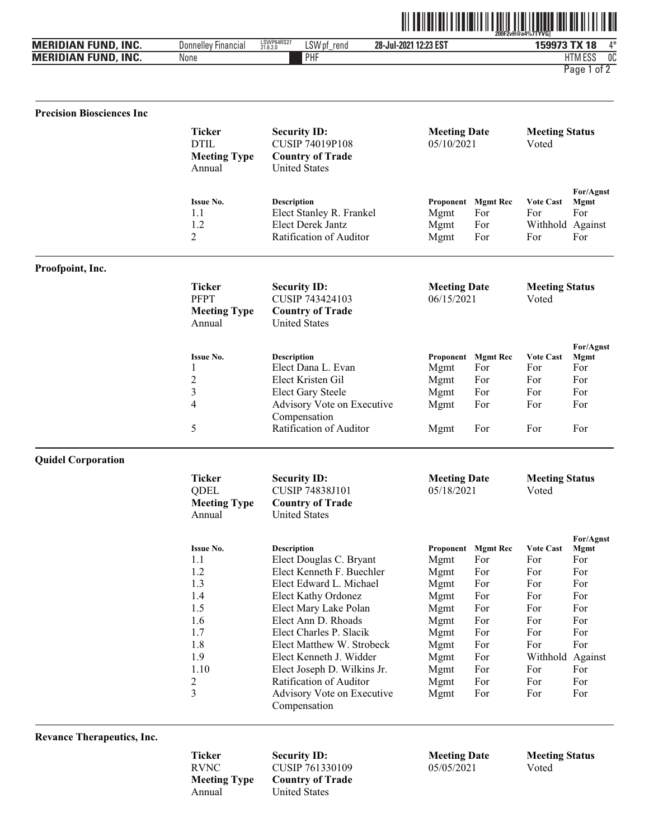| <b>MERIDIAN FUND, INC.</b>        | <b>Donnelley Financial</b>                                                                                                  | LSWP64RS27<br>21.6.2.0<br>LSW pf_rend                                                                                                                                                                                                                                  |                                                                                        | 28-Jul-2021 12:23 EST                                                                        |                                                                                                        | 159973 TX 18                                                                                               | $4*$                                                                                                  |
|-----------------------------------|-----------------------------------------------------------------------------------------------------------------------------|------------------------------------------------------------------------------------------------------------------------------------------------------------------------------------------------------------------------------------------------------------------------|----------------------------------------------------------------------------------------|----------------------------------------------------------------------------------------------|--------------------------------------------------------------------------------------------------------|------------------------------------------------------------------------------------------------------------|-------------------------------------------------------------------------------------------------------|
| <b>MERIDIAN FUND, INC.</b>        | None                                                                                                                        | PHF                                                                                                                                                                                                                                                                    |                                                                                        |                                                                                              |                                                                                                        |                                                                                                            | <b>HTMESS</b><br>$\overline{0}$                                                                       |
|                                   |                                                                                                                             |                                                                                                                                                                                                                                                                        |                                                                                        |                                                                                              |                                                                                                        |                                                                                                            | Page 1 of 2                                                                                           |
| <b>Precision Biosciences Inc</b>  |                                                                                                                             |                                                                                                                                                                                                                                                                        |                                                                                        |                                                                                              |                                                                                                        |                                                                                                            |                                                                                                       |
|                                   | <b>Ticker</b><br><b>DTIL</b><br><b>Meeting Type</b><br>Annual                                                               | <b>Security ID:</b><br>CUSIP 74019P108<br><b>Country of Trade</b><br><b>United States</b>                                                                                                                                                                              |                                                                                        | <b>Meeting Date</b><br>05/10/2021                                                            |                                                                                                        | <b>Meeting Status</b><br>Voted                                                                             |                                                                                                       |
|                                   | <b>Issue No.</b><br>1.1<br>1.2<br>2                                                                                         | Description<br>Elect Stanley R. Frankel<br>Elect Derek Jantz<br>Ratification of Auditor                                                                                                                                                                                |                                                                                        | Proponent<br>Mgmt<br>Mgmt<br>Mgmt                                                            | <b>Mgmt Rec</b><br>For<br>For<br>For                                                                   | <b>Vote Cast</b><br>For<br>Withhold Against<br>For                                                         | For/Agnst<br><b>Mgmt</b><br>For<br>For                                                                |
| Proofpoint, Inc.                  |                                                                                                                             |                                                                                                                                                                                                                                                                        |                                                                                        |                                                                                              |                                                                                                        |                                                                                                            |                                                                                                       |
|                                   | <b>Ticker</b><br><b>PFPT</b><br><b>Meeting Type</b><br>Annual                                                               | <b>Security ID:</b><br>CUSIP 743424103<br><b>Country of Trade</b><br><b>United States</b>                                                                                                                                                                              |                                                                                        | <b>Meeting Date</b><br>06/15/2021                                                            |                                                                                                        | <b>Meeting Status</b><br>Voted                                                                             |                                                                                                       |
|                                   | <b>Issue No.</b><br>1<br>$\overline{c}$<br>3<br>4                                                                           | <b>Description</b><br>Elect Dana L. Evan<br>Elect Kristen Gil<br><b>Elect Gary Steele</b><br>Compensation                                                                                                                                                              | Advisory Vote on Executive                                                             | Proponent<br>Mgmt<br>Mgmt<br>Mgmt<br>Mgmt                                                    | <b>Mgmt Rec</b><br>For<br>For<br>For<br>For                                                            | <b>Vote Cast</b><br>For<br>For<br>For<br>For                                                               | For/Agnst<br><b>Mgmt</b><br>For<br>For<br>For<br>For                                                  |
|                                   | 5                                                                                                                           | Ratification of Auditor                                                                                                                                                                                                                                                |                                                                                        | Mgmt                                                                                         | For                                                                                                    | For                                                                                                        | For                                                                                                   |
| <b>Quidel Corporation</b>         | <b>Ticker</b><br><b>QDEL</b><br><b>Meeting Type</b><br>Annual                                                               | <b>Security ID:</b><br>CUSIP 74838J101<br><b>Country of Trade</b><br><b>United States</b>                                                                                                                                                                              |                                                                                        | <b>Meeting Date</b><br>05/18/2021                                                            |                                                                                                        | <b>Meeting Status</b><br>Voted                                                                             |                                                                                                       |
|                                   | <b>Issue No.</b><br>1.1<br>1.2<br>1.3<br>1.4<br>1.5<br>1.6<br>1.7<br>1.8<br>1.9<br>1.10<br>$\overline{c}$<br>$\overline{3}$ | Description<br>Elect Douglas C. Bryant<br>Elect Kenneth F. Buechler<br>Elect Edward L. Michael<br>Elect Kathy Ordonez<br>Elect Mary Lake Polan<br>Elect Ann D. Rhoads<br>Elect Charles P. Slacik<br>Elect Kenneth J. Widder<br>Ratification of Auditor<br>Compensation | Elect Matthew W. Strobeck<br>Elect Joseph D. Wilkins Jr.<br>Advisory Vote on Executive | Mgmt<br>Mgmt<br>Mgmt<br>Mgmt<br>Mgmt<br>Mgmt<br>Mgmt<br>Mgmt<br>Mgmt<br>Mgmt<br>Mgmt<br>Mgmt | Proponent Mgmt Rec<br>For<br>For<br>For<br>For<br>For<br>For<br>For<br>For<br>For<br>For<br>For<br>For | Vote Cast<br>For<br>For<br>For<br>For<br>For<br>For<br>For<br>For<br>Withhold Against<br>For<br>For<br>For | For/Agnst<br><b>Mgmt</b><br>For<br>For<br>For<br>For<br>For<br>For<br>For<br>For<br>For<br>For<br>For |
| <b>Revance Therapeutics, Inc.</b> |                                                                                                                             |                                                                                                                                                                                                                                                                        |                                                                                        |                                                                                              |                                                                                                        |                                                                                                            |                                                                                                       |
|                                   | <b>Ticker</b>                                                                                                               | <b>Security ID:</b>                                                                                                                                                                                                                                                    |                                                                                        | <b>Meeting Date</b>                                                                          |                                                                                                        | <b>Meeting Status</b>                                                                                      |                                                                                                       |

RVNC CUSIP 761330109 05/05/2021 Voted **Meeting Type**<br>Annual

**Country of Trade**<br>United States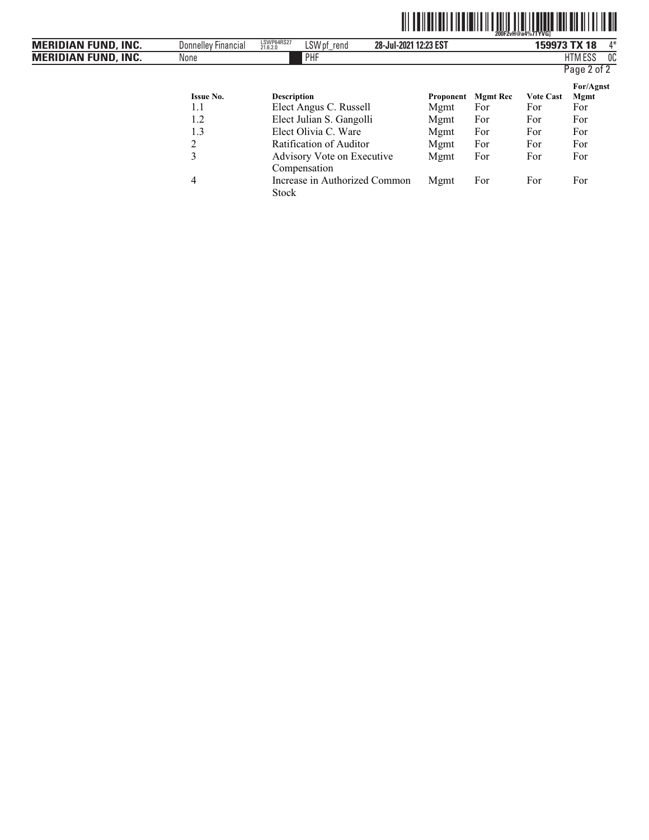

| <b>MERIDIAN FUND, INC.</b> | <b>Donnelley Financial</b> | LSWP64RS27<br>LSW pf_rend<br>21.6.2.0 | 28-Jul-2021 12:23 EST        | 159973 TX 18     | $4*$          |
|----------------------------|----------------------------|---------------------------------------|------------------------------|------------------|---------------|
| <b>MERIDIAN FUND, INC.</b> | None                       | PHF                                   |                              |                  | HTM ESS<br>0C |
|                            |                            |                                       |                              |                  | Page 2 of 2   |
|                            |                            |                                       |                              |                  | For/Agnst     |
|                            | <b>Issue No.</b>           | <b>Description</b>                    | <b>Mgmt Rec</b><br>Proponent | <b>Vote Cast</b> | Mgmt          |
|                            | 1.1                        | Elect Angus C. Russell                | For<br>Mgmt                  | For              | For           |
|                            | 1.2                        | Elect Julian S. Gangolli              | For<br>Mgmt                  | For              | For           |
|                            | 1.3                        | Elect Olivia C. Ware                  | For<br>Mgmt                  | For              | For           |
|                            | 2                          | Ratification of Auditor               | For<br>Mgmt                  | For              | For           |
|                            | 3                          | Advisory Vote on Executive            | For<br>Mgmt                  | For              | For           |
|                            |                            | Compensation                          |                              |                  |               |
|                            | 4                          | Increase in Authorized Common         | For<br>Mgmt                  | For              | For           |
|                            |                            | <b>Stock</b>                          |                              |                  |               |
|                            |                            |                                       |                              |                  |               |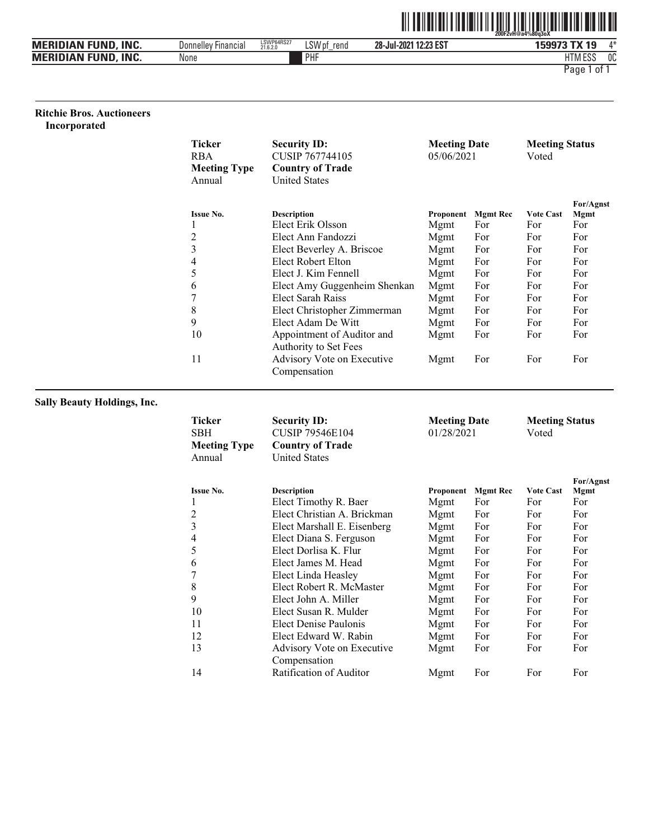|                     |                            |                        |                |                       | <u> 111   1211   1211   1221   1231   1231   1231   1231   1231   1231   1232   1233   1234   1235   1235   1235  </u><br>$200$ F2vH $@a4\%$ 80 $a3$ o $X$ |    |
|---------------------|----------------------------|------------------------|----------------|-----------------------|------------------------------------------------------------------------------------------------------------------------------------------------------------|----|
| MERIDIAN FUND, INC. | <b>Donnelley Financial</b> | LSWP64RS27<br>21.6.2.0 | LSW pf<br>rend | 28-Jul-2021 12:23 EST | 159973 TX 19                                                                                                                                               | 4* |
| MERIDIAN FUND, INC. | None                       |                        | PHF            |                       | HTM ESS                                                                                                                                                    | 0C |

Page 1 of 1

#### **Ritchie Bros. Auctioneers Incorporated**

| Ticker<br><b>RBA</b><br><b>Meeting Type</b><br>Annual | <b>Security ID:</b><br>CUSIP 767744105<br><b>Country of Trade</b><br><b>United States</b> |           | <b>Meeting Date</b><br>05/06/2021 |                  | <b>Meeting Status</b><br>Voted |  |
|-------------------------------------------------------|-------------------------------------------------------------------------------------------|-----------|-----------------------------------|------------------|--------------------------------|--|
| <b>Issue No.</b>                                      | <b>Description</b>                                                                        | Proponent | <b>Mgmt Rec</b>                   | <b>Vote Cast</b> | For/Agnst<br>Mgmt              |  |
| 1                                                     | Elect Erik Olsson                                                                         | Mgmt      | For                               | For              | For                            |  |
| $\overline{2}$                                        | Elect Ann Fandozzi                                                                        | Mgmt      | For                               | For              | For                            |  |
| 3                                                     | Elect Beverley A. Briscoe                                                                 | Mgmt      | For                               | For              | For                            |  |
| 4                                                     | Elect Robert Elton                                                                        | Mgmt      | For                               | For              | For                            |  |
| 5                                                     | Elect J. Kim Fennell                                                                      | Mgmt      | For                               | For              | For                            |  |
| 6                                                     | Elect Amy Guggenheim Shenkan                                                              | Mgmt      | For                               | For              | For                            |  |
| 7                                                     | <b>Elect Sarah Raiss</b>                                                                  | Mgmt      | For                               | For              | For                            |  |
| 8                                                     | Elect Christopher Zimmerman                                                               | Mgmt      | For                               | For              | For                            |  |
| 9                                                     | Elect Adam De Witt                                                                        | Mgmt      | For                               | For              | For                            |  |
| 10                                                    | Appointment of Auditor and<br>Authority to Set Fees                                       | Mgmt      | For                               | For              | For                            |  |
| 11                                                    | Advisory Vote on Executive<br>Compensation                                                | Mgmt      | For                               | For              | For                            |  |

### **Sally Beauty Holdings, Inc.**

| <b>Ticker</b><br><b>SBH</b><br><b>Meeting Type</b> | <b>Security ID:</b><br><b>CUSIP 79546E104</b><br><b>Country of Trade</b> |           | <b>Meeting Date</b><br>01/28/2021 |                  | <b>Meeting Status</b><br>Voted |  |
|----------------------------------------------------|--------------------------------------------------------------------------|-----------|-----------------------------------|------------------|--------------------------------|--|
| Annual                                             | <b>United States</b>                                                     |           |                                   |                  |                                |  |
| <b>Issue No.</b>                                   | <b>Description</b>                                                       | Proponent | <b>Mgmt</b> Rec                   | <b>Vote Cast</b> | For/Agnst<br>Mgmt              |  |
| 1                                                  | Elect Timothy R. Baer                                                    | Mgmt      | For                               | For              | For                            |  |
| $\overline{2}$                                     | Elect Christian A. Brickman                                              | Mgmt      | For                               | For              | For                            |  |
| 3                                                  | Elect Marshall E. Eisenberg                                              | Mgmt      | For                               | For              | For                            |  |
| 4                                                  | Elect Diana S. Ferguson                                                  | Mgmt      | For                               | For              | For                            |  |
| 5                                                  | Elect Dorlisa K. Flur                                                    | Mgmt      | For                               | For              | For                            |  |
| 6                                                  | Elect James M. Head                                                      | Mgmt      | For                               | For              | For                            |  |
| 7                                                  | Elect Linda Heasley                                                      | Mgmt      | For                               | For              | For                            |  |
| 8                                                  | Elect Robert R. McMaster                                                 | Mgmt      | For                               | For              | For                            |  |
| 9                                                  | Elect John A. Miller                                                     | Mgmt      | For                               | For              | For                            |  |
| 10                                                 | Elect Susan R. Mulder                                                    | Mgmt      | For                               | For              | For                            |  |
| 11                                                 | Elect Denise Paulonis                                                    | Mgmt      | For                               | For              | For                            |  |
| 12                                                 | Elect Edward W. Rabin                                                    | Mgmt      | For                               | For              | For                            |  |
| 13                                                 | Advisory Vote on Executive<br>Compensation                               | Mgmt      | For                               | For              | For                            |  |
| 14                                                 | Ratification of Auditor                                                  | Mgmt      | For                               | For              | For                            |  |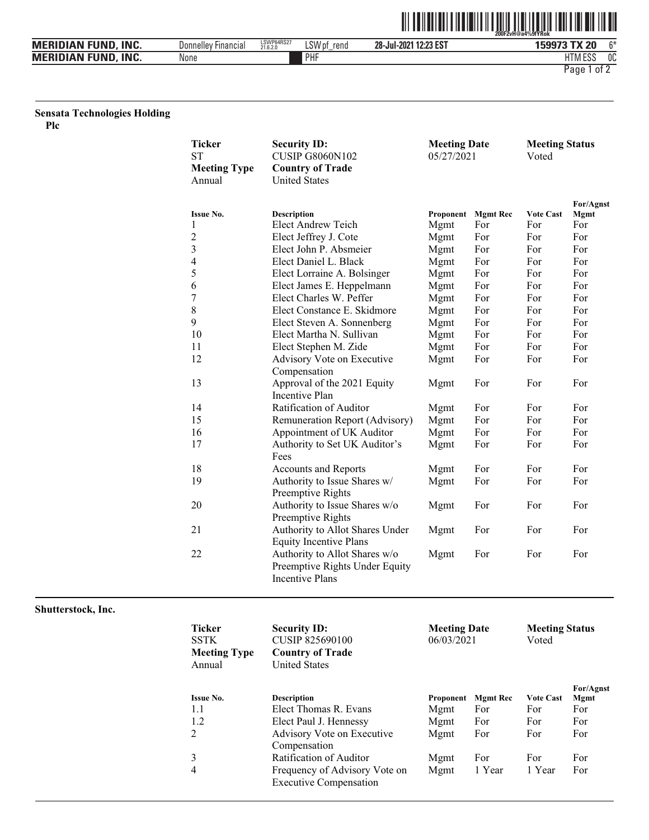|                            |                            |                        |             | $\mathcal{N}$ , and $\mathcal{N}$ and $\mathcal{N}$<br>WWW | $\begin{array}{c} \parallel \parallel \parallel \parallel \parallel \parallel \end{array}$<br><u>i olan logjidir tanlarda mir til all</u><br>200F2vH@a4%9fYRok |    |
|----------------------------|----------------------------|------------------------|-------------|------------------------------------------------------------|----------------------------------------------------------------------------------------------------------------------------------------------------------------|----|
| <b>MERIDIAN FUND, INC.</b> | <b>Donnelley Financial</b> | LSWP64RS27<br>21.6.2.0 | LSW pf rend | 28-Jul-2021 12:23 EST                                      | 159973 TX 20                                                                                                                                                   | ĥ* |
| <b>MERIDIAN FUND, INC.</b> | None                       |                        | PHF         |                                                            | HTM ESS                                                                                                                                                        | 0C |

PHF FILE IN THE HTML IN THE HTML IN THE HTML IN THE HTML IN THE HTML IN THE HTML IN THE HTML IN THE HTML IN TH ESS 0C Page 1 of 2

#### **Sensata Technologies Holding Plc**

| <b>Ticker</b><br><b>ST</b><br><b>Meeting Type</b><br>Annual | <b>Security ID:</b><br><b>CUSIP G8060N102</b><br><b>Country of Trade</b><br><b>United States</b> |           | <b>Meeting Date</b><br>05/27/2021 |                  | <b>Meeting Status</b><br>Voted |  |
|-------------------------------------------------------------|--------------------------------------------------------------------------------------------------|-----------|-----------------------------------|------------------|--------------------------------|--|
| <b>Issue No.</b>                                            | Description                                                                                      | Proponent | <b>Mgmt Rec</b>                   | <b>Vote Cast</b> | For/Agnst<br><b>Mgmt</b>       |  |
| 1                                                           | <b>Elect Andrew Teich</b>                                                                        | Mgmt      | For                               | For              | For                            |  |
| $\overline{2}$                                              | Elect Jeffrey J. Cote                                                                            | Mgmt      | For                               | For              | For                            |  |
| 3                                                           | Elect John P. Absmeier                                                                           | Mgmt      | For                               | For              | For                            |  |
| 4                                                           | Elect Daniel L. Black                                                                            | Mgmt      | For                               | For              | For                            |  |
| 5                                                           | Elect Lorraine A. Bolsinger                                                                      | Mgmt      | For                               | For              | For                            |  |
| 6                                                           | Elect James E. Heppelmann                                                                        | Mgmt      | For                               | For              | For                            |  |
| 7                                                           | Elect Charles W. Peffer                                                                          | Mgmt      | For                               | For              | For                            |  |
| 8                                                           | Elect Constance E. Skidmore                                                                      | Mgmt      | For                               | For              | For                            |  |
| 9                                                           | Elect Steven A. Sonnenberg                                                                       | Mgmt      | For                               | For              | For                            |  |
| 10                                                          | Elect Martha N. Sullivan                                                                         | Mgmt      | For                               | For              | For                            |  |
| 11                                                          | Elect Stephen M. Zide                                                                            | Mgmt      | For                               | For              | For                            |  |
| 12                                                          | Advisory Vote on Executive<br>Compensation                                                       | Mgmt      | For                               | For              | For                            |  |
| 13                                                          | Approval of the 2021 Equity<br><b>Incentive Plan</b>                                             | Mgmt      | For                               | For              | For                            |  |
| 14                                                          | Ratification of Auditor                                                                          | Mgmt      | For                               | For              | For                            |  |
| 15                                                          | Remuneration Report (Advisory)                                                                   | Mgmt      | For                               | For              | For                            |  |
| 16                                                          | Appointment of UK Auditor                                                                        | Mgmt      | For                               | For              | For                            |  |
| 17                                                          | Authority to Set UK Auditor's<br>Fees                                                            | Mgmt      | For                               | For              | For                            |  |
| 18                                                          | <b>Accounts and Reports</b>                                                                      | Mgmt      | For                               | For              | For                            |  |
| 19                                                          | Authority to Issue Shares w/<br>Preemptive Rights                                                | Mgmt      | For                               | For              | For                            |  |
| 20                                                          | Authority to Issue Shares w/o<br>Preemptive Rights                                               | Mgmt      | For                               | For              | For                            |  |
| 21                                                          | Authority to Allot Shares Under<br><b>Equity Incentive Plans</b>                                 | Mgmt      | For                               | For              | For                            |  |
| 22                                                          | Authority to Allot Shares w/o<br>Preemptive Rights Under Equity<br><b>Incentive Plans</b>        | Mgmt      | For                               | For              | For                            |  |

# **Shutterstock, Inc.**

| <b>Ticker</b><br><b>SSTK</b><br><b>Meeting Type</b><br>Annual | <b>Security ID:</b><br><b>CUSIP 825690100</b><br><b>Country of Trade</b><br><b>United States</b> | <b>Meeting Date</b><br>06/03/2021 |                        | <b>Meeting Status</b><br>Voted |                          |  |
|---------------------------------------------------------------|--------------------------------------------------------------------------------------------------|-----------------------------------|------------------------|--------------------------------|--------------------------|--|
| <b>Issue No.</b><br>1.1                                       | <b>Description</b><br>Elect Thomas R. Evans                                                      | Proponent<br>Mgmt                 | <b>Mgmt Rec</b><br>For | <b>Vote Cast</b><br>For        | For/Agnst<br>Mgmt<br>For |  |
| 1.2                                                           | Elect Paul J. Hennessy                                                                           | Mgmt                              | For                    | For                            | For                      |  |
| 2                                                             | Advisory Vote on Executive<br>Compensation                                                       | Mgmt                              | For                    | For                            | For                      |  |
| 3<br>$\overline{4}$                                           | Ratification of Auditor<br>Frequency of Advisory Vote on<br><b>Executive Compensation</b>        | Mgmt<br>Mgmt                      | For<br>1 Year          | For<br>1 Year                  | For<br>For               |  |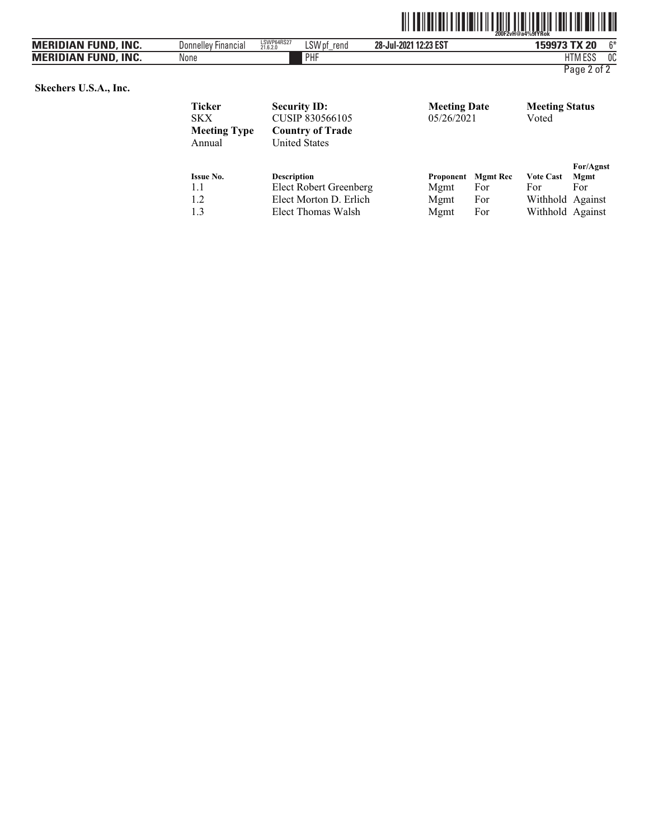

|                            |                            |                                       | ZUUFZVNW 4470JI I NUK |                       |  |  |  |
|----------------------------|----------------------------|---------------------------------------|-----------------------|-----------------------|--|--|--|
| <b>MERIDIAN FUND, INC.</b> | <b>Donnelley Financial</b> | LSWP64RS27<br>LSW pf rend<br>21.6.2.0 | 28-Jul-2021 12:23 EST | 6*<br>159973 TX 20    |  |  |  |
| <b>MERIDIAN FUND, INC.</b> | None                       | <b>PHF</b>                            |                       | 0C<br><b>HTM ESS</b>  |  |  |  |
|                            |                            |                                       |                       | Page $2$ of $2$       |  |  |  |
| Skechers U.S.A., Inc.      |                            |                                       |                       |                       |  |  |  |
|                            | <b>Ticker</b>              | <b>Security ID:</b>                   | <b>Meeting Date</b>   | <b>Meeting Status</b> |  |  |  |
|                            | <b>SKX</b>                 | CUSIP 830566105                       | 05/26/2021            | Voted                 |  |  |  |
|                            | <b>Meeting Type</b>        | <b>Country of Trade</b>               |                       |                       |  |  |  |
|                            | Annual                     | <b>United States</b>                  |                       |                       |  |  |  |

| <b>Issue No.</b> | <b>Description</b>     |      | <b>Proponent</b> Mgmt Rec | <b>Vote Cast</b> | For/Agnst<br>Mgmt |
|------------------|------------------------|------|---------------------------|------------------|-------------------|
| 1.1              | Elect Robert Greenberg | Mgmt | For                       | For.             | For               |
| 1.2              | Elect Morton D. Erlich | Mgmt | For                       | Withhold Against |                   |
| 1.3              | Elect Thomas Walsh     | Mgmt | For                       | Withhold Against |                   |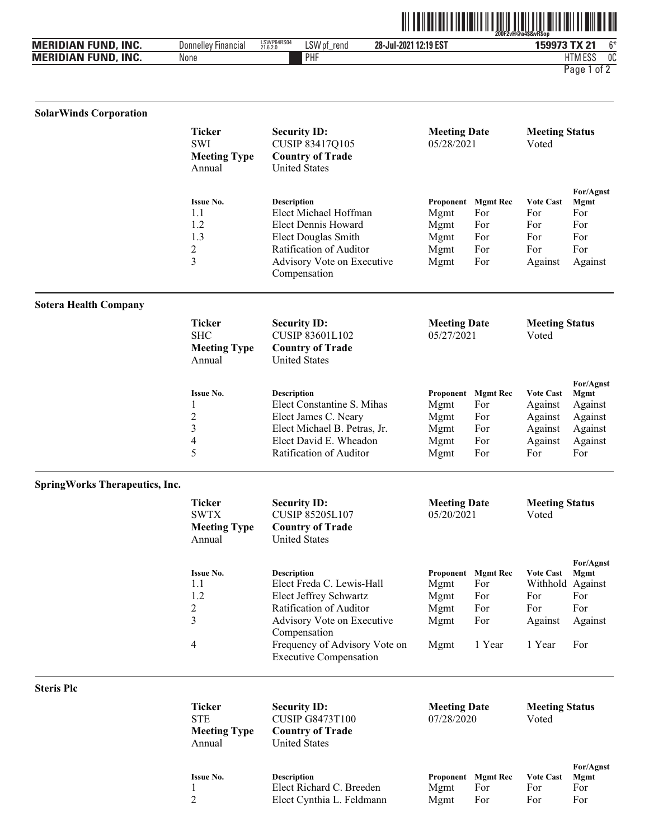| <b>MERIDIAN FUND, INC.</b>            | <b>Donnelley Financial</b> | LSWP64RS04<br>21.6.2.0 | LSW pf_rend                                       | 28-Jul-2021 12:19 EST |                     |                 | 159973 TX 21          | $6*$                      |
|---------------------------------------|----------------------------|------------------------|---------------------------------------------------|-----------------------|---------------------|-----------------|-----------------------|---------------------------|
| <b>MERIDIAN FUND, INC.</b>            | None                       |                        | PHF                                               |                       |                     |                 |                       | $\overline{0}$<br>HTM ESS |
|                                       |                            |                        |                                                   |                       |                     |                 |                       | Page 1 of 2               |
| <b>SolarWinds Corporation</b>         |                            |                        |                                                   |                       |                     |                 |                       |                           |
|                                       | <b>Ticker</b>              |                        | <b>Security ID:</b>                               |                       | <b>Meeting Date</b> |                 | <b>Meeting Status</b> |                           |
|                                       | <b>SWI</b>                 |                        | CUSIP 83417Q105                                   |                       | 05/28/2021          |                 | Voted                 |                           |
|                                       | <b>Meeting Type</b>        |                        | <b>Country of Trade</b>                           |                       |                     |                 |                       |                           |
|                                       | Annual                     |                        | <b>United States</b>                              |                       |                     |                 |                       |                           |
|                                       |                            |                        |                                                   |                       |                     |                 |                       | For/Agnst                 |
|                                       | <b>Issue No.</b>           | <b>Description</b>     |                                                   |                       | Proponent           | <b>Mgmt Rec</b> | <b>Vote Cast</b>      | <b>Mgmt</b>               |
|                                       | 1.1                        |                        | Elect Michael Hoffman                             |                       | Mgmt                | For             | For                   | For                       |
|                                       | 1.2                        |                        | <b>Elect Dennis Howard</b>                        |                       | Mgmt                | For             | For                   | For                       |
|                                       | 1.3                        |                        | <b>Elect Douglas Smith</b>                        |                       | Mgmt                | For             | For                   | For                       |
|                                       | $\overline{2}$             |                        | Ratification of Auditor                           |                       | Mgmt                | For             | For                   | For                       |
|                                       | $\mathfrak{Z}$             |                        | Advisory Vote on Executive                        |                       | Mgmt                | For             | Against               | Against                   |
|                                       |                            |                        | Compensation                                      |                       |                     |                 |                       |                           |
| <b>Sotera Health Company</b>          |                            |                        |                                                   |                       |                     |                 |                       |                           |
|                                       | <b>Ticker</b>              |                        | <b>Security ID:</b>                               |                       | <b>Meeting Date</b> |                 | <b>Meeting Status</b> |                           |
|                                       | <b>SHC</b>                 |                        | <b>CUSIP 83601L102</b>                            |                       | 05/27/2021          |                 | Voted                 |                           |
|                                       | <b>Meeting Type</b>        |                        | <b>Country of Trade</b>                           |                       |                     |                 |                       |                           |
|                                       | Annual                     |                        | <b>United States</b>                              |                       |                     |                 |                       |                           |
|                                       |                            |                        |                                                   |                       |                     |                 |                       |                           |
|                                       |                            |                        |                                                   |                       |                     |                 |                       | For/Agnst                 |
|                                       | <b>Issue No.</b>           | <b>Description</b>     |                                                   |                       | Proponent           | <b>Mgmt Rec</b> | <b>Vote Cast</b>      | <b>Mgmt</b>               |
|                                       | 1                          |                        | Elect Constantine S. Mihas                        |                       | Mgmt                | For             | Against               | Against                   |
|                                       | 2                          |                        | Elect James C. Neary                              |                       | Mgmt                | For             | Against               | Against                   |
|                                       | 3                          |                        | Elect Michael B. Petras, Jr.                      |                       | Mgmt                | For             | Against               | Against                   |
|                                       | 4<br>5                     |                        | Elect David E. Wheadon<br>Ratification of Auditor |                       | Mgmt                | For<br>For      | Against<br>For        | Against<br>For            |
|                                       |                            |                        |                                                   |                       | Mgmt                |                 |                       |                           |
| <b>SpringWorks Therapeutics, Inc.</b> |                            |                        |                                                   |                       |                     |                 |                       |                           |
|                                       | <b>Ticker</b>              |                        | <b>Security ID:</b>                               |                       | <b>Meeting Date</b> |                 | <b>Meeting Status</b> |                           |
|                                       | <b>SWTX</b>                |                        | <b>CUSIP 85205L107</b>                            |                       | 05/20/2021          |                 | Voted                 |                           |
|                                       | <b>Meeting Type</b>        |                        | <b>Country of Trade</b>                           |                       |                     |                 |                       |                           |
|                                       | Annual                     |                        | <b>United States</b>                              |                       |                     |                 |                       |                           |
|                                       |                            |                        |                                                   |                       |                     |                 |                       | For/Agnst                 |
|                                       | <b>Issue No.</b>           | Description            |                                                   |                       | Proponent           | <b>Mgmt Rec</b> | <b>Vote Cast</b>      | <b>Mgmt</b>               |
|                                       | 1.1                        |                        | Elect Freda C. Lewis-Hall                         |                       | Mgmt                | For             | Withhold              | Against                   |
|                                       | 1.2                        |                        | Elect Jeffrey Schwartz                            |                       | Mgmt                | For             | For                   | For                       |
|                                       | $\overline{c}$             |                        | Ratification of Auditor                           |                       | Mgmt                | For             | For                   | For                       |
|                                       | $\overline{3}$             |                        | Advisory Vote on Executive                        |                       | Mgmt                | For             | Against               | Against                   |
|                                       |                            |                        | Compensation                                      |                       |                     |                 |                       |                           |
|                                       | $\overline{4}$             |                        | Frequency of Advisory Vote on                     |                       | Mgmt                | 1 Year          | 1 Year                | For                       |
|                                       |                            |                        | <b>Executive Compensation</b>                     |                       |                     |                 |                       |                           |
| <b>Steris Plc</b>                     |                            |                        |                                                   |                       |                     |                 |                       |                           |
|                                       | <b>Ticker</b>              |                        | <b>Security ID:</b>                               |                       | <b>Meeting Date</b> |                 | <b>Meeting Status</b> |                           |
|                                       | <b>STE</b>                 |                        | <b>CUSIP G8473T100</b>                            |                       | 07/28/2020          |                 | Voted                 |                           |
|                                       | <b>Meeting Type</b>        |                        | <b>Country of Trade</b>                           |                       |                     |                 |                       |                           |
|                                       | Annual                     |                        | <b>United States</b>                              |                       |                     |                 |                       |                           |
|                                       |                            |                        |                                                   |                       |                     |                 |                       | For/Agnst                 |
|                                       | <b>Issue No.</b>           | Description            |                                                   |                       | Proponent           | <b>Mgmt Rec</b> | <b>Vote Cast</b>      | <b>Mgmt</b>               |
|                                       | 1                          |                        | Elect Richard C. Breeden                          |                       | Mgmt                | For             | For                   | For                       |
|                                       | $\overline{2}$             |                        | Elect Cynthia L. Feldmann                         |                       | Mgmt                | For             | For                   | For                       |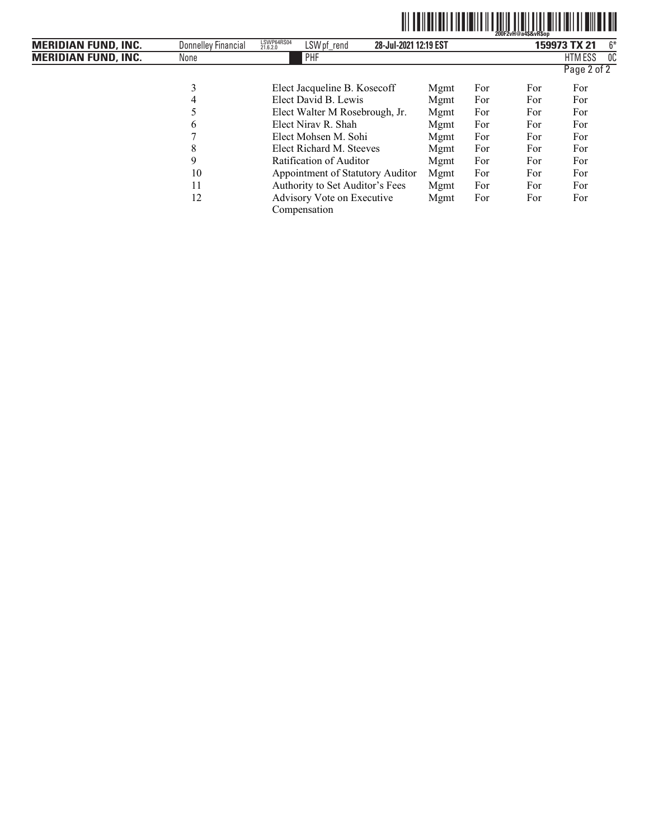

| <b>MERIDIAN FUND, INC.</b> | Donnellev Financial | LSWP64RS04<br>LSW pf rend<br>21.6.2.0                                                  | 28-Jul-2021 12:19 EST |      |     |     | 159973 TX 21   | $6*$ |
|----------------------------|---------------------|----------------------------------------------------------------------------------------|-----------------------|------|-----|-----|----------------|------|
| <b>MERIDIAN FUND, INC.</b> | None                | PHF                                                                                    |                       |      |     |     | <b>HTM ESS</b> | 0C   |
|                            |                     |                                                                                        |                       |      |     |     | Page 2 of 2    |      |
|                            | 3                   | Elect Jacqueline B. Kosecoff<br>Elect David B. Lewis<br>Elect Walter M Rosebrough, Jr. |                       | Mgmt | For | For | For            |      |
|                            | 4                   |                                                                                        |                       | Mgmt | For | For | For            |      |
|                            |                     |                                                                                        |                       | Mgmt | For | For | For            |      |
|                            | 6                   | Elect Niray R. Shah                                                                    |                       | Mgmt | For | For | For            |      |
|                            |                     | Elect Mohsen M. Sohi                                                                   |                       | Mgmt | For | For | For            |      |
|                            | 8                   | Elect Richard M. Steeves                                                               |                       | Mgmt | For | For | For            |      |
|                            | 9                   | Ratification of Auditor                                                                |                       | Mgmt | For | For | For            |      |
|                            | 10                  | Appointment of Statutory Auditor                                                       |                       | Mgmt | For | For | For            |      |
|                            | 11                  | Authority to Set Auditor's Fees                                                        |                       | Mgmt | For | For | For            |      |
|                            | 12                  | Advisory Vote on Executive<br>Compensation                                             |                       | Mgmt | For | For | For            |      |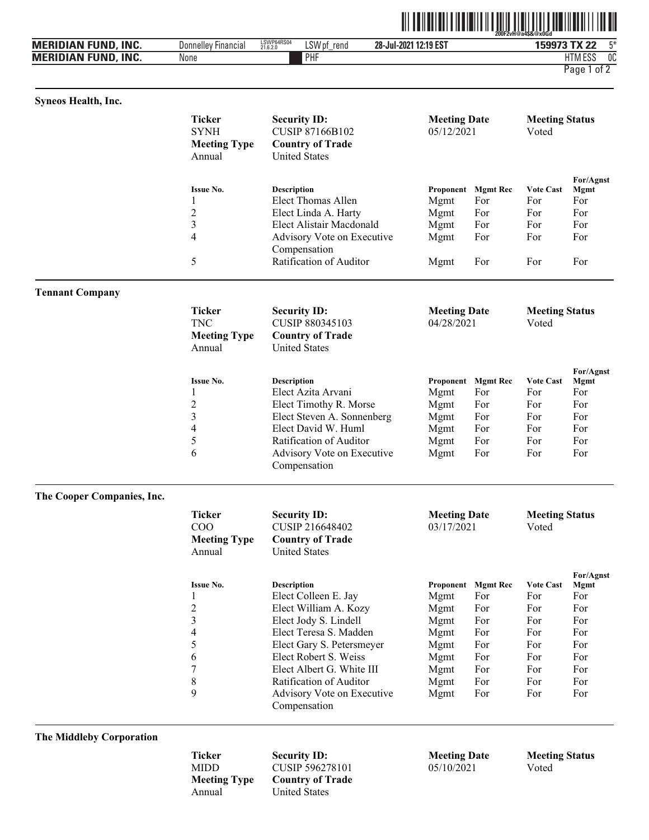| <b>MERIDIAN FUND, INC.</b>      | <b>Donnelley Financial</b> | LSWP64RS04<br>21.6.2.0                          | LSW pf_rend                | 28-Jul-2021 12:19 EST |                     |                 | 159973 TX 22            | $5^*$                           |
|---------------------------------|----------------------------|-------------------------------------------------|----------------------------|-----------------------|---------------------|-----------------|-------------------------|---------------------------------|
| <b>MERIDIAN FUND, INC.</b>      | None                       | PHF                                             |                            |                       |                     |                 |                         | <b>HTMESS</b><br>$\overline{0}$ |
|                                 |                            |                                                 |                            |                       |                     |                 |                         | Page 1 of 2                     |
| Syneos Health, Inc.             |                            |                                                 |                            |                       |                     |                 |                         |                                 |
|                                 | <b>Ticker</b>              | <b>Security ID:</b>                             |                            |                       | <b>Meeting Date</b> |                 | <b>Meeting Status</b>   |                                 |
|                                 | <b>SYNH</b>                | <b>CUSIP 87166B102</b>                          |                            |                       | 05/12/2021          |                 | Voted                   |                                 |
|                                 | <b>Meeting Type</b>        | <b>Country of Trade</b>                         |                            |                       |                     |                 |                         |                                 |
|                                 | Annual                     | <b>United States</b>                            |                            |                       |                     |                 |                         |                                 |
|                                 |                            |                                                 |                            |                       |                     |                 |                         | For/Agnst                       |
|                                 | <b>Issue No.</b>           | <b>Description</b><br><b>Elect Thomas Allen</b> |                            |                       | Proponent           | <b>Mgmt Rec</b> | <b>Vote Cast</b><br>For | <b>Mgmt</b><br>For              |
|                                 | 1                          |                                                 |                            |                       | Mgmt                | For             |                         |                                 |
|                                 | $\overline{c}$             | Elect Linda A. Harty                            |                            |                       | Mgmt                | For             | For                     | For                             |
|                                 | 3                          |                                                 | Elect Alistair Macdonald   |                       | Mgmt                | For             | For                     | For                             |
|                                 | 4                          |                                                 | Advisory Vote on Executive |                       | Mgmt                | For             | For                     | For                             |
|                                 | 5                          | Compensation<br>Ratification of Auditor         |                            |                       | Mgmt                | For             | For                     | For                             |
|                                 |                            |                                                 |                            |                       |                     |                 |                         |                                 |
| <b>Tennant Company</b>          |                            |                                                 |                            |                       |                     |                 |                         |                                 |
|                                 | <b>Ticker</b>              | <b>Security ID:</b>                             |                            |                       | <b>Meeting Date</b> |                 | <b>Meeting Status</b>   |                                 |
|                                 | <b>TNC</b>                 | CUSIP 880345103                                 |                            |                       | 04/28/2021          |                 | Voted                   |                                 |
|                                 | <b>Meeting Type</b>        | <b>Country of Trade</b>                         |                            |                       |                     |                 |                         |                                 |
|                                 | Annual                     | <b>United States</b>                            |                            |                       |                     |                 |                         |                                 |
|                                 |                            |                                                 |                            |                       |                     |                 |                         |                                 |
|                                 | <b>Issue No.</b>           | <b>Description</b>                              |                            |                       | Proponent           | <b>Mgmt Rec</b> | <b>Vote Cast</b>        | For/Agnst<br><b>Mgmt</b>        |
|                                 | 1                          | Elect Azita Arvani                              |                            |                       | Mgmt                | For             | For                     | For                             |
|                                 | 2                          |                                                 | Elect Timothy R. Morse     |                       | Mgmt                | For             | For                     | For                             |
|                                 | 3                          |                                                 | Elect Steven A. Sonnenberg |                       | Mgmt                | For             | For                     | For                             |
|                                 | 4                          | Elect David W. Huml                             |                            |                       | Mgmt                | For             | For                     | For                             |
|                                 | 5                          | Ratification of Auditor                         |                            |                       | Mgmt                | For             | For                     | For                             |
|                                 | 6                          |                                                 | Advisory Vote on Executive |                       | Mgmt                | For             | For                     | For                             |
|                                 |                            | Compensation                                    |                            |                       |                     |                 |                         |                                 |
|                                 |                            |                                                 |                            |                       |                     |                 |                         |                                 |
| The Cooper Companies, Inc.      |                            |                                                 |                            |                       |                     |                 |                         |                                 |
|                                 | <b>Ticker</b>              | <b>Security ID:</b>                             |                            |                       | <b>Meeting Date</b> |                 | <b>Meeting Status</b>   |                                 |
|                                 | COO                        | CUSIP 216648402                                 |                            |                       | 03/17/2021          |                 | Voted                   |                                 |
|                                 | <b>Meeting Type</b>        | <b>Country of Trade</b>                         |                            |                       |                     |                 |                         |                                 |
|                                 | Annual                     | <b>United States</b>                            |                            |                       |                     |                 |                         |                                 |
|                                 |                            |                                                 |                            |                       |                     |                 |                         | For/Agnst                       |
|                                 | <b>Issue No.</b>           | <b>Description</b>                              |                            |                       | Proponent           | <b>Mgmt Rec</b> | <b>Vote Cast</b>        | <b>Mgmt</b>                     |
|                                 |                            | Elect Colleen E. Jay                            |                            |                       | Mgmt                | For             | For                     | For                             |
|                                 | $\overline{c}$             | Elect William A. Kozy                           |                            |                       | Mgmt                | For             | For                     | For                             |
|                                 | 3                          | Elect Jody S. Lindell                           |                            |                       | Mgmt                | For             | For                     | For                             |
|                                 | 4                          |                                                 | Elect Teresa S. Madden     |                       | Mgmt                | For             | For                     | For                             |
|                                 | 5                          |                                                 | Elect Gary S. Petersmeyer  |                       | Mgmt                | For             | For                     | For                             |
|                                 | 6                          | Elect Robert S. Weiss                           |                            |                       | Mgmt                | For             | For                     | For                             |
|                                 | 7                          |                                                 | Elect Albert G. White III  |                       | Mgmt                | For             | For                     | For                             |
|                                 | $8\,$                      | Ratification of Auditor                         |                            |                       | Mgmt                | For             | For                     | For                             |
|                                 | 9                          | Compensation                                    | Advisory Vote on Executive |                       | Mgmt                | For             | For                     | For                             |
|                                 |                            |                                                 |                            |                       |                     |                 |                         |                                 |
| <b>The Middleby Corporation</b> |                            |                                                 |                            |                       |                     |                 |                         |                                 |
|                                 | <b>Ticker</b>              | <b>Security ID:</b><br>CUSIP 596278101          |                            |                       | <b>Meeting Date</b> |                 | <b>Meeting Status</b>   |                                 |
|                                 | <b>MIDD</b>                |                                                 |                            |                       | 05/10/2021          |                 | Voted                   |                                 |
|                                 | <b>Meeting Type</b>        | <b>Country of Trade</b>                         |                            |                       |                     |                 |                         |                                 |

Annual United States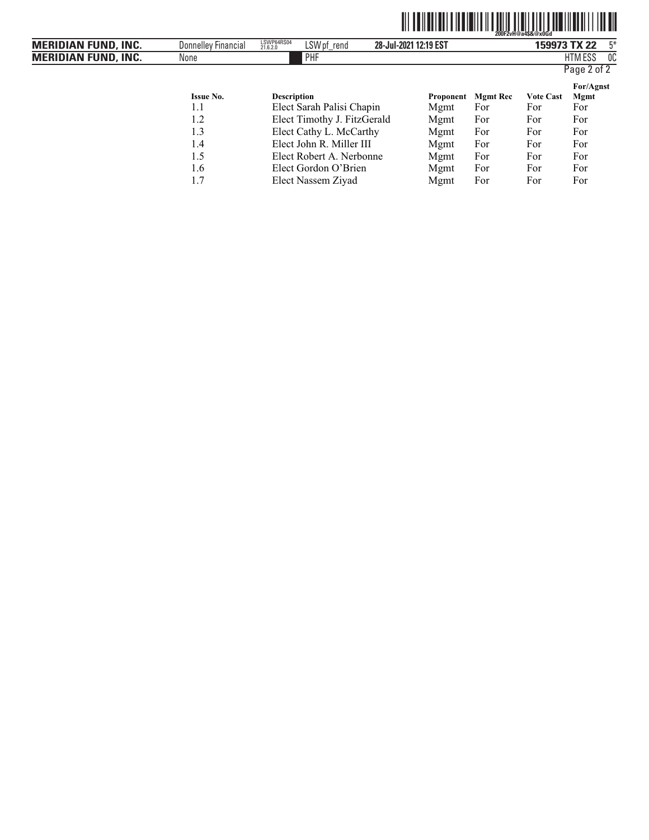

|                            |                     | <b>ZUUI ZVII\WA4JOOWAUUU</b>          |                       |                 |                  |                          |
|----------------------------|---------------------|---------------------------------------|-----------------------|-----------------|------------------|--------------------------|
| <b>MERIDIAN FUND, INC.</b> | Donnelley Financial | LSWP64RS04<br>LSW pf_rend<br>21.6.2.0 | 28-Jul-2021 12:19 EST |                 |                  | 159973 TX 22<br>5*       |
| <b>MERIDIAN FUND, INC.</b> | None                | PHF                                   |                       |                 |                  | 0C<br><b>HTM ESS</b>     |
|                            |                     |                                       |                       |                 |                  | Page 2 of 2              |
|                            | <b>Issue No.</b>    | <b>Description</b>                    | Proponent             | <b>Mgmt Rec</b> | <b>Vote Cast</b> | For/Agnst<br><b>Mgmt</b> |
|                            | 1.1                 | Elect Sarah Palisi Chapin             | Mgmt                  | For             | For              | For                      |
|                            | 1.2                 | Elect Timothy J. FitzGerald           | Mgmt                  | For             | For              | For                      |
|                            | 1.3                 | Elect Cathy L. McCarthy               | Mgmt                  | For             | For              | For                      |
|                            | 1.4                 | Elect John R. Miller III              | Mgmt                  | For             | For              | For                      |
|                            | 1.5                 | Elect Robert A. Nerbonne              | Mgmt                  | For             | For              | For                      |
|                            | 1.6                 | Elect Gordon O'Brien                  | Mgmt                  | For             | For              | For                      |
|                            | 1.7                 | Elect Nassem Zivad                    | Mgmt                  | For             | For              | For                      |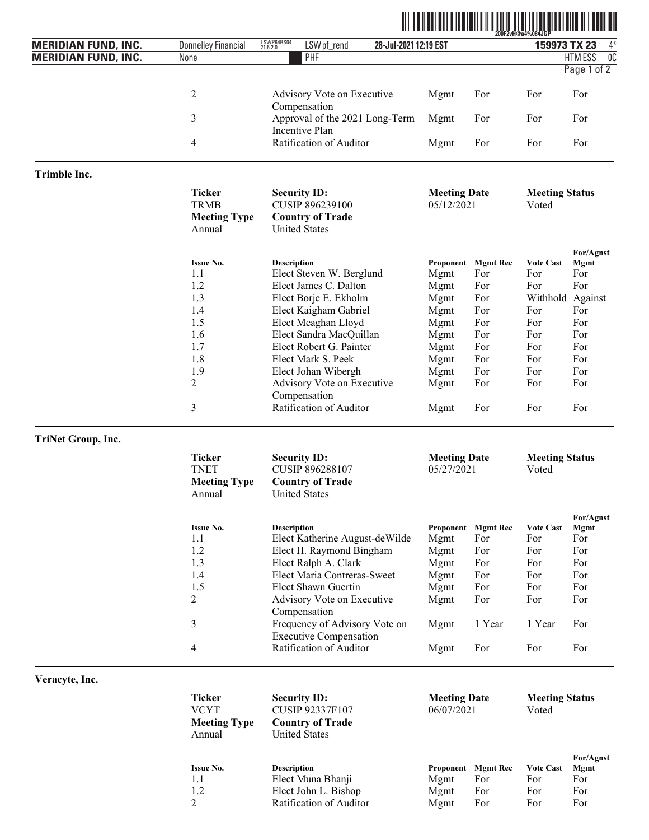| <b>MERIDIAN FUND, INC.</b> | <b>Donnelley Financial</b>                                    | LSWP64RS04<br>21.6.2.0<br>LSW pf_rend<br>28-Jul-2021 12:19 EST                                   |                                   |                 | 159973 TX 23                   | $4*$                            |  |  |
|----------------------------|---------------------------------------------------------------|--------------------------------------------------------------------------------------------------|-----------------------------------|-----------------|--------------------------------|---------------------------------|--|--|
| <b>MERIDIAN FUND, INC.</b> | None                                                          | PHF                                                                                              |                                   |                 |                                | <b>HTMESS</b><br>0 <sup>C</sup> |  |  |
|                            |                                                               |                                                                                                  |                                   |                 |                                | Page 1 of 2                     |  |  |
|                            | $\overline{c}$                                                | Advisory Vote on Executive<br>Compensation                                                       | Mgmt                              | For             | For                            | For                             |  |  |
|                            | 3                                                             | Approval of the 2021 Long-Term<br><b>Incentive Plan</b>                                          | Mgmt                              | For             | For                            | For                             |  |  |
|                            | 4                                                             | Ratification of Auditor                                                                          | Mgmt                              | For             | For                            | For                             |  |  |
| <b>Trimble Inc.</b>        |                                                               |                                                                                                  |                                   |                 |                                |                                 |  |  |
|                            | <b>Ticker</b>                                                 | <b>Security ID:</b>                                                                              | <b>Meeting Date</b>               |                 | <b>Meeting Status</b>          |                                 |  |  |
|                            | <b>TRMB</b><br><b>Meeting Type</b><br>Annual                  | CUSIP 896239100<br><b>Country of Trade</b><br><b>United States</b>                               | 05/12/2021                        |                 | Voted                          |                                 |  |  |
|                            |                                                               |                                                                                                  |                                   |                 |                                | For/Agnst                       |  |  |
|                            | <b>Issue No.</b>                                              | <b>Description</b>                                                                               | Proponent                         | <b>Mgmt</b> Rec | <b>Vote Cast</b>               | <b>Mgmt</b>                     |  |  |
|                            | 1.1                                                           | Elect Steven W. Berglund                                                                         | Mgmt                              | For             | For                            | For                             |  |  |
|                            | 1.2                                                           | Elect James C. Dalton                                                                            | Mgmt                              | For             | For                            | For                             |  |  |
|                            | 1.3                                                           | Elect Borje E. Ekholm                                                                            | Mgmt                              | For             | Withhold Against               |                                 |  |  |
|                            | 1.4                                                           | Elect Kaigham Gabriel                                                                            | Mgmt                              | For             | For                            | For                             |  |  |
|                            | 1.5                                                           | Elect Meaghan Lloyd                                                                              | Mgmt                              | For             | For                            | For                             |  |  |
|                            | 1.6                                                           | Elect Sandra MacQuillan                                                                          | Mgmt                              | For             | For                            | For                             |  |  |
|                            | 1.7                                                           | Elect Robert G. Painter                                                                          | Mgmt                              | For             | For                            | For                             |  |  |
|                            | 1.8                                                           | Elect Mark S. Peek                                                                               | Mgmt                              | For             | For                            | For                             |  |  |
|                            | 1.9                                                           | Elect Johan Wibergh                                                                              | Mgmt                              | For             | For                            | For                             |  |  |
|                            | 2                                                             | Advisory Vote on Executive                                                                       | Mgmt                              | For             | For                            | For                             |  |  |
|                            |                                                               | Compensation                                                                                     |                                   |                 |                                |                                 |  |  |
|                            | 3                                                             | Ratification of Auditor                                                                          | Mgmt                              | For             | For                            | For                             |  |  |
| TriNet Group, Inc.         |                                                               |                                                                                                  |                                   |                 |                                |                                 |  |  |
|                            | <b>Ticker</b><br><b>TNET</b><br><b>Meeting Type</b><br>Annual | <b>Security ID:</b><br><b>CUSIP 896288107</b><br><b>Country of Trade</b><br><b>United States</b> | <b>Meeting Date</b><br>05/27/2021 |                 | <b>Meeting Status</b><br>Voted |                                 |  |  |
|                            | <b>Issue No.</b>                                              | <b>Description</b>                                                                               | Proponent                         | <b>Mgmt Rec</b> | <b>Vote Cast</b>               | For/Agnst<br><b>Mgmt</b>        |  |  |
|                            | 1.1                                                           | Elect Katherine August-deWilde                                                                   | Mgmt                              | For             | For                            | For                             |  |  |
|                            | 1.2                                                           | Elect H. Raymond Bingham                                                                         | Mgmt                              | For             | For                            | For                             |  |  |
|                            | 1.3                                                           | Elect Ralph A. Clark                                                                             | Mgmt                              | For             | For                            | For                             |  |  |
|                            |                                                               | Elect Maria Contreras-Sweet                                                                      |                                   |                 |                                |                                 |  |  |
|                            | 1.4                                                           |                                                                                                  | Mgmt                              | For             | For                            | For                             |  |  |
|                            | 1.5                                                           | Elect Shawn Guertin                                                                              | Mgmt                              | For             | For                            | For                             |  |  |
|                            | $\overline{2}$                                                | Advisory Vote on Executive<br>Compensation                                                       | Mgmt                              | For             | For                            | For                             |  |  |
|                            | 3                                                             | Frequency of Advisory Vote on<br><b>Executive Compensation</b>                                   | Mgmt                              | 1 Year          | 1 Year                         | For                             |  |  |
|                            | 4                                                             | Ratification of Auditor                                                                          | Mgmt                              | For             | For                            | For                             |  |  |
| Veracyte, Inc.             |                                                               |                                                                                                  |                                   |                 |                                |                                 |  |  |
|                            | <b>Ticker</b>                                                 | <b>Security ID:</b>                                                                              | <b>Meeting Date</b>               |                 | <b>Meeting Status</b>          |                                 |  |  |
|                            | <b>VCYT</b>                                                   | CUSIP 92337F107                                                                                  | 06/07/2021                        |                 | Voted                          |                                 |  |  |
|                            | <b>Meeting Type</b>                                           | <b>Country of Trade</b>                                                                          |                                   |                 |                                |                                 |  |  |
|                            | Annual                                                        | <b>United States</b>                                                                             |                                   |                 |                                |                                 |  |  |
|                            |                                                               |                                                                                                  |                                   |                 |                                |                                 |  |  |

| <b>Issue No.</b> | <b>Description</b>      |      | <b>Proponent</b> Mgmt Rec | <b>Vote Cast</b> | For/Agnst<br>Mgmt |
|------------------|-------------------------|------|---------------------------|------------------|-------------------|
|                  | Elect Muna Bhanji       | Mgmt | For                       | For              | For               |
|                  | Elect John L. Bishop    | Mgmt | For                       | For              | For               |
|                  | Ratification of Auditor | Mgmt | For                       | For              | For               |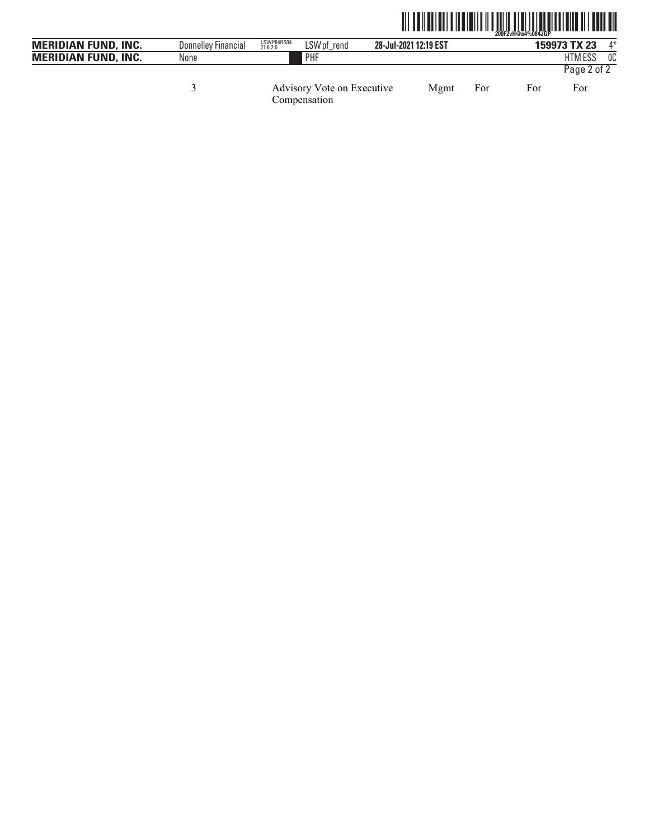

| <b>MERIDIAN FUND, INC.</b> | Donnelley Financial | LSWP64RS04<br>21.6.2.0 | LSW pf rend                                | 28-Jul-2021 12:19 EST |      |     |     | 159973 TX 23 | $4*$ |
|----------------------------|---------------------|------------------------|--------------------------------------------|-----------------------|------|-----|-----|--------------|------|
| <b>MERIDIAN FUND, INC.</b> | None                |                        | PHF                                        |                       |      |     |     | HTM ESS      | OC   |
|                            |                     |                        |                                            |                       |      |     |     | Page 2 of 2  |      |
|                            |                     |                        | Advisory Vote on Executive<br>Compensation |                       | Mgmt | For | For | For          |      |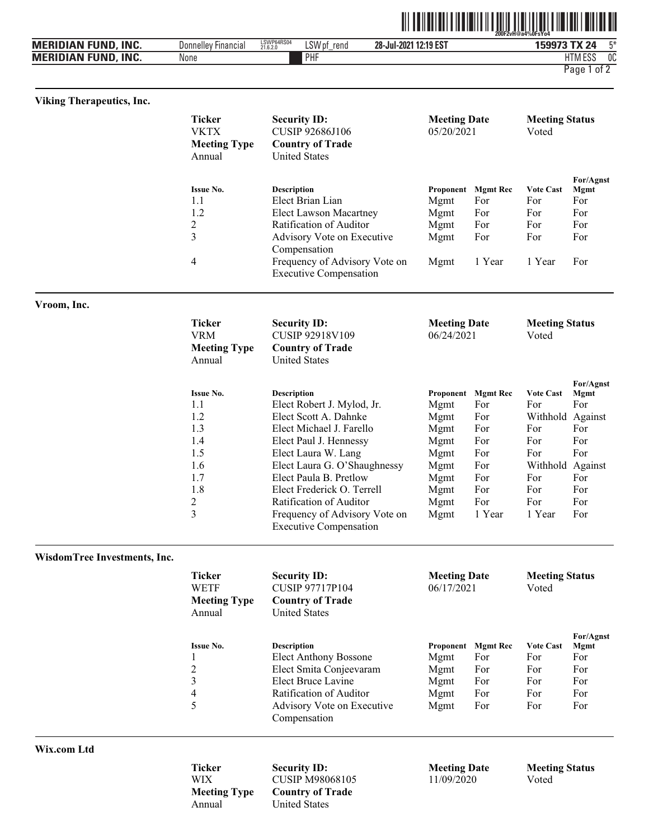| <b>MERIDIAN FUND, INC.</b>       | <b>Donnelley Financial</b>                                    | LSWP64RS04<br>21.6.2.0<br>LSW pf_rend<br>28-Jul-2021 12:19 EST                                   |                                   |                        | 159973 TX 24                   | $5^*$<br>OC                  |
|----------------------------------|---------------------------------------------------------------|--------------------------------------------------------------------------------------------------|-----------------------------------|------------------------|--------------------------------|------------------------------|
| <b>MERIDIAN FUND, INC.</b>       | None                                                          | PHF                                                                                              |                                   |                        |                                | <b>HTMESS</b><br>Page 1 of 2 |
| <b>Viking Therapeutics, Inc.</b> |                                                               |                                                                                                  |                                   |                        |                                |                              |
|                                  | <b>Ticker</b><br><b>VKTX</b><br><b>Meeting Type</b><br>Annual | <b>Security ID:</b><br>CUSIP 92686J106<br><b>Country of Trade</b><br><b>United States</b>        | <b>Meeting Date</b><br>05/20/2021 |                        | <b>Meeting Status</b><br>Voted |                              |
|                                  |                                                               |                                                                                                  |                                   |                        |                                | For/Agnst                    |
|                                  | <b>Issue No.</b><br>1.1                                       | Description                                                                                      | Proponent                         | <b>Mgmt Rec</b>        | <b>Vote Cast</b>               | <b>Mgmt</b>                  |
|                                  |                                                               | Elect Brian Lian                                                                                 | Mgmt                              | For                    | For                            | For                          |
|                                  | 1.2                                                           | <b>Elect Lawson Macartney</b>                                                                    | Mgmt                              | For                    | For                            | For                          |
|                                  | 2                                                             | Ratification of Auditor                                                                          | Mgmt                              | For                    | For                            | For                          |
|                                  | 3                                                             | Advisory Vote on Executive                                                                       | Mgmt                              | For                    | For                            | For                          |
|                                  | $\overline{4}$                                                | Compensation<br>Frequency of Advisory Vote on<br><b>Executive Compensation</b>                   | Mgmt                              | 1 Year                 | 1 Year                         | For                          |
| Vroom, Inc.                      |                                                               |                                                                                                  |                                   |                        |                                |                              |
|                                  | <b>Ticker</b>                                                 | <b>Security ID:</b>                                                                              | <b>Meeting Date</b>               |                        | <b>Meeting Status</b>          |                              |
|                                  | <b>VRM</b><br><b>Meeting Type</b><br>Annual                   | CUSIP 92918V109<br><b>Country of Trade</b><br><b>United States</b>                               | 06/24/2021                        |                        | Voted                          |                              |
|                                  |                                                               |                                                                                                  |                                   |                        |                                | For/Agnst                    |
|                                  | <b>Issue No.</b><br>1.1                                       | Description<br>Elect Robert J. Mylod, Jr.                                                        | Proponent                         | <b>Mgmt Rec</b><br>For | <b>Vote Cast</b><br>For        | <b>Mgmt</b><br>For           |
|                                  | 1.2                                                           | Elect Scott A. Dahnke                                                                            | Mgmt                              | For                    |                                |                              |
|                                  | 1.3                                                           | Elect Michael J. Farello                                                                         | Mgmt                              |                        | Withhold Against               | For                          |
|                                  | 1.4                                                           |                                                                                                  | Mgmt                              | For<br>For             | For<br>For                     | For                          |
|                                  | 1.5                                                           | Elect Paul J. Hennessy                                                                           | Mgmt                              |                        |                                | For                          |
|                                  |                                                               | Elect Laura W. Lang                                                                              | Mgmt                              | For                    | For                            |                              |
|                                  | 1.6                                                           | Elect Laura G. O'Shaughnessy                                                                     | Mgmt                              | For                    | Withhold Against               |                              |
|                                  | 1.7                                                           | Elect Paula B. Pretlow                                                                           | Mgmt                              | For                    | For                            | For                          |
|                                  | $1.8\,$                                                       | Elect Frederick O. Terrell                                                                       | Mgmt                              | For                    | For                            | For                          |
|                                  | $\overline{c}$<br>3                                           | Ratification of Auditor<br>Frequency of Advisory Vote on<br><b>Executive Compensation</b>        | Mgmt<br>Mgmt                      | For<br>1 Year          | For<br>1 Year                  | For<br>For                   |
| WisdomTree Investments, Inc.     |                                                               |                                                                                                  |                                   |                        |                                |                              |
|                                  | <b>Ticker</b><br><b>WETF</b><br><b>Meeting Type</b><br>Annual | <b>Security ID:</b><br><b>CUSIP 97717P104</b><br><b>Country of Trade</b><br><b>United States</b> | <b>Meeting Date</b><br>06/17/2021 |                        | <b>Meeting Status</b><br>Voted |                              |
|                                  | <b>Issue No.</b>                                              | <b>Description</b>                                                                               | Proponent                         | <b>Mgmt Rec</b>        | <b>Vote Cast</b>               | For/Agnst<br><b>Mgmt</b>     |
|                                  | 1                                                             | <b>Elect Anthony Bossone</b>                                                                     | Mgmt                              | For                    | For                            | For                          |
|                                  | $\overline{c}$                                                | Elect Smita Conjeevaram                                                                          | Mgmt                              | For                    | For                            | For                          |
|                                  | 3                                                             | Elect Bruce Lavine                                                                               | Mgmt                              | For                    | For                            | For                          |
|                                  | $\overline{4}$                                                | Ratification of Auditor                                                                          | Mgmt                              | For                    | For                            | For                          |
|                                  | 5                                                             | Advisory Vote on Executive<br>Compensation                                                       | Mgmt                              | For                    | For                            | For                          |
| Wix.com Ltd                      |                                                               |                                                                                                  |                                   |                        |                                |                              |
|                                  | <b>Ticker</b><br><b>WIX</b><br><b>Meeting Type</b><br>Annual  | <b>Security ID:</b><br><b>CUSIP M98068105</b><br><b>Country of Trade</b><br><b>United States</b> | <b>Meeting Date</b><br>11/09/2020 |                        | <b>Meeting Status</b><br>Voted |                              |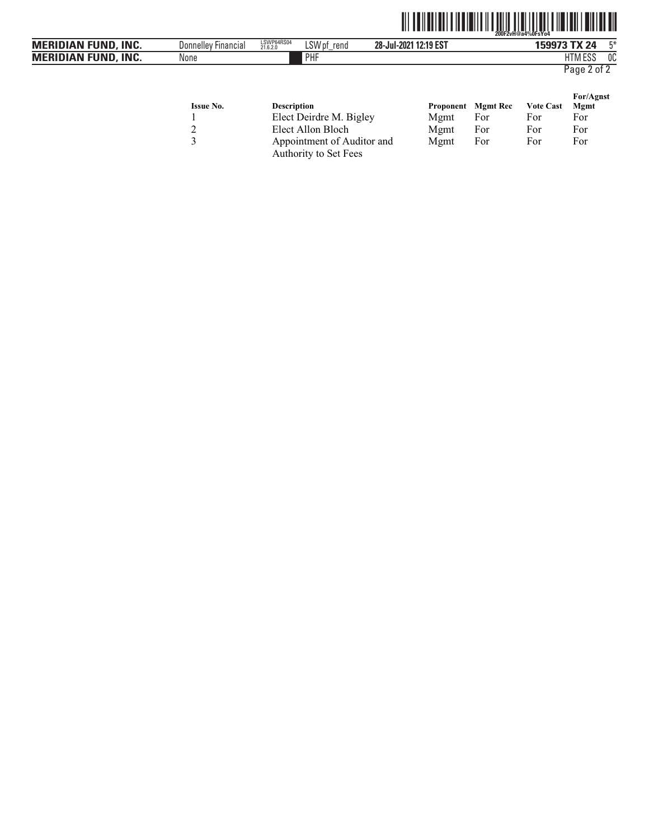

|                            |                            |                        |                            |                       |      |                           | ZUUFZVH@a4%UFSY04 |                |       |
|----------------------------|----------------------------|------------------------|----------------------------|-----------------------|------|---------------------------|-------------------|----------------|-------|
| <b>MERIDIAN FUND, INC.</b> | <b>Donnelley Financial</b> | LSWP64RS04<br>21.6.2.0 | LSW pf rend                | 28-Jul-2021 12:19 EST |      |                           | 159973 TX 24      |                | $.5*$ |
| <b>MERIDIAN FUND, INC.</b> | None                       |                        | PHF                        |                       |      |                           |                   | <b>HTM ESS</b> | 0C    |
|                            |                            |                        |                            |                       |      |                           |                   | Page 2 of 2    |       |
|                            |                            |                        |                            |                       |      |                           |                   | For/Agnst      |       |
|                            | <b>Issue No.</b>           | <b>Description</b>     |                            |                       |      | <b>Proponent</b> Mgmt Rec | <b>Vote Cast</b>  | Mgmt           |       |
|                            |                            |                        | Elect Deirdre M. Bigley    |                       | Mgmt | For                       | For               | For            |       |
|                            |                            |                        | Elect Allon Bloch          |                       | Mgmt | For                       | For               | For            |       |
|                            |                            |                        | Appointment of Auditor and |                       | Mgmt | For                       | For               | For            |       |

Authority to Set Fees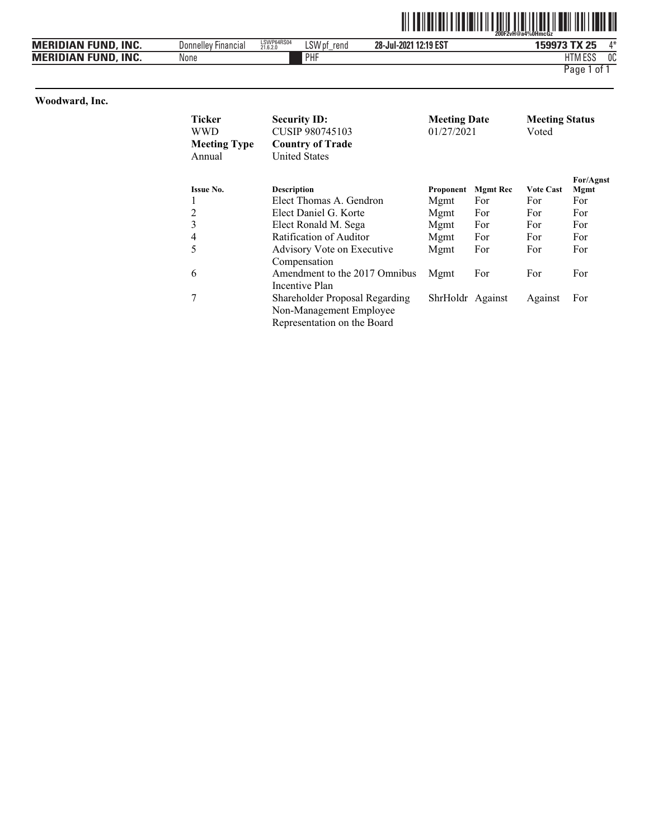| <b>MERIDIAN FUND, INC.</b> | <b>Donnelley Financial</b> | LSWP64RS04<br>21.6.2.0 | LSW pf_rend             | 28-Jul-2021 12:19 EST |                     |                 | 159973 TX 25          | $4*$          |
|----------------------------|----------------------------|------------------------|-------------------------|-----------------------|---------------------|-----------------|-----------------------|---------------|
| <b>MERIDIAN FUND, INC.</b> | None                       |                        | PHF                     |                       |                     |                 |                       | 0C<br>HTM ESS |
|                            |                            |                        |                         |                       |                     |                 |                       | Page 1 of 1   |
| Woodward, Inc.             |                            |                        |                         |                       |                     |                 |                       |               |
|                            | <b>Ticker</b>              |                        | <b>Security ID:</b>     |                       | <b>Meeting Date</b> |                 | <b>Meeting Status</b> |               |
|                            | <b>WWD</b>                 |                        | <b>CUSIP 980745103</b>  |                       | 01/27/2021          |                 | Voted                 |               |
|                            | <b>Meeting Type</b>        |                        | <b>Country of Trade</b> |                       |                     |                 |                       |               |
|                            | Annual                     |                        | <b>United States</b>    |                       |                     |                 |                       |               |
|                            |                            |                        |                         |                       |                     |                 |                       | For/Agnst     |
|                            | <b>Issue No.</b>           | <b>Description</b>     |                         |                       | Proponent           | <b>Mgmt Rec</b> | <b>Vote Cast</b>      | <b>Mgmt</b>   |
|                            |                            |                        | Elect Thomas A. Gendron |                       | Mgmt                | For             | For                   | For           |
|                            | $\overline{c}$             |                        | Elect Daniel G. Korte   |                       | Mgmt                | For             | For                   | For           |
|                            | 3                          |                        | Elect Ronald M. Sega    |                       | Mgmt                | For             | For                   | For           |
|                            | 4                          |                        | Ratification of Auditor |                       | Mgmt                | For             | For                   | For           |

Mgmt For For For

Mgmt For For For

ShrHoldr Against Against For

5 Advisory Vote on Executive Compensation

6 Amendment to the 2017 Omnibus Incentive Plan

7 Shareholder Proposal Regarding

Non-Management Employee Representation on the Board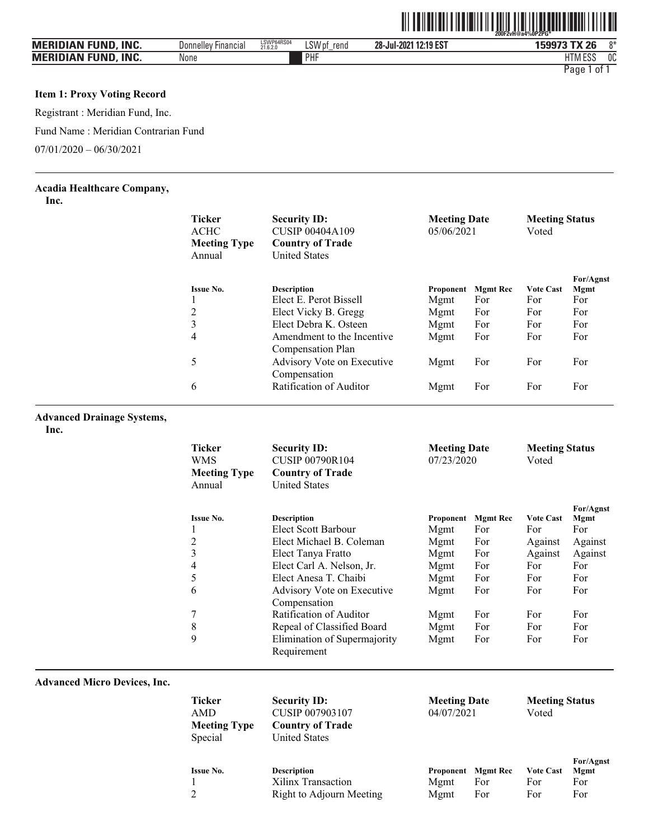|                            |                            |                        |                |                       | ║║║<br>200F2vH@a4%0P2PG*    |
|----------------------------|----------------------------|------------------------|----------------|-----------------------|-----------------------------|
| <b>MERIDIAN FUND, INC.</b> | <b>Donnelley Financial</b> | LSWP64RS04<br>21.6.2.0 | ∟SW pf<br>rend | 28-Jul-2021 12:19 EST | $8*$<br>159973 TX 26        |
| <b>MERIDIAN FUND, INC.</b> | None                       |                        | PHF            |                       | 0C<br><b>HTM ESS</b>        |
|                            |                            |                        |                |                       | . of 1<br>Page <sup>1</sup> |

# **Item 1: Proxy Voting Record**

Registrant : Meridian Fund, Inc.

Fund Name : Meridian Contrarian Fund

07/01/2020 – 06/30/2021

# **Acadia Healthcare Company,**

**Inc.**

| <b>Ticker</b><br>ACHC<br><b>Meeting Type</b><br>Annual | <b>Security ID:</b><br><b>CUSIP 00404A109</b><br><b>Country of Trade</b><br><b>United States</b> |           | <b>Meeting Date</b><br>05/06/2021 |                  | <b>Meeting Status</b><br>Voted |  |
|--------------------------------------------------------|--------------------------------------------------------------------------------------------------|-----------|-----------------------------------|------------------|--------------------------------|--|
| <b>Issue No.</b>                                       | <b>Description</b>                                                                               | Proponent | <b>Mgmt Rec</b>                   | <b>Vote Cast</b> | For/Agnst<br><b>Mgmt</b>       |  |
|                                                        | Elect E. Perot Bissell                                                                           | Mgmt      | For                               | For              | For                            |  |
| 2                                                      | Elect Vicky B. Gregg                                                                             | Mgmt      | For                               | For              | For                            |  |
| 3                                                      | Elect Debra K. Osteen                                                                            | Mgmt      | For                               | For              | For                            |  |
| $\overline{4}$                                         | Amendment to the Incentive<br>Compensation Plan                                                  | Mgmt      | For                               | For              | For                            |  |
| 5                                                      | Advisory Vote on Executive<br>Compensation                                                       | Mgmt      | For                               | For              | For                            |  |
| 6                                                      | Ratification of Auditor                                                                          | Mgmt      | For                               | For              | For                            |  |

# **Advanced Drainage Systems,**

**Inc.**

| <b>Ticker</b><br><b>Security ID:</b><br><b>CUSIP 00790R104</b><br><b>WMS</b><br><b>Country of Trade</b><br><b>Meeting Type</b><br><b>United States</b><br>Annual |                                             | <b>Meeting Date</b><br>07/23/2020 |                 | <b>Meeting Status</b><br>Voted |                          |  |
|------------------------------------------------------------------------------------------------------------------------------------------------------------------|---------------------------------------------|-----------------------------------|-----------------|--------------------------------|--------------------------|--|
| <b>Issue No.</b>                                                                                                                                                 | <b>Description</b>                          | Proponent                         | <b>Mgmt Rec</b> | <b>Vote Cast</b>               | For/Agnst<br><b>Mgmt</b> |  |
| 1                                                                                                                                                                | <b>Elect Scott Barbour</b>                  | Mgmt                              | For             | For                            | For                      |  |
| 2                                                                                                                                                                | Elect Michael B. Coleman                    | Mgmt                              | For             | Against                        | Against                  |  |
| 3                                                                                                                                                                | Elect Tanya Fratto                          | Mgmt                              | For             | Against                        | Against                  |  |
| 4                                                                                                                                                                | Elect Carl A. Nelson, Jr.                   | Mgmt                              | For             | For.                           | For                      |  |
| 5                                                                                                                                                                | Elect Anesa T. Chaibi                       | Mgmt                              | For             | For.                           | For                      |  |
| 6                                                                                                                                                                | Advisory Vote on Executive<br>Compensation  | Mgmt                              | For             | For                            | For                      |  |
| 7                                                                                                                                                                | Ratification of Auditor                     | Mgmt                              | For             | For                            | For                      |  |
| 8                                                                                                                                                                | Repeal of Classified Board                  | Mgmt                              | For             | For                            | For                      |  |
| 9                                                                                                                                                                | Elimination of Supermajority<br>Requirement | Mgmt                              | For             | For                            | For                      |  |

# **Advanced Micro Devices, Inc.**

| <b>Ticker</b>       | <b>Security ID:</b>      | <b>Meeting Date</b> |                 | <b>Meeting Status</b> |           |  |
|---------------------|--------------------------|---------------------|-----------------|-----------------------|-----------|--|
| AMD                 | CUSIP 007903107          | 04/07/2021          |                 | Voted                 |           |  |
| <b>Meeting Type</b> | <b>Country of Trade</b>  |                     |                 |                       |           |  |
| Special             | <b>United States</b>     |                     |                 |                       |           |  |
|                     |                          |                     |                 |                       | For/Agnst |  |
| <b>Issue No.</b>    | <b>Description</b>       | Proponent           | <b>Mgmt Rec</b> | <b>Vote Cast</b>      | Mgmt      |  |
|                     | Xilinx Transaction       | Mgmt                | For             | For                   | For       |  |
| 2                   | Right to Adjourn Meeting | Mgmt                | For             | For                   | For       |  |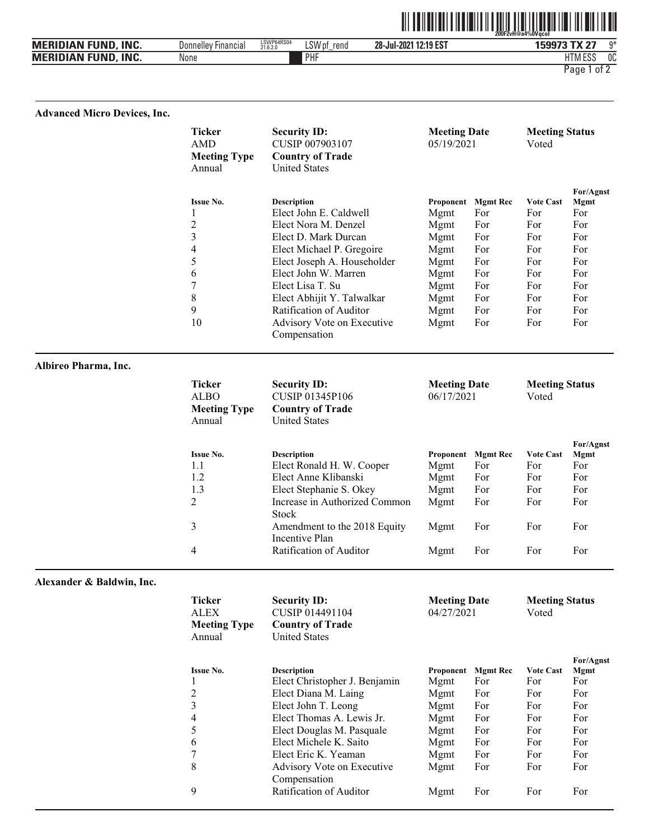|                            |                     |                        |                | <u> III TENETITI TIETEITI ILETTÄ JIETTI TENET</u> | <u>             </u><br>∭<br>200F2vH@a4%0VacoT |      |
|----------------------------|---------------------|------------------------|----------------|---------------------------------------------------|------------------------------------------------|------|
| <b>MERIDIAN FUND, INC.</b> | Donnelley Financial | LSWP64RS04<br>21.6.2.0 | LSW pf<br>rend | 28-Jul-2021 12:19 EST                             | 159973 TX 27                                   | $0*$ |
| <b>MERIDIAN FUND, INC.</b> | None                |                        | PHF            |                                                   | HTM ESS                                        | 0C   |

#### Page 1 of 2

**Albireo Pharma, Inc.**

**Alexander & Baldwin, Inc.**

| <b>Ticker</b><br><b>AMD</b><br>Annual                                                                | <b>Meeting Type</b> | <b>Security ID:</b><br>CUSIP 007903107<br><b>Country of Trade</b><br><b>United States</b>                                                                                                                                                                                                                   | <b>Meeting Date</b><br>05/19/2021                                                         |                                                                                       | <b>Meeting Status</b><br>Voted                                                         |                                                                                                |  |
|------------------------------------------------------------------------------------------------------|---------------------|-------------------------------------------------------------------------------------------------------------------------------------------------------------------------------------------------------------------------------------------------------------------------------------------------------------|-------------------------------------------------------------------------------------------|---------------------------------------------------------------------------------------|----------------------------------------------------------------------------------------|------------------------------------------------------------------------------------------------|--|
| <b>Issue No.</b><br>1<br>2<br>3<br>4<br>5<br>6<br>7<br>$8\,$<br>9<br>10                              |                     | <b>Description</b><br>Elect John E. Caldwell<br>Elect Nora M. Denzel<br>Elect D. Mark Durcan<br>Elect Michael P. Gregoire<br>Elect Joseph A. Householder<br>Elect John W. Marren<br>Elect Lisa T. Su<br>Elect Abhijit Y. Talwalkar<br>Ratification of Auditor<br>Advisory Vote on Executive<br>Compensation | Proponent<br>Mgmt<br>Mgmt<br>Mgmt<br>Mgmt<br>Mgmt<br>Mgmt<br>Mgmt<br>Mgmt<br>Mgmt<br>Mgmt | <b>Mgmt Rec</b><br>For<br>For<br>For<br>For<br>For<br>For<br>For<br>For<br>For<br>For | <b>Vote Cast</b><br>For<br>For<br>For<br>For<br>For<br>For<br>For<br>For<br>For<br>For | For/Agnst<br><b>Mgmt</b><br>For<br>For<br>For<br>For<br>For<br>For<br>For<br>For<br>For<br>For |  |
| <b>Ticker</b><br><b>ALBO</b><br>Annual                                                               | <b>Meeting Type</b> | <b>Security ID:</b><br><b>CUSIP 01345P106</b><br><b>Country of Trade</b><br><b>United States</b>                                                                                                                                                                                                            | <b>Meeting Date</b><br>06/17/2021                                                         |                                                                                       | <b>Meeting Status</b><br>Voted                                                         |                                                                                                |  |
| <b>Issue No.</b><br>1.1<br>1.2<br>1.3<br>$\overline{2}$<br>3<br>4                                    |                     | <b>Description</b><br>Elect Ronald H. W. Cooper<br>Elect Anne Klibanski<br>Elect Stephanie S. Okey<br>Increase in Authorized Common<br><b>Stock</b><br>Amendment to the 2018 Equity<br><b>Incentive Plan</b><br>Ratification of Auditor                                                                     | Proponent<br>Mgmt<br>Mgmt<br>Mgmt<br>Mgmt<br>Mgmt<br>Mgmt                                 | <b>Mgmt Rec</b><br>For<br>For<br>For<br>For<br>For<br>For                             | <b>Vote Cast</b><br>For<br>For<br>For<br>For<br>For<br>For                             | For/Agnst<br><b>Mgmt</b><br>For<br>For<br>For<br>For<br>For<br>For                             |  |
| Ticker<br><b>ALEX</b><br>Annual                                                                      | <b>Meeting Type</b> | <b>Security ID:</b><br>CUSIP 014491104<br><b>Country of Trade</b><br><b>United States</b>                                                                                                                                                                                                                   | <b>Meeting Date</b><br>04/27/2021                                                         |                                                                                       | <b>Meeting Status</b><br>Voted                                                         |                                                                                                |  |
| <b>Issue No.</b><br>1<br>$\sqrt{2}$<br>$\overline{\mathbf{3}}$<br>$\overline{4}$<br>5<br>6<br>$\tau$ |                     | <b>Description</b><br>Elect Christopher J. Benjamin<br>Elect Diana M. Laing<br>Elect John T. Leong<br>Elect Thomas A. Lewis Jr.<br>Elect Douglas M. Pasquale<br>Elect Michele K. Saito<br>Elect Eric K. Yeaman                                                                                              | Proponent<br>Mgmt<br>Mgmt<br>Mgmt<br>Mgmt<br>Mgmt<br>Mgmt<br>Mgmt                         | <b>Mgmt Rec</b><br>For<br>For<br>For<br>For<br>For<br>For<br>For                      | <b>Vote Cast</b><br>For<br>For<br>For<br>For<br>For<br>For<br>For                      | For/Agnst<br><b>Mgmt</b><br>For<br>For<br>For<br>For<br>For<br>For<br>For                      |  |

|                  |                               |           |                 |                  | For/Agnst   |
|------------------|-------------------------------|-----------|-----------------|------------------|-------------|
| <b>Issue No.</b> | <b>Description</b>            | Proponent | <b>Mgmt Rec</b> | <b>Vote Cast</b> | <b>Mgmt</b> |
| 1                | Elect Christopher J. Benjamin | Mgmt      | For             | For              | For         |
| 2                | Elect Diana M. Laing          | Mgmt      | For             | For              | For         |
| 3                | Elect John T. Leong           | Mgmt      | For             | For              | For         |
| $\overline{4}$   | Elect Thomas A. Lewis Jr.     | Mgmt      | For             | For              | For         |
| 5                | Elect Douglas M. Pasquale     | Mgmt      | For             | For              | For         |
| 6                | Elect Michele K. Saito        | Mgmt      | For             | For              | For         |
| 7                | Elect Eric K. Yeaman          | Mgmt      | For             | For              | For         |
| 8                | Advisory Vote on Executive    | Mgmt      | For             | For              | For         |
|                  | Compensation                  |           |                 |                  |             |
| 9                | Ratification of Auditor       | Mgmt      | For             | For              | For         |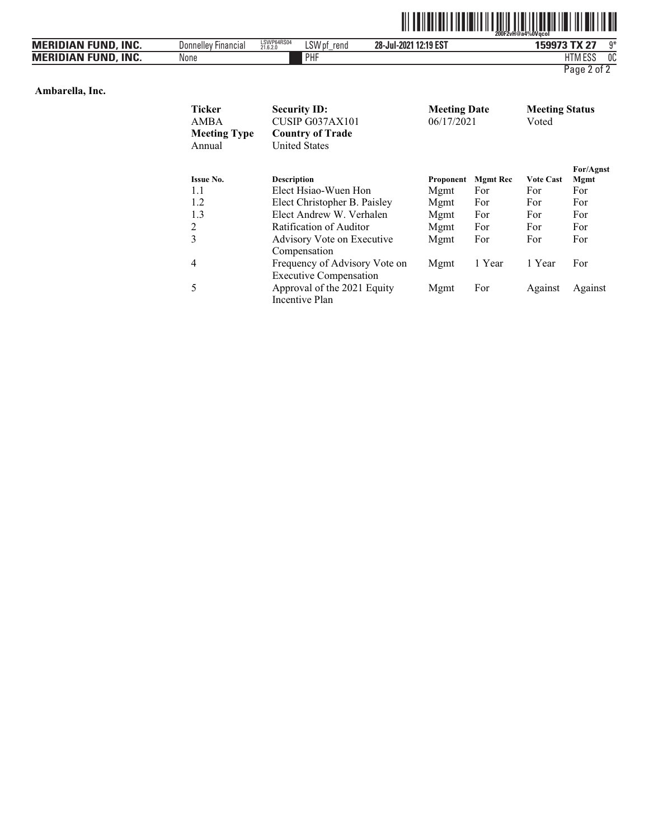

| INC.<br><b>MERIDIAN FUND,</b> | Financial<br>Donnelley | LSWP64RS04<br>21.6.2.0 | LSW pf<br>rend | 12:19 EST<br>28-Jul-2021 | 150072 $TV$ 27<br>133373 | 0* |
|-------------------------------|------------------------|------------------------|----------------|--------------------------|--------------------------|----|
| <b>MERIDIAN FUND,</b><br>INC. | None                   |                        | PHF            |                          | $F^{\alpha}$<br>HIM ESS  | 0C |
|                               |                        |                        |                |                          | ot 2<br>Page             |    |

# **Ambarella, Inc.**

| <b>Ticker</b><br><b>AMBA</b><br><b>Meeting Type</b><br>Annual | <b>Security ID:</b><br>CUSIP G037AX101<br><b>Country of Trade</b><br><b>United States</b> | <b>Meeting Date</b><br>06/17/2021 |                 | <b>Meeting Status</b><br>Voted |                   |
|---------------------------------------------------------------|-------------------------------------------------------------------------------------------|-----------------------------------|-----------------|--------------------------------|-------------------|
| <b>Issue No.</b>                                              | <b>Description</b>                                                                        | Proponent                         | <b>Mgmt Rec</b> | <b>Vote Cast</b>               | For/Agnst<br>Mgmt |
| 1.1                                                           | Elect Hsiao-Wuen Hon                                                                      | Mgmt                              | For             | For                            | For               |
| 1.2                                                           | Elect Christopher B. Paisley                                                              | Mgmt                              | For             | For                            | For               |
| 1.3                                                           | Elect Andrew W. Verhalen                                                                  | Mgmt                              | For             | For                            | For               |
| 2                                                             | Ratification of Auditor                                                                   | Mgmt                              | For             | For                            | For               |
| 3                                                             | Advisory Vote on Executive<br>Compensation                                                | Mgmt                              | For             | For                            | For               |
| 4                                                             | Frequency of Advisory Vote on<br><b>Executive Compensation</b>                            | Mgmt                              | 1 Year          | 1 Year                         | For               |
| 5                                                             | Approval of the 2021 Equity<br>Incentive Plan                                             | Mgmt                              | For             | Against                        | Against           |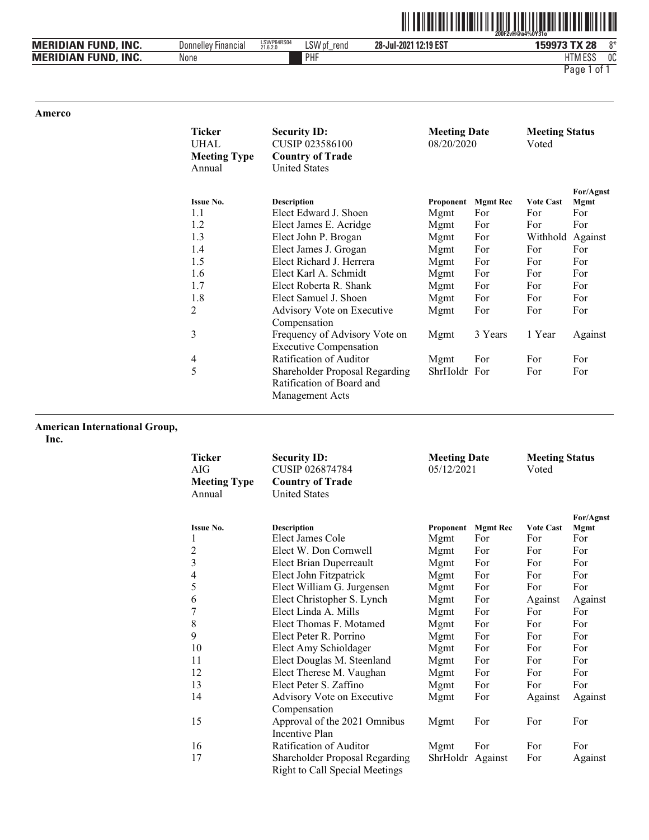|                                 |                     |                        |                |                       | <u> 111   111   111   111   112   111   111   111   111   111   111   111   111   11</u><br>200F2vH@a4%0Y31o | ║║║ |
|---------------------------------|---------------------|------------------------|----------------|-----------------------|--------------------------------------------------------------------------------------------------------------|-----|
| <b>MERIDIAN FUND,</b><br>. INC. | Donnelley Financial | LSWP64RS04<br>21.6.2.0 | LSW pf<br>rend | 28-Jul-2021 12:19 EST | 159973 TX 28                                                                                                 | 0*  |
| <b>MERIDIAN FUND, INC.</b>      | None                |                        | PHF            |                       | HTM ESS                                                                                                      | 0C  |

#### Page 1 of 1

#### **Amerco**

| <b>Ticker</b><br><b>UHAL</b><br><b>Meeting Type</b><br>Annual | <b>Security ID:</b><br>CUSIP 023586100<br><b>Country of Trade</b><br><b>United States</b>    | <b>Meeting Date</b><br>08/20/2020 |                 | <b>Meeting Status</b><br>Voted |                   |
|---------------------------------------------------------------|----------------------------------------------------------------------------------------------|-----------------------------------|-----------------|--------------------------------|-------------------|
| <b>Issue No.</b>                                              | <b>Description</b>                                                                           | Proponent                         | <b>Mgmt Rec</b> | <b>Vote Cast</b>               | For/Agnst<br>Mgmt |
| 1.1                                                           | Elect Edward J. Shoen                                                                        | Mgmt                              | For             | For                            | For               |
| 1.2                                                           | Elect James E. Acridge                                                                       | Mgmt                              | For             | For                            | For               |
| 1.3                                                           | Elect John P. Brogan                                                                         | Mgmt                              | For             | Withhold                       | Against           |
| 1.4                                                           | Elect James J. Grogan                                                                        | Mgmt                              | For             | For                            | For               |
| 1.5                                                           | Elect Richard J. Herrera                                                                     | Mgmt                              | For             | For                            | For               |
| 1.6                                                           | Elect Karl A. Schmidt                                                                        | Mgmt                              | For             | For                            | For               |
| 1.7                                                           | Elect Roberta R. Shank                                                                       | Mgmt                              | For             | For                            | For               |
| 1.8                                                           | Elect Samuel J. Shoen                                                                        | Mgmt                              | For             | For                            | For               |
| $\overline{2}$                                                | Advisory Vote on Executive<br>Compensation                                                   | Mgmt                              | For             | For                            | For               |
| 3                                                             | Frequency of Advisory Vote on<br><b>Executive Compensation</b>                               | Mgmt                              | 3 Years         | 1 Year                         | Against           |
| 4                                                             | Ratification of Auditor                                                                      | Mgmt                              | For             | For                            | For               |
| 5                                                             | <b>Shareholder Proposal Regarding</b><br>Ratification of Board and<br><b>Management Acts</b> | ShrHoldr For                      |                 | For                            | For               |

#### **American International Group, Inc.**

| Ticker<br>AIG<br><b>Meeting Type</b><br>Annual | <b>Security ID:</b><br>CUSIP 026874784<br><b>Country of Trade</b><br><b>United States</b> | <b>Meeting Date</b><br>05/12/2021 |                 | <b>Meeting Status</b><br>Voted |                   |  |
|------------------------------------------------|-------------------------------------------------------------------------------------------|-----------------------------------|-----------------|--------------------------------|-------------------|--|
| <b>Issue No.</b>                               | <b>Description</b>                                                                        | Proponent                         | <b>Mgmt Rec</b> | <b>Vote Cast</b>               | For/Agnst<br>Mgmt |  |
| 1                                              | Elect James Cole                                                                          | Mgmt                              | For             | For                            | For               |  |
| 2                                              | Elect W. Don Cornwell                                                                     | Mgmt                              | For             | For                            | For               |  |
| 3                                              | <b>Elect Brian Duperreault</b>                                                            | Mgmt                              | For             | For                            | For               |  |
| 4                                              | Elect John Fitzpatrick                                                                    | Mgmt                              | For             | For                            | For               |  |
| 5                                              | Elect William G. Jurgensen                                                                | Mgmt                              | For             | For                            | For               |  |
| 6                                              | Elect Christopher S. Lynch                                                                | Mgmt                              | For             | Against                        | Against           |  |
| 7                                              | Elect Linda A. Mills                                                                      | Mgmt                              | For             | For                            | For               |  |
| 8                                              | Elect Thomas F. Motamed                                                                   | Mgmt                              | For             | For                            | For               |  |
| 9                                              | Elect Peter R. Porrino                                                                    | Mgmt                              | For             | For                            | For               |  |
| 10                                             | Elect Amy Schioldager                                                                     | Mgmt                              | For             | For                            | For               |  |
| 11                                             | Elect Douglas M. Steenland                                                                | Mgmt                              | For             | For                            | For               |  |
| 12                                             | Elect Therese M. Vaughan                                                                  | Mgmt                              | For             | For                            | For               |  |
| 13                                             | Elect Peter S. Zaffino                                                                    | Mgmt                              | For             | For                            | For               |  |
| 14                                             | Advisory Vote on Executive<br>Compensation                                                | Mgmt                              | For             | Against                        | Against           |  |
| 15                                             | Approval of the 2021 Omnibus<br>Incentive Plan                                            | Mgmt                              | For             | For                            | For               |  |
| 16                                             | Ratification of Auditor                                                                   | Mgmt                              | For             | For                            | For               |  |
| 17                                             | Shareholder Proposal Regarding<br><b>Right to Call Special Meetings</b>                   | ShrHoldr                          | Against         | For                            | Against           |  |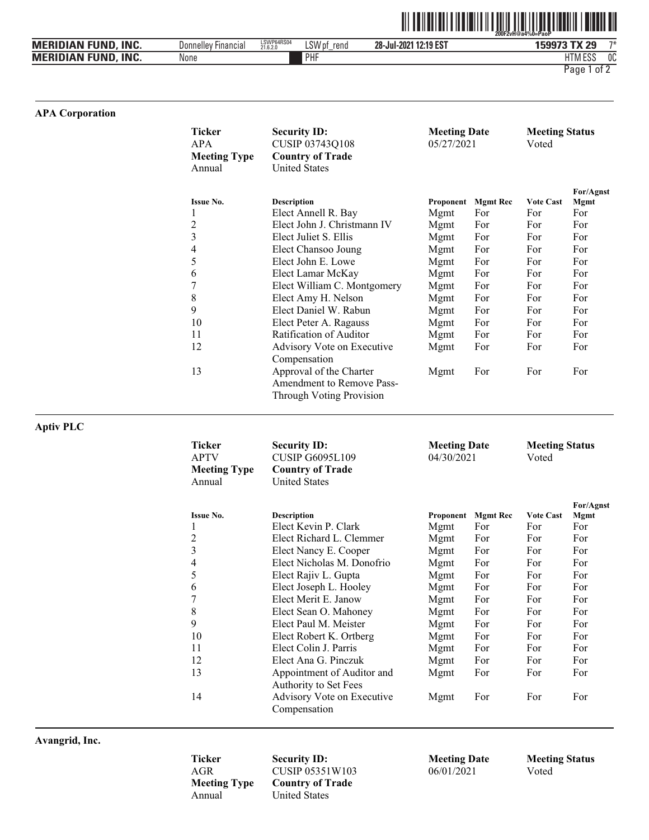|                               |                            |                        |                |                       | 200F2vH@a4%0=PaoP | <b>TITUL III</b> |
|-------------------------------|----------------------------|------------------------|----------------|-----------------------|-------------------|------------------|
| <b>MERIDIAN FUND,</b><br>INC. | <b>Donnelley Financial</b> | LSWP64RS04<br>21.6.2.0 | LSW pf<br>rend | 28-Jul-2021 12:19 EST | 159973 TX 29      | $7*$             |
| <b>MERIDIAN FUND,</b><br>NC.  | None                       |                        | PHF            |                       | <b>HTM ESS</b>    | 0C               |

# **APA Corporation**

| <b>Ticker</b><br><b>APA</b><br><b>Meeting Type</b><br>Annual                            | <b>Security ID:</b><br>CUSIP 03743Q108<br><b>Country of Trade</b><br><b>United States</b>                                                                                                                                                                                                                                                             | <b>Meeting Date</b><br>05/27/2021                                                                         |                                                                                                     | <b>Meeting Status</b><br>Voted                                                                       |                                                                                                              |  |
|-----------------------------------------------------------------------------------------|-------------------------------------------------------------------------------------------------------------------------------------------------------------------------------------------------------------------------------------------------------------------------------------------------------------------------------------------------------|-----------------------------------------------------------------------------------------------------------|-----------------------------------------------------------------------------------------------------|------------------------------------------------------------------------------------------------------|--------------------------------------------------------------------------------------------------------------|--|
| <b>Issue No.</b><br>1<br>$\overline{2}$<br>3<br>4<br>5<br>6<br>8<br>9<br>10<br>11<br>12 | <b>Description</b><br>Elect Annell R. Bay<br>Elect John J. Christmann IV<br>Elect Juliet S. Ellis<br>Elect Chansoo Joung<br>Elect John E. Lowe<br>Elect Lamar McKay<br>Elect William C. Montgomery<br>Elect Amy H. Nelson<br>Elect Daniel W. Rabun<br>Elect Peter A. Ragauss<br>Ratification of Auditor<br>Advisory Vote on Executive<br>Compensation | Proponent<br>Mgmt<br>Mgmt<br>Mgmt<br>Mgmt<br>Mgmt<br>Mgmt<br>Mgmt<br>Mgmt<br>Mgmt<br>Mgmt<br>Mgmt<br>Mgmt | <b>Mgmt Rec</b><br>For<br>For<br>For<br>For<br>For<br>For<br>For<br>For<br>For<br>For<br>For<br>For | <b>Vote Cast</b><br>For<br>For<br>For<br>For<br>For<br>For<br>For<br>For<br>For<br>For<br>For<br>For | For/Agnst<br><b>Mgmt</b><br>For<br>For<br>For<br>For<br>For<br>For<br>For<br>For<br>For<br>For<br>For<br>For |  |
| 13                                                                                      | Approval of the Charter<br><b>Amendment to Remove Pass-</b><br>Through Voting Provision                                                                                                                                                                                                                                                               | Mgmt                                                                                                      | For                                                                                                 | For                                                                                                  | For                                                                                                          |  |

**Aptiv PLC**

| <b>Ticker</b><br><b>APTV</b><br><b>Meeting Type</b><br>Annual | <b>Security ID:</b><br><b>CUSIP G6095L109</b><br><b>Country of Trade</b><br><b>United States</b> | <b>Meeting Date</b><br>04/30/2021 |                 | <b>Meeting Status</b><br>Voted |                          |  |
|---------------------------------------------------------------|--------------------------------------------------------------------------------------------------|-----------------------------------|-----------------|--------------------------------|--------------------------|--|
| Issue No.                                                     | <b>Description</b>                                                                               | Proponent                         | <b>Mgmt Rec</b> | <b>Vote Cast</b>               | For/Agnst<br><b>Mgmt</b> |  |
| 1                                                             | Elect Kevin P. Clark<br>Elect Richard L. Clemmer                                                 | Mgmt                              | For<br>For      | For<br>For                     | For<br>For               |  |
| 2<br>3                                                        | Elect Nancy E. Cooper                                                                            | Mgmt<br>Mgmt                      | For             | For                            | For                      |  |
| 4                                                             | Elect Nicholas M. Donofrio                                                                       | Mgmt                              | For             | For                            | For                      |  |
| 5                                                             | Elect Rajiv L. Gupta                                                                             | Mgmt                              | For             | For                            | For                      |  |
| 6                                                             | Elect Joseph L. Hooley                                                                           | Mgmt                              | For             | For                            | For                      |  |
|                                                               | Elect Merit E. Janow                                                                             | Mgmt                              | For             | For                            | For                      |  |
| 8                                                             | Elect Sean O. Mahoney                                                                            | Mgmt                              | For             | For                            | For                      |  |
| 9                                                             | Elect Paul M. Meister                                                                            | Mgmt                              | For             | For                            | For                      |  |
| 10                                                            | Elect Robert K. Ortberg                                                                          | Mgmt                              | For             | For                            | For                      |  |
| 11                                                            | Elect Colin J. Parris                                                                            | Mgmt                              | For             | For                            | For                      |  |
| 12                                                            | Elect Ana G. Pinczuk                                                                             | Mgmt                              | For             | For                            | For                      |  |
| 13                                                            | Appointment of Auditor and<br>Authority to Set Fees                                              | Mgmt                              | For             | For                            | For                      |  |
| 14                                                            | Advisory Vote on Executive<br>Compensation                                                       | Mgmt                              | For             | For                            | For                      |  |

**Avangrid, Inc.**

**Ticker Security ID: Meeting Date Meeting Status**<br>AGR CUSIP 05351W103 06/01/2021 Voted AGR CUSIP 05351W103<br>Meeting Type Country of Trade **Meeting Type Country of Trade**<br>Annual United States United States

Page 1 of 2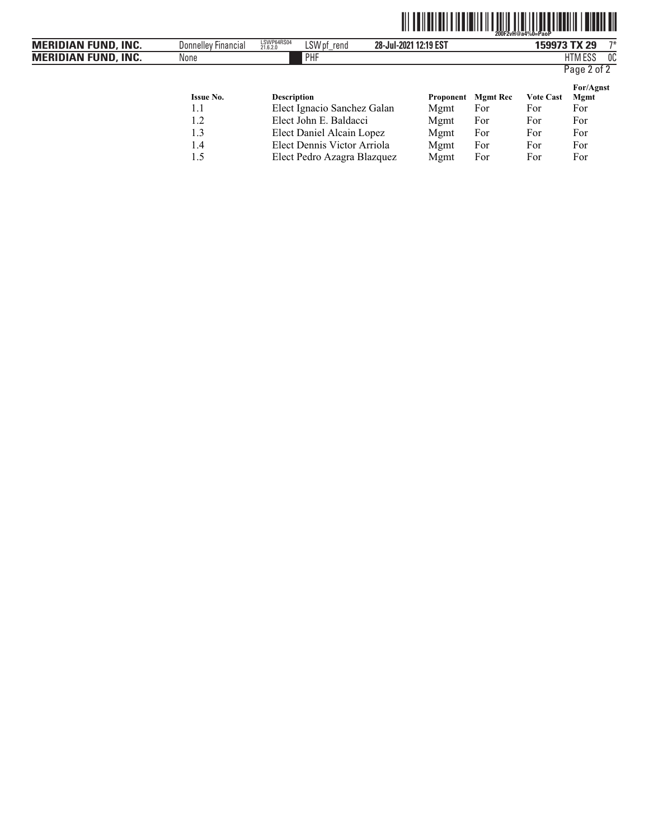

|                            |                     |                        |                             |                       |           |                 | ZUUFZVH@a4%U=PaoP |                      |
|----------------------------|---------------------|------------------------|-----------------------------|-----------------------|-----------|-----------------|-------------------|----------------------|
| <b>MERIDIAN FUND, INC.</b> | Donnelley Financial | LSWP64RS04<br>21.6.2.0 | LSW pf rend                 | 28-Jul-2021 12:19 EST |           |                 |                   | $7*$<br>159973 TX 29 |
| <b>MERIDIAN FUND, INC.</b> | None                |                        | PHF                         |                       |           |                 |                   | 0C<br><b>HTM ESS</b> |
|                            |                     |                        |                             |                       |           |                 |                   | Page 2 of 2          |
|                            |                     |                        |                             |                       |           |                 |                   | For/Agnst            |
|                            | <b>Issue No.</b>    | <b>Description</b>     |                             |                       | Proponent | <b>Mgmt Rec</b> | <b>Vote Cast</b>  | Mgmt                 |
|                            | 1.1                 |                        | Elect Ignacio Sanchez Galan |                       | Mgmt      | For             | For               | For                  |
|                            | 1.2                 |                        | Elect John E. Baldacci      |                       | Mgmt      | For             | For               | For                  |
|                            | 1.3                 |                        | Elect Daniel Alcain Lopez   |                       | Mgmt      | For             | For               | For                  |
|                            | 1.4                 |                        | Elect Dennis Victor Arriola |                       | Mgmt      | For             | For               | For                  |
|                            | 1.5                 |                        | Elect Pedro Azagra Blazquez |                       | Mgmt      | For             | For               | For                  |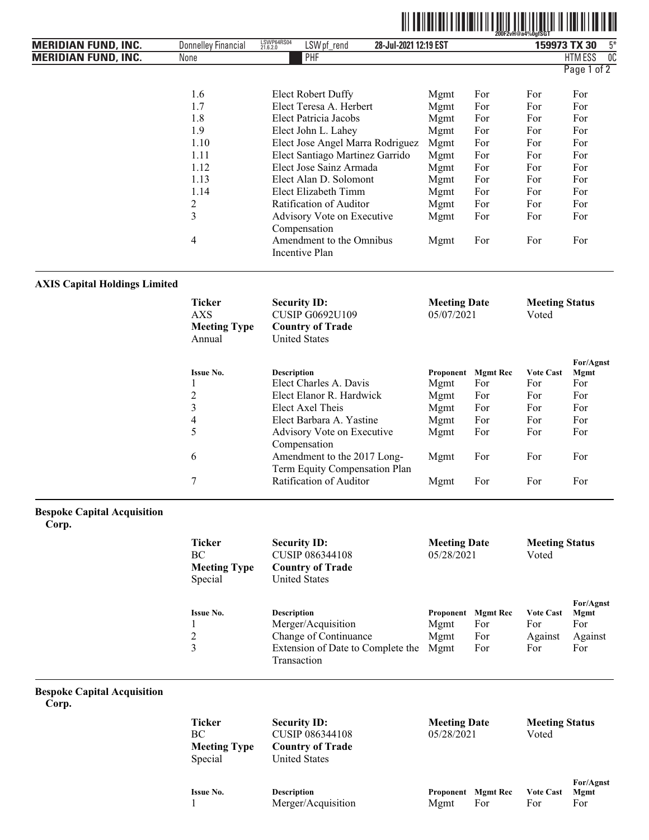

| <b>MERIDIAN FUND, INC.</b>                  | <b>Donnelley Financial</b> | LSWP64RS04<br>21.6.2.0<br>LSW pf_rend<br>28-Jul-2021 12:19 EST |                     |                 | 200F2vH@a4%0gfSGT<br>159973 TX 30 |                          |
|---------------------------------------------|----------------------------|----------------------------------------------------------------|---------------------|-----------------|-----------------------------------|--------------------------|
| <b>MERIDIAN FUND, INC.</b>                  | None                       | PHF                                                            |                     |                 |                                   | HTM ESS<br>OC            |
|                                             |                            |                                                                |                     |                 |                                   | Page 1 of 2              |
|                                             | 1.6                        | <b>Elect Robert Duffy</b>                                      | Mgmt                | For             | For                               | For                      |
|                                             | 1.7                        | Elect Teresa A. Herbert                                        | Mgmt                | For             | For                               | For                      |
|                                             | 1.8                        | Elect Patricia Jacobs                                          | Mgmt                | For             | For                               | For                      |
|                                             | 1.9                        | Elect John L. Lahey                                            | Mgmt                | For             | For                               | For                      |
|                                             | 1.10                       | Elect Jose Angel Marra Rodriguez                               | Mgmt                | For             | For                               | For                      |
|                                             | 1.11                       | Elect Santiago Martinez Garrido                                | Mgmt                | For             | For                               | For                      |
|                                             | 1.12                       | Elect Jose Sainz Armada                                        | Mgmt                | For             | For                               | For                      |
|                                             | 1.13                       | Elect Alan D. Solomont                                         | Mgmt                | For             | For                               | For                      |
|                                             | 1.14                       | Elect Elizabeth Timm                                           | Mgmt                | For             | For                               | For                      |
|                                             | 2                          | Ratification of Auditor                                        | Mgmt                | For             | For                               | For                      |
|                                             | 3                          |                                                                | Mgmt                | For             | For                               | For                      |
|                                             |                            | Advisory Vote on Executive                                     |                     |                 |                                   |                          |
|                                             |                            | Compensation                                                   |                     |                 |                                   |                          |
|                                             | 4                          | Amendment to the Omnibus<br>Incentive Plan                     | Mgmt                | For             | For                               | For                      |
| <b>AXIS Capital Holdings Limited</b>        |                            |                                                                |                     |                 |                                   |                          |
|                                             | <b>Ticker</b>              | <b>Security ID:</b>                                            | <b>Meeting Date</b> |                 | <b>Meeting Status</b>             |                          |
|                                             | <b>AXS</b>                 | <b>CUSIP G0692U109</b>                                         | 05/07/2021          |                 | Voted                             |                          |
|                                             |                            |                                                                |                     |                 |                                   |                          |
|                                             | <b>Meeting Type</b>        | <b>Country of Trade</b>                                        |                     |                 |                                   |                          |
|                                             | Annual                     | <b>United States</b>                                           |                     |                 |                                   |                          |
|                                             |                            |                                                                |                     |                 |                                   | For/Agnst                |
|                                             | <b>Issue No.</b>           | <b>Description</b>                                             | Proponent           | <b>Mgmt Rec</b> | <b>Vote Cast</b>                  | <b>Mgmt</b>              |
|                                             | 1                          | Elect Charles A. Davis                                         | Mgmt                | For             | For                               | For                      |
|                                             | $\overline{2}$             | Elect Elanor R. Hardwick                                       | Mgmt                | For             | For                               | For                      |
|                                             | 3                          | Elect Axel Theis                                               | Mgmt                | For             | For                               | For                      |
|                                             | 4                          | Elect Barbara A. Yastine                                       | Mgmt                | For             | For                               | For                      |
|                                             | 5                          | Advisory Vote on Executive                                     | Mgmt                | For             | For                               | For                      |
|                                             |                            | Compensation                                                   |                     |                 |                                   |                          |
|                                             | 6                          | Amendment to the 2017 Long-                                    |                     |                 |                                   |                          |
|                                             |                            | Term Equity Compensation Plan                                  | Mgmt                | For             | For                               | For                      |
|                                             |                            | Ratification of Auditor                                        |                     |                 |                                   |                          |
|                                             | 7                          |                                                                | Mgmt                | For             | For                               | For                      |
| <b>Bespoke Capital Acquisition</b><br>Corp. |                            |                                                                |                     |                 |                                   |                          |
|                                             | <b>Ticker</b>              | <b>Security ID:</b>                                            | <b>Meeting Date</b> |                 | <b>Meeting Status</b>             |                          |
|                                             | BC                         | CUSIP 086344108                                                | 05/28/2021          |                 | Voted                             |                          |
|                                             | <b>Meeting Type</b>        | <b>Country of Trade</b>                                        |                     |                 |                                   |                          |
|                                             | Special                    | <b>United States</b>                                           |                     |                 |                                   |                          |
|                                             |                            |                                                                |                     |                 |                                   |                          |
|                                             | <b>Issue No.</b>           | <b>Description</b>                                             | Proponent           | <b>Mgmt Rec</b> | <b>Vote Cast</b>                  | For/Agnst<br><b>Mgmt</b> |
|                                             | 1                          | Merger/Acquisition                                             | Mgmt                | For             | For                               | For                      |
|                                             | $\overline{c}$             | Change of Continuance                                          | Mgmt                | For             | Against                           | Against                  |
|                                             | 3                          | Extension of Date to Complete the                              | Mgmt                | For             | For                               | For                      |
|                                             |                            | Transaction                                                    |                     |                 |                                   |                          |
| <b>Bespoke Capital Acquisition</b><br>Corp. |                            |                                                                |                     |                 |                                   |                          |
|                                             | <b>Ticker</b>              | <b>Security ID:</b>                                            | <b>Meeting Date</b> |                 | <b>Meeting Status</b>             |                          |
|                                             | BC                         | <b>CUSIP 086344108</b>                                         | 05/28/2021          |                 | Voted                             |                          |
|                                             | <b>Meeting Type</b>        | <b>Country of Trade</b>                                        |                     |                 |                                   |                          |
|                                             | Special                    | <b>United States</b>                                           |                     |                 |                                   |                          |
|                                             |                            |                                                                |                     |                 |                                   |                          |

| Issue No. | <b>Description</b> |      | Proponent Mgmt Rec | Vote Cast Mgmt | For/Agnst |
|-----------|--------------------|------|--------------------|----------------|-----------|
|           | Merger/Acquisition | Mgmt | - For              | For            | For       |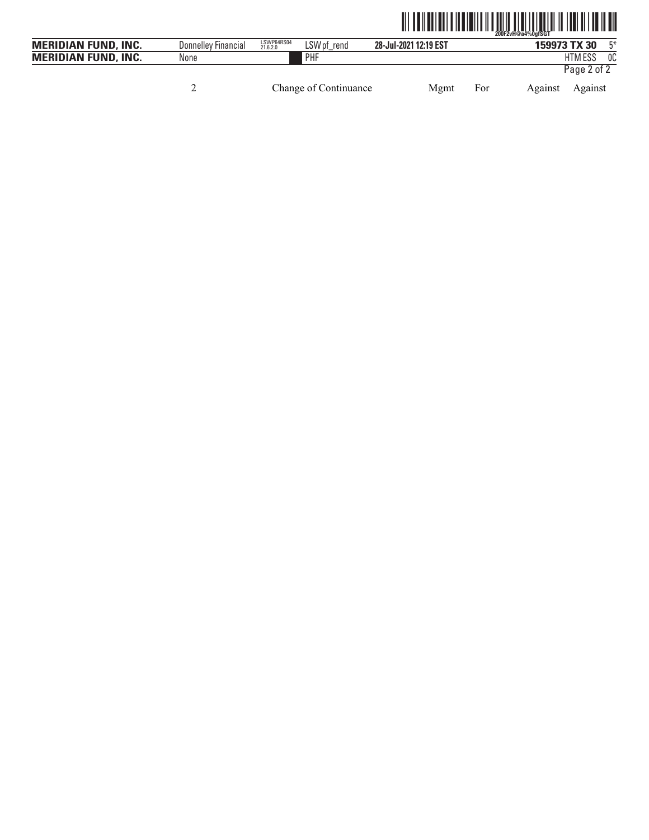

| <b>MERIDIAN FUND, INC.</b> | <b>Donnelley Financial</b> | LSWP64RS04<br>21.6.2.0 | LSW pf rend           | 28-Jul-2021 12:19 EST |     |         | 159973 TX 30           | -5* |
|----------------------------|----------------------------|------------------------|-----------------------|-----------------------|-----|---------|------------------------|-----|
| <b>MERIDIAN FUND, INC.</b> | None                       |                        | PHF                   |                       |     |         | <b>HTM ESS</b>         | 0C  |
|                            |                            |                        | Change of Continuance | Mgmt                  | For | Against | Page 2 of 2<br>Against |     |
|                            |                            |                        |                       |                       |     |         |                        |     |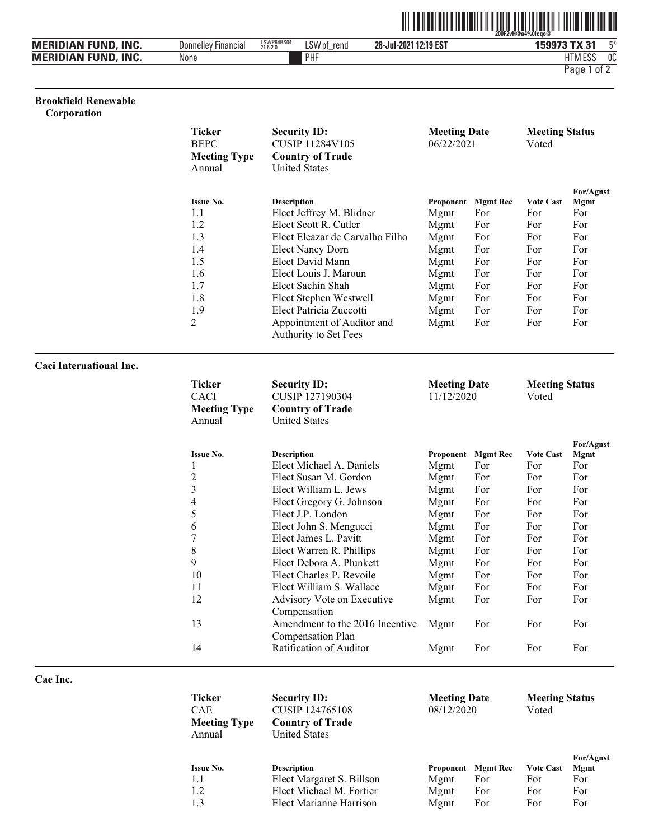|                                                          |                                                               | 28-Jul-2021 12:19 EST                                                                            |                                   |                           | 200F2vH@a4%0lcqo@<br>159973 TX 31 |                    |
|----------------------------------------------------------|---------------------------------------------------------------|--------------------------------------------------------------------------------------------------|-----------------------------------|---------------------------|-----------------------------------|--------------------|
| <b>MERIDIAN FUND, INC.</b><br><b>MERIDIAN FUND, INC.</b> | <b>Donnelley Financial</b><br>None                            | LSWP64RS04<br>21.6.2.0<br>LSW pf_rend<br>PHF                                                     |                                   |                           |                                   | <b>HTM ESS</b>     |
|                                                          |                                                               |                                                                                                  |                                   |                           |                                   | Page 1 of 2        |
| <b>Brookfield Renewable</b><br>Corporation               |                                                               |                                                                                                  |                                   |                           |                                   |                    |
|                                                          | <b>Ticker</b><br><b>BEPC</b><br><b>Meeting Type</b><br>Annual | <b>Security ID:</b><br><b>CUSIP 11284V105</b><br><b>Country of Trade</b><br><b>United States</b> | <b>Meeting Date</b><br>06/22/2021 |                           | <b>Meeting Status</b><br>Voted    |                    |
|                                                          | <b>Issue No.</b>                                              | <b>Description</b>                                                                               |                                   |                           | <b>Vote Cast</b>                  | For/Agnst          |
|                                                          | 1.1                                                           | Elect Jeffrey M. Blidner                                                                         | Mgmt                              | Proponent Mgmt Rec<br>For | For                               | <b>Mgmt</b><br>For |
|                                                          | 1.2                                                           | Elect Scott R. Cutler                                                                            | Mgmt                              | For                       | For                               | For                |
|                                                          | 1.3                                                           | Elect Eleazar de Carvalho Filho                                                                  |                                   | For                       | For                               | For                |
|                                                          | 1.4                                                           |                                                                                                  | Mgmt                              |                           |                                   |                    |
|                                                          | 1.5                                                           | <b>Elect Nancy Dorn</b><br>Elect David Mann                                                      | Mgmt                              | For                       | For                               | For<br>For         |
|                                                          |                                                               |                                                                                                  | Mgmt                              | For                       | For                               |                    |
|                                                          | 1.6                                                           | Elect Louis J. Maroun                                                                            | Mgmt                              | For                       | For                               | For                |
|                                                          | 1.7                                                           | Elect Sachin Shah                                                                                | Mgmt                              | For                       | For                               | For                |
|                                                          | 1.8                                                           | Elect Stephen Westwell                                                                           | Mgmt                              | For                       | For                               | For                |
|                                                          | 1.9                                                           | Elect Patricia Zuccotti                                                                          | Mgmt                              | For                       | For                               | For                |
|                                                          | $\overline{2}$                                                | Appointment of Auditor and<br>Authority to Set Fees                                              | Mgmt                              | For                       | For                               | For                |
| Caci International Inc.                                  |                                                               |                                                                                                  |                                   |                           |                                   |                    |
|                                                          | <b>Ticker</b><br><b>CACI</b><br><b>Meeting Type</b>           | <b>Security ID:</b><br>CUSIP 127190304<br><b>Country of Trade</b>                                | <b>Meeting Date</b><br>11/12/2020 |                           | <b>Meeting Status</b><br>Voted    |                    |
|                                                          | Annual                                                        | <b>United States</b>                                                                             |                                   |                           |                                   |                    |
|                                                          |                                                               |                                                                                                  |                                   |                           |                                   | For/Agnst          |
|                                                          | <b>Issue No.</b>                                              | Description<br>Elect Michael A. Daniels                                                          | Proponent                         | <b>Mgmt Rec</b>           | <b>Vote Cast</b>                  | <b>Mgmt</b><br>For |
|                                                          | 1                                                             |                                                                                                  | Mgmt                              | For<br>For                | For                               |                    |
|                                                          | 2                                                             | Elect Susan M. Gordon                                                                            | Mgmt                              |                           | For                               | For                |
|                                                          | 3                                                             | Elect William L. Jews                                                                            | Mgmt                              | For                       | For                               | For                |
|                                                          | 4                                                             | Elect Gregory G. Johnson                                                                         | Mgmt                              | For                       | For                               | For                |
|                                                          | 5                                                             | Elect J.P. London                                                                                | Mgmt                              | For                       | For                               | For                |
|                                                          | 6                                                             | Elect John S. Mengucci                                                                           | Mgmt                              | For                       | For                               | For                |
|                                                          | 7                                                             | Elect James L. Pavitt                                                                            | Mgmt                              | For                       | For                               | For                |
|                                                          | $\,8$                                                         | Elect Warren R. Phillips                                                                         | Mgmt                              | For                       | For                               | For                |
|                                                          | 9                                                             | Elect Debora A. Plunkett                                                                         | Mgmt                              | For                       | For                               | For                |
|                                                          | 10                                                            | Elect Charles P. Revoile                                                                         | Mgmt                              | For                       | For                               | For                |
|                                                          | 11                                                            | Elect William S. Wallace                                                                         | Mgmt                              | For                       | For                               | For                |
|                                                          | 12                                                            | Advisory Vote on Executive<br>Compensation                                                       | Mgmt                              | For                       | For                               | For                |
|                                                          | 13                                                            | Amendment to the 2016 Incentive<br>Compensation Plan                                             | Mgmt                              | For                       | For                               | For                |
|                                                          | 14                                                            | Ratification of Auditor                                                                          | Mgmt                              | For                       | For                               | For                |
| Cae Inc.                                                 |                                                               |                                                                                                  |                                   |                           |                                   |                    |
|                                                          | <b>Ticker</b>                                                 | <b>Security ID:</b>                                                                              | <b>Meeting Date</b>               |                           | <b>Meeting Status</b>             |                    |
|                                                          | CAE                                                           | CUSIP 124765108                                                                                  | 08/12/2020                        |                           | Voted                             |                    |
|                                                          | <b>Meeting Type</b>                                           | <b>Country of Trade</b>                                                                          |                                   |                           |                                   |                    |
|                                                          | Annual                                                        | <b>United States</b>                                                                             |                                   |                           |                                   |                    |
|                                                          |                                                               |                                                                                                  |                                   |                           |                                   |                    |
|                                                          |                                                               |                                                                                                  |                                   |                           |                                   | For/Agnst          |

| <b>Issue No.</b> | <b>Description</b>        | <b>Proponent</b> Mgmt Rec |     | <b>Vote Cast</b> | Mgmt |
|------------------|---------------------------|---------------------------|-----|------------------|------|
| 1.1              | Elect Margaret S. Billson | Mgmt                      | For | For              | For  |
| 1.2              | Elect Michael M. Fortier  | Mgmt                      | For | For              | For  |
| 1.3              | Elect Marianne Harrison   | Mgmt                      | For | For              | For  |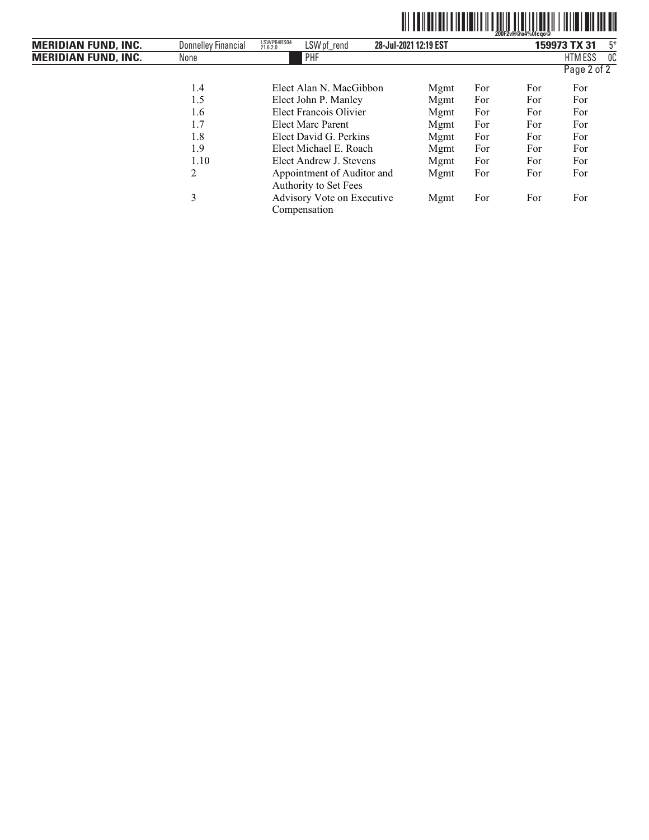

|                            |                            |                                                |                            |      |                       |     | 200F2vH@a4%Olcgo@ |                 | II III II |
|----------------------------|----------------------------|------------------------------------------------|----------------------------|------|-----------------------|-----|-------------------|-----------------|-----------|
| <b>MERIDIAN FUND, INC.</b> | <b>Donnelley Financial</b> | LSWP64RS04<br>21.6.2.0                         | LSW pf rend                |      | 28-Jul-2021 12:19 EST |     |                   | 159973 TX 31    | $5*$      |
| <b>MERIDIAN FUND, INC.</b> | None                       |                                                | PHF                        |      |                       |     |                   | HTM ESS         | 0C        |
|                            |                            |                                                |                            |      |                       |     |                   | Page $2$ of $2$ |           |
|                            | 1.4                        |                                                | Elect Alan N. MacGibbon    |      | Mgmt                  | For | For               | For             |           |
|                            | 1.5                        | Elect John P. Manley<br>Elect Francois Olivier |                            | Mgmt | For                   | For | For               |                 |           |
|                            | 1.6                        |                                                |                            | Mgmt | For                   | For | For               |                 |           |
|                            | 1.7                        |                                                | Elect Marc Parent          |      | Mgmt                  | For | For               | For             |           |
|                            | 1.8                        |                                                | Elect David G. Perkins     |      | Mgmt                  | For | For               | For             |           |
|                            | 1.9                        |                                                | Elect Michael E. Roach     |      | Mgmt                  | For | For               | For             |           |
|                            | 1.10                       |                                                | Elect Andrew J. Stevens    |      | Mgmt                  | For | For               | For             |           |
|                            | 2                          |                                                | Appointment of Auditor and |      | Mgmt                  | For | For               | For             |           |
|                            |                            |                                                | Authority to Set Fees      |      |                       |     |                   |                 |           |
|                            | 3                          |                                                | Advisory Vote on Executive |      | Mgmt                  | For | For               | For             |           |
|                            |                            |                                                | Compensation               |      |                       |     |                   |                 |           |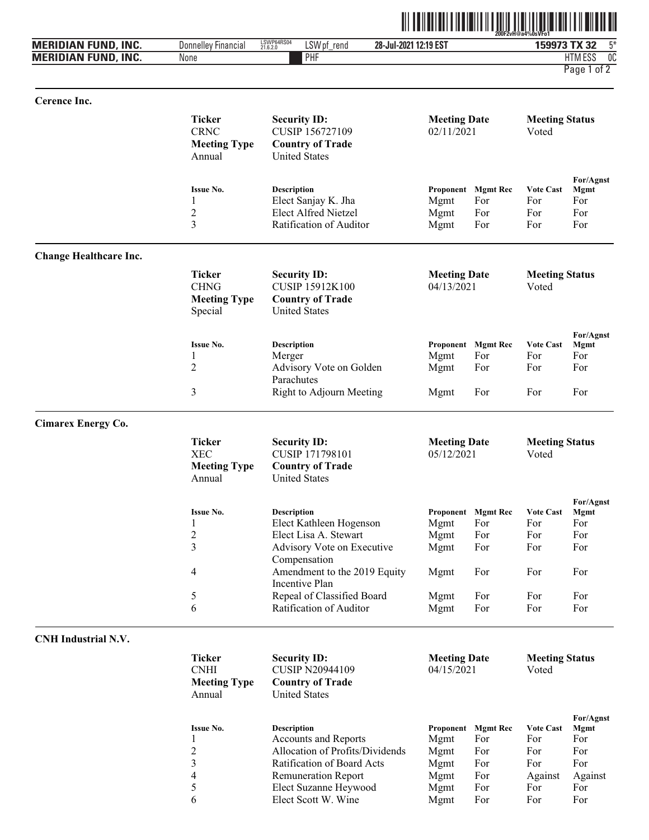| <b>MERIDIAN FUND, INC.</b>    | <b>Donnelley Financial</b>                                    | LSWP64RS04<br>21.6.2.0<br>LSW pf_rend<br>28-Jul-2021 12:19 EST                                   |                                   |                        | 159973 TX 32                   | $5^*$                                    |
|-------------------------------|---------------------------------------------------------------|--------------------------------------------------------------------------------------------------|-----------------------------------|------------------------|--------------------------------|------------------------------------------|
| <b>MERIDIAN FUND, INC.</b>    | None                                                          | PHF                                                                                              |                                   |                        |                                | HTM ESS<br>0 <sup>C</sup><br>Page 1 of 2 |
| <b>Cerence Inc.</b>           |                                                               |                                                                                                  |                                   |                        |                                |                                          |
|                               | <b>Ticker</b><br><b>CRNC</b>                                  | <b>Security ID:</b><br>CUSIP 156727109                                                           | <b>Meeting Date</b><br>02/11/2021 |                        | <b>Meeting Status</b><br>Voted |                                          |
|                               | <b>Meeting Type</b><br>Annual                                 | <b>Country of Trade</b><br><b>United States</b>                                                  |                                   |                        |                                |                                          |
|                               | <b>Issue No.</b>                                              | <b>Description</b>                                                                               | Proponent                         | <b>Mgmt Rec</b>        | <b>Vote Cast</b>               | For/Agnst<br><b>Mgmt</b>                 |
|                               | 1<br>2                                                        | Elect Sanjay K. Jha<br><b>Elect Alfred Nietzel</b>                                               | Mgmt                              | For<br>For             | For<br>For                     | For<br>For                               |
|                               | 3                                                             | Ratification of Auditor                                                                          | Mgmt<br>Mgmt                      | For                    | For                            | For                                      |
| <b>Change Healthcare Inc.</b> |                                                               |                                                                                                  |                                   |                        |                                |                                          |
|                               | <b>Ticker</b>                                                 | <b>Security ID:</b>                                                                              | <b>Meeting Date</b>               |                        | <b>Meeting Status</b>          |                                          |
|                               | <b>CHNG</b>                                                   | <b>CUSIP 15912K100</b>                                                                           | 04/13/2021                        |                        | Voted                          |                                          |
|                               | <b>Meeting Type</b><br>Special                                | <b>Country of Trade</b><br><b>United States</b>                                                  |                                   |                        |                                |                                          |
|                               | <b>Issue No.</b>                                              | Description                                                                                      | Proponent                         | <b>Mgmt Rec</b>        | <b>Vote Cast</b>               | For/Agnst<br><b>Mgmt</b>                 |
|                               | 1                                                             | Merger                                                                                           | Mgmt                              | For                    | For                            | For                                      |
|                               | 2                                                             | Advisory Vote on Golden                                                                          | Mgmt                              | For                    | For                            | For                                      |
|                               | 3                                                             | Parachutes<br>Right to Adjourn Meeting                                                           | Mgmt                              | For                    | For                            | For                                      |
| <b>Cimarex Energy Co.</b>     |                                                               |                                                                                                  |                                   |                        |                                |                                          |
|                               | <b>Ticker</b><br><b>XEC</b>                                   | <b>Security ID:</b><br>CUSIP 171798101                                                           | <b>Meeting Date</b><br>05/12/2021 |                        | <b>Meeting Status</b><br>Voted |                                          |
|                               | <b>Meeting Type</b><br>Annual                                 | <b>Country of Trade</b><br><b>United States</b>                                                  |                                   |                        |                                |                                          |
|                               | <b>Issue No.</b>                                              | <b>Description</b>                                                                               | Proponent                         | <b>Mgmt Rec</b>        | <b>Vote Cast</b>               | For/Agnst<br><b>Mgmt</b>                 |
|                               | 1                                                             | Elect Kathleen Hogenson                                                                          | Mgmt                              | For                    | For                            | For                                      |
|                               | $\overline{c}$                                                | Elect Lisa A. Stewart                                                                            | Mgmt                              | For                    | For                            | For                                      |
|                               | 3                                                             | Advisory Vote on Executive<br>Compensation                                                       | Mgmt                              | For                    | For                            | For                                      |
|                               | 4                                                             | Amendment to the 2019 Equity<br><b>Incentive Plan</b>                                            | Mgmt                              | For                    | For                            | For                                      |
|                               | 5                                                             | Repeal of Classified Board                                                                       | Mgmt                              | For                    | For                            | For                                      |
|                               | 6                                                             | Ratification of Auditor                                                                          | Mgmt                              | For                    | For                            | For                                      |
| <b>CNH</b> Industrial N.V.    |                                                               |                                                                                                  |                                   |                        |                                |                                          |
|                               | <b>Ticker</b><br><b>CNHI</b><br><b>Meeting Type</b><br>Annual | <b>Security ID:</b><br><b>CUSIP N20944109</b><br><b>Country of Trade</b><br><b>United States</b> | <b>Meeting Date</b><br>04/15/2021 |                        | <b>Meeting Status</b><br>Voted |                                          |
|                               | <b>Issue No.</b><br>1                                         | Description<br>Accounts and Reports                                                              | Proponent<br>Mgmt                 | <b>Mgmt Rec</b><br>For | <b>Vote Cast</b><br>For        | For/Agnst<br><b>Mgmt</b><br>For          |
|                               | $\overline{2}$                                                | Allocation of Profits/Dividends                                                                  | Mgmt                              | For                    | For                            | For                                      |
|                               | 3                                                             | Ratification of Board Acts                                                                       | Mgmt                              | For                    | For                            | For                                      |
|                               | 4<br>5                                                        | <b>Remuneration Report</b><br>Elect Suzanne Heywood                                              | Mgmt<br>Mgmt                      | For<br>For             | Against<br>For                 | Against<br>For                           |
|                               | 6                                                             | Elect Scott W. Wine                                                                              | Mgmt                              | For                    | For                            | For                                      |
|                               |                                                               |                                                                                                  |                                   |                        |                                |                                          |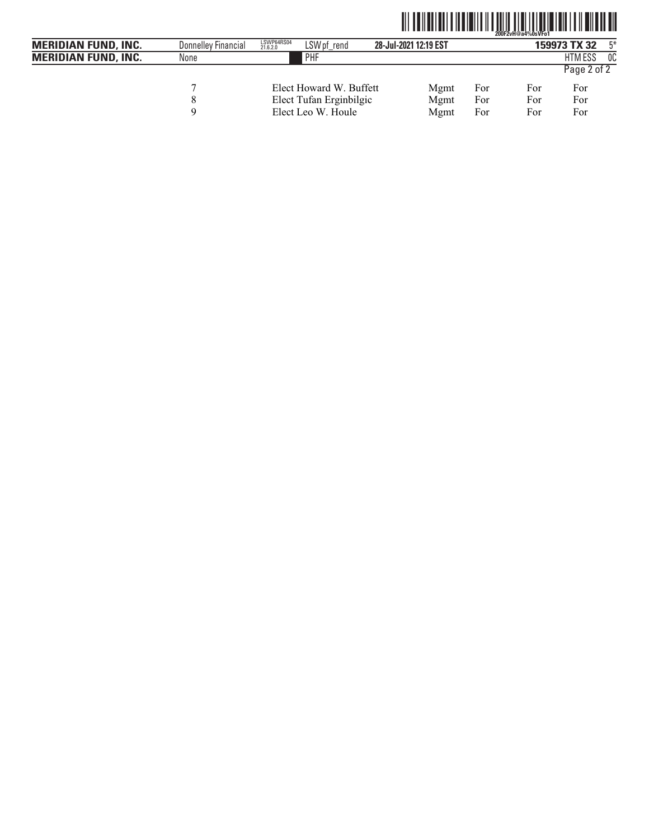

|                            |                            |                        |                         | 10011100077000101     |      |     |     |                |        |
|----------------------------|----------------------------|------------------------|-------------------------|-----------------------|------|-----|-----|----------------|--------|
| <b>MERIDIAN FUND, INC.</b> | <b>Donnelley Financial</b> | LSWP64RS04<br>21.6.2.0 | LSW pf rend             | 28-Jul-2021 12:19 EST |      |     |     | 159973 TX 32   | $-5^*$ |
| <b>MERIDIAN FUND, INC.</b> | None                       |                        | PHF                     |                       |      |     |     | <b>HTM ESS</b> | 0C     |
|                            |                            |                        |                         |                       |      |     |     | Page 2 of 2    |        |
|                            |                            |                        | Elect Howard W. Buffett |                       | Mgmt | For | For | For            |        |
|                            |                            |                        | Elect Tufan Erginbilgic |                       | Mgmt | For | For | For            |        |
|                            |                            |                        | Elect Leo W. Houle      |                       | Mgmt | For | For | For            |        |
|                            |                            |                        |                         |                       |      |     |     |                |        |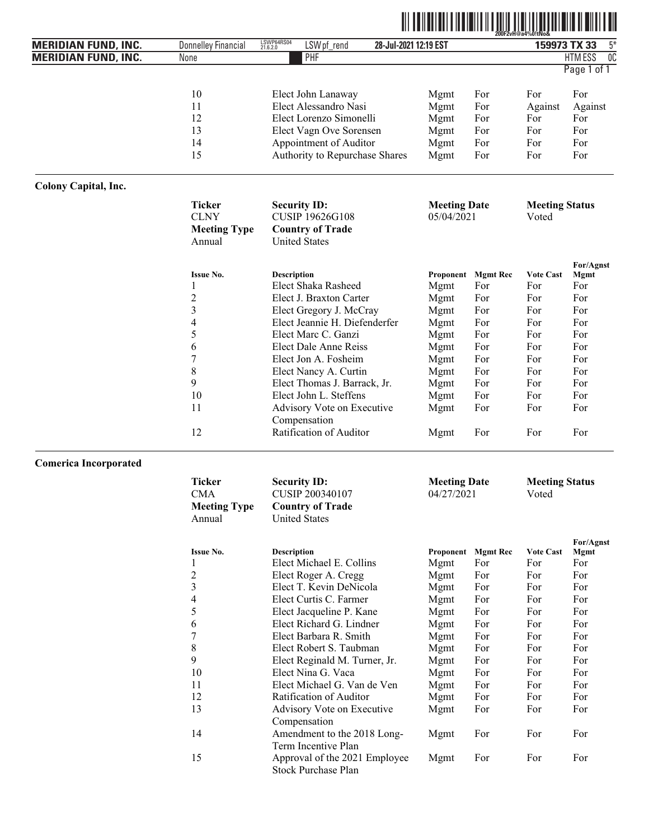| <b>MERIDIAN FUND, INC.</b>   | <b>Donnelley Financial</b> | LSWP64RS04<br>21.6.2.0<br>28-Jul-2021 12:19 EST<br>LSW pf rend |                     |                    | 159973 TX 33          | $5^*$                     |
|------------------------------|----------------------------|----------------------------------------------------------------|---------------------|--------------------|-----------------------|---------------------------|
| <b>MERIDIAN FUND, INC.</b>   | None                       | PHF                                                            |                     |                    |                       | HTM ESS<br>0 <sup>C</sup> |
|                              |                            |                                                                |                     |                    |                       | Page 1 of 1               |
|                              | 10                         |                                                                |                     |                    | For                   | For                       |
|                              | 11                         | Elect John Lanaway<br>Elect Alessandro Nasi                    | Mgmt                | For<br>For         |                       |                           |
|                              |                            |                                                                | Mgmt                |                    | Against               | Against                   |
|                              | 12                         | Elect Lorenzo Simonelli                                        | Mgmt                | For                | For                   | For                       |
|                              | 13                         | Elect Vagn Ove Sorensen                                        | Mgmt                | For                | For                   | For                       |
|                              | 14                         | Appointment of Auditor                                         | Mgmt                | For                | For                   | For                       |
|                              | 15                         | Authority to Repurchase Shares                                 | Mgmt                | For                | For                   | For                       |
| <b>Colony Capital, Inc.</b>  |                            |                                                                |                     |                    |                       |                           |
|                              | <b>Ticker</b>              | <b>Security ID:</b>                                            | <b>Meeting Date</b> |                    | <b>Meeting Status</b> |                           |
|                              | <b>CLNY</b>                | <b>CUSIP 19626G108</b>                                         | 05/04/2021          |                    | Voted                 |                           |
|                              | <b>Meeting Type</b>        | <b>Country of Trade</b>                                        |                     |                    |                       |                           |
|                              | Annual                     | <b>United States</b>                                           |                     |                    |                       |                           |
|                              |                            |                                                                |                     |                    |                       | For/Agnst                 |
|                              | <b>Issue No.</b>           | <b>Description</b>                                             |                     | Proponent Mgmt Rec | <b>Vote Cast</b>      | <b>Mgmt</b>               |
|                              | 1                          | Elect Shaka Rasheed                                            | Mgmt                | For                | For                   | For                       |
|                              | $\overline{c}$             | Elect J. Braxton Carter                                        | Mgmt                | For                | For                   | For                       |
|                              | 3                          | Elect Gregory J. McCray                                        | Mgmt                | For                | For                   | For                       |
|                              | 4                          | Elect Jeannie H. Diefenderfer                                  | Mgmt                | For                | For                   | For                       |
|                              | 5                          | Elect Marc C. Ganzi                                            | Mgmt                | For                | For                   | For                       |
|                              | 6                          | Elect Dale Anne Reiss                                          | Mgmt                | For                | For                   | For                       |
|                              | 7                          | Elect Jon A. Fosheim                                           | Mgmt                | For                | For                   | For                       |
|                              | 8                          | Elect Nancy A. Curtin                                          | Mgmt                | For                | For                   | For                       |
|                              | 9                          | Elect Thomas J. Barrack, Jr.                                   | Mgmt                | For                | For                   | For                       |
|                              | 10                         | Elect John L. Steffens                                         | Mgmt                | For                | For                   | For                       |
|                              | 11                         | Advisory Vote on Executive<br>Compensation                     | Mgmt                | For                | For                   | For                       |
|                              | 12                         | Ratification of Auditor                                        | Mgmt                | For                | For                   | For                       |
| <b>Comerica Incorporated</b> |                            |                                                                |                     |                    |                       |                           |
|                              | <b>Ticker</b>              | <b>Security ID:</b>                                            | <b>Meeting Date</b> |                    | <b>Meeting Status</b> |                           |
|                              | <b>CMA</b>                 | CUSIP 200340107                                                | 04/27/2021          |                    | Voted                 |                           |
|                              | <b>Meeting Type</b>        | <b>Country of Trade</b>                                        |                     |                    |                       |                           |
|                              | Annual                     | <b>United States</b>                                           |                     |                    |                       |                           |
|                              |                            |                                                                |                     |                    |                       | For/Agnst                 |
|                              | <b>Issue No.</b>           | <b>Description</b>                                             |                     | Proponent Mgmt Rec | <b>Vote Cast</b>      | <b>Mgmt</b>               |
|                              | 1                          | Elect Michael E. Collins                                       | Mgmt                | For                | For                   | For                       |
|                              | $\overline{c}$             | Elect Roger A. Cregg                                           | Mgmt                | For                | For                   | For                       |
|                              | 3                          | Elect T. Kevin DeNicola                                        | Mgmt                | For                | For                   | For                       |
|                              | 4                          | Elect Curtis C. Farmer                                         | Mgmt                | For                | For                   | For                       |
|                              | 5                          | Elect Jacqueline P. Kane                                       | Mgmt                | For                | For                   | For                       |
|                              | 6                          | Elect Richard G. Lindner                                       | Mgmt                | For                | For                   | For                       |
|                              | $\boldsymbol{7}$           | Elect Barbara R. Smith                                         | Mgmt                | For                | For                   | For                       |
|                              | $\,8\,$                    | Elect Robert S. Taubman                                        | Mgmt                | For                | For                   | For                       |
|                              | 9                          | Elect Reginald M. Turner, Jr.                                  | Mgmt                | For                | For                   | For                       |
|                              | 10                         | Elect Nina G. Vaca                                             | Mgmt                | For                | For                   | For                       |
|                              | 11                         | Elect Michael G. Van de Ven                                    | Mgmt                | For                | For                   | For                       |
|                              | 12                         | Ratification of Auditor                                        | Mgmt                | For                | For                   | For                       |
|                              | 13                         | Advisory Vote on Executive                                     | Mgmt                | For                | For                   | For                       |
|                              |                            | Compensation                                                   |                     |                    |                       |                           |
|                              | 14                         | Amendment to the 2018 Long-                                    | Mgmt                | For                | For                   | For                       |
|                              |                            | Term Incentive Plan                                            |                     |                    |                       |                           |
|                              | 15                         | Approval of the 2021 Employee<br>Stock Purchase Plan           | Mgmt                | For                | For                   | For                       |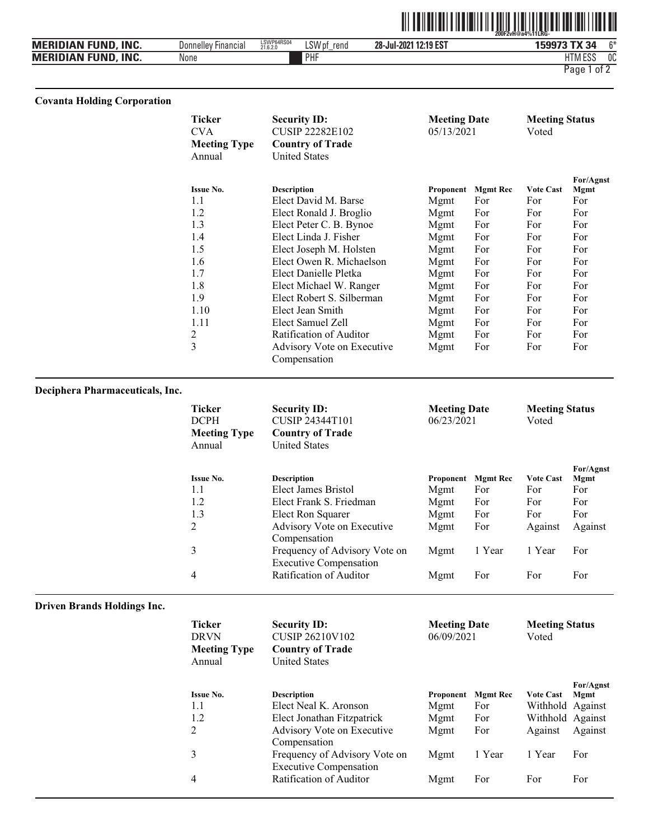| <b>MERIDIAN FUND, INC.</b>         | <b>Donnelley Financial</b>                          | LSWP64RS04<br>21.6.2.0<br>LSW pf_rend<br>28-Jul-2021 12:19 EST                                   |                                   |                           | 159973 TX 34                   | $6*$                                            |
|------------------------------------|-----------------------------------------------------|--------------------------------------------------------------------------------------------------|-----------------------------------|---------------------------|--------------------------------|-------------------------------------------------|
| <b>MERIDIAN FUND, INC.</b>         | None                                                | PHF                                                                                              |                                   |                           |                                | 0 <sup>C</sup><br><b>HTM ESS</b><br>Page 1 of 2 |
| <b>Covanta Holding Corporation</b> |                                                     |                                                                                                  |                                   |                           |                                |                                                 |
|                                    | <b>Ticker</b>                                       | <b>Security ID:</b>                                                                              | <b>Meeting Date</b>               |                           | <b>Meeting Status</b>          |                                                 |
|                                    | <b>CVA</b><br><b>Meeting Type</b><br>Annual         | <b>CUSIP 22282E102</b><br><b>Country of Trade</b><br><b>United States</b>                        | 05/13/2021                        |                           | Voted                          |                                                 |
|                                    | <b>Issue No.</b>                                    | <b>Description</b>                                                                               |                                   | Proponent Mgmt Rec        | <b>Vote Cast</b>               | For/Agnst<br><b>Mgmt</b>                        |
|                                    | 1.1<br>1.2                                          | Elect David M. Barse<br>Elect Ronald J. Broglio                                                  | Mgmt<br>Mgmt                      | For<br>For                | For<br>For                     | For<br>For                                      |
|                                    | 1.3                                                 | Elect Peter C. B. Bynoe                                                                          | Mgmt                              | For                       | For                            | For                                             |
|                                    | 1.4                                                 | Elect Linda J. Fisher                                                                            | Mgmt                              | For                       | For                            | For                                             |
|                                    | 1.5                                                 | Elect Joseph M. Holsten                                                                          | Mgmt                              | For                       | For                            | For                                             |
|                                    | 1.6                                                 | Elect Owen R. Michaelson                                                                         | Mgmt                              | For                       | For                            | For                                             |
|                                    | 1.7                                                 | Elect Danielle Pletka                                                                            | Mgmt                              | For                       | For                            | For                                             |
|                                    | 1.8                                                 | Elect Michael W. Ranger                                                                          | Mgmt                              | For                       | For                            | For                                             |
|                                    | 1.9                                                 | Elect Robert S. Silberman                                                                        | Mgmt                              | For                       | For                            | For                                             |
|                                    | 1.10                                                | Elect Jean Smith                                                                                 | Mgmt                              | For                       | For                            | For                                             |
|                                    | 1.11<br>$\overline{2}$                              | Elect Samuel Zell<br>Ratification of Auditor                                                     | Mgmt<br>Mgmt                      | For<br>For                | For<br>For                     | For<br>For                                      |
|                                    | 3                                                   | Advisory Vote on Executive                                                                       | Mgmt                              | For                       | For                            | For                                             |
|                                    |                                                     | Compensation                                                                                     |                                   |                           |                                |                                                 |
| Deciphera Pharmaceuticals, Inc.    |                                                     |                                                                                                  |                                   |                           |                                |                                                 |
|                                    | <b>Ticker</b><br><b>DCPH</b><br><b>Meeting Type</b> | <b>Security ID:</b><br><b>CUSIP 24344T101</b><br><b>Country of Trade</b><br><b>United States</b> | <b>Meeting Date</b><br>06/23/2021 |                           | <b>Meeting Status</b><br>Voted |                                                 |
|                                    | Annual                                              |                                                                                                  |                                   |                           |                                |                                                 |
|                                    | <b>Issue No.</b><br>1.1                             | <b>Description</b><br>Elect James Bristol                                                        | Mgmt For                          | <b>Proponent</b> Mgmt Rec | <b>Vote Cast</b><br>For        | For/Agnst<br>Mgmt<br>For                        |
|                                    | 1.2                                                 | Elect Frank S. Friedman                                                                          | Mgmt                              | For                       | For                            | For                                             |
|                                    | 1.3                                                 | Elect Ron Squarer                                                                                | Mgmt                              | For                       | For                            | For                                             |
|                                    | $\overline{2}$                                      | Advisory Vote on Executive<br>Compensation                                                       | Mgmt                              | For                       | Against                        | Against                                         |
|                                    | 3                                                   | Frequency of Advisory Vote on<br><b>Executive Compensation</b>                                   | Mgmt                              | 1 Year                    | 1 Year                         | For                                             |
|                                    | $\overline{4}$                                      | Ratification of Auditor                                                                          | Mgmt                              | For                       | For                            | For                                             |
| <b>Driven Brands Holdings Inc.</b> |                                                     |                                                                                                  |                                   |                           |                                |                                                 |
|                                    | <b>Ticker</b>                                       | <b>Security ID:</b>                                                                              | <b>Meeting Date</b>               |                           | <b>Meeting Status</b>          |                                                 |
|                                    | <b>DRVN</b>                                         | CUSIP 26210V102                                                                                  | 06/09/2021                        |                           | Voted                          |                                                 |
|                                    | <b>Meeting Type</b>                                 | <b>Country of Trade</b>                                                                          |                                   |                           |                                |                                                 |
|                                    | Annual                                              | <b>United States</b>                                                                             |                                   |                           |                                |                                                 |
|                                    | <b>Issue No.</b>                                    | <b>Description</b>                                                                               | Proponent                         | <b>Mgmt Rec</b>           | <b>Vote Cast</b>               | For/Agnst<br><b>Mgmt</b>                        |
|                                    | 1.1                                                 | Elect Neal K. Aronson                                                                            | Mgmt                              | For                       | Withhold Against               |                                                 |
|                                    | 1.2                                                 | Elect Jonathan Fitzpatrick                                                                       | Mgmt                              | For                       | Withhold Against               |                                                 |
|                                    | $\overline{2}$                                      | Advisory Vote on Executive<br>Compensation                                                       | Mgmt                              | For                       | Against                        | Against                                         |
|                                    | 3                                                   | Frequency of Advisory Vote on<br><b>Executive Compensation</b>                                   | Mgmt                              | 1 Year                    | 1 Year                         | For                                             |
|                                    | $\overline{4}$                                      | Ratification of Auditor                                                                          | Mgmt                              | For                       | For                            | For                                             |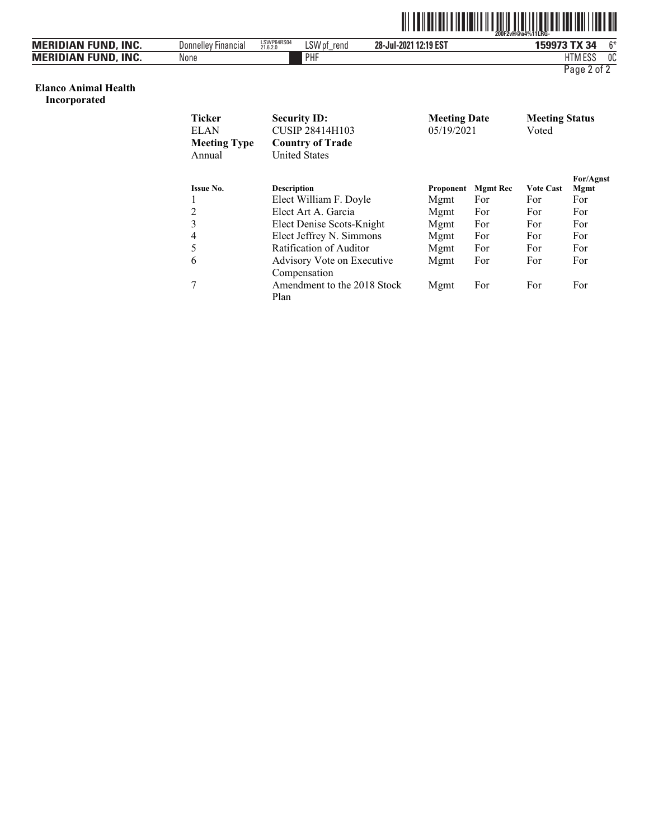|--|

| INC.<br><b>MERIDIAN FUND,</b> | Donnelley<br><b>Financial</b> | LSWP64RS04<br>21.6.2.0 | LSW pf<br>rend<br>$-$ | 12:19 EST<br>28-Jul-2021 | 159973 TX 34                  | $^{\sim}$ |
|-------------------------------|-------------------------------|------------------------|-----------------------|--------------------------|-------------------------------|-----------|
| INC.<br><b>MERIDIAN FUND</b>  | None                          |                        | PHF                   |                          | $F^{\alpha}$<br><b>HIMESS</b> | 0C        |
|                               |                               |                        |                       |                          | ot 2<br>Page                  |           |

#### **Elanco Animal Health Incorporated**

| <b>Ticker</b><br><b>ELAN</b><br><b>Meeting Type</b><br>Annual | <b>Security ID:</b><br><b>CUSIP 28414H103</b><br><b>Country of Trade</b><br><b>United States</b> | <b>Meeting Date</b><br>05/19/2021 |                 | <b>Meeting Status</b><br>Voted |                          |  |
|---------------------------------------------------------------|--------------------------------------------------------------------------------------------------|-----------------------------------|-----------------|--------------------------------|--------------------------|--|
| <b>Issue No.</b>                                              | <b>Description</b>                                                                               | Proponent                         | <b>Mgmt Rec</b> | <b>Vote Cast</b>               | For/Agnst<br><b>Mgmt</b> |  |
| 1                                                             | Elect William F. Doyle                                                                           | Mgmt                              | For             | For                            | For                      |  |
| 2                                                             | Elect Art A. Garcia                                                                              | Mgmt                              | For             | For                            | For                      |  |
| 3                                                             | Elect Denise Scots-Knight                                                                        | Mgmt                              | For             | For                            | For                      |  |
| $\overline{4}$                                                | Elect Jeffrey N. Simmons                                                                         | Mgmt                              | For             | For                            | For                      |  |
| 5                                                             | Ratification of Auditor                                                                          | Mgmt                              | For             | For                            | For                      |  |
| 6                                                             | Advisory Vote on Executive                                                                       | Mgmt                              | For             | For                            | For                      |  |
|                                                               | Compensation<br>Amendment to the 2018 Stock<br>Plan                                              | Mgmt                              | For             | For                            | For                      |  |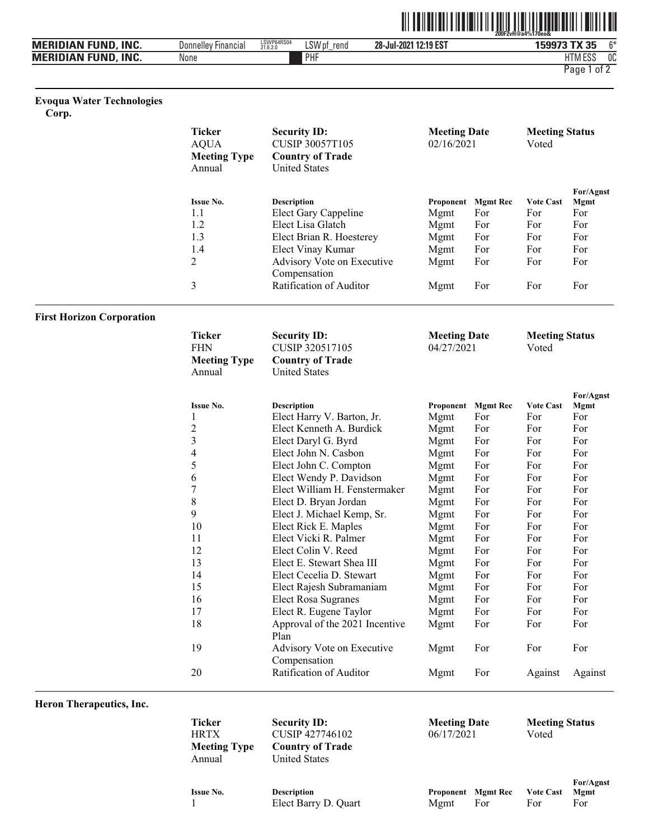| <b>MERIDIAN FUND, INC.</b>                | <b>Donnelley Financial</b>                                    | LSWP64RS04<br>21.6.2.0<br>LSW pf_rend                                                            | 28-Jul-2021 12:19 EST |                                   |                        | 159973 TX 35                   |                                  |
|-------------------------------------------|---------------------------------------------------------------|--------------------------------------------------------------------------------------------------|-----------------------|-----------------------------------|------------------------|--------------------------------|----------------------------------|
| <b>MERIDIAN FUND, INC.</b>                | None                                                          | PHF                                                                                              |                       |                                   |                        |                                | $\overline{0}$<br><b>HTM ESS</b> |
|                                           |                                                               |                                                                                                  |                       |                                   |                        |                                | Page 1 of 2                      |
| <b>Evoqua Water Technologies</b><br>Corp. |                                                               |                                                                                                  |                       |                                   |                        |                                |                                  |
|                                           | <b>Ticker</b><br><b>AQUA</b><br><b>Meeting Type</b><br>Annual | <b>Security ID:</b><br><b>CUSIP 30057T105</b><br><b>Country of Trade</b><br><b>United States</b> |                       | <b>Meeting Date</b><br>02/16/2021 |                        | <b>Meeting Status</b><br>Voted |                                  |
|                                           | <b>Issue No.</b>                                              | <b>Description</b>                                                                               |                       | Proponent                         | <b>Mgmt</b> Rec        | <b>Vote Cast</b>               | For/Agnst<br><b>Mgmt</b>         |
|                                           | 1.1                                                           | Elect Gary Cappeline                                                                             |                       | Mgmt                              | For                    | For                            | For                              |
|                                           | 1.2                                                           | Elect Lisa Glatch                                                                                |                       | Mgmt                              | For                    | For                            | For                              |
|                                           | 1.3                                                           | Elect Brian R. Hoesterey                                                                         |                       | Mgmt                              | For                    | For                            | For                              |
|                                           | 1.4                                                           | Elect Vinay Kumar                                                                                |                       | Mgmt                              | For                    | For                            | For                              |
|                                           | $\overline{2}$                                                | Advisory Vote on Executive<br>Compensation                                                       |                       | Mgmt                              | For                    | For                            | For                              |
|                                           | 3                                                             | Ratification of Auditor                                                                          |                       | Mgmt                              | For                    | For                            | For                              |
| <b>First Horizon Corporation</b>          |                                                               |                                                                                                  |                       |                                   |                        |                                |                                  |
|                                           | <b>Ticker</b>                                                 | <b>Security ID:</b>                                                                              |                       | <b>Meeting Date</b><br>04/27/2021 |                        | <b>Meeting Status</b>          |                                  |
|                                           | <b>FHN</b>                                                    | CUSIP 320517105                                                                                  |                       |                                   |                        | Voted                          |                                  |
|                                           | <b>Meeting Type</b><br>Annual                                 | <b>Country of Trade</b><br><b>United States</b>                                                  |                       |                                   |                        |                                |                                  |
|                                           | <b>Issue No.</b><br>1                                         | Description<br>Elect Harry V. Barton, Jr.                                                        |                       | Proponent<br>Mgmt                 | <b>Mgmt</b> Rec<br>For | <b>Vote Cast</b><br>For        | For/Agnst<br><b>Mgmt</b><br>For  |
|                                           | 2                                                             | Elect Kenneth A. Burdick                                                                         |                       | Mgmt                              | For                    | For                            | For                              |
|                                           | 3                                                             | Elect Daryl G. Byrd                                                                              |                       | Mgmt                              | For                    | For                            | For                              |
|                                           | 4                                                             | Elect John N. Casbon                                                                             |                       | Mgmt                              | For                    | For                            | For                              |
|                                           | 5                                                             | Elect John C. Compton                                                                            |                       | Mgmt                              | For                    | For                            | For                              |
|                                           | 6                                                             | Elect Wendy P. Davidson                                                                          |                       | Mgmt                              | For                    | For                            | For                              |
|                                           | 7                                                             | Elect William H. Fenstermaker                                                                    |                       | Mgmt                              | For                    | For                            | For                              |
|                                           | $\,$ 8 $\,$                                                   | Elect D. Bryan Jordan                                                                            |                       | Mgmt                              | For                    | For                            | For                              |
|                                           | 9                                                             | Elect J. Michael Kemp, Sr.                                                                       |                       | Mgmt                              | For                    | For                            | For                              |
|                                           | 10                                                            | Elect Rick E. Maples                                                                             |                       | Mgmt                              | For                    | For                            | For                              |
|                                           | 11                                                            | Elect Vicki R. Palmer                                                                            |                       | Mgmt                              | For                    | For                            | For                              |
|                                           | 12                                                            | Elect Colin V. Reed                                                                              |                       | Mgmt                              | For                    | For                            | For                              |
|                                           | 13                                                            | Elect E. Stewart Shea III                                                                        |                       | Mgmt                              | For                    | For                            | For                              |
|                                           | 14                                                            | Elect Cecelia D. Stewart                                                                         |                       | Mgmt                              | For                    | For                            | For                              |
|                                           | 15                                                            | Elect Rajesh Subramaniam                                                                         |                       | Mgmt                              | For                    | For                            | For                              |
|                                           | 16                                                            | <b>Elect Rosa Sugranes</b>                                                                       |                       | Mgmt                              | For                    | For                            | For                              |
|                                           | 17                                                            | Elect R. Eugene Taylor                                                                           |                       | Mgmt                              | For                    | For                            | For                              |
|                                           | 18                                                            | Approval of the 2021 Incentive<br>Plan                                                           |                       | Mgmt                              | For                    | For                            | For                              |
|                                           | 19                                                            | Advisory Vote on Executive<br>Compensation                                                       |                       | Mgmt                              | For                    | For                            | For                              |
|                                           | 20                                                            | Ratification of Auditor                                                                          |                       | Mgmt                              | For                    | Against                        | Against                          |
| Heron Therapeutics, Inc.                  |                                                               |                                                                                                  |                       |                                   |                        |                                |                                  |
|                                           | <b>Ticker</b><br><b>HRTX</b>                                  | <b>Security ID:</b><br>CUSIP 427746102                                                           |                       | <b>Meeting Date</b><br>06/17/2021 |                        | <b>Meeting Status</b><br>Voted |                                  |

**Meeting Type Country of Trade** Annual United States

|                  |                      |      |                    |                | For/Agnst |
|------------------|----------------------|------|--------------------|----------------|-----------|
| <b>Issue No.</b> | <b>Description</b>   |      | Proponent Mgmt Rec | Vote Cast Mgmt |           |
|                  | Elect Barry D. Quart | Mgmt | - For              | For            | For       |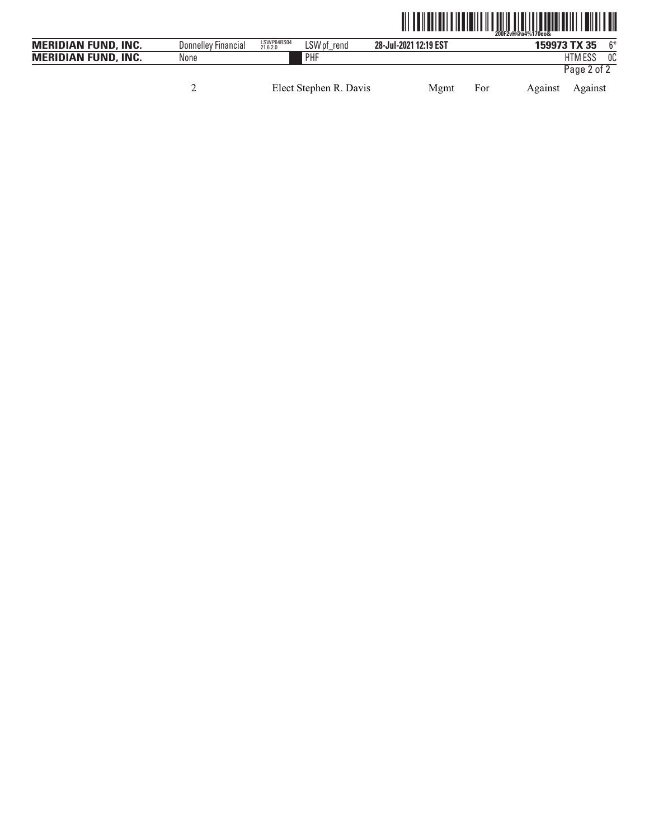

| <b>MERIDIAN FUND, INC.</b> | Donnelley Financial | LSWP64RS04<br>21.6.2.0 | LSW pf rend            | 28-Jul-2021 12:19 EST |     | 159973 TX 35 |             | $6*$ |
|----------------------------|---------------------|------------------------|------------------------|-----------------------|-----|--------------|-------------|------|
| <b>MERIDIAN FUND, INC.</b> | None                |                        | PHF                    |                       |     |              | HTM ESS     | 0C   |
|                            |                     |                        |                        |                       |     |              | Page 2 of 2 |      |
|                            |                     |                        | Elect Stephen R. Davis | Mgmt                  | For | Against      | Against     |      |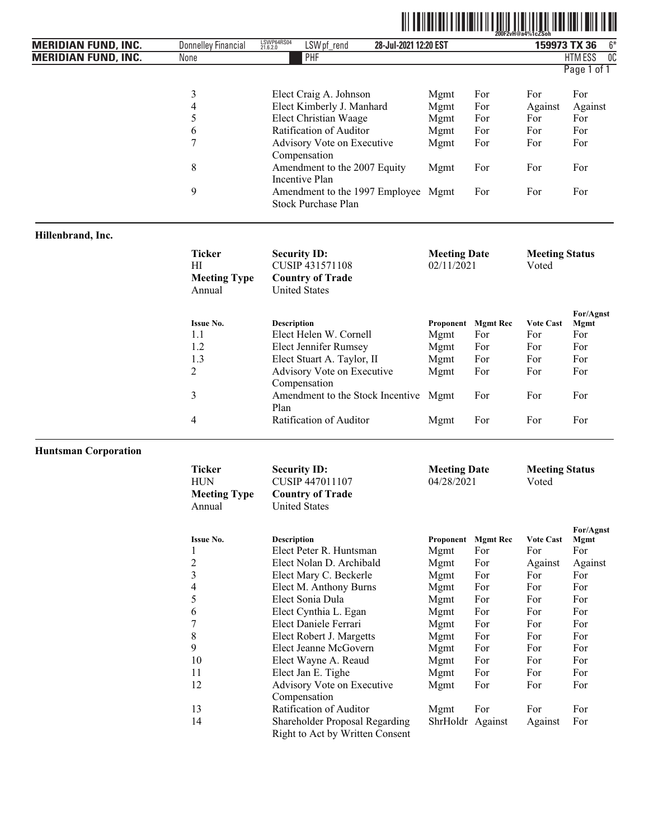

ShrHoldr Against Against For

| <b>MERIDIAN FUND, INC.</b>  | <b>Donnelley Financial</b> | LSWP64RS04<br>21.6.2.0<br>LSW pf_rend<br>28-Jul-2021 12:20 EST |                     |                 | 200F2vH@a4%1cZSoh<br>159973 TX 36 | $6*$                      |
|-----------------------------|----------------------------|----------------------------------------------------------------|---------------------|-----------------|-----------------------------------|---------------------------|
| <b>MERIDIAN FUND, INC.</b>  | None                       | PHF                                                            |                     |                 |                                   | HTM ESS<br>0 <sup>C</sup> |
|                             |                            |                                                                |                     |                 |                                   | Page 1 of 1               |
|                             | 3                          | Elect Craig A. Johnson                                         | Mgmt                | For             | For                               | For                       |
|                             | 4                          | Elect Kimberly J. Manhard                                      | Mgmt                | For             | Against                           | Against                   |
|                             | 5                          | Elect Christian Waage                                          | Mgmt                | For             | For                               | For                       |
|                             | 6                          | Ratification of Auditor                                        | Mgmt                | For             | For                               | For                       |
|                             | 7                          | Advisory Vote on Executive                                     | Mgmt                | For             | For                               | For                       |
|                             |                            | Compensation                                                   |                     |                 |                                   |                           |
|                             | 8                          | Amendment to the 2007 Equity                                   | Mgmt                | For             | For                               | For                       |
|                             |                            | Incentive Plan                                                 |                     |                 |                                   |                           |
|                             | 9                          | Amendment to the 1997 Employee Mgmt<br>Stock Purchase Plan     |                     | For             | For                               | For                       |
| Hillenbrand, Inc.           |                            |                                                                |                     |                 |                                   |                           |
|                             | <b>Ticker</b>              | <b>Security ID:</b>                                            | <b>Meeting Date</b> |                 | <b>Meeting Status</b>             |                           |
|                             | HI                         | CUSIP 431571108                                                | 02/11/2021          |                 | Voted                             |                           |
|                             | <b>Meeting Type</b>        | <b>Country of Trade</b>                                        |                     |                 |                                   |                           |
|                             | Annual                     | <b>United States</b>                                           |                     |                 |                                   |                           |
|                             |                            |                                                                |                     |                 |                                   | For/Agnst                 |
|                             | <b>Issue No.</b>           | <b>Description</b>                                             | Proponent           | <b>Mgmt</b> Rec | <b>Vote Cast</b>                  | <b>Mgmt</b>               |
|                             | 1.1                        | Elect Helen W. Cornell                                         | Mgmt                | For             | For                               | For                       |
|                             | 1.2                        | <b>Elect Jennifer Rumsey</b>                                   | Mgmt                | For             | For                               | For                       |
|                             | 1.3                        | Elect Stuart A. Taylor, II                                     | Mgmt                | For             | For                               | For                       |
|                             | $\overline{2}$             | Advisory Vote on Executive                                     | Mgmt                | For             | For                               | For                       |
|                             |                            | Compensation                                                   |                     |                 |                                   |                           |
|                             | 3                          | Amendment to the Stock Incentive                               | Mgmt                | For             | For                               | For                       |
|                             |                            | Plan                                                           |                     |                 |                                   |                           |
|                             | 4                          | Ratification of Auditor                                        | Mgmt                | For             | For                               | For                       |
| <b>Huntsman Corporation</b> |                            |                                                                |                     |                 |                                   |                           |
|                             | <b>Ticker</b>              | <b>Security ID:</b>                                            | <b>Meeting Date</b> |                 | <b>Meeting Status</b>             |                           |
|                             | <b>HUN</b>                 | CUSIP 447011107                                                | 04/28/2021          |                 | Voted                             |                           |
|                             | <b>Meeting Type</b>        | <b>Country of Trade</b>                                        |                     |                 |                                   |                           |
|                             | Annual                     | <b>United States</b>                                           |                     |                 |                                   |                           |
|                             |                            |                                                                |                     |                 |                                   | For/Agnst                 |
|                             | <b>Issue No.</b>           | <b>Description</b>                                             | Proponent           | <b>Mgmt Rec</b> | <b>Vote Cast</b>                  | <b>Mgmt</b>               |
|                             | 1                          | Elect Peter R. Huntsman                                        | Mgmt                | For             | For                               | For                       |
|                             | $\boldsymbol{2}$           | Elect Nolan D. Archibald                                       | Mgmt                | For             | Against                           | Against                   |
|                             | 3                          | Elect Mary C. Beckerle                                         | Mgmt                | For             | For                               | For                       |
|                             | 4                          | Elect M. Anthony Burns                                         | Mgmt                | For             | For                               | For                       |
|                             | 5                          | Elect Sonia Dula                                               | Mgmt                | For             | For                               | For                       |
|                             | 6                          | Elect Cynthia L. Egan                                          | Mgmt                | For             | For                               | For                       |
|                             | 7                          | Elect Daniele Ferrari                                          | Mgmt                | For             | For                               | For                       |
|                             | $\,$ 8 $\,$                | Elect Robert J. Margetts                                       | Mgmt                | For             | For                               | For                       |
|                             | 9                          | Elect Jeanne McGovern                                          | Mgmt                | For             | For                               | For                       |
|                             | 10                         | Elect Wayne A. Reaud                                           | Mgmt                | For             | For                               | For                       |
|                             | 11                         | Elect Jan E. Tighe                                             | Mgmt                | For             | For                               | For                       |
|                             | 12                         | Advisory Vote on Executive<br>Compensation                     | Mgmt                | For             | For                               | For                       |

13 Ratification of Auditor Mgmt For For For 14 Shareholder Proposal Regarding Right to Act by Written Consent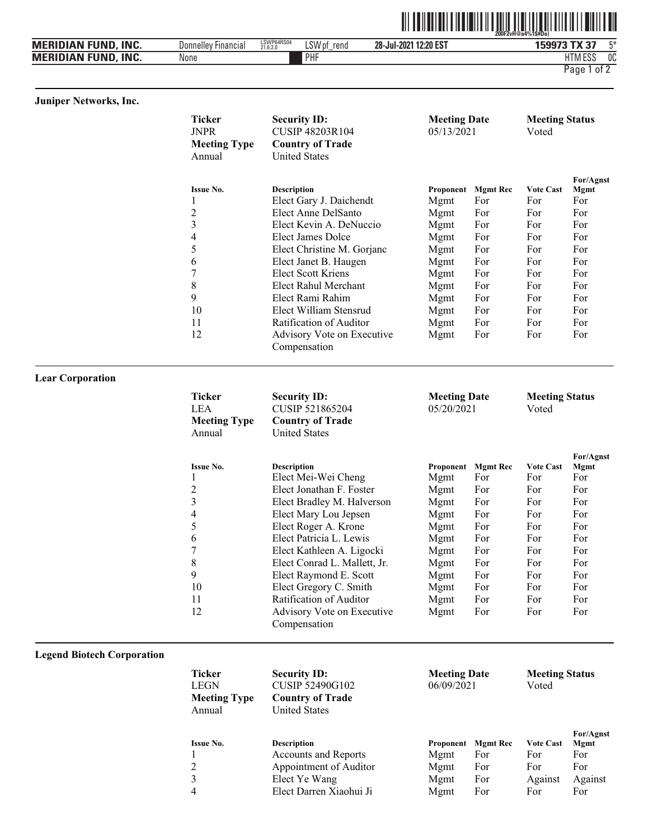| <b>MERIDIAN FUND, INC.</b>        | <b>Donnelley Financial</b>                                    | LSWP64RS04<br>21.6.2.0<br>LSW pf_rend                                                     | 28-Jul-2021 12:20 EST |                                   |                        | 159973 TX 37                   | $5^*$                            |
|-----------------------------------|---------------------------------------------------------------|-------------------------------------------------------------------------------------------|-----------------------|-----------------------------------|------------------------|--------------------------------|----------------------------------|
| <b>MERIDIAN FUND, INC.</b>        | None                                                          | PHF                                                                                       |                       |                                   |                        |                                | $\overline{0}$<br><b>HTM ESS</b> |
|                                   |                                                               |                                                                                           |                       |                                   |                        |                                | Page 1 of 2                      |
| <b>Juniper Networks, Inc.</b>     |                                                               |                                                                                           |                       |                                   |                        |                                |                                  |
|                                   | <b>Ticker</b><br><b>JNPR</b><br><b>Meeting Type</b><br>Annual | <b>Security ID:</b><br>CUSIP 48203R104<br><b>Country of Trade</b><br><b>United States</b> |                       | <b>Meeting Date</b><br>05/13/2021 |                        | <b>Meeting Status</b><br>Voted |                                  |
|                                   | <b>Issue No.</b>                                              | <b>Description</b>                                                                        |                       | Proponent                         | <b>Mgmt Rec</b>        | <b>Vote Cast</b>               | For/Agnst<br><b>Mgmt</b>         |
|                                   | 1                                                             | Elect Gary J. Daichendt                                                                   |                       | Mgmt                              | For                    | For                            | For                              |
|                                   | $\overline{c}$                                                | Elect Anne DelSanto                                                                       |                       | Mgmt                              | For                    | For                            | For                              |
|                                   | 3                                                             | Elect Kevin A. DeNuccio                                                                   |                       | Mgmt                              | For                    | For                            | For                              |
|                                   | 4                                                             | <b>Elect James Dolce</b>                                                                  |                       | Mgmt                              | For                    | For                            | For                              |
|                                   | 5                                                             | Elect Christine M. Gorjanc                                                                |                       | Mgmt                              | For                    | For                            | For                              |
|                                   | 6                                                             | Elect Janet B. Haugen                                                                     |                       | Mgmt                              | For                    | For                            | For                              |
|                                   | 7                                                             | <b>Elect Scott Kriens</b>                                                                 |                       | Mgmt                              | For                    | For                            | For                              |
|                                   | $\,8\,$                                                       | Elect Rahul Merchant                                                                      |                       | Mgmt                              | For                    | For                            | For                              |
|                                   | 9                                                             | Elect Rami Rahim                                                                          |                       | Mgmt                              | For                    | For                            | For                              |
|                                   | 10                                                            | Elect William Stensrud                                                                    |                       | Mgmt                              | For                    | For                            | For                              |
|                                   | 11                                                            | Ratification of Auditor                                                                   |                       | Mgmt                              | For                    | For                            | For                              |
|                                   | 12                                                            | Advisory Vote on Executive<br>Compensation                                                |                       | Mgmt                              | For                    | For                            | For                              |
| <b>Lear Corporation</b>           |                                                               |                                                                                           |                       |                                   |                        |                                |                                  |
|                                   | <b>Ticker</b><br><b>LEA</b><br><b>Meeting Type</b><br>Annual  | <b>Security ID:</b><br>CUSIP 521865204<br><b>Country of Trade</b><br><b>United States</b> |                       | <b>Meeting Date</b><br>05/20/2021 |                        | <b>Meeting Status</b><br>Voted |                                  |
|                                   |                                                               |                                                                                           |                       |                                   |                        |                                | For/Agnst                        |
|                                   | <b>Issue No.</b><br>1                                         | <b>Description</b><br>Elect Mei-Wei Cheng                                                 |                       | Proponent<br>Mgmt                 | <b>Mgmt Rec</b><br>For | <b>Vote Cast</b><br>For        | Mgmt<br>For                      |
|                                   | $\overline{c}$                                                | Elect Jonathan F. Foster                                                                  |                       | Mgmt                              | For                    | For                            | For                              |
|                                   | $\mathfrak{Z}$                                                | Elect Bradley M. Halverson                                                                |                       | Mgmt                              | For                    | For                            | For                              |
|                                   | 4                                                             | Elect Mary Lou Jepsen                                                                     |                       | Mgmt                              | For                    | For                            | For                              |
|                                   | 5                                                             | Elect Roger A. Krone                                                                      |                       | Mgmt                              | For                    | For                            | For                              |
|                                   | 6                                                             | Elect Patricia L. Lewis                                                                   |                       | Mgmt                              | For                    | For                            | For                              |
|                                   | 7                                                             | Elect Kathleen A. Ligocki                                                                 |                       | Mgmt                              | For                    | For                            | For                              |
|                                   | $8\,$                                                         | Elect Conrad L. Mallett, Jr.                                                              |                       | Mgmt                              | For                    | For                            | For                              |
|                                   | 9                                                             | Elect Raymond E. Scott                                                                    |                       | Mgmt                              | For                    | For                            | For                              |
|                                   | 10                                                            | Elect Gregory C. Smith                                                                    |                       | Mgmt                              | For                    | For                            | For                              |
|                                   | 11                                                            | Ratification of Auditor                                                                   |                       | Mgmt                              | For                    | For                            | For                              |
|                                   | 12                                                            | Advisory Vote on Executive<br>Compensation                                                |                       | Mgmt                              | For                    | For                            | For                              |
| <b>Legend Biotech Corporation</b> |                                                               |                                                                                           |                       |                                   |                        |                                |                                  |
|                                   | <b>Ticker</b>                                                 | <b>Security ID:</b>                                                                       |                       | <b>Meeting Date</b>               |                        | <b>Meeting Status</b>          |                                  |
|                                   | <b>LEGN</b><br><b>Meeting Type</b>                            | CUSIP 52490G102<br><b>Country of Trade</b>                                                |                       | 06/09/2021                        |                        | Voted                          |                                  |
|                                   | Annual                                                        | <b>United States</b>                                                                      |                       |                                   |                        |                                |                                  |
|                                   | <b>Issue No.</b>                                              | Description                                                                               |                       |                                   | Proponent Mgmt Rec     | <b>Vote Cast</b>               | For/Agnst<br><b>Mgmt</b>         |
|                                   | 1                                                             | Accounts and Reports                                                                      |                       | Mgmt                              | For                    | For                            | For                              |
|                                   | $\overline{c}$                                                | Appointment of Auditor                                                                    |                       | Mgmt                              | For                    | For                            | For                              |
|                                   | $\mathfrak{Z}$                                                | Elect Ye Wang                                                                             |                       | Mgmt                              | For                    | Against                        | Against                          |
|                                   | 4                                                             | Elect Darren Xiaohui Ji                                                                   |                       | Mgmt                              | For                    | For                            | For                              |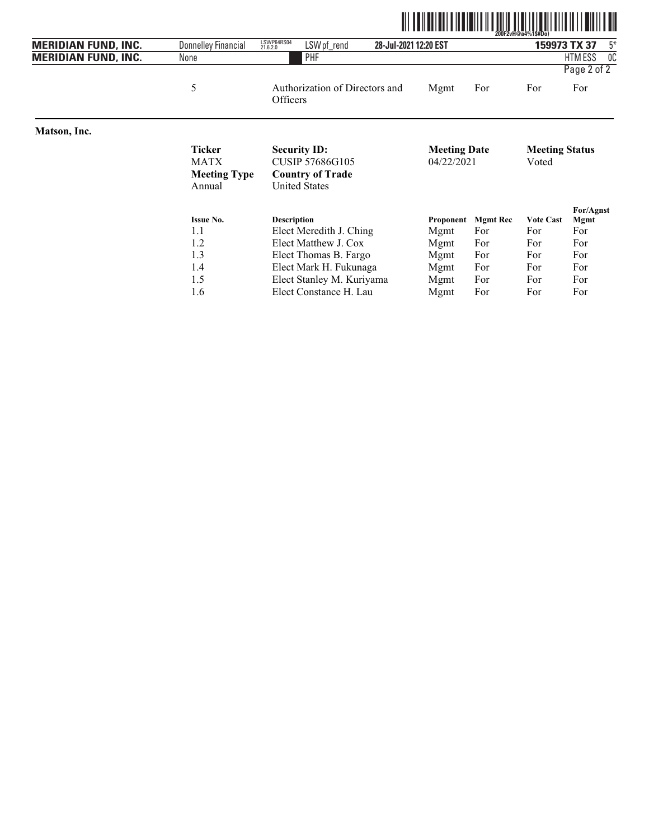

|                            |                            |                                                                |                              | ZUUFZVNW 447013#DUJ              |
|----------------------------|----------------------------|----------------------------------------------------------------|------------------------------|----------------------------------|
| <b>MERIDIAN FUND, INC.</b> | <b>Donnelley Financial</b> | LSWP64RS04<br>28-Jul-2021 12:20 EST<br>LSW pf rend<br>21.6.2.0 |                              | $5*$<br>159973 TX 37             |
| <b>MERIDIAN FUND, INC.</b> | None                       | PHF                                                            |                              | <sub>0</sub> C<br><b>HTM ESS</b> |
|                            |                            |                                                                |                              | Page 2 of 2                      |
|                            | 5                          | Authorization of Directors and<br>Officers                     | Mgmt<br>For                  | For<br>For                       |
| Matson, Inc.               |                            |                                                                |                              |                                  |
|                            | <b>Ticker</b>              | <b>Security ID:</b>                                            | <b>Meeting Date</b>          | <b>Meeting Status</b>            |
|                            | <b>MATX</b>                | <b>CUSIP 57686G105</b>                                         | 04/22/2021                   | Voted                            |
|                            | <b>Meeting Type</b>        | <b>Country of Trade</b>                                        |                              |                                  |
|                            | Annual                     | <b>United States</b>                                           |                              |                                  |
|                            |                            |                                                                |                              | For/Agnst                        |
|                            | <b>Issue No.</b>           | <b>Description</b>                                             | <b>Mgmt Rec</b><br>Proponent | <b>Vote Cast</b><br><b>Mgmt</b>  |
|                            | 1.1                        | Elect Meredith J. Ching                                        | For<br>Mgmt                  | For<br>For                       |
|                            | 1.2                        | Elect Matthew J. Cox                                           | Mgmt<br>For                  | For<br>For                       |
|                            | 1.3                        | Elect Thomas B. Fargo                                          | For<br>Mgmt                  | For<br>For                       |
|                            | 1.4                        | Elect Mark H. Fukunaga                                         | Mgmt<br>For                  | For<br>For                       |
|                            | 1.5                        | Elect Stanley M. Kuriyama                                      | Mgmt<br>For                  | For<br>For                       |
|                            | 1.6                        | Elect Constance H. Lau                                         | For<br>Mgmt                  | For<br>For                       |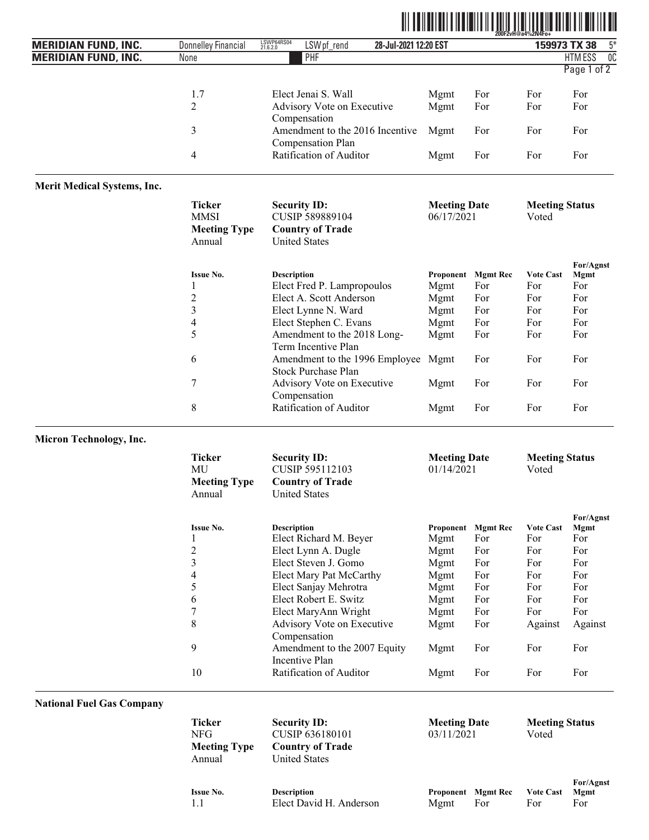| <b>MERIDIAN FUND, INC.</b>  | <b>Donnelley Financial</b>                                    | LSWP64RS04<br>21.6.2.0 | LSW pf_rend                                                                               | 28-Jul-2021 12:20 EST |                                   |                 |                                | 159973 TX 38             | $5*$           |
|-----------------------------|---------------------------------------------------------------|------------------------|-------------------------------------------------------------------------------------------|-----------------------|-----------------------------------|-----------------|--------------------------------|--------------------------|----------------|
| <b>MERIDIAN FUND, INC.</b>  | None                                                          |                        | PHF                                                                                       |                       |                                   |                 |                                | <b>HTMESS</b>            | 0 <sup>C</sup> |
|                             |                                                               |                        |                                                                                           |                       |                                   |                 |                                | Page 1 of 2              |                |
|                             | 1.7                                                           |                        | Elect Jenai S. Wall                                                                       |                       | Mgmt                              | For             | For                            | For                      |                |
|                             | 2                                                             |                        | Advisory Vote on Executive<br>Compensation                                                |                       | Mgmt                              | For             | For                            | For                      |                |
|                             | 3                                                             |                        | Amendment to the 2016 Incentive<br>Compensation Plan                                      |                       | Mgmt                              | For             | For                            | For                      |                |
|                             | 4                                                             |                        | Ratification of Auditor                                                                   |                       | Mgmt                              | For             | For                            | For                      |                |
| Merit Medical Systems, Inc. |                                                               |                        |                                                                                           |                       |                                   |                 |                                |                          |                |
|                             | <b>Ticker</b><br><b>MMSI</b><br><b>Meeting Type</b><br>Annual |                        | <b>Security ID:</b><br>CUSIP 589889104<br><b>Country of Trade</b><br><b>United States</b> |                       | <b>Meeting Date</b><br>06/17/2021 |                 | <b>Meeting Status</b><br>Voted |                          |                |
|                             | <b>Issue No.</b>                                              | Description            |                                                                                           |                       | Proponent                         | <b>Mgmt Rec</b> | <b>Vote Cast</b>               | For/Agnst<br><b>Mgmt</b> |                |
|                             | 1                                                             |                        | Elect Fred P. Lampropoulos                                                                |                       | Mgmt                              | For             | For                            | For                      |                |
|                             | $\overline{c}$                                                |                        | Elect A. Scott Anderson                                                                   |                       | Mgmt                              | For             | For                            | For                      |                |
|                             | 3                                                             |                        | Elect Lynne N. Ward                                                                       |                       | Mgmt                              | For             | For                            | For                      |                |
|                             | 4                                                             |                        | Elect Stephen C. Evans                                                                    |                       | Mgmt                              | For             | For                            | For                      |                |
|                             | 5                                                             |                        | Amendment to the 2018 Long-<br>Term Incentive Plan                                        |                       | Mgmt                              | For             | For                            | For                      |                |
|                             | 6                                                             |                        | Amendment to the 1996 Employee<br><b>Stock Purchase Plan</b>                              |                       | Mgmt                              | For             | For                            | For                      |                |
|                             | 7                                                             |                        | Advisory Vote on Executive<br>Compensation                                                |                       | Mgmt                              | For             | For                            | For                      |                |
|                             | 8                                                             |                        | Ratification of Auditor                                                                   |                       | Mgmt                              | For             | For                            | For                      |                |

**Micron Technology, Inc.**

| <b>Ticker</b><br>MU<br><b>Meeting Type</b><br>Annual | <b>Security ID:</b><br><b>CUSIP 595112103</b><br><b>Country of Trade</b><br><b>United States</b> | <b>Meeting Date</b><br>01/14/2021 |                 | <b>Meeting Status</b><br>Voted |                   |
|------------------------------------------------------|--------------------------------------------------------------------------------------------------|-----------------------------------|-----------------|--------------------------------|-------------------|
| <b>Issue No.</b>                                     | <b>Description</b>                                                                               | Proponent                         | <b>Mgmt Rec</b> | <b>Vote Cast</b>               | For/Agnst<br>Mgmt |
| 1                                                    | Elect Richard M. Beyer                                                                           | Mgmt                              | For             | For                            | For               |
| 2                                                    | Elect Lynn A. Dugle                                                                              | Mgmt                              | For             | For                            | For               |
| 3                                                    | Elect Steven J. Gomo                                                                             | Mgmt                              | For             | For                            | For               |
| 4                                                    | Elect Mary Pat McCarthy                                                                          | Mgmt                              | For             | For                            | For               |
| 5                                                    | Elect Sanjay Mehrotra                                                                            | Mgmt                              | For             | For                            | For               |
| 6                                                    | Elect Robert E. Switz                                                                            | Mgmt                              | For             | For                            | For               |
| 7                                                    | Elect MaryAnn Wright                                                                             | Mgmt                              | For             | For                            | For               |
| 8                                                    | Advisory Vote on Executive<br>Compensation                                                       | Mgmt                              | For             | Against                        | Against           |
| 9                                                    | Amendment to the 2007 Equity<br>Incentive Plan                                                   | Mgmt                              | For             | For                            | For               |
| 10                                                   | Ratification of Auditor                                                                          | Mgmt                              | For             | For                            | For               |

# **National Fuel Gas Company**

| <b>Ticker</b><br>NFG.<br><b>Meeting Type</b><br>Annual | <b>Security ID:</b><br><b>CUSIP 636180101</b><br><b>Country of Trade</b><br><b>United States</b> | <b>Meeting Date</b><br>03/11/2021        | <b>Meeting Status</b><br>Voted                      |
|--------------------------------------------------------|--------------------------------------------------------------------------------------------------|------------------------------------------|-----------------------------------------------------|
| <b>Issue No.</b><br>1.1                                | <b>Description</b><br>Elect David H. Anderson                                                    | <b>Proponent</b> Mgmt Rec<br>For<br>Mgmt | For/Agnst<br><b>Vote Cast</b><br>Mgmt<br>For<br>For |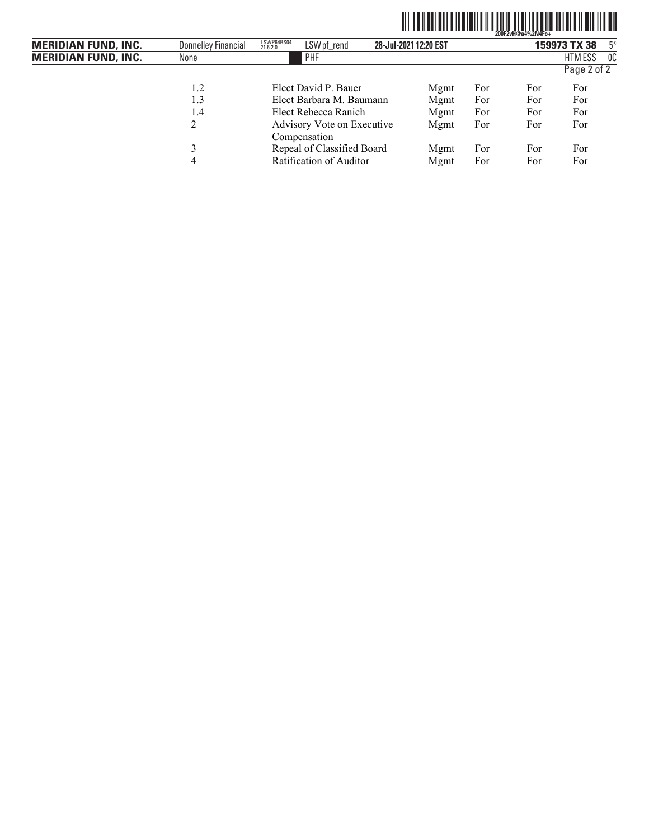

|                            |                     |                        |                                            |                       |      |     | <b><i>LUULLVII'S</i></b> UT/ULIVTI UT |                 |    |
|----------------------------|---------------------|------------------------|--------------------------------------------|-----------------------|------|-----|---------------------------------------|-----------------|----|
| <b>MERIDIAN FUND, INC.</b> | Donnelley Financial | LSWP64RS04<br>21.6.2.0 | LSW pf rend                                | 28-Jul-2021 12:20 EST |      |     |                                       | 159973 TX 38    | 5* |
| <b>MERIDIAN FUND, INC.</b> | None                |                        | PHF                                        |                       |      |     |                                       | HTM ESS         | 0C |
|                            |                     |                        |                                            |                       |      |     |                                       | Page $2$ of $2$ |    |
|                            | 1.2                 |                        | Elect David P. Bauer                       |                       | Mgmt | For | For                                   | For             |    |
|                            | 1.3                 |                        | Elect Barbara M. Baumann                   |                       | Mgmt | For | For                                   | For             |    |
|                            | 1.4                 |                        | Elect Rebecca Ranich                       |                       | Mgmt | For | For                                   | For             |    |
|                            |                     |                        | Advisory Vote on Executive<br>Compensation |                       | Mgmt | For | For                                   | For             |    |
|                            |                     |                        | Repeal of Classified Board                 |                       | Mgmt | For | For                                   | For             |    |
|                            | 4                   |                        | Ratification of Auditor                    |                       | Mgmt | For | For                                   | For             |    |
|                            |                     |                        |                                            |                       |      |     |                                       |                 |    |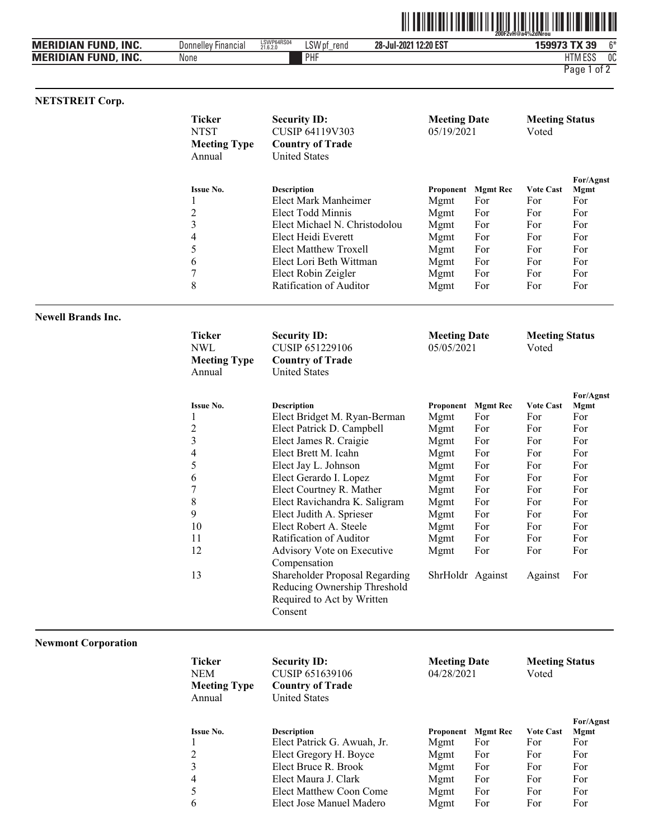|                                                          |                                    |                                                                                                         |                                   |                    | 159973 TX 39                   | $6*$                     |
|----------------------------------------------------------|------------------------------------|---------------------------------------------------------------------------------------------------------|-----------------------------------|--------------------|--------------------------------|--------------------------|
| <b>MERIDIAN FUND, INC.</b><br><b>MERIDIAN FUND, INC.</b> | <b>Donnelley Financial</b><br>None | LSWP64RS04<br>21.6.2.0<br>28-Jul-2021 12:20 EST<br>LSW pf_rend<br>PHF                                   |                                   |                    |                                | <b>HTMESS</b><br>OC      |
|                                                          |                                    |                                                                                                         |                                   |                    |                                | Page 1 of 2              |
| <b>NETSTREIT Corp.</b>                                   |                                    |                                                                                                         |                                   |                    |                                |                          |
|                                                          | <b>Ticker</b><br><b>NTST</b>       | <b>Security ID:</b><br>CUSIP 64119V303                                                                  | <b>Meeting Date</b><br>05/19/2021 |                    | <b>Meeting Status</b><br>Voted |                          |
|                                                          | <b>Meeting Type</b><br>Annual      | <b>Country of Trade</b><br><b>United States</b>                                                         |                                   |                    |                                |                          |
|                                                          | <b>Issue No.</b>                   | Description                                                                                             |                                   | Proponent Mgmt Rec | <b>Vote Cast</b>               | For/Agnst<br><b>Mgmt</b> |
|                                                          | 1                                  | Elect Mark Manheimer                                                                                    | Mgmt                              | For                | For                            | For                      |
|                                                          | $\overline{c}$                     | Elect Todd Minnis                                                                                       | Mgmt                              | For                | For                            | For                      |
|                                                          | 3                                  | Elect Michael N. Christodolou                                                                           | Mgmt                              | For                | For                            | For                      |
|                                                          | 4                                  | Elect Heidi Everett                                                                                     | Mgmt                              | For                | For                            | For                      |
|                                                          | 5                                  | <b>Elect Matthew Troxell</b>                                                                            | Mgmt                              | For                | For                            | For                      |
|                                                          | 6                                  | Elect Lori Beth Wittman                                                                                 | Mgmt                              | For                | For                            | For                      |
|                                                          | 7                                  | Elect Robin Zeigler                                                                                     | Mgmt                              | For                | For                            | For                      |
|                                                          | 8                                  | Ratification of Auditor                                                                                 | Mgmt                              | For                | For                            | For                      |
| <b>Newell Brands Inc.</b>                                |                                    |                                                                                                         |                                   |                    |                                |                          |
|                                                          | <b>Ticker</b>                      | <b>Security ID:</b>                                                                                     | <b>Meeting Date</b>               |                    | <b>Meeting Status</b>          |                          |
|                                                          | <b>NWL</b>                         | CUSIP 651229106                                                                                         | 05/05/2021                        |                    | Voted                          |                          |
|                                                          | <b>Meeting Type</b>                | <b>Country of Trade</b>                                                                                 |                                   |                    |                                |                          |
|                                                          | Annual                             | <b>United States</b>                                                                                    |                                   |                    |                                |                          |
|                                                          | <b>Issue No.</b>                   | <b>Description</b>                                                                                      | Proponent                         | <b>Mgmt Rec</b>    | <b>Vote Cast</b>               | For/Agnst<br><b>Mgmt</b> |
|                                                          | 1                                  | Elect Bridget M. Ryan-Berman                                                                            | Mgmt                              | For                | For                            | For                      |
|                                                          | $\overline{2}$                     | Elect Patrick D. Campbell                                                                               | Mgmt                              | For                | For                            | For                      |
|                                                          | 3                                  | Elect James R. Craigie                                                                                  | Mgmt                              | For                | For                            | For                      |
|                                                          | 4                                  | Elect Brett M. Icahn                                                                                    | Mgmt                              | For                | For                            | For                      |
|                                                          | 5                                  | Elect Jay L. Johnson                                                                                    | Mgmt                              | For                | For                            | For                      |
|                                                          | 6                                  | Elect Gerardo I. Lopez                                                                                  | Mgmt                              | For                | For                            | For                      |
|                                                          | 7                                  | Elect Courtney R. Mather                                                                                | Mgmt                              | For                | For                            | For                      |
|                                                          | $\,8\,$                            | Elect Ravichandra K. Saligram                                                                           | Mgmt                              | For                | For                            | For                      |
|                                                          | 9                                  | Elect Judith A. Sprieser                                                                                | Mgmt                              | For                | For                            | For                      |
|                                                          | 10                                 | Elect Robert A. Steele                                                                                  | Mgmt                              | For                | For                            | For                      |
|                                                          | 11                                 | Ratification of Auditor                                                                                 | Mgmt                              | For                | For                            | For                      |
|                                                          | 12                                 | Advisory Vote on Executive                                                                              | Mgmt                              | For                | For                            | For                      |
|                                                          |                                    | Compensation                                                                                            |                                   |                    |                                |                          |
|                                                          | 13                                 | Shareholder Proposal Regarding<br>Reducing Ownership Threshold<br>Required to Act by Written<br>Consent | ShrHoldr Against                  |                    | Against                        | For                      |
| <b>Newmont Corporation</b>                               |                                    |                                                                                                         |                                   |                    |                                |                          |
|                                                          | <b>Ticker</b>                      | <b>Security ID:</b>                                                                                     | <b>Meeting Date</b>               |                    | <b>Meeting Status</b>          |                          |
|                                                          | <b>NEM</b>                         | CUSIP 651639106                                                                                         | 04/28/2021                        |                    | Voted                          |                          |
|                                                          | <b>Meeting Type</b>                | <b>Country of Trade</b>                                                                                 |                                   |                    |                                |                          |
|                                                          | Annual                             | <b>United States</b>                                                                                    |                                   |                    |                                |                          |
|                                                          | <b>Issue No.</b>                   | Description                                                                                             | Proponent                         | <b>Mgmt Rec</b>    | <b>Vote Cast</b>               | For/Agnst<br><b>Mgmt</b> |
|                                                          | $\mathbf{I}$                       | Elect Patrick G. Awuah, Jr.                                                                             | Mgmt                              | For                | For                            | For                      |
|                                                          | $\overline{2}$                     | Elect Gregory H. Boyce                                                                                  | Mgmt                              | For                | For                            | For                      |
|                                                          | 3                                  | Elect Bruce R. Brook                                                                                    | Mgmt                              | For                | For                            | For                      |
|                                                          | 4                                  | Elect Maura J. Clark                                                                                    | Mgmt                              | For                | For                            | For                      |
|                                                          | 5                                  | Elect Matthew Coon Come                                                                                 | Mgmt                              | For                | For                            | For                      |
|                                                          | 6                                  | Elect Jose Manuel Madero                                                                                | Mgmt                              | For                | For                            | For                      |
|                                                          |                                    |                                                                                                         |                                   |                    |                                |                          |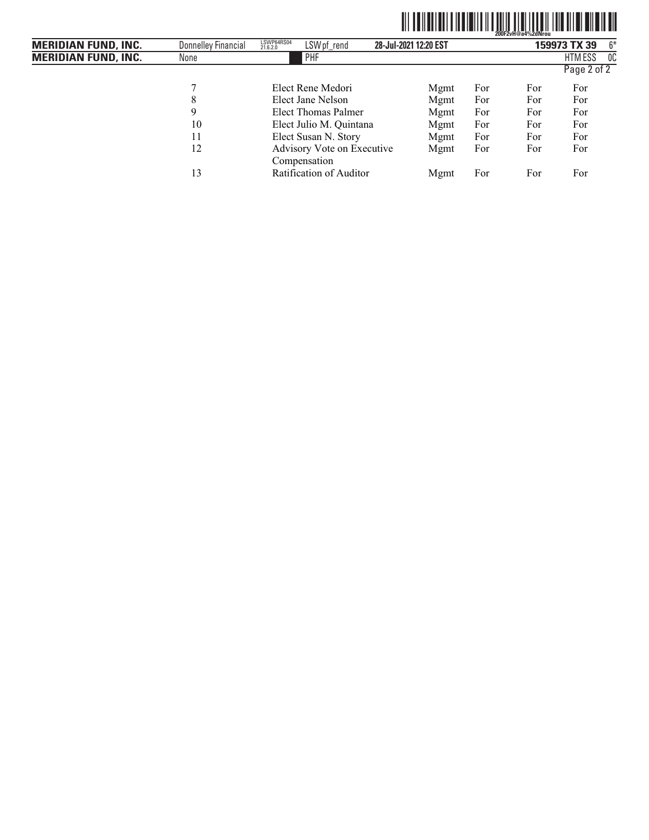

|                            |                            |                                       |                       |     | ______________ |              |      |
|----------------------------|----------------------------|---------------------------------------|-----------------------|-----|----------------|--------------|------|
| <b>MERIDIAN FUND, INC.</b> | <b>Donnelley Financial</b> | LSWP64RS04<br>LSW pf_rend<br>21.6.2.0 | 28-Jul-2021 12:20 EST |     |                | 159973 TX 39 | $6*$ |
| <b>MERIDIAN FUND, INC.</b> | None                       | PHF                                   |                       |     |                | HTM ESS      | 0C   |
|                            |                            |                                       |                       |     |                | Page 2 of 2  |      |
|                            |                            | Elect Rene Medori                     | Mgmt                  | For | For            | For          |      |
|                            | 8                          | Elect Jane Nelson                     | Mgmt                  | For | For            | For          |      |
|                            | 9                          | Elect Thomas Palmer                   | Mgmt                  | For | For            | For          |      |
|                            | 10                         | Elect Julio M. Quintana               | Mgmt                  | For | For            | For          |      |
|                            | 11                         | Elect Susan N. Story                  | Mgmt                  | For | For            | For          |      |
|                            | 12                         | Advisory Vote on Executive            | Mgmt                  | For | For            | For          |      |
|                            |                            | Compensation                          |                       |     |                |              |      |
|                            | 13                         | Ratification of Auditor               | Mgmt                  | For | For            | For          |      |
|                            |                            |                                       |                       |     |                |              |      |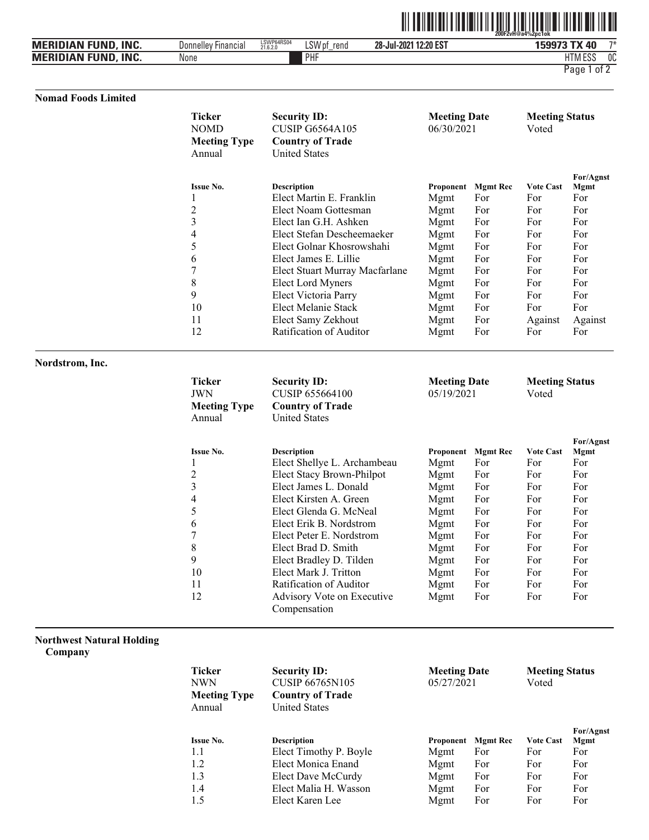| <b>MERIDIAN FUND, INC.</b>                  | <b>Donnelley Financial</b>    | LSWP64RS04<br>21.6.2.0<br>LSW pf_rend           | 28-Jul-2021 12:20 EST |                     |                 | 159973 TX 40          |                                 |
|---------------------------------------------|-------------------------------|-------------------------------------------------|-----------------------|---------------------|-----------------|-----------------------|---------------------------------|
| <b>MERIDIAN FUND, INC.</b>                  | None                          | PHF                                             |                       |                     |                 |                       | <b>HTMESS</b><br>$\overline{0}$ |
|                                             |                               |                                                 |                       |                     |                 |                       | Page 1 of 2                     |
| <b>Nomad Foods Limited</b>                  |                               |                                                 |                       |                     |                 |                       |                                 |
|                                             | <b>Ticker</b>                 | <b>Security ID:</b>                             |                       | <b>Meeting Date</b> |                 | <b>Meeting Status</b> |                                 |
|                                             | <b>NOMD</b>                   | <b>CUSIP G6564A105</b>                          |                       | 06/30/2021          |                 | Voted                 |                                 |
|                                             | <b>Meeting Type</b><br>Annual | <b>Country of Trade</b><br><b>United States</b> |                       |                     |                 |                       |                                 |
|                                             |                               |                                                 |                       |                     |                 |                       | For/Agnst                       |
|                                             | <b>Issue No.</b>              | Description                                     |                       | Proponent           | <b>Mgmt Rec</b> | <b>Vote Cast</b>      | <b>Mgmt</b>                     |
|                                             | 1                             | Elect Martin E. Franklin                        |                       | Mgmt                | For             | For                   | For                             |
|                                             | $\overline{2}$                | Elect Noam Gottesman                            |                       | Mgmt                | For             | For                   | For                             |
|                                             | 3                             | Elect Ian G.H. Ashken                           |                       | Mgmt                | For             | For                   | For                             |
|                                             | 4                             | Elect Stefan Descheemaeker                      |                       | Mgmt                | For             | For                   | For                             |
|                                             | 5                             | Elect Golnar Khosrowshahi                       |                       | Mgmt                | For             | For                   | For                             |
|                                             | 6                             | Elect James E. Lillie                           |                       | Mgmt                | For             | For                   | For                             |
|                                             | 7                             | Elect Stuart Murray Macfarlane                  |                       | Mgmt                | For             | For                   | For                             |
|                                             | $\,8\,$                       | Elect Lord Myners                               |                       | Mgmt                | For             | For                   | For                             |
|                                             | 9                             | Elect Victoria Parry                            |                       | Mgmt                | For             | For                   | For                             |
|                                             | 10                            | <b>Elect Melanie Stack</b>                      |                       | Mgmt                | For             | For                   | For                             |
|                                             | 11                            | Elect Samy Zekhout                              |                       | Mgmt                | For             | Against               | Against                         |
|                                             | 12                            | Ratification of Auditor                         |                       | Mgmt                | For             | For                   | For                             |
| Nordstrom, Inc.                             |                               |                                                 |                       |                     |                 |                       |                                 |
|                                             | <b>Ticker</b>                 | <b>Security ID:</b>                             |                       | <b>Meeting Date</b> |                 | <b>Meeting Status</b> |                                 |
|                                             | <b>JWN</b>                    | CUSIP 655664100                                 |                       | 05/19/2021          |                 | Voted                 |                                 |
|                                             | <b>Meeting Type</b><br>Annual | <b>Country of Trade</b><br><b>United States</b> |                       |                     |                 |                       |                                 |
|                                             | <b>Issue No.</b>              | Description                                     |                       | Proponent           | <b>Mgmt Rec</b> | <b>Vote Cast</b>      | For/Agnst<br><b>Mgmt</b>        |
|                                             | 1                             | Elect Shellye L. Archambeau                     |                       | Mgmt                | For             | For                   | For                             |
|                                             | $\overline{2}$                | Elect Stacy Brown-Philpot                       |                       | Mgmt                | For             | For                   | For                             |
|                                             | 3                             | Elect James L. Donald                           |                       | Mgmt                | For             | For                   | For                             |
|                                             | 4                             | Elect Kirsten A. Green                          |                       | Mgmt                | For             | For                   | For                             |
|                                             | 5                             | Elect Glenda G. McNeal                          |                       | Mgmt                | For             | For                   | For                             |
|                                             | 6                             | Elect Erik B. Nordstrom                         |                       | Mgmt                | For             | For                   | For                             |
|                                             | 7                             | Elect Peter E. Nordstrom                        |                       | Mgmt                | For             | For                   | For                             |
|                                             | $\,8\,$                       | Elect Brad D. Smith                             |                       | Mgmt                | For             | For                   | For                             |
|                                             | 9                             | Elect Bradley D. Tilden                         |                       | Mgmt                | For             | For                   | For                             |
|                                             | 10                            | Elect Mark J. Tritton                           |                       | Mgmt                | For             | For                   | For                             |
|                                             | 11                            | Ratification of Auditor                         |                       | Mgmt                | For             | For                   | For                             |
|                                             | 12                            | Advisory Vote on Executive                      |                       | Mgmt                | For             | For                   | For                             |
|                                             |                               | Compensation                                    |                       |                     |                 |                       |                                 |
| <b>Northwest Natural Holding</b><br>Company |                               |                                                 |                       |                     |                 |                       |                                 |
|                                             | <b>Ticker</b>                 | <b>Security ID:</b>                             |                       | <b>Meeting Date</b> |                 | <b>Meeting Status</b> |                                 |
|                                             | <b>NWN</b>                    | CUSIP 66765N105                                 |                       | 05/27/2021          |                 | Voted                 |                                 |
|                                             | <b>Meeting Type</b><br>Annual | <b>Country of Trade</b><br><b>United States</b> |                       |                     |                 |                       |                                 |
|                                             |                               |                                                 |                       |                     |                 |                       | For/Agnst                       |
|                                             | <b>Issue No.</b>              | <b>Description</b>                              |                       | Proponent           | <b>Mgmt Rec</b> | <b>Vote Cast</b>      | <b>Mgmt</b>                     |
|                                             | 1.1                           | Elect Timothy P. Boyle                          |                       | Mgmt                | For             | For                   | For                             |
|                                             | 1.2                           | <b>Elect Monica Enand</b>                       |                       | Mgmt                | For             | For                   | For                             |
|                                             | 1.3                           | Elect Dave McCurdy                              |                       | Mgmt                | For             | For                   | For                             |
|                                             | 1.4                           | Elect Malia H. Wasson                           |                       | Mgmt                | For             | For                   | For                             |
|                                             | 1.5                           | Elect Karen Lee                                 |                       | Mgmt                | For             | For                   | For                             |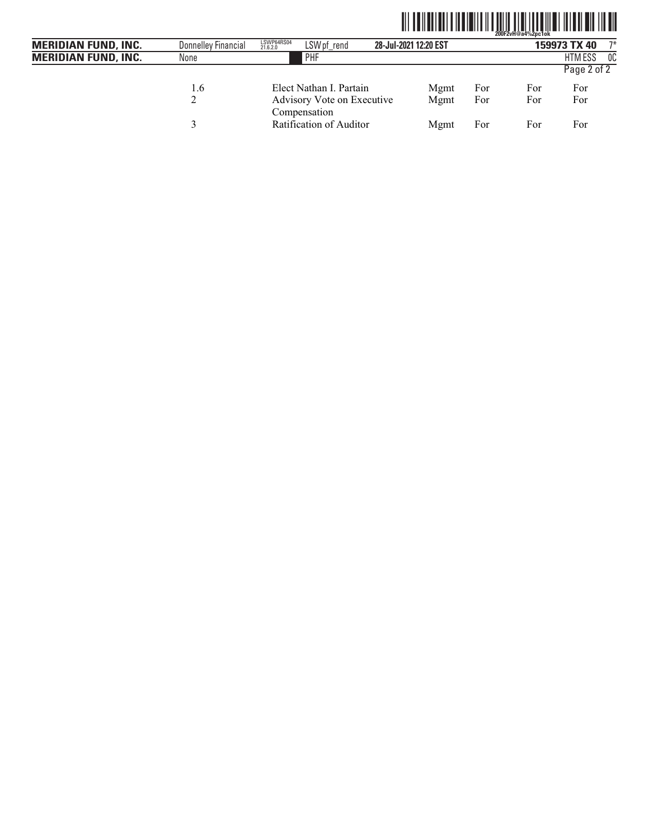

| <b>MERIDIAN FUND, INC.</b> | <b>Donnelley Financial</b> | LSWP64RS04<br>21.6.2.0 | LSW pf rend                                | 28-Jul-2021 12:20 EST |      |     |     | 159973 TX 40   | $7*$ |
|----------------------------|----------------------------|------------------------|--------------------------------------------|-----------------------|------|-----|-----|----------------|------|
| <b>MERIDIAN FUND, INC.</b> | None                       |                        | PHF                                        |                       |      |     |     | <b>HTM ESS</b> | 0C   |
|                            |                            |                        |                                            |                       |      |     |     | Page 2 of 2    |      |
|                            | 1.6                        |                        | Elect Nathan I. Partain                    |                       | Mgmt | For | For | For            |      |
|                            |                            |                        | Advisory Vote on Executive<br>Compensation |                       | Mgmt | For | For | For            |      |
|                            |                            |                        | Ratification of Auditor                    |                       | Mgmt | For | For | For            |      |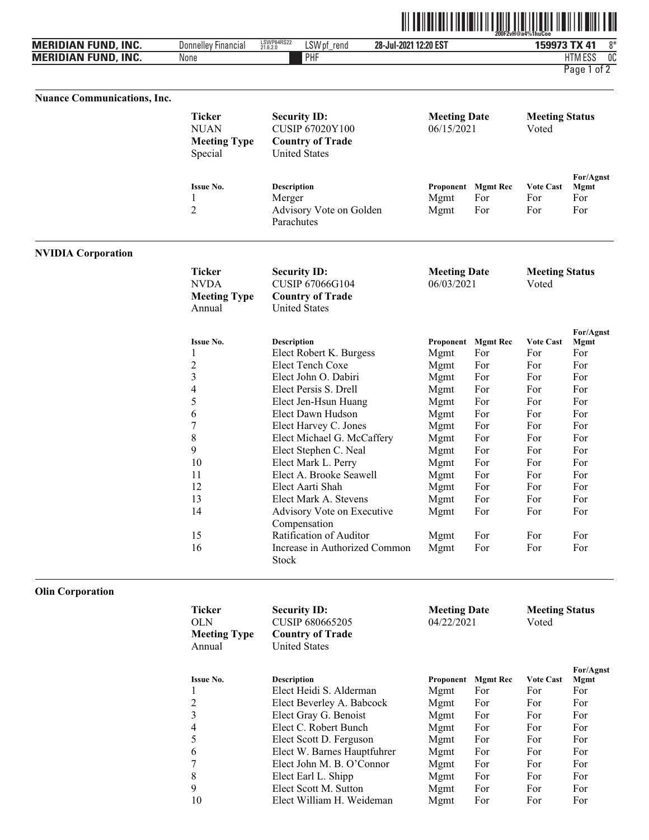| <b>MERIDIAN FUND, INC.</b>         | <b>Donnelley Financial</b>                                     | LSWP64RS22<br>21.6.2.0<br>LSW pf_rend<br>28-Jul-2021 12:20 EST                                   |                                   |                               | 159973 TX 41                   | $8*$                                   |
|------------------------------------|----------------------------------------------------------------|--------------------------------------------------------------------------------------------------|-----------------------------------|-------------------------------|--------------------------------|----------------------------------------|
| <b>MERIDIAN FUND, INC.</b>         | None                                                           | PHF                                                                                              |                                   |                               |                                | $\overline{00}$<br>HTM ESS             |
|                                    |                                                                |                                                                                                  |                                   |                               |                                | Page 1 of 2                            |
| <b>Nuance Communications, Inc.</b> |                                                                |                                                                                                  |                                   |                               |                                |                                        |
|                                    | <b>Ticker</b><br><b>NUAN</b><br><b>Meeting Type</b><br>Special | <b>Security ID:</b><br><b>CUSIP 67020Y100</b><br><b>Country of Trade</b><br><b>United States</b> | <b>Meeting Date</b><br>06/15/2021 |                               | <b>Meeting Status</b><br>Voted |                                        |
|                                    | <b>Issue No.</b><br>1<br>2                                     | Description<br>Merger<br>Advisory Vote on Golden<br>Parachutes                                   | Proponent<br>Mgmt<br>Mgmt         | <b>Mgmt Rec</b><br>For<br>For | <b>Vote Cast</b><br>For<br>For | For/Agnst<br><b>Mgmt</b><br>For<br>For |
| <b>NVIDIA Corporation</b>          |                                                                |                                                                                                  |                                   |                               |                                |                                        |
|                                    | <b>Ticker</b><br><b>NVDA</b><br><b>Meeting Type</b><br>Annual  | <b>Security ID:</b><br><b>CUSIP 67066G104</b><br><b>Country of Trade</b><br><b>United States</b> | <b>Meeting Date</b><br>06/03/2021 |                               | <b>Meeting Status</b><br>Voted |                                        |
|                                    | <b>Issue No.</b>                                               | Description                                                                                      |                                   | Proponent Mgmt Rec            | <b>Vote Cast</b>               | For/Agnst<br><b>Mgmt</b>               |
|                                    | 1                                                              | Elect Robert K. Burgess                                                                          | Mgmt                              | For                           | For                            | For                                    |
|                                    | $\overline{c}$                                                 | Elect Tench Coxe                                                                                 | Mgmt                              | For                           | For                            | For                                    |
|                                    | 3                                                              | Elect John O. Dabiri                                                                             | Mgmt                              | For                           | For                            | For                                    |
|                                    | 4                                                              | Elect Persis S. Drell                                                                            | Mgmt                              | For                           | For                            | For                                    |
|                                    | 5                                                              | Elect Jen-Hsun Huang                                                                             | Mgmt                              | For                           | For                            | For                                    |
|                                    | 6                                                              | Elect Dawn Hudson                                                                                | Mgmt                              | For                           | For                            | For                                    |
|                                    | $\sqrt{ }$                                                     | Elect Harvey C. Jones                                                                            | Mgmt                              | For                           | For                            | For                                    |
|                                    | 8                                                              | Elect Michael G. McCaffery                                                                       | Mgmt                              | For                           | For                            | For                                    |
|                                    | 9                                                              | Elect Stephen C. Neal                                                                            | Mgmt                              | For                           | For                            | For                                    |
|                                    | 10                                                             | Elect Mark L. Perry                                                                              | Mgmt                              | For                           | For                            | For                                    |
|                                    | 11                                                             | Elect A. Brooke Seawell                                                                          | Mgmt                              | For                           | For                            | For                                    |
|                                    | 12                                                             | Elect Aarti Shah                                                                                 | Mgmt                              | For                           | For                            | For                                    |
|                                    | 13                                                             | Elect Mark A. Stevens                                                                            | Mgmt                              | For                           | For                            | For                                    |
|                                    | 14                                                             | Advisory Vote on Executive<br>Compensation                                                       | Mgmt                              | For                           | For                            | For                                    |
|                                    | 15                                                             | Ratification of Auditor                                                                          | Mgmt                              | For                           | For                            | For                                    |
|                                    | 16                                                             | Increase in Authorized Common<br>Stock                                                           | Mgmt                              | For                           | For                            | For                                    |

#### **Olin Corporation**

| <b>Ticker</b>       | <b>Security ID:</b>         | <b>Meeting Date</b> |                 | <b>Meeting Status</b> |           |
|---------------------|-----------------------------|---------------------|-----------------|-----------------------|-----------|
| <b>OLN</b>          | <b>CUSIP 680665205</b>      | 04/22/2021          |                 | Voted                 |           |
| <b>Meeting Type</b> | <b>Country of Trade</b>     |                     |                 |                       |           |
| Annual              | <b>United States</b>        |                     |                 |                       |           |
|                     |                             |                     |                 |                       | For/Agnst |
| <b>Issue No.</b>    | <b>Description</b>          | Proponent           | <b>Mgmt Rec</b> | <b>Vote Cast</b>      | Mgmt      |
|                     | Elect Heidi S. Alderman     | Mgmt                | For             | For                   | For       |
| 2                   | Elect Beverley A. Babcock   | Mgmt                | For             | For                   | For       |
| 3                   | Elect Gray G. Benoist       | Mgmt                | For             | For                   | For       |
| 4                   | Elect C. Robert Bunch       | Mgmt                | For             | For                   | For       |
| 5                   | Elect Scott D. Ferguson     | Mgmt                | For             | For                   | For       |
| 6                   | Elect W. Barnes Hauptfuhrer | Mgmt                | For             | For                   | For       |
|                     | Elect John M. B. O'Connor   | Mgmt                | For             | For                   | For       |
| 8                   | Elect Earl L. Shipp         | Mgmt                | For             | For                   | For       |
| 9                   | Elect Scott M. Sutton       | Mgmt                | For             | For                   | For       |
| 10                  | Elect William H. Weideman   | Mgmt                | For             | For                   | For       |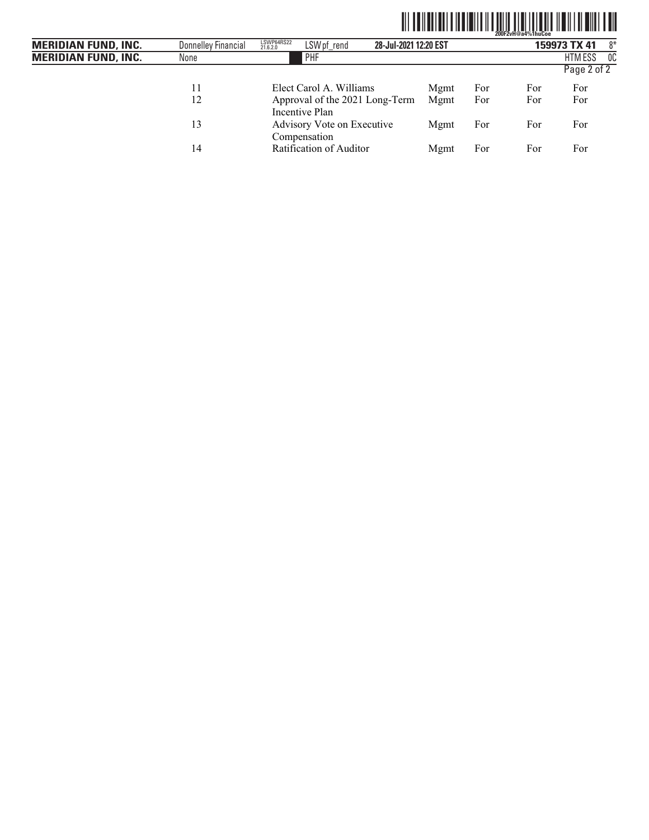

|                            |                            |                        |                                                  |                       |      |     | $20012811 \& 0770110006$ |                      |  |  |  |
|----------------------------|----------------------------|------------------------|--------------------------------------------------|-----------------------|------|-----|--------------------------|----------------------|--|--|--|
| <b>MERIDIAN FUND, INC.</b> | <b>Donnelley Financial</b> | LSWP64RS22<br>21.6.2.0 | LSW pf rend                                      | 28-Jul-2021 12:20 EST |      |     |                          | $8*$<br>159973 TX 41 |  |  |  |
| <b>MERIDIAN FUND, INC.</b> | None                       |                        | PHF                                              |                       |      |     |                          | 0C<br><b>HTM ESS</b> |  |  |  |
|                            |                            |                        |                                                  |                       |      |     |                          | Page 2 of 2          |  |  |  |
|                            |                            |                        | Elect Carol A. Williams                          |                       | Mgmt | For | For                      | For                  |  |  |  |
|                            | 12                         |                        | Approval of the 2021 Long-Term<br>Incentive Plan |                       | Mgmt | For | For                      | For                  |  |  |  |
|                            | 13                         |                        | Advisory Vote on Executive<br>Compensation       |                       | Mgmt | For | For                      | For                  |  |  |  |
|                            | 14                         |                        | Ratification of Auditor                          |                       | Mgmt | For | For                      | For                  |  |  |  |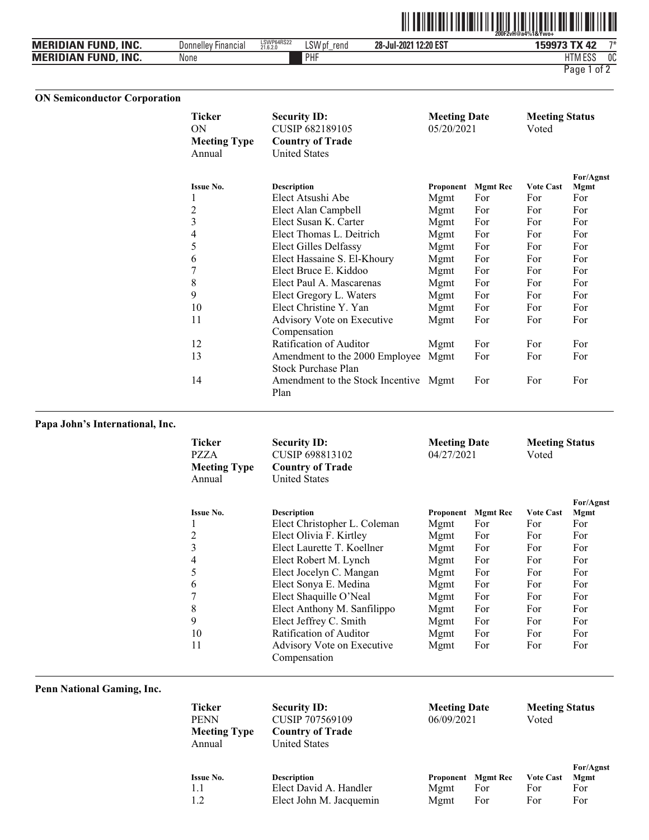|                                     |                                 |                                        |                                   | 200F2vH@a4%1&Ywo+              |
|-------------------------------------|---------------------------------|----------------------------------------|-----------------------------------|--------------------------------|
| <b>MERIDIAN FUND, INC.</b>          | Donnelley Financial             | LSWP64RS22<br>LSW pf_rend<br>21.6.2.0  | 28-Jul-2021 12:20 EST             | $7^*$<br>159973 TX 42          |
| <b>MERIDIAN FUND, INC.</b>          | None                            | <b>PHF</b>                             |                                   | 0C<br><b>HTMESS</b>            |
| <b>ON Semiconductor Corporation</b> |                                 |                                        |                                   | Page 1 of 2                    |
|                                     | <b>Ticker</b><br>0 <sub>N</sub> | <b>Security ID:</b><br>CUSIP 682189105 | <b>Meeting Date</b><br>05/20/2021 | <b>Meeting Status</b><br>Voted |

| <b>ON</b><br><b>Meeting Type</b><br>Annual | <b>CUSIP 682189105</b><br><b>Country of Trade</b><br><b>United States</b> | 05/20/2021        |                        | Voted                   |                                 |
|--------------------------------------------|---------------------------------------------------------------------------|-------------------|------------------------|-------------------------|---------------------------------|
| <b>Issue No.</b><br>1                      | <b>Description</b><br>Elect Atsushi Abe                                   | Proponent<br>Mgmt | <b>Mgmt Rec</b><br>For | <b>Vote Cast</b><br>For | For/Agnst<br><b>Mgmt</b><br>For |
| 2                                          | Elect Alan Campbell                                                       | Mgmt              | For                    | For                     | For                             |
| 3                                          | Elect Susan K. Carter                                                     | Mgmt              | For                    | For                     | For                             |
| 4                                          | Elect Thomas L. Deitrich                                                  | Mgmt              | For                    | For                     | For                             |
| 5                                          | <b>Elect Gilles Delfassy</b>                                              | Mgmt              | For                    | For                     | For                             |
| 6                                          | Elect Hassaine S. El-Khoury                                               | Mgmt              | For                    | For                     | For                             |
| 7                                          | Elect Bruce E. Kiddoo                                                     | Mgmt              | For                    | For                     | For                             |
| 8                                          | Elect Paul A. Mascarenas                                                  | Mgmt              | For                    | For                     | For                             |
| 9                                          | Elect Gregory L. Waters                                                   | Mgmt              | For                    | For                     | For                             |
| 10                                         | Elect Christine Y. Yan                                                    | Mgmt              | For                    | For                     | For                             |
| 11                                         | Advisory Vote on Executive<br>Compensation                                | Mgmt              | For                    | For                     | For                             |
| 12                                         | Ratification of Auditor                                                   | Mgmt              | For                    | For                     | For                             |
| 13                                         | Amendment to the 2000 Employee<br><b>Stock Purchase Plan</b>              | Mgmt              | For                    | For                     | For                             |
| 14                                         | Amendment to the Stock Incentive Mgmt<br>Plan                             |                   | For                    | For                     | For                             |

#### **Papa John's International, Inc.**

| <b>Ticker</b><br><b>PZZA</b><br><b>Meeting Type</b><br>Annual | <b>Security ID:</b><br><b>CUSIP 698813102</b><br><b>Country of Trade</b><br><b>United States</b> | <b>Meeting Date</b><br>04/27/2021 |                 | <b>Meeting Status</b><br>Voted |                          |
|---------------------------------------------------------------|--------------------------------------------------------------------------------------------------|-----------------------------------|-----------------|--------------------------------|--------------------------|
| <b>Issue No.</b>                                              | <b>Description</b>                                                                               | Proponent                         | <b>Mgmt Rec</b> | <b>Vote Cast</b>               | For/Agnst<br><b>Mgmt</b> |
| 1                                                             | Elect Christopher L. Coleman                                                                     | Mgmt                              | For             | For                            | For                      |
| $\overline{c}$                                                | Elect Olivia F. Kirtley                                                                          | Mgmt                              | For             | For                            | For                      |
| 3                                                             | Elect Laurette T. Koellner                                                                       | Mgmt                              | For             | For.                           | For.                     |
| 4                                                             | Elect Robert M. Lynch                                                                            | Mgmt                              | For             | For                            | For                      |
| 5                                                             | Elect Jocelyn C. Mangan                                                                          | Mgmt                              | For             | For                            | For                      |
| 6                                                             | Elect Sonya E. Medina                                                                            | Mgmt                              | For             | For                            | For                      |
| 7                                                             | Elect Shaquille O'Neal                                                                           | Mgmt                              | For             | For                            | For                      |
| 8                                                             | Elect Anthony M. Sanfilippo                                                                      | Mgmt                              | For             | For                            | For                      |
| 9                                                             | Elect Jeffrey C. Smith                                                                           | Mgmt                              | For             | For                            | For                      |
| 10                                                            | Ratification of Auditor                                                                          | Mgmt                              | For             | For                            | For                      |
| 11                                                            | Advisory Vote on Executive<br>Compensation                                                       | Mgmt                              | For             | For                            | For                      |

### **Penn National Gaming, Inc.**

| <b>Ticker</b><br><b>PENN</b><br><b>Meeting Type</b><br>Annual | <b>Security ID:</b><br>CUSIP 707569109<br><b>Country of Trade</b><br><b>United States</b> |                           | <b>Meeting Date</b><br>06/09/2021 |                                | <b>Meeting Status</b><br>Voted  |  |  |
|---------------------------------------------------------------|-------------------------------------------------------------------------------------------|---------------------------|-----------------------------------|--------------------------------|---------------------------------|--|--|
| <b>Issue No.</b><br>1.1<br>1.2                                | <b>Description</b><br>Elect David A. Handler<br>Elect John M. Jacquemin                   | Proponent<br>Mgmt<br>Mgmt | <b>Mgmt Rec</b><br>For<br>For     | <b>Vote Cast</b><br>For<br>For | For/Agnst<br>Mgmt<br>For<br>For |  |  |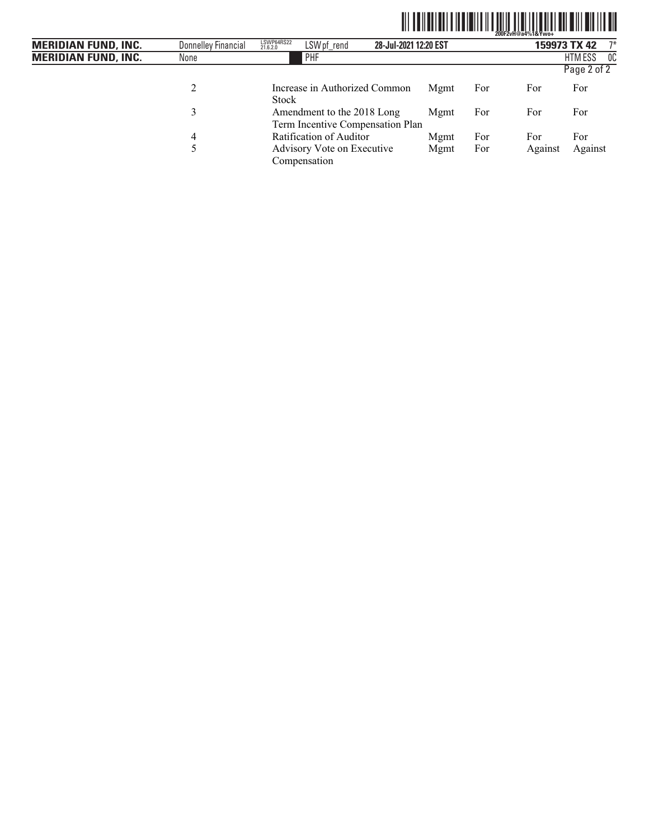

| <b>MERIDIAN FUND, INC.</b> | <b>Donnelley Financial</b> | LSWP64RS22<br>21.6.2.0 | LSW pf rend                                                    | 28-Jul-2021 12:20 EST |      |     |         | $7^*$<br>159973 TX 42 |
|----------------------------|----------------------------|------------------------|----------------------------------------------------------------|-----------------------|------|-----|---------|-----------------------|
| <b>MERIDIAN FUND, INC.</b> | None                       |                        | PHF                                                            |                       |      |     |         | 0C<br>HTM ESS         |
|                            |                            |                        |                                                                |                       |      |     |         | Page $2$ of $2$       |
|                            |                            | <b>Stock</b>           | Increase in Authorized Common                                  |                       | Mgmt | For | For     | For                   |
|                            |                            |                        | Amendment to the 2018 Long<br>Term Incentive Compensation Plan |                       | Mgmt | For | For     | For                   |
|                            | 4                          |                        | Ratification of Auditor                                        |                       | Mgmt | For | For     | For                   |
|                            |                            |                        | Advisory Vote on Executive<br>Compensation                     |                       | Mgmt | For | Against | Against               |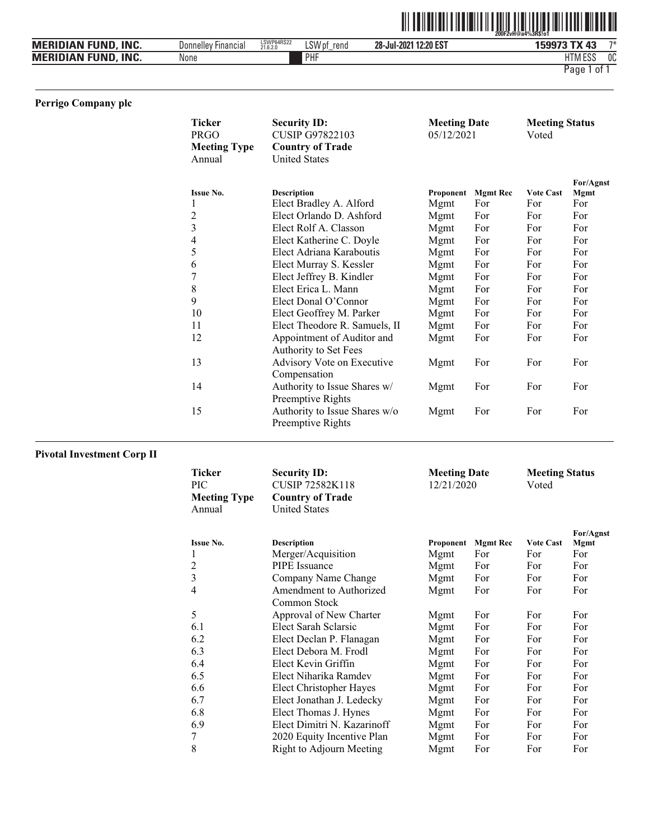|                                   |                            |                                                     | <u> 111   111   111   111   111   111   111   111   111   111   111   111   111   111   111   111   111   111   1</u> |                           |                       |                      |
|-----------------------------------|----------------------------|-----------------------------------------------------|-----------------------------------------------------------------------------------------------------------------------|---------------------------|-----------------------|----------------------|
| <b>MERIDIAN FUND, INC.</b>        | <b>Donnelley Financial</b> | LSWP64RS22<br>21.6.2.0<br>LSW pf_rend               | 28-Jul-2021 12:20 EST                                                                                                 |                           | 159973 TX 43          |                      |
| <b>MERIDIAN FUND, INC.</b>        | None                       | PHF                                                 |                                                                                                                       |                           |                       | <b>HTM ESS</b><br>0C |
|                                   |                            |                                                     |                                                                                                                       |                           |                       | Page 1 of 1          |
| Perrigo Company plc               |                            |                                                     |                                                                                                                       |                           |                       |                      |
|                                   | <b>Ticker</b>              | <b>Security ID:</b>                                 | <b>Meeting Date</b>                                                                                                   |                           | <b>Meeting Status</b> |                      |
|                                   | <b>PRGO</b>                | <b>CUSIP G97822103</b>                              | 05/12/2021                                                                                                            |                           | Voted                 |                      |
|                                   | <b>Meeting Type</b>        | <b>Country of Trade</b>                             |                                                                                                                       |                           |                       |                      |
|                                   | Annual                     | <b>United States</b>                                |                                                                                                                       |                           |                       |                      |
|                                   |                            |                                                     |                                                                                                                       |                           |                       | For/Agnst            |
|                                   | <b>Issue No.</b>           | <b>Description</b>                                  | Proponent                                                                                                             | <b>Mgmt Rec</b>           | <b>Vote Cast</b>      | <b>Mgmt</b>          |
|                                   | 1<br>$\overline{2}$        | Elect Bradley A. Alford<br>Elect Orlando D. Ashford | Mgmt                                                                                                                  | For<br>For                | For                   | For<br>For           |
|                                   | 3                          | Elect Rolf A. Classon                               | Mgmt<br>Mgmt                                                                                                          | For                       | For<br>For            | For                  |
|                                   | 4                          | Elect Katherine C. Doyle                            | Mgmt                                                                                                                  | For                       | For                   | For                  |
|                                   | 5                          | Elect Adriana Karaboutis                            | Mgmt                                                                                                                  | For                       | For                   | For                  |
|                                   | 6                          | Elect Murray S. Kessler                             | Mgmt                                                                                                                  | For                       | For                   | For                  |
|                                   | 7                          | Elect Jeffrey B. Kindler                            | Mgmt                                                                                                                  | For                       | For                   | For                  |
|                                   | 8                          | Elect Erica L. Mann                                 | Mgmt                                                                                                                  | For                       | For                   | For                  |
|                                   | 9                          | Elect Donal O'Connor                                | Mgmt                                                                                                                  | For                       | For                   | For                  |
|                                   | 10                         | Elect Geoffrey M. Parker                            | Mgmt                                                                                                                  | For                       | For                   | For                  |
|                                   | 11                         | Elect Theodore R. Samuels, II                       | Mgmt                                                                                                                  | For                       | For                   | For                  |
|                                   | 12                         | Appointment of Auditor and                          | Mgmt                                                                                                                  | For                       | For                   | For                  |
|                                   |                            | Authority to Set Fees                               |                                                                                                                       |                           |                       |                      |
|                                   | 13                         | Advisory Vote on Executive                          | Mgmt                                                                                                                  | For                       | For                   | For                  |
|                                   |                            | Compensation                                        |                                                                                                                       |                           |                       |                      |
|                                   | 14                         | Authority to Issue Shares w/                        | Mgmt                                                                                                                  | For                       | For                   | For                  |
|                                   |                            | Preemptive Rights                                   |                                                                                                                       |                           |                       |                      |
|                                   | 15                         | Authority to Issue Shares w/o                       | Mgmt                                                                                                                  | For                       | For                   | For                  |
|                                   |                            | Preemptive Rights                                   |                                                                                                                       |                           |                       |                      |
|                                   |                            |                                                     |                                                                                                                       |                           |                       |                      |
| <b>Pivotal Investment Corp II</b> |                            |                                                     |                                                                                                                       |                           |                       |                      |
|                                   | <b>Ticker</b>              | <b>Security ID:</b>                                 | <b>Meeting Date</b>                                                                                                   |                           | <b>Meeting Status</b> |                      |
|                                   | PIC                        | <b>CUSIP 72582K118</b>                              | 12/21/2020                                                                                                            |                           | Voted                 |                      |
|                                   | <b>Meeting Type</b>        | <b>Country of Trade</b>                             |                                                                                                                       |                           |                       |                      |
|                                   | Annual                     | <b>United States</b>                                |                                                                                                                       |                           |                       |                      |
|                                   |                            |                                                     |                                                                                                                       |                           |                       | For/Agnst            |
|                                   | <b>Issue No.</b>           | <b>Description</b>                                  |                                                                                                                       | <b>Proponent</b> Mgmt Rec | <b>Vote Cast</b>      | Mgmt                 |

| <b>Meeting Type</b> | <b>Country of Trade</b>     |           |                 |                  |             |
|---------------------|-----------------------------|-----------|-----------------|------------------|-------------|
| Annual              | <b>United States</b>        |           |                 |                  |             |
|                     |                             |           |                 |                  |             |
|                     |                             |           |                 |                  | For/Agnst   |
| <b>Issue No.</b>    | <b>Description</b>          | Proponent | <b>Mgmt Rec</b> | <b>Vote Cast</b> | <b>Mgmt</b> |
| 1                   | Merger/Acquisition          | Mgmt      | For             | For              | For         |
| 2                   | <b>PIPE</b> Issuance        | Mgmt      | For             | For              | For         |
| 3                   | Company Name Change         | Mgmt      | For             | For              | For         |
| $\overline{4}$      | Amendment to Authorized     | Mgmt      | For             | For              | For         |
|                     | Common Stock                |           |                 |                  |             |
| 5                   | Approval of New Charter     | Mgmt      | For             | For              | For         |
| 6.1                 | Elect Sarah Sclarsic        | Mgmt      | For             | For              | For         |
| 6.2                 | Elect Declan P. Flanagan    | Mgmt      | For             | For              | For         |
| 6.3                 | Elect Debora M. Frodl       | Mgmt      | For             | For              | For         |
| 6.4                 | Elect Kevin Griffin         | Mgmt      | For             | For              | For         |
| 6.5                 | Elect Niharika Ramdev       | Mgmt      | For             | For              | For         |
| 6.6                 | Elect Christopher Hayes     | Mgmt      | For             | For              | For         |
| 6.7                 | Elect Jonathan J. Ledecky   | Mgmt      | For             | For              | For         |
| 6.8                 | Elect Thomas J. Hynes       | Mgmt      | For             | For              | For         |
| 6.9                 | Elect Dimitri N. Kazarinoff | Mgmt      | For             | For              | For         |
| 7                   | 2020 Equity Incentive Plan  | Mgmt      | For             | For              | For         |
| 8                   | Right to Adjourn Meeting    | Mgmt      | For             | For              | For         |
|                     |                             |           |                 |                  |             |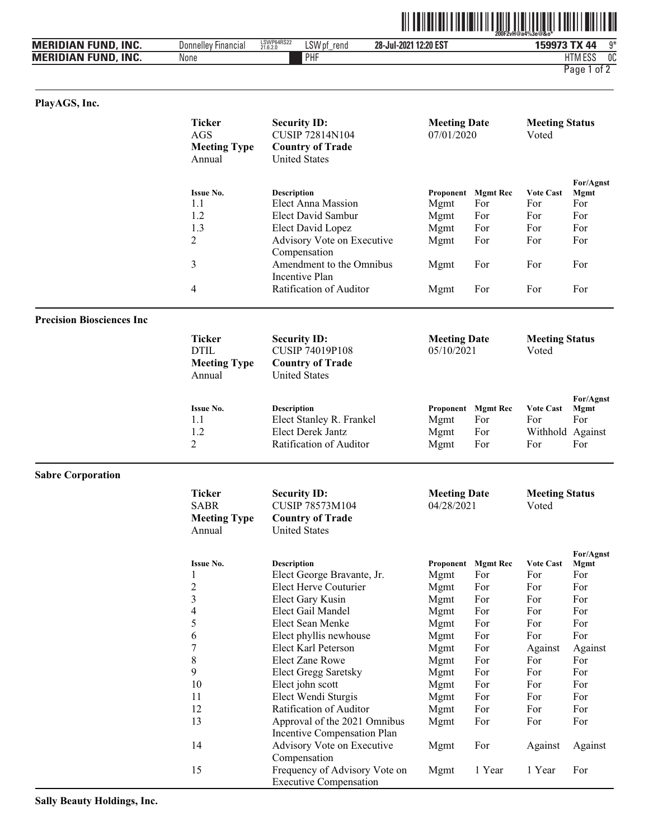| <b>MERIDIAN FUND, INC.</b>       | <b>Donnelley Financial</b> | LSWP64RS22<br>21.6.2.0<br>LSW pf_rend | 28-Jul-2021 12:20 EST |                    | 159973 TX 44          | $9*$                      |
|----------------------------------|----------------------------|---------------------------------------|-----------------------|--------------------|-----------------------|---------------------------|
| <b>MERIDIAN FUND, INC.</b>       | None                       | PHF                                   |                       |                    |                       | $\overline{0}$<br>HTM ESS |
|                                  |                            |                                       |                       |                    |                       | Page 1 of 2               |
| PlayAGS, Inc.                    |                            |                                       |                       |                    |                       |                           |
|                                  | <b>Ticker</b>              | <b>Security ID:</b>                   | <b>Meeting Date</b>   |                    | <b>Meeting Status</b> |                           |
|                                  | <b>AGS</b>                 | <b>CUSIP 72814N104</b>                | 07/01/2020            |                    | Voted                 |                           |
|                                  | <b>Meeting Type</b>        | <b>Country of Trade</b>               |                       |                    |                       |                           |
|                                  | Annual                     | <b>United States</b>                  |                       |                    |                       |                           |
|                                  |                            |                                       |                       |                    |                       | For/Agnst                 |
|                                  | <b>Issue No.</b>           | <b>Description</b>                    |                       | Proponent Mgmt Rec | <b>Vote Cast</b>      | <b>Mgmt</b>               |
|                                  | 1.1                        | <b>Elect Anna Massion</b>             | Mgmt                  | For                | For                   | For                       |
|                                  | 1.2                        | <b>Elect David Sambur</b>             | Mgmt                  | For                | For                   | For                       |
|                                  | 1.3                        | <b>Elect David Lopez</b>              | Mgmt                  | For                | For                   | For                       |
|                                  | 2                          | Advisory Vote on Executive            | Mgmt                  | For                | For                   | For                       |
|                                  |                            | Compensation                          |                       |                    |                       |                           |
|                                  | 3                          | Amendment to the Omnibus              | Mgmt                  | For                | For                   | For                       |
|                                  |                            | <b>Incentive Plan</b>                 |                       |                    |                       |                           |
|                                  | 4                          | Ratification of Auditor               | Mgmt                  | For                | For                   | For                       |
| <b>Precision Biosciences Inc</b> |                            |                                       |                       |                    |                       |                           |
|                                  | <b>Ticker</b>              | <b>Security ID:</b>                   | <b>Meeting Date</b>   |                    | <b>Meeting Status</b> |                           |
|                                  | <b>DTIL</b>                | <b>CUSIP 74019P108</b>                | 05/10/2021            |                    | Voted                 |                           |
|                                  | <b>Meeting Type</b>        | <b>Country of Trade</b>               |                       |                    |                       |                           |
|                                  | Annual                     | <b>United States</b>                  |                       |                    |                       |                           |
|                                  |                            |                                       |                       |                    |                       | For/Agnst                 |
|                                  | <b>Issue No.</b>           | <b>Description</b>                    |                       | Proponent Mgmt Rec | <b>Vote Cast</b>      | <b>Mgmt</b>               |
|                                  | 1.1                        | Elect Stanley R. Frankel              | Mgmt                  | For                | For                   | For                       |
|                                  | 1.2                        | <b>Elect Derek Jantz</b>              | Mgmt                  | For                |                       | Withhold Against          |
|                                  | 2                          | Ratification of Auditor               | Mgmt                  | For                | For                   | For                       |
| <b>Sabre Corporation</b>         |                            |                                       |                       |                    |                       |                           |
|                                  | <b>Ticker</b>              | <b>Security ID:</b>                   | <b>Meeting Date</b>   |                    | <b>Meeting Status</b> |                           |
|                                  | <b>SABR</b>                | <b>CUSIP 78573M104</b>                | 04/28/2021            |                    | Voted                 |                           |
|                                  | <b>Meeting Type</b>        | <b>Country of Trade</b>               |                       |                    |                       |                           |
|                                  | Annual                     | <b>United States</b>                  |                       |                    |                       |                           |
|                                  |                            |                                       |                       |                    |                       | For/Agnst                 |
|                                  | Issue No.                  | <b>Description</b>                    | Proponent             | <b>Mgmt Rec</b>    | <b>Vote Cast</b>      | <b>Mgmt</b>               |
|                                  | 1                          | Elect George Bravante, Jr.            | Mgmt                  | For                | For                   | For                       |
|                                  | $\boldsymbol{2}$           | Elect Herve Couturier                 | Mgmt                  | For                | For                   | For                       |
|                                  | 3                          | Elect Gary Kusin                      | Mgmt                  | For                | For                   | For                       |
|                                  | 4                          | Elect Gail Mandel                     | Mgmt                  | For                | For                   | For                       |
|                                  | 5                          | Elect Sean Menke                      | Mgmt                  | For                | For                   | For                       |
|                                  | 6                          | Elect phyllis newhouse                | Mgmt                  | For                | For                   | For                       |
|                                  | 7                          | Elect Karl Peterson                   | Mgmt                  | For                | Against               | Against                   |
|                                  | 8                          | <b>Elect Zane Rowe</b>                | Mgmt                  | For                | For                   | For                       |
|                                  | 9                          | <b>Elect Gregg Saretsky</b>           | Mgmt                  | For                | For                   | For                       |
|                                  | 10                         | Elect john scott                      | Mgmt                  | For                | For                   | For                       |
|                                  | 11                         | Elect Wendi Sturgis                   | Mgmt                  | For                | For                   | For                       |
|                                  | 12                         | Ratification of Auditor               | Mgmt                  | For                | For                   | For                       |
|                                  | 13                         | Approval of the 2021 Omnibus          | Mgmt                  | For                | For                   | For                       |
|                                  |                            | Incentive Compensation Plan           |                       |                    |                       |                           |
|                                  | 14                         | Advisory Vote on Executive            | Mgmt                  | For                | Against               | Against                   |
|                                  |                            | Compensation                          |                       |                    |                       |                           |
|                                  | 15                         | Frequency of Advisory Vote on         | Mgmt                  | 1 Year             | 1 Year                | For                       |
|                                  |                            | <b>Executive Compensation</b>         |                       |                    |                       |                           |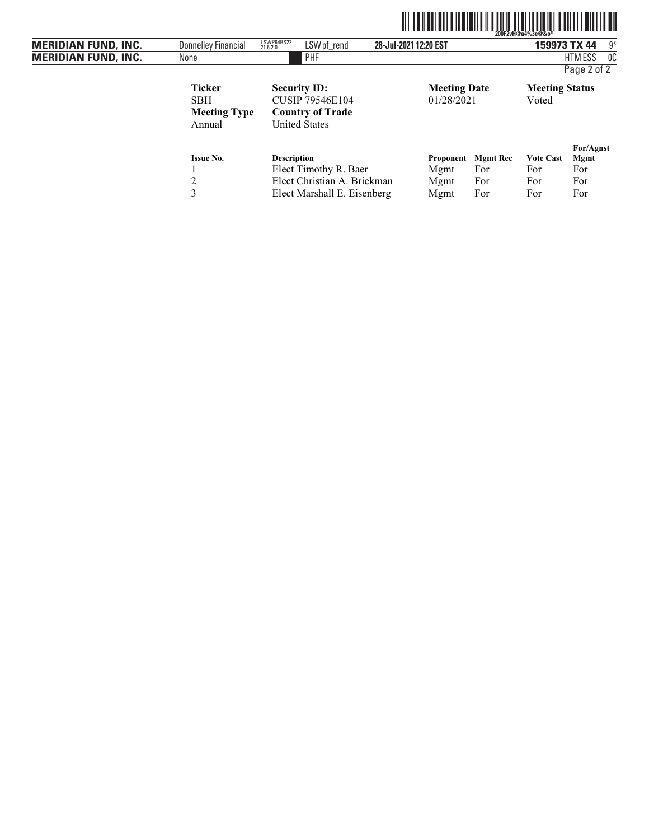

|                            |                                                              |                        |                                                                                                  |                       |                                   |                                      |                                       | WUI                                    |    |
|----------------------------|--------------------------------------------------------------|------------------------|--------------------------------------------------------------------------------------------------|-----------------------|-----------------------------------|--------------------------------------|---------------------------------------|----------------------------------------|----|
| <b>MERIDIAN FUND, INC.</b> | <b>Donnelley Financial</b>                                   | LSWP64RS22<br>21.6.2.0 | LSW pf_rend                                                                                      | 28-Jul-2021 12:20 EST |                                   |                                      |                                       | 159973 TX 44                           | 9* |
| <b>MERIDIAN FUND, INC.</b> | None                                                         |                        | PHF                                                                                              |                       |                                   |                                      |                                       | HTM ESS                                | 0C |
|                            |                                                              |                        |                                                                                                  |                       |                                   |                                      |                                       | Page $2$ of $2$                        |    |
|                            | <b>Ticker</b><br><b>SBH</b><br><b>Meeting Type</b><br>Annual |                        | <b>Security ID:</b><br><b>CUSIP 79546E104</b><br><b>Country of Trade</b><br><b>United States</b> |                       | <b>Meeting Date</b><br>01/28/2021 |                                      | <b>Meeting Status</b><br>Voted        |                                        |    |
|                            | <b>Issue No.</b><br>2<br>3                                   | <b>Description</b>     | Elect Timothy R. Baer<br>Elect Christian A. Brickman<br>Elect Marshall E. Eisenberg              |                       | Proponent<br>Mgmt<br>Mgmt<br>Mgmt | <b>Mgmt Rec</b><br>For<br>For<br>For | <b>Vote Cast</b><br>For<br>For<br>For | For/Agnst<br>Mgmt<br>For<br>For<br>For |    |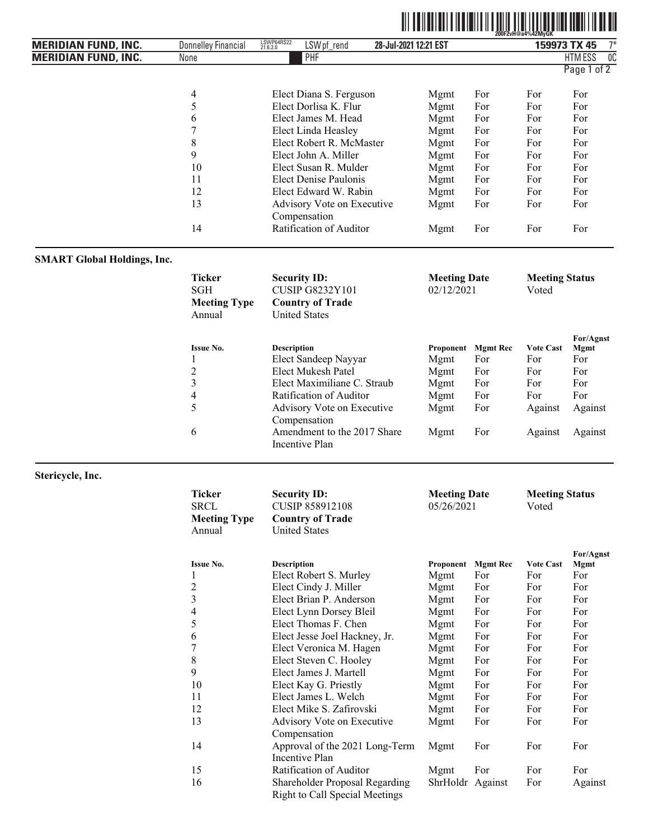

| <b>MERIDIAN FUND, INC.</b>         | <b>Donnelley Financial</b> | LSWP64RS22<br>21.6.2.0<br>LSW pf rend<br>28-Jul-2021 12:21 EST |                     |                 | 200F2vH@a4%42MyGK<br>159973 TX 45 | $7^*$                           |
|------------------------------------|----------------------------|----------------------------------------------------------------|---------------------|-----------------|-----------------------------------|---------------------------------|
| <b>MERIDIAN FUND, INC.</b>         | None                       | PHF                                                            |                     |                 |                                   | <b>HTMESS</b><br>0 <sup>C</sup> |
|                                    |                            |                                                                |                     |                 |                                   | Page 1 of 2                     |
|                                    |                            |                                                                |                     |                 |                                   |                                 |
|                                    | 4                          | Elect Diana S. Ferguson                                        | Mgmt                | For             | For                               | For                             |
|                                    | 5                          | Elect Dorlisa K. Flur                                          | Mgmt                | For             | For                               | For                             |
|                                    | 6                          | Elect James M. Head                                            | Mgmt                | For             | For                               | For                             |
|                                    | 7                          | Elect Linda Heasley                                            | Mgmt                | For             | For                               | For                             |
|                                    | 8                          | Elect Robert R. McMaster                                       | Mgmt                | For             | For                               | For                             |
|                                    | 9                          | Elect John A. Miller                                           | Mgmt                | For             | For                               | For                             |
|                                    | 10                         | Elect Susan R. Mulder                                          | Mgmt                | For             | For                               | For                             |
|                                    | 11                         | Elect Denise Paulonis                                          | Mgmt                | For             | For                               | For                             |
|                                    | 12                         | Elect Edward W. Rabin                                          | Mgmt                | For             | For                               | For                             |
|                                    | 13                         | Advisory Vote on Executive                                     | Mgmt                | For             | For                               | For                             |
|                                    |                            | Compensation                                                   |                     |                 |                                   |                                 |
|                                    | 14                         | Ratification of Auditor                                        | Mgmt                | For             | For                               | For                             |
| <b>SMART Global Holdings, Inc.</b> |                            |                                                                |                     |                 |                                   |                                 |
|                                    | <b>Ticker</b>              | <b>Security ID:</b>                                            | <b>Meeting Date</b> |                 | <b>Meeting Status</b>             |                                 |
|                                    | <b>SGH</b>                 | <b>CUSIP G8232Y101</b>                                         | 02/12/2021          |                 | Voted                             |                                 |
|                                    | <b>Meeting Type</b>        | <b>Country of Trade</b>                                        |                     |                 |                                   |                                 |
|                                    | Annual                     | <b>United States</b>                                           |                     |                 |                                   |                                 |
|                                    |                            |                                                                |                     |                 |                                   |                                 |
|                                    |                            |                                                                |                     |                 |                                   | For/Agnst                       |
|                                    | <b>Issue No.</b>           | Description                                                    | Proponent           | <b>Mgmt</b> Rec | <b>Vote Cast</b>                  | <b>Mgmt</b>                     |
|                                    | 1                          | Elect Sandeep Nayyar                                           | Mgmt                | For             | For                               | For                             |
|                                    | $\overline{2}$             | Elect Mukesh Patel                                             | Mgmt                | For             | For                               | For                             |
|                                    | 3                          | Elect Maximiliane C. Straub                                    | Mgmt                | For             | For                               | For                             |
|                                    | 4                          | Ratification of Auditor<br>Mgmt                                |                     | For             | For                               | For                             |
|                                    | 5                          | Advisory Vote on Executive                                     | Mgmt                | For             | Against                           | Against                         |
|                                    |                            | Compensation                                                   |                     |                 |                                   |                                 |
|                                    | 6                          | Amendment to the 2017 Share                                    | Mgmt                | For             | Against                           | Against                         |
|                                    |                            | Incentive Plan                                                 |                     |                 |                                   |                                 |
| Stericycle, Inc.                   |                            |                                                                |                     |                 |                                   |                                 |
|                                    | <b>Ticker</b>              | <b>Security ID:</b>                                            | <b>Meeting Date</b> |                 | <b>Meeting Status</b>             |                                 |
|                                    | <b>SRCL</b>                | CUSIP 858912108                                                | 05/26/2021          |                 | Voted                             |                                 |
|                                    | <b>Meeting Type</b>        | <b>Country of Trade</b>                                        |                     |                 |                                   |                                 |
|                                    | Annual                     | <b>United States</b>                                           |                     |                 |                                   |                                 |
|                                    |                            |                                                                |                     |                 |                                   | For/Agnst                       |
|                                    | <b>Issue No.</b>           | Description                                                    | Proponent           | <b>Mgmt Rec</b> | <b>Vote Cast</b>                  | <b>Mgmt</b>                     |
|                                    | 1                          | Elect Robert S. Murley                                         | Mgmt                | For             | For                               | For                             |
|                                    | $\overline{c}$<br>3        | Elect Cindy J. Miller<br>Elect Brian P. Anderson               | Mgmt                | For             | For                               | For<br>For                      |
|                                    |                            |                                                                | Mgmt                | For             | For                               |                                 |
|                                    | 4                          | Elect Lynn Dorsey Bleil                                        | Mgmt                | For             | For                               | For                             |
|                                    | 5                          | Elect Thomas F. Chen                                           | Mgmt                | For             | For                               | For                             |
|                                    | 6                          | Elect Jesse Joel Hackney, Jr.                                  | Mgmt                | For             | For                               | For                             |
|                                    | $\boldsymbol{7}$           | Elect Veronica M. Hagen                                        | Mgmt                | For             | For                               | For                             |
|                                    | 8                          | Elect Steven C. Hooley                                         | Mgmt                | For             | For                               | For                             |
|                                    | 9                          | Elect James J. Martell                                         | Mgmt                | For             | For                               | For                             |
|                                    | 10                         | Elect Kay G. Priestly                                          | Mgmt                | For             | For                               | For                             |
|                                    | 11                         | Elect James L. Welch                                           | Mgmt                | For             | For                               | For                             |
|                                    | 12                         | Elect Mike S. Zafirovski                                       | Mgmt                | For             | For                               | For                             |
|                                    | 13                         | Advisory Vote on Executive                                     | Mgmt                | For             | For                               | For                             |
|                                    |                            | Compensation                                                   |                     |                 |                                   |                                 |
|                                    | 14                         | Approval of the 2021 Long-Term<br>Incentive Plan               | Mgmt                | For             | For                               | For                             |
|                                    | 15                         | Ratification of Auditor                                        | Mgmt                | For             | For                               | For                             |
|                                    | 16                         | Shareholder Proposal Regarding                                 | ShrHoldr Against    |                 | For                               | Against                         |

Right to Call Special Meetings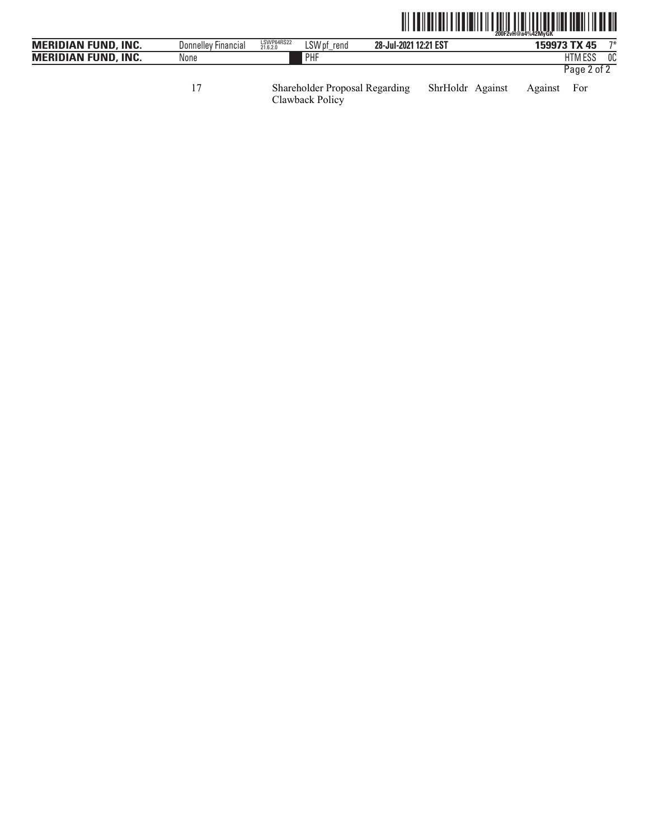

| <b>MERIDIAN FUND, INC.</b> | Donnelley Financial | LSWP64RS22<br>21.6.2.0 | LSW pf rend                                       | 28-Jul-2021 12:21 EST |                  |         | 159973 TX 45 | $7*$ |
|----------------------------|---------------------|------------------------|---------------------------------------------------|-----------------------|------------------|---------|--------------|------|
| <b>MERIDIAN FUND, INC.</b> | None                |                        | PHF                                               |                       |                  |         | HTM ESS      | 0C   |
|                            |                     |                        |                                                   |                       |                  |         | Page 2 of 2  |      |
|                            |                     |                        | Shareholder Proposal Regarding<br>Clawback Policy |                       | ShrHoldr Against | Against | For          |      |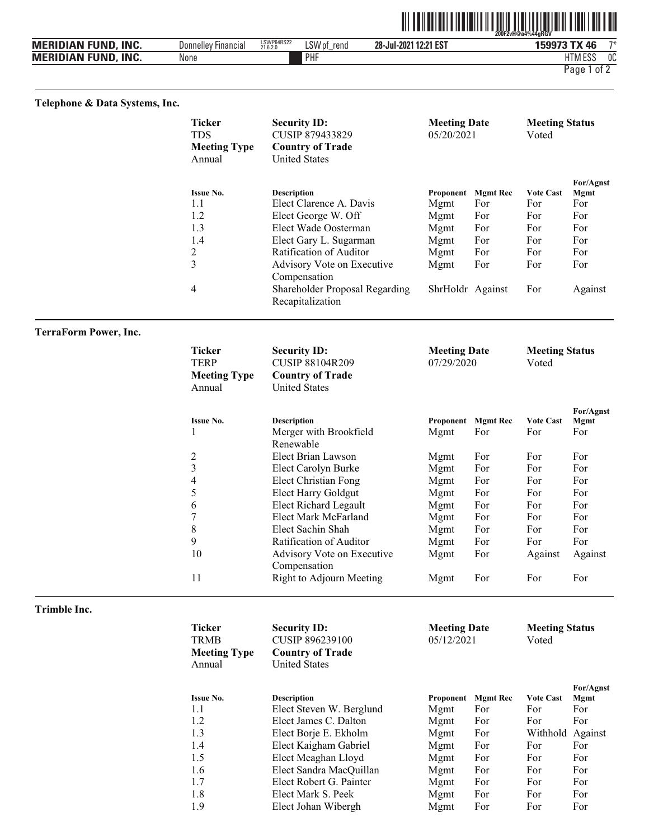|                                |                         |                                               |                          | ⊪                                                         |
|--------------------------------|-------------------------|-----------------------------------------------|--------------------------|-----------------------------------------------------------|
| <b>MERIDIAN FUND, INC.</b>     | Donnelley Financial     | LSWP64RS22<br>21.6.2.0<br>LSW pf_rend         | 28-Jul-2021 12:21 EST    | 159973 TX 46<br>$7^*$                                     |
| <b>MERIDIAN FUND, INC.</b>     | None                    | PHF                                           |                          | <b>HTM ESS</b><br>0C                                      |
|                                |                         |                                               |                          | Page 1 of $2$                                             |
| Telephone & Data Systems, Inc. |                         |                                               |                          |                                                           |
|                                | <b>Ticker</b>           | <b>Security ID:</b>                           | <b>Meeting Date</b>      | <b>Meeting Status</b>                                     |
|                                | <b>TDS</b>              | CUSIP 879433829                               | 05/20/2021               | Voted                                                     |
|                                | <b>Meeting Type</b>     | <b>Country of Trade</b>                       |                          |                                                           |
|                                | Annual                  | <b>United States</b>                          |                          |                                                           |
|                                |                         |                                               |                          | For/Agnst                                                 |
|                                | <b>Issue No.</b><br>1.1 | <b>Description</b><br>Elect Clarence A. Davis | Proponent<br>For<br>Mgmt | <b>Mgmt Rec</b><br><b>Vote Cast</b><br>Mgmt<br>For<br>For |
|                                |                         |                                               |                          |                                                           |

3 Advisory Vote on Executive

Compensation

4 Shareholder Proposal Regarding Recapitalization

|  | <b>TerraForm Power, Inc.</b> |
|--|------------------------------|
|--|------------------------------|

| <b>Ticker</b><br><b>TERP</b><br><b>Meeting Type</b><br>Annual | <b>Security ID:</b><br><b>CUSIP 88104R209</b><br><b>Country of Trade</b><br><b>United States</b> | <b>Meeting Date</b><br>07/29/2020 |                        | <b>Meeting Status</b><br>Voted |                                 |  |
|---------------------------------------------------------------|--------------------------------------------------------------------------------------------------|-----------------------------------|------------------------|--------------------------------|---------------------------------|--|
| <b>Issue No.</b>                                              | <b>Description</b><br>Merger with Brookfield<br>Renewable                                        | Proponent<br>Mgmt                 | <b>Mgmt Rec</b><br>For | <b>Vote Cast</b><br>For        | For/Agnst<br><b>Mgmt</b><br>For |  |
| 2                                                             | Elect Brian Lawson                                                                               | Mgmt                              | For                    | For                            | For                             |  |
| 3<br>4                                                        | Elect Carolyn Burke<br><b>Elect Christian Fong</b>                                               | Mgmt<br>Mgmt                      | For<br>For             | For<br>For                     | For<br>For                      |  |
| 5                                                             | Elect Harry Goldgut                                                                              | Mgmt                              | For                    | For                            | For                             |  |
| 6                                                             | Elect Richard Legault                                                                            | Mgmt                              | For                    | For                            | For                             |  |
| 7                                                             | Elect Mark McFarland                                                                             | Mgmt                              | For                    | For                            | For                             |  |
| 8                                                             | Elect Sachin Shah                                                                                | Mgmt                              | For                    | For                            | For                             |  |
| 9                                                             | Ratification of Auditor                                                                          | Mgmt                              | For                    | For                            | For                             |  |
| 10                                                            | Advisory Vote on Executive<br>Compensation                                                       | Mgmt                              | For                    | Against                        | Against                         |  |
| 11                                                            | Right to Adjourn Meeting                                                                         | Mgmt                              | For                    | For                            | For                             |  |

1.2 Elect George W. Off Mgmt For For For For<br>
1.3 Elect Wade Oosterman Mgmt For For For 1.3 Elect Wade Oosterman Mgmt For For For For<br>
1.4 Elect Gary L. Sugarman Mgmt For For For 1.4 Elect Gary L. Sugarman Mgmt For For For For<br>
2 Ratification of Auditor Mgmt For For For 2 Ratification of Auditor Mgmt For For For<br>3 Advisory Vote on Executive Mgmt For For For

Mgmt

ShrHoldr Against For Against

**Trimble Inc.**

| Ticker<br><b>TRMB</b><br><b>Meeting Type</b><br>Annual | <b>Security ID:</b><br>CUSIP 896239100<br><b>Country of Trade</b><br><b>United States</b> | <b>Meeting Date</b><br>05/12/2021 |                 | <b>Meeting Status</b><br>Voted |                   |  |
|--------------------------------------------------------|-------------------------------------------------------------------------------------------|-----------------------------------|-----------------|--------------------------------|-------------------|--|
| <b>Issue No.</b>                                       | <b>Description</b>                                                                        | Proponent                         | <b>Mgmt Rec</b> | <b>Vote Cast</b>               | For/Agnst<br>Mgmt |  |
| 1.1                                                    | Elect Steven W. Berglund                                                                  | Mgmt                              | For             | For                            | For               |  |
| 1.2                                                    | Elect James C. Dalton                                                                     | Mgmt                              | For             | For                            | For               |  |
| 1.3                                                    | Elect Borje E. Ekholm                                                                     | Mgmt                              | For             | Withhold Against               |                   |  |
| 1.4                                                    | Elect Kaigham Gabriel                                                                     | Mgmt                              | For             | For                            | For               |  |
| 1.5                                                    | Elect Meaghan Lloyd                                                                       | Mgmt                              | For             | For                            | For               |  |
| 1.6                                                    | Elect Sandra MacQuillan                                                                   | Mgmt                              | For             | For                            | For               |  |
| 1.7                                                    | Elect Robert G. Painter                                                                   | Mgmt                              | For             | For                            | For               |  |
| 1.8                                                    | Elect Mark S. Peek                                                                        | Mgmt                              | For             | For                            | For               |  |
| 1.9                                                    | Elect Johan Wibergh                                                                       | Mgmt                              | For             | For                            | For               |  |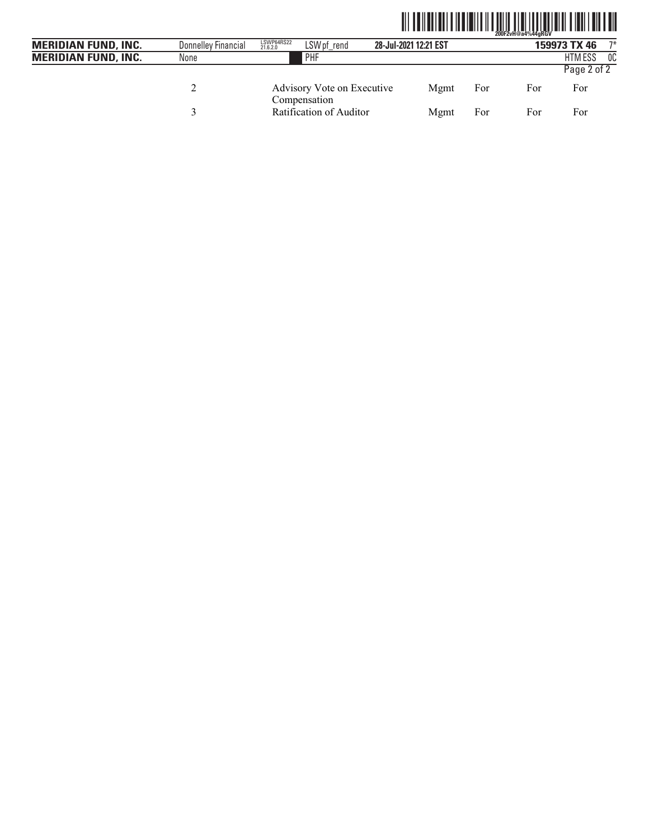

|                            |                     |                        |                                            |                       |      |     | ----------------- |                |      |
|----------------------------|---------------------|------------------------|--------------------------------------------|-----------------------|------|-----|-------------------|----------------|------|
| <b>MERIDIAN FUND, INC.</b> | Donnelley Financial | LSWP64RS22<br>21.6.2.0 | LSW pf_rend                                | 28-Jul-2021 12:21 EST |      |     |                   | 159973 TX 46   | $7*$ |
| <b>MERIDIAN FUND, INC.</b> | None                |                        | <b>PHF</b>                                 |                       |      |     |                   | <b>HTM ESS</b> | 0C   |
|                            |                     |                        |                                            |                       |      |     |                   | Page 2 of 2    |      |
|                            |                     |                        | Advisory Vote on Executive<br>Compensation |                       | Mgmt | For | For               | For            |      |
|                            |                     |                        | Ratification of Auditor                    |                       | Mgmt | For | For               | For            |      |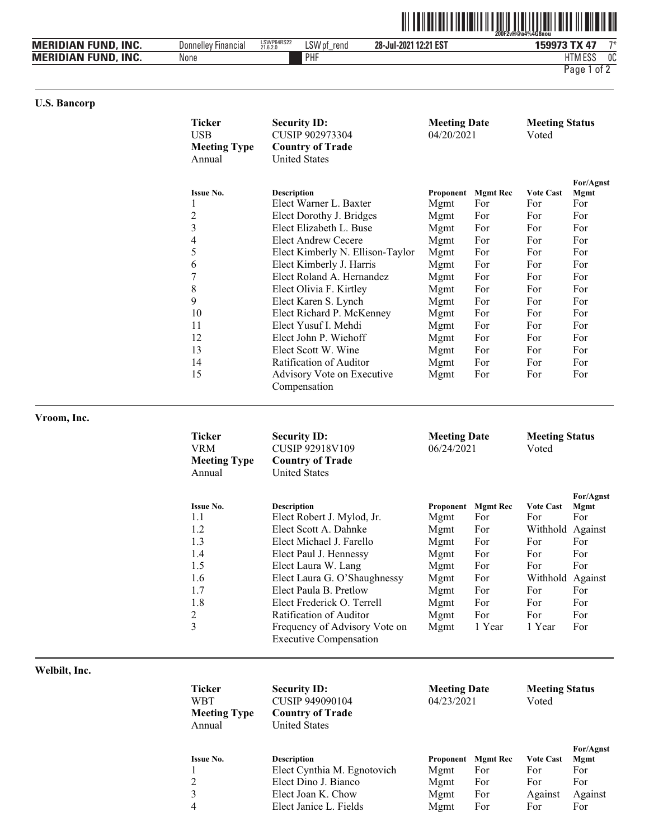| <b>MERIDIAN FUND, INC.</b> | <b>Donnelley Financial</b>    | LSWP64RS22<br>21.6.2.0 | LSW pf_rend                                                    | 28-Jul-2021 12:21 EST |                     |                    | 159973 TX 47          |                           |
|----------------------------|-------------------------------|------------------------|----------------------------------------------------------------|-----------------------|---------------------|--------------------|-----------------------|---------------------------|
| <b>MERIDIAN FUND, INC.</b> | None                          |                        | PHF                                                            |                       |                     |                    |                       | $\overline{0}$<br>HTM ESS |
|                            |                               |                        |                                                                |                       |                     |                    |                       | Page 1 of 2               |
| <b>U.S. Bancorp</b>        |                               |                        |                                                                |                       |                     |                    |                       |                           |
|                            | <b>Ticker</b>                 |                        | <b>Security ID:</b>                                            |                       | <b>Meeting Date</b> |                    | <b>Meeting Status</b> |                           |
|                            | <b>USB</b>                    |                        | CUSIP 902973304                                                |                       | 04/20/2021          |                    | Voted                 |                           |
|                            | <b>Meeting Type</b>           |                        | <b>Country of Trade</b>                                        |                       |                     |                    |                       |                           |
|                            | Annual                        |                        | <b>United States</b>                                           |                       |                     |                    |                       |                           |
|                            |                               |                        |                                                                |                       |                     |                    |                       | For/Agnst                 |
|                            | <b>Issue No.</b>              | <b>Description</b>     |                                                                |                       | Proponent           | <b>Mgmt Rec</b>    | <b>Vote Cast</b>      | Mgmt                      |
|                            | 1                             |                        | Elect Warner L. Baxter                                         |                       | Mgmt                | For                | For                   | For                       |
|                            | $\overline{c}$                |                        | Elect Dorothy J. Bridges                                       |                       | Mgmt                | For                | For                   | For                       |
|                            | 3                             |                        | Elect Elizabeth L. Buse                                        |                       | Mgmt                | For                | For                   | For                       |
|                            | 4                             |                        | <b>Elect Andrew Cecere</b>                                     |                       | Mgmt                | For                | For                   | For                       |
|                            | 5                             |                        | Elect Kimberly N. Ellison-Taylor                               |                       | Mgmt                | For                | For                   | For                       |
|                            | 6                             |                        | Elect Kimberly J. Harris                                       |                       | Mgmt                | For                | For                   | For                       |
|                            | 7                             |                        | Elect Roland A. Hernandez                                      |                       | Mgmt                | For                | For                   | For                       |
|                            | 8                             |                        | Elect Olivia F. Kirtley                                        |                       | Mgmt                | For                | For                   | For                       |
|                            | 9                             |                        | Elect Karen S. Lynch                                           |                       | Mgmt                | For                | For                   | For                       |
|                            | 10                            |                        | Elect Richard P. McKenney                                      |                       | Mgmt                | For                | For                   | For                       |
|                            | 11                            |                        | Elect Yusuf I. Mehdi                                           |                       | Mgmt                | For                | For                   | For                       |
|                            | 12                            |                        | Elect John P. Wiehoff                                          |                       | Mgmt                | For                | For                   | For                       |
|                            | 13                            |                        | Elect Scott W. Wine                                            |                       | Mgmt                | For                | For                   | For                       |
|                            | 14                            |                        | Ratification of Auditor                                        |                       | Mgmt                | For                | For                   | For                       |
|                            | 15                            |                        | Advisory Vote on Executive                                     |                       | Mgmt                | For                | For                   | For                       |
|                            |                               |                        | Compensation                                                   |                       |                     |                    |                       |                           |
| Vroom, Inc.                |                               |                        |                                                                |                       |                     |                    |                       |                           |
|                            | <b>Ticker</b>                 |                        | <b>Security ID:</b>                                            |                       | <b>Meeting Date</b> |                    | <b>Meeting Status</b> |                           |
|                            | <b>VRM</b>                    |                        | <b>CUSIP 92918V109</b>                                         |                       | 06/24/2021          |                    | Voted                 |                           |
|                            | <b>Meeting Type</b><br>Annual |                        | <b>Country of Trade</b><br><b>United States</b>                |                       |                     |                    |                       |                           |
|                            |                               |                        |                                                                |                       |                     |                    |                       | For/Agnst                 |
|                            | <b>Issue No.</b>              | <b>Description</b>     |                                                                |                       |                     | Proponent Mgmt Rec | <b>Vote Cast</b>      | <b>Mgmt</b>               |
|                            | 1.1                           |                        | Elect Robert J. Mylod, Jr.                                     |                       | Mgmt                | For                | For                   | For                       |
|                            | 1.2                           |                        | Elect Scott A. Dahnke                                          |                       | Mgmt                | For                | Withhold Against      |                           |
|                            | 1.3                           |                        | Elect Michael J. Farello                                       |                       | Mgmt                | For                | For                   | For                       |
|                            | 1.4                           |                        | Elect Paul J. Hennessy                                         |                       | Mgmt                | For                | For                   | For                       |
|                            | 1.5                           |                        | Elect Laura W. Lang                                            |                       | Mgmt                | For                | For                   | For                       |
|                            | 1.6                           |                        | Elect Laura G. O'Shaughnessy                                   |                       | Mgmt                | For                | Withhold Against      |                           |
|                            | 1.7                           |                        | Elect Paula B. Pretlow                                         |                       | Mgmt                | For                | For                   | For                       |
|                            | 1.8                           |                        | Elect Frederick O. Terrell                                     |                       | Mgmt                | For                | For                   | For                       |
|                            | $\overline{2}$                |                        | Ratification of Auditor                                        |                       | Mgmt                | For                | For                   | For                       |
|                            | 3                             |                        | Frequency of Advisory Vote on<br><b>Executive Compensation</b> |                       | Mgmt                | 1 Year             | 1 Year                | For                       |

**Welbilt, Inc.**

| Ticker<br>WBT<br><b>Meeting Type</b><br>Annual | <b>Security ID:</b><br>CUSIP 949090104<br><b>Country of Trade</b><br><b>United States</b>                                 | <b>Meeting Date</b><br>04/23/2021         |                                             | <b>Meeting Status</b><br>Voted                   |                                                          |  |
|------------------------------------------------|---------------------------------------------------------------------------------------------------------------------------|-------------------------------------------|---------------------------------------------|--------------------------------------------------|----------------------------------------------------------|--|
| <b>Issue No.</b><br>2<br>3<br>4                | <b>Description</b><br>Elect Cynthia M. Egnotovich<br>Elect Dino J. Bianco<br>Elect Joan K. Chow<br>Elect Janice L. Fields | Proponent<br>Mgmt<br>Mgmt<br>Mgmt<br>Mgmt | <b>Mgmt Rec</b><br>For<br>For<br>For<br>For | <b>Vote Cast</b><br>For<br>For<br>Against<br>For | For/Agnst<br><b>Mgmt</b><br>For<br>For<br>Against<br>For |  |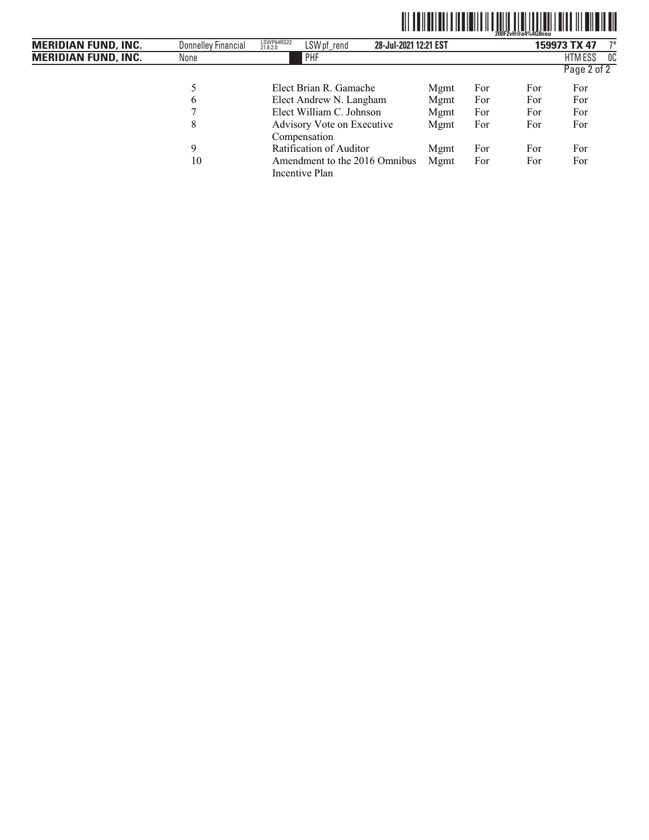

|                            |                            |                         |                                                 |                       |     | $\mathbf{L}$ VUI $\mathbf{L}$ VII $\mathbf{S}$ UT $\mathbf{V}$ VT UUIIVU |              |       |
|----------------------------|----------------------------|-------------------------|-------------------------------------------------|-----------------------|-----|--------------------------------------------------------------------------|--------------|-------|
| <b>MERIDIAN FUND, INC.</b> | <b>Donnelley Financial</b> | LSWP64RS22<br>21.6.2.0  | LSW pf rend                                     | 28-Jul-2021 12:21 EST |     |                                                                          | 159973 TX 47 | $7^*$ |
| <b>MERIDIAN FUND, INC.</b> | None                       |                         | PHF                                             |                       |     |                                                                          | HTM ESS      | 0C    |
|                            |                            |                         |                                                 |                       |     |                                                                          | Page 2 of 2  |       |
|                            |                            |                         | Elect Brian R. Gamache                          | Mgmt                  | For | For                                                                      | For          |       |
|                            | 6                          | Elect Andrew N. Langham |                                                 | Mgmt                  | For | For                                                                      | For          |       |
|                            |                            |                         | Elect William C. Johnson<br>Mgmt                |                       | For | For                                                                      | For          |       |
|                            | 8                          |                         | Advisory Vote on Executive<br>Compensation      | Mgmt                  | For | For                                                                      | For          |       |
|                            | 9                          |                         | Ratification of Auditor                         | Mgmt                  | For | For                                                                      | For          |       |
|                            | 10                         |                         | Amendment to the 2016 Omnibus<br>Incentive Plan | Mgmt                  | For | For                                                                      | For          |       |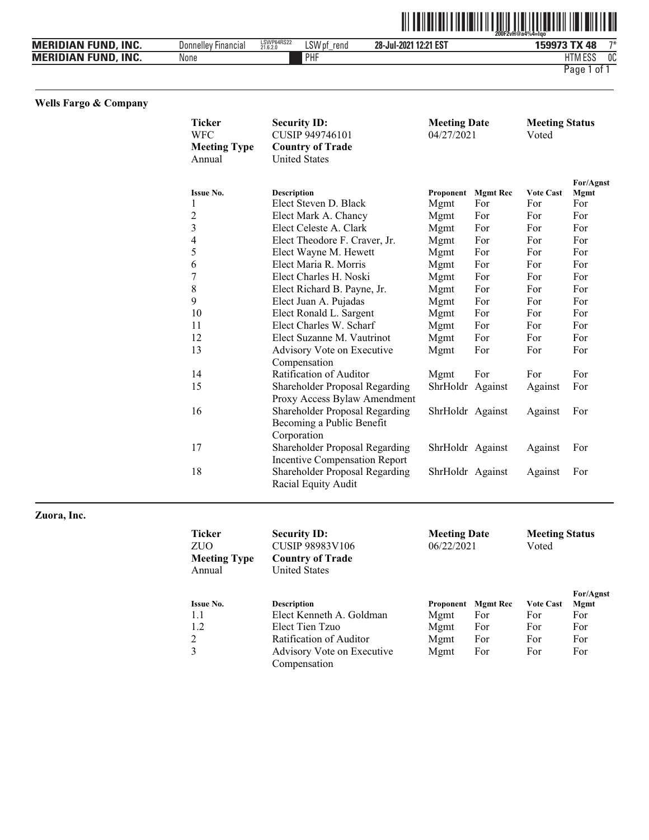|                            |                            |                        |             |                       | <u>TII TEINEITIEN EILENEITIEN EILIJETTEITIEN TEINEITEIT</u><br>200F2vH@a4%4=lgo |
|----------------------------|----------------------------|------------------------|-------------|-----------------------|---------------------------------------------------------------------------------|
| <b>MERIDIAN FUND, INC.</b> | <b>Donnelley Financial</b> | LSWP64RS22<br>21.6.2.0 | LSW pf rend | 28-Jul-2021 12:21 EST | $7*$<br>159973 TX 48                                                            |
| <b>MERIDIAN FUND, INC.</b> | None                       |                        | PHF         |                       | HTM ESS<br>0C                                                                   |
|                            |                            |                        |             |                       | Page 1 of 1                                                                     |

**Wells Fargo & Company**

| <b>Ticker</b><br><b>WFC</b><br><b>Meeting Type</b><br>Annual | <b>Security ID:</b><br>CUSIP 949746101<br><b>Country of Trade</b><br><b>United States</b> | <b>Meeting Date</b><br>04/27/2021 |                        | <b>Meeting Status</b><br>Voted |                    |  |
|--------------------------------------------------------------|-------------------------------------------------------------------------------------------|-----------------------------------|------------------------|--------------------------------|--------------------|--|
|                                                              |                                                                                           |                                   |                        |                                | For/Agnst          |  |
| <b>Issue No.</b><br>1                                        | <b>Description</b><br>Elect Steven D. Black                                               | Proponent<br>Mgmt                 | <b>Mgmt</b> Rec<br>For | <b>Vote Cast</b><br>For        | <b>Mgmt</b><br>For |  |
| 2                                                            | Elect Mark A. Chancy                                                                      | Mgmt                              | For                    | For                            | For                |  |
| 3                                                            | Elect Celeste A. Clark                                                                    | Mgmt                              | For                    | For                            | For                |  |
| 4                                                            | Elect Theodore F. Craver, Jr.                                                             | Mgmt                              | For                    | For                            | For                |  |
| 5                                                            | Elect Wayne M. Hewett                                                                     | Mgmt                              | For                    | For                            | For                |  |
| 6                                                            | Elect Maria R. Morris                                                                     | Mgmt                              | For                    | For                            | For                |  |
| 7                                                            | Elect Charles H. Noski                                                                    | Mgmt                              | For                    | For                            | For                |  |
| 8                                                            | Elect Richard B. Payne, Jr.                                                               | Mgmt                              | For                    | For                            | For                |  |
| 9                                                            | Elect Juan A. Pujadas                                                                     | Mgmt                              | For                    | For                            | For                |  |
| 10                                                           | Elect Ronald L. Sargent                                                                   | Mgmt                              | For                    | For                            | For                |  |
| 11                                                           | Elect Charles W. Scharf                                                                   | Mgmt                              | For                    | For                            | For                |  |
| 12                                                           | Elect Suzanne M. Vautrinot                                                                | Mgmt                              | For                    | For                            | For                |  |
| 13                                                           | Advisory Vote on Executive                                                                | Mgmt                              | For                    | For                            | For                |  |
|                                                              | Compensation                                                                              |                                   |                        |                                |                    |  |
| 14                                                           | Ratification of Auditor                                                                   | Mgmt                              | For                    | For                            | For                |  |
| 15                                                           | Shareholder Proposal Regarding                                                            | ShrHoldr                          | Against                | Against                        | For                |  |
|                                                              | Proxy Access Bylaw Amendment                                                              |                                   |                        |                                |                    |  |
| 16                                                           | Shareholder Proposal Regarding                                                            | ShrHoldr Against                  |                        | Against                        | For                |  |
|                                                              | Becoming a Public Benefit                                                                 |                                   |                        |                                |                    |  |
|                                                              | Corporation                                                                               |                                   |                        |                                |                    |  |
| 17                                                           | Shareholder Proposal Regarding                                                            | ShrHoldr Against                  |                        | Against                        | For                |  |
|                                                              | <b>Incentive Compensation Report</b>                                                      |                                   |                        |                                |                    |  |
| 18                                                           | Shareholder Proposal Regarding                                                            | ShrHoldr Against                  |                        | Against                        | For                |  |
|                                                              | Racial Equity Audit                                                                       |                                   |                        |                                |                    |  |
|                                                              |                                                                                           |                                   |                        |                                |                    |  |

**Zuora, Inc.**

| <b>Ticker</b><br><b>ZUO</b><br><b>Meeting Type</b><br>Annual | <b>Security ID:</b><br><b>CUSIP 98983V106</b><br><b>Country of Trade</b><br><b>United States</b> |           | <b>Meeting Date</b><br>06/22/2021 |                  | <b>Meeting Status</b><br>Voted |  |  |
|--------------------------------------------------------------|--------------------------------------------------------------------------------------------------|-----------|-----------------------------------|------------------|--------------------------------|--|--|
| <b>Issue No.</b>                                             | <b>Description</b>                                                                               | Proponent | <b>Mgmt Rec</b>                   | <b>Vote Cast</b> | For/Agnst<br>Mgmt              |  |  |
| 1.1                                                          | Elect Kenneth A. Goldman                                                                         | Mgmt      | For                               | For              | For                            |  |  |
| 1.2                                                          | Elect Tien Tzuo                                                                                  | Mgmt      | For                               | For              | For                            |  |  |
| 2                                                            | Ratification of Auditor                                                                          | Mgmt      | For                               | For              | For                            |  |  |
| 3                                                            | Advisory Vote on Executive<br>Compensation                                                       | Mgmt      | For                               | For              | For                            |  |  |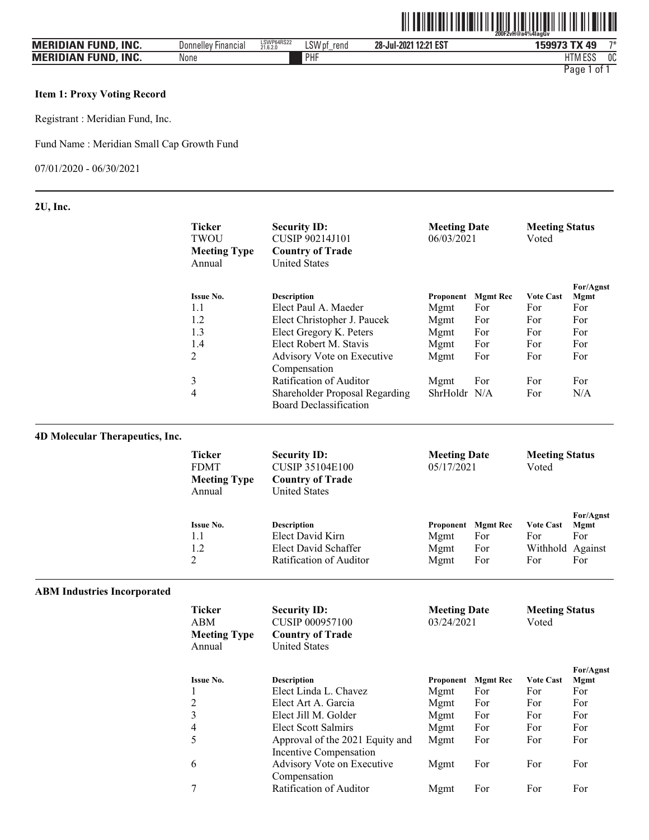|                            |                     |                        |                | III TIITII            | ║<br>200F2vH@a4%4lagGv |
|----------------------------|---------------------|------------------------|----------------|-----------------------|------------------------|
| <b>MERIDIAN FUND, INC.</b> | Donnelley Financial | LSWP64RS22<br>21.6.2.0 | LSW pf<br>rena | 28-Jul-2021 12:21 EST | $7*$<br>159973 TX 49   |
| <b>MERIDIAN FUND, INC.</b> | None                |                        | PHF            |                       | 0C<br><b>HTM ESS</b>   |
|                            |                     |                        |                |                       | Page 1<br>. of         |

#### **Item 1: Proxy Voting Record**

Registrant : Meridian Fund, Inc.

Fund Name : Meridian Small Cap Growth Fund

07/01/2020 - 06/30/2021

#### **2U, Inc.**

|                                    | <b>Ticker</b><br><b>TWOU</b><br><b>Meeting Type</b><br>Annual       | <b>Security ID:</b><br>CUSIP 90214J101<br><b>Country of Trade</b><br><b>United States</b>                                                                                                               | <b>Meeting Date</b><br>06/03/2021                         |                                                           | <b>Meeting Status</b><br>Voted                      |                                                                    |
|------------------------------------|---------------------------------------------------------------------|---------------------------------------------------------------------------------------------------------------------------------------------------------------------------------------------------------|-----------------------------------------------------------|-----------------------------------------------------------|-----------------------------------------------------|--------------------------------------------------------------------|
|                                    | <b>Issue No.</b><br>1.1<br>1.2<br>1.3<br>1.4<br>$\overline{2}$<br>3 | <b>Description</b><br>Elect Paul A. Maeder<br>Elect Christopher J. Paucek<br>Elect Gregory K. Peters<br>Elect Robert M. Stavis<br>Advisory Vote on Executive<br>Compensation<br>Ratification of Auditor | Proponent<br>Mgmt<br>Mgmt<br>Mgmt<br>Mgmt<br>Mgmt<br>Mgmt | <b>Mgmt Rec</b><br>For<br>For<br>For<br>For<br>For<br>For | Vote Cast<br>For<br>For<br>For<br>For<br>For<br>For | For/Agnst<br><b>Mgmt</b><br>For<br>For<br>For<br>For<br>For<br>For |
|                                    | 4                                                                   | Shareholder Proposal Regarding<br><b>Board Declassification</b>                                                                                                                                         | ShrHoldr N/A                                              |                                                           | For                                                 | N/A                                                                |
| 4D Molecular Therapeutics, Inc.    |                                                                     |                                                                                                                                                                                                         |                                                           |                                                           |                                                     |                                                                    |
|                                    | <b>Ticker</b><br><b>FDMT</b><br><b>Meeting Type</b><br>Annual       | <b>Security ID:</b><br><b>CUSIP 35104E100</b><br><b>Country of Trade</b><br><b>United States</b>                                                                                                        | <b>Meeting Date</b><br>05/17/2021                         |                                                           | <b>Meeting Status</b><br>Voted                      |                                                                    |
|                                    | <b>Issue No.</b><br>1.1<br>1.2<br>$\overline{c}$                    | <b>Description</b><br>Elect David Kirn<br>Elect David Schaffer<br>Ratification of Auditor                                                                                                               | Mgmt<br>Mgmt<br>Mgmt                                      | <b>Proponent</b> Mgmt Rec<br>For<br>For<br>For            | <b>Vote Cast</b><br>For<br>Withhold Against<br>For  | For/Agnst<br>Mgmt<br>For<br>For                                    |
| <b>ABM Industries Incorporated</b> |                                                                     |                                                                                                                                                                                                         |                                                           |                                                           |                                                     |                                                                    |
|                                    | <b>Ticker</b><br><b>ABM</b><br><b>Meeting Type</b><br>Annual        | <b>Security ID:</b><br>CUSIP 000957100<br><b>Country of Trade</b><br><b>United States</b>                                                                                                               | <b>Meeting Date</b><br>03/24/2021                         |                                                           | <b>Meeting Status</b><br>Voted                      |                                                                    |
|                                    | <b>Issue No.</b><br>1<br>$\overline{2}$<br>3<br>4<br>5              | <b>Description</b><br>Elect Linda L. Chavez<br>Elect Art A. Garcia<br>Elect Jill M. Golder<br>Elect Scott Salmirs<br>Approval of the 2021 Equity and<br>Incentive Compensation                          | Proponent<br>Mgmt<br>Mgmt<br>Mgmt<br>Mgmt<br>Mgmt         | <b>Mgmt</b> Rec<br>For<br>For<br>For<br>For<br>For        | <b>Vote Cast</b><br>For<br>For<br>For<br>For<br>For | For/Agnst<br><b>Mgmt</b><br>For<br>For<br>For<br>For<br>For        |

7 Ratification of Auditor Mgmt For For For

Mgmt For For For

6 Advisory Vote on Executive Compensation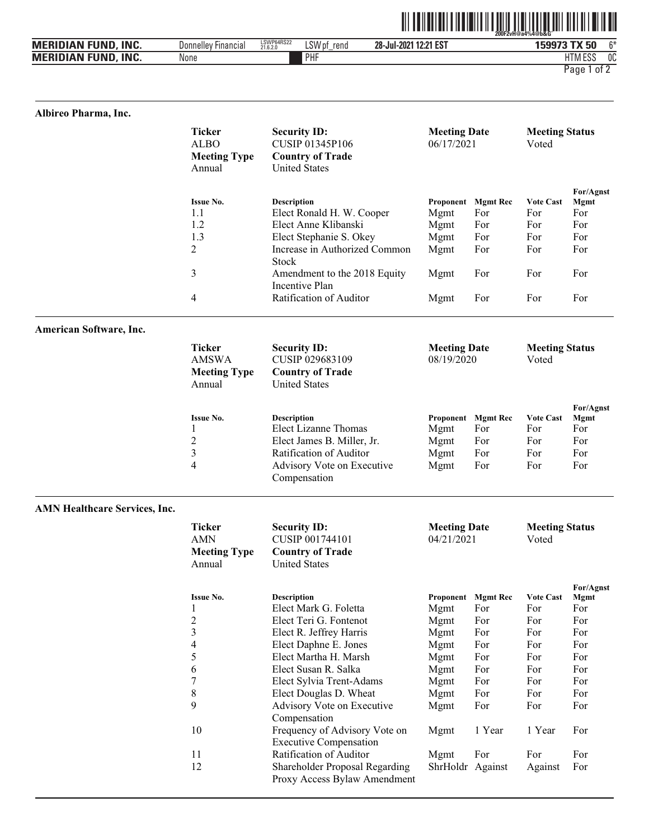| <b>MERIDIAN FUND, INC.</b>           | <b>Donnelley Financial</b> | LSWP64RS22<br>21.6.2.0<br>LSW pf rend<br>28-Jul-2021 12:21 EST |                     |                 | 159973 TX 50          | $6*$                               |
|--------------------------------------|----------------------------|----------------------------------------------------------------|---------------------|-----------------|-----------------------|------------------------------------|
| <b>MERIDIAN FUND, INC.</b>           | None                       | PHF                                                            |                     |                 |                       | <b>HTMESS</b><br>0C<br>Page 1 of 2 |
|                                      |                            |                                                                |                     |                 |                       |                                    |
| Albireo Pharma, Inc.                 |                            |                                                                |                     |                 |                       |                                    |
|                                      | <b>Ticker</b>              | <b>Security ID:</b>                                            | <b>Meeting Date</b> |                 | <b>Meeting Status</b> |                                    |
|                                      | <b>ALBO</b>                | CUSIP 01345P106                                                | 06/17/2021          |                 | Voted                 |                                    |
|                                      | <b>Meeting Type</b>        | <b>Country of Trade</b>                                        |                     |                 |                       |                                    |
|                                      | Annual                     | <b>United States</b>                                           |                     |                 |                       |                                    |
|                                      |                            |                                                                |                     |                 |                       | For/Agnst                          |
|                                      | <b>Issue No.</b>           | Description                                                    | Proponent           | <b>Mgmt</b> Rec | <b>Vote Cast</b>      | <b>Mgmt</b>                        |
|                                      | 1.1                        | Elect Ronald H. W. Cooper                                      | Mgmt                | For             | For                   | For                                |
|                                      | 1.2                        | Elect Anne Klibanski                                           | Mgmt                | For             | For                   | For                                |
|                                      | 1.3                        | Elect Stephanie S. Okey                                        | Mgmt                | For             | For                   | For                                |
|                                      | 2                          | Increase in Authorized Common<br>Stock                         | Mgmt                | For             | For                   | For                                |
|                                      | 3                          | Amendment to the 2018 Equity                                   | Mgmt                | For             | For                   | For                                |
|                                      |                            | <b>Incentive Plan</b>                                          |                     |                 |                       |                                    |
|                                      | 4                          | Ratification of Auditor                                        | Mgmt                | For             | For                   | For                                |
| American Software, Inc.              |                            |                                                                |                     |                 |                       |                                    |
|                                      | <b>Ticker</b>              | <b>Security ID:</b>                                            | <b>Meeting Date</b> |                 | <b>Meeting Status</b> |                                    |
|                                      | <b>AMSWA</b>               | CUSIP 029683109                                                | 08/19/2020          |                 | Voted                 |                                    |
|                                      | <b>Meeting Type</b>        | <b>Country of Trade</b>                                        |                     |                 |                       |                                    |
|                                      | Annual                     | <b>United States</b>                                           |                     |                 |                       |                                    |
|                                      |                            |                                                                |                     |                 |                       | For/Agnst                          |
|                                      | <b>Issue No.</b>           | Description                                                    | Proponent           | <b>Mgmt</b> Rec | <b>Vote Cast</b>      | <b>Mgmt</b>                        |
|                                      | 1                          | <b>Elect Lizanne Thomas</b>                                    | Mgmt                | For             | For                   | For                                |
|                                      | $\overline{c}$             | Elect James B. Miller, Jr.                                     | Mgmt                | For             | For                   | For                                |
|                                      | $\overline{\mathbf{3}}$    | Ratification of Auditor                                        | Mgmt                | For             | For                   | For                                |
|                                      | $\overline{4}$             | Advisory Vote on Executive                                     | Mgmt                | For             | For                   | For                                |
|                                      |                            | Compensation                                                   |                     |                 |                       |                                    |
| <b>AMN Healthcare Services, Inc.</b> |                            |                                                                |                     |                 |                       |                                    |
|                                      | <b>Ticker</b>              | <b>Security ID:</b>                                            | <b>Meeting Date</b> |                 | <b>Meeting Status</b> |                                    |
|                                      | <b>AMN</b>                 | CUSIP 001744101                                                | 04/21/2021          |                 | Voted                 |                                    |
|                                      | <b>Meeting Type</b>        | <b>Country of Trade</b>                                        |                     |                 |                       |                                    |
|                                      | Annual                     | <b>United States</b>                                           |                     |                 |                       |                                    |
|                                      |                            |                                                                |                     |                 |                       | For/Agnst                          |
|                                      | <b>Issue No.</b>           | <b>Description</b>                                             | Proponent           | <b>Mgmt Rec</b> | <b>Vote Cast</b>      | <b>Mgmt</b>                        |
|                                      | 1                          | Elect Mark G. Foletta                                          | Mgmt                | For             | For                   | For                                |
|                                      | $\overline{c}$             | Elect Teri G. Fontenot                                         | Mgmt                | For             | For                   | For                                |
|                                      | 3                          | Elect R. Jeffrey Harris                                        | Mgmt                | For             | For                   | For                                |
|                                      | 4                          | Elect Daphne E. Jones                                          | Mgmt                | For             | For                   | For                                |
|                                      | 5                          | Elect Martha H. Marsh                                          | Mgmt                | For             | For                   | For                                |
|                                      | 6                          | Elect Susan R. Salka                                           | Mgmt                | For             | For                   | For                                |
|                                      | 7                          | Elect Sylvia Trent-Adams                                       | Mgmt                | For             | For                   | For                                |
|                                      | $8\,$                      | Elect Douglas D. Wheat                                         | Mgmt                | For             | For                   | For                                |
|                                      | 9                          | Advisory Vote on Executive<br>Compensation                     | Mgmt                | For             | For                   | For                                |
|                                      | 10                         | Frequency of Advisory Vote on                                  | Mgmt                | 1 Year          | 1 Year                | For                                |
|                                      |                            | <b>Executive Compensation</b>                                  |                     |                 |                       |                                    |
|                                      | 11                         | Ratification of Auditor                                        | Mgmt                | For             | For                   | For                                |
|                                      | 12                         | Shareholder Proposal Regarding                                 | ShrHoldr Against    |                 | Against               | For                                |
|                                      |                            | Proxy Access Bylaw Amendment                                   |                     |                 |                       |                                    |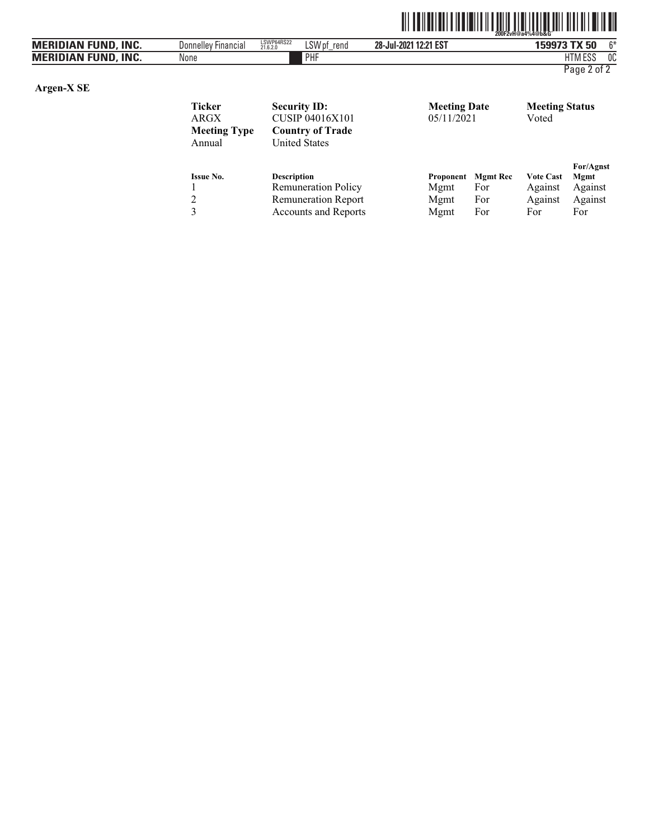

|                            |                            |                                       | 200F2vH@a4%4@b&G             |                          |  |  |  |
|----------------------------|----------------------------|---------------------------------------|------------------------------|--------------------------|--|--|--|
| <b>MERIDIAN FUND, INC.</b> | <b>Donnelley Financial</b> | LSWP64RS22<br>LSW pf_rend<br>21.6.2.0 | 28-Jul-2021 12:21 EST        | $6*$<br>159973 TX 50     |  |  |  |
| <b>MERIDIAN FUND, INC.</b> | None                       | PHF                                   |                              | HTM ESS<br>0C            |  |  |  |
|                            |                            |                                       |                              | Page 2 of 2              |  |  |  |
| Argen-X SE                 |                            |                                       |                              |                          |  |  |  |
|                            | <b>Ticker</b>              | <b>Security ID:</b>                   | <b>Meeting Date</b>          | <b>Meeting Status</b>    |  |  |  |
|                            | <b>ARGX</b>                | <b>CUSIP 04016X101</b>                | 05/11/2021                   | Voted                    |  |  |  |
|                            | <b>Meeting Type</b>        | <b>Country of Trade</b>               |                              |                          |  |  |  |
|                            | Annual                     | <b>United States</b>                  |                              |                          |  |  |  |
|                            |                            |                                       |                              | For/Agnst                |  |  |  |
|                            | <b>Issue No.</b>           | <b>Description</b>                    | <b>Mgmt Rec</b><br>Proponent | <b>Vote Cast</b><br>Mgmt |  |  |  |
|                            |                            | <b>Remuneration Policy</b>            | For<br>Mgmt                  | Against<br>Against       |  |  |  |
|                            | 2                          | <b>Remuneration Report</b>            | For<br>Mgmt                  | Against<br>Against       |  |  |  |
|                            | 3                          | <b>Accounts and Reports</b>           | Mgmt<br>For                  | For<br>For               |  |  |  |
|                            |                            |                                       |                              |                          |  |  |  |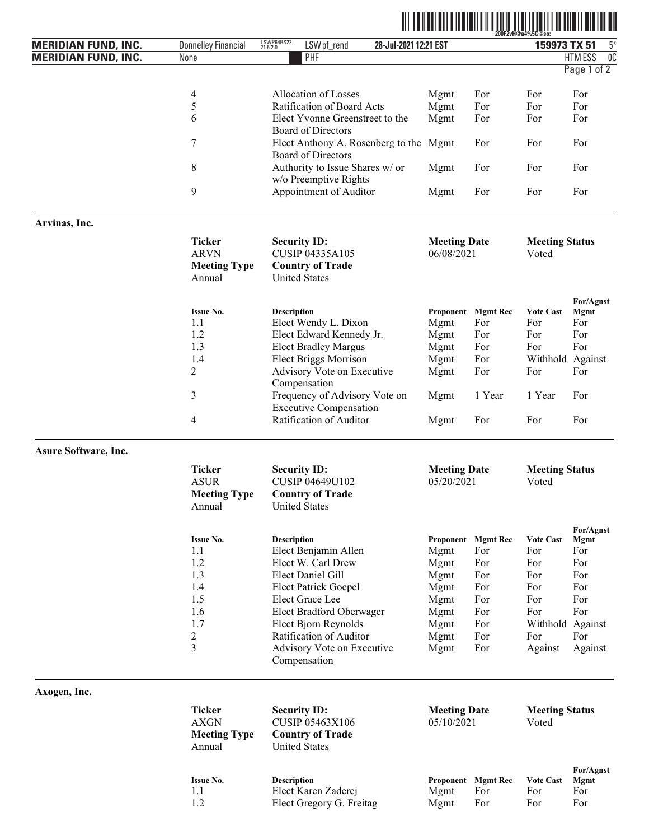

| LSWP64RS22<br>21.6.2.0<br><b>Donnelley Financial</b><br>159973 TX 51<br>LSW pf rend<br>28-Jul-2021 12:21 EST<br><b>MERIDIAN FUND, INC.</b><br>PHF<br><b>HTMESS</b><br>None<br>Page 1 of 2<br>Allocation of Losses<br>For<br>For<br>For<br>4<br>Mgmt<br>5<br>Ratification of Board Acts<br>Mgmt<br>For<br>For<br>For<br>Elect Yvonne Greenstreet to the<br>Mgmt<br>For<br>For<br>For<br>6<br><b>Board of Directors</b><br>7<br>Elect Anthony A. Rosenberg to the Mgmt<br>For<br>For<br>For<br><b>Board of Directors</b><br>8<br>Authority to Issue Shares w/ or<br>For<br>Mgmt<br>For<br>For<br>w/o Preemptive Rights<br>9<br>Appointment of Auditor<br>For<br>For<br>Mgmt<br>For<br>Arvinas, Inc.<br><b>Ticker</b><br><b>Security ID:</b><br><b>Meeting Date</b><br><b>Meeting Status</b><br><b>ARVN</b><br><b>CUSIP 04335A105</b><br>06/08/2021<br>Voted<br><b>Country of Trade</b><br><b>Meeting Type</b><br><b>United States</b><br>Annual<br><b>Issue No.</b><br>Description<br><b>Vote Cast</b><br>Proponent Mgmt Rec<br><b>Mgmt</b><br>1.1<br>Elect Wendy L. Dixon<br>For<br>For<br>Mgmt<br>For<br>1.2<br>Elect Edward Kennedy Jr.<br>Mgmt<br>For<br>For<br>For<br>1.3<br><b>Elect Bradley Margus</b><br>For<br>For<br>Mgmt<br>For<br><b>Elect Briggs Morrison</b><br>1.4<br>Mgmt<br>For<br>Withhold Against<br>2<br>Advisory Vote on Executive<br>Mgmt<br>For<br>For<br>For<br>Compensation<br>3<br>Frequency of Advisory Vote on<br>1 Year<br>1 Year<br>For<br>Mgmt<br><b>Executive Compensation</b><br>Ratification of Auditor<br>4<br>For<br>For<br>Mgmt<br>For<br><b>Asure Software, Inc.</b><br><b>Ticker</b><br><b>Security ID:</b><br><b>Meeting Date</b><br><b>Meeting Status</b><br><b>ASUR</b><br>CUSIP 04649U102<br>05/20/2021<br>Voted<br><b>Meeting Type</b><br><b>Country of Trade</b><br><b>United States</b><br>Annual<br><b>Vote Cast</b><br><b>Issue No.</b><br><b>Description</b><br>Proponent<br><b>Mgmt</b> Rec<br><b>Mgmt</b><br>1.1<br>Elect Benjamin Allen<br>For<br>Mgmt<br>For<br>For<br>1.2<br>Elect W. Carl Drew<br>Mgmt<br>For<br>For<br>For<br>1.3<br>Elect Daniel Gill<br>Mgmt<br>For<br>For<br>For<br>1.4<br><b>Elect Patrick Goepel</b><br>Mgmt<br>For<br>For<br>For<br>1.5<br>For<br>Elect Grace Lee<br>Mgmt<br>For<br>For<br>1.6<br>Elect Bradford Oberwager<br>For<br>For<br>Mgmt<br>For<br>1.7<br>Elect Bjorn Reynolds<br>For<br>Withhold Against<br>Mgmt<br>$\overline{c}$<br>Ratification of Auditor<br>Mgmt<br>For<br>For<br>For<br>3<br>Advisory Vote on Executive<br>Mgmt<br>For<br>Against<br>Against<br>Compensation<br>Axogen, Inc.<br><b>Ticker</b><br><b>Security ID:</b><br><b>Meeting Date</b><br><b>Meeting Status</b><br><b>AXGN</b><br>CUSIP 05463X106<br>05/10/2021<br>Voted<br><b>Meeting Type</b><br><b>Country of Trade</b><br><b>United States</b><br>Annual |                            |          |                    |  |                   |
|------------------------------------------------------------------------------------------------------------------------------------------------------------------------------------------------------------------------------------------------------------------------------------------------------------------------------------------------------------------------------------------------------------------------------------------------------------------------------------------------------------------------------------------------------------------------------------------------------------------------------------------------------------------------------------------------------------------------------------------------------------------------------------------------------------------------------------------------------------------------------------------------------------------------------------------------------------------------------------------------------------------------------------------------------------------------------------------------------------------------------------------------------------------------------------------------------------------------------------------------------------------------------------------------------------------------------------------------------------------------------------------------------------------------------------------------------------------------------------------------------------------------------------------------------------------------------------------------------------------------------------------------------------------------------------------------------------------------------------------------------------------------------------------------------------------------------------------------------------------------------------------------------------------------------------------------------------------------------------------------------------------------------------------------------------------------------------------------------------------------------------------------------------------------------------------------------------------------------------------------------------------------------------------------------------------------------------------------------------------------------------------------------------------------------------------------------------------------------------------------------------------------------------------------------------------------------------------------------------------------------------------------------------------------------------------------------------------------------------------------------------------------------------------------------------------------------|----------------------------|----------|--------------------|--|-------------------|
|                                                                                                                                                                                                                                                                                                                                                                                                                                                                                                                                                                                                                                                                                                                                                                                                                                                                                                                                                                                                                                                                                                                                                                                                                                                                                                                                                                                                                                                                                                                                                                                                                                                                                                                                                                                                                                                                                                                                                                                                                                                                                                                                                                                                                                                                                                                                                                                                                                                                                                                                                                                                                                                                                                                                                                                                                              | <b>MERIDIAN FUND, INC.</b> |          |                    |  | $5*$              |
|                                                                                                                                                                                                                                                                                                                                                                                                                                                                                                                                                                                                                                                                                                                                                                                                                                                                                                                                                                                                                                                                                                                                                                                                                                                                                                                                                                                                                                                                                                                                                                                                                                                                                                                                                                                                                                                                                                                                                                                                                                                                                                                                                                                                                                                                                                                                                                                                                                                                                                                                                                                                                                                                                                                                                                                                                              |                            |          |                    |  | 0 <sup>C</sup>    |
|                                                                                                                                                                                                                                                                                                                                                                                                                                                                                                                                                                                                                                                                                                                                                                                                                                                                                                                                                                                                                                                                                                                                                                                                                                                                                                                                                                                                                                                                                                                                                                                                                                                                                                                                                                                                                                                                                                                                                                                                                                                                                                                                                                                                                                                                                                                                                                                                                                                                                                                                                                                                                                                                                                                                                                                                                              |                            |          |                    |  |                   |
|                                                                                                                                                                                                                                                                                                                                                                                                                                                                                                                                                                                                                                                                                                                                                                                                                                                                                                                                                                                                                                                                                                                                                                                                                                                                                                                                                                                                                                                                                                                                                                                                                                                                                                                                                                                                                                                                                                                                                                                                                                                                                                                                                                                                                                                                                                                                                                                                                                                                                                                                                                                                                                                                                                                                                                                                                              |                            |          |                    |  |                   |
|                                                                                                                                                                                                                                                                                                                                                                                                                                                                                                                                                                                                                                                                                                                                                                                                                                                                                                                                                                                                                                                                                                                                                                                                                                                                                                                                                                                                                                                                                                                                                                                                                                                                                                                                                                                                                                                                                                                                                                                                                                                                                                                                                                                                                                                                                                                                                                                                                                                                                                                                                                                                                                                                                                                                                                                                                              |                            |          |                    |  |                   |
|                                                                                                                                                                                                                                                                                                                                                                                                                                                                                                                                                                                                                                                                                                                                                                                                                                                                                                                                                                                                                                                                                                                                                                                                                                                                                                                                                                                                                                                                                                                                                                                                                                                                                                                                                                                                                                                                                                                                                                                                                                                                                                                                                                                                                                                                                                                                                                                                                                                                                                                                                                                                                                                                                                                                                                                                                              |                            |          |                    |  |                   |
|                                                                                                                                                                                                                                                                                                                                                                                                                                                                                                                                                                                                                                                                                                                                                                                                                                                                                                                                                                                                                                                                                                                                                                                                                                                                                                                                                                                                                                                                                                                                                                                                                                                                                                                                                                                                                                                                                                                                                                                                                                                                                                                                                                                                                                                                                                                                                                                                                                                                                                                                                                                                                                                                                                                                                                                                                              |                            |          |                    |  |                   |
|                                                                                                                                                                                                                                                                                                                                                                                                                                                                                                                                                                                                                                                                                                                                                                                                                                                                                                                                                                                                                                                                                                                                                                                                                                                                                                                                                                                                                                                                                                                                                                                                                                                                                                                                                                                                                                                                                                                                                                                                                                                                                                                                                                                                                                                                                                                                                                                                                                                                                                                                                                                                                                                                                                                                                                                                                              |                            |          |                    |  |                   |
|                                                                                                                                                                                                                                                                                                                                                                                                                                                                                                                                                                                                                                                                                                                                                                                                                                                                                                                                                                                                                                                                                                                                                                                                                                                                                                                                                                                                                                                                                                                                                                                                                                                                                                                                                                                                                                                                                                                                                                                                                                                                                                                                                                                                                                                                                                                                                                                                                                                                                                                                                                                                                                                                                                                                                                                                                              |                            |          |                    |  |                   |
|                                                                                                                                                                                                                                                                                                                                                                                                                                                                                                                                                                                                                                                                                                                                                                                                                                                                                                                                                                                                                                                                                                                                                                                                                                                                                                                                                                                                                                                                                                                                                                                                                                                                                                                                                                                                                                                                                                                                                                                                                                                                                                                                                                                                                                                                                                                                                                                                                                                                                                                                                                                                                                                                                                                                                                                                                              |                            |          |                    |  |                   |
|                                                                                                                                                                                                                                                                                                                                                                                                                                                                                                                                                                                                                                                                                                                                                                                                                                                                                                                                                                                                                                                                                                                                                                                                                                                                                                                                                                                                                                                                                                                                                                                                                                                                                                                                                                                                                                                                                                                                                                                                                                                                                                                                                                                                                                                                                                                                                                                                                                                                                                                                                                                                                                                                                                                                                                                                                              |                            |          |                    |  |                   |
|                                                                                                                                                                                                                                                                                                                                                                                                                                                                                                                                                                                                                                                                                                                                                                                                                                                                                                                                                                                                                                                                                                                                                                                                                                                                                                                                                                                                                                                                                                                                                                                                                                                                                                                                                                                                                                                                                                                                                                                                                                                                                                                                                                                                                                                                                                                                                                                                                                                                                                                                                                                                                                                                                                                                                                                                                              |                            |          |                    |  |                   |
|                                                                                                                                                                                                                                                                                                                                                                                                                                                                                                                                                                                                                                                                                                                                                                                                                                                                                                                                                                                                                                                                                                                                                                                                                                                                                                                                                                                                                                                                                                                                                                                                                                                                                                                                                                                                                                                                                                                                                                                                                                                                                                                                                                                                                                                                                                                                                                                                                                                                                                                                                                                                                                                                                                                                                                                                                              |                            |          |                    |  |                   |
|                                                                                                                                                                                                                                                                                                                                                                                                                                                                                                                                                                                                                                                                                                                                                                                                                                                                                                                                                                                                                                                                                                                                                                                                                                                                                                                                                                                                                                                                                                                                                                                                                                                                                                                                                                                                                                                                                                                                                                                                                                                                                                                                                                                                                                                                                                                                                                                                                                                                                                                                                                                                                                                                                                                                                                                                                              |                            |          |                    |  |                   |
|                                                                                                                                                                                                                                                                                                                                                                                                                                                                                                                                                                                                                                                                                                                                                                                                                                                                                                                                                                                                                                                                                                                                                                                                                                                                                                                                                                                                                                                                                                                                                                                                                                                                                                                                                                                                                                                                                                                                                                                                                                                                                                                                                                                                                                                                                                                                                                                                                                                                                                                                                                                                                                                                                                                                                                                                                              |                            |          |                    |  |                   |
|                                                                                                                                                                                                                                                                                                                                                                                                                                                                                                                                                                                                                                                                                                                                                                                                                                                                                                                                                                                                                                                                                                                                                                                                                                                                                                                                                                                                                                                                                                                                                                                                                                                                                                                                                                                                                                                                                                                                                                                                                                                                                                                                                                                                                                                                                                                                                                                                                                                                                                                                                                                                                                                                                                                                                                                                                              |                            |          |                    |  |                   |
|                                                                                                                                                                                                                                                                                                                                                                                                                                                                                                                                                                                                                                                                                                                                                                                                                                                                                                                                                                                                                                                                                                                                                                                                                                                                                                                                                                                                                                                                                                                                                                                                                                                                                                                                                                                                                                                                                                                                                                                                                                                                                                                                                                                                                                                                                                                                                                                                                                                                                                                                                                                                                                                                                                                                                                                                                              |                            |          |                    |  |                   |
|                                                                                                                                                                                                                                                                                                                                                                                                                                                                                                                                                                                                                                                                                                                                                                                                                                                                                                                                                                                                                                                                                                                                                                                                                                                                                                                                                                                                                                                                                                                                                                                                                                                                                                                                                                                                                                                                                                                                                                                                                                                                                                                                                                                                                                                                                                                                                                                                                                                                                                                                                                                                                                                                                                                                                                                                                              |                            |          |                    |  |                   |
|                                                                                                                                                                                                                                                                                                                                                                                                                                                                                                                                                                                                                                                                                                                                                                                                                                                                                                                                                                                                                                                                                                                                                                                                                                                                                                                                                                                                                                                                                                                                                                                                                                                                                                                                                                                                                                                                                                                                                                                                                                                                                                                                                                                                                                                                                                                                                                                                                                                                                                                                                                                                                                                                                                                                                                                                                              |                            |          |                    |  | For/Agnst         |
|                                                                                                                                                                                                                                                                                                                                                                                                                                                                                                                                                                                                                                                                                                                                                                                                                                                                                                                                                                                                                                                                                                                                                                                                                                                                                                                                                                                                                                                                                                                                                                                                                                                                                                                                                                                                                                                                                                                                                                                                                                                                                                                                                                                                                                                                                                                                                                                                                                                                                                                                                                                                                                                                                                                                                                                                                              |                            |          |                    |  |                   |
|                                                                                                                                                                                                                                                                                                                                                                                                                                                                                                                                                                                                                                                                                                                                                                                                                                                                                                                                                                                                                                                                                                                                                                                                                                                                                                                                                                                                                                                                                                                                                                                                                                                                                                                                                                                                                                                                                                                                                                                                                                                                                                                                                                                                                                                                                                                                                                                                                                                                                                                                                                                                                                                                                                                                                                                                                              |                            |          |                    |  |                   |
|                                                                                                                                                                                                                                                                                                                                                                                                                                                                                                                                                                                                                                                                                                                                                                                                                                                                                                                                                                                                                                                                                                                                                                                                                                                                                                                                                                                                                                                                                                                                                                                                                                                                                                                                                                                                                                                                                                                                                                                                                                                                                                                                                                                                                                                                                                                                                                                                                                                                                                                                                                                                                                                                                                                                                                                                                              |                            |          |                    |  |                   |
|                                                                                                                                                                                                                                                                                                                                                                                                                                                                                                                                                                                                                                                                                                                                                                                                                                                                                                                                                                                                                                                                                                                                                                                                                                                                                                                                                                                                                                                                                                                                                                                                                                                                                                                                                                                                                                                                                                                                                                                                                                                                                                                                                                                                                                                                                                                                                                                                                                                                                                                                                                                                                                                                                                                                                                                                                              |                            |          |                    |  |                   |
|                                                                                                                                                                                                                                                                                                                                                                                                                                                                                                                                                                                                                                                                                                                                                                                                                                                                                                                                                                                                                                                                                                                                                                                                                                                                                                                                                                                                                                                                                                                                                                                                                                                                                                                                                                                                                                                                                                                                                                                                                                                                                                                                                                                                                                                                                                                                                                                                                                                                                                                                                                                                                                                                                                                                                                                                                              |                            |          |                    |  |                   |
|                                                                                                                                                                                                                                                                                                                                                                                                                                                                                                                                                                                                                                                                                                                                                                                                                                                                                                                                                                                                                                                                                                                                                                                                                                                                                                                                                                                                                                                                                                                                                                                                                                                                                                                                                                                                                                                                                                                                                                                                                                                                                                                                                                                                                                                                                                                                                                                                                                                                                                                                                                                                                                                                                                                                                                                                                              |                            |          |                    |  |                   |
|                                                                                                                                                                                                                                                                                                                                                                                                                                                                                                                                                                                                                                                                                                                                                                                                                                                                                                                                                                                                                                                                                                                                                                                                                                                                                                                                                                                                                                                                                                                                                                                                                                                                                                                                                                                                                                                                                                                                                                                                                                                                                                                                                                                                                                                                                                                                                                                                                                                                                                                                                                                                                                                                                                                                                                                                                              |                            |          |                    |  |                   |
|                                                                                                                                                                                                                                                                                                                                                                                                                                                                                                                                                                                                                                                                                                                                                                                                                                                                                                                                                                                                                                                                                                                                                                                                                                                                                                                                                                                                                                                                                                                                                                                                                                                                                                                                                                                                                                                                                                                                                                                                                                                                                                                                                                                                                                                                                                                                                                                                                                                                                                                                                                                                                                                                                                                                                                                                                              |                            |          |                    |  |                   |
|                                                                                                                                                                                                                                                                                                                                                                                                                                                                                                                                                                                                                                                                                                                                                                                                                                                                                                                                                                                                                                                                                                                                                                                                                                                                                                                                                                                                                                                                                                                                                                                                                                                                                                                                                                                                                                                                                                                                                                                                                                                                                                                                                                                                                                                                                                                                                                                                                                                                                                                                                                                                                                                                                                                                                                                                                              |                            |          |                    |  |                   |
|                                                                                                                                                                                                                                                                                                                                                                                                                                                                                                                                                                                                                                                                                                                                                                                                                                                                                                                                                                                                                                                                                                                                                                                                                                                                                                                                                                                                                                                                                                                                                                                                                                                                                                                                                                                                                                                                                                                                                                                                                                                                                                                                                                                                                                                                                                                                                                                                                                                                                                                                                                                                                                                                                                                                                                                                                              |                            |          |                    |  |                   |
|                                                                                                                                                                                                                                                                                                                                                                                                                                                                                                                                                                                                                                                                                                                                                                                                                                                                                                                                                                                                                                                                                                                                                                                                                                                                                                                                                                                                                                                                                                                                                                                                                                                                                                                                                                                                                                                                                                                                                                                                                                                                                                                                                                                                                                                                                                                                                                                                                                                                                                                                                                                                                                                                                                                                                                                                                              |                            |          |                    |  |                   |
|                                                                                                                                                                                                                                                                                                                                                                                                                                                                                                                                                                                                                                                                                                                                                                                                                                                                                                                                                                                                                                                                                                                                                                                                                                                                                                                                                                                                                                                                                                                                                                                                                                                                                                                                                                                                                                                                                                                                                                                                                                                                                                                                                                                                                                                                                                                                                                                                                                                                                                                                                                                                                                                                                                                                                                                                                              |                            |          |                    |  |                   |
|                                                                                                                                                                                                                                                                                                                                                                                                                                                                                                                                                                                                                                                                                                                                                                                                                                                                                                                                                                                                                                                                                                                                                                                                                                                                                                                                                                                                                                                                                                                                                                                                                                                                                                                                                                                                                                                                                                                                                                                                                                                                                                                                                                                                                                                                                                                                                                                                                                                                                                                                                                                                                                                                                                                                                                                                                              |                            |          |                    |  |                   |
|                                                                                                                                                                                                                                                                                                                                                                                                                                                                                                                                                                                                                                                                                                                                                                                                                                                                                                                                                                                                                                                                                                                                                                                                                                                                                                                                                                                                                                                                                                                                                                                                                                                                                                                                                                                                                                                                                                                                                                                                                                                                                                                                                                                                                                                                                                                                                                                                                                                                                                                                                                                                                                                                                                                                                                                                                              |                            |          |                    |  |                   |
|                                                                                                                                                                                                                                                                                                                                                                                                                                                                                                                                                                                                                                                                                                                                                                                                                                                                                                                                                                                                                                                                                                                                                                                                                                                                                                                                                                                                                                                                                                                                                                                                                                                                                                                                                                                                                                                                                                                                                                                                                                                                                                                                                                                                                                                                                                                                                                                                                                                                                                                                                                                                                                                                                                                                                                                                                              |                            |          |                    |  | For/Agnst         |
|                                                                                                                                                                                                                                                                                                                                                                                                                                                                                                                                                                                                                                                                                                                                                                                                                                                                                                                                                                                                                                                                                                                                                                                                                                                                                                                                                                                                                                                                                                                                                                                                                                                                                                                                                                                                                                                                                                                                                                                                                                                                                                                                                                                                                                                                                                                                                                                                                                                                                                                                                                                                                                                                                                                                                                                                                              |                            |          |                    |  |                   |
|                                                                                                                                                                                                                                                                                                                                                                                                                                                                                                                                                                                                                                                                                                                                                                                                                                                                                                                                                                                                                                                                                                                                                                                                                                                                                                                                                                                                                                                                                                                                                                                                                                                                                                                                                                                                                                                                                                                                                                                                                                                                                                                                                                                                                                                                                                                                                                                                                                                                                                                                                                                                                                                                                                                                                                                                                              |                            |          |                    |  |                   |
|                                                                                                                                                                                                                                                                                                                                                                                                                                                                                                                                                                                                                                                                                                                                                                                                                                                                                                                                                                                                                                                                                                                                                                                                                                                                                                                                                                                                                                                                                                                                                                                                                                                                                                                                                                                                                                                                                                                                                                                                                                                                                                                                                                                                                                                                                                                                                                                                                                                                                                                                                                                                                                                                                                                                                                                                                              |                            |          |                    |  |                   |
|                                                                                                                                                                                                                                                                                                                                                                                                                                                                                                                                                                                                                                                                                                                                                                                                                                                                                                                                                                                                                                                                                                                                                                                                                                                                                                                                                                                                                                                                                                                                                                                                                                                                                                                                                                                                                                                                                                                                                                                                                                                                                                                                                                                                                                                                                                                                                                                                                                                                                                                                                                                                                                                                                                                                                                                                                              |                            |          |                    |  |                   |
|                                                                                                                                                                                                                                                                                                                                                                                                                                                                                                                                                                                                                                                                                                                                                                                                                                                                                                                                                                                                                                                                                                                                                                                                                                                                                                                                                                                                                                                                                                                                                                                                                                                                                                                                                                                                                                                                                                                                                                                                                                                                                                                                                                                                                                                                                                                                                                                                                                                                                                                                                                                                                                                                                                                                                                                                                              |                            |          |                    |  |                   |
|                                                                                                                                                                                                                                                                                                                                                                                                                                                                                                                                                                                                                                                                                                                                                                                                                                                                                                                                                                                                                                                                                                                                                                                                                                                                                                                                                                                                                                                                                                                                                                                                                                                                                                                                                                                                                                                                                                                                                                                                                                                                                                                                                                                                                                                                                                                                                                                                                                                                                                                                                                                                                                                                                                                                                                                                                              |                            |          |                    |  |                   |
|                                                                                                                                                                                                                                                                                                                                                                                                                                                                                                                                                                                                                                                                                                                                                                                                                                                                                                                                                                                                                                                                                                                                                                                                                                                                                                                                                                                                                                                                                                                                                                                                                                                                                                                                                                                                                                                                                                                                                                                                                                                                                                                                                                                                                                                                                                                                                                                                                                                                                                                                                                                                                                                                                                                                                                                                                              |                            |          |                    |  |                   |
|                                                                                                                                                                                                                                                                                                                                                                                                                                                                                                                                                                                                                                                                                                                                                                                                                                                                                                                                                                                                                                                                                                                                                                                                                                                                                                                                                                                                                                                                                                                                                                                                                                                                                                                                                                                                                                                                                                                                                                                                                                                                                                                                                                                                                                                                                                                                                                                                                                                                                                                                                                                                                                                                                                                                                                                                                              |                            |          |                    |  |                   |
|                                                                                                                                                                                                                                                                                                                                                                                                                                                                                                                                                                                                                                                                                                                                                                                                                                                                                                                                                                                                                                                                                                                                                                                                                                                                                                                                                                                                                                                                                                                                                                                                                                                                                                                                                                                                                                                                                                                                                                                                                                                                                                                                                                                                                                                                                                                                                                                                                                                                                                                                                                                                                                                                                                                                                                                                                              |                            |          |                    |  |                   |
|                                                                                                                                                                                                                                                                                                                                                                                                                                                                                                                                                                                                                                                                                                                                                                                                                                                                                                                                                                                                                                                                                                                                                                                                                                                                                                                                                                                                                                                                                                                                                                                                                                                                                                                                                                                                                                                                                                                                                                                                                                                                                                                                                                                                                                                                                                                                                                                                                                                                                                                                                                                                                                                                                                                                                                                                                              |                            |          |                    |  |                   |
|                                                                                                                                                                                                                                                                                                                                                                                                                                                                                                                                                                                                                                                                                                                                                                                                                                                                                                                                                                                                                                                                                                                                                                                                                                                                                                                                                                                                                                                                                                                                                                                                                                                                                                                                                                                                                                                                                                                                                                                                                                                                                                                                                                                                                                                                                                                                                                                                                                                                                                                                                                                                                                                                                                                                                                                                                              |                            |          |                    |  |                   |
|                                                                                                                                                                                                                                                                                                                                                                                                                                                                                                                                                                                                                                                                                                                                                                                                                                                                                                                                                                                                                                                                                                                                                                                                                                                                                                                                                                                                                                                                                                                                                                                                                                                                                                                                                                                                                                                                                                                                                                                                                                                                                                                                                                                                                                                                                                                                                                                                                                                                                                                                                                                                                                                                                                                                                                                                                              |                            |          |                    |  |                   |
|                                                                                                                                                                                                                                                                                                                                                                                                                                                                                                                                                                                                                                                                                                                                                                                                                                                                                                                                                                                                                                                                                                                                                                                                                                                                                                                                                                                                                                                                                                                                                                                                                                                                                                                                                                                                                                                                                                                                                                                                                                                                                                                                                                                                                                                                                                                                                                                                                                                                                                                                                                                                                                                                                                                                                                                                                              |                            |          |                    |  |                   |
|                                                                                                                                                                                                                                                                                                                                                                                                                                                                                                                                                                                                                                                                                                                                                                                                                                                                                                                                                                                                                                                                                                                                                                                                                                                                                                                                                                                                                                                                                                                                                                                                                                                                                                                                                                                                                                                                                                                                                                                                                                                                                                                                                                                                                                                                                                                                                                                                                                                                                                                                                                                                                                                                                                                                                                                                                              |                            |          |                    |  |                   |
|                                                                                                                                                                                                                                                                                                                                                                                                                                                                                                                                                                                                                                                                                                                                                                                                                                                                                                                                                                                                                                                                                                                                                                                                                                                                                                                                                                                                                                                                                                                                                                                                                                                                                                                                                                                                                                                                                                                                                                                                                                                                                                                                                                                                                                                                                                                                                                                                                                                                                                                                                                                                                                                                                                                                                                                                                              |                            |          |                    |  |                   |
|                                                                                                                                                                                                                                                                                                                                                                                                                                                                                                                                                                                                                                                                                                                                                                                                                                                                                                                                                                                                                                                                                                                                                                                                                                                                                                                                                                                                                                                                                                                                                                                                                                                                                                                                                                                                                                                                                                                                                                                                                                                                                                                                                                                                                                                                                                                                                                                                                                                                                                                                                                                                                                                                                                                                                                                                                              |                            |          |                    |  |                   |
| Proponent Mamt Rec Vote Cast                                                                                                                                                                                                                                                                                                                                                                                                                                                                                                                                                                                                                                                                                                                                                                                                                                                                                                                                                                                                                                                                                                                                                                                                                                                                                                                                                                                                                                                                                                                                                                                                                                                                                                                                                                                                                                                                                                                                                                                                                                                                                                                                                                                                                                                                                                                                                                                                                                                                                                                                                                                                                                                                                                                                                                                                 |                            | Issue No | <b>Description</b> |  | For/Agnst<br>Momt |

| Issue No. | <b>Description</b>       |      | Proponent Mgmt Rec | Vote Cast Mgmt |     |
|-----------|--------------------------|------|--------------------|----------------|-----|
| 1.1       | Elect Karen Zaderej      | Mgmt | For                | For            | For |
| 1.2       | Elect Gregory G. Freitag | Mgmt | For                | For            | For |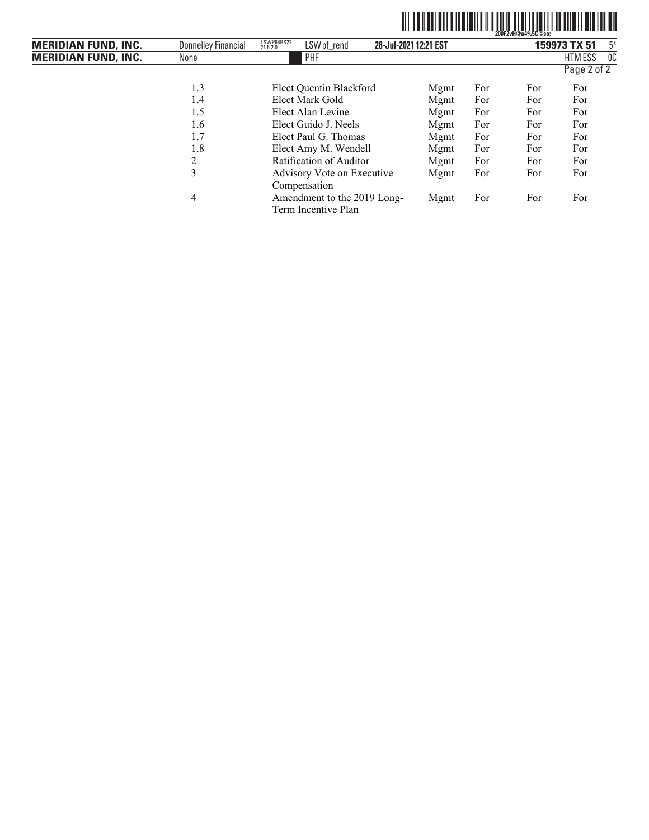

|                            | ------------------- |                                       |                       |     |     |                      |  |
|----------------------------|---------------------|---------------------------------------|-----------------------|-----|-----|----------------------|--|
| <b>MERIDIAN FUND, INC.</b> | Donnelley Financial | LSWP64RS22<br>LSW pf_rend<br>21.6.2.0 | 28-Jul-2021 12:21 EST |     |     | 159973 TX 51<br>$5*$ |  |
| <b>MERIDIAN FUND, INC.</b> | None                | PHF                                   |                       |     |     | HTM ESS<br>0C        |  |
|                            |                     |                                       |                       |     |     | Page 2 of 2          |  |
|                            | 1.3                 | Elect Ouentin Blackford               | Mgmt                  | For | For | For                  |  |
|                            | 1.4                 | Elect Mark Gold                       | Mgmt                  | For | For | For                  |  |
|                            | 1.5                 | Elect Alan Levine                     | Mgmt                  | For | For | For                  |  |
|                            | 1.6                 | Elect Guido J. Neels                  | Mgmt                  | For | For | For                  |  |
|                            | 1.7                 | Elect Paul G. Thomas                  | Mgmt                  | For | For | For                  |  |
|                            | 1.8                 | Elect Amy M. Wendell                  | Mgmt                  | For | For | For                  |  |
|                            | 2                   | Ratification of Auditor               | Mgmt                  | For | For | For                  |  |
|                            | 3                   | Advisory Vote on Executive            | Mgmt                  | For | For | For                  |  |
|                            |                     | Compensation                          |                       |     |     |                      |  |
|                            | 4                   | Amendment to the 2019 Long-           | Mgmt                  | For | For | For                  |  |
|                            |                     | Term Incentive Plan                   |                       |     |     |                      |  |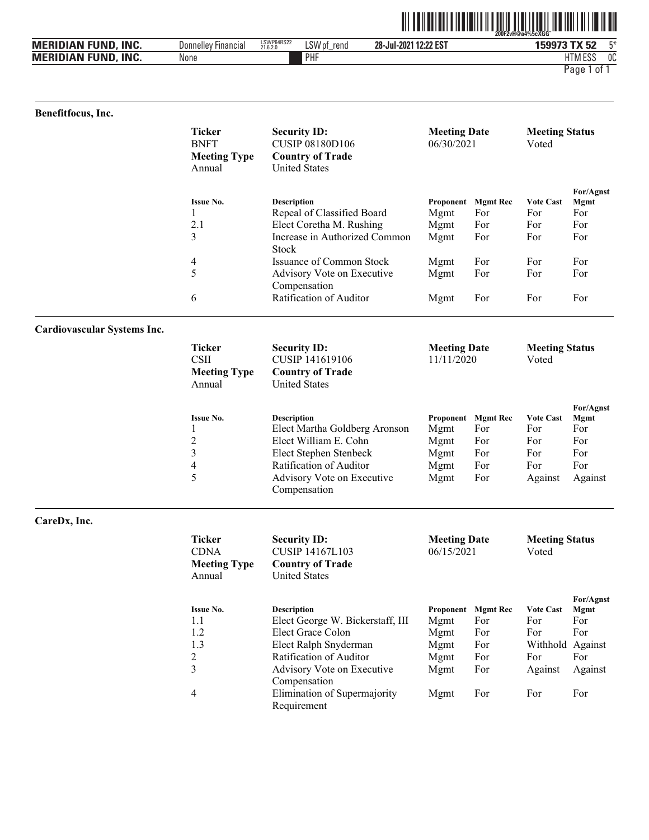| <b>MERIDIAN FUND, INC.</b>  | <b>Donnelley Financial</b>    | LSWP64RS22<br>21.6.2.0 | LSW pf_rend                                           | 28-Jul-2021 12:22 EST |                     |                 | 159973 TX 52          | $5^*$                             |
|-----------------------------|-------------------------------|------------------------|-------------------------------------------------------|-----------------------|---------------------|-----------------|-----------------------|-----------------------------------|
| <b>MERIDIAN FUND, INC.</b>  | None                          |                        | PHF                                                   |                       |                     |                 |                       | $\overline{OC}$<br><b>HTM ESS</b> |
|                             |                               |                        |                                                       |                       |                     |                 |                       | Page 1 of 1                       |
| Benefitfocus, Inc.          |                               |                        |                                                       |                       |                     |                 |                       |                                   |
|                             | <b>Ticker</b>                 |                        | <b>Security ID:</b>                                   |                       | <b>Meeting Date</b> |                 | <b>Meeting Status</b> |                                   |
|                             | <b>BNFT</b>                   |                        | CUSIP 08180D106                                       |                       | 06/30/2021          |                 | Voted                 |                                   |
|                             | <b>Meeting Type</b>           |                        | <b>Country of Trade</b>                               |                       |                     |                 |                       |                                   |
|                             | Annual                        |                        | <b>United States</b>                                  |                       |                     |                 |                       |                                   |
|                             |                               |                        |                                                       |                       |                     |                 |                       | For/Agnst                         |
|                             | <b>Issue No.</b>              | <b>Description</b>     |                                                       |                       | Proponent           | <b>Mgmt Rec</b> | <b>Vote Cast</b>      | <b>Mgmt</b>                       |
|                             | 1                             |                        | Repeal of Classified Board                            |                       | Mgmt                | For             | For                   | For                               |
|                             | 2.1                           |                        | Elect Coretha M. Rushing                              |                       | Mgmt                | For             | For                   | For                               |
|                             | 3                             |                        | Increase in Authorized Common                         |                       | Mgmt                | For             | For                   | For                               |
|                             |                               | <b>Stock</b>           | <b>Issuance of Common Stock</b>                       |                       |                     |                 |                       | For                               |
|                             | 4<br>5                        |                        |                                                       |                       | Mgmt                | For             | For                   |                                   |
|                             |                               |                        | Advisory Vote on Executive<br>Compensation            |                       | Mgmt                | For             | For                   | For                               |
|                             | 6                             |                        | Ratification of Auditor                               |                       | Mgmt                | For             | For                   | For                               |
|                             |                               |                        |                                                       |                       |                     |                 |                       |                                   |
| Cardiovascular Systems Inc. |                               |                        |                                                       |                       |                     |                 |                       |                                   |
|                             | <b>Ticker</b>                 |                        | <b>Security ID:</b>                                   |                       | <b>Meeting Date</b> |                 | <b>Meeting Status</b> |                                   |
|                             | <b>CSII</b>                   |                        | <b>CUSIP 141619106</b>                                |                       | 11/11/2020          |                 | Voted                 |                                   |
|                             | <b>Meeting Type</b>           |                        | <b>Country of Trade</b>                               |                       |                     |                 |                       |                                   |
|                             | Annual                        |                        | <b>United States</b>                                  |                       |                     |                 |                       |                                   |
|                             |                               |                        |                                                       |                       |                     |                 |                       | For/Agnst                         |
|                             | <b>Issue No.</b>              | <b>Description</b>     |                                                       |                       | Proponent           | <b>Mgmt</b> Rec | <b>Vote Cast</b>      | <b>Mgmt</b>                       |
|                             | 1                             |                        | Elect Martha Goldberg Aronson                         |                       | Mgmt                | For             | For                   | For                               |
|                             | $\overline{c}$                |                        | Elect William E. Cohn                                 |                       | Mgmt                | For             | For                   | For                               |
|                             | 3                             |                        | Elect Stephen Stenbeck                                |                       | Mgmt                | For             | For                   | For                               |
|                             | 4                             |                        | Ratification of Auditor                               |                       | Mgmt                | For             | For                   | For                               |
|                             | 5                             |                        | Advisory Vote on Executive                            |                       | Mgmt                | For             | Against               | Against                           |
|                             |                               |                        | Compensation                                          |                       |                     |                 |                       |                                   |
| CareDx, Inc.                |                               |                        |                                                       |                       |                     |                 |                       |                                   |
|                             | <b>Ticker</b>                 |                        | <b>Security ID:</b>                                   |                       | <b>Meeting Date</b> |                 | <b>Meeting Status</b> |                                   |
|                             | <b>CDNA</b>                   |                        | <b>CUSIP 14167L103</b>                                |                       | 06/15/2021          |                 | Voted                 |                                   |
|                             |                               |                        | <b>Country of Trade</b>                               |                       |                     |                 |                       |                                   |
|                             | <b>Meeting Type</b><br>Annual |                        | <b>United States</b>                                  |                       |                     |                 |                       |                                   |
|                             |                               |                        |                                                       |                       |                     |                 |                       |                                   |
|                             |                               |                        |                                                       |                       |                     |                 |                       | For/Agnst                         |
|                             | <b>Issue No.</b>              | <b>Description</b>     |                                                       |                       | Proponent           | <b>Mgmt Rec</b> | <b>Vote Cast</b>      | Mgmt                              |
|                             | 1.1<br>1.2                    |                        | Elect George W. Bickerstaff, III<br>Elect Grace Colon |                       | Mgmt                | For             | For<br>For            | For<br>For                        |
|                             | 1.3                           |                        |                                                       |                       | Mgmt                | For             |                       |                                   |
|                             |                               |                        | Elect Ralph Snyderman                                 |                       | Mgmt                | For             | Withhold Against      |                                   |
|                             | $\overline{c}$                |                        | Ratification of Auditor                               |                       | Mgmt                | For             | For                   | For                               |
|                             | 3                             |                        | Advisory Vote on Executive                            |                       | Mgmt                | For             | Against               | Against                           |
|                             | 4                             |                        | Compensation<br>Elimination of Supermajority          |                       | Mgmt                | For             | For                   | For                               |
|                             |                               |                        | Requirement                                           |                       |                     |                 |                       |                                   |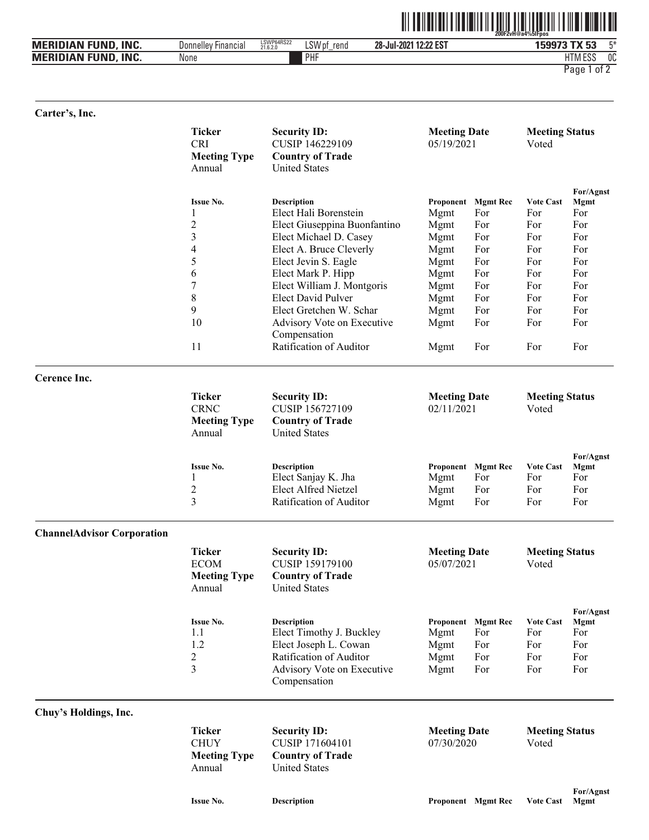| <b>MERIDIAN FUND, INC.</b>        | <b>Donnelley Financial</b> | LSWP64RS22<br>21.6.2.0<br>LSW pf_rend | 28-Jul-2021 12:22 EST |                     |                    | 159973 TX 53          | $5^*$                           |
|-----------------------------------|----------------------------|---------------------------------------|-----------------------|---------------------|--------------------|-----------------------|---------------------------------|
| <b>MERIDIAN FUND, INC.</b>        | None                       | PHF                                   |                       |                     |                    |                       | <b>HTMESS</b><br>$\overline{0}$ |
|                                   |                            |                                       |                       |                     |                    |                       | Page 1 of 2                     |
| Carter's, Inc.                    |                            |                                       |                       |                     |                    |                       |                                 |
|                                   | <b>Ticker</b>              | <b>Security ID:</b>                   |                       | <b>Meeting Date</b> |                    | <b>Meeting Status</b> |                                 |
|                                   | <b>CRI</b>                 | CUSIP 146229109                       |                       | 05/19/2021          |                    | Voted                 |                                 |
|                                   | <b>Meeting Type</b>        | <b>Country of Trade</b>               |                       |                     |                    |                       |                                 |
|                                   | Annual                     | <b>United States</b>                  |                       |                     |                    |                       |                                 |
|                                   |                            |                                       |                       |                     |                    |                       | For/Agnst                       |
|                                   | <b>Issue No.</b>           | Description                           |                       | Proponent           | <b>Mgmt Rec</b>    | <b>Vote Cast</b>      | <b>Mgmt</b>                     |
|                                   | 1                          | Elect Hali Borenstein                 |                       | Mgmt                | For                | For                   | For                             |
|                                   | $\boldsymbol{2}$           | Elect Giuseppina Buonfantino          |                       | Mgmt                | For                | For                   | For                             |
|                                   | $\mathfrak{Z}$             | Elect Michael D. Casey                |                       | Mgmt                | For                | For                   | For                             |
|                                   | 4                          | Elect A. Bruce Cleverly               |                       | Mgmt                | For                | For                   | For                             |
|                                   | 5                          | Elect Jevin S. Eagle                  |                       | Mgmt                | For                | For                   | For                             |
|                                   | 6                          | Elect Mark P. Hipp                    |                       | Mgmt                | For                | For                   | For                             |
|                                   | $\overline{7}$             | Elect William J. Montgoris            |                       | Mgmt                | For                | For                   | For                             |
|                                   | 8                          | Elect David Pulver                    |                       | Mgmt                | For                | For                   | For                             |
|                                   | 9                          | Elect Gretchen W. Schar               |                       | Mgmt                | For                | For                   | For                             |
|                                   | 10                         | Advisory Vote on Executive            |                       | Mgmt                | For                | For                   | For                             |
|                                   |                            | Compensation                          |                       |                     |                    |                       |                                 |
|                                   | 11                         | Ratification of Auditor               |                       | Mgmt                | For                | For                   | For                             |
| <b>Cerence Inc.</b>               |                            |                                       |                       |                     |                    |                       |                                 |
|                                   | <b>Ticker</b>              | <b>Security ID:</b>                   |                       | <b>Meeting Date</b> |                    | <b>Meeting Status</b> |                                 |
|                                   | <b>CRNC</b>                | CUSIP 156727109                       |                       | 02/11/2021          |                    | Voted                 |                                 |
|                                   | <b>Meeting Type</b>        | <b>Country of Trade</b>               |                       |                     |                    |                       |                                 |
|                                   | Annual                     | <b>United States</b>                  |                       |                     |                    |                       |                                 |
|                                   |                            |                                       |                       |                     |                    |                       | For/Agnst                       |
|                                   | <b>Issue No.</b>           | <b>Description</b>                    |                       | Proponent           | <b>Mgmt Rec</b>    | <b>Vote Cast</b>      | <b>Mgmt</b>                     |
|                                   | 1                          | Elect Sanjay K. Jha                   |                       | Mgmt                | For                | For                   | For                             |
|                                   | $\overline{c}$             | <b>Elect Alfred Nietzel</b>           |                       | Mgmt                | For                | For                   | For                             |
|                                   | 3                          | Ratification of Auditor               |                       | Mgmt                | For                | For                   | For                             |
| <b>ChannelAdvisor Corporation</b> |                            |                                       |                       |                     |                    |                       |                                 |
|                                   | <b>Ticker</b>              | <b>Security ID:</b>                   |                       | <b>Meeting Date</b> |                    | <b>Meeting Status</b> |                                 |
|                                   | <b>ECOM</b>                | CUSIP 159179100                       |                       | 05/07/2021          |                    | Voted                 |                                 |
|                                   | <b>Meeting Type</b>        | <b>Country of Trade</b>               |                       |                     |                    |                       |                                 |
|                                   | Annual                     | <b>United States</b>                  |                       |                     |                    |                       |                                 |
|                                   |                            |                                       |                       |                     |                    |                       | For/Agnst                       |
|                                   | <b>Issue No.</b>           | Description                           |                       |                     | Proponent Mgmt Rec | <b>Vote Cast</b>      | <b>Mgmt</b>                     |
|                                   | 1.1                        | Elect Timothy J. Buckley              |                       | Mgmt                | For                | For                   | For                             |
|                                   | 1.2                        | Elect Joseph L. Cowan                 |                       | Mgmt                | For                | For                   | For                             |
|                                   | $\overline{c}$             | Ratification of Auditor               |                       | Mgmt                | For                | For                   | For                             |
|                                   | $\overline{3}$             | Advisory Vote on Executive            |                       | Mgmt                | For                | For                   | For                             |
|                                   |                            | Compensation                          |                       |                     |                    |                       |                                 |
| Chuy's Holdings, Inc.             |                            |                                       |                       |                     |                    |                       |                                 |
|                                   | <b>Ticker</b>              | <b>Security ID:</b>                   |                       | <b>Meeting Date</b> |                    | <b>Meeting Status</b> |                                 |
|                                   | <b>CHUY</b>                | CUSIP 171604101                       |                       | 07/30/2020          |                    | Voted                 |                                 |
|                                   | <b>Meeting Type</b>        | <b>Country of Trade</b>               |                       |                     |                    |                       |                                 |
|                                   | Annual                     | <b>United States</b>                  |                       |                     |                    |                       |                                 |

**Issue No. Description Proponent Mgmt Rec Vote Cast MgmtFor/Agnst**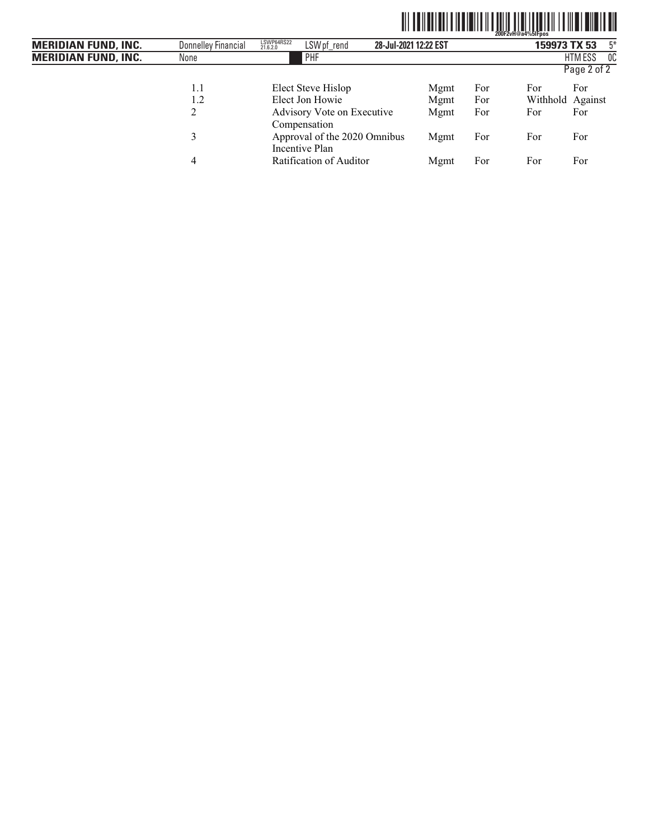

| <b>MERIDIAN FUND, INC.</b> | <b>Donnelley Financial</b> | LSWP64RS22<br>LSW pf rend<br>21.6.2.0                          | 28-Jul-2021 12:22 EST |     | 159973 TX 53     | 5*                   |
|----------------------------|----------------------------|----------------------------------------------------------------|-----------------------|-----|------------------|----------------------|
| <b>MERIDIAN FUND, INC.</b> | None                       | PHF                                                            |                       |     |                  | 0C<br><b>HTM ESS</b> |
|                            |                            |                                                                |                       |     |                  | Page 2 of 2          |
|                            | 1.1                        | Elect Steve Hislop                                             | Mgmt                  | For | For              | For                  |
|                            | 1.2                        | Elect Jon Howie                                                | Mgmt                  | For | Withhold Against |                      |
|                            | C<br>∠                     | Advisory Vote on Executive                                     | Mgmt                  | For | For              | For                  |
|                            |                            | Compensation<br>Approval of the 2020 Omnibus<br>Incentive Plan | Mgmt                  | For | For              | For                  |
|                            | 4                          | Ratification of Auditor                                        | Mgmt                  | For | For              | For                  |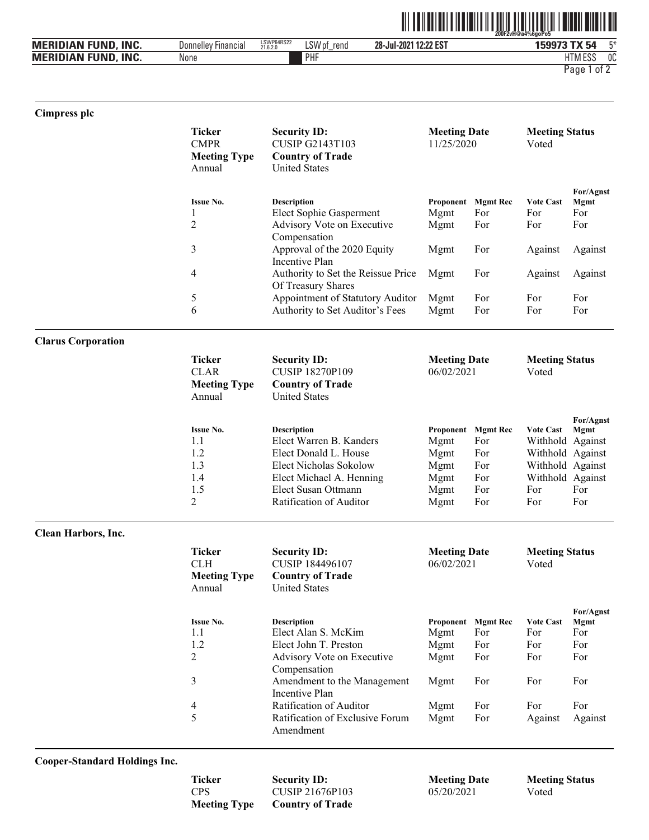| <b>MERIDIAN FUND, INC.</b> | <b>Donnelley Financial</b>                                            | LSWP64RS22<br>21.6.2.0<br>LSW pf_rend<br>28-Jul-2021 12:22 EST                                                                                                                 |                                                           |                                                           | 159973 TX 54                                                                                                   | $5*$                                   |
|----------------------------|-----------------------------------------------------------------------|--------------------------------------------------------------------------------------------------------------------------------------------------------------------------------|-----------------------------------------------------------|-----------------------------------------------------------|----------------------------------------------------------------------------------------------------------------|----------------------------------------|
| <b>MERIDIAN FUND, INC.</b> | None                                                                  | PHF                                                                                                                                                                            |                                                           |                                                           |                                                                                                                | $\overline{0}$<br><b>HTMESS</b>        |
|                            |                                                                       |                                                                                                                                                                                |                                                           |                                                           |                                                                                                                | Page 1 of 2                            |
| <b>Cimpress plc</b>        |                                                                       |                                                                                                                                                                                |                                                           |                                                           |                                                                                                                |                                        |
|                            | <b>Ticker</b><br><b>CMPR</b><br><b>Meeting Type</b><br>Annual         | <b>Security ID:</b><br><b>CUSIP G2143T103</b><br><b>Country of Trade</b><br><b>United States</b>                                                                               | <b>Meeting Date</b><br>11/25/2020                         |                                                           | <b>Meeting Status</b><br>Voted                                                                                 |                                        |
|                            | <b>Issue No.</b>                                                      | Description                                                                                                                                                                    | Proponent                                                 | <b>Mgmt Rec</b>                                           | <b>Vote Cast</b>                                                                                               | For/Agnst<br><b>Mgmt</b>               |
|                            | 1                                                                     | Elect Sophie Gasperment                                                                                                                                                        | Mgmt                                                      | For                                                       | For                                                                                                            | For                                    |
|                            | 2                                                                     | Advisory Vote on Executive<br>Compensation                                                                                                                                     | Mgmt                                                      | For                                                       | For                                                                                                            | For                                    |
|                            | 3                                                                     | Approval of the 2020 Equity<br><b>Incentive Plan</b>                                                                                                                           | Mgmt                                                      | For                                                       | Against                                                                                                        | Against                                |
|                            | 4                                                                     | Authority to Set the Reissue Price<br>Of Treasury Shares                                                                                                                       | Mgmt                                                      | For                                                       | Against                                                                                                        | Against                                |
|                            | 5                                                                     | Appointment of Statutory Auditor                                                                                                                                               | Mgmt                                                      | For                                                       | For                                                                                                            | For                                    |
|                            | 6                                                                     | Authority to Set Auditor's Fees                                                                                                                                                | Mgmt                                                      | For                                                       | For                                                                                                            | For                                    |
| <b>Clarus Corporation</b>  |                                                                       |                                                                                                                                                                                |                                                           |                                                           |                                                                                                                |                                        |
|                            | <b>Ticker</b><br><b>CLAR</b><br><b>Meeting Type</b><br>Annual         | <b>Security ID:</b><br><b>CUSIP 18270P109</b><br><b>Country of Trade</b><br><b>United States</b>                                                                               | <b>Meeting Date</b><br>06/02/2021                         |                                                           | <b>Meeting Status</b><br>Voted                                                                                 |                                        |
|                            | <b>Issue No.</b><br>1.1<br>1.2<br>1.3<br>1.4<br>1.5<br>$\overline{2}$ | <b>Description</b><br>Elect Warren B. Kanders<br>Elect Donald L. House<br>Elect Nicholas Sokolow<br>Elect Michael A. Henning<br>Elect Susan Ottmann<br>Ratification of Auditor | Proponent<br>Mgmt<br>Mgmt<br>Mgmt<br>Mgmt<br>Mgmt<br>Mgmt | <b>Mgmt Rec</b><br>For<br>For<br>For<br>For<br>For<br>For | <b>Vote Cast</b><br>Withhold Against<br>Withhold Against<br>Withhold Against<br>Withhold Against<br>For<br>For | For/Agnst<br><b>Mgmt</b><br>For<br>For |
| Clean Harbors, Inc.        |                                                                       |                                                                                                                                                                                |                                                           |                                                           |                                                                                                                |                                        |
|                            | <b>Ticker</b><br><b>CLH</b><br><b>Meeting Type</b><br>Annual          | <b>Security ID:</b><br>CUSIP 184496107<br><b>Country of Trade</b><br><b>United States</b>                                                                                      | <b>Meeting Date</b><br>06/02/2021                         |                                                           | <b>Meeting Status</b><br>Voted                                                                                 |                                        |
|                            | <b>Issue No.</b>                                                      | Description                                                                                                                                                                    |                                                           | Proponent Mgmt Rec                                        | <b>Vote Cast</b>                                                                                               | For/Agnst<br><b>Mgmt</b>               |
|                            | 1.1                                                                   | Elect Alan S. McKim                                                                                                                                                            | Mgmt                                                      | For                                                       | For                                                                                                            | For                                    |
|                            | 1.2                                                                   | Elect John T. Preston                                                                                                                                                          | Mgmt                                                      | For                                                       | For                                                                                                            | For                                    |
|                            | $\overline{2}$                                                        | Advisory Vote on Executive<br>Compensation                                                                                                                                     | Mgmt                                                      | For                                                       | For                                                                                                            | For                                    |
|                            | 3                                                                     | Amendment to the Management<br><b>Incentive Plan</b>                                                                                                                           | Mgmt                                                      | For                                                       | For                                                                                                            | For                                    |
|                            | 4                                                                     | Ratification of Auditor                                                                                                                                                        | Mgmt                                                      | For                                                       | For                                                                                                            | For                                    |
|                            | 5                                                                     | Ratification of Exclusive Forum<br>Amendment                                                                                                                                   | Mgmt                                                      | For                                                       | Against                                                                                                        | Against                                |

Ticker Security ID: Meeting Date Meeting Status<br>
CPS CUSIP 21676P103 05/20/2021 Voted CPS CUSIP 21676P103<br>Meeting Type Country of Trade **Country of Trade**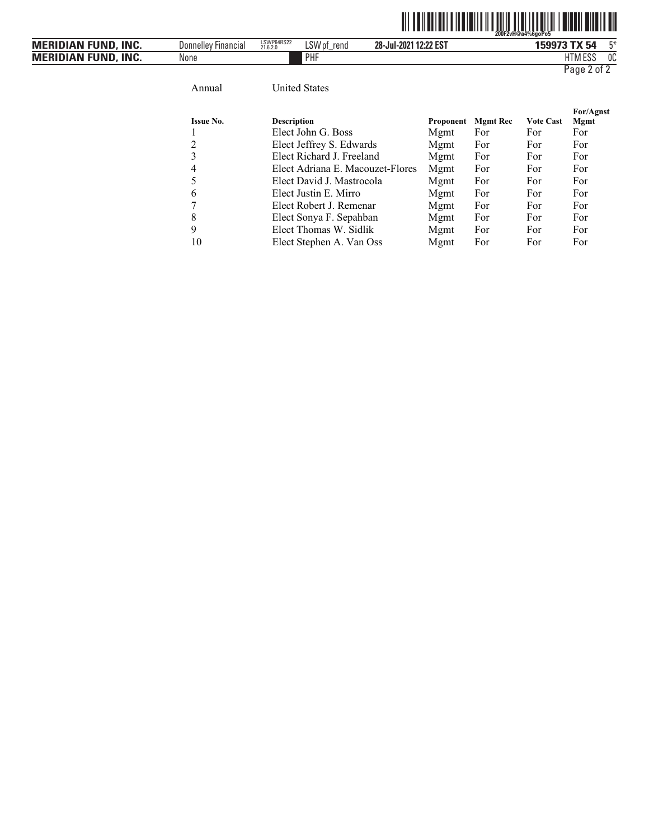

| <b>MERIDIAN FUND, INC.</b> | Donnelley Financial | LSWP64RS22<br>21.6.2.0 | LSW pf_rend                      | 28-Jul-2021 12:22 EST |           |                 | 159973 TX 54     |                    | 5* |
|----------------------------|---------------------|------------------------|----------------------------------|-----------------------|-----------|-----------------|------------------|--------------------|----|
| <b>MERIDIAN FUND, INC.</b> | None                |                        | PHF                              |                       |           |                 |                  | HTM ESS            | OC |
|                            |                     |                        |                                  |                       |           |                 |                  | Page 2 of 2        |    |
|                            | Annual              |                        | <b>United States</b>             |                       |           |                 |                  |                    |    |
|                            | <b>Issue No.</b>    | <b>Description</b>     |                                  |                       | Proponent | <b>Mgmt Rec</b> | <b>Vote Cast</b> | For/Agnst          |    |
|                            |                     |                        | Elect John G. Boss               |                       | Mgmt      | For             | For              | <b>Mgmt</b><br>For |    |
|                            | 2                   |                        | Elect Jeffrey S. Edwards         |                       | Mgmt      | For             | For              | For                |    |
|                            | 3                   |                        | Elect Richard J. Freeland        |                       | Mgmt      | For             | For              | For                |    |
|                            | 4                   |                        | Elect Adriana E. Macouzet-Flores |                       | Mgmt      | For             | For              | For                |    |
|                            |                     |                        | Elect David J. Mastrocola        |                       | Mgmt      | For             | For              | For                |    |
|                            | 6                   |                        | Elect Justin E. Mirro            |                       | Mgmt      | For             | For              | For                |    |
|                            |                     |                        | Elect Robert J. Remenar          |                       | Mgmt      | For             | For              | For                |    |
|                            | 8                   |                        | Elect Sonya F. Sepahban          |                       | Mgmt      | For             | For              | For                |    |
|                            | 9                   |                        | Elect Thomas W. Sidlik           |                       | Mgmt      | For             | For              | For                |    |
|                            | 10                  |                        | Elect Stephen A. Van Oss         |                       | Mgmt      | For             | For              | For                |    |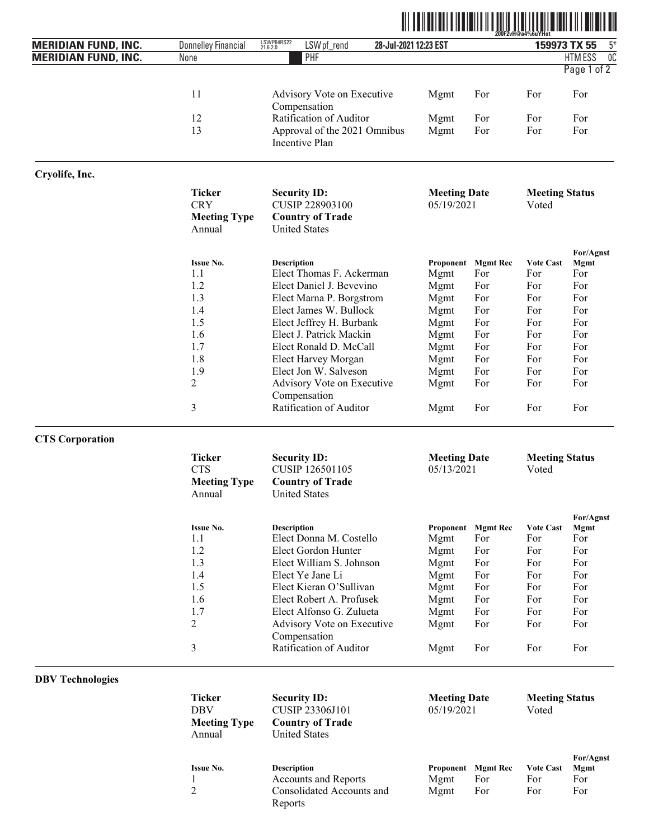| <b>MERIDIAN FUND, INC.</b> | <b>Donnelley Financial</b> | LSWP64RS22<br>21.6.2.0<br>LSW pf_rend                 | 28-Jul-2021 12:23 EST |                 |                       | 159973 TX 55<br>$5*$            |
|----------------------------|----------------------------|-------------------------------------------------------|-----------------------|-----------------|-----------------------|---------------------------------|
| <b>MERIDIAN FUND, INC.</b> | None                       | PHF                                                   |                       |                 |                       | <b>HTMESS</b><br><sub>0</sub> C |
|                            |                            |                                                       |                       |                 |                       | Page 1 of 2                     |
|                            | 11                         | Advisory Vote on Executive<br>Compensation            | Mgmt                  | For             | For                   | For                             |
|                            | 12                         | Ratification of Auditor                               | Mgmt                  | For             | For                   | For                             |
|                            | 13                         | Approval of the 2021 Omnibus<br><b>Incentive Plan</b> | Mgmt                  | For             | For                   | For                             |
| Cryolife, Inc.             |                            |                                                       |                       |                 |                       |                                 |
|                            | <b>Ticker</b>              | <b>Security ID:</b>                                   | <b>Meeting Date</b>   |                 | <b>Meeting Status</b> |                                 |
|                            | <b>CRY</b>                 | CUSIP 228903100                                       | 05/19/2021            |                 | Voted                 |                                 |
|                            | <b>Meeting Type</b>        | <b>Country of Trade</b>                               |                       |                 |                       |                                 |
|                            | Annual                     | <b>United States</b>                                  |                       |                 |                       |                                 |
|                            |                            |                                                       |                       |                 |                       | For/Agnst                       |
|                            | <b>Issue No.</b>           | <b>Description</b>                                    | Proponent             | <b>Mgmt Rec</b> | <b>Vote Cast</b>      | <b>Mgmt</b>                     |
|                            | 1.1                        | Elect Thomas F. Ackerman                              | Mgmt                  | For             | For                   | For                             |
|                            | 1.2                        | Elect Daniel J. Bevevino                              | Mgmt                  | For             | For                   | For                             |
|                            | 1.3                        | Elect Marna P. Borgstrom                              | Mgmt                  | For             | For                   | For                             |
|                            | 1.4                        | Elect James W. Bullock                                | Mgmt                  | For             | For                   | For                             |
|                            | 1.5                        | Elect Jeffrey H. Burbank                              | Mgmt                  | For             | For                   | For                             |
|                            | 1.6                        | Elect J. Patrick Mackin                               | Mgmt                  | For             | For                   | For                             |
|                            | 1.7                        | Elect Ronald D. McCall                                | Mgmt                  | For             | For                   | For                             |
|                            | 1.8                        | Elect Harvey Morgan                                   | Mgmt                  | For             | For                   | For                             |
|                            | 1.9                        | Elect Jon W. Salveson                                 | Mgmt                  | For             | For                   | For                             |
|                            | $\overline{2}$             | Advisory Vote on Executive<br>Compensation            | Mgmt                  | For             | For                   | For                             |
|                            | 3                          | Ratification of Auditor                               | Mgmt                  | For             | For                   | For                             |
| <b>CTS</b> Corporation     |                            |                                                       |                       |                 |                       |                                 |
|                            | <b>Ticker</b>              | <b>Security ID:</b>                                   | <b>Meeting Date</b>   |                 | <b>Meeting Status</b> |                                 |

| CUSIP 126501105<br><b>Country of Trade</b><br><b>United States</b> |                                                                |                 | Meeting Status<br>Voted           |                   |
|--------------------------------------------------------------------|----------------------------------------------------------------|-----------------|-----------------------------------|-------------------|
| <b>Description</b>                                                 | Proponent                                                      | <b>Mgmt Rec</b> | <b>Vote Cast</b>                  | For/Agnst<br>Mgmt |
|                                                                    |                                                                |                 |                                   | For               |
|                                                                    |                                                                | For             | For                               | For               |
| Elect William S. Johnson                                           | Mgmt                                                           | For             | For                               | For               |
| Elect Ye Jane Li                                                   | Mgmt                                                           | For             | For                               | For               |
| Elect Kieran O'Sullivan                                            | Mgmt                                                           | For             | For                               | For               |
| Elect Robert A. Profusek                                           | Mgmt                                                           | For             | For                               | For               |
| Elect Alfonso G. Zulueta                                           | Mgmt                                                           | For             | For                               | For               |
| Advisory Vote on Executive                                         | Mgmt                                                           | For             | For                               | For               |
| Compensation<br>Ratification of Auditor                            | Mgmt                                                           | For             | For                               | For               |
|                                                                    | Security ID:<br>Elect Donna M. Costello<br>Elect Gordon Hunter | Mgmt<br>Mgmt    | Meeting Date<br>05/13/2021<br>For | For               |

# **DBV Technologies**

| <b>Ticker</b><br><b>DBV</b><br><b>Meeting Type</b><br>Annual | <b>Security ID:</b><br>CUSIP 23306J101<br><b>Country of Trade</b><br><b>United States</b> | <b>Meeting Date</b><br>05/19/2021 |                                  | <b>Meeting Status</b><br>Voted |                                 |  |
|--------------------------------------------------------------|-------------------------------------------------------------------------------------------|-----------------------------------|----------------------------------|--------------------------------|---------------------------------|--|
| <b>Issue No.</b><br>2                                        | <b>Description</b><br><b>Accounts and Reports</b><br>Consolidated Accounts and<br>Reports | Mgmt<br>Mgmt                      | Proponent Mgmt Rec<br>For<br>For | <b>Vote Cast</b><br>For<br>For | For/Agnst<br>Mgmt<br>For<br>For |  |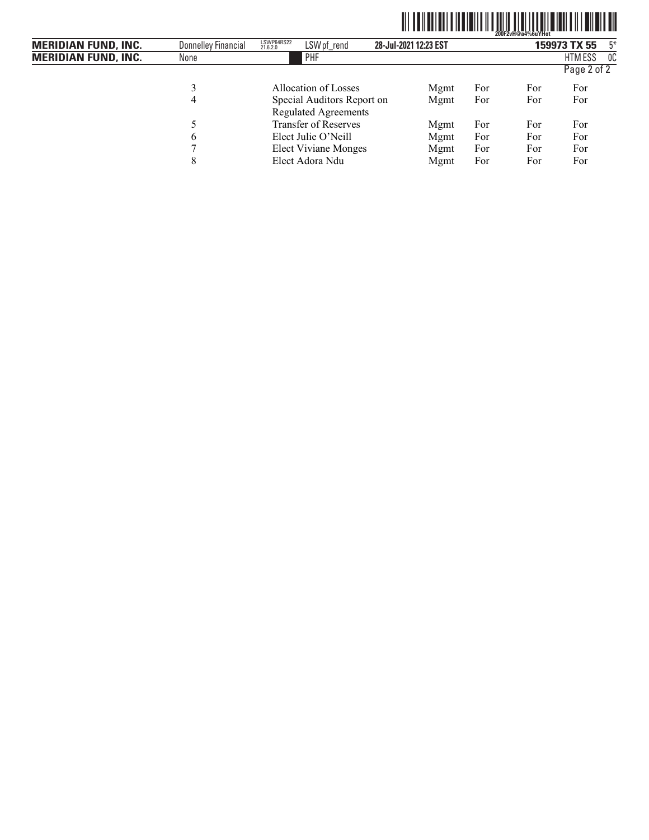

| <b>MERIDIAN FUND, INC.</b> | <b>Donnelley Financial</b> | LSWP64RS22<br>LSW pf rend<br>21.6.2.0 | 28-Jul-2021 12:23 EST |     |     | 159973 TX 55 | $.5*$ |
|----------------------------|----------------------------|---------------------------------------|-----------------------|-----|-----|--------------|-------|
| <b>MERIDIAN FUND, INC.</b> | None                       | PHF                                   |                       |     |     | HTM ESS      | 0C    |
|                            |                            |                                       |                       |     |     | Page 2 of 2  |       |
|                            |                            | Allocation of Losses                  | Mgmt                  | For | For | For          |       |
|                            | 4                          | Special Auditors Report on            | Mgmt                  | For | For | For          |       |
|                            |                            | <b>Regulated Agreements</b>           |                       |     |     |              |       |
|                            |                            | <b>Transfer of Reserves</b>           | Mgmt                  | For | For | For          |       |
|                            | <sub>b</sub>               | Elect Julie O'Neill                   | Mgmt                  | For | For | For          |       |
|                            |                            | Elect Viviane Monges                  | Mgmt                  | For | For | For          |       |
|                            | 8                          | Elect Adora Ndu                       | Mgmt                  | For | For | For          |       |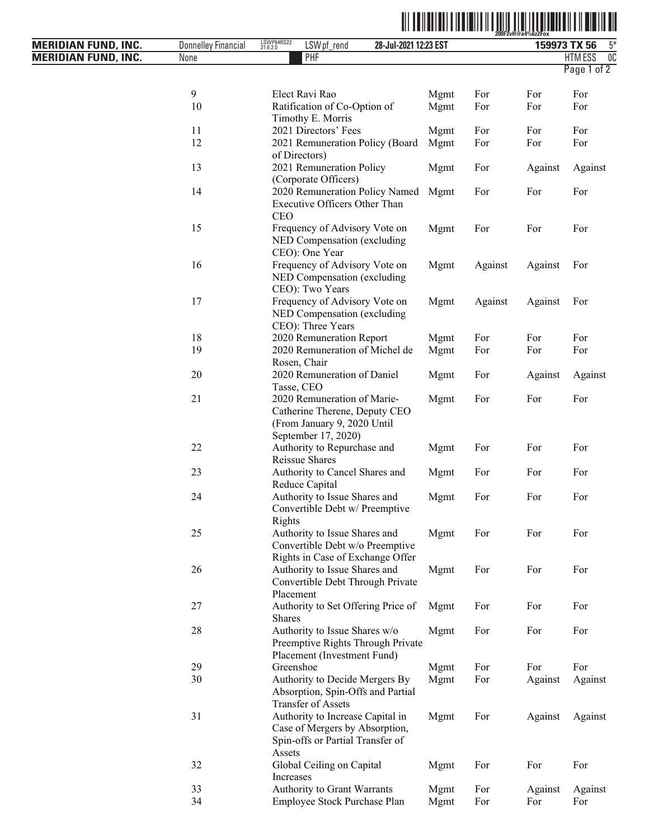

| <b>MERIDIAN FUND, INC.</b> | <b>Donnelley Financial</b> | LSWP64RS22<br>21.6.2.0<br>28-Jul-2021 12:23 EST<br>LSW pf_rend |      |         | 159973 TX 56 | $5*$                             |
|----------------------------|----------------------------|----------------------------------------------------------------|------|---------|--------------|----------------------------------|
| <b>MERIDIAN FUND, INC.</b> | None                       | PHF                                                            |      |         |              | <b>HTM ESS</b><br>0 <sup>C</sup> |
|                            |                            |                                                                |      |         |              | Page 1 of 2                      |
|                            | 9                          | Elect Ravi Rao                                                 | Mgmt | For     | For          | For                              |
|                            | 10                         | Ratification of Co-Option of                                   | Mgmt | For     | For          | For                              |
|                            |                            | Timothy E. Morris                                              |      |         |              |                                  |
|                            | 11                         | 2021 Directors' Fees                                           | Mgmt | For     | For          | For                              |
|                            | 12                         | 2021 Remuneration Policy (Board                                | Mgmt | For     | For          | For                              |
|                            |                            | of Directors)                                                  |      |         |              |                                  |
|                            | 13                         | 2021 Remuneration Policy                                       | Mgmt | For     | Against      | Against                          |
|                            | 14                         | (Corporate Officers)<br>2020 Remuneration Policy Named         | Mgmt | For     | For          | For                              |
|                            |                            | Executive Officers Other Than                                  |      |         |              |                                  |
|                            |                            | <b>CEO</b>                                                     |      |         |              |                                  |
|                            | 15                         | Frequency of Advisory Vote on                                  | Mgmt | For     | For          | For                              |
|                            |                            | NED Compensation (excluding                                    |      |         |              |                                  |
|                            |                            | CEO): One Year                                                 |      |         |              |                                  |
|                            | 16                         | Frequency of Advisory Vote on                                  | Mgmt | Against | Against      | For                              |
|                            |                            | NED Compensation (excluding                                    |      |         |              |                                  |
|                            |                            | CEO): Two Years                                                |      |         |              |                                  |
|                            | 17                         | Frequency of Advisory Vote on                                  | Mgmt | Against | Against      | For                              |
|                            |                            | NED Compensation (excluding                                    |      |         |              |                                  |
|                            |                            | CEO): Three Years                                              |      |         |              |                                  |
|                            | 18                         | 2020 Remuneration Report                                       | Mgmt | For     | For          | For                              |
|                            | 19                         | 2020 Remuneration of Michel de<br>Rosen, Chair                 | Mgmt | For     | For          | For                              |
|                            | 20                         | 2020 Remuneration of Daniel                                    | Mgmt | For     | Against      | Against                          |
|                            |                            | Tasse, CEO                                                     |      |         |              |                                  |
|                            | 21                         | 2020 Remuneration of Marie-                                    | Mgmt | For     | For          | For                              |
|                            |                            | Catherine Therene, Deputy CEO                                  |      |         |              |                                  |
|                            |                            | (From January 9, 2020 Until                                    |      |         |              |                                  |
|                            |                            | September 17, 2020)                                            |      |         |              |                                  |
|                            | 22                         | Authority to Repurchase and                                    | Mgmt | For     | For          | For                              |
|                            |                            | Reissue Shares                                                 |      |         |              |                                  |
|                            | 23                         | Authority to Cancel Shares and                                 | Mgmt | For     | For          | For                              |
|                            |                            | Reduce Capital                                                 |      |         |              |                                  |
|                            | 24                         | Authority to Issue Shares and                                  | Mgmt | For     | For          | For                              |
|                            |                            | Convertible Debt w/ Preemptive<br>Rights                       |      |         |              |                                  |
|                            | 25                         | Authority to Issue Shares and                                  | Mgmt | For     | For          | For                              |
|                            |                            | Convertible Debt w/o Preemptive                                |      |         |              |                                  |
|                            |                            | Rights in Case of Exchange Offer                               |      |         |              |                                  |
|                            | 26                         | Authority to Issue Shares and                                  | Mgmt | For     | For          | For                              |
|                            |                            | Convertible Debt Through Private                               |      |         |              |                                  |
|                            |                            | Placement                                                      |      |         |              |                                  |
|                            | 27                         | Authority to Set Offering Price of                             | Mgmt | For     | For          | For                              |
|                            |                            | <b>Shares</b>                                                  |      |         |              |                                  |
|                            | 28                         | Authority to Issue Shares w/o                                  | Mgmt | For     | For          | For                              |
|                            |                            | Preemptive Rights Through Private                              |      |         |              |                                  |
|                            | 29                         | Placement (Investment Fund)<br>Greenshoe                       | Mgmt | For     | For          | For                              |
|                            | 30                         | Authority to Decide Mergers By                                 | Mgmt | For     | Against      | Against                          |
|                            |                            | Absorption, Spin-Offs and Partial                              |      |         |              |                                  |
|                            |                            | <b>Transfer of Assets</b>                                      |      |         |              |                                  |
|                            | 31                         | Authority to Increase Capital in                               | Mgmt | For     | Against      | Against                          |
|                            |                            | Case of Mergers by Absorption,                                 |      |         |              |                                  |
|                            |                            | Spin-offs or Partial Transfer of                               |      |         |              |                                  |
|                            |                            | Assets                                                         |      |         |              |                                  |
|                            | 32                         | Global Ceiling on Capital                                      | Mgmt | For     | For          | For                              |
|                            |                            | Increases                                                      |      |         |              |                                  |
|                            | 33                         | Authority to Grant Warrants                                    | Mgmt | For     | Against      | Against                          |
|                            | 34                         | Employee Stock Purchase Plan                                   | Mgmt | For     | For          | For                              |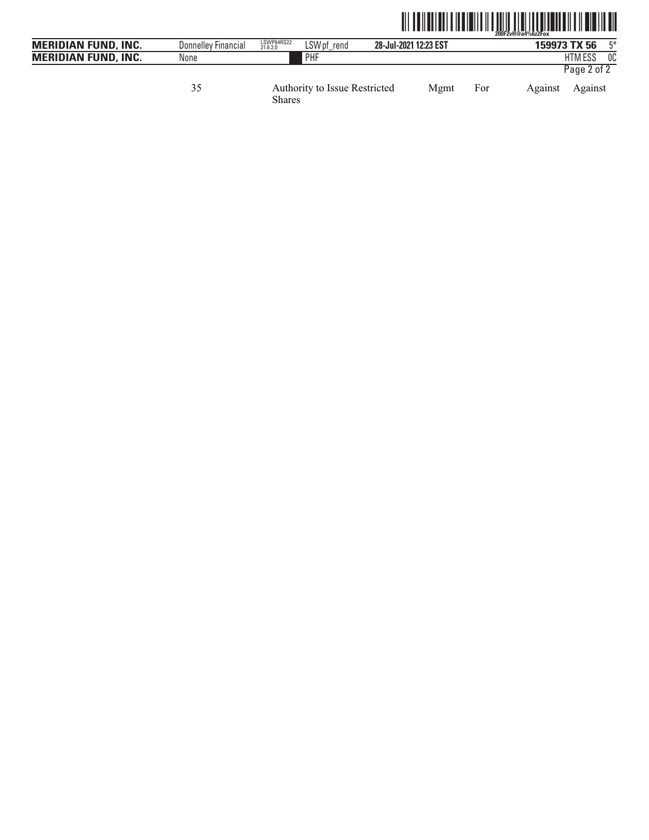

|                            |                     |                        |                               |                       |      |     | ---------------- |                 |      |
|----------------------------|---------------------|------------------------|-------------------------------|-----------------------|------|-----|------------------|-----------------|------|
| <b>MERIDIAN FUND, INC.</b> | Donnelley Financial | LSWP64RS22<br>21.6.2.0 | LSW pf rend                   | 28-Jul-2021 12:23 EST |      |     |                  | 159973 TX 56    | - 5* |
| <b>MERIDIAN FUND, INC.</b> | None                |                        | PHF                           |                       |      |     |                  | HTM ESS         | 0C   |
|                            |                     |                        |                               |                       |      |     |                  | Page $2$ of $2$ |      |
|                            | 35                  | Shares                 | Authority to Issue Restricted |                       | Mgmt | For | Against          | Against         |      |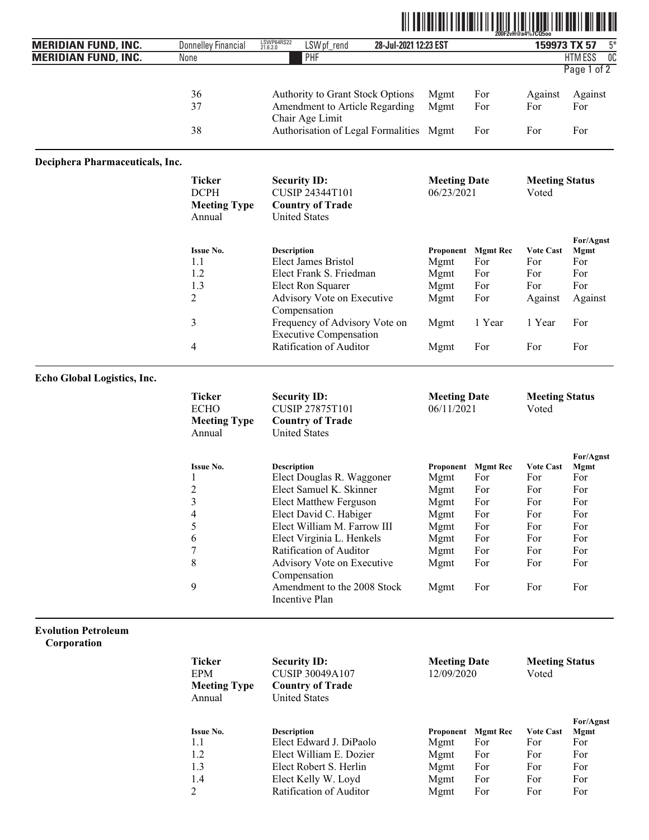| <b>MERIDIAN FUND, INC.</b>      | <b>Donnelley Financial</b>                                    | LSWP64RS22<br>21.6.2.0 | LSW pf_rend                                                                                                       | 28-Jul-2021 12:23 EST |                                           |                                             |                                                  | 159973 TX 57                                             | $5^*$          |
|---------------------------------|---------------------------------------------------------------|------------------------|-------------------------------------------------------------------------------------------------------------------|-----------------------|-------------------------------------------|---------------------------------------------|--------------------------------------------------|----------------------------------------------------------|----------------|
| <b>MERIDIAN FUND, INC.</b>      | None                                                          |                        | PHF                                                                                                               |                       |                                           |                                             |                                                  | <b>HTMESS</b>                                            | <sub>0</sub> C |
|                                 |                                                               |                        |                                                                                                                   |                       |                                           |                                             |                                                  | Page 1 of $2$                                            |                |
|                                 | 36                                                            |                        | Authority to Grant Stock Options                                                                                  |                       | Mgmt                                      | For                                         | Against                                          | Against                                                  |                |
|                                 | 37                                                            |                        | Amendment to Article Regarding<br>Chair Age Limit                                                                 |                       | Mgmt                                      | For                                         | For                                              | For                                                      |                |
|                                 | 38                                                            |                        | Authorisation of Legal Formalities Mgmt                                                                           |                       |                                           | For                                         | For                                              | For                                                      |                |
| Deciphera Pharmaceuticals, Inc. |                                                               |                        |                                                                                                                   |                       |                                           |                                             |                                                  |                                                          |                |
|                                 | <b>Ticker</b><br><b>DCPH</b><br><b>Meeting Type</b><br>Annual |                        | <b>Security ID:</b><br><b>CUSIP 24344T101</b><br><b>Country of Trade</b><br><b>United States</b>                  |                       | <b>Meeting Date</b><br>06/23/2021         |                                             | <b>Meeting Status</b><br>Voted                   |                                                          |                |
|                                 | <b>Issue No.</b><br>1.1<br>1.2<br>1.3<br>$\overline{2}$       | <b>Description</b>     | Elect James Bristol<br>Elect Frank S. Friedman<br>Elect Ron Squarer<br>Advisory Vote on Executive<br>Compensation |                       | Proponent<br>Mgmt<br>Mgmt<br>Mgmt<br>Mgmt | <b>Mgmt Rec</b><br>For<br>For<br>For<br>For | <b>Vote Cast</b><br>For<br>For<br>For<br>Against | For/Agnst<br><b>Mgmt</b><br>For<br>For<br>For<br>Against |                |

3 Frequency of Advisory Vote on

Executive Compensation

#### **Echo Global Logistics, Inc.**

| Ticker<br><b>ECHO</b><br><b>Meeting Type</b><br>Annual | <b>Security ID:</b><br><b>CUSIP 27875T101</b><br><b>Country of Trade</b><br><b>United States</b> | <b>Meeting Date</b><br>06/11/2021 |                 | <b>Meeting Status</b><br>Voted |                   |  |
|--------------------------------------------------------|--------------------------------------------------------------------------------------------------|-----------------------------------|-----------------|--------------------------------|-------------------|--|
| <b>Issue No.</b>                                       | <b>Description</b>                                                                               | Proponent                         | <b>Mgmt Rec</b> | <b>Vote Cast</b>               | For/Agnst<br>Mgmt |  |
| 1                                                      | Elect Douglas R. Waggoner                                                                        | Mgmt                              | For             | For                            | For               |  |
| $\overline{2}$                                         | Elect Samuel K. Skinner                                                                          | Mgmt                              | For             | For                            | For               |  |
| 3                                                      | Elect Matthew Ferguson                                                                           | Mgmt                              | For             | For                            | For               |  |
| $\overline{4}$                                         | Elect David C. Habiger                                                                           | Mgmt                              | For             | For                            | For               |  |
| 5                                                      | Elect William M. Farrow III                                                                      | Mgmt                              | For             | For                            | For               |  |
| 6                                                      | Elect Virginia L. Henkels                                                                        | Mgmt                              | For             | For                            | For               |  |
| 7                                                      | Ratification of Auditor                                                                          | Mgmt                              | For             | For                            | For               |  |
| 8                                                      | Advisory Vote on Executive                                                                       | Mgmt                              | For             | For                            | For               |  |
| 9                                                      | Compensation<br>Amendment to the 2008 Stock<br>Incentive Plan                                    | Mgmt                              | For             | For                            | For               |  |

4 Ratification of Auditor Mgmt For For For

Mgmt 1 Year 1 Year For

### **Evolution Petroleum Corporation**

| <b>Ticker</b><br><b>EPM</b><br><b>Meeting Type</b><br>Annual | <b>Security ID:</b><br><b>CUSIP 30049A107</b><br><b>Country of Trade</b><br><b>United States</b> | <b>Meeting Date</b><br>12/09/2020 |                 |                  |                   | <b>Meeting Status</b><br>Voted |  |
|--------------------------------------------------------------|--------------------------------------------------------------------------------------------------|-----------------------------------|-----------------|------------------|-------------------|--------------------------------|--|
| <b>Issue No.</b>                                             | <b>Description</b>                                                                               | Proponent                         | <b>Mgmt Rec</b> | <b>Vote Cast</b> | For/Agnst<br>Mgmt |                                |  |
| 1.1                                                          | Elect Edward J. DiPaolo                                                                          | Mgmt                              | For             | For              | For               |                                |  |
| 1.2                                                          | Elect William E. Dozier                                                                          | Mgmt                              | For             | For              | For               |                                |  |
| 1.3                                                          | Elect Robert S. Herlin                                                                           | Mgmt                              | For             | For              | For               |                                |  |
| 1.4                                                          | Elect Kelly W. Loyd                                                                              | Mgmt                              | For             | For              | For               |                                |  |
| 2                                                            | Ratification of Auditor                                                                          | Mgmt                              | For             | For              | For               |                                |  |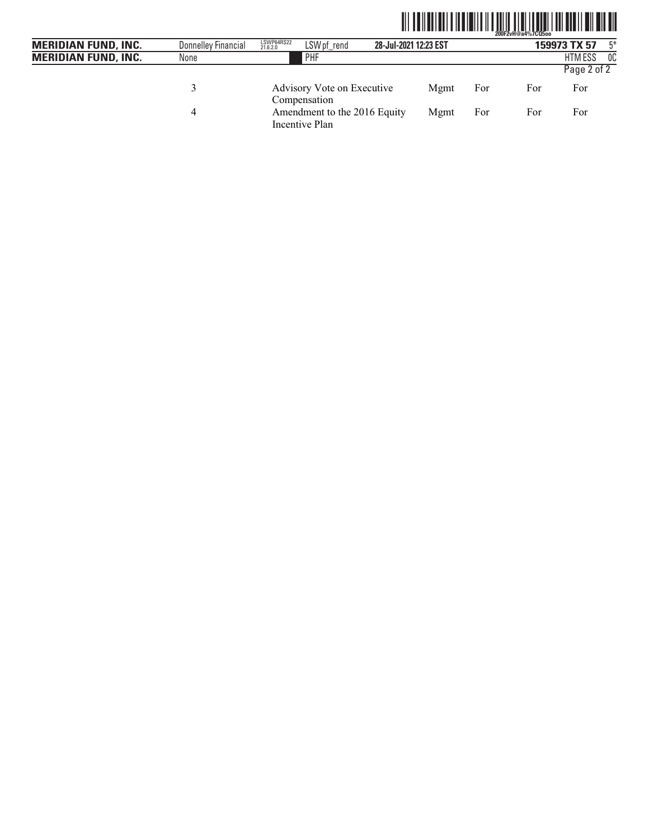

| <b>MERIDIAN FUND, INC.</b> | Donnelley Financial | LSWP64RS22<br>21.6.2.0 | LSW pf rend                                    | 28-Jul-2021 12:23 EST |      |     |     | 159973 TX 57 | $-5*$ |  |  |
|----------------------------|---------------------|------------------------|------------------------------------------------|-----------------------|------|-----|-----|--------------|-------|--|--|
| <b>MERIDIAN FUND, INC.</b> | None                |                        | PHF                                            |                       |      |     |     | HTM ESS      | 0C    |  |  |
|                            |                     |                        |                                                |                       |      |     |     | Page 2 of 2  |       |  |  |
|                            |                     |                        | Advisory Vote on Executive<br>Compensation     |                       | Mgmt | For | For | For          |       |  |  |
|                            | 4                   |                        | Amendment to the 2016 Equity<br>Incentive Plan |                       | Mgmt | For | For | For          |       |  |  |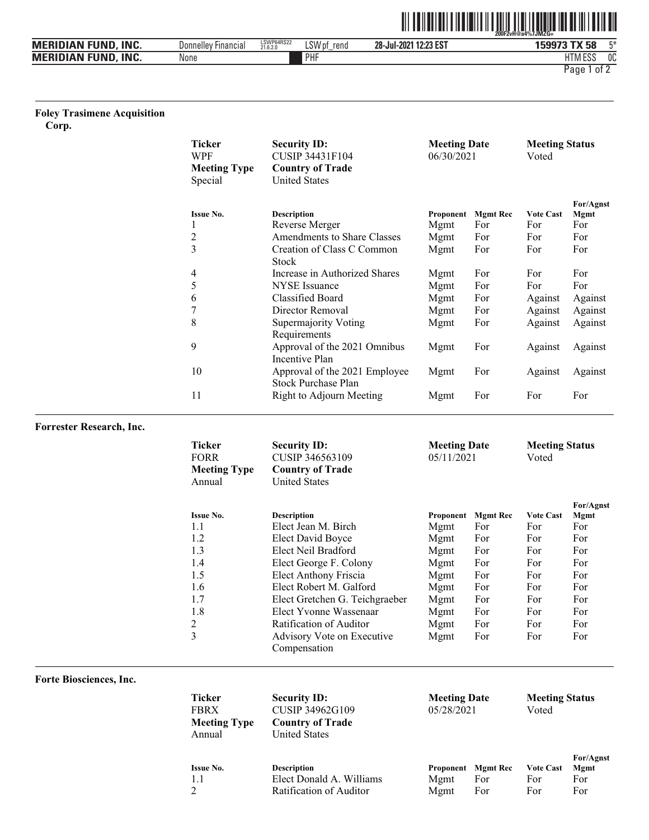|                     |                            |                        |                | <u> III IIIIIIIIIIIIIIIIIIIIIIIIII</u> | <b>IIIIIIIIIIIIIIIIIIIIIIII</b><br>$200$ F2vH $@$ a4%7JMZG= | ║║║ |
|---------------------|----------------------------|------------------------|----------------|----------------------------------------|-------------------------------------------------------------|-----|
| MERIDIAN FUND, INC. | <b>Donnelley Financial</b> | LSWP64RS22<br>21.6.2.0 | LSW pf<br>rend | 28-Jul-2021 12:23 EST                  | 159973 TX 58                                                | г.* |
| MERIDIAN FUND, INC. | None                       |                        | PHF            |                                        | <b>HTM ESS</b>                                              | 0C  |

#### Page 1 of 2

#### **Foley Trasimene Acquisition Corp.**

| <b>Ticker</b><br><b>WPF</b><br><b>Meeting Type</b><br>Special | <b>Security ID:</b><br><b>CUSIP 34431F104</b><br><b>Country of Trade</b><br><b>United States</b> | <b>Meeting Date</b><br>06/30/2021 |                 | <b>Meeting Status</b><br>Voted |                          |  |
|---------------------------------------------------------------|--------------------------------------------------------------------------------------------------|-----------------------------------|-----------------|--------------------------------|--------------------------|--|
| <b>Issue No.</b>                                              | <b>Description</b>                                                                               | Proponent                         | <b>Mgmt Rec</b> | <b>Vote Cast</b>               | For/Agnst<br><b>Mgmt</b> |  |
| 1                                                             | Reverse Merger                                                                                   | Mgmt                              | For             | For                            | For                      |  |
| 2                                                             | <b>Amendments to Share Classes</b>                                                               | Mgmt                              | For             | For                            | For                      |  |
| 3                                                             | Creation of Class C Common<br><b>Stock</b>                                                       | Mgmt                              | For             | For                            | For                      |  |
| 4                                                             | Increase in Authorized Shares                                                                    | Mgmt                              | For             | For                            | For                      |  |
| 5                                                             | <b>NYSE</b> Issuance                                                                             | Mgmt                              | For             | For                            | For                      |  |
| 6                                                             | Classified Board                                                                                 | Mgmt                              | For             | Against                        | Against                  |  |
| 7                                                             | Director Removal                                                                                 | Mgmt                              | For             | Against                        | Against                  |  |
| 8                                                             | <b>Supermajority Voting</b><br>Requirements                                                      | Mgmt                              | For             | Against                        | Against                  |  |
| 9                                                             | Approval of the 2021 Omnibus<br>Incentive Plan                                                   | Mgmt                              | For             | Against                        | Against                  |  |
| 10                                                            | Approval of the 2021 Employee<br><b>Stock Purchase Plan</b>                                      | Mgmt                              | For             | Against                        | Against                  |  |
| 11                                                            | Right to Adjourn Meeting                                                                         | Mgmt                              | For             | For                            | For                      |  |

#### **Forrester Research, Inc.**

| <b>Ticker</b><br><b>FORR</b><br><b>Meeting Type</b><br>Annual                      | <b>Security ID:</b><br>CUSIP 346563109<br><b>Country of Trade</b><br><b>United States</b>                                                                                                                                                                                                                              | <b>Meeting Date</b><br>05/11/2021                                                         |                                                                                       | <b>Meeting Status</b><br>Voted                                                         |                                                                                                |  |
|------------------------------------------------------------------------------------|------------------------------------------------------------------------------------------------------------------------------------------------------------------------------------------------------------------------------------------------------------------------------------------------------------------------|-------------------------------------------------------------------------------------------|---------------------------------------------------------------------------------------|----------------------------------------------------------------------------------------|------------------------------------------------------------------------------------------------|--|
| <b>Issue No.</b><br>1.1<br>1.2<br>1.3<br>1.4<br>1.5<br>1.6<br>1.7<br>1.8<br>2<br>3 | <b>Description</b><br>Elect Jean M. Birch<br><b>Elect David Boyce</b><br>Elect Neil Bradford<br>Elect George F. Colony<br><b>Elect Anthony Friscia</b><br>Elect Robert M. Galford<br>Elect Gretchen G. Teichgraeber<br>Elect Yvonne Wassenaar<br>Ratification of Auditor<br>Advisory Vote on Executive<br>Compensation | Proponent<br>Mgmt<br>Mgmt<br>Mgmt<br>Mgmt<br>Mgmt<br>Mgmt<br>Mgmt<br>Mgmt<br>Mgmt<br>Mgmt | <b>Mgmt Rec</b><br>For<br>For<br>For<br>For<br>For<br>For<br>For<br>For<br>For<br>For | <b>Vote Cast</b><br>For<br>For<br>For<br>For<br>For<br>For<br>For<br>For<br>For<br>For | For/Agnst<br><b>Mgmt</b><br>For<br>For<br>For<br>For<br>For<br>For<br>For<br>For<br>For<br>For |  |
| <b>Ticker</b><br><b>FBRX</b>                                                       | <b>Security ID:</b><br><b>CUSIP 34962G109</b>                                                                                                                                                                                                                                                                          | <b>Meeting Date</b><br>05/28/2021                                                         |                                                                                       | <b>Meeting Status</b><br>Voted                                                         |                                                                                                |  |

| Forte Biosciences, Inc. |  |
|-------------------------|--|
|-------------------------|--|

| <b>Meeting Type</b><br>Annual | <b>Country of Trade</b><br><b>United States</b> |      |                           |                  |                   |
|-------------------------------|-------------------------------------------------|------|---------------------------|------------------|-------------------|
| Issue No.                     | <b>Description</b>                              |      | <b>Proponent</b> Mgmt Rec | <b>Vote Cast</b> | For/Agnst<br>Mgmt |
| 1.1                           | Elect Donald A. Williams                        | Mgmt | For                       | For              | For               |
| 2                             | Ratification of Auditor                         | Mgmt | For                       | For              | For               |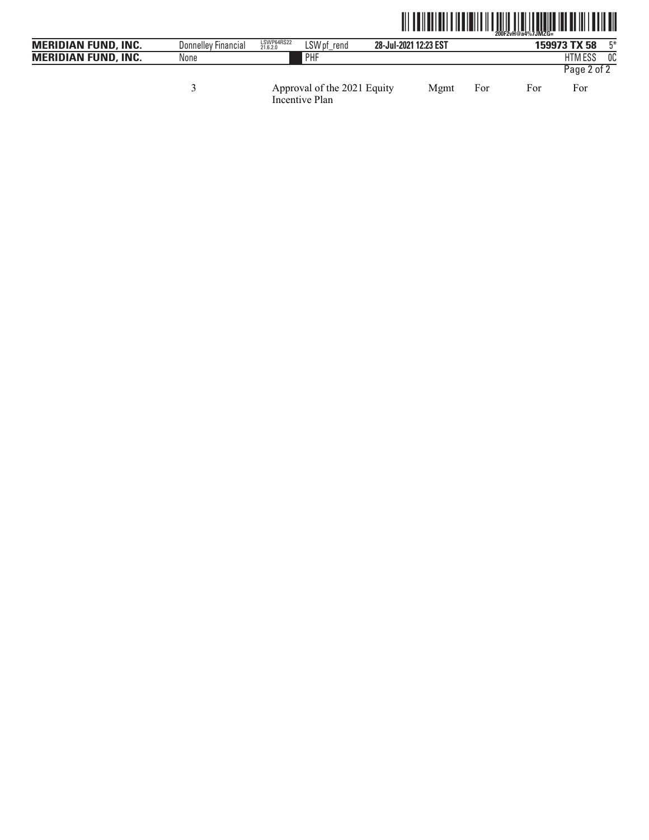

| <b>MERIDIAN FUND, INC.</b> | Donnelley Financial | LSWP64RS22<br>21.6.2.0 | LSW pf rend                                   | 28-Jul-2021 12:23 EST |      |     |     | 159973 TX 58 | 5* |
|----------------------------|---------------------|------------------------|-----------------------------------------------|-----------------------|------|-----|-----|--------------|----|
| <b>MERIDIAN FUND, INC.</b> | None                |                        | PHF                                           |                       |      |     |     | HTM ESS      | 0C |
|                            |                     |                        |                                               |                       |      |     |     | Page 2 of 2  |    |
|                            |                     |                        | Approval of the 2021 Equity<br>Incentive Plan |                       | Mgmt | For | For | For          |    |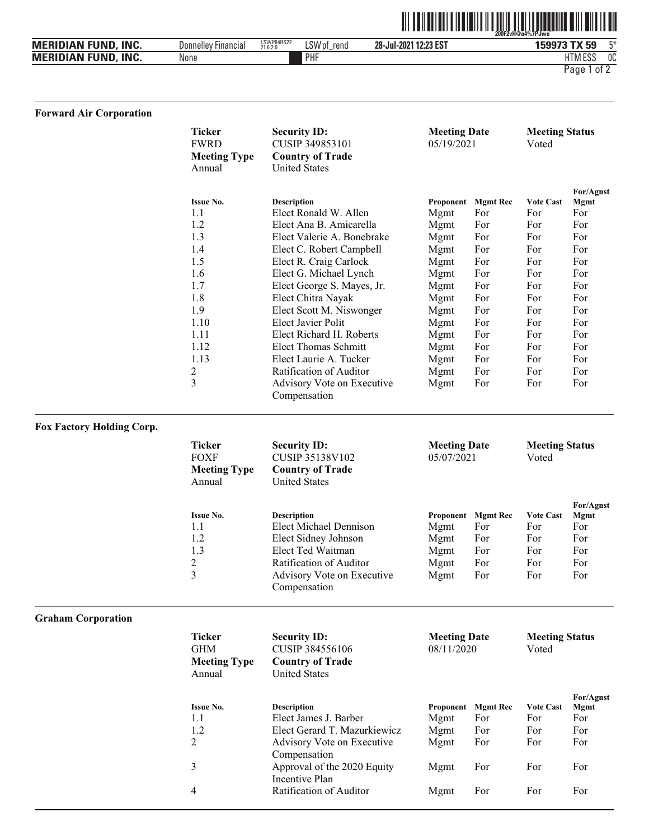|                                 |                     |                        |                |                       | <u> 111   111   111   111   111   111   111   111   111   111   111   111   111   111   111   11</u><br>$200$ F $2v$ H $@$ a $4%$ 7 $P$ Jwo |    |
|---------------------------------|---------------------|------------------------|----------------|-----------------------|---------------------------------------------------------------------------------------------------------------------------------------------|----|
| INC.<br><b>MERIDIAN FUND,</b>   | Donnelley Financial | LSWP64RS22<br>21.6.2.0 | LSW pf<br>rend | 28-Jul-2021 12:23 EST | 159973 TX 59                                                                                                                                | Г* |
| <b>MERIDIAN FUND,</b><br>. INC. | None                |                        | PHF            |                       | HTM ESS                                                                                                                                     | 0C |

#### Page 1 of 2

# **Forward Air Corporation**

|                           | <b>Ticker</b><br><b>FWRD</b><br><b>Meeting Type</b><br>Annual             | <b>Security ID:</b><br>CUSIP 349853101<br><b>Country of Trade</b><br><b>United States</b>                                                                                 | <b>Meeting Date</b><br>05/19/2021    |                                                       | <b>Meeting Status</b><br>Voted                      |                                                             |
|---------------------------|---------------------------------------------------------------------------|---------------------------------------------------------------------------------------------------------------------------------------------------------------------------|--------------------------------------|-------------------------------------------------------|-----------------------------------------------------|-------------------------------------------------------------|
|                           | <b>Issue No.</b>                                                          | <b>Description</b>                                                                                                                                                        |                                      | Proponent Mgmt Rec                                    | <b>Vote Cast</b>                                    | For/Agnst<br><b>Mgmt</b>                                    |
|                           | 1.1                                                                       | Elect Ronald W. Allen                                                                                                                                                     | Mgmt                                 | For                                                   | For                                                 | For                                                         |
|                           | 1.2                                                                       | Elect Ana B. Amicarella                                                                                                                                                   | Mgmt                                 | For                                                   | For                                                 | For                                                         |
|                           | 1.3                                                                       | Elect Valerie A. Bonebrake                                                                                                                                                | Mgmt                                 | For                                                   | For                                                 | For                                                         |
|                           | 1.4                                                                       | Elect C. Robert Campbell                                                                                                                                                  | Mgmt                                 | For                                                   | For                                                 | For                                                         |
|                           | 1.5                                                                       | Elect R. Craig Carlock                                                                                                                                                    | Mgmt                                 | For                                                   | For                                                 | For                                                         |
|                           | 1.6<br>1.7                                                                | Elect G. Michael Lynch                                                                                                                                                    | Mgmt                                 | For<br>For                                            | For<br>For                                          | For<br>For                                                  |
|                           | 1.8                                                                       | Elect George S. Mayes, Jr.                                                                                                                                                | Mgmt                                 | For                                                   | For                                                 | For                                                         |
|                           | 1.9                                                                       | Elect Chitra Nayak<br>Elect Scott M. Niswonger                                                                                                                            | Mgmt<br>Mgmt                         | For                                                   | For                                                 | For                                                         |
|                           | 1.10                                                                      | Elect Javier Polit                                                                                                                                                        | Mgmt                                 | For                                                   | For                                                 | For                                                         |
|                           | 1.11                                                                      | Elect Richard H. Roberts                                                                                                                                                  | Mgmt                                 | For                                                   | For                                                 | For                                                         |
|                           | 1.12                                                                      | <b>Elect Thomas Schmitt</b>                                                                                                                                               | Mgmt                                 | For                                                   | For                                                 | For                                                         |
|                           | 1.13                                                                      | Elect Laurie A. Tucker                                                                                                                                                    | Mgmt                                 | For                                                   | For                                                 | For                                                         |
|                           | $\overline{c}$                                                            | Ratification of Auditor                                                                                                                                                   | Mgmt                                 | For                                                   | For                                                 | For                                                         |
|                           | $\overline{3}$                                                            | Advisory Vote on Executive<br>Compensation                                                                                                                                | Mgmt                                 | For                                                   | For                                                 | For                                                         |
| Fox Factory Holding Corp. |                                                                           |                                                                                                                                                                           |                                      |                                                       |                                                     |                                                             |
|                           | <b>Ticker</b><br><b>FOXF</b><br><b>Meeting Type</b><br>Annual             | <b>Security ID:</b><br>CUSIP 35138V102<br><b>Country of Trade</b><br><b>United States</b>                                                                                 | <b>Meeting Date</b><br>05/07/2021    |                                                       | <b>Meeting Status</b><br>Voted                      |                                                             |
|                           | <b>Issue No.</b><br>1.1<br>1.2<br>1.3<br>$\overline{2}$<br>$\overline{3}$ | <b>Description</b><br><b>Elect Michael Dennison</b><br>Elect Sidney Johnson<br>Elect Ted Waitman<br>Ratification of Auditor<br>Advisory Vote on Executive<br>Compensation | Mgmt<br>Mgmt<br>Mgmt<br>Mgmt<br>Mgmt | Proponent Mgmt Rec<br>For<br>For<br>For<br>For<br>For | <b>Vote Cast</b><br>For<br>For<br>For<br>For<br>For | For/Agnst<br><b>Mgmt</b><br>For<br>For<br>For<br>For<br>For |
| <b>Graham Corporation</b> |                                                                           |                                                                                                                                                                           |                                      |                                                       |                                                     |                                                             |
|                           | <b>Ticker</b><br><b>GHM</b><br><b>Meeting Type</b><br>Annual              | <b>Security ID:</b><br>CUSIP 384556106<br><b>Country of Trade</b><br><b>United States</b>                                                                                 | <b>Meeting Date</b><br>08/11/2020    |                                                       | <b>Meeting Status</b><br>Voted                      |                                                             |
|                           | <b>Issue No.</b>                                                          | Description<br>Elect James J. Barber                                                                                                                                      |                                      | Proponent Mgmt Rec                                    | <b>Vote Cast</b>                                    | For/Agnst<br><b>Mgmt</b>                                    |
|                           | 1.1<br>1.2                                                                | Elect Gerard T. Mazurkiewicz                                                                                                                                              | Mgmt<br>Mgmt                         | For<br>For                                            | For<br>For                                          | For<br>For                                                  |
|                           | $\overline{2}$                                                            | Advisory Vote on Executive<br>Compensation                                                                                                                                | Mgmt                                 | For                                                   | For                                                 | For                                                         |
|                           | 3                                                                         | Approval of the 2020 Equity<br>Incentive Plan                                                                                                                             | Mgmt                                 | For                                                   | For                                                 | For                                                         |
|                           | 4                                                                         | Ratification of Auditor                                                                                                                                                   | Mgmt                                 | For                                                   | For                                                 | For                                                         |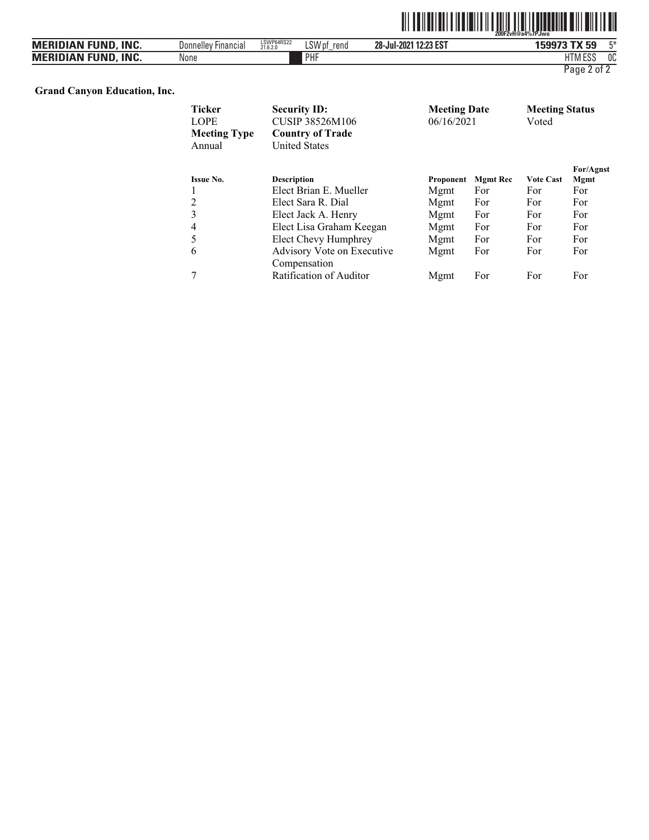

| <b>MERIDIAN FUND,</b><br>INC.             | ≻ınancıal<br>Donnelley | LSWP64RS22<br>21.6.2.0 | LSW p<br>rend | 12:23 EST<br>28-Jul-2021 | 159973 TX 59         | ■ 長米 |
|-------------------------------------------|------------------------|------------------------|---------------|--------------------------|----------------------|------|
| <b>PIDIAN FUND.</b><br>INC.<br><b>MER</b> | None                   |                        | PHF           |                          | 1.500<br>H I IVI EƏƏ | 0C   |
|                                           |                        |                        |               |                          | Page 2<br>ot 2       |      |

# **Grand Canyon Education, Inc.**

| <b>Ticker</b><br><b>LOPE</b><br><b>Meeting Type</b><br>Annual | <b>Security ID:</b><br>CUSIP 38526M106<br><b>Country of Trade</b><br><b>United States</b> | <b>Meeting Date</b><br>06/16/2021 |                 | <b>Meeting Status</b><br>Voted |                   |
|---------------------------------------------------------------|-------------------------------------------------------------------------------------------|-----------------------------------|-----------------|--------------------------------|-------------------|
| <b>Issue No.</b>                                              | <b>Description</b>                                                                        | Proponent                         | <b>Mgmt Rec</b> | <b>Vote Cast</b>               | For/Agnst<br>Mgmt |
| 1                                                             | Elect Brian E. Mueller                                                                    | Mgmt                              | For             | For                            | For               |
| 2                                                             | Elect Sara R. Dial                                                                        | Mgmt                              | For             | For                            | For               |
| 3                                                             | Elect Jack A. Henry                                                                       | Mgmt                              | For             | For                            | For               |
| $\overline{4}$                                                | Elect Lisa Graham Keegan                                                                  | Mgmt                              | For             | For                            | For               |
| 5                                                             | Elect Chevy Humphrey                                                                      | Mgmt                              | For             | For                            | For               |
| 6                                                             | Advisory Vote on Executive<br>Compensation                                                | Mgmt                              | For             | For                            | For               |
| 7                                                             | Ratification of Auditor                                                                   | Mgmt                              | For             | For                            | For               |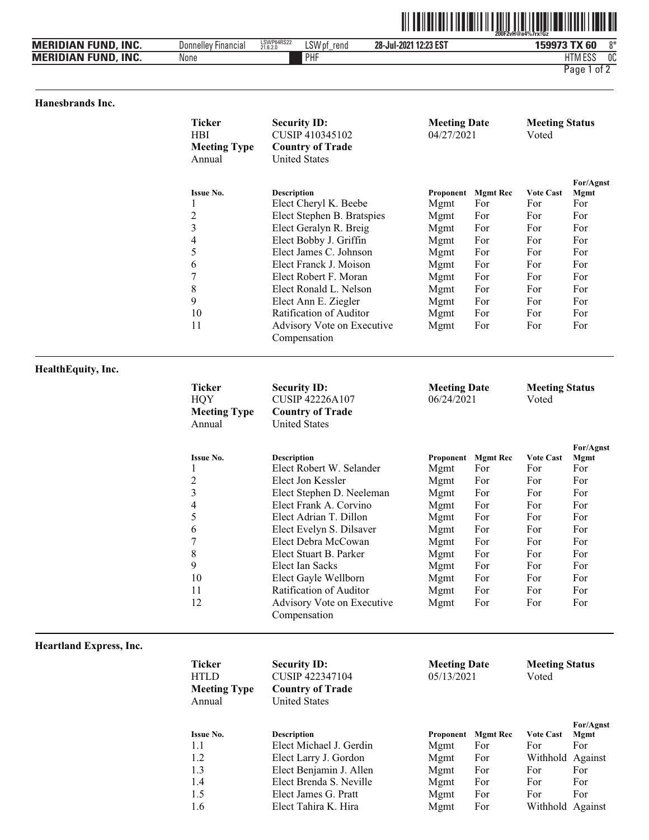| <b>MERIDIAN FUND, INC.</b>     | <b>Donnelley Financial</b>                                                              | LSWP64RS22<br>21.6.2.0<br>LSW pf_rend                                                                                                                                                                                                                                                                                                          | 28-Jul-2021 12:23 EST                                                                                     |                                                                                                     | 159973 TX 60                                                                                         | $8*$                                                                                                         |
|--------------------------------|-----------------------------------------------------------------------------------------|------------------------------------------------------------------------------------------------------------------------------------------------------------------------------------------------------------------------------------------------------------------------------------------------------------------------------------------------|-----------------------------------------------------------------------------------------------------------|-----------------------------------------------------------------------------------------------------|------------------------------------------------------------------------------------------------------|--------------------------------------------------------------------------------------------------------------|
| <b>MERIDIAN FUND, INC.</b>     | None                                                                                    | PHF                                                                                                                                                                                                                                                                                                                                            |                                                                                                           |                                                                                                     |                                                                                                      | <b>HTMESS</b><br>0 <sup>C</sup><br>Page 1 of 2                                                               |
| Hanesbrands Inc.               |                                                                                         |                                                                                                                                                                                                                                                                                                                                                |                                                                                                           |                                                                                                     |                                                                                                      |                                                                                                              |
|                                | <b>Ticker</b><br><b>HBI</b><br><b>Meeting Type</b><br>Annual                            | <b>Security ID:</b><br>CUSIP 410345102<br><b>Country of Trade</b><br><b>United States</b>                                                                                                                                                                                                                                                      | <b>Meeting Date</b><br>04/27/2021                                                                         |                                                                                                     | <b>Meeting Status</b><br>Voted                                                                       |                                                                                                              |
|                                | <b>Issue No.</b><br>$\mathbf{1}$<br>$\overline{c}$<br>3<br>4<br>5<br>6<br>7             | <b>Description</b><br>Elect Cheryl K. Beebe<br>Elect Stephen B. Bratspies<br>Elect Geralyn R. Breig<br>Elect Bobby J. Griffin<br>Elect James C. Johnson<br>Elect Franck J. Moison<br>Elect Robert F. Moran                                                                                                                                     | Proponent<br>Mgmt<br>Mgmt<br>Mgmt<br>Mgmt<br>Mgmt<br>Mgmt<br>Mgmt                                         | <b>Mgmt Rec</b><br>For<br>For<br>For<br>For<br>For<br>For<br>For                                    | <b>Vote Cast</b><br>For<br>For<br>For<br>For<br>For<br>For<br>For                                    | For/Agnst<br><b>Mgmt</b><br>For<br>For<br>For<br>For<br>For<br>For<br>For                                    |
|                                | 8<br>9<br>10<br>11                                                                      | Elect Ronald L. Nelson<br>Elect Ann E. Ziegler<br>Ratification of Auditor<br>Advisory Vote on Executive<br>Compensation                                                                                                                                                                                                                        | Mgmt<br>Mgmt<br>Mgmt<br>Mgmt                                                                              | For<br>For<br>For<br>For                                                                            | For<br>For<br>For<br>For                                                                             | For<br>For<br>For<br>For                                                                                     |
| HealthEquity, Inc.             |                                                                                         |                                                                                                                                                                                                                                                                                                                                                |                                                                                                           |                                                                                                     |                                                                                                      |                                                                                                              |
|                                | <b>Ticker</b><br><b>HQY</b><br><b>Meeting Type</b><br>Annual                            | <b>Security ID:</b><br><b>CUSIP 42226A107</b><br><b>Country of Trade</b><br><b>United States</b>                                                                                                                                                                                                                                               | <b>Meeting Date</b><br>06/24/2021                                                                         |                                                                                                     | <b>Meeting Status</b><br>Voted                                                                       |                                                                                                              |
|                                | <b>Issue No.</b><br>$\overline{c}$<br>3<br>4<br>5<br>6<br>7<br>8<br>9<br>10<br>11<br>12 | Description<br>Elect Robert W. Selander<br>Elect Jon Kessler<br>Elect Stephen D. Neeleman<br>Elect Frank A. Corvino<br>Elect Adrian T. Dillon<br>Elect Evelyn S. Dilsaver<br>Elect Debra McCowan<br>Elect Stuart B. Parker<br>Elect Ian Sacks<br>Elect Gayle Wellborn<br>Ratification of Auditor<br>Advisory Vote on Executive<br>Compensation | Proponent<br>Mgmt<br>Mgmt<br>Mgmt<br>Mgmt<br>Mgmt<br>Mgmt<br>Mgmt<br>Mgmt<br>Mgmt<br>Mgmt<br>Mgmt<br>Mgmt | <b>Mgmt Rec</b><br>For<br>For<br>For<br>For<br>For<br>For<br>For<br>For<br>For<br>For<br>For<br>For | <b>Vote Cast</b><br>For<br>For<br>For<br>For<br>For<br>For<br>For<br>For<br>For<br>For<br>For<br>For | For/Agnst<br><b>Mgmt</b><br>For<br>For<br>For<br>For<br>For<br>For<br>For<br>For<br>For<br>For<br>For<br>For |
| <b>Heartland Express, Inc.</b> |                                                                                         |                                                                                                                                                                                                                                                                                                                                                |                                                                                                           |                                                                                                     |                                                                                                      |                                                                                                              |
|                                | <b>Ticker</b><br><b>HTLD</b><br><b>Meeting Type</b><br>Annual                           | <b>Security ID:</b><br>CUSIP 422347104<br><b>Country of Trade</b><br><b>United States</b>                                                                                                                                                                                                                                                      | <b>Meeting Date</b><br>05/13/2021                                                                         |                                                                                                     | <b>Meeting Status</b><br>Voted                                                                       |                                                                                                              |
|                                | <b>Issue No.</b><br>1.1<br>1.2<br>1.3<br>1.4<br>1.5<br>1.6                              | <b>Description</b><br>Elect Michael J. Gerdin<br>Elect Larry J. Gordon<br>Elect Benjamin J. Allen<br>Elect Brenda S. Neville<br>Elect James G. Pratt<br>Elect Tahira K. Hira                                                                                                                                                                   | Proponent<br>Mgmt<br>Mgmt<br>Mgmt<br>Mgmt<br>Mgmt<br>Mgmt                                                 | <b>Mgmt Rec</b><br>For<br>For<br>For<br>For<br>For<br>For                                           | <b>Vote Cast</b><br>For<br>Withhold Against<br>For<br>For<br>For                                     | For/Agnst<br><b>Mgmt</b><br>For<br>For<br>For<br>For<br>Withhold Against                                     |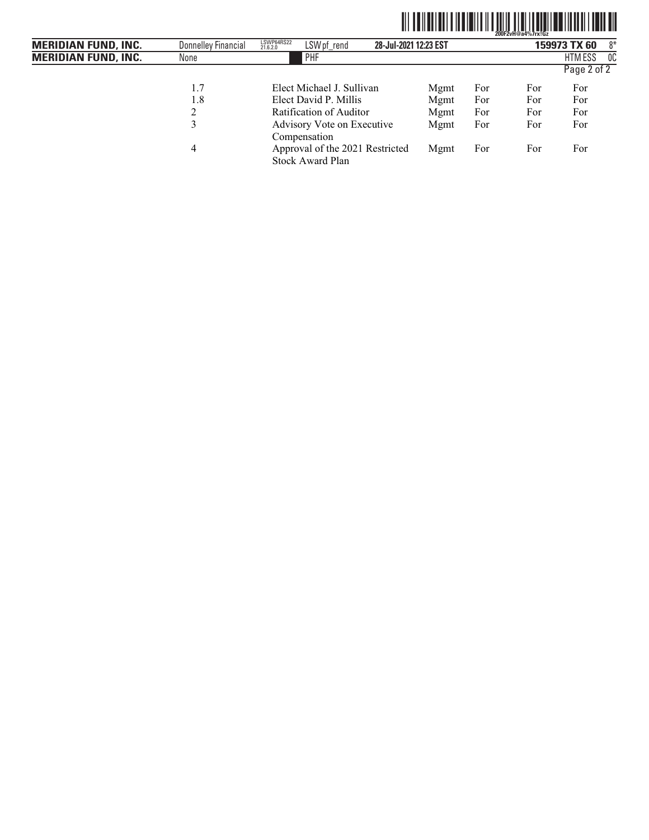

| <b>MERIDIAN FUND, INC.</b> | <b>Donnelley Financial</b> | LSWP64RS22<br>21.6.2.0 | LSW pf rend                                                | 28-Jul-2021 12:23 EST |     |     | 159973 TX 60 | $8*$ |
|----------------------------|----------------------------|------------------------|------------------------------------------------------------|-----------------------|-----|-----|--------------|------|
| <b>MERIDIAN FUND, INC.</b> | None                       |                        | PHF                                                        |                       |     |     | HTM ESS      | 0C   |
|                            |                            |                        |                                                            |                       |     |     | Page 2 of 2  |      |
|                            | 1.7                        |                        | Elect Michael J. Sullivan                                  | Mgmt                  | For | For | For          |      |
|                            | 1.8                        |                        | Elect David P. Millis                                      | Mgmt                  | For | For | For          |      |
|                            |                            |                        | Ratification of Auditor                                    | Mgmt                  | For | For | For          |      |
|                            |                            |                        | Advisory Vote on Executive<br>Compensation                 | Mgmt                  | For | For | For          |      |
|                            | 4                          |                        | Approval of the 2021 Restricted<br><b>Stock Award Plan</b> | Mgmt                  | For | For | For          |      |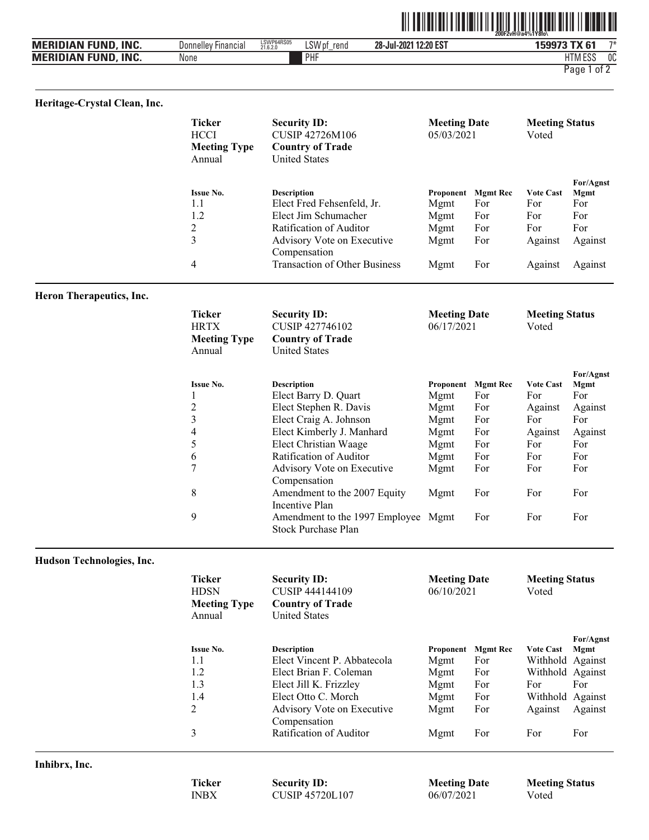| <b>MERIDIAN FUND, INC.</b>   | <b>Donnelley Financial</b>                                    | LSWP64RS05<br>21.6.2.0 | LSW pf_rend                                                                                      | 28-Jul-2021 12:20 EST |                                   |                 | 159973 TX 61                   | $7^*$                                    |
|------------------------------|---------------------------------------------------------------|------------------------|--------------------------------------------------------------------------------------------------|-----------------------|-----------------------------------|-----------------|--------------------------------|------------------------------------------|
| <b>MERIDIAN FUND, INC.</b>   | None                                                          |                        | PHF                                                                                              |                       |                                   |                 |                                | HTM ESS<br>0 <sup>C</sup><br>Page 1 of 2 |
|                              |                                                               |                        |                                                                                                  |                       |                                   |                 |                                |                                          |
| Heritage-Crystal Clean, Inc. |                                                               |                        |                                                                                                  |                       |                                   |                 |                                |                                          |
|                              | <b>Ticker</b><br><b>HCCI</b><br><b>Meeting Type</b><br>Annual |                        | <b>Security ID:</b><br><b>CUSIP 42726M106</b><br><b>Country of Trade</b><br><b>United States</b> |                       | <b>Meeting Date</b><br>05/03/2021 |                 | <b>Meeting Status</b><br>Voted |                                          |
|                              | <b>Issue No.</b>                                              | <b>Description</b>     |                                                                                                  |                       | Proponent                         | <b>Mgmt Rec</b> | <b>Vote Cast</b>               | For/Agnst<br><b>Mgmt</b>                 |
|                              | 1.1                                                           |                        | Elect Fred Fehsenfeld, Jr.                                                                       |                       | Mgmt                              | For             | For                            | For                                      |
|                              | 1.2                                                           |                        | Elect Jim Schumacher                                                                             |                       | Mgmt                              | For             | For                            | For                                      |
|                              | $\boldsymbol{2}$                                              |                        | Ratification of Auditor                                                                          |                       | Mgmt                              | For             | For                            | For                                      |
|                              | $\overline{3}$                                                |                        | Advisory Vote on Executive<br>Compensation                                                       |                       | Mgmt                              | For             | Against                        | Against                                  |
|                              | 4                                                             |                        | <b>Transaction of Other Business</b>                                                             |                       | Mgmt                              | For             | Against                        | Against                                  |
| Heron Therapeutics, Inc.     |                                                               |                        |                                                                                                  |                       |                                   |                 |                                |                                          |
|                              | <b>Ticker</b><br><b>HRTX</b><br><b>Meeting Type</b><br>Annual |                        | <b>Security ID:</b><br>CUSIP 427746102<br><b>Country of Trade</b><br><b>United States</b>        |                       | <b>Meeting Date</b><br>06/17/2021 |                 | <b>Meeting Status</b><br>Voted |                                          |
|                              |                                                               |                        |                                                                                                  |                       |                                   |                 |                                | $\mathbf{r}$ $\mathbf{r}$ $\mathbf{r}$   |

| <b>Issue No.</b> | <b>Description</b>                                                | Proponent | <b>Mgmt Rec</b> | <b>Vote Cast</b> | For/Agnst<br>Mgmt |
|------------------|-------------------------------------------------------------------|-----------|-----------------|------------------|-------------------|
|                  | Elect Barry D. Quart                                              | Mgmt      | For             | For              | For               |
| 2                | Elect Stephen R. Davis                                            | Mgmt      | For             | Against          | Against           |
| 3                | Elect Craig A. Johnson                                            | Mgmt      | For             | For              | For               |
| 4                | Elect Kimberly J. Manhard                                         | Mgmt      | For             | Against          | Against           |
| 5                | Elect Christian Waage                                             | Mgmt      | For             | For              | For               |
| 6                | Ratification of Auditor                                           | Mgmt      | For             | For              | For               |
| 7                | Advisory Vote on Executive<br>Compensation                        | Mgmt      | For             | For              | For               |
| 8                | Amendment to the 2007 Equity<br>Incentive Plan                    | Mgmt      | For             | For              | For               |
| 9                | Amendment to the 1997 Employee Mgmt<br><b>Stock Purchase Plan</b> |           | For             | For              | For               |

# **Hudson Technologies, Inc.**

| <b>Ticker</b><br><b>HDSN</b><br><b>Meeting Type</b><br>Annual | <b>Security ID:</b><br>CUSIP 444144109<br><b>Country of Trade</b><br><b>United States</b> | <b>Meeting Date</b><br>06/10/2021 |                 | <b>Meeting Status</b><br>Voted |                   |
|---------------------------------------------------------------|-------------------------------------------------------------------------------------------|-----------------------------------|-----------------|--------------------------------|-------------------|
| <b>Issue No.</b>                                              | <b>Description</b>                                                                        | Proponent                         | <b>Mgmt Rec</b> | <b>Vote Cast</b>               | For/Agnst<br>Mgmt |
| 1.1                                                           | Elect Vincent P. Abbatecola                                                               | Mgmt                              | For             | Withhold Against               |                   |
| 1.2                                                           | Elect Brian F. Coleman                                                                    | Mgmt                              | For             | Withhold Against               |                   |
| 1.3                                                           | Elect Jill K. Frizzley                                                                    | Mgmt                              | For             | <b>For</b>                     | For               |
| 1.4                                                           | Elect Otto C. Morch                                                                       | Mgmt                              | For             | Withhold Against               |                   |
| 2                                                             | Advisory Vote on Executive                                                                | Mgmt                              | For             | Against                        | Against           |
|                                                               | Compensation                                                                              |                                   |                 |                                |                   |
| 3                                                             | Ratification of Auditor                                                                   | Mgmt                              | For             | For                            | For               |
|                                                               |                                                                                           |                                   |                 |                                |                   |

**Inhibrx, Inc.**

| <b>Ticker</b> | <b>Security ID:</b> | <b>Meeting Date</b> |
|---------------|---------------------|---------------------|
| <b>INBX</b>   | CUSIP 45720L107     | 06/07/2021          |

**Meeting Status**<br>Voted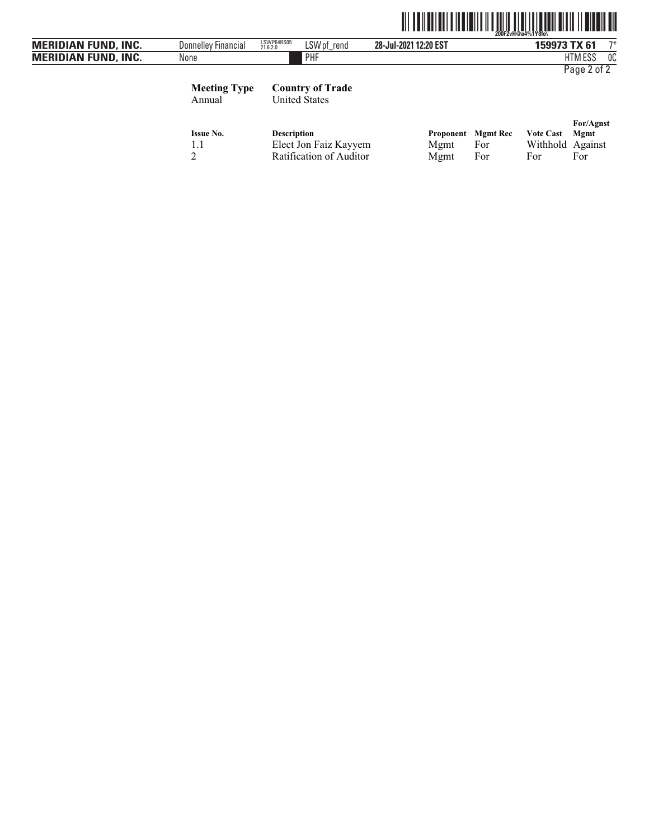

|                            |                               |                        |                                                  |                           |                               | ________________                            |                          |       |
|----------------------------|-------------------------------|------------------------|--------------------------------------------------|---------------------------|-------------------------------|---------------------------------------------|--------------------------|-------|
| <b>MERIDIAN FUND, INC.</b> | <b>Donnelley Financial</b>    | LSWP64RS05<br>21.6.2.0 | LSW pf_rend                                      | 28-Jul-2021 12:20 EST     |                               | 159973 TX 61                                |                          | $7^*$ |
| <b>MERIDIAN FUND, INC.</b> | None                          |                        | PHF                                              |                           |                               |                                             | HTM ESS                  | 0C    |
|                            |                               |                        |                                                  |                           |                               |                                             | Page $2$ of $2$          |       |
|                            | <b>Meeting Type</b><br>Annual |                        | <b>Country of Trade</b><br><b>United States</b>  |                           |                               |                                             |                          |       |
|                            | <b>Issue No.</b><br>1.1       | <b>Description</b>     | Elect Jon Faiz Kayyem<br>Ratification of Auditor | Proponent<br>Mgmt<br>Mgmt | <b>Mgmt Rec</b><br>For<br>For | <b>Vote Cast</b><br>Withhold Against<br>For | For/Agnst<br>Mgmt<br>For |       |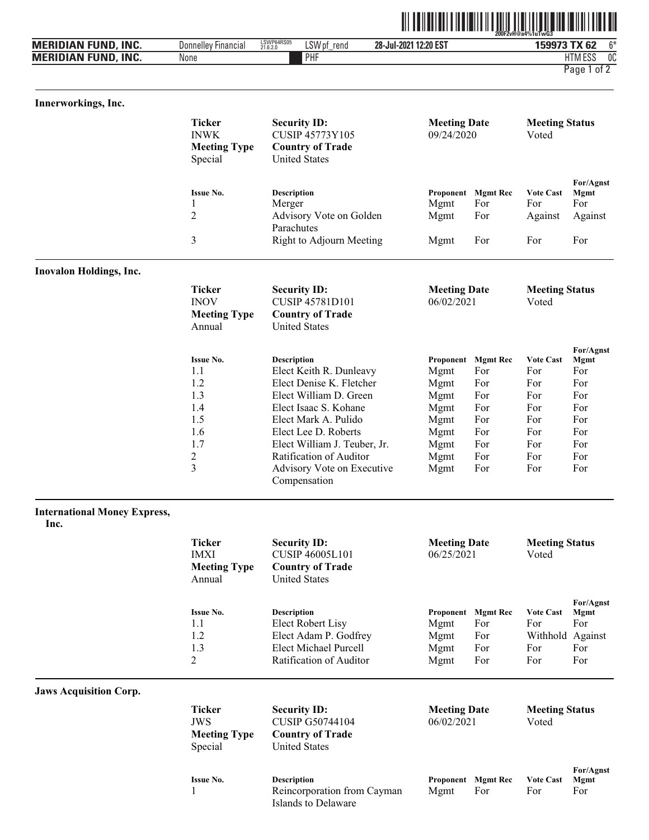| <b>MERIDIAN FUND, INC.</b>                  | <b>Donnelley Financial</b>                                                               | LSWP64RS05<br>21.6.2.0<br>LSW pf_rend<br>28-Jul-2021 12:20 EST                                                                                                                                                                                                                        |                                                                                   |                                                                                | 159973 TX 62                                                                    | $6*$                                                                                    |
|---------------------------------------------|------------------------------------------------------------------------------------------|---------------------------------------------------------------------------------------------------------------------------------------------------------------------------------------------------------------------------------------------------------------------------------------|-----------------------------------------------------------------------------------|--------------------------------------------------------------------------------|---------------------------------------------------------------------------------|-----------------------------------------------------------------------------------------|
| <b>MERIDIAN FUND, INC.</b>                  | None                                                                                     | PHF                                                                                                                                                                                                                                                                                   |                                                                                   |                                                                                |                                                                                 | <b>HTMESS</b><br>0 <sup>C</sup><br>Page 1 of 2                                          |
| Innerworkings, Inc.                         |                                                                                          |                                                                                                                                                                                                                                                                                       |                                                                                   |                                                                                |                                                                                 |                                                                                         |
|                                             | <b>Ticker</b><br><b>INWK</b><br><b>Meeting Type</b><br>Special                           | <b>Security ID:</b><br><b>CUSIP 45773Y105</b><br><b>Country of Trade</b><br><b>United States</b>                                                                                                                                                                                      | <b>Meeting Date</b><br>09/24/2020                                                 |                                                                                | <b>Meeting Status</b><br>Voted                                                  |                                                                                         |
|                                             | <b>Issue No.</b><br>1<br>2                                                               | Description<br>Merger<br>Advisory Vote on Golden<br>Parachutes                                                                                                                                                                                                                        | Proponent<br>Mgmt<br>Mgmt                                                         | <b>Mgmt Rec</b><br>For<br>For                                                  | <b>Vote Cast</b><br>For<br>Against                                              | For/Agnst<br><b>Mgmt</b><br>For<br>Against                                              |
|                                             | 3                                                                                        | Right to Adjourn Meeting                                                                                                                                                                                                                                                              | Mgmt                                                                              | For                                                                            | For                                                                             | For                                                                                     |
| <b>Inovalon Holdings, Inc.</b>              |                                                                                          |                                                                                                                                                                                                                                                                                       |                                                                                   |                                                                                |                                                                                 |                                                                                         |
|                                             | <b>Ticker</b><br><b>INOV</b><br><b>Meeting Type</b><br>Annual                            | <b>Security ID:</b><br><b>CUSIP 45781D101</b><br><b>Country of Trade</b><br><b>United States</b>                                                                                                                                                                                      | <b>Meeting Date</b><br>06/02/2021                                                 |                                                                                | <b>Meeting Status</b><br>Voted                                                  |                                                                                         |
|                                             | <b>Issue No.</b><br>1.1<br>1.2<br>1.3<br>1.4<br>1.5<br>1.6<br>1.7<br>$\overline{c}$<br>3 | <b>Description</b><br>Elect Keith R. Dunleavy<br>Elect Denise K. Fletcher<br>Elect William D. Green<br>Elect Isaac S. Kohane<br>Elect Mark A. Pulido<br>Elect Lee D. Roberts<br>Elect William J. Teuber, Jr.<br>Ratification of Auditor<br>Advisory Vote on Executive<br>Compensation | Proponent<br>Mgmt<br>Mgmt<br>Mgmt<br>Mgmt<br>Mgmt<br>Mgmt<br>Mgmt<br>Mgmt<br>Mgmt | <b>Mgmt Rec</b><br>For<br>For<br>For<br>For<br>For<br>For<br>For<br>For<br>For | <b>Vote Cast</b><br>For<br>For<br>For<br>For<br>For<br>For<br>For<br>For<br>For | For/Agnst<br><b>Mgmt</b><br>For<br>For<br>For<br>For<br>For<br>For<br>For<br>For<br>For |
| <b>International Money Express,</b><br>Inc. |                                                                                          |                                                                                                                                                                                                                                                                                       |                                                                                   |                                                                                |                                                                                 |                                                                                         |
|                                             | <b>Ticker</b><br><b>IMXI</b><br><b>Meeting Type</b><br>Annual                            | <b>Security ID:</b><br>CUSIP 46005L101<br><b>Country of Trade</b><br><b>United States</b>                                                                                                                                                                                             | <b>Meeting Date</b><br>06/25/2021                                                 |                                                                                | <b>Meeting Status</b><br>Voted                                                  |                                                                                         |
|                                             | <b>Issue No.</b><br>1.1<br>1.2<br>1.3<br>2                                               | Description<br><b>Elect Robert Lisy</b><br>Elect Adam P. Godfrey<br><b>Elect Michael Purcell</b><br>Ratification of Auditor                                                                                                                                                           | Proponent<br>Mgmt<br>Mgmt<br>Mgmt<br>Mgmt                                         | <b>Mgmt Rec</b><br>For<br>For<br>For<br>For                                    | <b>Vote Cast</b><br>For<br>Withhold Against<br>For<br>For                       | For/Agnst<br><b>Mgmt</b><br>For<br>For<br>For                                           |
| <b>Jaws Acquisition Corp.</b>               |                                                                                          |                                                                                                                                                                                                                                                                                       |                                                                                   |                                                                                |                                                                                 |                                                                                         |
|                                             | <b>Ticker</b><br><b>JWS</b><br><b>Meeting Type</b><br>Special                            | <b>Security ID:</b><br><b>CUSIP G50744104</b><br><b>Country of Trade</b><br><b>United States</b>                                                                                                                                                                                      | <b>Meeting Date</b><br>06/02/2021                                                 |                                                                                | <b>Meeting Status</b><br>Voted                                                  |                                                                                         |
|                                             | <b>Issue No.</b><br>1                                                                    | <b>Description</b><br>Reincorporation from Cayman<br><b>Islands to Delaware</b>                                                                                                                                                                                                       | Mgmt                                                                              | Proponent Mgmt Rec<br>For                                                      | <b>Vote Cast</b><br>For                                                         | For/Agnst<br><b>Mgmt</b><br>For                                                         |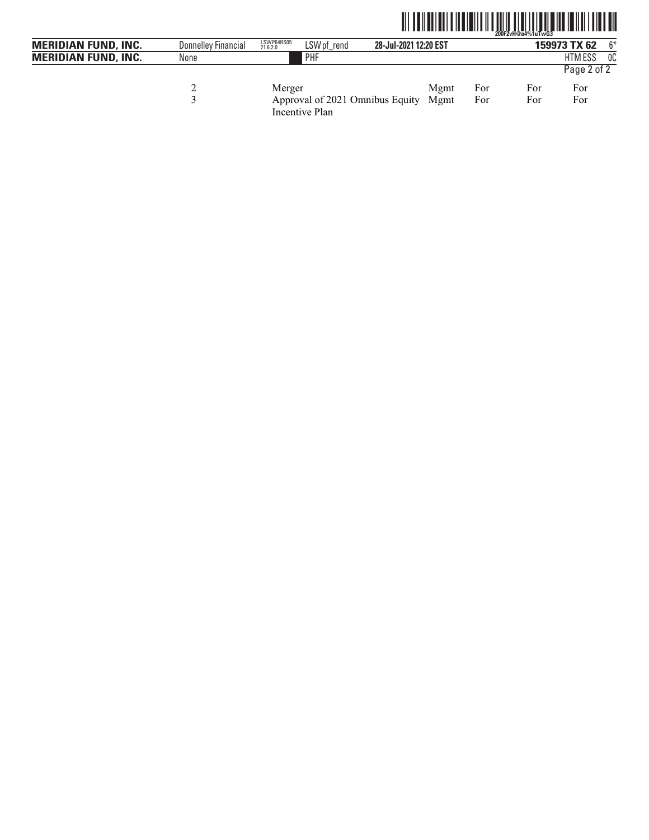

| <b>MERIDIAN FUND, INC.</b> | <b>Donnelley Financial</b> | LSWP64RS05<br>21.6.2.0 | LSW pf rend                     | 28-Jul-2021 12:20 EST |      |     |     | 159973 TX 62   | . 6* |
|----------------------------|----------------------------|------------------------|---------------------------------|-----------------------|------|-----|-----|----------------|------|
| <b>MERIDIAN FUND, INC.</b> | None                       |                        | PHF                             |                       |      |     |     | <b>HTM ESS</b> | OC   |
|                            |                            |                        |                                 |                       |      |     |     | Page 2 of 2    |      |
|                            |                            | Merger                 |                                 |                       | Mgmt | For | For | For            |      |
|                            |                            |                        | Approval of 2021 Omnibus Equity |                       | Mgmt | For | For | For            |      |
|                            |                            |                        | Incentive Plan                  |                       |      |     |     |                |      |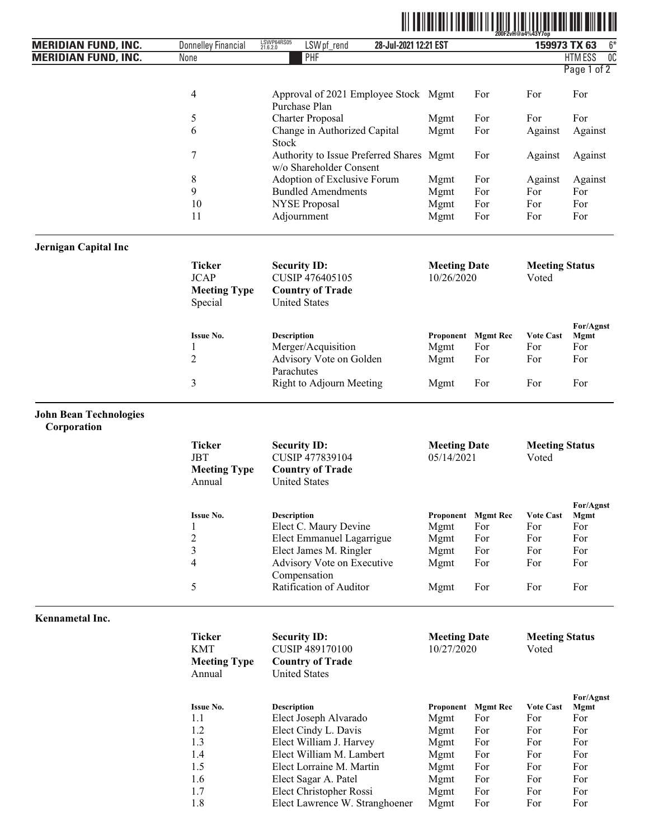

|                               |                            |                                                                |                     |                    | 200F2vH@a4%43Y7op     |                                 |
|-------------------------------|----------------------------|----------------------------------------------------------------|---------------------|--------------------|-----------------------|---------------------------------|
| <b>MERIDIAN FUND, INC.</b>    | <b>Donnelley Financial</b> | LSWP64RS05<br>21.6.2.0<br>LSW pf_rend<br>28-Jul-2021 12:21 EST |                     |                    | 159973 TX 63          | $6*$                            |
| <b>MERIDIAN FUND, INC.</b>    | None                       | PHF                                                            |                     |                    |                       | <b>HTMESS</b><br>0 <sup>C</sup> |
|                               |                            |                                                                |                     |                    |                       | Page 1 of 2                     |
|                               |                            |                                                                |                     |                    |                       |                                 |
|                               | 4                          | Approval of 2021 Employee Stock Mgmt                           |                     | For                | For                   | For                             |
|                               |                            | Purchase Plan                                                  |                     |                    |                       |                                 |
|                               | 5                          | <b>Charter Proposal</b>                                        | Mgmt                | For                | For                   | For                             |
|                               | 6                          | Change in Authorized Capital                                   | Mgmt                | For                | Against               | Against                         |
|                               |                            | <b>Stock</b>                                                   |                     |                    |                       |                                 |
|                               | 7                          | Authority to Issue Preferred Shares Mgmt                       |                     | For                | Against               | Against                         |
|                               |                            | w/o Shareholder Consent                                        |                     |                    |                       |                                 |
|                               | 8                          | Adoption of Exclusive Forum                                    | Mgmt                | For                | Against               | Against                         |
|                               | 9                          | <b>Bundled Amendments</b>                                      | Mgmt                | For                | For                   | For                             |
|                               | 10                         | <b>NYSE Proposal</b>                                           | Mgmt                | For                | For                   | For                             |
|                               | 11                         | Adjournment                                                    | Mgmt                | For                | For                   | For                             |
|                               |                            |                                                                |                     |                    |                       |                                 |
|                               |                            |                                                                |                     |                    |                       |                                 |
| Jernigan Capital Inc          |                            |                                                                |                     |                    |                       |                                 |
|                               | <b>Ticker</b>              | <b>Security ID:</b>                                            | <b>Meeting Date</b> |                    | <b>Meeting Status</b> |                                 |
|                               | <b>JCAP</b>                | CUSIP 476405105                                                | 10/26/2020          |                    | Voted                 |                                 |
|                               |                            | <b>Country of Trade</b>                                        |                     |                    |                       |                                 |
|                               | <b>Meeting Type</b>        |                                                                |                     |                    |                       |                                 |
|                               | Special                    | <b>United States</b>                                           |                     |                    |                       |                                 |
|                               |                            |                                                                |                     |                    |                       |                                 |
|                               | <b>Issue No.</b>           | <b>Description</b>                                             | Proponent           | <b>Mgmt Rec</b>    | <b>Vote Cast</b>      | For/Agnst                       |
|                               | 1                          | Merger/Acquisition                                             | Mgmt                | For                | For                   | <b>Mgmt</b><br>For              |
|                               | 2                          |                                                                |                     | For                | For                   | For                             |
|                               |                            | Advisory Vote on Golden                                        | Mgmt                |                    |                       |                                 |
|                               |                            | Parachutes                                                     |                     |                    |                       |                                 |
|                               | 3                          | Right to Adjourn Meeting                                       | Mgmt                | For                | For                   | For                             |
|                               |                            |                                                                |                     |                    |                       |                                 |
| <b>John Bean Technologies</b> |                            |                                                                |                     |                    |                       |                                 |
| Corporation                   |                            |                                                                |                     |                    |                       |                                 |
|                               | <b>Ticker</b>              | <b>Security ID:</b>                                            | <b>Meeting Date</b> |                    | <b>Meeting Status</b> |                                 |
|                               | <b>JBT</b>                 | CUSIP 477839104                                                | 05/14/2021          |                    | Voted                 |                                 |
|                               |                            |                                                                |                     |                    |                       |                                 |
|                               | <b>Meeting Type</b>        | <b>Country of Trade</b><br><b>United States</b>                |                     |                    |                       |                                 |
|                               | Annual                     |                                                                |                     |                    |                       |                                 |
|                               |                            |                                                                |                     |                    |                       |                                 |
|                               | <b>Issue No.</b>           | <b>Description</b>                                             |                     | Proponent Mgmt Rec | <b>Vote Cast</b>      | For/Agnst<br>Mgmt               |
|                               | 1                          | Elect C. Maury Devine                                          | Mgmt                | For                | For                   | For                             |
|                               | $\overline{c}$             | Elect Emmanuel Lagarrigue                                      | Mgmt                | For                | For                   | For                             |
|                               | 3                          | Elect James M. Ringler                                         | Mgmt                | For                | For                   | For                             |
|                               | 4                          | Advisory Vote on Executive                                     | Mgmt                | For                | For                   | For                             |
|                               |                            |                                                                |                     |                    |                       |                                 |
|                               |                            | Compensation<br>Ratification of Auditor                        |                     |                    |                       | For                             |
|                               | 5                          |                                                                | Mgmt                | For                | For                   |                                 |
|                               |                            |                                                                |                     |                    |                       |                                 |
| Kennametal Inc.               |                            |                                                                |                     |                    |                       |                                 |
|                               | <b>Ticker</b>              | <b>Security ID:</b>                                            | <b>Meeting Date</b> |                    |                       |                                 |
|                               |                            |                                                                | 10/27/2020          |                    | <b>Meeting Status</b> |                                 |
|                               | <b>KMT</b>                 | CUSIP 489170100                                                |                     |                    | Voted                 |                                 |
|                               | <b>Meeting Type</b>        | <b>Country of Trade</b>                                        |                     |                    |                       |                                 |
|                               | Annual                     | <b>United States</b>                                           |                     |                    |                       |                                 |
|                               |                            |                                                                |                     |                    |                       |                                 |
|                               | <b>Issue No.</b>           | Description                                                    |                     | Proponent Mgmt Rec | <b>Vote Cast</b>      | For/Agnst<br><b>Mgmt</b>        |
|                               | 1.1                        | Elect Joseph Alvarado                                          | Mgmt                | For                | For                   | For                             |
|                               |                            |                                                                |                     |                    |                       |                                 |
|                               | 1.2                        | Elect Cindy L. Davis                                           | Mgmt                | For                | For                   | For                             |
|                               | 1.3                        | Elect William J. Harvey                                        | Mgmt                | For                | For                   | For                             |
|                               | 1.4                        | Elect William M. Lambert                                       | Mgmt                | For                | For                   | For                             |
|                               | 1.5                        | Elect Lorraine M. Martin                                       | Mgmt                | For                | For                   | For                             |
|                               | 1.6                        | Elect Sagar A. Patel                                           | Mgmt                | For                | For                   | For                             |
|                               | 1.7                        | Elect Christopher Rossi                                        | Mgmt                | For                | For                   | For                             |
|                               | 1.8                        | Elect Lawrence W. Stranghoener                                 | Mgmt                | For                | For                   | For                             |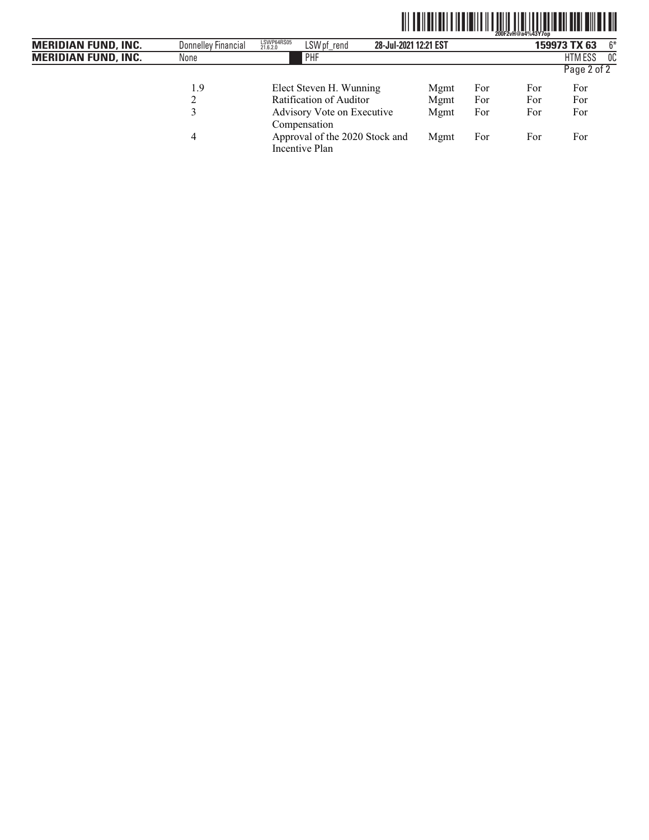

|                            |                     |                        |                                |                       |     | --------------------- |                      |
|----------------------------|---------------------|------------------------|--------------------------------|-----------------------|-----|-----------------------|----------------------|
| <b>MERIDIAN FUND, INC.</b> | Donnelley Financial | LSWP64RS05<br>21.6.2.0 | LSW pf rend                    | 28-Jul-2021 12:21 EST |     |                       | 159973 TX 63<br>$6*$ |
| <b>MERIDIAN FUND, INC.</b> | None                |                        | PHF                            |                       |     |                       | 0C<br><b>HTM ESS</b> |
|                            |                     |                        |                                |                       |     |                       | Page 2 of 2          |
|                            | 1.9                 |                        | Elect Steven H. Wunning        | Mgmt                  | For | For                   | For                  |
|                            |                     |                        | Ratification of Auditor        | Mgmt                  | For | For                   | For                  |
|                            |                     |                        | Advisory Vote on Executive     | Mgmt                  | For | For                   | For                  |
|                            |                     |                        | Compensation                   |                       |     |                       |                      |
|                            | 4                   |                        | Approval of the 2020 Stock and | Mgmt                  | For | For                   | For                  |
|                            |                     |                        | Incentive Plan                 |                       |     |                       |                      |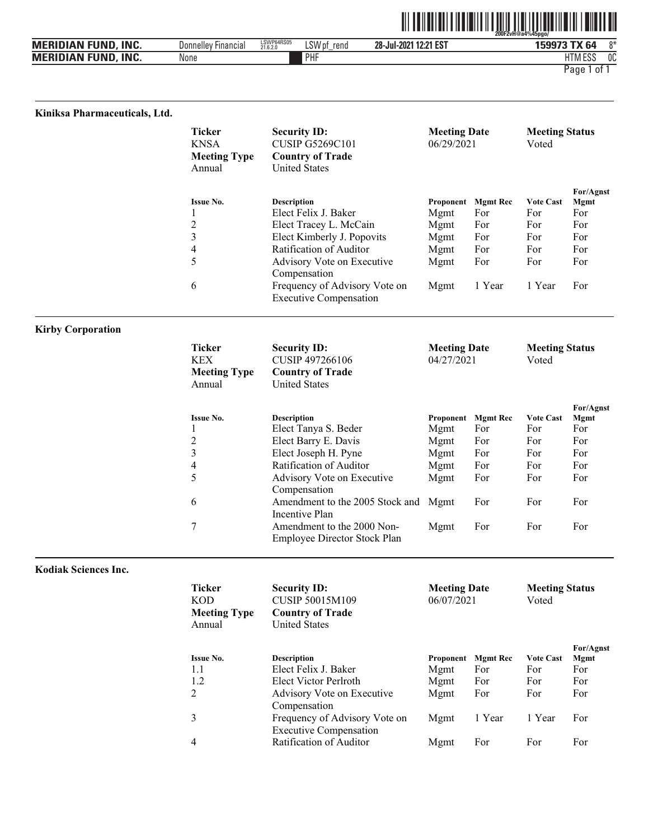|                     |                            |                        |                | <u> 111   111   111   111   111   111   111   111   111   111   111   11</u> | <b>TIITILII</b><br>200F2vH@a4%45pgo7 |  |
|---------------------|----------------------------|------------------------|----------------|------------------------------------------------------------------------------|--------------------------------------|--|
| MERIDIAN FUND, INC. | <b>Donnelley Financial</b> | LSWP64RS05<br>21.6.2.0 | LSW pf<br>rend | 28-Jul-2021 12:21 EST                                                        | $8*$<br>159973 TX 64                 |  |
| MERIDIAN FUND, INC. | None                       |                        | PHF            |                                                                              | HTM ESS<br>0C                        |  |
|                     |                            |                        |                |                                                                              | of 1<br>Page 1                       |  |

|                          | <b>Ticker</b><br><b>KNSA</b><br><b>Meeting Type</b><br>Annual | <b>Security ID:</b><br><b>CUSIP G5269C101</b><br><b>Country of Trade</b><br><b>United States</b>                                                            | <b>Meeting Date</b><br>06/29/2021                 |                                                    | <b>Meeting Status</b><br>Voted                      |                                                             |
|--------------------------|---------------------------------------------------------------|-------------------------------------------------------------------------------------------------------------------------------------------------------------|---------------------------------------------------|----------------------------------------------------|-----------------------------------------------------|-------------------------------------------------------------|
|                          | <b>Issue No.</b><br>1<br>$\overline{c}$<br>3<br>4<br>5        | <b>Description</b><br>Elect Felix J. Baker<br>Elect Tracey L. McCain<br>Elect Kimberly J. Popovits<br>Ratification of Auditor<br>Advisory Vote on Executive | Proponent<br>Mgmt<br>Mgmt<br>Mgmt<br>Mgmt<br>Mgmt | <b>Mgmt Rec</b><br>For<br>For<br>For<br>For<br>For | <b>Vote Cast</b><br>For<br>For<br>For<br>For<br>For | For/Agnst<br><b>Mgmt</b><br>For<br>For<br>For<br>For<br>For |
|                          | 6                                                             | Compensation<br>Frequency of Advisory Vote on<br><b>Executive Compensation</b>                                                                              | Mgmt                                              | 1 Year                                             | 1 Year                                              | For                                                         |
| <b>Kirby Corporation</b> |                                                               |                                                                                                                                                             |                                                   |                                                    |                                                     |                                                             |
|                          | <b>Ticker</b><br><b>KEX</b><br><b>Meeting Type</b><br>Annual  | <b>Security ID:</b><br>CUSIP 497266106<br><b>Country of Trade</b><br><b>United States</b>                                                                   | <b>Meeting Date</b><br>04/27/2021                 |                                                    | <b>Meeting Status</b><br>Voted                      |                                                             |
|                          |                                                               |                                                                                                                                                             |                                                   |                                                    |                                                     |                                                             |

## **Kodiak Sciences Inc.**

| <b>Ticker</b><br><b>KOD</b><br><b>Meeting Type</b><br>Annual | <b>Security ID:</b><br><b>CUSIP 50015M109</b><br><b>Country of Trade</b><br><b>United States</b> | <b>Meeting Date</b><br>06/07/2021 |                 | <b>Meeting Status</b><br>Voted |           |
|--------------------------------------------------------------|--------------------------------------------------------------------------------------------------|-----------------------------------|-----------------|--------------------------------|-----------|
|                                                              |                                                                                                  |                                   |                 |                                | For/Agnst |
| <b>Issue No.</b>                                             | <b>Description</b>                                                                               | Proponent                         | <b>Mgmt Rec</b> | <b>Vote Cast</b>               | Mgmt      |
| 1.1                                                          | Elect Felix J. Baker                                                                             | Mgmt                              | For             | For                            | For       |
| 1.2                                                          | Elect Victor Perlroth                                                                            | Mgmt                              | For             | For                            | For       |
| 2                                                            | Advisory Vote on Executive<br>Compensation                                                       | Mgmt                              | For             | For                            | For       |
| 3                                                            | Frequency of Advisory Vote on<br><b>Executive Compensation</b>                                   | Mgmt                              | 1 Year          | 1 Year                         | For       |
| $\overline{4}$                                               | Ratification of Auditor                                                                          | Mgmt                              | For             | For                            | For       |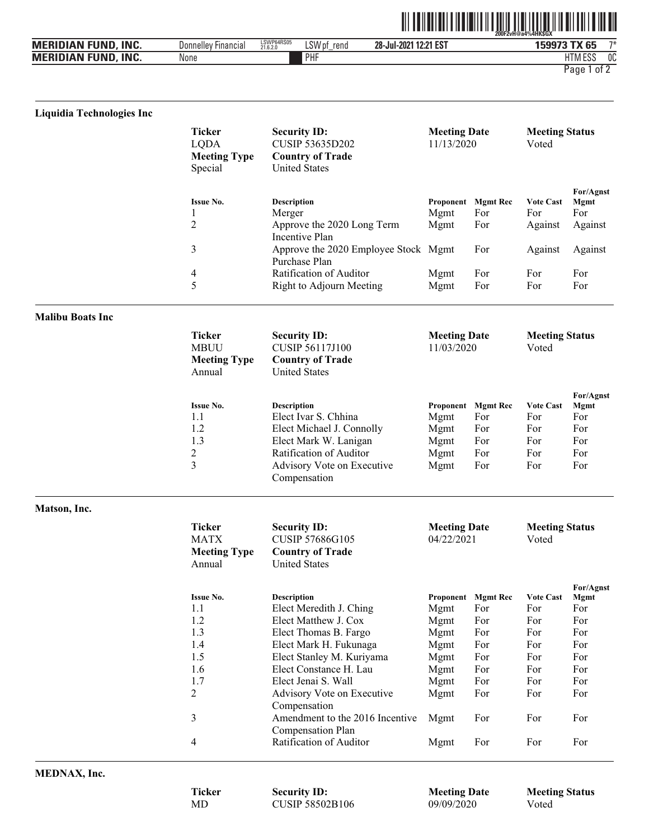| <b>MERIDIAN FUND, INC.</b>       | Donnelley Financial                                           | LSWP64RS05<br>21.6.2.0<br>28-Jul-2021 12:21 EST<br>LSW pf_rend                            |                                   |                        | 159973 TX 65                   | $7^*$                           |
|----------------------------------|---------------------------------------------------------------|-------------------------------------------------------------------------------------------|-----------------------------------|------------------------|--------------------------------|---------------------------------|
| <b>MERIDIAN FUND, INC.</b>       | None                                                          | PHF                                                                                       |                                   |                        |                                | $\overline{0}$<br><b>HTMESS</b> |
|                                  |                                                               |                                                                                           |                                   |                        |                                | Page 1 of 2                     |
| <b>Liquidia Technologies Inc</b> |                                                               |                                                                                           |                                   |                        |                                |                                 |
|                                  | <b>Ticker</b>                                                 | <b>Security ID:</b>                                                                       | <b>Meeting Date</b>               |                        | <b>Meeting Status</b>          |                                 |
|                                  | <b>LQDA</b><br><b>Meeting Type</b><br>Special                 | CUSIP 53635D202<br><b>Country of Trade</b><br><b>United States</b>                        | 11/13/2020                        |                        | Voted                          |                                 |
|                                  | <b>Issue No.</b>                                              | Description                                                                               | Proponent                         | <b>Mgmt Rec</b>        | <b>Vote Cast</b>               | For/Agnst<br><b>Mgmt</b>        |
|                                  | 1<br>$\overline{2}$                                           | Merger<br>Approve the 2020 Long Term<br>Incentive Plan                                    | Mgmt<br>Mgmt                      | For<br>For             | For<br>Against                 | For<br>Against                  |
|                                  | 3                                                             | Approve the 2020 Employee Stock Mgmt<br>Purchase Plan                                     |                                   | For                    | Against                        | Against                         |
|                                  | 4<br>5                                                        | Ratification of Auditor<br>Right to Adjourn Meeting                                       | Mgmt<br>Mgmt                      | For<br>For             | For<br>For                     | For<br>For                      |
| <b>Malibu Boats Inc</b>          |                                                               |                                                                                           |                                   |                        |                                |                                 |
|                                  | <b>Ticker</b><br><b>MBUU</b><br><b>Meeting Type</b><br>Annual | <b>Security ID:</b><br>CUSIP 56117J100<br><b>Country of Trade</b><br><b>United States</b> | <b>Meeting Date</b><br>11/03/2020 |                        | <b>Meeting Status</b><br>Voted |                                 |
|                                  | <b>Issue No.</b><br>1.1                                       | <b>Description</b><br>Elect Ivar S. Chhina                                                | Proponent<br>Mgmt                 | <b>Mgmt Rec</b><br>For | <b>Vote Cast</b><br>For        | For/Agnst<br><b>Mgmt</b><br>For |
|                                  | 1.2<br>1.3<br>$\overline{c}$                                  | Elect Michael J. Connolly<br>Elect Mark W. Lanigan<br>Ratification of Auditor             | Mgmt<br>Mgmt<br>Mgmt              | For<br>For<br>For      | For<br>For<br>For              | For<br>For<br>For               |
|                                  | 3                                                             | Advisory Vote on Executive<br>Compensation                                                | Mgmt                              | For                    | For                            | For                             |
| Matson, Inc.                     |                                                               |                                                                                           |                                   |                        |                                |                                 |
|                                  | <b>Ticker</b><br><b>MATX</b><br><b>Meeting Type</b><br>Annual | <b>Security ID:</b><br>CUSIP 57686G105<br><b>Country of Trade</b><br><b>United States</b> | <b>Meeting Date</b><br>04/22/2021 |                        | <b>Meeting Status</b><br>Voted |                                 |
|                                  | <b>Issue No.</b>                                              | <b>Description</b>                                                                        | Proponent                         | <b>Mgmt Rec</b>        | <b>Vote Cast</b>               | For/Agnst<br>Mgmt               |
|                                  | 1.1                                                           | Elect Meredith J. Ching                                                                   | Mgmt                              | For                    | For                            | For                             |
|                                  | 1.2<br>1.3                                                    | Elect Matthew J. Cox                                                                      | Mgmt                              | For<br>For             | For<br>For                     | For<br>For                      |
|                                  | 1.4                                                           | Elect Thomas B. Fargo<br>Elect Mark H. Fukunaga                                           | Mgmt<br>Mgmt                      | For                    | For                            | For                             |
|                                  | 1.5                                                           | Elect Stanley M. Kuriyama                                                                 | Mgmt                              | For                    | For                            | For                             |
|                                  | 1.6                                                           | Elect Constance H. Lau                                                                    | Mgmt                              | For                    | For                            | For                             |
|                                  | 1.7                                                           | Elect Jenai S. Wall                                                                       | Mgmt                              | For                    | For                            | For                             |
|                                  | 2                                                             | Advisory Vote on Executive<br>Compensation                                                | Mgmt                              | For                    | For                            | For                             |
|                                  | 3                                                             | Amendment to the 2016 Incentive<br>Compensation Plan                                      | Mgmt                              | For                    | For                            | For                             |
|                                  | 4                                                             | Ratification of Auditor                                                                   | Mgmt                              | For                    | For                            | For                             |

| Ticker | <b>Security ID:</b> | <b>Meeting Date</b> | <b>Meeting Status</b> |
|--------|---------------------|---------------------|-----------------------|
| MD     | CUSIP 58502B106     | 09/09/2020          | Voted                 |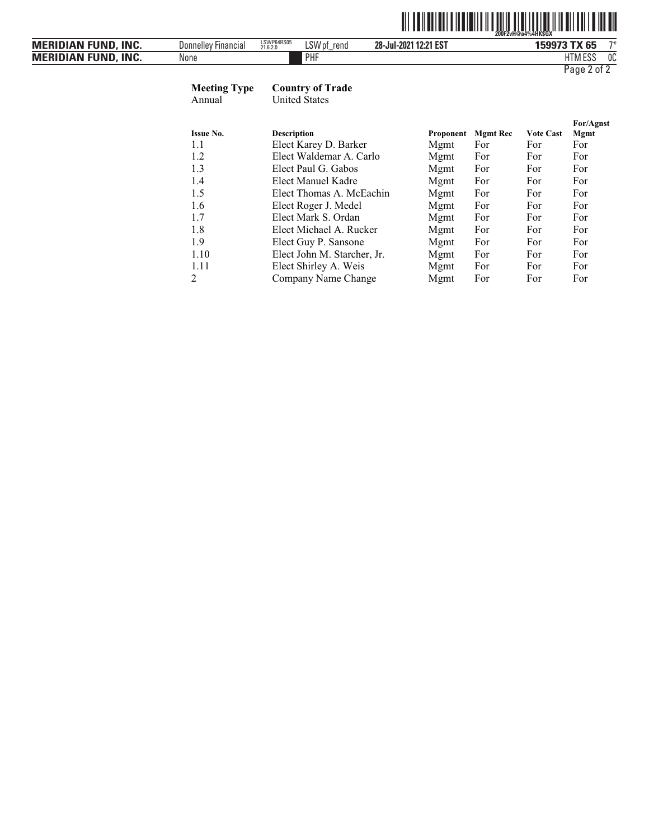

| INC.<br><b>MERIDIAN FUND,</b> | <b>Financial</b><br>Donnelley | LSWP64RS05<br>21.6.2.0 | LSW p<br>rend<br>v ni | 12:21 EST<br>28-Jul-2021 | 159973 TX 65                     | $7*$ |
|-------------------------------|-------------------------------|------------------------|-----------------------|--------------------------|----------------------------------|------|
| <b>MERIDIAN FUND,</b><br>INC. | None                          |                        | PHF                   |                          | $11.788$ $F00$<br>. i M F<br>ن ت | 0C   |
|                               |                               |                        |                       |                          | Page 2 of 2                      |      |

### **Country of Trade**<br>United States **Meeting Type**<br>Annual

| <b>Issue No.</b> | <b>Description</b>          | Proponent | <b>Mgmt Rec</b> | <b>Vote Cast</b> | For/Agnst<br>Mgmt |
|------------------|-----------------------------|-----------|-----------------|------------------|-------------------|
| 1.1              | Elect Karey D. Barker       | Mgmt      | For             | For              | For               |
| 1.2              | Elect Waldemar A. Carlo     | Mgmt      | For             | For              | For               |
| 1.3              | Elect Paul G. Gabos         | Mgmt      | For             | For              | For               |
| 1.4              | Elect Manuel Kadre          | Mgmt      | For             | For              | For               |
| 1.5              | Elect Thomas A. McEachin    | Mgmt      | For             | For              | For               |
| 1.6              | Elect Roger J. Medel        | Mgmt      | For             | For              | For               |
| 1.7              | Elect Mark S. Ordan         | Mgmt      | For             | For              | For               |
| 1.8              | Elect Michael A. Rucker     | Mgmt      | For             | For              | For               |
| 1.9              | Elect Guy P. Sansone        | Mgmt      | For             | For              | For               |
| 1.10             | Elect John M. Starcher, Jr. | Mgmt      | For             | For              | For               |
| 1.11             | Elect Shirley A. Weis       | Mgmt      | For             | For              | For               |
| 2                | Company Name Change         | Mgmt      | For             | For              | For               |
|                  |                             |           |                 |                  |                   |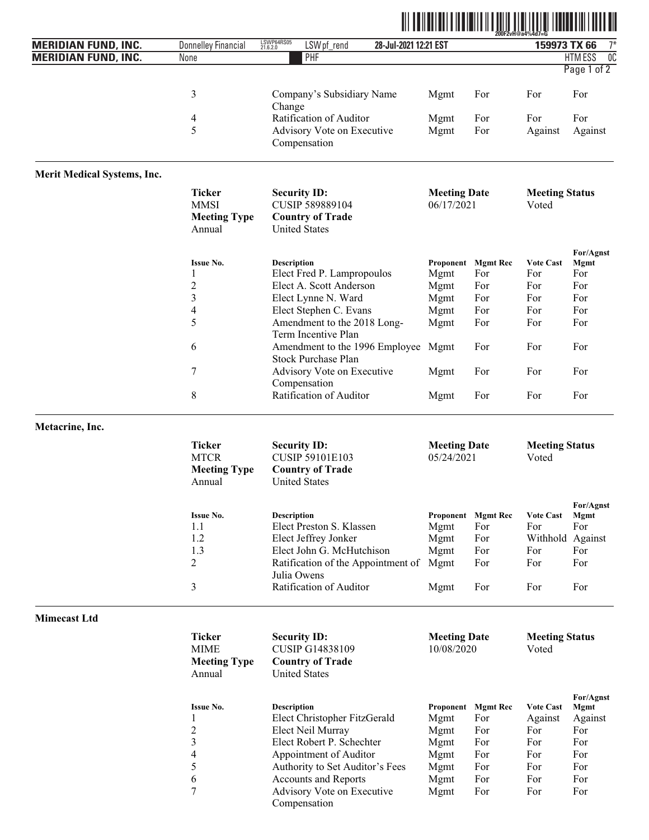| <b>MERIDIAN FUND, INC.</b>  | <b>Donnelley Financial</b>                                    | LSWP64RS05<br>21.6.2.0<br>LSW pf_rend<br>28-Jul-2021 12:21 EST                                   |                                   |                        | 159973 TX 66                   | $7^*$                                          |
|-----------------------------|---------------------------------------------------------------|--------------------------------------------------------------------------------------------------|-----------------------------------|------------------------|--------------------------------|------------------------------------------------|
| <b>MERIDIAN FUND, INC.</b>  | None                                                          | PHF                                                                                              |                                   |                        |                                | <b>HTMESS</b><br>0 <sup>C</sup><br>Page 1 of 2 |
|                             |                                                               |                                                                                                  |                                   |                        |                                |                                                |
|                             | 3                                                             | Company's Subsidiary Name<br>Change                                                              | Mgmt                              | For                    | For                            | For                                            |
|                             | 4                                                             | Ratification of Auditor                                                                          | Mgmt                              | For                    | For                            | For                                            |
|                             | 5                                                             | Advisory Vote on Executive<br>Compensation                                                       | Mgmt                              | For                    | Against                        | Against                                        |
| Merit Medical Systems, Inc. |                                                               |                                                                                                  |                                   |                        |                                |                                                |
|                             | <b>Ticker</b>                                                 | <b>Security ID:</b>                                                                              | <b>Meeting Date</b>               |                        | <b>Meeting Status</b>          |                                                |
|                             | <b>MMSI</b><br><b>Meeting Type</b><br>Annual                  | CUSIP 589889104<br><b>Country of Trade</b><br><b>United States</b>                               | 06/17/2021                        |                        | Voted                          |                                                |
|                             |                                                               |                                                                                                  |                                   |                        |                                | For/Agnst                                      |
|                             | <b>Issue No.</b><br>1                                         | Description<br>Elect Fred P. Lampropoulos                                                        | Proponent<br>Mgmt                 | <b>Mgmt Rec</b><br>For | <b>Vote Cast</b><br>For        | <b>Mgmt</b><br>For                             |
|                             | $\overline{c}$                                                | Elect A. Scott Anderson                                                                          | Mgmt                              | For                    | For                            | For                                            |
|                             | 3                                                             | Elect Lynne N. Ward                                                                              | Mgmt                              | For                    | For                            | For                                            |
|                             | 4                                                             | Elect Stephen C. Evans                                                                           | Mgmt                              | For                    | For                            | For                                            |
|                             | 5                                                             | Amendment to the 2018 Long-<br>Term Incentive Plan                                               | Mgmt                              | For                    | For                            | For                                            |
|                             | 6                                                             | Amendment to the 1996 Employee<br><b>Stock Purchase Plan</b>                                     | Mgmt                              | For                    | For                            | For                                            |
|                             | 7                                                             | Advisory Vote on Executive<br>Compensation                                                       | Mgmt                              | For                    | For                            | For                                            |
|                             | 8                                                             | Ratification of Auditor                                                                          | Mgmt                              | For                    | For                            | For                                            |
| Metacrine, Inc.             |                                                               |                                                                                                  |                                   |                        |                                |                                                |
|                             | <b>Ticker</b><br><b>MTCR</b><br><b>Meeting Type</b><br>Annual | <b>Security ID:</b><br><b>CUSIP 59101E103</b><br><b>Country of Trade</b><br><b>United States</b> | <b>Meeting Date</b><br>05/24/2021 |                        | <b>Meeting Status</b><br>Voted |                                                |
|                             |                                                               |                                                                                                  |                                   |                        |                                | For/Agnst                                      |
|                             | <b>Issue No.</b><br>1.1                                       | <b>Description</b><br>Elect Preston S. Klassen                                                   | Proponent<br>Mgmt                 | <b>Mgmt</b> Rec<br>For | <b>Vote Cast</b><br>For        | <b>Mgmt</b><br>For                             |
|                             | 1.2                                                           | Elect Jeffrey Jonker                                                                             | Mgmt                              | For                    | Withhold Against               |                                                |
|                             | 1.3                                                           | Elect John G. McHutchison                                                                        | Mgmt                              | For                    | For                            | For                                            |
|                             | $\overline{2}$                                                | Ratification of the Appointment of<br>Julia Owens                                                | Mgmt                              | For                    | For                            | For                                            |
|                             | 3                                                             | Ratification of Auditor                                                                          | Mgmt                              | For                    | For                            | For                                            |
| <b>Mimecast Ltd</b>         |                                                               |                                                                                                  |                                   |                        |                                |                                                |
|                             | <b>Ticker</b><br><b>MIME</b><br><b>Meeting Type</b><br>Annual | <b>Security ID:</b><br>CUSIP G14838109<br><b>Country of Trade</b><br><b>United States</b>        | <b>Meeting Date</b><br>10/08/2020 |                        | <b>Meeting Status</b><br>Voted |                                                |
|                             | <b>Issue No.</b>                                              | <b>Description</b>                                                                               | Proponent                         | <b>Mgmt Rec</b>        | <b>Vote Cast</b>               | For/Agnst<br>Mgmt                              |
|                             | $\mathbf{1}$                                                  | Elect Christopher FitzGerald                                                                     | Mgmt                              | For                    | Against                        | Against                                        |
|                             | $\overline{c}$                                                | Elect Neil Murray                                                                                | Mgmt                              | For                    | For                            | For                                            |
|                             | 3                                                             | Elect Robert P. Schechter                                                                        | Mgmt                              | For                    | For                            | For                                            |
|                             | 4                                                             | Appointment of Auditor                                                                           | Mgmt                              | For                    | For                            | For                                            |
|                             | 5                                                             | Authority to Set Auditor's Fees                                                                  | Mgmt                              | For                    | For                            | For                                            |
|                             | 6                                                             | <b>Accounts and Reports</b>                                                                      | Mgmt                              | For                    | For                            | For                                            |
|                             | 7                                                             | Advisory Vote on Executive<br>Compensation                                                       | Mgmt                              | For                    | For                            | For                                            |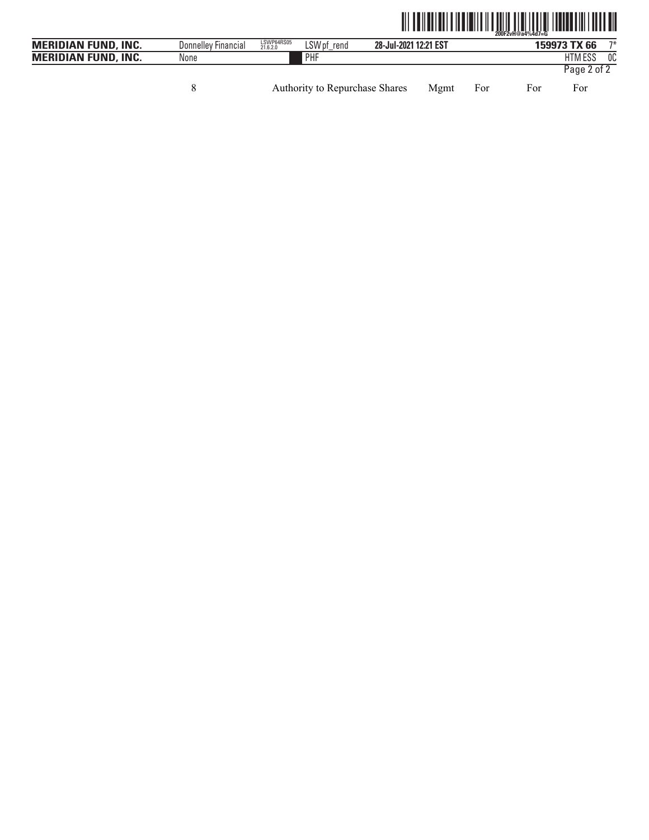

| <b>MERIDIAN FUND, INC.</b> | Donnelley Financial | LSWP64RS05<br>21.6.2.0 | LSW pf rend                    | 28-Jul-2021 12:21 EST |      |     |     | 159973 TX 66   | $7*$ |
|----------------------------|---------------------|------------------------|--------------------------------|-----------------------|------|-----|-----|----------------|------|
| <b>MERIDIAN FUND, INC.</b> | None                |                        | PHF                            |                       |      |     |     | <b>HTM ESS</b> | 0C   |
|                            |                     |                        |                                |                       |      |     |     | Page 2 of 2    |      |
|                            |                     |                        | Authority to Repurchase Shares |                       | Mgmt | For | For | For            |      |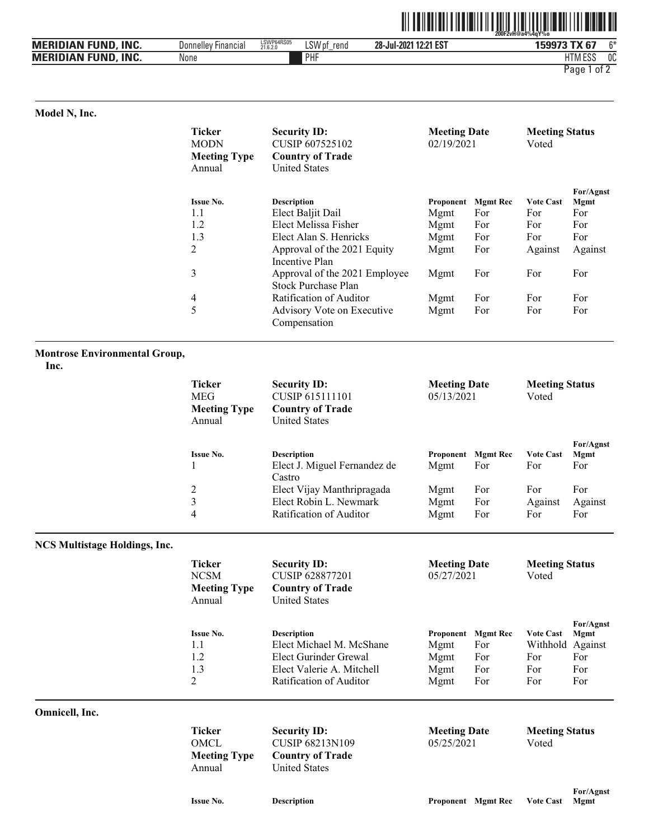| <b>MERIDIAN FUND, INC.</b>                   | <b>Donnelley Financial</b>                                   | LSWP64RS05<br>21.6.2.0<br>LSW pf_rend<br>28-Jul-2021 12:21 EST                            |                                   |                        | 159973 TX 67                   | $6*$                            |
|----------------------------------------------|--------------------------------------------------------------|-------------------------------------------------------------------------------------------|-----------------------------------|------------------------|--------------------------------|---------------------------------|
| <b>MERIDIAN FUND, INC.</b>                   | None                                                         | PHF                                                                                       |                                   |                        |                                | <b>HTMESS</b><br>0 <sup>C</sup> |
|                                              |                                                              |                                                                                           |                                   |                        |                                | Page 1 of 2                     |
| Model N, Inc.                                |                                                              |                                                                                           |                                   |                        |                                |                                 |
|                                              | <b>Ticker</b>                                                | <b>Security ID:</b>                                                                       | <b>Meeting Date</b>               |                        | <b>Meeting Status</b>          |                                 |
|                                              | <b>MODN</b>                                                  | CUSIP 607525102                                                                           | 02/19/2021                        |                        | Voted                          |                                 |
|                                              | <b>Meeting Type</b>                                          | <b>Country of Trade</b>                                                                   |                                   |                        |                                |                                 |
|                                              | Annual                                                       | <b>United States</b>                                                                      |                                   |                        |                                |                                 |
|                                              |                                                              |                                                                                           |                                   |                        |                                | For/Agnst                       |
|                                              | <b>Issue No.</b>                                             | Description                                                                               | Proponent                         | <b>Mgmt Rec</b>        | <b>Vote Cast</b>               | <b>Mgmt</b>                     |
|                                              | 1.1                                                          | Elect Baljit Dail                                                                         | Mgmt                              | For                    | For                            | For                             |
|                                              | 1.2                                                          | Elect Melissa Fisher                                                                      | Mgmt                              | For                    | For                            | For                             |
|                                              | 1.3                                                          | Elect Alan S. Henricks                                                                    | Mgmt                              | For                    | For                            | For                             |
|                                              | $\overline{2}$                                               | Approval of the 2021 Equity<br>Incentive Plan                                             | Mgmt                              | For                    | Against                        | Against                         |
|                                              | 3                                                            | Approval of the 2021 Employee<br><b>Stock Purchase Plan</b>                               | Mgmt                              | For                    | For                            | For                             |
|                                              | 4                                                            | Ratification of Auditor                                                                   | Mgmt                              | For                    | For                            | For                             |
|                                              | 5                                                            | Advisory Vote on Executive                                                                | Mgmt                              | For                    | For                            | For                             |
|                                              |                                                              | Compensation                                                                              |                                   |                        |                                |                                 |
| <b>Montrose Environmental Group,</b><br>Inc. | <b>Ticker</b><br><b>MEG</b><br><b>Meeting Type</b><br>Annual | <b>Security ID:</b><br>CUSIP 615111101<br><b>Country of Trade</b><br><b>United States</b> | <b>Meeting Date</b><br>05/13/2021 |                        | <b>Meeting Status</b><br>Voted |                                 |
|                                              | <b>Issue No.</b><br>1                                        | Description<br>Elect J. Miguel Fernandez de                                               | Proponent<br>Mgmt                 | <b>Mgmt</b> Rec<br>For | <b>Vote Cast</b><br>For        | For/Agnst<br><b>Mgmt</b><br>For |
|                                              |                                                              | Castro                                                                                    |                                   |                        |                                |                                 |
|                                              | $\overline{\mathbf{c}}$                                      | Elect Vijay Manthripragada                                                                | Mgmt                              | For                    | For                            | For                             |
|                                              | 3                                                            | Elect Robin L. Newmark                                                                    | Mgmt                              | For                    | Against                        | Against                         |
|                                              | 4                                                            | Ratification of Auditor                                                                   | Mgmt                              | For                    | For                            | For                             |
| <b>NCS Multistage Holdings, Inc.</b>         |                                                              |                                                                                           |                                   |                        |                                |                                 |
|                                              | <b>Ticker</b>                                                | <b>Security ID:</b>                                                                       | <b>Meeting Date</b>               |                        | <b>Meeting Status</b>          |                                 |
|                                              | <b>NCSM</b><br><b>Meeting Type</b><br>Annual                 | CUSIP 628877201<br><b>Country of Trade</b><br><b>United States</b>                        | 05/27/2021                        |                        | Voted                          |                                 |
|                                              | <b>Issue No.</b>                                             | Description                                                                               | Proponent                         | <b>Mgmt</b> Rec        | <b>Vote Cast</b>               | For/Agnst                       |
|                                              | 1.1                                                          | Elect Michael M. McShane                                                                  | Mgmt                              | For                    |                                | <b>Mgmt</b><br>Withhold Against |
|                                              | 1.2                                                          | Elect Gurinder Grewal                                                                     | Mgmt                              | For                    | For                            | For                             |
|                                              | 1.3                                                          | Elect Valerie A. Mitchell                                                                 | Mgmt                              | For                    | For                            | For                             |
|                                              | $\overline{2}$                                               | Ratification of Auditor                                                                   | Mgmt                              | For                    | For                            | For                             |
| Omnicell, Inc.                               |                                                              |                                                                                           |                                   |                        |                                |                                 |
|                                              | <b>Ticker</b><br>OMCL<br><b>Meeting Type</b><br>Annual       | <b>Security ID:</b><br>CUSIP 68213N109<br><b>Country of Trade</b><br><b>United States</b> | <b>Meeting Date</b><br>05/25/2021 |                        | <b>Meeting Status</b><br>Voted |                                 |
|                                              |                                                              |                                                                                           |                                   |                        |                                | For/Agnst                       |

**Issue No. Description Proponent Mgmt Rec Vote Cast**

**Mgmt**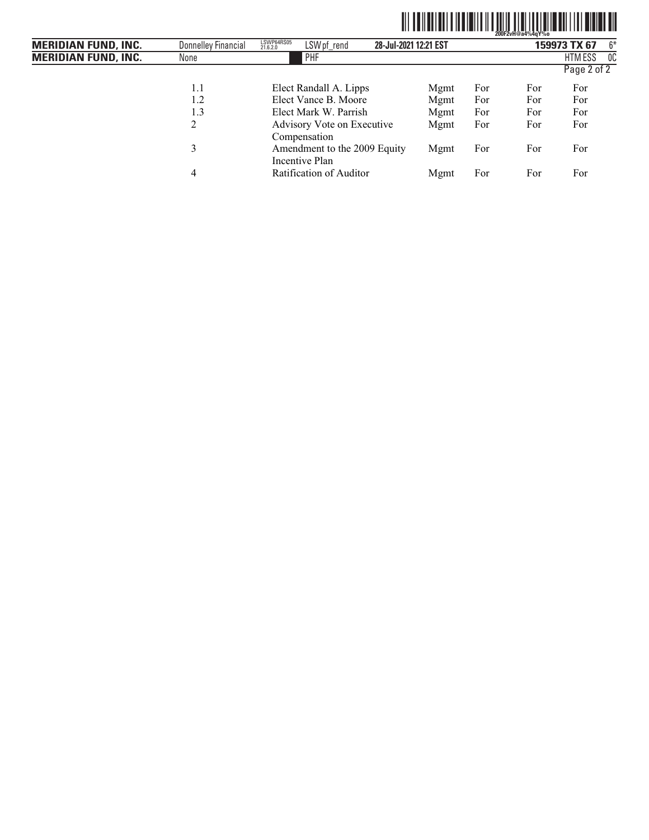

|                            |                            |                                                |                       |     | <b>LUUL LVII\ <math>\alpha</math>4</b> / $\alpha$ <b>Hui</b> / $\alpha$ |              |      |
|----------------------------|----------------------------|------------------------------------------------|-----------------------|-----|-------------------------------------------------------------------------|--------------|------|
| <b>MERIDIAN FUND, INC.</b> | <b>Donnelley Financial</b> | LSWP64RS05<br>LSW pf_rend<br>21.6.2.0          | 28-Jul-2021 12:21 EST |     |                                                                         | 159973 TX 67 | $6*$ |
| <b>MERIDIAN FUND, INC.</b> | None                       | PHF                                            |                       |     |                                                                         | HTM ESS      | 0C   |
|                            |                            |                                                |                       |     |                                                                         | Page 2 of 2  |      |
|                            | 1.1                        | Elect Randall A. Lipps                         | Mgmt                  | For | For                                                                     | For          |      |
|                            | 1.2                        | Elect Vance B. Moore                           | Mgmt                  | For | For                                                                     | For          |      |
|                            | 1.3                        | Elect Mark W. Parrish                          | Mgmt                  | For | For                                                                     | For          |      |
|                            | 2                          | Advisory Vote on Executive<br>Compensation     | Mgmt                  | For | For                                                                     | For          |      |
|                            | 3                          | Amendment to the 2009 Equity<br>Incentive Plan | Mgmt                  | For | For                                                                     | For          |      |
|                            | 4                          | Ratification of Auditor                        | Mgmt                  | For | For                                                                     | For          |      |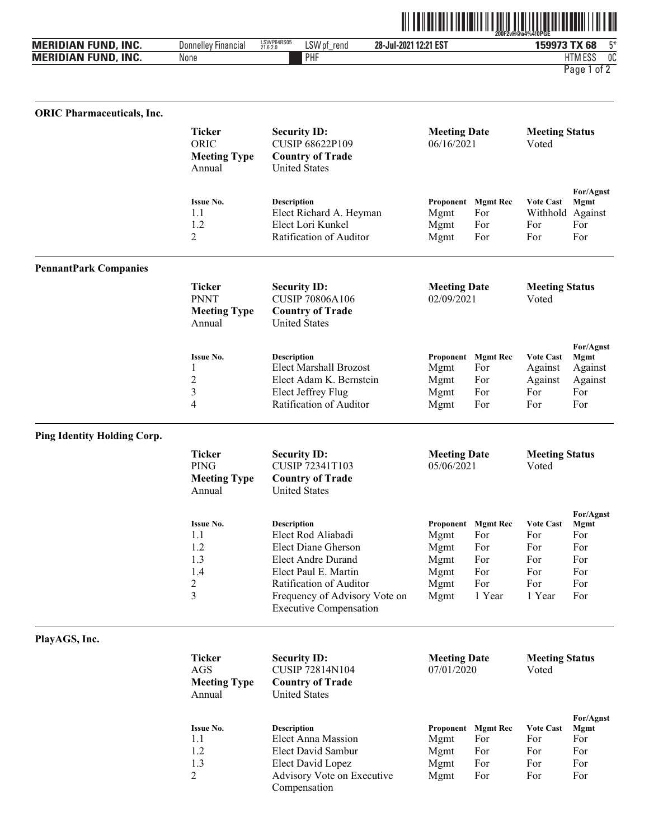| <b>MERIDIAN FUND, INC.</b>         | <b>Donnelley Financial</b>                                          | LSWP64RS05<br>21.6.2.0<br>LSW pf_rend<br>28-Jul-2021 12:21 EST                                                                                                                                             |                                                           |                                                              | 159973 TX 68                                                  | $5*$                                                               |
|------------------------------------|---------------------------------------------------------------------|------------------------------------------------------------------------------------------------------------------------------------------------------------------------------------------------------------|-----------------------------------------------------------|--------------------------------------------------------------|---------------------------------------------------------------|--------------------------------------------------------------------|
| <b>MERIDIAN FUND, INC.</b>         | None                                                                | PHF                                                                                                                                                                                                        |                                                           |                                                              |                                                               | <b>HTMESS</b><br>0 <sup>C</sup><br>Page 1 of 2                     |
| <b>ORIC Pharmaceuticals, Inc.</b>  |                                                                     |                                                                                                                                                                                                            |                                                           |                                                              |                                                               |                                                                    |
|                                    | <b>Ticker</b><br>ORIC<br><b>Meeting Type</b><br>Annual              | <b>Security ID:</b><br>CUSIP 68622P109<br><b>Country of Trade</b><br><b>United States</b>                                                                                                                  | <b>Meeting Date</b><br>06/16/2021                         |                                                              | <b>Meeting Status</b><br>Voted                                |                                                                    |
|                                    | <b>Issue No.</b><br>1.1<br>1.2<br>2                                 | Description<br>Elect Richard A. Heyman<br>Elect Lori Kunkel<br>Ratification of Auditor                                                                                                                     | Proponent<br>Mgmt<br>Mgmt<br>Mgmt                         | <b>Mgmt Rec</b><br>For<br>For<br>For                         | <b>Vote Cast</b><br>Withhold Against<br>For<br>For            | For/Agnst<br><b>Mgmt</b><br>For<br>For                             |
| <b>PennantPark Companies</b>       |                                                                     |                                                                                                                                                                                                            |                                                           |                                                              |                                                               |                                                                    |
|                                    | <b>Ticker</b><br><b>PNNT</b><br><b>Meeting Type</b><br>Annual       | <b>Security ID:</b><br><b>CUSIP 70806A106</b><br><b>Country of Trade</b><br><b>United States</b>                                                                                                           | <b>Meeting Date</b><br>02/09/2021                         |                                                              | <b>Meeting Status</b><br>Voted                                |                                                                    |
|                                    | <b>Issue No.</b><br>1<br>$\overline{c}$<br>3<br>4                   | Description<br><b>Elect Marshall Brozost</b><br>Elect Adam K. Bernstein<br>Elect Jeffrey Flug<br>Ratification of Auditor                                                                                   | Proponent<br>Mgmt<br>Mgmt<br>Mgmt<br>Mgmt                 | <b>Mgmt Rec</b><br>For<br>For<br>For<br>For                  | <b>Vote Cast</b><br>Against<br>Against<br>For<br>For          | For/Agnst<br><b>Mgmt</b><br>Against<br>Against<br>For<br>For       |
| <b>Ping Identity Holding Corp.</b> |                                                                     |                                                                                                                                                                                                            |                                                           |                                                              |                                                               |                                                                    |
|                                    | <b>Ticker</b><br><b>PING</b><br><b>Meeting Type</b><br>Annual       | <b>Security ID:</b><br><b>CUSIP 72341T103</b><br><b>Country of Trade</b><br><b>United States</b>                                                                                                           | <b>Meeting Date</b><br>05/06/2021                         |                                                              | <b>Meeting Status</b><br>Voted                                |                                                                    |
|                                    | <b>Issue No.</b><br>1.1<br>1.2<br>1.3<br>1.4<br>$\overline{c}$<br>3 | <b>Description</b><br>Elect Rod Aliabadi<br>Elect Diane Gherson<br>Elect Andre Durand<br>Elect Paul E. Martin<br>Ratification of Auditor<br>Frequency of Advisory Vote on<br><b>Executive Compensation</b> | Proponent<br>Mgmt<br>Mgmt<br>Mgmt<br>Mgmt<br>Mgmt<br>Mgmt | <b>Mgmt Rec</b><br>For<br>For<br>For<br>For<br>For<br>1 Year | <b>Vote Cast</b><br>For<br>For<br>For<br>For<br>For<br>1 Year | For/Agnst<br><b>Mgmt</b><br>For<br>For<br>For<br>For<br>For<br>For |
| PlayAGS, Inc.                      |                                                                     |                                                                                                                                                                                                            |                                                           |                                                              |                                                               |                                                                    |
|                                    | <b>Ticker</b><br><b>AGS</b><br><b>Meeting Type</b><br>Annual        | <b>Security ID:</b><br><b>CUSIP 72814N104</b><br><b>Country of Trade</b><br><b>United States</b>                                                                                                           | <b>Meeting Date</b><br>07/01/2020                         |                                                              | <b>Meeting Status</b><br>Voted                                |                                                                    |
|                                    | <b>Issue No.</b><br>1.1<br>1.2<br>1.3<br>2                          | <b>Description</b><br><b>Elect Anna Massion</b><br>Elect David Sambur<br><b>Elect David Lopez</b><br>Advisory Vote on Executive<br>Compensation                                                            | Proponent<br>Mgmt<br>Mgmt<br>Mgmt<br>Mgmt                 | <b>Mgmt Rec</b><br>For<br>For<br>For<br>For                  | <b>Vote Cast</b><br>For<br>For<br>For<br>For                  | For/Agnst<br><b>Mgmt</b><br>For<br>For<br>For<br>For               |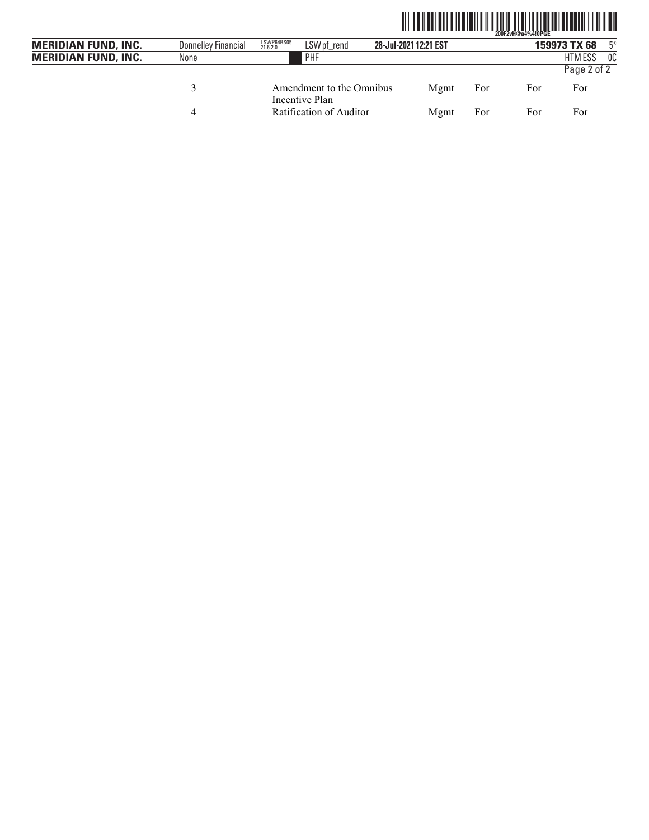

|                            |                     |                        |                                            |                       |      |     | --------------- |              |       |
|----------------------------|---------------------|------------------------|--------------------------------------------|-----------------------|------|-----|-----------------|--------------|-------|
| <b>MERIDIAN FUND, INC.</b> | Donnelley Financial | LSWP64RS05<br>21.6.2.0 | LSW pf rend                                | 28-Jul-2021 12:21 EST |      |     |                 | 159973 TX 68 | $-5*$ |
| <b>MERIDIAN FUND, INC.</b> | None                |                        | PHF                                        |                       |      |     |                 | HTM ESS      | 0C    |
|                            |                     |                        |                                            |                       |      |     |                 | Page 2 of 2  |       |
|                            |                     |                        | Amendment to the Omnibus<br>Incentive Plan |                       | Mgmt | For | For             | For          |       |
|                            |                     |                        | Ratification of Auditor                    |                       | Mgmt | For | For             | For          |       |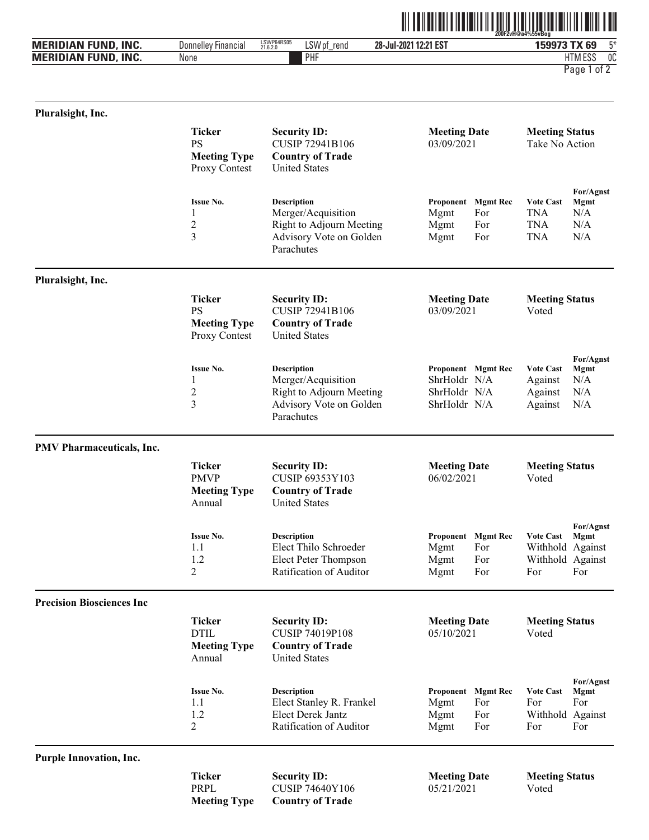| <b>MERIDIAN FUND, INC.</b>       | <b>Donnelley Financial</b>           | LSWP64RS05<br>21.6.2.0<br>LSW pf_rend           | 28-Jul-2021 12:21 EST |            |                              | 159973 TX 69                         | $5^*$                           |
|----------------------------------|--------------------------------------|-------------------------------------------------|-----------------------|------------|------------------------------|--------------------------------------|---------------------------------|
| <b>MERIDIAN FUND, INC.</b>       | None                                 | PHF                                             |                       |            |                              |                                      | $\overline{0}$<br><b>HTMESS</b> |
|                                  |                                      |                                                 |                       |            |                              |                                      | Page 1 of 2                     |
| Pluralsight, Inc.                |                                      |                                                 |                       |            |                              |                                      |                                 |
|                                  | <b>Ticker</b>                        | <b>Security ID:</b>                             |                       |            | <b>Meeting Date</b>          | <b>Meeting Status</b>                |                                 |
|                                  | <b>PS</b>                            | <b>CUSIP 72941B106</b>                          |                       | 03/09/2021 |                              | Take No Action                       |                                 |
|                                  | <b>Meeting Type</b><br>Proxy Contest | <b>Country of Trade</b><br><b>United States</b> |                       |            |                              |                                      |                                 |
|                                  |                                      |                                                 |                       |            |                              |                                      | For/Agnst                       |
|                                  | <b>Issue No.</b><br>1                | Description<br>Merger/Acquisition               | Mgmt                  |            | Proponent Mgmt Rec<br>For    | <b>Vote Cast</b><br><b>TNA</b>       | <b>Mgmt</b><br>N/A              |
|                                  | $\overline{\mathbf{c}}$              | Right to Adjourn Meeting                        | Mgmt                  |            | For                          | <b>TNA</b>                           | N/A                             |
|                                  | 3                                    | Advisory Vote on Golden<br>Parachutes           | Mgmt                  |            | For                          | <b>TNA</b>                           | N/A                             |
| Pluralsight, Inc.                |                                      |                                                 |                       |            |                              |                                      |                                 |
|                                  | <b>Ticker</b>                        | <b>Security ID:</b>                             |                       |            | <b>Meeting Date</b>          | <b>Meeting Status</b>                |                                 |
|                                  | <b>PS</b>                            | <b>CUSIP 72941B106</b>                          |                       | 03/09/2021 |                              | Voted                                |                                 |
|                                  | <b>Meeting Type</b>                  | <b>Country of Trade</b>                         |                       |            |                              |                                      |                                 |
|                                  | Proxy Contest                        | <b>United States</b>                            |                       |            |                              |                                      |                                 |
|                                  |                                      |                                                 |                       |            |                              |                                      | For/Agnst                       |
|                                  | <b>Issue No.</b>                     | Description                                     |                       |            | Proponent Mgmt Rec           | <b>Vote Cast</b>                     | <b>Mgmt</b>                     |
|                                  | 1                                    | Merger/Acquisition<br>Right to Adjourn Meeting  |                       |            | ShrHoldr N/A<br>ShrHoldr N/A | Against<br>Against                   | N/A<br>N/A                      |
|                                  | 2<br>3                               | Advisory Vote on Golden                         |                       |            | ShrHoldr N/A                 | Against                              | N/A                             |
|                                  |                                      | Parachutes                                      |                       |            |                              |                                      |                                 |
| PMV Pharmaceuticals, Inc.        |                                      |                                                 |                       |            |                              |                                      |                                 |
|                                  | <b>Ticker</b>                        | <b>Security ID:</b>                             |                       |            | <b>Meeting Date</b>          | <b>Meeting Status</b>                |                                 |
|                                  | <b>PMVP</b>                          | CUSIP 69353Y103                                 |                       | 06/02/2021 |                              | Voted                                |                                 |
|                                  | <b>Meeting Type</b>                  | <b>Country of Trade</b>                         |                       |            |                              |                                      |                                 |
|                                  | Annual                               | <b>United States</b>                            |                       |            |                              |                                      |                                 |
|                                  |                                      |                                                 |                       |            |                              |                                      | For/Agnst                       |
|                                  | <b>Issue No.</b><br>1.1              | Description<br>Elect Thilo Schroeder            | Mgmt                  | Proponent  | <b>Mgmt Rec</b><br>For       | <b>Vote Cast</b><br>Withhold Against | <b>Mgmt</b>                     |
|                                  | 1.2                                  | Elect Peter Thompson                            | Mgmt                  |            | For                          | Withhold Against                     |                                 |
|                                  | 2                                    | Ratification of Auditor                         | Mgmt                  |            | For                          | For                                  | For                             |
| <b>Precision Biosciences Inc</b> |                                      |                                                 |                       |            |                              |                                      |                                 |
|                                  | <b>Ticker</b>                        | <b>Security ID:</b>                             |                       |            | <b>Meeting Date</b>          | <b>Meeting Status</b>                |                                 |
|                                  | <b>DTIL</b>                          | CUSIP 74019P108                                 |                       | 05/10/2021 |                              | Voted                                |                                 |
|                                  | <b>Meeting Type</b><br>Annual        | <b>Country of Trade</b><br><b>United States</b> |                       |            |                              |                                      |                                 |
|                                  | <b>Issue No.</b>                     | Description                                     |                       |            | Proponent Mgmt Rec           | Vote Cast                            | For/Agnst<br><b>Mgmt</b>        |
|                                  | 1.1                                  | Elect Stanley R. Frankel                        | Mgmt                  |            | For                          | For                                  | For                             |
|                                  | 1.2                                  | Elect Derek Jantz                               | Mgmt                  |            | For                          | Withhold Against                     |                                 |
|                                  | 2                                    | Ratification of Auditor                         | Mgmt                  |            | For                          | For                                  | For                             |
| <b>Purple Innovation, Inc.</b>   | <b>Ticker</b>                        |                                                 |                       |            |                              |                                      |                                 |
|                                  | PRPL                                 | <b>Security ID:</b><br><b>CUSIP 74640Y106</b>   |                       | 05/21/2021 | <b>Meeting Date</b>          | <b>Meeting Status</b><br>Voted       |                                 |
|                                  | <b>Meeting Type</b>                  | <b>Country of Trade</b>                         |                       |            |                              |                                      |                                 |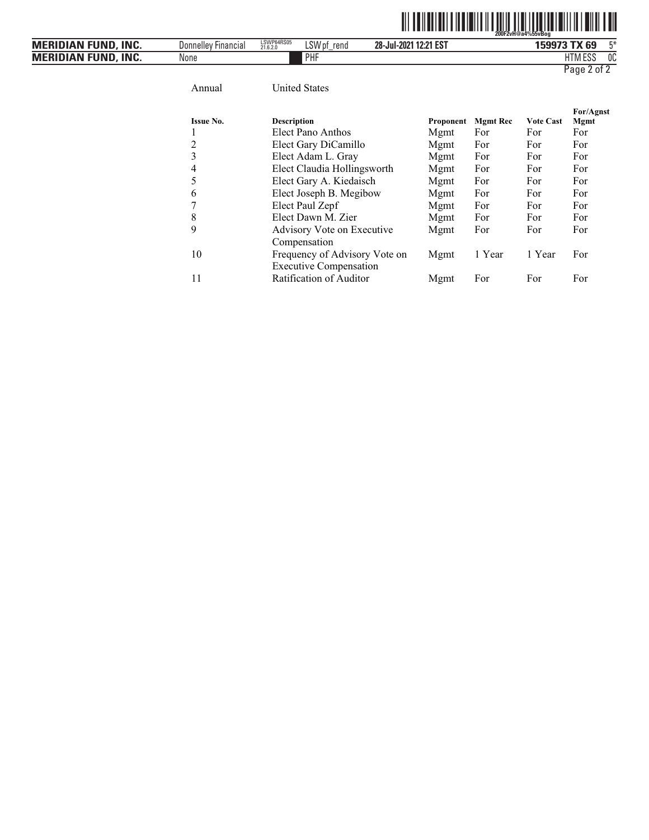

| <b>MERIDIAN FUND, INC.</b> | <b>Donnelley Financial</b> | LSWP64RS05<br>21.6.2.0  | LSW pf rend                                                    | 28-Jul-2021 12:21 EST |                 |                  | 159973 TX 69<br>$5*$ |
|----------------------------|----------------------------|-------------------------|----------------------------------------------------------------|-----------------------|-----------------|------------------|----------------------|
| <b>MERIDIAN FUND, INC.</b> | None                       | PHF                     |                                                                |                       |                 |                  | HTM ESS<br>0C        |
|                            |                            |                         |                                                                |                       |                 |                  | Page 2 of 2          |
|                            | Annual                     | <b>United States</b>    |                                                                |                       |                 |                  |                      |
|                            | <b>Issue No.</b>           | <b>Description</b>      |                                                                | Proponent             | <b>Mgmt Rec</b> | <b>Vote Cast</b> | For/Agnst<br>Mgmt    |
|                            |                            | Elect Pano Anthos       |                                                                | Mgmt                  | For             | For              | For                  |
|                            | 2                          | Elect Gary DiCamillo    |                                                                | Mgmt                  | For             | For              | For                  |
|                            | 3                          | Elect Adam L. Gray      |                                                                | Mgmt                  | For             | For              | For                  |
|                            | 4                          |                         | Elect Claudia Hollingsworth                                    | Mgmt                  | For             | For              | For                  |
|                            | 5                          |                         | Elect Gary A. Kiedaisch                                        | Mgmt                  | For             | For              | For                  |
|                            | 6                          |                         | Elect Joseph B. Megibow                                        | Mgmt                  | For             | For              | For                  |
|                            | 7                          | Elect Paul Zepf         |                                                                | Mgmt                  | For             | For              | For                  |
|                            | 8                          | Elect Dawn M. Zier      |                                                                | Mgmt                  | For             | For              | For                  |
|                            | 9                          | Compensation            | Advisory Vote on Executive                                     | Mgmt                  | For             | For              | For                  |
|                            | 10                         |                         | Frequency of Advisory Vote on<br><b>Executive Compensation</b> | Mgmt                  | 1 Year          | 1 Year           | For                  |
|                            | 11                         | Ratification of Auditor |                                                                | Mgmt                  | For             | For              | For                  |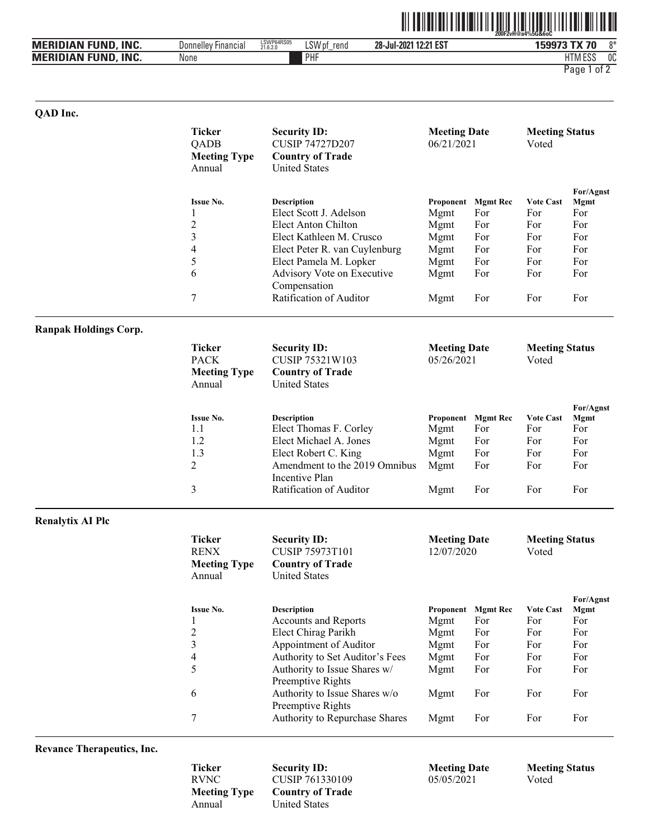| <b>MERIDIAN FUND, INC.</b>   | <b>Donnelley Financial</b> | LSWP64RS05<br>21.6.2.0<br>LSW pf_rend<br>28-Jul-2021 12:21 EST |                     |                    | 159973 TX 70          |                                 |
|------------------------------|----------------------------|----------------------------------------------------------------|---------------------|--------------------|-----------------------|---------------------------------|
| <b>MERIDIAN FUND, INC.</b>   | None                       | PHF                                                            |                     |                    |                       | <b>HTMESS</b><br>$\overline{0}$ |
|                              |                            |                                                                |                     |                    |                       | Page 1 of 2                     |
| QAD Inc.                     |                            |                                                                |                     |                    |                       |                                 |
|                              | <b>Ticker</b>              | <b>Security ID:</b>                                            | <b>Meeting Date</b> |                    | <b>Meeting Status</b> |                                 |
|                              | QADB                       | <b>CUSIP 74727D207</b>                                         | 06/21/2021          |                    | Voted                 |                                 |
|                              | <b>Meeting Type</b>        | <b>Country of Trade</b>                                        |                     |                    |                       |                                 |
|                              | Annual                     | <b>United States</b>                                           |                     |                    |                       |                                 |
|                              |                            |                                                                |                     |                    |                       | For/Agnst                       |
|                              | <b>Issue No.</b>           | Description                                                    | Proponent           | <b>Mgmt Rec</b>    | <b>Vote Cast</b>      | <b>Mgmt</b>                     |
|                              | 1                          | Elect Scott J. Adelson                                         | Mgmt                | For                | For                   | For                             |
|                              | $\overline{2}$             | <b>Elect Anton Chilton</b>                                     | Mgmt                | For                | For                   | For                             |
|                              | 3                          | Elect Kathleen M. Crusco                                       | Mgmt                | For                | For                   | For                             |
|                              | 4                          | Elect Peter R. van Cuylenburg                                  | Mgmt                | For                | For                   | For                             |
|                              | 5                          | Elect Pamela M. Lopker                                         | Mgmt                | For                | For                   | For                             |
|                              | 6                          | Advisory Vote on Executive                                     | Mgmt                | For                | For                   | For                             |
|                              |                            | Compensation                                                   |                     |                    |                       |                                 |
|                              | 7                          | Ratification of Auditor                                        | Mgmt                | For                | For                   | For                             |
| <b>Ranpak Holdings Corp.</b> |                            |                                                                |                     |                    |                       |                                 |
|                              | <b>Ticker</b>              | <b>Security ID:</b>                                            | <b>Meeting Date</b> |                    | <b>Meeting Status</b> |                                 |
|                              | <b>PACK</b>                | CUSIP 75321W103                                                | 05/26/2021          |                    | Voted                 |                                 |
|                              | <b>Meeting Type</b>        | <b>Country of Trade</b>                                        |                     |                    |                       |                                 |
|                              | Annual                     | <b>United States</b>                                           |                     |                    |                       |                                 |
|                              |                            |                                                                |                     |                    |                       | For/Agnst                       |
|                              | <b>Issue No.</b>           | Description                                                    | Proponent           | <b>Mgmt Rec</b>    | <b>Vote Cast</b>      | <b>Mgmt</b>                     |
|                              | 1.1                        | Elect Thomas F. Corley                                         | Mgmt                | For                | For                   | For                             |
|                              | 1.2                        | Elect Michael A. Jones                                         | Mgmt                | For                | For                   | For                             |
|                              | 1.3                        | Elect Robert C. King                                           | Mgmt                | For                | For                   | For                             |
|                              | $\overline{2}$             | Amendment to the 2019 Omnibus                                  | Mgmt                | For                | For                   | For                             |
|                              |                            | Incentive Plan                                                 |                     |                    |                       |                                 |
|                              | 3                          | Ratification of Auditor                                        | Mgmt                | For                | For                   | For                             |
| <b>Renalytix AI Plc</b>      |                            |                                                                |                     |                    |                       |                                 |
|                              | <b>Ticker</b>              | <b>Security ID:</b>                                            | <b>Meeting Date</b> |                    | <b>Meeting Status</b> |                                 |
|                              | <b>RENX</b>                | <b>CUSIP 75973T101</b>                                         | 12/07/2020          |                    | Voted                 |                                 |
|                              | <b>Meeting Type</b>        | <b>Country of Trade</b>                                        |                     |                    |                       |                                 |
|                              | Annual                     | <b>United States</b>                                           |                     |                    |                       |                                 |
|                              |                            |                                                                |                     |                    |                       | For/Agnst                       |
|                              | <b>Issue No.</b>           | Description                                                    |                     | Proponent Mgmt Rec | Vote Cast             | <b>Mgmt</b>                     |
|                              | 1                          | <b>Accounts and Reports</b>                                    | Mgmt                | For                | For                   | For                             |
|                              | $\overline{c}$             | Elect Chirag Parikh                                            | Mgmt                | For                | For                   | For                             |
|                              | 3                          | Appointment of Auditor                                         | Mgmt                | For                | For                   | For                             |
|                              | 4                          | Authority to Set Auditor's Fees                                | Mgmt                | For                | For                   | For                             |
|                              | 5                          | Authority to Issue Shares w/<br>Preemptive Rights              | Mgmt                | For                | For                   | For                             |
|                              | 6                          | Authority to Issue Shares w/o                                  | Mgmt                | For                | For                   | For                             |
|                              | 7                          | Preemptive Rights<br>Authority to Repurchase Shares            | Mgmt                | For                | For                   | For                             |

**Ticker Security ID: Meeting Date Meeting Status**<br>RVNC CUSIP 761330109 05/05/2021 Voted

RVNC CUSIP 761330109<br>Meeting Type Country of Trade **Meeting Type Country of Trade**<br>Annual United States

United States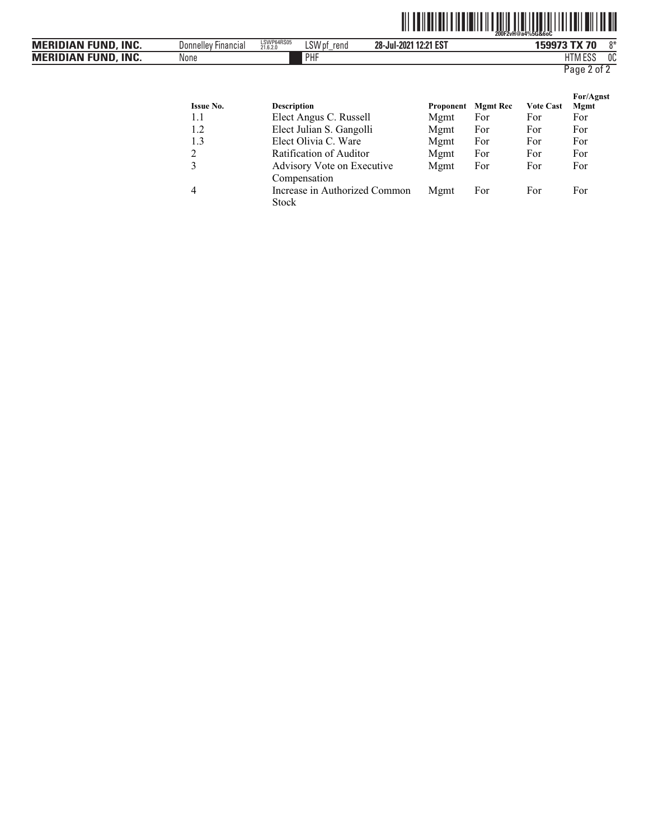

| <b>INC</b><br><b>MERIDIAN FUND</b> | Donnelley Financial | LSWP64RS05<br>21.6.2.0 | LSW <sub>pt</sub><br>rend | 28-Jul-2021 12:21 EST | 70<br>150072 1          | $0*$                                |
|------------------------------------|---------------------|------------------------|---------------------------|-----------------------|-------------------------|-------------------------------------|
| <b>INC</b><br><b>MERIDIAN FUND</b> | None                |                        | PHF                       |                       | $T^{\alpha}$<br>HIM ESS | 0C                                  |
|                                    |                     |                        |                           |                       |                         | the contract of the contract of the |

Page 2 of 2

| <b>Issue No.</b> | <b>Description</b>            | Proponent | <b>Mgmt Rec</b> | <b>Vote Cast</b> | For/Agnst<br><b>Mgmt</b> |
|------------------|-------------------------------|-----------|-----------------|------------------|--------------------------|
| 1.1              | Elect Angus C. Russell        | Mgmt      | For             | For              | For                      |
| 1.2              | Elect Julian S. Gangolli      | Mgmt      | For             | For              | For                      |
| 1.3              | Elect Olivia C. Ware          | Mgmt      | For             | For              | For                      |
| 2                | Ratification of Auditor       | Mgmt      | For             | For              | For                      |
| 3                | Advisory Vote on Executive    | Mgmt      | For             | For              | For                      |
|                  | Compensation                  |           |                 |                  |                          |
| 4                | Increase in Authorized Common | Mgmt      | For             | For              | For                      |
|                  | <b>Stock</b>                  |           |                 |                  |                          |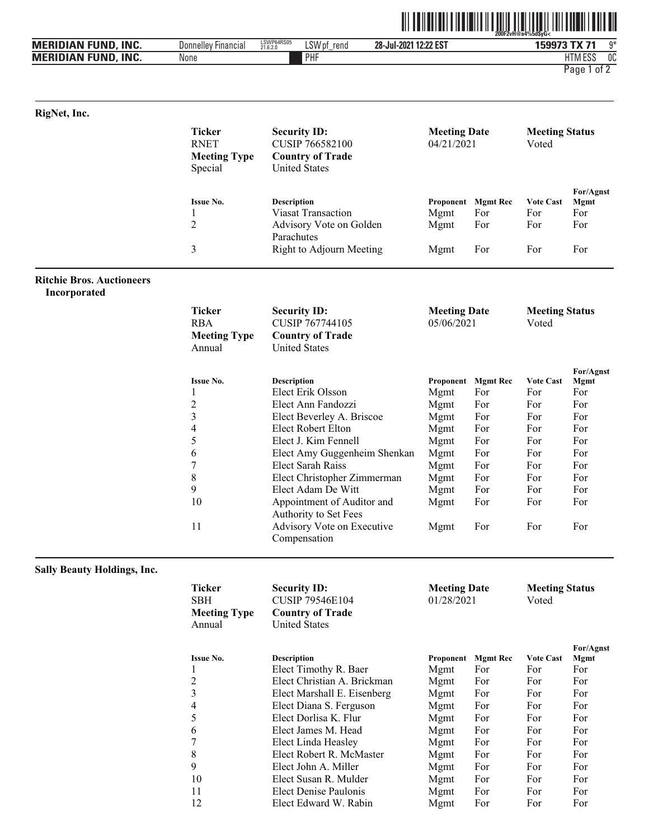| <b>MERIDIAN FUND, INC.</b>                       | <b>Donnelley Financial</b>                                     | LSWP64RS05<br>21.6.2.0<br>28-Jul-2021 12:22 EST<br>LSW pf_rend                            |                                   |                                  | 159973 TX 71                   | $9*$                                   |
|--------------------------------------------------|----------------------------------------------------------------|-------------------------------------------------------------------------------------------|-----------------------------------|----------------------------------|--------------------------------|----------------------------------------|
| <b>MERIDIAN FUND, INC.</b>                       | None                                                           | PHF                                                                                       |                                   |                                  |                                | <b>HTM ESS</b><br>0 <sup>C</sup>       |
|                                                  |                                                                |                                                                                           |                                   |                                  |                                | Page 1 of 2                            |
| RigNet, Inc.                                     |                                                                |                                                                                           |                                   |                                  |                                |                                        |
|                                                  | <b>Ticker</b><br><b>RNET</b><br><b>Meeting Type</b><br>Special | <b>Security ID:</b><br>CUSIP 766582100<br><b>Country of Trade</b><br><b>United States</b> | <b>Meeting Date</b><br>04/21/2021 |                                  | <b>Meeting Status</b><br>Voted |                                        |
|                                                  | <b>Issue No.</b><br>1<br>$\overline{c}$                        | <b>Description</b><br>Viasat Transaction<br>Advisory Vote on Golden                       | Mgmt<br>Mgmt                      | Proponent Mgmt Rec<br>For<br>For | <b>Vote Cast</b><br>For<br>For | For/Agnst<br><b>Mgmt</b><br>For<br>For |
|                                                  | 3                                                              | Parachutes<br>Right to Adjourn Meeting                                                    | Mgmt                              | For                              | For                            | For                                    |
| <b>Ritchie Bros. Auctioneers</b><br>Incorporated |                                                                |                                                                                           |                                   |                                  |                                |                                        |
|                                                  | <b>Ticker</b><br><b>RBA</b><br><b>Meeting Type</b><br>Annual   | <b>Security ID:</b><br>CUSIP 767744105<br><b>Country of Trade</b><br><b>United States</b> | <b>Meeting Date</b><br>05/06/2021 |                                  | <b>Meeting Status</b><br>Voted |                                        |
|                                                  |                                                                |                                                                                           |                                   |                                  |                                | For/Agnst                              |
|                                                  | <b>Issue No.</b>                                               | Description                                                                               | Proponent                         | <b>Mgmt Rec</b>                  | <b>Vote Cast</b>               | <b>Mgmt</b>                            |
|                                                  | 1                                                              | Elect Erik Olsson                                                                         | Mgmt                              | For                              | For                            | For                                    |
|                                                  | $\overline{c}$                                                 | Elect Ann Fandozzi                                                                        | Mgmt                              | For                              | For                            | For                                    |
|                                                  | 3                                                              | Elect Beverley A. Briscoe                                                                 | Mgmt                              | For                              | For                            | For                                    |
|                                                  | 4                                                              | Elect Robert Elton                                                                        | Mgmt                              | For                              | For                            | For                                    |
|                                                  | 5                                                              | Elect J. Kim Fennell                                                                      | Mgmt                              | For                              | For                            | For                                    |
|                                                  | 6                                                              | Elect Amy Guggenheim Shenkan                                                              | Mgmt                              | For                              | For                            | For                                    |
|                                                  | 7                                                              | <b>Elect Sarah Raiss</b>                                                                  | Mgmt                              | For                              | For                            | For                                    |
|                                                  |                                                                | Elect Christopher Zimmerman                                                               | Mgmt                              | For                              | For                            | For                                    |
|                                                  | 9                                                              | Elect Adam De Witt                                                                        | Mgmt                              | For                              | For                            | For                                    |
|                                                  | 10                                                             | Appointment of Auditor and<br>Authority to Set Fees                                       | Mgmt                              | For                              | For                            | For                                    |
|                                                  | 11                                                             | Advisory Vote on Executive<br>Compensation                                                | Mgmt                              | For                              | For                            | For                                    |
| <b>Sally Beauty Holdings, Inc.</b>               |                                                                |                                                                                           |                                   |                                  |                                |                                        |
|                                                  | <b>Ticker</b><br><b>SBH</b><br><b>Meeting Type</b><br>Annual   | <b>Security ID:</b><br>CUSIP 79546E104<br><b>Country of Trade</b><br><b>United States</b> | <b>Meeting Date</b><br>01/28/2021 |                                  | <b>Meeting Status</b><br>Voted |                                        |
|                                                  | <b>Issue No.</b>                                               | Description                                                                               |                                   | Proponent Mgmt Rec               | <b>Vote Cast</b>               | For/Agnst<br><b>Mgmt</b>               |
|                                                  | 1                                                              | Elect Timothy R. Baer                                                                     | Mgmt                              | For                              | For                            | For                                    |
|                                                  | $\overline{c}$                                                 | Elect Christian A. Brickman                                                               | Mgmt                              | For                              | For                            | For                                    |
|                                                  | 3                                                              | Elect Marshall E. Eisenberg                                                               | Mgmt                              | For                              | For                            | For                                    |
|                                                  | 4                                                              | Elect Diana S. Ferguson                                                                   | Mgmt                              | For                              | For                            | For                                    |
|                                                  | 5                                                              | Elect Dorlisa K. Flur                                                                     | Mgmt                              | For                              | For                            | For                                    |
|                                                  | 6                                                              | Elect James M. Head                                                                       | Mgmt                              | For                              | For                            | For                                    |
|                                                  | $\boldsymbol{7}$                                               | Elect Linda Heasley                                                                       | Mgmt                              | For                              | For                            | For                                    |
|                                                  | $\,$ $\,$                                                      | Elect Robert R. McMaster                                                                  | Mgmt                              | For                              | For                            | For                                    |
|                                                  | 9                                                              | Elect John A. Miller                                                                      | Mgmt                              | For                              | For                            | For                                    |
|                                                  | 10                                                             | Elect Susan R. Mulder                                                                     | Mgmt                              | For                              | For                            | For                                    |
|                                                  | 11                                                             | Elect Denise Paulonis                                                                     | Mgmt                              | For                              | For                            | For                                    |
|                                                  | 12                                                             | Elect Edward W. Rabin                                                                     | Mgmt                              | For                              | For                            | For                                    |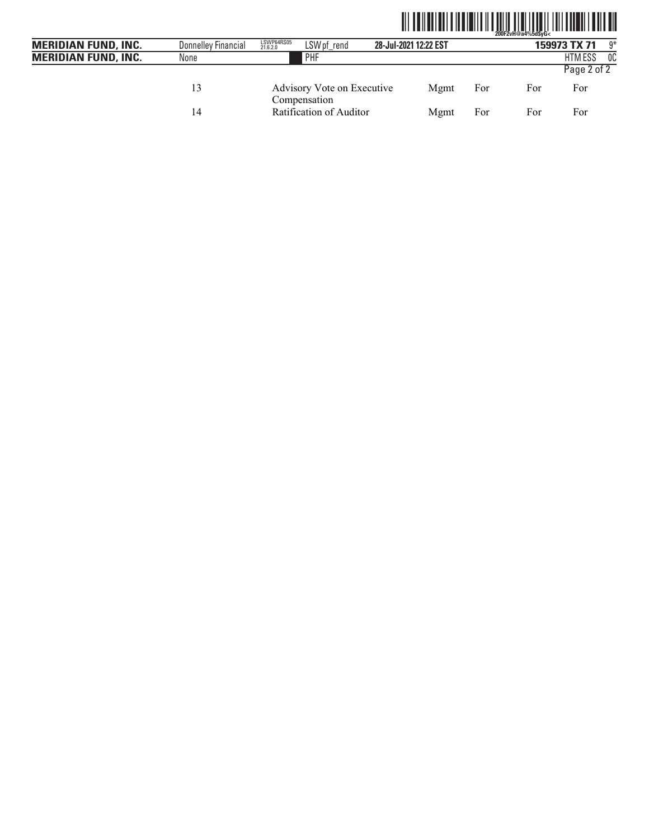

|                            |                     |                                                    |                         |                       |      | ---------------- |     |              |      |
|----------------------------|---------------------|----------------------------------------------------|-------------------------|-----------------------|------|------------------|-----|--------------|------|
| <b>MERIDIAN FUND, INC.</b> | Donnelley Financial | LSWP64RS05<br>21.6.2.0                             | LSW pf rend             | 28-Jul-2021 12:22 EST |      |                  |     | 159973 TX 71 | $9*$ |
| <b>MERIDIAN FUND, INC.</b> | None                |                                                    | PHF                     |                       |      |                  |     | HTM ESS      | 0C   |
|                            |                     |                                                    |                         |                       |      |                  |     | Page 2 of 2  |      |
|                            | 13                  | Advisory Vote on Executive<br>Mgmt<br>Compensation |                         | For                   | For  | For              |     |              |      |
|                            | 14                  |                                                    | Ratification of Auditor |                       | Mgmt | For              | For | For          |      |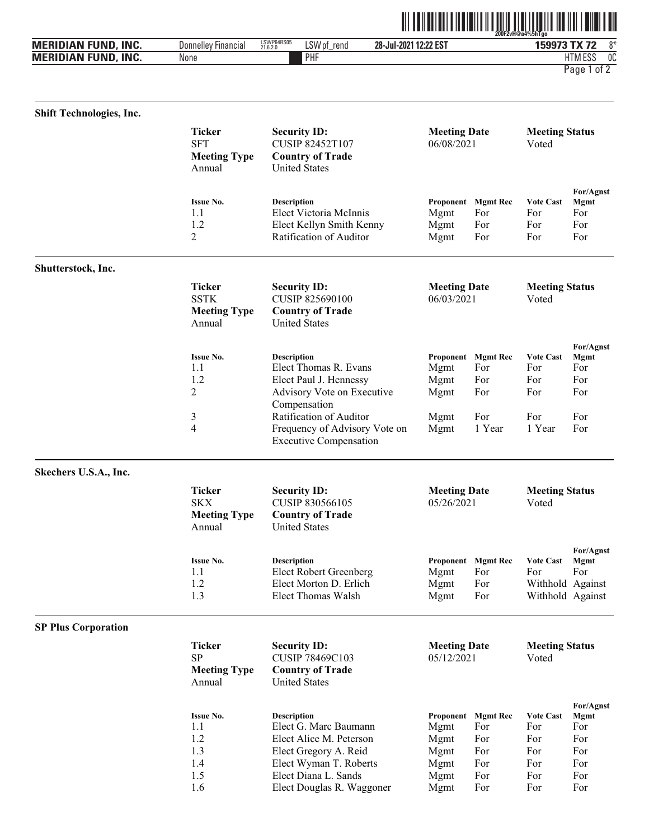| <b>MERIDIAN FUND, INC.</b> | <b>Donnelley Financial</b>                                    | LSWP64RS05<br>21.6.2.0<br>LSW pf_rend<br>28-Jul-2021 12:22 EST                                                                                                                 |                                                           |                                                           | 159973 TX 72                                                    | $8*$                                                               |
|----------------------------|---------------------------------------------------------------|--------------------------------------------------------------------------------------------------------------------------------------------------------------------------------|-----------------------------------------------------------|-----------------------------------------------------------|-----------------------------------------------------------------|--------------------------------------------------------------------|
| <b>MERIDIAN FUND, INC.</b> | None                                                          | PHF                                                                                                                                                                            |                                                           |                                                           |                                                                 | <b>HTMESS</b><br>0 <sup>C</sup><br>Page 1 of 2                     |
| Shift Technologies, Inc.   |                                                               |                                                                                                                                                                                |                                                           |                                                           |                                                                 |                                                                    |
|                            | <b>Ticker</b><br><b>SFT</b><br><b>Meeting Type</b><br>Annual  | <b>Security ID:</b><br><b>CUSIP 82452T107</b><br><b>Country of Trade</b><br><b>United States</b>                                                                               | <b>Meeting Date</b><br>06/08/2021                         |                                                           | <b>Meeting Status</b><br>Voted                                  |                                                                    |
|                            | <b>Issue No.</b><br>1.1<br>1.2<br>2                           | <b>Description</b><br>Elect Victoria McInnis<br>Elect Kellyn Smith Kenny<br>Ratification of Auditor                                                                            | Proponent<br>Mgmt<br>Mgmt<br>Mgmt                         | <b>Mgmt</b> Rec<br>For<br>For<br>For                      | <b>Vote Cast</b><br>For<br>For<br>For                           | For/Agnst<br><b>Mgmt</b><br>For<br>For<br>For                      |
| Shutterstock, Inc.         |                                                               |                                                                                                                                                                                |                                                           |                                                           |                                                                 |                                                                    |
|                            | <b>Ticker</b><br><b>SSTK</b><br><b>Meeting Type</b><br>Annual | <b>Security ID:</b><br><b>CUSIP 825690100</b><br><b>Country of Trade</b><br><b>United States</b>                                                                               | <b>Meeting Date</b><br>06/03/2021                         |                                                           | <b>Meeting Status</b><br>Voted                                  |                                                                    |
|                            | <b>Issue No.</b><br>1.1<br>1.2<br>$\overline{2}$              | <b>Description</b><br>Elect Thomas R. Evans<br>Elect Paul J. Hennessy<br>Advisory Vote on Executive                                                                            | Proponent<br>Mgmt<br>Mgmt<br>Mgmt                         | <b>Mgmt Rec</b><br>For<br>For<br>For                      | <b>Vote Cast</b><br>For<br>For<br>For                           | For/Agnst<br><b>Mgmt</b><br>For<br>For<br>For                      |
|                            | 3<br>$\overline{4}$                                           | Compensation<br>Ratification of Auditor<br>Frequency of Advisory Vote on<br><b>Executive Compensation</b>                                                                      | Mgmt<br>Mgmt                                              | For<br>1 Year                                             | For<br>1 Year                                                   | For<br>For                                                         |
| Skechers U.S.A., Inc.      |                                                               |                                                                                                                                                                                |                                                           |                                                           |                                                                 |                                                                    |
|                            | <b>Ticker</b><br><b>SKX</b><br><b>Meeting Type</b><br>Annual  | <b>Security ID:</b><br>CUSIP 830566105<br><b>Country of Trade</b><br><b>United States</b>                                                                                      | <b>Meeting Date</b><br>05/26/2021                         |                                                           | <b>Meeting Status</b><br>Voted                                  |                                                                    |
|                            | <b>Issue No.</b><br>1.1<br>1.2<br>1.3                         | <b>Description</b><br><b>Elect Robert Greenberg</b><br>Elect Morton D. Erlich<br><b>Elect Thomas Walsh</b>                                                                     | Mgmt<br>Mgmt<br>Mgmt                                      | Proponent Mgmt Rec<br>For<br>For<br>For                   | <b>Vote Cast</b><br>For<br>Withhold Against<br>Withhold Against | For/Agnst<br><b>Mgmt</b><br>For                                    |
| <b>SP Plus Corporation</b> |                                                               |                                                                                                                                                                                |                                                           |                                                           |                                                                 |                                                                    |
|                            | <b>Ticker</b><br><b>SP</b><br><b>Meeting Type</b><br>Annual   | <b>Security ID:</b><br><b>CUSIP 78469C103</b><br><b>Country of Trade</b><br><b>United States</b>                                                                               | <b>Meeting Date</b><br>05/12/2021                         |                                                           | <b>Meeting Status</b><br>Voted                                  |                                                                    |
|                            | <b>Issue No.</b><br>1.1<br>1.2<br>1.3<br>1.4<br>1.5<br>1.6    | <b>Description</b><br>Elect G. Marc Baumann<br>Elect Alice M. Peterson<br>Elect Gregory A. Reid<br>Elect Wyman T. Roberts<br>Elect Diana L. Sands<br>Elect Douglas R. Waggoner | Proponent<br>Mgmt<br>Mgmt<br>Mgmt<br>Mgmt<br>Mgmt<br>Mgmt | <b>Mgmt Rec</b><br>For<br>For<br>For<br>For<br>For<br>For | <b>Vote Cast</b><br>For<br>For<br>For<br>For<br>For<br>For      | For/Agnst<br><b>Mgmt</b><br>For<br>For<br>For<br>For<br>For<br>For |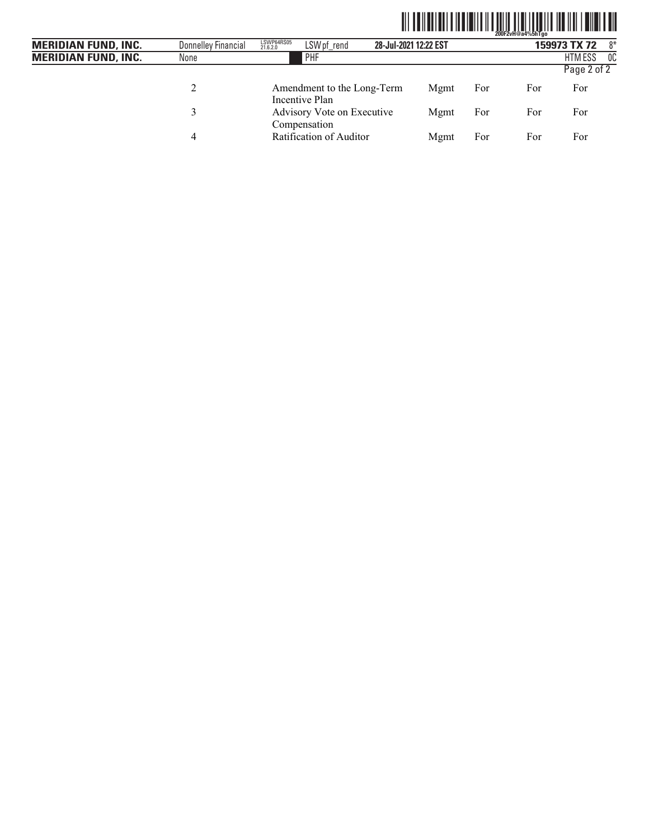

|                            |                            |                                            |                                              |                       |      |     |     | ______________ |      |  |  |
|----------------------------|----------------------------|--------------------------------------------|----------------------------------------------|-----------------------|------|-----|-----|----------------|------|--|--|
| <b>MERIDIAN FUND, INC.</b> | <b>Donnelley Financial</b> | LSWP64RS05<br>21.6.2.0                     | LSW pf_rend                                  | 28-Jul-2021 12:22 EST |      |     |     | 159973 TX 72   | $8*$ |  |  |
| <b>MERIDIAN FUND, INC.</b> | None                       |                                            | <b>PHF</b>                                   |                       |      |     |     | HTM ESS        | 0C   |  |  |
|                            |                            |                                            |                                              |                       |      |     |     | Page 2 of 2    |      |  |  |
|                            |                            |                                            | Amendment to the Long-Term<br>Incentive Plan |                       | Mgmt | For | For | For            |      |  |  |
|                            |                            | Advisory Vote on Executive<br>Compensation |                                              | Mgmt                  | For  | For | For |                |      |  |  |
|                            | 4                          |                                            | Ratification of Auditor                      |                       | Mgmt | For | For | For            |      |  |  |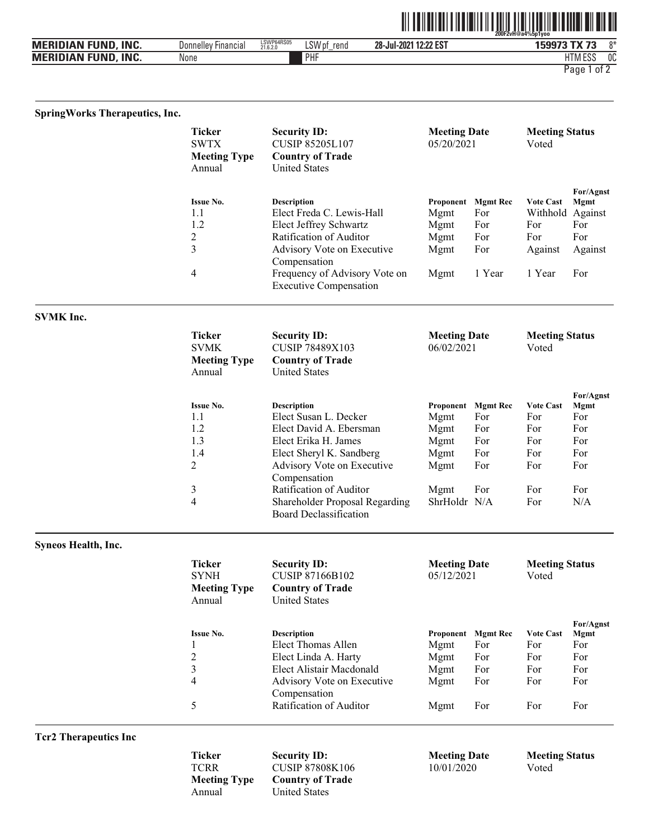|                               |                     |                        |                |                       | $\parallel$ , $\parallel$ , $\parallel$ , $\parallel$ , $\parallel$<br>200F2vH@a4%5n1voo |      |
|-------------------------------|---------------------|------------------------|----------------|-----------------------|------------------------------------------------------------------------------------------|------|
| <b>MERIDIAN FUND,</b><br>INC. | Donnelley Financial | LSWP64RS05<br>21.6.2.0 | LSW pf<br>rend | 28-Jul-2021 12:22 EST | 159973 TX 73                                                                             | $8*$ |
| <b>MERIDIAN FUND,</b><br>INC. | None                |                        | PHF            |                       | <b>HTM ESS</b>                                                                           | 0C   |

Page 1 of 2

| SpringWorks Therapeutics, Inc. |                                                               |                                                                                                                                                    |                                   |                                                |                                                               |                                                   |  |
|--------------------------------|---------------------------------------------------------------|----------------------------------------------------------------------------------------------------------------------------------------------------|-----------------------------------|------------------------------------------------|---------------------------------------------------------------|---------------------------------------------------|--|
|                                | <b>Ticker</b><br><b>SWTX</b><br><b>Meeting Type</b><br>Annual | <b>Security ID:</b><br><b>CUSIP 85205L107</b><br><b>Country of Trade</b><br><b>United States</b>                                                   | <b>Meeting Date</b><br>05/20/2021 |                                                | <b>Meeting Status</b><br>Voted                                |                                                   |  |
|                                | <b>Issue No.</b><br>1.1<br>1.2<br>2<br>3                      | <b>Description</b><br>Elect Freda C. Lewis-Hall<br>Elect Jeffrey Schwartz<br>Ratification of Auditor<br>Advisory Vote on Executive<br>Compensation | Mgmt<br>Mgmt<br>Mgmt<br>Mgmt      | Proponent Mgmt Rec<br>For<br>For<br>For<br>For | <b>Vote Cast</b><br>Withhold Against<br>For<br>For<br>Against | For/Agnst<br><b>Mgmt</b><br>For<br>For<br>Against |  |
|                                | $\overline{4}$                                                | Frequency of Advisory Vote on<br><b>Executive Compensation</b>                                                                                     | Mgmt                              | 1 Year                                         | 1 Year                                                        | For                                               |  |
| <b>SVMK Inc.</b>               |                                                               |                                                                                                                                                    |                                   |                                                |                                                               |                                                   |  |
|                                | <b>Ticker</b><br><b>SVMK</b><br><b>Meeting Type</b><br>Annual | <b>Security ID:</b><br>CUSIP 78489X103<br><b>Country of Trade</b><br><b>United States</b>                                                          | <b>Meeting Date</b><br>06/02/2021 |                                                | <b>Meeting Status</b><br>Voted                                |                                                   |  |
|                                | <b>Issue No.</b>                                              | Description                                                                                                                                        | Proponent                         | <b>Mgmt</b> Rec                                | <b>Vote Cast</b>                                              | For/Agnst<br><b>Mgmt</b>                          |  |
|                                | 1.1                                                           | Elect Susan L. Decker                                                                                                                              | Mgmt                              | For                                            | For                                                           | For                                               |  |
|                                | 1.2                                                           | Elect David A. Ebersman                                                                                                                            | Mgmt                              | For                                            | For                                                           | For                                               |  |
|                                | 1.3                                                           | Elect Erika H. James                                                                                                                               | Mgmt                              | For                                            | For                                                           | For                                               |  |
|                                | 1.4                                                           | Elect Sheryl K. Sandberg                                                                                                                           | Mgmt                              | For                                            | For                                                           | For                                               |  |
|                                | 2                                                             | Advisory Vote on Executive<br>Compensation                                                                                                         | Mgmt                              | For                                            | For                                                           | For                                               |  |
|                                | 3                                                             | Ratification of Auditor                                                                                                                            | Mgmt                              | For                                            | For                                                           | For                                               |  |
|                                | 4                                                             | Shareholder Proposal Regarding<br><b>Board Declassification</b>                                                                                    | ShrHoldr N/A                      |                                                | For                                                           | N/A                                               |  |
| Syneos Health, Inc.            |                                                               |                                                                                                                                                    |                                   |                                                |                                                               |                                                   |  |
|                                | <b>Ticker</b><br><b>SYNH</b><br><b>Meeting Type</b><br>Annual | <b>Security ID:</b><br><b>CUSIP 87166B102</b><br><b>Country of Trade</b><br><b>United States</b>                                                   | <b>Meeting Date</b><br>05/12/2021 |                                                | <b>Meeting Status</b><br>Voted                                |                                                   |  |
|                                | <b>Issue No.</b>                                              | <b>Description</b>                                                                                                                                 | Proponent                         | <b>Mgmt Rec</b>                                | <b>Vote Cast</b>                                              | For/Agnst<br><b>Mgmt</b>                          |  |
|                                |                                                               | <b>Elect Thomas Allen</b>                                                                                                                          | Mgmt                              | For                                            | For                                                           | For                                               |  |
|                                | 2                                                             | Elect Linda A. Harty                                                                                                                               | Mgmt                              | For                                            | For                                                           | For                                               |  |
|                                | 3                                                             | Elect Alistair Macdonald                                                                                                                           | Mgmt                              | For                                            | For                                                           | For                                               |  |
|                                | 4                                                             | Advisory Vote on Executive<br>Compensation                                                                                                         | Mgmt                              | For                                            | For                                                           | For                                               |  |
|                                |                                                               | Ratification of Auditor                                                                                                                            |                                   |                                                |                                                               | For                                               |  |

| Ticker                 | <b>Security ID:</b>                             | <b>Meeting Date</b> | Meeti |
|------------------------|-------------------------------------------------|---------------------|-------|
| TCRR                   | <b>CUSIP 87808K106</b>                          | 10/01/2020          | Voted |
| Meeting Type<br>Annual | <b>Country of Trade</b><br><b>United States</b> |                     |       |

**The Status**<br>**Ticker Status**<br>**Ticker Meeting Status**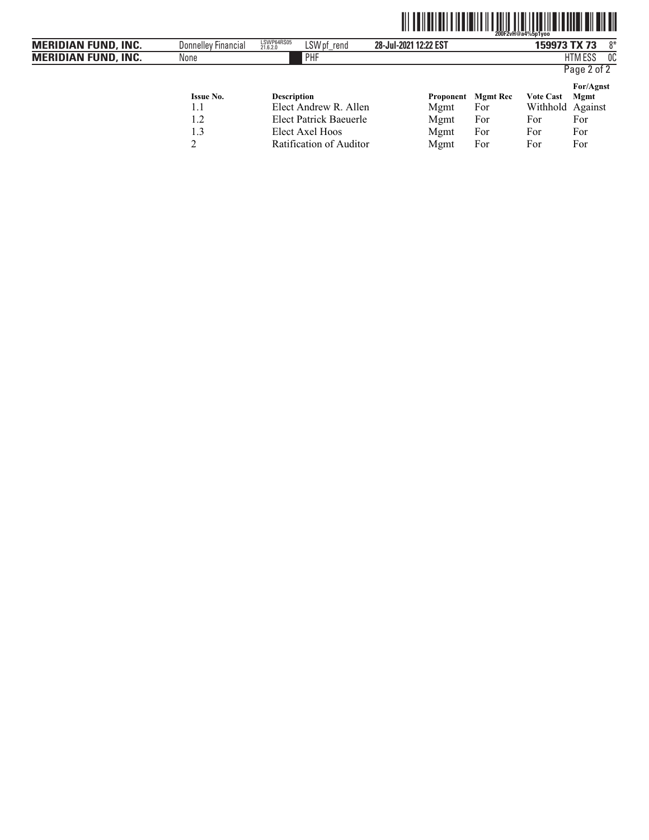

|                            |                            |                        |                         | ZUUFZVH@a4%5p1y00     |                 |                  |                      |  |  |
|----------------------------|----------------------------|------------------------|-------------------------|-----------------------|-----------------|------------------|----------------------|--|--|
| <b>MERIDIAN FUND, INC.</b> | <b>Donnelley Financial</b> | LSWP64RS05<br>21.6.2.0 | LSW pf rend             | 28-Jul-2021 12:22 EST |                 | 159973 TX 73     | $8*$                 |  |  |
| <b>MERIDIAN FUND, INC.</b> | None                       |                        | PHF                     |                       |                 |                  | 0C<br><b>HTM ESS</b> |  |  |
|                            |                            |                        |                         |                       |                 |                  | Page $2$ of $2$      |  |  |
|                            | <b>Issue No.</b>           | <b>Description</b>     |                         | Proponent             | <b>Mgmt Rec</b> | <b>Vote Cast</b> | For/Agnst<br>Mgmt    |  |  |
|                            | 1.1                        |                        | Elect Andrew R. Allen   | Mgmt                  | For             | Withhold Against |                      |  |  |
|                            | 1.2                        |                        | Elect Patrick Baeuerle  | Mgmt                  | For             | For              | For                  |  |  |
|                            | 1.3                        |                        | Elect Axel Hoos         | Mgmt                  | For             | For              | For                  |  |  |
|                            |                            |                        | Ratification of Auditor | Mgmt                  | For             | For              | For                  |  |  |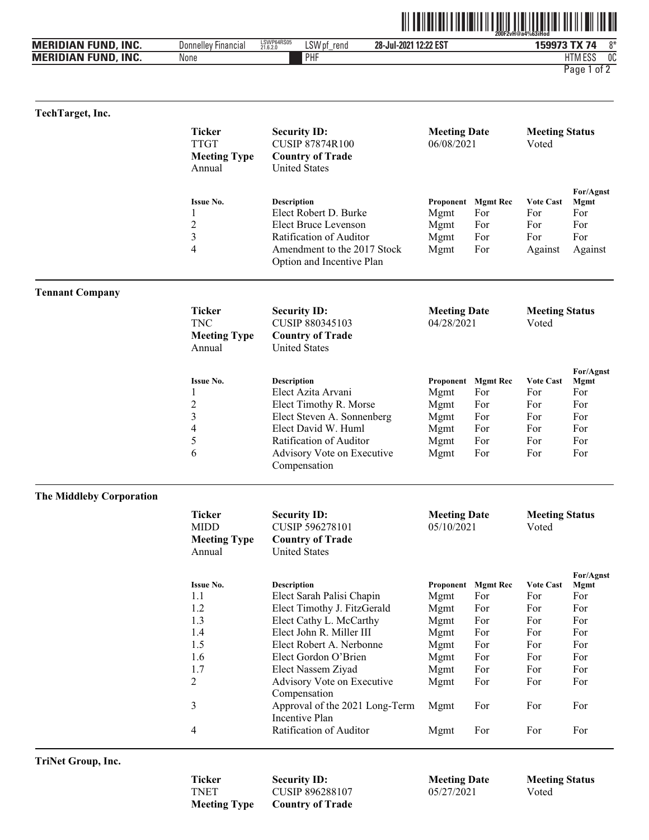| <b>MERIDIAN FUND, INC.</b>      | <b>Donnelley Financial</b>    | LSWP64RS05<br>21.6.2.0<br>LSW pf_rend<br>28-Jul-2021 12:22 EST |                     |                 | 159973 TX 74          | $8*$                                           |
|---------------------------------|-------------------------------|----------------------------------------------------------------|---------------------|-----------------|-----------------------|------------------------------------------------|
| <b>MERIDIAN FUND, INC.</b>      | None                          | PHF                                                            |                     |                 |                       | <b>HTMESS</b><br>0 <sup>C</sup><br>Page 1 of 2 |
|                                 |                               |                                                                |                     |                 |                       |                                                |
| TechTarget, Inc.                |                               |                                                                |                     |                 |                       |                                                |
|                                 | <b>Ticker</b>                 | <b>Security ID:</b>                                            | <b>Meeting Date</b> |                 | <b>Meeting Status</b> |                                                |
|                                 | <b>TTGT</b>                   | <b>CUSIP 87874R100</b>                                         | 06/08/2021          |                 | Voted                 |                                                |
|                                 | <b>Meeting Type</b>           | <b>Country of Trade</b>                                        |                     |                 |                       |                                                |
|                                 | Annual                        | <b>United States</b>                                           |                     |                 |                       |                                                |
|                                 |                               |                                                                |                     |                 |                       | For/Agnst                                      |
|                                 | <b>Issue No.</b>              | <b>Description</b>                                             | Proponent           | <b>Mgmt Rec</b> | <b>Vote Cast</b>      | <b>Mgmt</b>                                    |
|                                 | 1                             | Elect Robert D. Burke                                          | Mgmt                | For             | For                   | For                                            |
|                                 | $\overline{c}$                | <b>Elect Bruce Levenson</b>                                    | Mgmt                | For             | For                   | For                                            |
|                                 | 3                             | Ratification of Auditor                                        | Mgmt                | For             | For                   | For                                            |
|                                 | 4                             | Amendment to the 2017 Stock<br>Option and Incentive Plan       | Mgmt                | For             | Against               | Against                                        |
| <b>Tennant Company</b>          |                               |                                                                |                     |                 |                       |                                                |
|                                 | <b>Ticker</b>                 | <b>Security ID:</b>                                            | <b>Meeting Date</b> |                 | <b>Meeting Status</b> |                                                |
|                                 | <b>TNC</b>                    | CUSIP 880345103                                                | 04/28/2021          |                 | Voted                 |                                                |
|                                 | <b>Meeting Type</b>           | <b>Country of Trade</b>                                        |                     |                 |                       |                                                |
|                                 | Annual                        | <b>United States</b>                                           |                     |                 |                       |                                                |
|                                 |                               |                                                                |                     |                 |                       | For/Agnst                                      |
|                                 | <b>Issue No.</b>              | <b>Description</b>                                             | Proponent           | <b>Mgmt Rec</b> | <b>Vote Cast</b>      | <b>Mgmt</b>                                    |
|                                 |                               | Elect Azita Arvani                                             | Mgmt                | For             | For                   | For                                            |
|                                 | $\overline{c}$                | Elect Timothy R. Morse                                         | Mgmt                | For             | For                   | For                                            |
|                                 | 3                             | Elect Steven A. Sonnenberg                                     | Mgmt                | For             | For                   | For                                            |
|                                 | 4<br>5                        | Elect David W. Huml<br>Ratification of Auditor                 | Mgmt                | For             | For<br>For            | For<br>For                                     |
|                                 | 6                             | Advisory Vote on Executive                                     | Mgmt                | For<br>For      | For                   | For                                            |
|                                 |                               | Compensation                                                   | Mgmt                |                 |                       |                                                |
| <b>The Middleby Corporation</b> |                               |                                                                |                     |                 |                       |                                                |
|                                 | <b>Ticker</b>                 | <b>Security ID:</b>                                            | <b>Meeting Date</b> |                 | <b>Meeting Status</b> |                                                |
|                                 | <b>MIDD</b>                   | CUSIP 596278101                                                | 05/10/2021          |                 | Voted                 |                                                |
|                                 | <b>Meeting Type</b><br>Annual | <b>Country of Trade</b><br><b>United States</b>                |                     |                 |                       |                                                |
|                                 |                               |                                                                |                     |                 |                       | For/Agnst                                      |
|                                 | <b>Issue No.</b>              | <b>Description</b>                                             | Proponent           | <b>Mgmt Rec</b> | <b>Vote Cast</b>      | <b>Mgmt</b>                                    |
|                                 | 1.1                           | Elect Sarah Palisi Chapin                                      | Mgmt                | For             | For                   | For                                            |
|                                 | 1.2<br>1.3                    | Elect Timothy J. FitzGerald<br>Elect Cathy L. McCarthy         | Mgmt<br>Mgmt        | For<br>For      | For<br>For            | For<br>For                                     |
|                                 | 1.4                           | Elect John R. Miller III                                       | Mgmt                | For             | For                   | For                                            |
|                                 | 1.5                           | Elect Robert A. Nerbonne                                       | Mgmt                | For             | For                   | For                                            |
|                                 | 1.6                           | Elect Gordon O'Brien                                           | Mgmt                | For             | For                   | For                                            |
|                                 | 1.7                           | Elect Nassem Ziyad                                             | Mgmt                | For             | For                   | For                                            |
|                                 | 2                             | Advisory Vote on Executive<br>Compensation                     | Mgmt                | For             | For                   | For                                            |
|                                 | 3                             | Approval of the 2021 Long-Term<br><b>Incentive Plan</b>        | Mgmt                | For             | For                   | For                                            |
|                                 | 4                             | Ratification of Auditor                                        | Mgmt                | For             | For                   | For                                            |
|                                 |                               |                                                                |                     |                 |                       |                                                |

**TriNet Group, Inc.**

| Ticker              | <b>Security ID:</b>     | <b>Meeting Date</b> | <b>Meeting Status</b> |
|---------------------|-------------------------|---------------------|-----------------------|
| <b>TNET</b>         | CUSIP 896288107         | 05/27/2021          | Voted                 |
| <b>Meeting Type</b> | <b>Country of Trade</b> |                     |                       |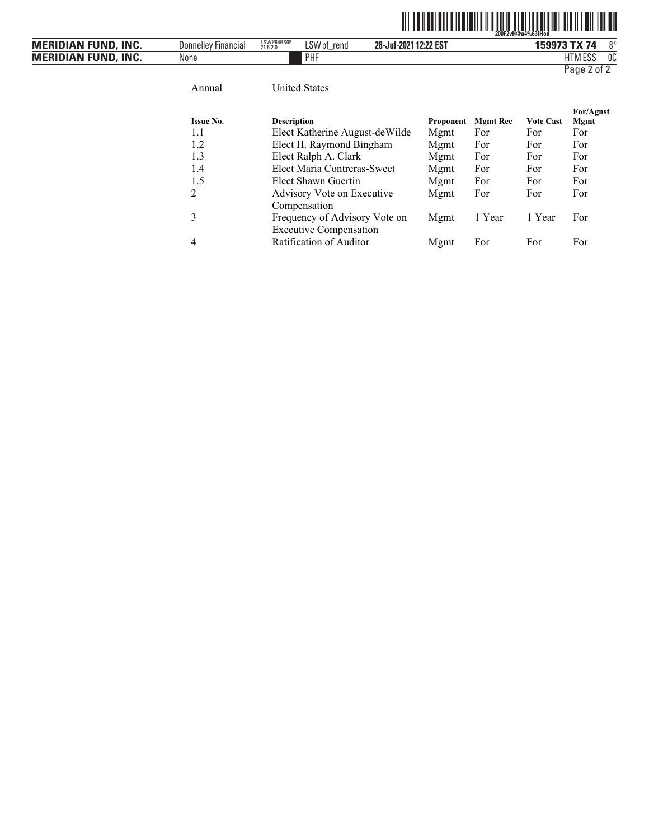

| <b>MERIDIAN FUND, INC.</b> | Donnelley Financial | LSWP64RS05<br>LSW pf_rend<br>28-Jul-2021 12:22 EST<br>21.6.2.0 |                                                                |  |           | $8*$<br>159973 TX 74 |                  |                   |
|----------------------------|---------------------|----------------------------------------------------------------|----------------------------------------------------------------|--|-----------|----------------------|------------------|-------------------|
| <b>MERIDIAN FUND, INC.</b> | None                |                                                                | PHF                                                            |  |           |                      |                  | 0C<br>HTM ESS     |
|                            | Annual              |                                                                | <b>United States</b>                                           |  |           |                      |                  | Page 2 of 2       |
|                            | <b>Issue No.</b>    | <b>Description</b>                                             |                                                                |  | Proponent | <b>Mgmt</b> Rec      | <b>Vote Cast</b> | For/Agnst<br>Mgmt |
|                            | 1.1                 |                                                                | Elect Katherine August-de Wilde                                |  | Mgmt      | For                  | For              | For               |
|                            | 1.2                 |                                                                | Elect H. Raymond Bingham                                       |  | Mgmt      | For                  | For              | For               |
|                            | 1.3                 |                                                                | Elect Ralph A. Clark                                           |  | Mgmt      | For                  | For              | For               |
|                            | 1.4                 |                                                                | Elect Maria Contreras-Sweet                                    |  | Mgmt      | For                  | For              | For               |
|                            | 1.5                 |                                                                | Elect Shawn Guertin                                            |  | Mgmt      | For                  | For              | For               |
|                            | 2                   |                                                                | Advisory Vote on Executive<br>Compensation                     |  | Mgmt      | For                  | For              | For               |
|                            | 3                   |                                                                | Frequency of Advisory Vote on<br><b>Executive Compensation</b> |  | Mgmt      | 1 Year               | 1 Year           | For               |
|                            | 4                   |                                                                | Ratification of Auditor                                        |  | Mgmt      | For                  | For              | For               |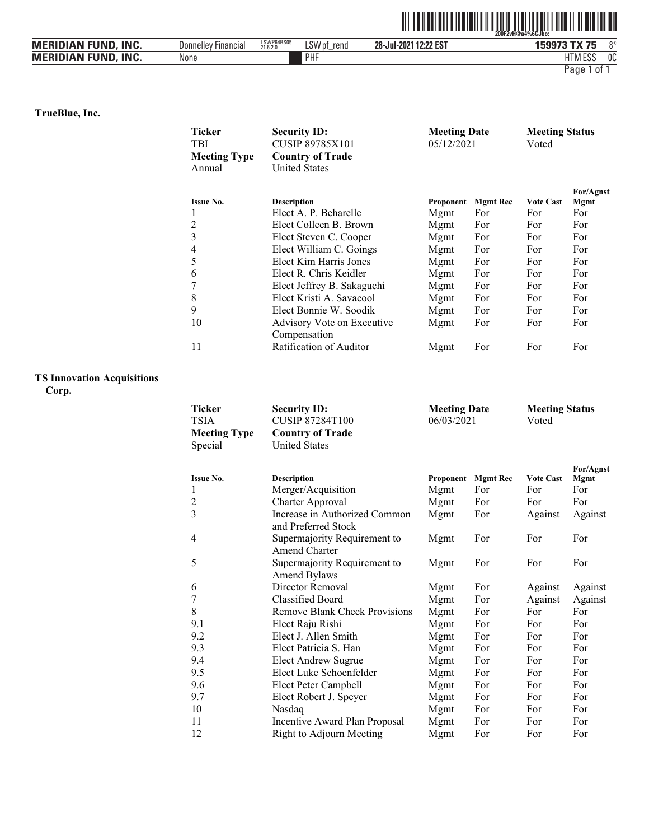| <b>MERIDIAN FUND, INC.</b>                 | <b>Donnelley Financial</b>                                   | LSWP64RS05<br>21.6.2.0<br>LSW pf_rend                                                            | 28-Jul-2021 12:22 EST             |                                   | 159973 TX 75                   | $8*$                             |
|--------------------------------------------|--------------------------------------------------------------|--------------------------------------------------------------------------------------------------|-----------------------------------|-----------------------------------|--------------------------------|----------------------------------|
| <b>MERIDIAN FUND, INC.</b>                 | None                                                         | PHF                                                                                              |                                   |                                   |                                | 0 <sup>C</sup><br><b>HTM ESS</b> |
|                                            |                                                              |                                                                                                  |                                   |                                   |                                | Page 1 of 1                      |
| TrueBlue, Inc.                             |                                                              |                                                                                                  |                                   |                                   |                                |                                  |
|                                            | <b>Ticker</b><br><b>TBI</b><br><b>Meeting Type</b><br>Annual | <b>Security ID:</b><br><b>CUSIP 89785X101</b><br><b>Country of Trade</b><br><b>United States</b> |                                   | <b>Meeting Date</b><br>05/12/2021 |                                | <b>Meeting Status</b>            |
|                                            | <b>Issue No.</b>                                             | <b>Description</b>                                                                               | Proponent                         | <b>Mgmt Rec</b>                   | <b>Vote Cast</b>               | For/Agnst<br><b>Mgmt</b>         |
|                                            | 1                                                            | Elect A. P. Beharelle                                                                            | Mgmt                              | For                               | For                            | For                              |
|                                            | $\overline{c}$                                               | Elect Colleen B. Brown                                                                           | Mgmt                              | For                               | For                            | For                              |
|                                            | 3                                                            | Elect Steven C. Cooper                                                                           | Mgmt                              | For                               | For                            | For                              |
|                                            | 4                                                            | Elect William C. Goings                                                                          | Mgmt                              | For                               | For                            | For                              |
|                                            | 5                                                            | Elect Kim Harris Jones                                                                           | Mgmt                              | For                               | For                            | For                              |
|                                            | 6                                                            | Elect R. Chris Keidler                                                                           | Mgmt                              | For                               | For                            | For                              |
|                                            | 7                                                            | Elect Jeffrey B. Sakaguchi                                                                       | Mgmt                              | For                               | For                            | For                              |
|                                            | 8                                                            | Elect Kristi A. Savacool                                                                         | Mgmt                              | For                               | For                            | For                              |
|                                            | 9                                                            | Elect Bonnie W. Soodik                                                                           | Mgmt                              | For                               | For                            | For                              |
|                                            | 10                                                           | Advisory Vote on Executive<br>Compensation                                                       | Mgmt                              | For                               | For                            | For                              |
|                                            | 11                                                           | Ratification of Auditor                                                                          | Mgmt                              | For                               | For                            | For                              |
| <b>TS Innovation Acquisitions</b><br>Corp. |                                                              |                                                                                                  |                                   |                                   |                                |                                  |
|                                            | <b>Ticker</b><br><b>TSIA</b>                                 | <b>Security ID:</b><br><b>CUSIP 87284T100</b>                                                    | <b>Meeting Date</b><br>06/03/2021 |                                   | <b>Meeting Status</b><br>Voted |                                  |

| <b>Meeting Type</b><br>Special | <b>Country of Trade</b><br><b>United States</b>      |           |                 |                  |                          |
|--------------------------------|------------------------------------------------------|-----------|-----------------|------------------|--------------------------|
| <b>Issue No.</b>               | <b>Description</b>                                   | Proponent | <b>Mgmt</b> Rec | <b>Vote Cast</b> | For/Agnst<br><b>Mgmt</b> |
| 1                              | Merger/Acquisition                                   | Mgmt      | For             | For              | For                      |
| 2                              | Charter Approval                                     | Mgmt      | For             | For              | For                      |
| 3                              | Increase in Authorized Common<br>and Preferred Stock | Mgmt      | For             | Against          | Against                  |
| 4                              | Supermajority Requirement to<br>Amend Charter        | Mgmt      | For             | For              | For                      |
| 5                              | Supermajority Requirement to<br>Amend Bylaws         | Mgmt      | For             | For              | For                      |
| 6                              | Director Removal                                     | Mgmt      | For             | Against          | Against                  |
| 7                              | <b>Classified Board</b>                              | Mgmt      | For             | Against          | Against                  |
| 8                              | <b>Remove Blank Check Provisions</b>                 | Mgmt      | For             | For              | For                      |
| 9.1                            | Elect Raju Rishi                                     | Mgmt      | For             | For              | For                      |
| 9.2                            | Elect J. Allen Smith                                 | Mgmt      | For             | For              | For                      |
| 9.3                            | Elect Patricia S. Han                                | Mgmt      | For             | For              | For                      |
| 9.4                            | Elect Andrew Sugrue                                  | Mgmt      | For             | For              | For                      |
| 9.5                            | Elect Luke Schoenfelder                              | Mgmt      | For             | For              | For                      |
| 9.6                            | Elect Peter Campbell                                 | Mgmt      | For             | For              | For                      |
| 9.7                            | Elect Robert J. Speyer                               | Mgmt      | For             | For              | For                      |
| 10                             | Nasdaq                                               | Mgmt      | For             | For              | For                      |
| 11                             | Incentive Award Plan Proposal                        | Mgmt      | For             | For              | For                      |
| 12                             | Right to Adjourn Meeting                             | Mgmt      | For             | For              | For                      |
|                                |                                                      |           |                 |                  |                          |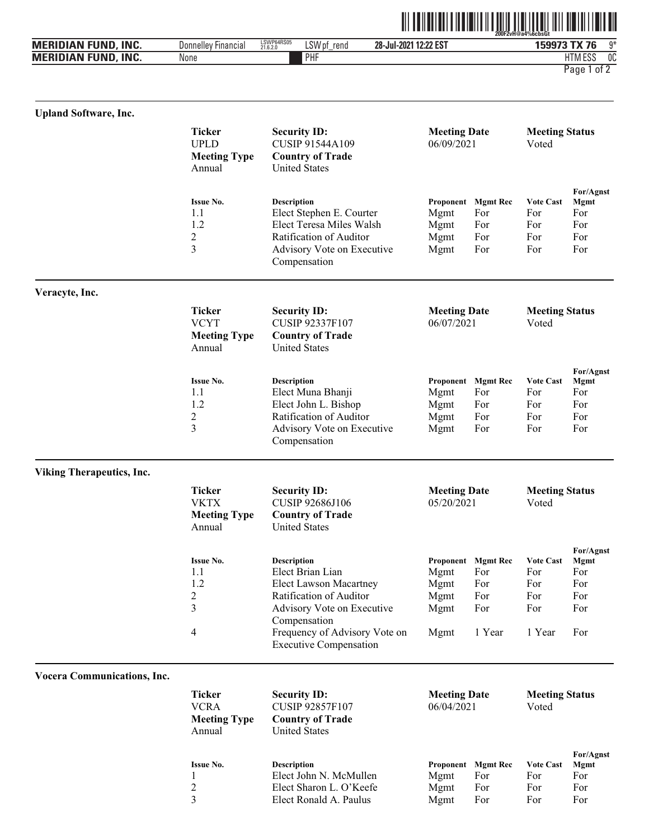| <b>MERIDIAN FUND, INC.</b>       | <b>Donnelley Financial</b>                                    | LSWP64RS05<br>21.6.2.0<br>LSW pf_rend<br>28-Jul-2021 12:22 EST                                                                               |                                           |                                             | 159973 TX 76                                 | $9*$                                                 |
|----------------------------------|---------------------------------------------------------------|----------------------------------------------------------------------------------------------------------------------------------------------|-------------------------------------------|---------------------------------------------|----------------------------------------------|------------------------------------------------------|
| <b>MERIDIAN FUND, INC.</b>       | None                                                          | PHF                                                                                                                                          |                                           |                                             |                                              | <b>HTMESS</b><br>0 <sup>C</sup><br>Page 1 of 2       |
| <b>Upland Software, Inc.</b>     |                                                               |                                                                                                                                              |                                           |                                             |                                              |                                                      |
|                                  | <b>Ticker</b><br><b>UPLD</b><br><b>Meeting Type</b><br>Annual | <b>Security ID:</b><br>CUSIP 91544A109<br><b>Country of Trade</b><br><b>United States</b>                                                    |                                           | <b>Meeting Date</b><br>06/09/2021           |                                              | <b>Meeting Status</b>                                |
|                                  | <b>Issue No.</b><br>1.1<br>1.2<br>2<br>$\overline{3}$         | Description<br>Elect Stephen E. Courter<br>Elect Teresa Miles Walsh<br>Ratification of Auditor<br>Advisory Vote on Executive<br>Compensation | Proponent<br>Mgmt<br>Mgmt<br>Mgmt<br>Mgmt | <b>Mgmt Rec</b><br>For<br>For<br>For<br>For | <b>Vote Cast</b><br>For<br>For<br>For<br>For | For/Agnst<br><b>Mgmt</b><br>For<br>For<br>For<br>For |
| Veracyte, Inc.                   |                                                               |                                                                                                                                              |                                           |                                             |                                              |                                                      |
|                                  | <b>Ticker</b><br><b>VCYT</b><br><b>Meeting Type</b><br>Annual | <b>Security ID:</b><br>CUSIP 92337F107<br><b>Country of Trade</b><br><b>United States</b>                                                    | <b>Meeting Date</b><br>06/07/2021         |                                             | <b>Meeting Status</b><br>Voted               |                                                      |
|                                  | <b>Issue No.</b><br>1.1<br>1.2<br>2<br>3                      | Description<br>Elect Muna Bhanji<br>Elect John L. Bishop<br>Ratification of Auditor<br>Advisory Vote on Executive<br>Compensation            | Proponent<br>Mgmt<br>Mgmt<br>Mgmt<br>Mgmt | <b>Mgmt Rec</b><br>For<br>For<br>For<br>For | <b>Vote Cast</b><br>For<br>For<br>For<br>For | For/Agnst<br><b>Mgmt</b><br>For<br>For<br>For<br>For |
| <b>Viking Therapeutics, Inc.</b> |                                                               |                                                                                                                                              |                                           |                                             |                                              |                                                      |
|                                  | <b>Ticker</b><br><b>VKTX</b><br><b>Meeting Type</b><br>Annual | <b>Security ID:</b><br>CUSIP 92686J106<br><b>Country of Trade</b><br><b>United States</b>                                                    | <b>Meeting Date</b><br>05/20/2021         |                                             | <b>Meeting Status</b><br>Voted               |                                                      |
|                                  | <b>Issue No.</b><br>1.1                                       | <b>Description</b><br>Elect Brian Lian                                                                                                       | Mgmt                                      | Proponent Mgmt Rec<br>For                   | <b>Vote Cast</b><br>For                      | For/Agnst<br><b>Mgmt</b><br>For                      |
|                                  | 1.2<br>2<br>3                                                 | <b>Elect Lawson Macartney</b><br>Ratification of Auditor<br>Advisory Vote on Executive<br>Compensation                                       | Mgmt<br>Mgmt<br>Mgmt                      | For<br>For<br>For                           | For<br>For<br>For                            | For<br>For<br>For                                    |
|                                  | 4                                                             | Frequency of Advisory Vote on<br><b>Executive Compensation</b>                                                                               | Mgmt                                      | 1 Year                                      | 1 Year                                       | For                                                  |
| Vocera Communications, Inc.      |                                                               |                                                                                                                                              |                                           |                                             |                                              |                                                      |
|                                  | <b>Ticker</b><br><b>VCRA</b><br><b>Meeting Type</b><br>Annual | <b>Security ID:</b><br><b>CUSIP 92857F107</b><br><b>Country of Trade</b><br><b>United States</b>                                             |                                           | <b>Meeting Date</b><br>06/04/2021           |                                              | <b>Meeting Status</b>                                |
|                                  | <b>Issue No.</b><br>1<br>$\overline{c}$<br>3                  | Description<br>Elect John N. McMullen<br>Elect Sharon L. O'Keefe<br>Elect Ronald A. Paulus                                                   | Mgmt<br>Mgmt<br>Mgmt                      | Proponent Mgmt Rec<br>For<br>For<br>For     | <b>Vote Cast</b><br>For<br>For<br>For        | For/Agnst<br><b>Mgmt</b><br>For<br>For<br>For        |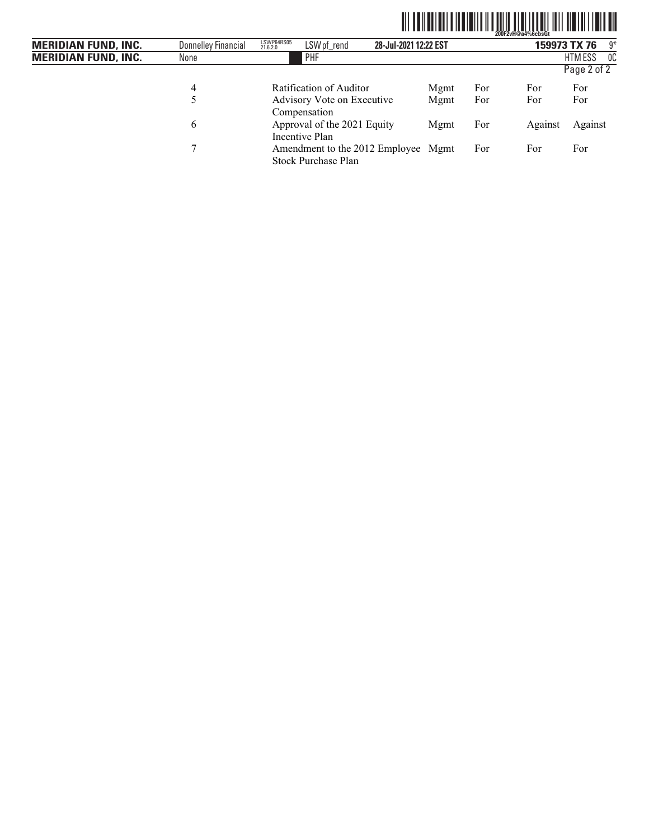

|                            |                            |                         |                                                            | 100111841             |      |     |         |                      |
|----------------------------|----------------------------|-------------------------|------------------------------------------------------------|-----------------------|------|-----|---------|----------------------|
| <b>MERIDIAN FUND, INC.</b> | <b>Donnelley Financial</b> | LSWP64RS05<br>21.6.2.0  | LSW pf rend                                                | 28-Jul-2021 12:22 EST |      |     |         | $9*$<br>159973 TX 76 |
| <b>MERIDIAN FUND, INC.</b> | None                       |                         | PHF                                                        |                       |      |     |         | 0C<br><b>HTM ESS</b> |
|                            |                            |                         |                                                            |                       |      |     |         | Page $2$ of $2$      |
|                            | 4                          | Ratification of Auditor |                                                            | Mgmt                  | For  | For | For     |                      |
|                            |                            |                         | Advisory Vote on Executive<br>Compensation                 |                       | Mgmt | For | For     | For                  |
|                            | 6                          |                         | Approval of the 2021 Equity<br>Incentive Plan              |                       | Mgmt | For | Against | Against              |
|                            |                            |                         | Amendment to the 2012 Employee Mgmt<br>Stock Purchase Plan |                       |      | For | For     | For                  |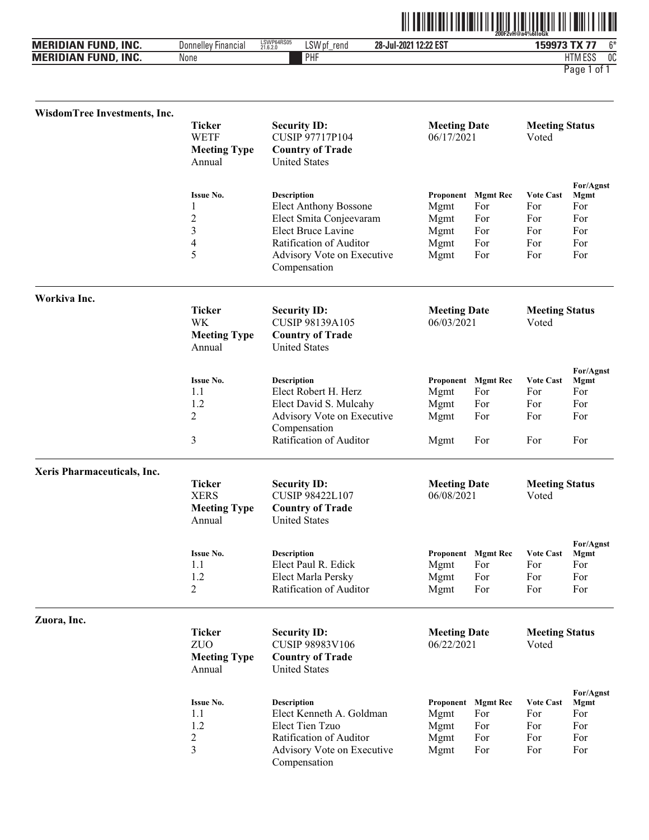| <b>MERIDIAN FUND, INC.</b>   | <b>Donnelley Financial</b>                                    | LSWP64RS05<br>21.6.2.0<br>LSW pf_rend                                                                                                                                               | 28-Jul-2021 12:22 EST                             |                                                    | 159973 TX 77                                        | $6*$                                                        |  |
|------------------------------|---------------------------------------------------------------|-------------------------------------------------------------------------------------------------------------------------------------------------------------------------------------|---------------------------------------------------|----------------------------------------------------|-----------------------------------------------------|-------------------------------------------------------------|--|
| <b>MERIDIAN FUND, INC.</b>   | None                                                          | PHF                                                                                                                                                                                 |                                                   |                                                    |                                                     | HTM ESS<br>0 <sup>C</sup><br>Page 1 of 1                    |  |
|                              |                                                               |                                                                                                                                                                                     |                                                   |                                                    |                                                     |                                                             |  |
| WisdomTree Investments, Inc. | <b>Ticker</b><br><b>WETF</b><br><b>Meeting Type</b><br>Annual | <b>Security ID:</b><br>CUSIP 97717P104<br><b>Country of Trade</b><br><b>United States</b>                                                                                           |                                                   | <b>Meeting Date</b><br>06/17/2021                  |                                                     | <b>Meeting Status</b>                                       |  |
|                              | <b>Issue No.</b><br>1<br>2<br>3<br>4<br>5                     | <b>Description</b><br><b>Elect Anthony Bossone</b><br>Elect Smita Conjeevaram<br><b>Elect Bruce Lavine</b><br>Ratification of Auditor<br>Advisory Vote on Executive<br>Compensation | Proponent<br>Mgmt<br>Mgmt<br>Mgmt<br>Mgmt<br>Mgmt | <b>Mgmt Rec</b><br>For<br>For<br>For<br>For<br>For | <b>Vote Cast</b><br>For<br>For<br>For<br>For<br>For | For/Agnst<br><b>Mgmt</b><br>For<br>For<br>For<br>For<br>For |  |
| Workiva Inc.                 |                                                               |                                                                                                                                                                                     |                                                   |                                                    |                                                     |                                                             |  |
|                              | <b>Ticker</b><br>WK<br><b>Meeting Type</b><br>Annual          | <b>Security ID:</b><br>CUSIP 98139A105<br><b>Country of Trade</b><br><b>United States</b>                                                                                           |                                                   | <b>Meeting Date</b><br>06/03/2021                  |                                                     | <b>Meeting Status</b><br>Voted                              |  |
|                              | <b>Issue No.</b><br>1.1<br>1.2<br>2                           | <b>Description</b><br>Elect Robert H. Herz<br>Elect David S. Mulcahy<br>Advisory Vote on Executive                                                                                  | Proponent<br>Mgmt<br>Mgmt<br>Mgmt                 | <b>Mgmt Rec</b><br>For<br>For<br>For               | <b>Vote Cast</b><br>For<br>For<br>For               | For/Agnst<br><b>Mgmt</b><br>For<br>For<br>For               |  |
|                              | 3                                                             | Compensation<br>Ratification of Auditor                                                                                                                                             | Mgmt                                              | For                                                | For                                                 | For                                                         |  |
| Xeris Pharmaceuticals, Inc.  |                                                               |                                                                                                                                                                                     |                                                   |                                                    |                                                     |                                                             |  |
|                              | <b>Ticker</b><br><b>XERS</b><br><b>Meeting Type</b><br>Annual | <b>Security ID:</b><br><b>CUSIP 98422L107</b><br><b>Country of Trade</b><br><b>United States</b>                                                                                    | <b>Meeting Date</b><br>06/08/2021                 |                                                    | <b>Meeting Status</b><br>Voted                      |                                                             |  |
|                              | <b>Issue No.</b><br>1.1<br>1.2                                | Description<br>Elect Paul R. Edick<br>Elect Marla Persky                                                                                                                            | Mgmt<br>Mgmt                                      | Proponent Mgmt Rec<br>For<br>For                   | <b>Vote Cast</b><br>For<br>For                      | For/Agnst<br><b>Mgmt</b><br>For<br>For                      |  |
|                              | $\overline{2}$                                                | Ratification of Auditor                                                                                                                                                             | Mgmt                                              | For                                                | For                                                 | For                                                         |  |
| Zuora, Inc.                  | <b>Ticker</b><br><b>ZUO</b><br><b>Meeting Type</b><br>Annual  | <b>Security ID:</b><br>CUSIP 98983V106<br><b>Country of Trade</b><br><b>United States</b>                                                                                           |                                                   | <b>Meeting Date</b><br>06/22/2021                  |                                                     | <b>Meeting Status</b>                                       |  |
|                              | <b>Issue No.</b><br>1.1<br>1.2<br>2<br>3                      | Description<br>Elect Kenneth A. Goldman<br>Elect Tien Tzuo<br>Ratification of Auditor<br>Advisory Vote on Executive<br>Compensation                                                 | Mgmt<br>Mgmt<br>Mgmt<br>Mgmt                      | Proponent Mgmt Rec<br>For<br>For<br>For<br>For     | <b>Vote Cast</b><br>For<br>For<br>For<br>For        | For/Agnst<br><b>Mgmt</b><br>For<br>For<br>For<br>For        |  |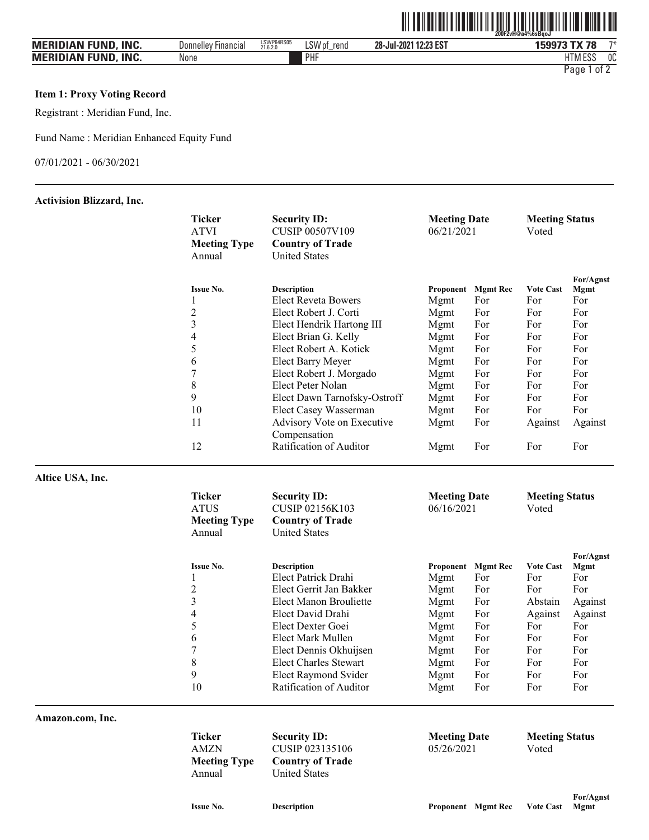|                            |                     |                        |             |                       | <u> 111   111   111   111   111   111   111   111   111   111   111   111   111   111   111   111   111   1</u><br>200F2vH@a4%6sBuoJ |
|----------------------------|---------------------|------------------------|-------------|-----------------------|--------------------------------------------------------------------------------------------------------------------------------------|
| <b>MERIDIAN FUND, INC.</b> | Donnelley Financial | LSWP64RS05<br>21.6.2.0 | LSW pf rend | 28-Jul-2021 12:23 EST | $7*$<br>159973 TX 78                                                                                                                 |
| <b>MERIDIAN FUND, INC.</b> | None                |                        | PHF         |                       | 0C<br>HTM ESS                                                                                                                        |
|                            |                     |                        |             |                       | Page 1 of 2                                                                                                                          |

### **Item 1: Proxy Voting Record**

Registrant : Meridian Fund, Inc.

Fund Name : Meridian Enhanced Equity Fund

07/01/2021 - 06/30/2021

#### **Activision Blizzard, Inc.**

| <b>Ticker</b><br><b>ATVI</b><br><b>Meeting Type</b><br>Annual | <b>Security ID:</b><br>CUSIP 00507V109<br><b>Country of Trade</b><br><b>United States</b> | <b>Meeting Date</b><br>06/21/2021 |                 | <b>Meeting Status</b><br>Voted |            |  |
|---------------------------------------------------------------|-------------------------------------------------------------------------------------------|-----------------------------------|-----------------|--------------------------------|------------|--|
|                                                               |                                                                                           |                                   |                 |                                | For/Agnst  |  |
| <b>Issue No.</b>                                              | <b>Description</b>                                                                        | Proponent                         | <b>Mgmt Rec</b> | <b>Vote Cast</b>               | Mgmt       |  |
| 1                                                             | <b>Elect Reveta Bowers</b>                                                                | Mgmt                              | For             | For                            | For        |  |
| $\overline{2}$                                                | Elect Robert J. Corti                                                                     | Mgmt                              | For             | For                            | For        |  |
| 3                                                             | Elect Hendrik Hartong III                                                                 | Mgmt                              | For             | For                            | For        |  |
| 4                                                             | Elect Brian G. Kelly                                                                      | Mgmt                              | For             | For                            | For        |  |
| 5                                                             | Elect Robert A. Kotick                                                                    | Mgmt                              | For             | For                            | For        |  |
| 6                                                             | Elect Barry Meyer                                                                         | Mgmt                              | For             | For                            | For        |  |
| 7                                                             | Elect Robert J. Morgado                                                                   | Mgmt                              | For             | For                            | For        |  |
| 8                                                             | Elect Peter Nolan                                                                         | Mgmt                              | For             | For                            | For        |  |
| 9                                                             | Elect Dawn Tarnofsky-Ostroff                                                              | Mgmt                              | For             | For                            | For        |  |
| 10                                                            | Elect Casey Wasserman                                                                     | Mgmt                              | For             | For                            | For        |  |
| 11                                                            | Advisory Vote on Executive<br>Compensation                                                | Mgmt                              | For             | Against                        | Against    |  |
| 12                                                            | Ratification of Auditor                                                                   | Mgmt                              | For             | For                            | For        |  |
| <b>Ticker</b><br><b>ATUS</b><br><b>Meeting Type</b><br>Annual | <b>Security ID:</b><br>CUSIP 02156K103<br><b>Country of Trade</b><br><b>United States</b> | <b>Meeting Date</b><br>06/16/2021 |                 | <b>Meeting Status</b><br>Voted |            |  |
|                                                               |                                                                                           |                                   |                 |                                | For/Agnst  |  |
| <b>Issue No.</b>                                              | <b>Description</b>                                                                        | Proponent                         | <b>Mgmt Rec</b> | <b>Vote Cast</b>               | Mgmt       |  |
| 1<br>$\overline{2}$                                           | Elect Patrick Drahi<br>Elect Gerrit Jan Bakker                                            | Mgmt<br>Mgmt                      | For             | For<br>For                     | For<br>For |  |
| 3                                                             | Elect Manon Brouliette                                                                    | Mgmt                              | For<br>For      | Abstain                        | Against    |  |
| $\overline{4}$                                                | Elect David Drahi                                                                         | Mgmt                              | For             | Against                        | Against    |  |
| 5                                                             | Elect Dexter Goei                                                                         | Mgmt                              | For             | For                            | For        |  |
| 6                                                             | Elect Mark Mullen                                                                         | Mgmt                              | For             | For                            | For        |  |
| 7                                                             | Elect Dennis Okhuijsen                                                                    | Mgmt                              | For             | For                            | For        |  |
| $\,8\,$                                                       | <b>Elect Charles Stewart</b>                                                              | Mgmt                              | For             | For                            | For        |  |
| 9                                                             | Elect Raymond Svider                                                                      | Mgmt                              | For             | For                            | For        |  |
| 10                                                            | Ratification of Auditor                                                                   | Mgmt                              | For             | For                            | For        |  |
|                                                               |                                                                                           |                                   |                 |                                |            |  |
| <b>Ticker</b>                                                 | <b>Security ID:</b>                                                                       | <b>Meeting Date</b>               |                 | <b>Meeting Status</b>          |            |  |

**Amazon.com, Inc.**

**Altice USA, Inc.**

| Ticker              | <b>Security ID:</b>     | <b>Meeting Date</b> | <b>Meeting Statu</b> |
|---------------------|-------------------------|---------------------|----------------------|
| <b>AMZN</b>         | CUSIP 023135106         | 05/26/2021          | Voted                |
| <b>Meeting Type</b> | <b>Country of Trade</b> |                     |                      |
| Annual              | <b>United States</b>    |                     |                      |
|                     |                         |                     |                      |

**Issue No. Description Proponent Mgmt Rec Vote Cast For/Agnst Mgmt**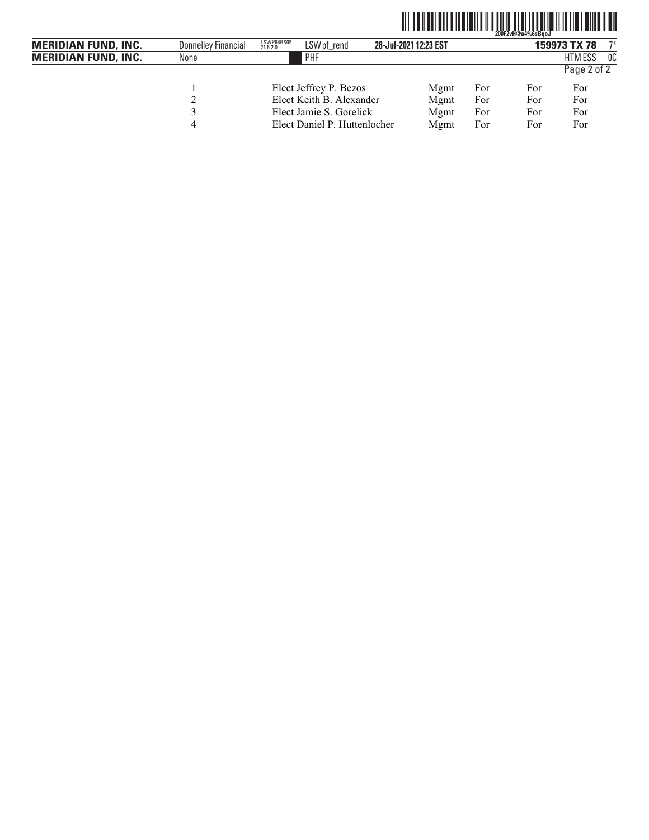

|                            |                     |                        |                              |                       |     | $20012811 \& 0770030000$ |                |      |
|----------------------------|---------------------|------------------------|------------------------------|-----------------------|-----|--------------------------|----------------|------|
| <b>MERIDIAN FUND, INC.</b> | Donnelley Financial | LSWP64RS05<br>21.6.2.0 | LSW pf rend                  | 28-Jul-2021 12:23 EST |     |                          | 159973 TX 78   | $7*$ |
| <b>MERIDIAN FUND, INC.</b> | None                |                        | PHF                          |                       |     |                          | <b>HTM ESS</b> | 0C   |
|                            |                     |                        |                              |                       |     |                          | Page 2 of 2    |      |
|                            |                     |                        | Elect Jeffrey P. Bezos       | Mgmt                  | For | For                      | For            |      |
|                            |                     |                        | Elect Keith B. Alexander     | Mgmt                  | For | For                      | For            |      |
|                            |                     |                        | Elect Jamie S. Gorelick      | Mgmt                  | For | For                      | For            |      |
|                            |                     |                        | Elect Daniel P. Huttenlocher | Mgmt                  | For | For                      | For            |      |
|                            |                     |                        |                              |                       |     |                          |                |      |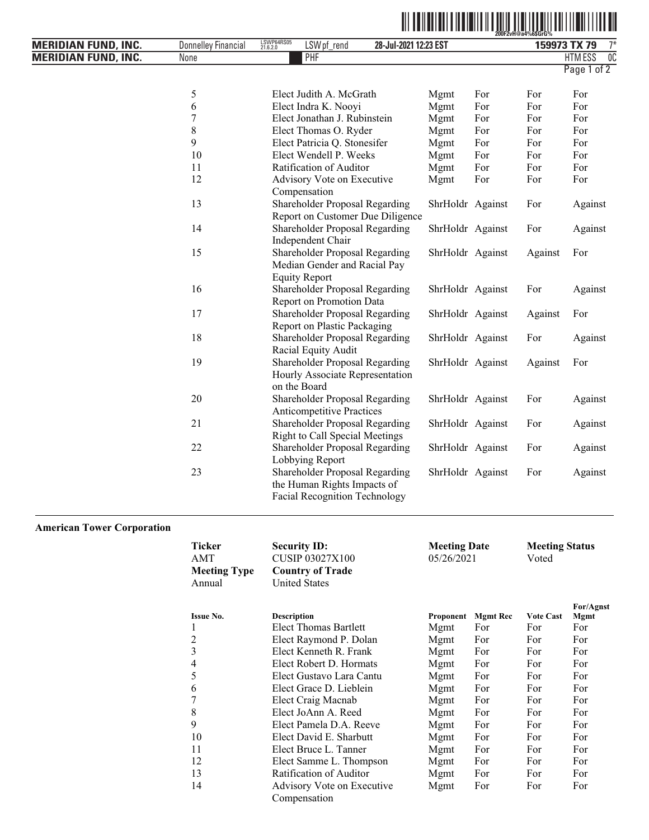

|                            |                            |                        |                                                |                       |                  |     | $20012011$ $8470030107$ |                           |  |
|----------------------------|----------------------------|------------------------|------------------------------------------------|-----------------------|------------------|-----|-------------------------|---------------------------|--|
| <b>MERIDIAN FUND, INC.</b> | <b>Donnelley Financial</b> | LSWP64RS05<br>21.6.2.0 | LSW pf_rend                                    | 28-Jul-2021 12:23 EST |                  |     |                         | $7^*$<br>159973 TX 79     |  |
| <b>MERIDIAN FUND, INC.</b> | None                       |                        | PHF                                            |                       |                  |     |                         | 0 <sup>C</sup><br>HTM ESS |  |
|                            |                            |                        |                                                |                       |                  |     |                         | Page 1 of 2               |  |
|                            |                            |                        |                                                |                       |                  |     |                         |                           |  |
|                            | 5                          |                        | Elect Judith A. McGrath                        |                       | Mgmt             | For | For                     | For                       |  |
|                            | 6                          |                        | Elect Indra K. Nooyi                           |                       | Mgmt             | For | For                     | For                       |  |
|                            | $\overline{7}$             |                        | Elect Jonathan J. Rubinstein                   |                       | Mgmt             | For | For                     | For                       |  |
|                            | 8                          |                        | Elect Thomas O. Ryder                          |                       | Mgmt             | For | For                     | For                       |  |
|                            | 9                          |                        | Elect Patricia Q. Stonesifer                   |                       | Mgmt             | For | For                     | For                       |  |
|                            | 10                         |                        | Elect Wendell P. Weeks                         |                       | Mgmt             | For | For                     | For                       |  |
|                            | 11                         |                        | Ratification of Auditor                        |                       | Mgmt             | For | For                     | For                       |  |
|                            | 12                         |                        | Advisory Vote on Executive                     |                       | Mgmt             | For | For                     | For                       |  |
|                            | 13                         |                        | Compensation<br>Shareholder Proposal Regarding |                       | ShrHoldr Against |     | For                     | Against                   |  |
|                            |                            |                        | Report on Customer Due Diligence               |                       |                  |     |                         |                           |  |
|                            | 14                         |                        | Shareholder Proposal Regarding                 |                       | ShrHoldr Against |     | For                     | Against                   |  |
|                            |                            |                        | Independent Chair                              |                       |                  |     |                         |                           |  |
|                            | 15                         |                        | Shareholder Proposal Regarding                 |                       | ShrHoldr Against |     | Against                 | For                       |  |
|                            |                            |                        | Median Gender and Racial Pay                   |                       |                  |     |                         |                           |  |
|                            |                            |                        | <b>Equity Report</b>                           |                       |                  |     |                         |                           |  |
|                            | 16                         |                        | Shareholder Proposal Regarding                 |                       | ShrHoldr Against |     | For                     | Against                   |  |
|                            |                            |                        | Report on Promotion Data                       |                       |                  |     |                         |                           |  |
|                            | 17                         |                        | Shareholder Proposal Regarding                 |                       | ShrHoldr Against |     | Against                 | For                       |  |
|                            |                            |                        | Report on Plastic Packaging                    |                       |                  |     |                         |                           |  |
|                            | 18                         |                        | Shareholder Proposal Regarding                 |                       | ShrHoldr Against |     | For                     | Against                   |  |
|                            |                            |                        | Racial Equity Audit                            |                       |                  |     |                         |                           |  |
|                            | 19                         |                        | Shareholder Proposal Regarding                 |                       | ShrHoldr Against |     | Against                 | For                       |  |
|                            |                            |                        | Hourly Associate Representation                |                       |                  |     |                         |                           |  |
|                            |                            |                        | on the Board                                   |                       |                  |     |                         |                           |  |
|                            | 20                         |                        | Shareholder Proposal Regarding                 |                       | ShrHoldr Against |     | For                     | Against                   |  |
|                            |                            |                        | <b>Anticompetitive Practices</b>               |                       |                  |     |                         |                           |  |
|                            | 21                         |                        | Shareholder Proposal Regarding                 |                       | ShrHoldr Against |     | For                     | Against                   |  |
|                            |                            |                        | <b>Right to Call Special Meetings</b>          |                       |                  |     |                         |                           |  |
|                            | 22                         |                        | Shareholder Proposal Regarding                 |                       | ShrHoldr Against |     | For                     | Against                   |  |
|                            |                            |                        | Lobbying Report                                |                       |                  |     |                         |                           |  |
|                            | 23                         |                        | Shareholder Proposal Regarding                 |                       | ShrHoldr Against |     | For                     | Against                   |  |
|                            |                            |                        | the Human Rights Impacts of                    |                       |                  |     |                         |                           |  |
|                            |                            |                        | <b>Facial Recognition Technology</b>           |                       |                  |     |                         |                           |  |
|                            |                            |                        |                                                |                       |                  |     |                         |                           |  |

#### **American Tower Corporation**

| <b>Ticker</b><br>AMT<br><b>Meeting Type</b><br>Annual | <b>Security ID:</b><br><b>CUSIP 03027X100</b><br><b>Country of Trade</b><br><b>United States</b> |           | <b>Meeting Date</b><br>05/26/2021 | <b>Meeting Status</b><br>Voted |                   |  |
|-------------------------------------------------------|--------------------------------------------------------------------------------------------------|-----------|-----------------------------------|--------------------------------|-------------------|--|
| <b>Issue No.</b>                                      | <b>Description</b>                                                                               | Proponent | <b>Mgmt Rec</b>                   | <b>Vote Cast</b>               | For/Agnst<br>Mgmt |  |
| 1                                                     | <b>Elect Thomas Bartlett</b>                                                                     | Mgmt      | For                               | For                            | For               |  |
| 2                                                     | Elect Raymond P. Dolan                                                                           | Mgmt      | For                               | For                            | For               |  |
| 3                                                     | Elect Kenneth R. Frank                                                                           | Mgmt      | For                               | For                            | For               |  |
| 4                                                     | Elect Robert D. Hormats                                                                          | Mgmt      | For                               | For                            | For               |  |
| 5                                                     | Elect Gustavo Lara Cantu                                                                         | Mgmt      | For                               | For                            | For               |  |
| 6                                                     | Elect Grace D. Lieblein                                                                          | Mgmt      | For                               | For                            | For               |  |
|                                                       | Elect Craig Macnab                                                                               | Mgmt      | For                               | For                            | For               |  |
| 8                                                     | Elect JoAnn A. Reed                                                                              | Mgmt      | For                               | For                            | For               |  |
| 9                                                     | Elect Pamela D.A. Reeve                                                                          | Mgmt      | For                               | For                            | For               |  |
| 10                                                    | Elect David E. Sharbutt                                                                          | Mgmt      | For                               | For                            | For               |  |
| 11                                                    | Elect Bruce L. Tanner                                                                            | Mgmt      | For                               | For                            | For               |  |
| 12                                                    | Elect Samme L. Thompson                                                                          | Mgmt      | For                               | For                            | For               |  |
| 13                                                    | Ratification of Auditor                                                                          | Mgmt      | For                               | For                            | For               |  |
| 14                                                    | Advisory Vote on Executive<br>Compensation                                                       | Mgmt      | For                               | For                            | For               |  |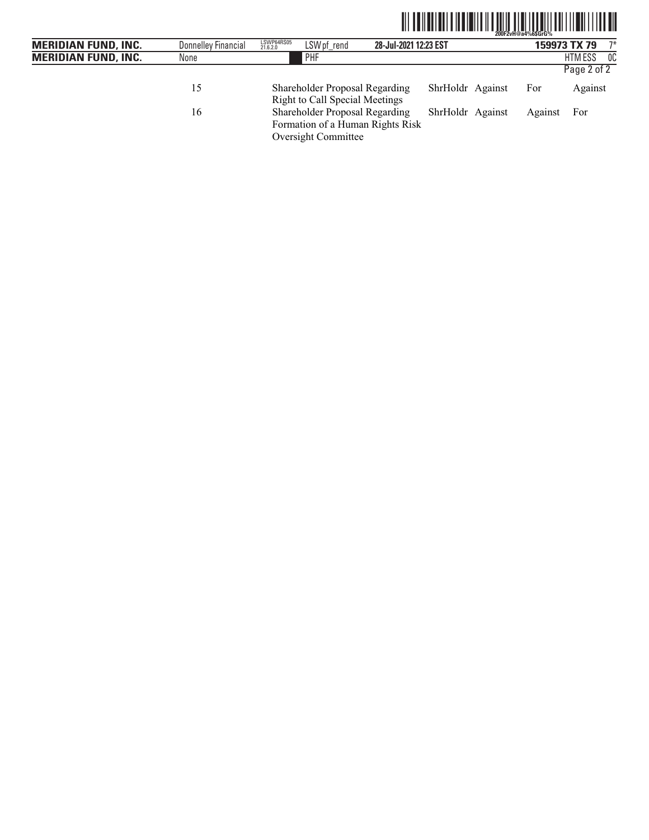

| <b>MERIDIAN FUND, INC.</b> | <b>Donnelley Financial</b> | LSWP64RS05<br>21.6.2.0                                                  | LSW pf rend                                                                               | 28-Jul-2021 12:23 EST |                  |     | $7^*$<br>159973 TX 79 |                 |
|----------------------------|----------------------------|-------------------------------------------------------------------------|-------------------------------------------------------------------------------------------|-----------------------|------------------|-----|-----------------------|-----------------|
| <b>MERIDIAN FUND, INC.</b> | None                       |                                                                         | <b>PHF</b>                                                                                |                       |                  |     |                       | - OC<br>HTM ESS |
|                            |                            |                                                                         |                                                                                           |                       |                  |     |                       | Page 2 of 2     |
|                            | 15                         | Shareholder Proposal Regarding<br><b>Right to Call Special Meetings</b> |                                                                                           | ShrHoldr Against      |                  | For | Against               |                 |
|                            | 16                         |                                                                         | Shareholder Proposal Regarding<br>Formation of a Human Rights Risk<br>Oversight Committee |                       | ShrHoldr Against |     | Against               | For             |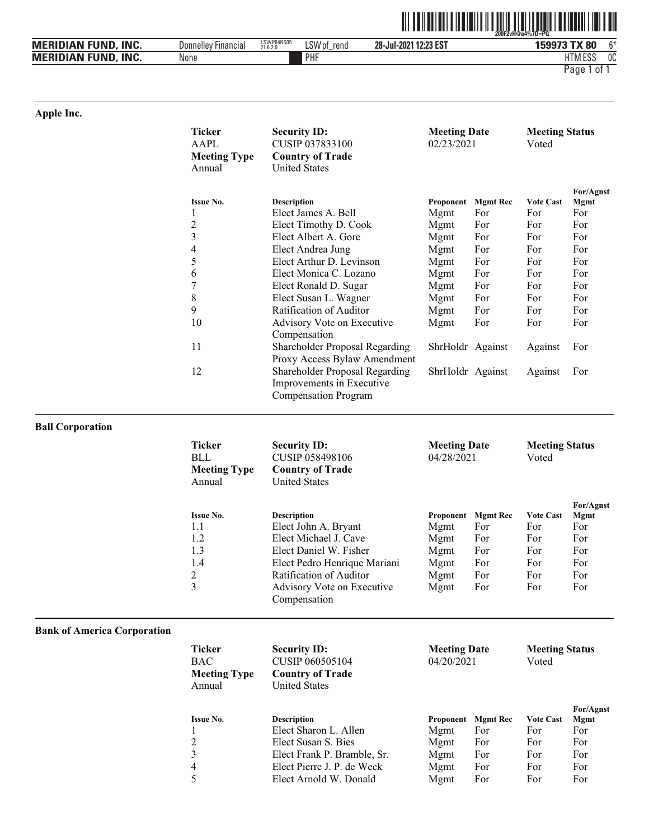|                            |                            |                        |             |                       | 200F2vH@a4%7D=PG |      |
|----------------------------|----------------------------|------------------------|-------------|-----------------------|------------------|------|
| <b>MERIDIAN FUND, INC.</b> | <b>Donnelley Financial</b> | LSWP64RS05<br>21.6.2.0 | LSW pf rend | 28-Jul-2021 12:23 EST | 159973 TX 80     | $6*$ |
| <b>MERIDIAN FUND, INC.</b> | None                       |                        | PHF         |                       | <b>HTM ESS</b>   | 0C   |
|                            |                            |                        |             |                       | Page 1 of 1      |      |
|                            |                            |                        |             |                       |                  |      |
|                            |                            |                        |             |                       |                  |      |

| Apple Inc. |  |  |  |
|------------|--|--|--|
|------------|--|--|--|

| <b>Ticker</b><br>AAPL<br><b>Meeting Type</b><br>Annual | <b>Security ID:</b><br>CUSIP 037833100<br><b>Country of Trade</b><br><b>United States</b>  | <b>Meeting Date</b><br>02/23/2021 |                 | <b>Meeting Status</b><br>Voted |                          |
|--------------------------------------------------------|--------------------------------------------------------------------------------------------|-----------------------------------|-----------------|--------------------------------|--------------------------|
| <b>Issue No.</b>                                       | <b>Description</b>                                                                         | Proponent                         | <b>Mgmt Rec</b> | <b>Vote Cast</b>               | For/Agnst<br><b>Mgmt</b> |
| 1                                                      | Elect James A. Bell                                                                        | Mgmt                              | For             | For                            | For                      |
| $\overline{c}$                                         | Elect Timothy D. Cook                                                                      | Mgmt                              | For             | For                            | For                      |
| 3                                                      | Elect Albert A. Gore                                                                       | Mgmt                              | For             | For                            | For                      |
| 4                                                      | Elect Andrea Jung                                                                          | Mgmt                              | For             | For                            | For                      |
| 5                                                      | Elect Arthur D. Levinson                                                                   | Mgmt                              | For             | For                            | For                      |
| 6                                                      | Elect Monica C. Lozano                                                                     | Mgmt                              | For             | For                            | For                      |
| 7                                                      | Elect Ronald D. Sugar                                                                      | Mgmt                              | For             | For                            | For                      |
| 8                                                      | Elect Susan L. Wagner                                                                      | Mgmt                              | For             | For                            | For                      |
| 9                                                      | Ratification of Auditor                                                                    | Mgmt                              | For             | For                            | For                      |
| 10                                                     | Advisory Vote on Executive<br>Compensation                                                 | Mgmt                              | For             | For                            | For                      |
| 11                                                     | Shareholder Proposal Regarding<br>Proxy Access Bylaw Amendment                             | ShrHoldr Against                  |                 | Against                        | For                      |
| 12                                                     | Shareholder Proposal Regarding<br>Improvements in Executive<br><b>Compensation Program</b> | ShrHoldr Against                  |                 | Against                        | For                      |

**Ball Corporation**

**Bank of America Corporation**

| <b>Ticker</b><br><b>BLL</b><br><b>Meeting Type</b><br>Annual        | <b>Security ID:</b><br>CUSIP 058498106<br><b>Country of Trade</b><br><b>United States</b>                                                                                                              | <b>Meeting Date</b><br>04/28/2021                         |                                                           | <b>Meeting Status</b><br>Voted                             |                                                             |  |
|---------------------------------------------------------------------|--------------------------------------------------------------------------------------------------------------------------------------------------------------------------------------------------------|-----------------------------------------------------------|-----------------------------------------------------------|------------------------------------------------------------|-------------------------------------------------------------|--|
| <b>Issue No.</b><br>1.1<br>1.2<br>1.3<br>1.4<br>$\overline{c}$<br>3 | <b>Description</b><br>Elect John A. Bryant<br>Elect Michael J. Cave<br>Elect Daniel W. Fisher<br>Elect Pedro Henrique Mariani<br>Ratification of Auditor<br>Advisory Vote on Executive<br>Compensation | Proponent<br>Mgmt<br>Mgmt<br>Mgmt<br>Mgmt<br>Mgmt<br>Mgmt | <b>Mgmt Rec</b><br>For<br>For<br>For<br>For<br>For<br>For | <b>Vote Cast</b><br>For<br>For<br>For<br>For<br>For<br>For | For/Agnst<br>Mgmt<br>For<br>For<br>For<br>For<br>For<br>For |  |
| <b>Ticker</b><br><b>BAC</b><br><b>Meeting Type</b><br>Annual        | <b>Security ID:</b><br><b>CUSIP 060505104</b><br><b>Country of Trade</b><br><b>United States</b>                                                                                                       | <b>Meeting Date</b><br>04/20/2021                         |                                                           | <b>Meeting Status</b><br>Voted                             |                                                             |  |
| <b>Issue No.</b>                                                    | <b>Description</b>                                                                                                                                                                                     |                                                           | Proponent Mgmt Rec                                        | <b>Vote Cast</b>                                           | <b>For/Agnst</b><br>Mgmt                                    |  |

| ISSUE IVO. | Description                 |      | Proponent Mgmt Rec | VOIE CASE MIGHT |     |
|------------|-----------------------------|------|--------------------|-----------------|-----|
|            | Elect Sharon L. Allen       | Mgmt | For                | For             | For |
| 2          | Elect Susan S. Bies         | Mgmt | For                | For             | For |
|            | Elect Frank P. Bramble, Sr. | Mgmt | For                | For             | For |
| 4          | Elect Pierre J. P. de Weck  | Mgmt | For                | For             | For |
| 5.         | Elect Arnold W. Donald      | Mgmt | For                | For             | For |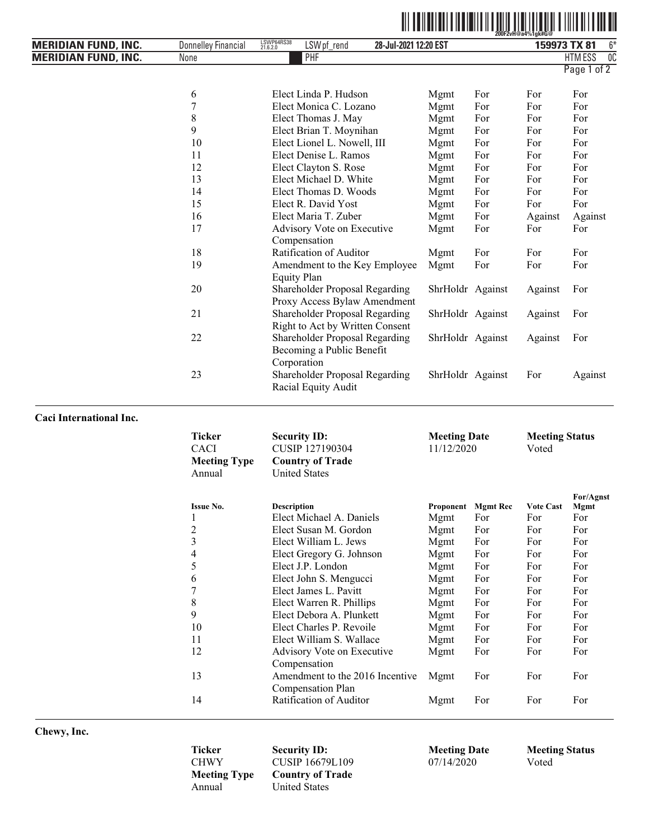

|                            |                            |                        |                                 |                       |                  |     | 200F2vH@a4%1gk#G@ |              |      |
|----------------------------|----------------------------|------------------------|---------------------------------|-----------------------|------------------|-----|-------------------|--------------|------|
| <b>MERIDIAN FUND, INC.</b> | <b>Donnelley Financial</b> | LSWP64RS38<br>21.6.2.0 | LSW pf_rend                     | 28-Jul-2021 12:20 EST |                  |     |                   | 159973 TX 81 | $6*$ |
| <b>MERIDIAN FUND, INC.</b> | None                       |                        | PHF                             |                       |                  |     |                   | HTM ESS      | OC   |
|                            |                            |                        |                                 |                       |                  |     |                   | Page 1 of 2  |      |
|                            |                            |                        |                                 |                       |                  |     |                   |              |      |
|                            | 6                          |                        | Elect Linda P. Hudson           |                       | Mgmt             | For | For               | For          |      |
|                            | $\overline{7}$             |                        | Elect Monica C. Lozano          |                       | Mgmt             | For | For               | For          |      |
|                            | $\,8\,$                    |                        | Elect Thomas J. May             |                       | Mgmt             | For | For               | For          |      |
|                            | 9                          |                        | Elect Brian T. Moynihan         |                       | Mgmt             | For | For               | For          |      |
|                            | 10                         |                        | Elect Lionel L. Nowell, III     |                       | <b>Mgmt</b>      | For | For               | For          |      |
|                            | 11                         |                        | Elect Denise L. Ramos           |                       | Mgmt             | For | For               | For          |      |
|                            | 12                         |                        | Elect Clayton S. Rose           |                       | Mgmt             | For | For               | For          |      |
|                            | 13                         |                        | Elect Michael D. White          |                       | Mgmt             | For | For               | For          |      |
|                            | 14                         |                        | Elect Thomas D. Woods           |                       | Mgmt             | For | For               | For          |      |
|                            | 15                         |                        | Elect R. David Yost             |                       | Mgmt             | For | For               | For          |      |
|                            | 16                         |                        | Elect Maria T. Zuber            |                       | Mgmt             | For | Against           | Against      |      |
|                            | 17                         |                        | Advisory Vote on Executive      |                       | Mgmt             | For | For               | For          |      |
|                            |                            |                        | Compensation                    |                       |                  |     |                   |              |      |
|                            | 18                         |                        | Ratification of Auditor         |                       | Mgmt             | For | For               | For          |      |
|                            | 19                         |                        | Amendment to the Key Employee   |                       | Mgmt             | For | For               | For          |      |
|                            |                            |                        | <b>Equity Plan</b>              |                       |                  |     |                   |              |      |
|                            | 20                         |                        | Shareholder Proposal Regarding  |                       | ShrHoldr Against |     | Against           | For          |      |
|                            |                            |                        | Proxy Access Bylaw Amendment    |                       |                  |     |                   |              |      |
|                            | 21                         |                        | Shareholder Proposal Regarding  |                       | ShrHoldr Against |     | Against           | For          |      |
|                            |                            |                        | Right to Act by Written Consent |                       |                  |     |                   |              |      |
|                            | 22                         |                        | Shareholder Proposal Regarding  |                       | ShrHoldr Against |     | Against           | For          |      |
|                            |                            |                        | Becoming a Public Benefit       |                       |                  |     |                   |              |      |
|                            |                            |                        | Corporation                     |                       |                  |     |                   |              |      |
|                            | 23                         |                        | Shareholder Proposal Regarding  |                       | ShrHoldr Against |     | For               | Against      |      |
|                            |                            |                        | Racial Equity Audit             |                       |                  |     |                   |              |      |
|                            |                            |                        |                                 |                       |                  |     |                   |              |      |

## **Caci International Inc.**

| <b>Ticker</b><br><b>CACI</b><br><b>Meeting Type</b><br>Annual | <b>Security ID:</b><br>CUSIP 127190304<br><b>Country of Trade</b><br><b>United States</b> | <b>Meeting Date</b><br>11/12/2020 |                 | <b>Meeting Status</b><br>Voted |                   |
|---------------------------------------------------------------|-------------------------------------------------------------------------------------------|-----------------------------------|-----------------|--------------------------------|-------------------|
| <b>Issue No.</b>                                              | <b>Description</b>                                                                        | Proponent                         | <b>Mgmt Rec</b> | <b>Vote Cast</b>               | For/Agnst<br>Mgmt |
| 1                                                             | Elect Michael A. Daniels                                                                  | Mgmt                              | For             | For                            | For               |
| $\overline{c}$                                                | Elect Susan M. Gordon                                                                     | Mgmt                              | For             | For                            | For               |
| 3                                                             | Elect William L. Jews                                                                     | Mgmt                              | For             | For                            | For               |
| 4                                                             | Elect Gregory G. Johnson                                                                  | Mgmt                              | For             | For                            | For               |
| 5                                                             | Elect J.P. London                                                                         | Mgmt                              | For             | For                            | For               |
| 6                                                             | Elect John S. Mengucci                                                                    | Mgmt                              | For             | For                            | For               |
| 7                                                             | Elect James L. Pavitt                                                                     | Mgmt                              | For             | For                            | For               |
| 8                                                             | Elect Warren R. Phillips                                                                  | Mgmt                              | For             | For                            | For               |
| 9                                                             | Elect Debora A. Plunkett                                                                  | Mgmt                              | For             | For                            | For               |
| 10                                                            | Elect Charles P. Revoile                                                                  | Mgmt                              | For             | For                            | For               |
| 11                                                            | Elect William S. Wallace                                                                  | Mgmt                              | For             | For                            | For               |
| 12                                                            | Advisory Vote on Executive                                                                | Mgmt                              | For             | For                            | For               |
|                                                               | Compensation                                                                              |                                   |                 |                                |                   |
| 13                                                            | Amendment to the 2016 Incentive<br>Compensation Plan                                      | Mgmt                              | For             | For                            | For               |
| 14                                                            | Ratification of Auditor                                                                   | Mgmt                              | For             | For                            | For               |

**Chewy, Inc.**

| Ticker              | <b>Security ID:</b>     | <b>Meeting Date</b> | <b>Meeting Status</b> |
|---------------------|-------------------------|---------------------|-----------------------|
| <b>CHWY</b>         | CUSIP 16679L109         | 07/14/2020          | Voted                 |
| <b>Meeting Type</b> | <b>Country of Trade</b> |                     |                       |
| Annual              | United States           |                     |                       |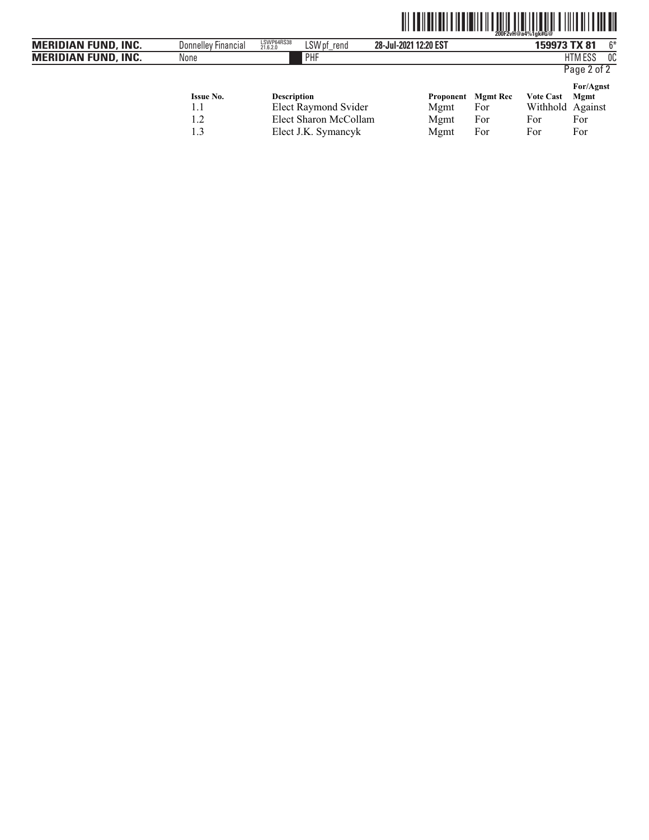

|                            |                     |                        |                       |                       |           |                 | ZUUFZVH@a4%10K#G@ |                |      |
|----------------------------|---------------------|------------------------|-----------------------|-----------------------|-----------|-----------------|-------------------|----------------|------|
| <b>MERIDIAN FUND, INC.</b> | Donnelley Financial | LSWP64RS38<br>21.6.2.0 | LSW pf rend           | 28-Jul-2021 12:20 EST |           |                 | 159973 TX 81      |                | $6*$ |
| <b>MERIDIAN FUND, INC.</b> | None                |                        | PHF                   |                       |           |                 |                   | <b>HTM ESS</b> | 0C   |
|                            |                     |                        |                       |                       |           |                 |                   | Page 2 of 2    |      |
|                            |                     |                        |                       |                       |           |                 |                   | For/Agnst      |      |
|                            | <b>Issue No.</b>    | <b>Description</b>     |                       |                       | Proponent | <b>Mgmt Rec</b> | <b>Vote Cast</b>  | Mgmt           |      |
|                            | 1.1                 |                        | Elect Raymond Svider  |                       | Mgmt      | For             | Withhold Against  |                |      |
|                            | 1.2                 |                        | Elect Sharon McCollam |                       | Mgmt      | For             | For               | For            |      |
|                            | 1.3                 |                        | Elect J.K. Symancyk   |                       | Mgmt      | For             | For               | For            |      |
|                            |                     |                        |                       |                       |           |                 |                   |                |      |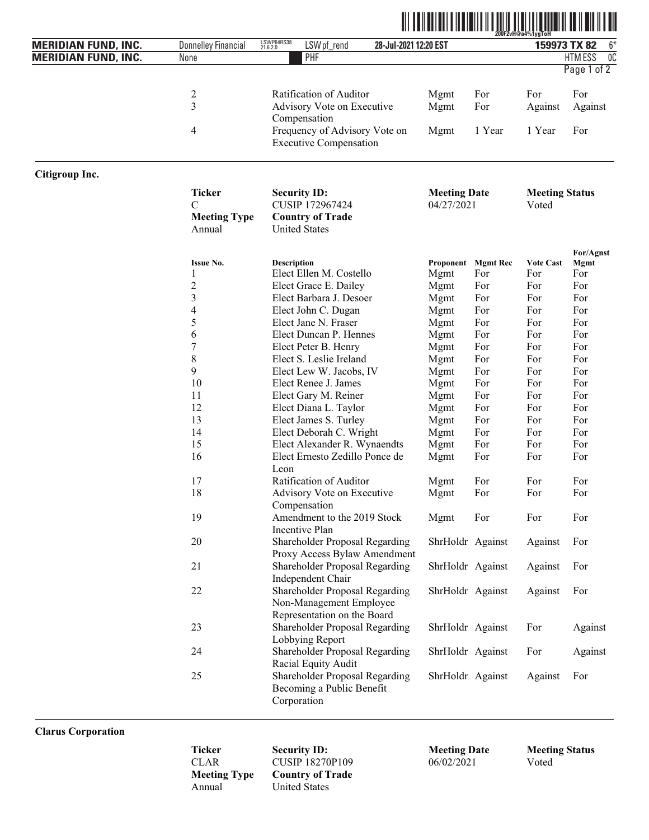

|                            |                            |                                                                |                     |                        | 200F2vH@a4%1yg1oH       |                           |
|----------------------------|----------------------------|----------------------------------------------------------------|---------------------|------------------------|-------------------------|---------------------------|
| <b>MERIDIAN FUND, INC.</b> | <b>Donnelley Financial</b> | LSWP64RS38<br>21.6.2.0<br>LSW pf_rend<br>28-Jul-2021 12:20 EST |                     |                        |                         | $6*$<br>159973 TX 82      |
| <b>MERIDIAN FUND, INC.</b> | None                       | PHF                                                            |                     |                        |                         | HTM ESS<br>0 <sup>C</sup> |
|                            |                            |                                                                |                     |                        |                         | Page 1 of 2               |
|                            |                            | Ratification of Auditor                                        |                     |                        |                         |                           |
|                            | $\overline{c}$             |                                                                | Mgmt                | For                    | For                     | For                       |
|                            | 3                          | Advisory Vote on Executive                                     | Mgmt                | For                    | Against                 | Against                   |
|                            |                            | Compensation                                                   |                     |                        |                         |                           |
|                            | 4                          | Frequency of Advisory Vote on<br><b>Executive Compensation</b> | Mgmt                | 1 Year                 | 1 Year                  | For                       |
|                            |                            |                                                                |                     |                        |                         |                           |
| Citigroup Inc.             |                            |                                                                |                     |                        |                         |                           |
|                            | <b>Ticker</b>              | <b>Security ID:</b>                                            | <b>Meeting Date</b> |                        | <b>Meeting Status</b>   |                           |
|                            | $\mathcal{C}$              | CUSIP 172967424                                                | 04/27/2021          |                        | Voted                   |                           |
|                            | <b>Meeting Type</b>        | <b>Country of Trade</b>                                        |                     |                        |                         |                           |
|                            | Annual                     | <b>United States</b>                                           |                     |                        |                         |                           |
|                            |                            |                                                                |                     |                        |                         |                           |
|                            |                            |                                                                |                     |                        |                         | For/Agnst                 |
|                            | <b>Issue No.</b><br>1      | Description<br>Elect Ellen M. Costello                         | Proponent<br>Mgmt   | <b>Mgmt Rec</b><br>For | <b>Vote Cast</b><br>For | <b>Mgmt</b><br>For        |
|                            | $\overline{c}$             | Elect Grace E. Dailey                                          | Mgmt                | For                    | For                     | For                       |
|                            | 3                          | Elect Barbara J. Desoer                                        |                     | For                    | For                     | For                       |
|                            |                            |                                                                | Mgmt                | For                    | For                     | For                       |
|                            | 4                          | Elect John C. Dugan                                            | Mgmt                |                        |                         |                           |
|                            | 5                          | Elect Jane N. Fraser                                           | Mgmt                | For                    | For                     | For                       |
|                            | 6                          | Elect Duncan P. Hennes                                         | Mgmt                | For                    | For                     | For                       |
|                            | $\boldsymbol{7}$           | Elect Peter B. Henry                                           | Mgmt                | For                    | For                     | For                       |
|                            | $\,$ 8 $\,$                | Elect S. Leslie Ireland                                        | Mgmt                | For                    | For                     | For                       |
|                            | 9                          | Elect Lew W. Jacobs, IV                                        | Mgmt                | For                    | For                     | For                       |
|                            | 10                         | Elect Renee J. James                                           | Mgmt                | For                    | For                     | For                       |
|                            | 11                         | Elect Gary M. Reiner                                           | Mgmt                | For                    | For                     | For                       |
|                            | 12                         | Elect Diana L. Taylor                                          | Mgmt                | For                    | For                     | For                       |
|                            | 13                         | Elect James S. Turley                                          | Mgmt                | For                    | For                     | For                       |
|                            | 14                         | Elect Deborah C. Wright                                        | Mgmt                | For                    | For                     | For                       |
|                            | 15                         | Elect Alexander R. Wynaendts                                   | Mgmt                | For                    | For                     | For                       |
|                            | 16                         | Elect Ernesto Zedillo Ponce de                                 | Mgmt                | For                    | For                     | For                       |
|                            |                            | Leon                                                           |                     |                        |                         |                           |
|                            | 17                         | Ratification of Auditor                                        | Mgmt                | For                    | For                     | For                       |
|                            | 18                         | Advisory Vote on Executive                                     | Mgmt                | For                    | For                     | For                       |
|                            |                            | Compensation                                                   |                     |                        |                         |                           |
|                            | 19                         | Amendment to the 2019 Stock                                    | Mgmt                | For                    | For                     | For                       |
|                            |                            | Incentive Plan                                                 |                     |                        |                         |                           |
|                            |                            |                                                                |                     |                        |                         |                           |
|                            | 20                         | Shareholder Proposal Regarding                                 | ShrHoldr Against    |                        | Against                 | For                       |
|                            |                            | Proxy Access Bylaw Amendment                                   |                     |                        |                         |                           |
|                            | 21                         | Shareholder Proposal Regarding                                 | ShrHoldr Against    |                        | Against                 | For                       |
|                            |                            | Independent Chair                                              |                     |                        |                         |                           |
|                            | 22                         | Shareholder Proposal Regarding                                 | ShrHoldr Against    |                        | Against                 | For                       |
|                            |                            | Non-Management Employee                                        |                     |                        |                         |                           |
|                            |                            | Representation on the Board                                    |                     |                        |                         |                           |
|                            | 23                         | Shareholder Proposal Regarding                                 | ShrHoldr Against    |                        | For                     | Against                   |
|                            |                            | Lobbying Report                                                |                     |                        |                         |                           |
|                            | 24                         | Shareholder Proposal Regarding                                 | ShrHoldr Against    |                        | For                     | Against                   |
|                            |                            | Racial Equity Audit                                            |                     |                        |                         |                           |
|                            | 25                         | Shareholder Proposal Regarding                                 | ShrHoldr Against    |                        | Against                 | For                       |
|                            |                            | Becoming a Public Benefit                                      |                     |                        |                         |                           |
|                            |                            | Corporation                                                    |                     |                        |                         |                           |
|                            |                            |                                                                |                     |                        |                         |                           |

**Clarus Corporation**

**Ticker Security ID: Meeting Date Meeting Status**<br>CLAR CUSIP 18270P109 06/02/2021 Voted CLAR CUSIP 18270P109<br>Meeting Type Country of Trade **Meeting Type Country of Trade**<br>Annual United States United States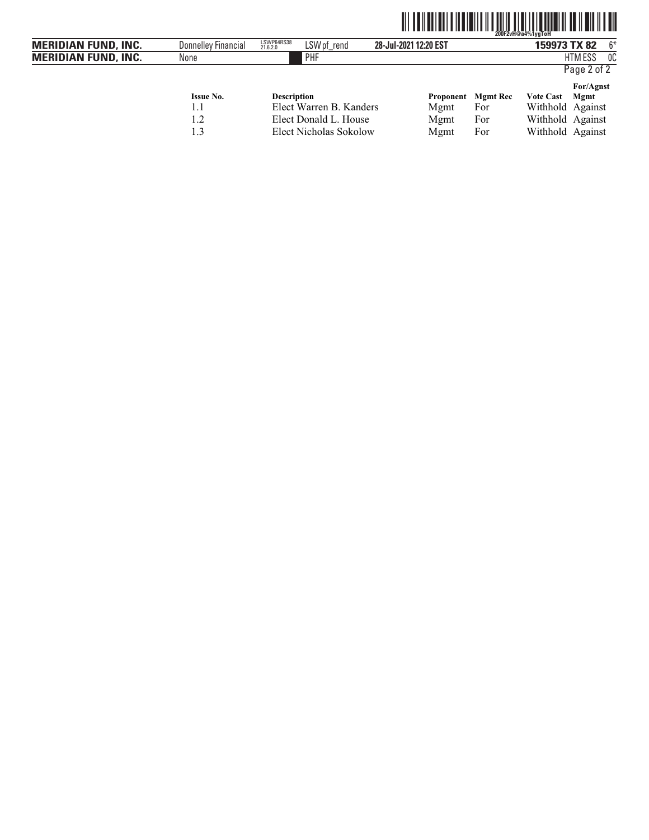

|                            |                            |                        |                         |                       |           |                 | $20012811 \times 100$ |                      |
|----------------------------|----------------------------|------------------------|-------------------------|-----------------------|-----------|-----------------|-----------------------|----------------------|
| <b>MERIDIAN FUND, INC.</b> | <b>Donnelley Financial</b> | LSWP64RS38<br>21.6.2.0 | LSW pf rend             | 28-Jul-2021 12:20 EST |           |                 | 159973 TX 82          | $6*$                 |
| <b>MERIDIAN FUND, INC.</b> | None                       |                        | PHF                     |                       |           |                 |                       | 0C<br><b>HTM ESS</b> |
|                            |                            |                        |                         |                       |           |                 |                       | Page 2 of 2          |
|                            | <b>Issue No.</b>           | <b>Description</b>     |                         |                       | Proponent | <b>Mgmt Rec</b> | <b>Vote Cast</b>      | For/Agnst<br>Mgmt    |
|                            | 1.1                        |                        | Elect Warren B. Kanders |                       | Mgmt      | For             | Withhold Against      |                      |
|                            | 1.2                        |                        | Elect Donald L. House   |                       | Mgmt      | For             | Withhold Against      |                      |
|                            | 1.3                        |                        | Elect Nicholas Sokolow  |                       | Mgmt      | For             | Withhold Against      |                      |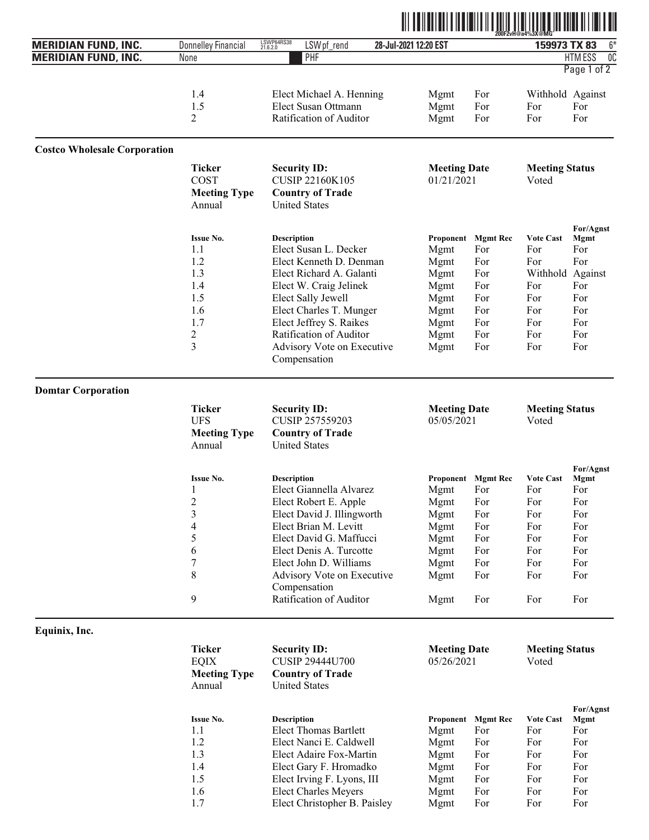| <b>MERIDIAN FUND, INC.</b>          | <b>Donnelley Financial</b> | LSWP64RS38<br>21.6.2.0 | LSW pf_rend                  | 28-Jul-2021 12:20 EST |                     |                    | 159973 TX 83            | $6*$                            |
|-------------------------------------|----------------------------|------------------------|------------------------------|-----------------------|---------------------|--------------------|-------------------------|---------------------------------|
| <b>MERIDIAN FUND, INC.</b>          | None                       |                        | PHF                          |                       |                     |                    |                         | $\overline{0}$<br><b>HTMESS</b> |
|                                     |                            |                        |                              |                       |                     |                    |                         | Page 1 of 2                     |
|                                     | 1.4                        |                        | Elect Michael A. Henning     |                       |                     | For                |                         |                                 |
|                                     | 1.5                        |                        | Elect Susan Ottmann          |                       | Mgmt<br>Mgmt        | For                | Withhold Against<br>For | For                             |
|                                     | 2                          |                        | Ratification of Auditor      |                       | Mgmt                | For                | For                     | For                             |
|                                     |                            |                        |                              |                       |                     |                    |                         |                                 |
| <b>Costco Wholesale Corporation</b> |                            |                        |                              |                       |                     |                    |                         |                                 |
|                                     | <b>Ticker</b>              | <b>Security ID:</b>    |                              |                       | <b>Meeting Date</b> |                    | <b>Meeting Status</b>   |                                 |
|                                     | <b>COST</b>                |                        | <b>CUSIP 22160K105</b>       |                       | 01/21/2021          |                    | Voted                   |                                 |
|                                     | <b>Meeting Type</b>        |                        | <b>Country of Trade</b>      |                       |                     |                    |                         |                                 |
|                                     | Annual                     | <b>United States</b>   |                              |                       |                     |                    |                         |                                 |
|                                     |                            |                        |                              |                       |                     |                    |                         | For/Agnst                       |
|                                     | <b>Issue No.</b>           | <b>Description</b>     |                              |                       | Proponent           | <b>Mgmt Rec</b>    | <b>Vote Cast</b>        | <b>Mgmt</b>                     |
|                                     | 1.1                        |                        | Elect Susan L. Decker        |                       | Mgmt                | For                | For                     | For                             |
|                                     | 1.2                        |                        | Elect Kenneth D. Denman      |                       | Mgmt                | For                | For                     | For                             |
|                                     | 1.3                        |                        | Elect Richard A. Galanti     |                       | Mgmt                | For                | Withhold Against        |                                 |
|                                     | 1.4                        |                        | Elect W. Craig Jelinek       |                       | Mgmt                | For                | For                     | For                             |
|                                     | 1.5                        |                        | Elect Sally Jewell           |                       | Mgmt                | For                | For                     | For                             |
|                                     | 1.6                        |                        | Elect Charles T. Munger      |                       | Mgmt                | For                | For                     | For                             |
|                                     | 1.7                        |                        | Elect Jeffrey S. Raikes      |                       | Mgmt                | For                | For                     | For                             |
|                                     | $\overline{c}$             |                        | Ratification of Auditor      |                       | Mgmt                | For                | For                     | For                             |
|                                     | 3                          |                        | Advisory Vote on Executive   |                       | Mgmt                | For                | For                     | For                             |
|                                     |                            | Compensation           |                              |                       |                     |                    |                         |                                 |
| <b>Domtar Corporation</b>           |                            |                        |                              |                       |                     |                    |                         |                                 |
|                                     | <b>Ticker</b>              | <b>Security ID:</b>    |                              |                       | <b>Meeting Date</b> |                    | <b>Meeting Status</b>   |                                 |
|                                     | <b>UFS</b>                 |                        | CUSIP 257559203              |                       | 05/05/2021          |                    | Voted                   |                                 |
|                                     | <b>Meeting Type</b>        |                        | <b>Country of Trade</b>      |                       |                     |                    |                         |                                 |
|                                     | Annual                     | <b>United States</b>   |                              |                       |                     |                    |                         |                                 |
|                                     |                            |                        |                              |                       |                     |                    |                         |                                 |
|                                     | <b>Issue No.</b>           | <b>Description</b>     |                              |                       |                     | Proponent Mgmt Rec | <b>Vote Cast</b>        | For/Agnst<br>Mgmt               |
|                                     | $\mathbf{1}$               |                        | Elect Giannella Alvarez      |                       | Mgmt                | For                | For                     | For                             |
|                                     | $\overline{c}$             |                        | Elect Robert E. Apple        |                       | Mgmt                | For                | For                     | For                             |
|                                     | 3                          |                        | Elect David J. Illingworth   |                       | Mgmt                | For                | For                     | For                             |
|                                     | 4                          |                        | Elect Brian M. Levitt        |                       | Mgmt                | For                | For                     | For                             |
|                                     | 5                          |                        | Elect David G. Maffucci      |                       | Mgmt                | For                | For                     | For                             |
|                                     | 6                          |                        | Elect Denis A. Turcotte      |                       | Mgmt                | For                | For                     | For                             |
|                                     | 7                          |                        | Elect John D. Williams       |                       | Mgmt                | For                | For                     | For                             |
|                                     | $\,$ 8 $\,$                |                        | Advisory Vote on Executive   |                       | Mgmt                | For                | For                     | For                             |
|                                     |                            | Compensation           |                              |                       |                     |                    |                         |                                 |
|                                     | 9                          |                        | Ratification of Auditor      |                       | Mgmt                | For                | For                     | For                             |
| Equinix, Inc.                       |                            |                        |                              |                       |                     |                    |                         |                                 |
|                                     | <b>Ticker</b>              | <b>Security ID:</b>    |                              |                       | <b>Meeting Date</b> |                    | <b>Meeting Status</b>   |                                 |
|                                     | <b>EQIX</b>                |                        | <b>CUSIP 29444U700</b>       |                       | 05/26/2021          |                    | Voted                   |                                 |
|                                     | <b>Meeting Type</b>        |                        | <b>Country of Trade</b>      |                       |                     |                    |                         |                                 |
|                                     | Annual                     | <b>United States</b>   |                              |                       |                     |                    |                         |                                 |
|                                     |                            |                        |                              |                       |                     |                    |                         | For/Agnst                       |
|                                     | Issue No.                  | <b>Description</b>     |                              |                       |                     | Proponent Mgmt Rec | <b>Vote Cast</b>        | <b>Mgmt</b>                     |
|                                     | 1.1                        |                        | <b>Elect Thomas Bartlett</b> |                       | Mgmt                | For                | For                     | For                             |
|                                     | 1.2                        |                        | Elect Nanci E. Caldwell      |                       | Mgmt                | For                | For                     | For                             |
|                                     | 1.3                        |                        | Elect Adaire Fox-Martin      |                       | Mgmt                | For                | For                     | For                             |
|                                     | 1.4                        |                        | Elect Gary F. Hromadko       |                       | Mgmt                | For                | For                     | For                             |
|                                     | 1.5                        |                        | Elect Irving F. Lyons, III   |                       | Mgmt                | For                | For                     | For                             |
|                                     | 1.6                        |                        | <b>Elect Charles Meyers</b>  |                       | Mgmt                | For                | For                     | For                             |
|                                     | 1.7                        |                        | Elect Christopher B. Paisley |                       | Mgmt                | For                | For                     | For                             |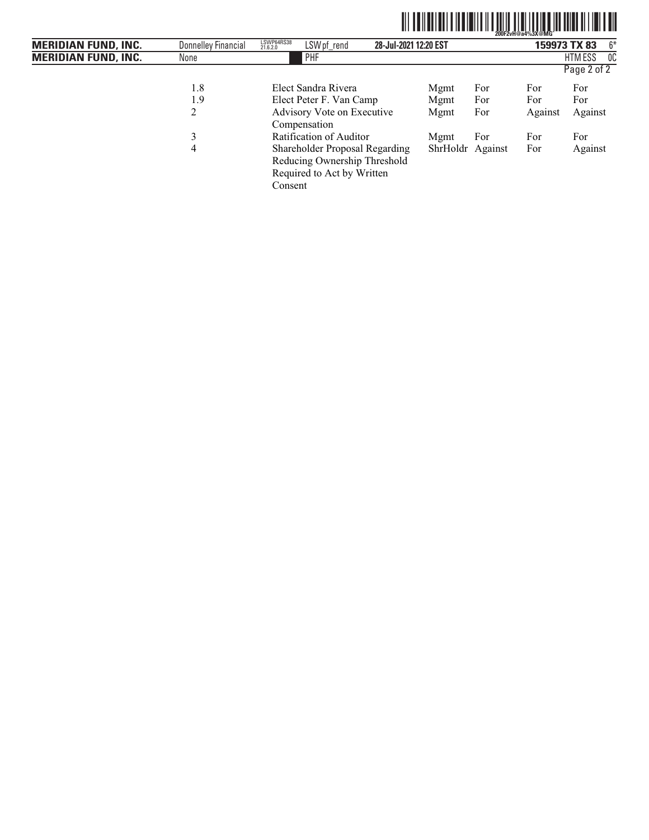

| <b>MERIDIAN FUND, INC.</b> | Donnelley Financial | LSWP64RS38<br>21.6.2.0                | LSW pf_rend                                | 28-Jul-2021 12:20 EST |      |                  |         | 159973 TX 83 | $6*$ |
|----------------------------|---------------------|---------------------------------------|--------------------------------------------|-----------------------|------|------------------|---------|--------------|------|
| <b>MERIDIAN FUND, INC.</b> | None                |                                       | PHF                                        |                       |      |                  |         | HTM ESS      | 0C   |
|                            |                     |                                       |                                            |                       |      |                  |         | Page 2 of 2  |      |
|                            | 1.8                 | Elect Sandra Rivera                   |                                            |                       | Mgmt | For              | For     | For          |      |
|                            | 1.9                 | Elect Peter F. Van Camp               |                                            | Mgmt                  |      | For              | For     | For          |      |
|                            | 2                   |                                       | Advisory Vote on Executive<br>Compensation | Mgmt                  |      | For              | Against | Against      |      |
|                            | 3                   |                                       | Ratification of Auditor                    | Mgmt                  |      | For              | For     | For          |      |
|                            | 4                   | <b>Shareholder Proposal Regarding</b> |                                            |                       |      | ShrHoldr Against | For     | Against      |      |
|                            |                     |                                       | Reducing Ownership Threshold               |                       |      |                  |         |              |      |
|                            |                     |                                       | Required to Act by Written                 |                       |      |                  |         |              |      |
|                            |                     | Consent                               |                                            |                       |      |                  |         |              |      |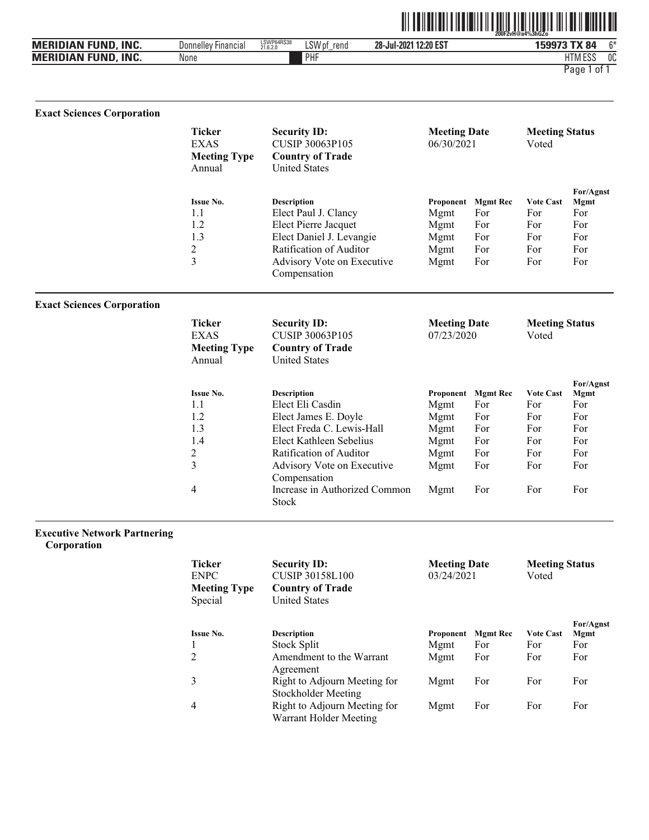| <b>MERIDIAN FUND, INC.</b>                         | <b>Donnelley Financial</b>                                     | LSWP64RS38<br>21.6.2.0<br>28-Jul-2021 12:20 EST<br>LSW pf_rend                            |                                   |                    | 159973 TX 84                   | $6*$                             |
|----------------------------------------------------|----------------------------------------------------------------|-------------------------------------------------------------------------------------------|-----------------------------------|--------------------|--------------------------------|----------------------------------|
| <b>MERIDIAN FUND, INC.</b>                         | None                                                           | PHF                                                                                       |                                   |                    |                                | $\overline{0}$<br><b>HTM ESS</b> |
|                                                    |                                                                |                                                                                           |                                   |                    |                                | Page 1 of 1                      |
| <b>Exact Sciences Corporation</b>                  |                                                                |                                                                                           |                                   |                    |                                |                                  |
|                                                    | <b>Ticker</b><br><b>EXAS</b><br><b>Meeting Type</b><br>Annual  | <b>Security ID:</b><br>CUSIP 30063P105<br><b>Country of Trade</b><br><b>United States</b> | <b>Meeting Date</b><br>06/30/2021 |                    | <b>Meeting Status</b><br>Voted |                                  |
|                                                    | <b>Issue No.</b>                                               | <b>Description</b>                                                                        |                                   | Proponent Mgmt Rec | <b>Vote Cast</b>               | For/Agnst<br><b>Mgmt</b>         |
|                                                    | 1.1                                                            | Elect Paul J. Clancy                                                                      | Mgmt                              | For                | For                            | For                              |
|                                                    | 1.2                                                            | <b>Elect Pierre Jacquet</b>                                                               | Mgmt                              | For                | For                            | For                              |
|                                                    | 1.3                                                            | Elect Daniel J. Levangie                                                                  | Mgmt                              | For                | For                            | For                              |
|                                                    | $\overline{c}$                                                 | Ratification of Auditor                                                                   | Mgmt                              | For                | For                            | For                              |
|                                                    | 3                                                              | Advisory Vote on Executive<br>Compensation                                                | Mgmt                              | For                | For                            | For                              |
| <b>Exact Sciences Corporation</b>                  |                                                                |                                                                                           |                                   |                    |                                |                                  |
|                                                    | <b>Ticker</b><br><b>EXAS</b><br><b>Meeting Type</b><br>Annual  | <b>Security ID:</b><br>CUSIP 30063P105<br><b>Country of Trade</b><br><b>United States</b> | <b>Meeting Date</b><br>07/23/2020 |                    | <b>Meeting Status</b><br>Voted |                                  |
|                                                    | <b>Issue No.</b>                                               | <b>Description</b>                                                                        |                                   | Proponent Mgmt Rec | <b>Vote Cast</b>               | For/Agnst<br><b>Mgmt</b>         |
|                                                    | 1.1                                                            | Elect Eli Casdin                                                                          | Mgmt                              | For                | For                            | For                              |
|                                                    | 1.2<br>1.3                                                     | Elect James E. Doyle<br>Elect Freda C. Lewis-Hall                                         | Mgmt<br>Mgmt                      | For<br>For         | For<br>For                     | For<br>For                       |
|                                                    | 1.4                                                            | Elect Kathleen Sebelius                                                                   | Mgmt                              | For                | For                            | For                              |
|                                                    | $\overline{c}$                                                 | Ratification of Auditor                                                                   | Mgmt                              | For                | For                            | For                              |
|                                                    | $\overline{\mathbf{3}}$                                        | Advisory Vote on Executive<br>Compensation                                                | Mgmt                              | For                | For                            | For                              |
|                                                    | 4                                                              | Increase in Authorized Common<br>Stock                                                    | Mgmt                              | For                | For                            | For                              |
| <b>Executive Network Partnering</b><br>Corporation |                                                                |                                                                                           |                                   |                    |                                |                                  |
|                                                    | <b>Ticker</b><br><b>ENPC</b><br><b>Meeting Type</b><br>Special | <b>Security ID:</b><br>CUSIP 30158L100<br><b>Country of Trade</b><br><b>United States</b> | <b>Meeting Date</b><br>03/24/2021 |                    | <b>Meeting Status</b><br>Voted |                                  |

|                  |                                                            |           |                 |                  | For/Agnst |
|------------------|------------------------------------------------------------|-----------|-----------------|------------------|-----------|
| <b>Issue No.</b> | <b>Description</b>                                         | Proponent | <b>Mgmt Rec</b> | <b>Vote Cast</b> | Mgmt      |
|                  | Stock Split                                                | Mgmt      | For             | For              | For       |
|                  | Amendment to the Warrant<br>Agreement                      | Mgmt      | For             | For              | For       |
|                  | Right to Adjourn Meeting for<br><b>Stockholder Meeting</b> | Mgmt      | For             | For              | For       |
| 4                | Right to Adjourn Meeting for<br>Warrant Holder Meeting     | Mgmt      | For             | For              | For       |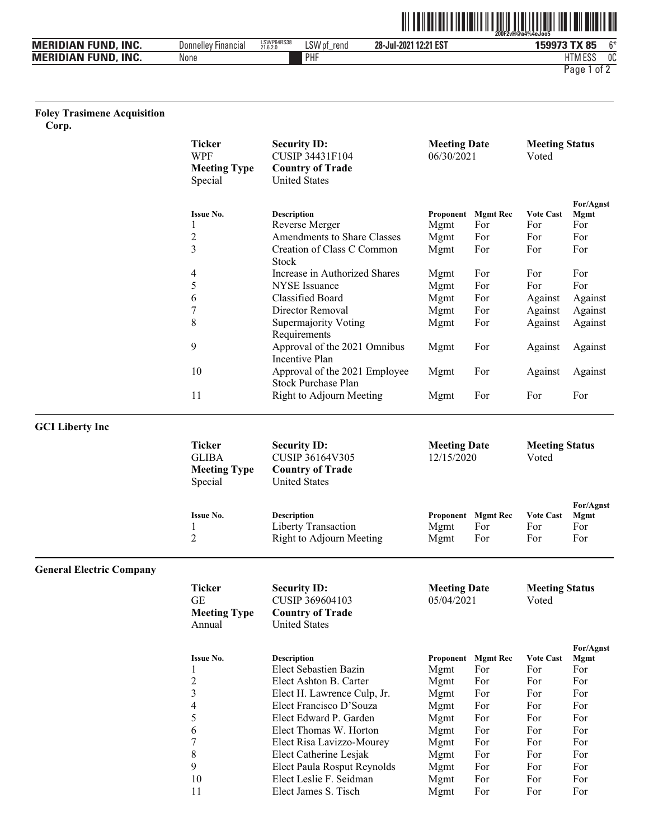|                     |                            |                        |                |                       | <b>TILLET</b><br>200F2vH@a4%4eJoo5 | $\  \ $ |
|---------------------|----------------------------|------------------------|----------------|-----------------------|------------------------------------|---------|
| MERIDIAN FUND, INC. | <b>Donnelley Financial</b> | LSWP64RS38<br>21.6.2.0 | LSW pf<br>rend | 28-Jul-2021 12:21 EST | 159973 TX 85                       | $6*$    |
| MERIDIAN FUND, INC. | None                       |                        | PHF            |                       | HTM ESS                            | 0C      |

### **Foley Trasimene Acquisition Corp.**

| <b>Ticker</b><br><b>WPF</b><br><b>Meeting Type</b><br>Special | <b>Security ID:</b><br><b>CUSIP 34431F104</b><br><b>Country of Trade</b><br><b>United States</b> | <b>Meeting Date</b><br>06/30/2021 |                        | <b>Meeting Status</b><br>Voted |                          |  |
|---------------------------------------------------------------|--------------------------------------------------------------------------------------------------|-----------------------------------|------------------------|--------------------------------|--------------------------|--|
| <b>Issue No.</b>                                              | <b>Description</b><br>Reverse Merger                                                             | Proponent<br>Mgmt                 | <b>Mgmt Rec</b><br>For | <b>Vote Cast</b><br>For        | For/Agnst<br>Mgmt<br>For |  |
| 2                                                             | Amendments to Share Classes                                                                      | Mgmt                              | For                    | For                            | For                      |  |
| 3                                                             | Creation of Class C Common<br><b>Stock</b>                                                       | Mgmt                              | For                    | For                            | For                      |  |
| 4                                                             | Increase in Authorized Shares                                                                    | Mgmt                              | For                    | For                            | For                      |  |
| 5                                                             | <b>NYSE</b> Issuance                                                                             | Mgmt                              | For                    | For                            | For                      |  |
| 6                                                             | Classified Board                                                                                 | Mgmt                              | For                    | Against                        | Against                  |  |
| 7                                                             | Director Removal                                                                                 | Mgmt                              | For                    | Against                        | Against                  |  |
| 8                                                             | Supermajority Voting<br>Requirements                                                             | Mgmt                              | For                    | Against                        | Against                  |  |
| 9                                                             | Approval of the 2021 Omnibus<br>Incentive Plan                                                   | Mgmt                              | For                    | Against                        | Against                  |  |
| 10                                                            | Approval of the 2021 Employee<br><b>Stock Purchase Plan</b>                                      | Mgmt                              | For                    | Against                        | Against                  |  |
| 11                                                            | Right to Adjourn Meeting                                                                         | Mgmt                              | For                    | For                            | For                      |  |

**GCI Liberty Inc**

| <b>Ticker</b><br><b>GLIBA</b><br><b>Meeting Type</b><br>Special | <b>Security ID:</b><br><b>CUSIP 36164V305</b><br><b>Country of Trade</b><br><b>United States</b> | <b>Meeting Date</b><br>12/15/2020 |                               | <b>Meeting Status</b><br>Voted |                                 |
|-----------------------------------------------------------------|--------------------------------------------------------------------------------------------------|-----------------------------------|-------------------------------|--------------------------------|---------------------------------|
| <b>Issue No.</b>                                                | <b>Description</b><br>Liberty Transaction<br>Right to Adjourn Meeting                            | <b>Proponent</b><br>Mgmt<br>Mgmt  | <b>Mgmt Rec</b><br>For<br>For | <b>Vote Cast</b><br>For<br>For | For/Agnst<br>Mgmt<br>For<br>For |

# **General Electric Company**

| 05/04/2021<br>GE<br>CUSIP 369604103<br><b>Meeting Type</b><br><b>Country of Trade</b><br><b>United States</b><br>Annual | <b>Meeting Status</b><br>Voted        |  |  |
|-------------------------------------------------------------------------------------------------------------------------|---------------------------------------|--|--|
| <b>Issue No.</b><br><b>Description</b><br><b>Mgmt Rec</b><br>Proponent                                                  | For/Agnst<br><b>Vote Cast</b><br>Mgmt |  |  |
| Elect Sebastien Bazin<br>Mgmt<br>For<br>For                                                                             | For                                   |  |  |
| 2<br>Elect Ashton B. Carter<br>Mgmt<br>For<br>For                                                                       | For                                   |  |  |
| 3<br>For<br>Elect H. Lawrence Culp, Jr.<br>Mgmt<br>For                                                                  | For                                   |  |  |
| Elect Francisco D'Souza<br>For<br>Mgmt<br>4<br>For                                                                      | For                                   |  |  |
| 5<br>Elect Edward P. Garden<br>Mgmt<br>For<br>For                                                                       | For                                   |  |  |
| 6<br>Elect Thomas W. Horton<br>For<br>Mgmt<br>For                                                                       | For                                   |  |  |
| 7<br>Mgmt<br>For<br>For<br>Elect Risa Lavizzo-Mourey                                                                    | For                                   |  |  |
| 8<br>Elect Catherine Lesjak<br>For<br>Mgmt<br>For                                                                       | For                                   |  |  |
| 9<br>Elect Paula Rosput Reynolds<br>For<br>Mgmt<br>For                                                                  | For                                   |  |  |
| Elect Leslie F. Seidman<br>10<br>For<br>For<br>Mgmt                                                                     | For                                   |  |  |
| 11<br>For<br>Elect James S. Tisch<br>Mgmt<br>For                                                                        | For                                   |  |  |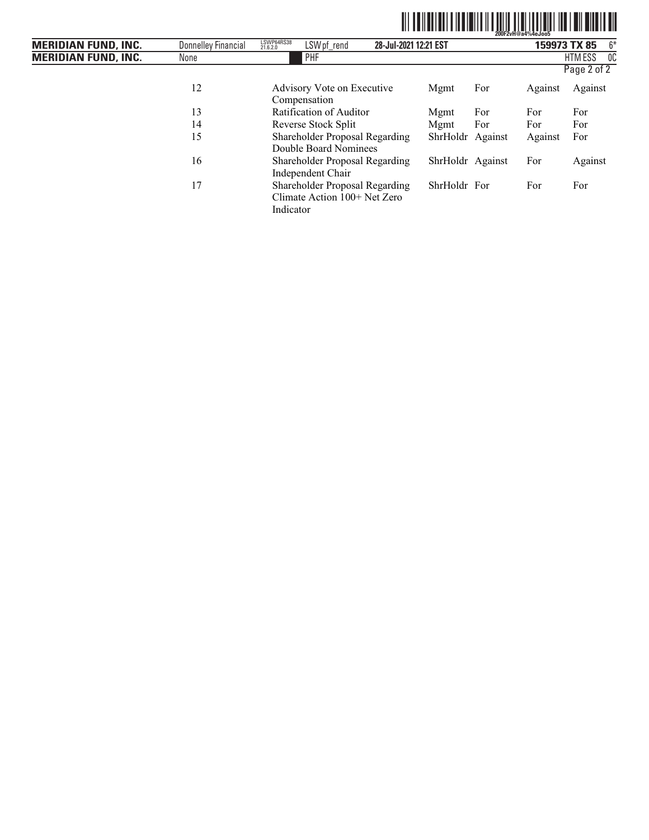

|                            |                            |                                                         |                                                                |                       |                  |         |         | <u>FINENININI IN FINITI I</u> |
|----------------------------|----------------------------|---------------------------------------------------------|----------------------------------------------------------------|-----------------------|------------------|---------|---------|-------------------------------|
| <b>MERIDIAN FUND, INC.</b> | <b>Donnelley Financial</b> | LSWP64RS38<br>21.6.2.0                                  | LSW pf_rend                                                    | 28-Jul-2021 12:21 EST |                  |         |         | 159973 TX 85<br>$6*$          |
| <b>MERIDIAN FUND, INC.</b> | None                       |                                                         | <b>PHF</b>                                                     |                       |                  |         |         | 0C<br>HTM ESS                 |
|                            |                            |                                                         |                                                                |                       |                  |         |         | Page 2 of 2                   |
| 12                         |                            |                                                         | Advisory Vote on Executive<br>Compensation                     |                       | Mgmt             | For     | Against | Against                       |
|                            | 13                         | Ratification of Auditor                                 |                                                                | Mgmt                  | For              | For     | For     |                               |
|                            | 14                         |                                                         | Reverse Stock Split                                            |                       | Mgmt             | For     | For     | For                           |
|                            | 15                         | Shareholder Proposal Regarding<br>Double Board Nominees |                                                                | ShrHoldr Against      |                  | Against | For     |                               |
|                            | 16                         |                                                         | <b>Shareholder Proposal Regarding</b><br>Independent Chair     |                       | ShrHoldr Against |         | For     | Against                       |
|                            | 17                         | Indicator                                               | Shareholder Proposal Regarding<br>Climate Action 100+ Net Zero |                       | ShrHoldr For     |         | For     | For                           |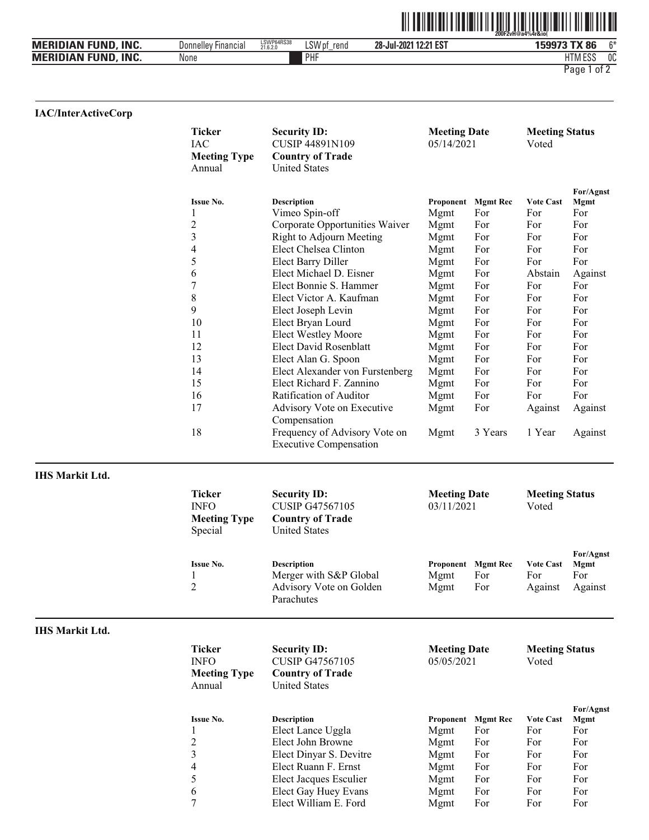| <b>MERIDIAN FUND, INC.</b> | <b>Donnelley Financial</b>                                     | LSWP64RS38<br>21.6.2.0<br>LSW pf_rend<br>28-Jul-2021 12:21 EST                                                  |                                   |                                                | 159973 TX 86                                 | $6*$                                                 |
|----------------------------|----------------------------------------------------------------|-----------------------------------------------------------------------------------------------------------------|-----------------------------------|------------------------------------------------|----------------------------------------------|------------------------------------------------------|
| <b>MERIDIAN FUND, INC.</b> | None                                                           | PHF                                                                                                             |                                   |                                                |                                              | $\overline{0}$<br><b>HTM ESS</b>                     |
|                            |                                                                |                                                                                                                 |                                   |                                                |                                              | Page 1 of 2                                          |
| IAC/InterActiveCorp        |                                                                |                                                                                                                 |                                   |                                                |                                              |                                                      |
|                            | <b>Ticker</b><br><b>IAC</b><br><b>Meeting Type</b><br>Annual   | <b>Security ID:</b><br><b>CUSIP 44891N109</b><br><b>Country of Trade</b><br><b>United States</b>                | <b>Meeting Date</b><br>05/14/2021 |                                                | <b>Meeting Status</b><br>Voted               |                                                      |
|                            | <b>Issue No.</b>                                               | <b>Description</b>                                                                                              |                                   | <b>Mgmt</b> Rec                                | <b>Vote Cast</b>                             | For/Agnst                                            |
|                            | 1                                                              | Vimeo Spin-off                                                                                                  | Proponent<br>Mgmt                 | For                                            | For                                          | <b>Mgmt</b><br>For                                   |
|                            | $\overline{c}$                                                 | Corporate Opportunities Waiver                                                                                  | Mgmt                              | For                                            | For                                          | For                                                  |
|                            | 3                                                              | Right to Adjourn Meeting                                                                                        | Mgmt                              | For                                            | For                                          | For                                                  |
|                            | 4                                                              | Elect Chelsea Clinton                                                                                           | Mgmt                              | For                                            | For                                          | For                                                  |
|                            | 5                                                              | Elect Barry Diller                                                                                              | Mgmt                              | For                                            | For                                          | For                                                  |
|                            | 6                                                              | Elect Michael D. Eisner                                                                                         | Mgmt                              | For                                            | Abstain                                      | Against                                              |
|                            | $\overline{7}$                                                 | Elect Bonnie S. Hammer                                                                                          | Mgmt                              | For                                            | For                                          | For                                                  |
|                            | 8                                                              | Elect Victor A. Kaufman                                                                                         | Mgmt                              | For                                            | For                                          | For                                                  |
|                            | 9                                                              | Elect Joseph Levin                                                                                              | Mgmt                              | For                                            | For                                          | For                                                  |
|                            | 10                                                             | Elect Bryan Lourd                                                                                               | Mgmt                              | For                                            | For                                          | For                                                  |
|                            | 11                                                             | <b>Elect Westley Moore</b>                                                                                      | Mgmt                              | For                                            | For                                          | For                                                  |
|                            | 12                                                             | <b>Elect David Rosenblatt</b>                                                                                   | Mgmt                              | For                                            | For                                          | For                                                  |
|                            | 13                                                             | Elect Alan G. Spoon                                                                                             | Mgmt                              | For                                            | For                                          | For                                                  |
|                            | 14                                                             | Elect Alexander von Furstenberg                                                                                 | Mgmt                              | For                                            | For                                          | For                                                  |
|                            | 15                                                             | Elect Richard F. Zannino                                                                                        | Mgmt                              | For                                            | For                                          | For                                                  |
|                            | 16                                                             | Ratification of Auditor                                                                                         | Mgmt                              | For                                            | For                                          | For                                                  |
|                            | 17                                                             | Advisory Vote on Executive                                                                                      | Mgmt                              | For                                            | Against                                      | Against                                              |
|                            |                                                                | Compensation                                                                                                    |                                   |                                                |                                              |                                                      |
|                            | 18                                                             | Frequency of Advisory Vote on<br><b>Executive Compensation</b>                                                  | Mgmt                              | 3 Years                                        | 1 Year                                       | Against                                              |
| <b>IHS Markit Ltd.</b>     |                                                                |                                                                                                                 |                                   |                                                |                                              |                                                      |
|                            | <b>Ticker</b><br><b>INFO</b><br><b>Meeting Type</b><br>Special | <b>Security ID:</b><br><b>CUSIP G47567105</b><br><b>Country of Trade</b><br><b>United States</b>                | <b>Meeting Date</b><br>03/11/2021 |                                                | <b>Meeting Status</b><br>Voted               |                                                      |
|                            | <b>Issue No.</b>                                               | <b>Description</b>                                                                                              |                                   | Proponent Mgmt Rec                             | <b>Vote Cast</b>                             | For/Agnst<br><b>Mgmt</b>                             |
|                            | 1<br>$\overline{2}$                                            | Merger with S&P Global<br>Advisory Vote on Golden<br>Parachutes                                                 | Mgmt<br>Mgmt                      | For<br>For                                     | For<br>Against                               | For<br>Against                                       |
| <b>IHS Markit Ltd.</b>     |                                                                |                                                                                                                 |                                   |                                                |                                              |                                                      |
|                            | <b>Ticker</b><br><b>INFO</b><br><b>Meeting Type</b><br>Annual  | <b>Security ID:</b><br><b>CUSIP G47567105</b><br><b>Country of Trade</b><br><b>United States</b>                | <b>Meeting Date</b><br>05/05/2021 |                                                | <b>Meeting Status</b><br>Voted               |                                                      |
|                            | <b>Issue No.</b><br>1<br>$\overline{c}$<br>3<br>4              | <b>Description</b><br>Elect Lance Uggla<br>Elect John Browne<br>Elect Dinyar S. Devitre<br>Elect Ruann F. Ernst | Mgmt<br>Mgmt<br>Mgmt<br>Mgmt      | Proponent Mgmt Rec<br>For<br>For<br>For<br>For | <b>Vote Cast</b><br>For<br>For<br>For<br>For | For/Agnst<br><b>Mgmt</b><br>For<br>For<br>For<br>For |
|                            | 5                                                              | Elect Jacques Esculier                                                                                          | Mgmt                              | For                                            | For                                          | For                                                  |
|                            | 6                                                              | Elect Gay Huey Evans                                                                                            | Mgmt                              | For                                            | For                                          | For                                                  |

7 Elect William E. Ford Mgmt For For For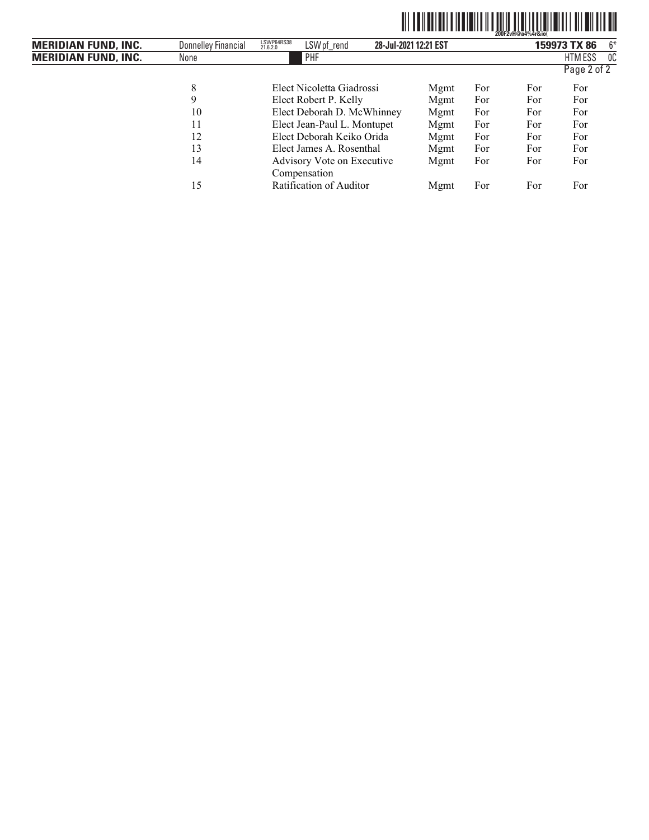

| <b>MERIDIAN FUND, INC.</b> | <b>Donnelley Financial</b> | LSWP64RS38<br>LSW pf_rend<br>21.6.2.0      | 28-Jul-2021 12:21 EST |      |     |     | 159973 TX 86 | $6*$ |
|----------------------------|----------------------------|--------------------------------------------|-----------------------|------|-----|-----|--------------|------|
| <b>MERIDIAN FUND, INC.</b> | None                       | PHF                                        |                       |      |     |     | HTM ESS      | 0C   |
|                            |                            |                                            |                       |      |     |     | Page 2 of 2  |      |
|                            | 8                          | Elect Nicoletta Giadrossi                  |                       | Mgmt | For | For | For          |      |
|                            | 9                          | Elect Robert P. Kelly                      |                       | Mgmt | For | For | For          |      |
|                            | 10                         | Elect Deborah D. McWhinney                 |                       | Mgmt | For | For | For          |      |
|                            | 11                         | Elect Jean-Paul L. Montupet                |                       | Mgmt | For | For | For          |      |
|                            | 12                         | Elect Deborah Keiko Orida                  |                       | Mgmt | For | For | For          |      |
|                            | 13                         | Elect James A. Rosenthal                   |                       | Mgmt | For | For | For          |      |
| 14                         |                            | Advisory Vote on Executive<br>Compensation |                       | Mgmt | For | For | For          |      |
|                            | 15                         | Ratification of Auditor                    |                       | Mgmt | For | For | For          |      |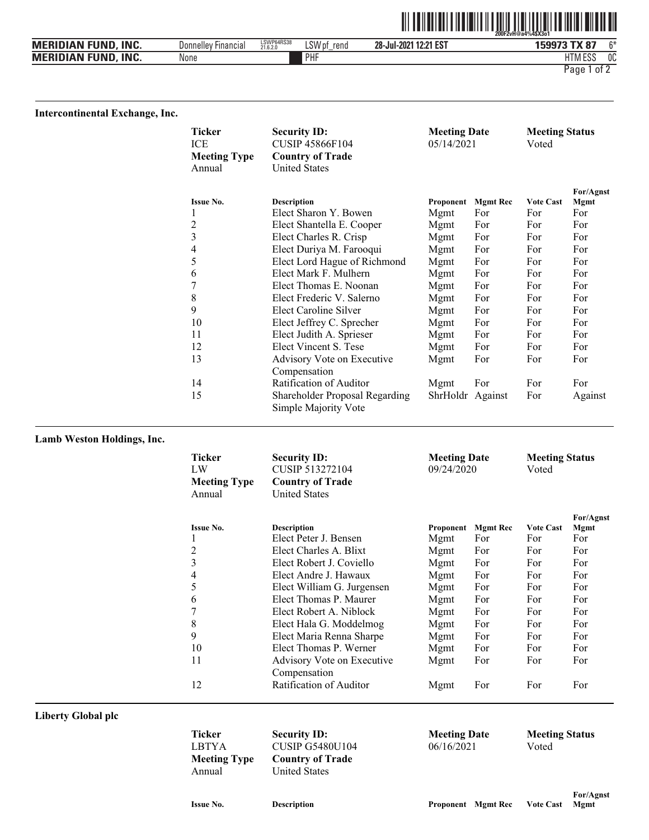|                     |                     |                        |                | <u>                             </u> | <u> Airii an Italia milata nil</u><br><b>TIIII TIITII</b><br>200F2vH@a4%4SX3o1 |      |
|---------------------|---------------------|------------------------|----------------|--------------------------------------|--------------------------------------------------------------------------------|------|
| MERIDIAN FUND, INC. | Donnelley Financial | LSWP64RS38<br>21.6.2.0 | LSW pf<br>rend | 28-Jul-2021 12:21 EST                | 159973 TX 87                                                                   | $6*$ |
| MERIDIAN FUND, INC. | None                |                        | PHF            |                                      | HTM ESS                                                                        | 0C   |

| <b>Ticker</b><br>ICE<br><b>Meeting Type</b><br>Annual | <b>Security ID:</b><br><b>CUSIP 45866F104</b><br><b>Country of Trade</b><br><b>United States</b> | <b>Meeting Date</b><br>05/14/2021 |                 | <b>Meeting Status</b><br>Voted |                          |
|-------------------------------------------------------|--------------------------------------------------------------------------------------------------|-----------------------------------|-----------------|--------------------------------|--------------------------|
| <b>Issue No.</b>                                      | <b>Description</b>                                                                               | Proponent                         | <b>Mgmt Rec</b> | <b>Vote Cast</b>               | For/Agnst<br><b>Mgmt</b> |
| 1                                                     | Elect Sharon Y. Bowen                                                                            | Mgmt                              | For             | For                            | For                      |
| 2                                                     | Elect Shantella E. Cooper                                                                        | Mgmt                              | For             | For                            | For                      |
| 3                                                     | Elect Charles R. Crisp                                                                           | Mgmt                              | For             | For                            | For                      |
| 4                                                     | Elect Duriya M. Farooqui                                                                         | Mgmt                              | For             | For                            | For                      |
| 5                                                     | Elect Lord Hague of Richmond                                                                     | Mgmt                              | For             | For                            | For                      |
| 6                                                     | Elect Mark F. Mulhern                                                                            | Mgmt                              | For             | For                            | For                      |
| 7                                                     | Elect Thomas E. Noonan                                                                           | Mgmt                              | For             | For                            | For                      |
| 8                                                     | Elect Frederic V. Salerno                                                                        | Mgmt                              | For             | For                            | For                      |
| 9                                                     | Elect Caroline Silver                                                                            | Mgmt                              | For             | For                            | For                      |
| 10                                                    | Elect Jeffrey C. Sprecher                                                                        | Mgmt                              | For             | For                            | For                      |
| 11                                                    | Elect Judith A. Sprieser                                                                         | Mgmt                              | For             | For                            | For                      |
| 12                                                    | Elect Vincent S. Tese                                                                            | Mgmt                              | For             | For                            | For                      |
| 13                                                    | Advisory Vote on Executive<br>Compensation                                                       | Mgmt                              | For             | For                            | For                      |
| 14                                                    | Ratification of Auditor                                                                          | Mgmt                              | For             | For                            | For                      |
| 15                                                    | Shareholder Proposal Regarding<br>Simple Majority Vote                                           | ShrHoldr                          | Against         | For                            | Against                  |

**Lamb Weston Holdings, Inc.**

| <b>Ticker</b><br>LW<br><b>Meeting Type</b><br>Annual | <b>Security ID:</b><br>CUSIP 513272104<br><b>Country of Trade</b><br><b>United States</b> | <b>Meeting Date</b><br>09/24/2020 |                 | <b>Meeting Status</b><br>Voted |                   |
|------------------------------------------------------|-------------------------------------------------------------------------------------------|-----------------------------------|-----------------|--------------------------------|-------------------|
| <b>Issue No.</b>                                     | Description                                                                               | Proponent                         | <b>Mgmt Rec</b> | <b>Vote Cast</b>               | For/Agnst<br>Mgmt |
|                                                      | Elect Peter J. Bensen                                                                     | Mgmt                              | For             | For                            | For               |
| 2                                                    | Elect Charles A. Blixt                                                                    | Mgmt                              | For             | For                            | For               |
| 3                                                    | Elect Robert J. Coviello                                                                  | Mgmt                              | For             | For                            | For               |
| 4                                                    | Elect Andre J. Hawaux                                                                     | Mgmt                              | For             | For                            | For               |
| 5                                                    | Elect William G. Jurgensen                                                                | Mgmt                              | For             | For                            | For               |
| 6                                                    | Elect Thomas P. Maurer                                                                    | Mgmt                              | For             | For                            | For               |
|                                                      | Elect Robert A. Niblock                                                                   | Mgmt                              | For             | For                            | For               |
| 8                                                    | Elect Hala G. Moddelmog                                                                   | Mgmt                              | For             | For                            | For               |
| 9                                                    | Elect Maria Renna Sharpe                                                                  | Mgmt                              | For             | For                            | For               |
| 10                                                   | Elect Thomas P. Werner                                                                    | Mgmt                              | For             | For                            | For               |
| 11                                                   | Advisory Vote on Executive<br>Compensation                                                | Mgmt                              | For             | For                            | For               |
| 12                                                   | Ratification of Auditor                                                                   | Mgmt                              | For             | For                            | For               |

**Liberty Global plc**

| Ticker<br><b>LBTYA</b> | <b>Security ID:</b><br><b>CUSIP G5480U104</b> | <b>Meeting Date</b><br>06/16/2021 | <b>Meeting Status</b><br>Voted |
|------------------------|-----------------------------------------------|-----------------------------------|--------------------------------|
| <b>Meeting Type</b>    | <b>Country of Trade</b>                       |                                   |                                |
| Annual                 | <b>United States</b>                          |                                   |                                |
|                        |                                               |                                   |                                |

**Issue No. Description Proponent Mgmt Rec Vote Cast MgmtFor/Agnst**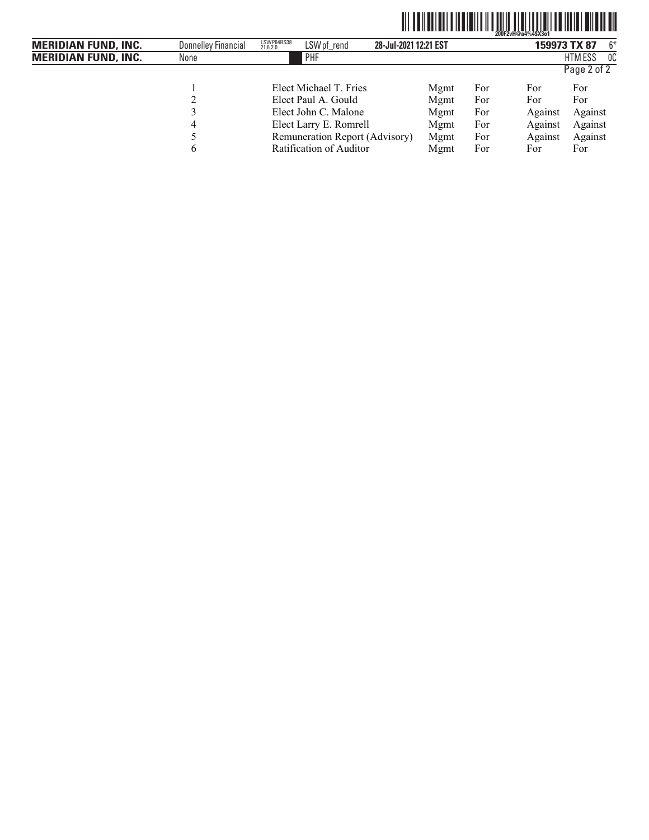

|                            |                     |                        |                                |                       |     |         |              | <b>LUUI LVII\WATI/04JAJU I</b> |  |  |  |
|----------------------------|---------------------|------------------------|--------------------------------|-----------------------|-----|---------|--------------|--------------------------------|--|--|--|
| <b>MERIDIAN FUND, INC.</b> | Donnelley Financial | LSWP64RS38<br>21.6.2.0 | LSW pf_rend                    | 28-Jul-2021 12:21 EST |     |         | 159973 TX 87 | 6*                             |  |  |  |
| <b>MERIDIAN FUND, INC.</b> | None                |                        | <b>PHF</b>                     |                       |     |         | HTM ESS      | 0C                             |  |  |  |
|                            |                     |                        |                                |                       |     |         | Page 2 of 2  |                                |  |  |  |
|                            |                     |                        | Elect Michael T. Fries         | Mgmt                  | For | For     | For          |                                |  |  |  |
|                            |                     |                        | Elect Paul A. Gould            | Mgmt                  | For | For     | For          |                                |  |  |  |
|                            |                     |                        | Elect John C. Malone           | Mgmt                  | For | Against | Against      |                                |  |  |  |
|                            | 4                   |                        | Elect Larry E. Romrell         | Mgmt                  | For | Against | Against      |                                |  |  |  |
|                            |                     |                        | Remuneration Report (Advisory) | Mgmt                  | For | Against | Against      |                                |  |  |  |
|                            | 6                   |                        | Ratification of Auditor        | Mgmt                  | For | For     | For          |                                |  |  |  |
|                            |                     |                        |                                |                       |     |         |              |                                |  |  |  |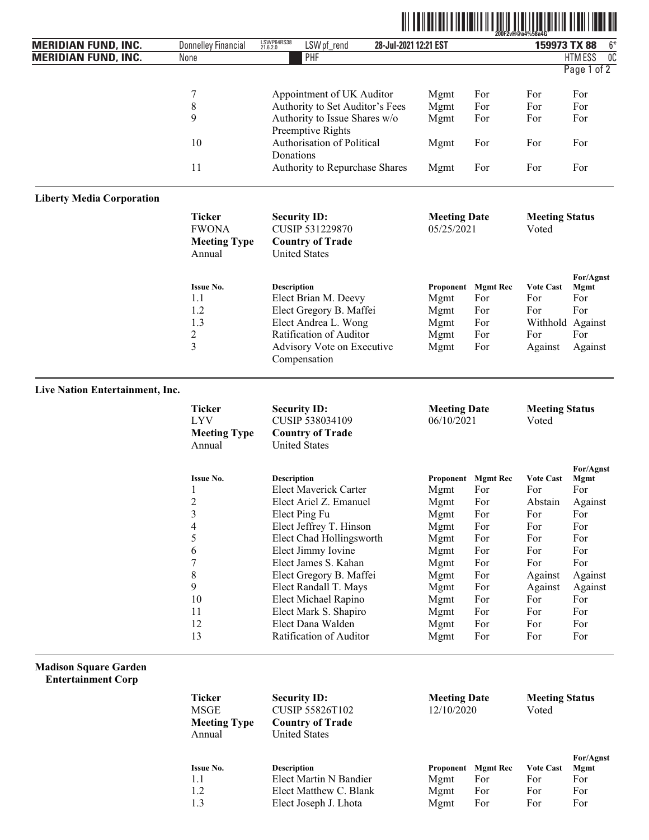

| <b>MERIDIAN FUND, INC.</b>                                | <b>Donnelley Financial</b><br>None<br>7<br>$\,$ 8 $\,$ | LSWP64RS38<br>21.6.2.0<br>LSW pf_rend<br>PHF       |                     |                    |                       | <b>HTMESS</b><br>0 <sup>C</sup><br>Page 1 of 2 |
|-----------------------------------------------------------|--------------------------------------------------------|----------------------------------------------------|---------------------|--------------------|-----------------------|------------------------------------------------|
|                                                           |                                                        |                                                    |                     |                    |                       |                                                |
|                                                           |                                                        |                                                    |                     |                    |                       |                                                |
|                                                           |                                                        | Appointment of UK Auditor                          | Mgmt                | For                | For                   | For                                            |
|                                                           |                                                        | Authority to Set Auditor's Fees                    | Mgmt                | For                | For                   | For                                            |
|                                                           | 9                                                      | Authority to Issue Shares w/o                      | Mgmt                | For                | For                   | For                                            |
|                                                           |                                                        | Preemptive Rights                                  |                     |                    |                       |                                                |
|                                                           | 10                                                     | Authorisation of Political                         | Mgmt                | For                | For                   | For                                            |
|                                                           |                                                        | Donations                                          |                     |                    |                       |                                                |
|                                                           | 11                                                     | Authority to Repurchase Shares                     | Mgmt                | For                | For                   | For                                            |
| <b>Liberty Media Corporation</b>                          |                                                        |                                                    |                     |                    |                       |                                                |
|                                                           | <b>Ticker</b>                                          | <b>Security ID:</b>                                | <b>Meeting Date</b> |                    | <b>Meeting Status</b> |                                                |
|                                                           | <b>FWONA</b>                                           | CUSIP 531229870                                    | 05/25/2021          |                    | Voted                 |                                                |
|                                                           | <b>Meeting Type</b>                                    | <b>Country of Trade</b>                            |                     |                    |                       |                                                |
|                                                           | Annual                                                 | <b>United States</b>                               |                     |                    |                       |                                                |
|                                                           |                                                        |                                                    |                     |                    |                       |                                                |
|                                                           |                                                        |                                                    |                     |                    |                       | For/Agnst                                      |
|                                                           | <b>Issue No.</b>                                       | <b>Description</b>                                 | Proponent           | <b>Mgmt</b> Rec    | <b>Vote Cast</b>      | <b>Mgmt</b>                                    |
|                                                           | 1.1                                                    | Elect Brian M. Deevy                               | Mgmt                | For                | For                   | For                                            |
|                                                           | 1.2                                                    | Elect Gregory B. Maffei                            | Mgmt                | For                | For                   | For                                            |
|                                                           | 1.3                                                    | Elect Andrea L. Wong                               | Mgmt                | For                | Withhold Against      |                                                |
|                                                           | $\overline{c}$                                         | Ratification of Auditor                            | Mgmt                | For                | For                   | For                                            |
|                                                           | $\overline{3}$                                         | Advisory Vote on Executive                         | Mgmt                | For                | Against               | Against                                        |
|                                                           |                                                        | Compensation                                       |                     |                    |                       |                                                |
| Live Nation Entertainment, Inc.                           |                                                        |                                                    |                     |                    |                       |                                                |
|                                                           | <b>Ticker</b>                                          | <b>Security ID:</b>                                | <b>Meeting Date</b> |                    | <b>Meeting Status</b> |                                                |
|                                                           | <b>LYV</b>                                             | CUSIP 538034109                                    | 06/10/2021          |                    | Voted                 |                                                |
|                                                           | <b>Meeting Type</b>                                    | <b>Country of Trade</b>                            |                     |                    |                       |                                                |
|                                                           | Annual                                                 | <b>United States</b>                               |                     |                    |                       |                                                |
|                                                           |                                                        |                                                    |                     |                    |                       | For/Agnst                                      |
|                                                           | <b>Issue No.</b>                                       | <b>Description</b><br><b>Elect Maverick Carter</b> |                     | Proponent Mgmt Rec | <b>Vote Cast</b>      | <b>Mgmt</b>                                    |
|                                                           | $\overline{2}$                                         |                                                    | Mgmt                | For                | For                   | For                                            |
|                                                           | $\mathfrak{Z}$                                         | Elect Ariel Z. Emanuel<br>Elect Ping Fu            | Mgmt                | For<br>For         | Abstain<br>For        | Against<br>For                                 |
|                                                           | 4                                                      | Elect Jeffrey T. Hinson                            | Mgmt<br>Mgmt        | For                | For                   | For                                            |
|                                                           | 5                                                      | Elect Chad Hollingsworth                           |                     | For                | For                   | For                                            |
|                                                           |                                                        |                                                    | Mgmt                | For                | For                   | For                                            |
|                                                           | 6<br>7                                                 | Elect Jimmy Iovine<br>Elect James S. Kahan         | Mgmt<br>Mgmt        | For                | For                   | For                                            |
|                                                           | $8\,$                                                  | Elect Gregory B. Maffei                            |                     |                    |                       |                                                |
|                                                           | 9                                                      | Elect Randall T. Mays                              | Mgmt                | For<br>For         | Against               | Against                                        |
|                                                           | 10                                                     |                                                    | Mgmt                | For                | Against               | Against                                        |
|                                                           |                                                        | Elect Michael Rapino                               | Mgmt                |                    | For                   | For                                            |
|                                                           | 11<br>12                                               | Elect Mark S. Shapiro<br>Elect Dana Walden         | Mgmt                | For<br>For         | For<br>For            | For<br>For                                     |
|                                                           | 13                                                     | Ratification of Auditor                            | Mgmt<br>Mgmt        | For                | For                   | For                                            |
|                                                           |                                                        |                                                    |                     |                    |                       |                                                |
| <b>Madison Square Garden</b><br><b>Entertainment Corp</b> |                                                        |                                                    |                     |                    |                       |                                                |
|                                                           | <b>Ticker</b>                                          | <b>Security ID:</b>                                | <b>Meeting Date</b> |                    | <b>Meeting Status</b> |                                                |
|                                                           | <b>MSGE</b>                                            | <b>CUSIP 55826T102</b>                             | 12/10/2020          |                    | Voted                 |                                                |
|                                                           | <b>Meeting Type</b>                                    | <b>Country of Trade</b>                            |                     |                    |                       |                                                |
|                                                           | Annual                                                 |                                                    |                     |                    |                       |                                                |

| <b>Issue No.</b> | <b>Description</b>     |      | <b>Proponent</b> Mgmt Rec | <b>Vote Cast</b> | For/Agnst<br>Mgmt |
|------------------|------------------------|------|---------------------------|------------------|-------------------|
| 1.1              | Elect Martin N Bandier | Mgmt | For                       | For              | For               |
| 1.2              | Elect Matthew C. Blank | Mgmt | For                       | For              | For               |
| 1.3              | Elect Joseph J. Lhota  | Mgmt | For                       | For              | For               |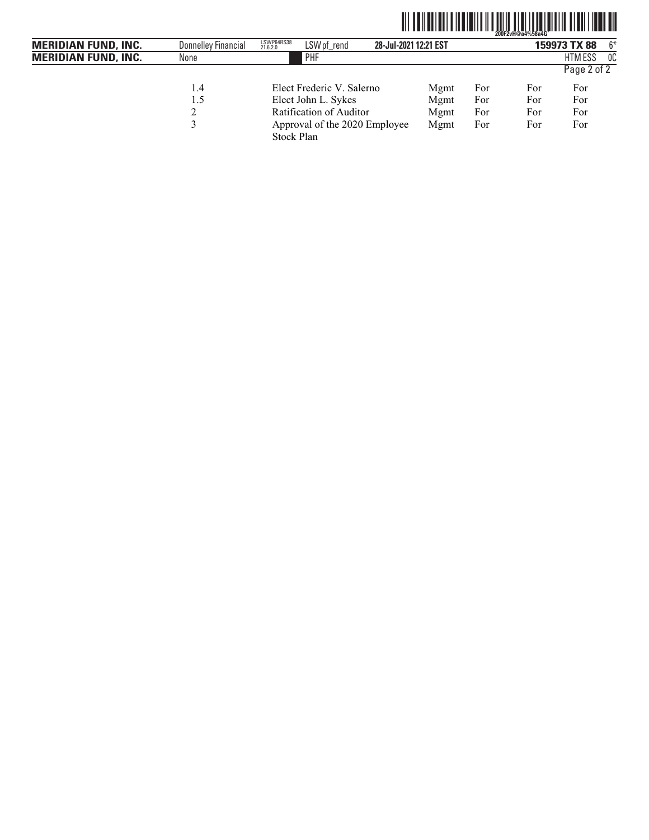

|                            |                            |                        |                               |                       |      |     | _______________ |                |      |
|----------------------------|----------------------------|------------------------|-------------------------------|-----------------------|------|-----|-----------------|----------------|------|
| <b>MERIDIAN FUND, INC.</b> | Donnelley Financial        | LSWP64RS38<br>21.6.2.0 | LSW pf rend                   | 28-Jul-2021 12:21 EST |      |     |                 | 159973 TX 88   | $6*$ |
| <b>MERIDIAN FUND, INC.</b> | None                       |                        | PHF                           |                       |      |     |                 | <b>HTM ESS</b> | 0C   |
|                            |                            |                        |                               |                       |      |     |                 | Page 2 of 2    |      |
|                            | 1.4                        |                        | Elect Frederic V. Salerno     |                       | Mgmt | For | For             | For            |      |
|                            | Elect John L. Sykes<br>1.5 |                        |                               | Mgmt                  | For  | For | For             |                |      |
|                            |                            |                        | Ratification of Auditor       |                       | Mgmt | For | For             | For            |      |
|                            |                            | Stock Plan             | Approval of the 2020 Employee |                       | Mgmt | For | For             | For            |      |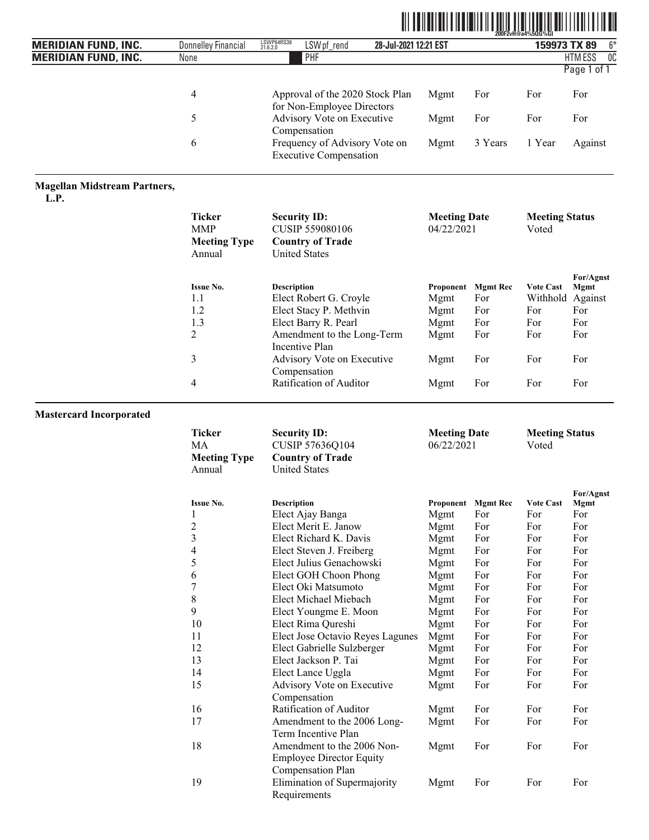| <b>MERIDIAN FUND, INC.</b>                  | <b>Donnelley Financial</b>                                   | LSWP64RS38<br>21.6.2.0 | LSW pf_rend                                                                               | 28-Jul-2021 12:21 EST |                                   |                        | 159973 TX 89                   | $6*$                              |
|---------------------------------------------|--------------------------------------------------------------|------------------------|-------------------------------------------------------------------------------------------|-----------------------|-----------------------------------|------------------------|--------------------------------|-----------------------------------|
| <b>MERIDIAN FUND, INC.</b>                  | None                                                         |                        | PHF                                                                                       |                       |                                   |                        |                                | $\overline{OC}$<br><b>HTM ESS</b> |
|                                             |                                                              |                        |                                                                                           |                       |                                   |                        |                                | Page 1 of 1                       |
|                                             | 4                                                            |                        | Approval of the 2020 Stock Plan<br>for Non-Employee Directors                             |                       | Mgmt                              | For                    | For                            | For                               |
|                                             | 5                                                            |                        | Advisory Vote on Executive<br>Compensation                                                |                       | Mgmt                              | For                    | For                            | For                               |
|                                             | 6                                                            |                        | Frequency of Advisory Vote on<br><b>Executive Compensation</b>                            |                       | Mgmt                              | 3 Years                | 1 Year                         | Against                           |
| <b>Magellan Midstream Partners,</b><br>L.P. |                                                              |                        |                                                                                           |                       |                                   |                        |                                |                                   |
|                                             | <b>Ticker</b><br><b>MMP</b><br><b>Meeting Type</b><br>Annual |                        | <b>Security ID:</b><br>CUSIP 559080106<br><b>Country of Trade</b><br><b>United States</b> |                       | <b>Meeting Date</b><br>04/22/2021 |                        | <b>Meeting Status</b><br>Voted |                                   |
|                                             | <b>Issue No.</b><br>1.1                                      | <b>Description</b>     | Elect Robert G. Croyle                                                                    |                       | Proponent<br>Mgmt                 | <b>Mgmt Rec</b><br>For | <b>Vote Cast</b><br>Withhold   | For/Agnst<br>Mgmt<br>Against      |
|                                             | 1.2                                                          |                        | Elect Stacy P. Methvin                                                                    |                       | Mgmt                              | For                    | For                            | For                               |
|                                             | 1.3                                                          |                        | Elect Barry R. Pearl                                                                      |                       | Mgmt                              | For                    | For                            | For                               |
|                                             | $\overline{c}$                                               |                        | Amendment to the Long-Term                                                                |                       | Mgmt                              | For                    | For                            | For                               |

|     | Elect Stacy P. Methyin     | Mgmt | For | For | For |
|-----|----------------------------|------|-----|-----|-----|
| 1.3 | Elect Barry R. Pearl       | Mgmt | For | For | For |
|     | Amendment to the Long-Term | Mgmt | For | For | For |
|     | Incentive Plan             |      |     |     |     |
|     | Advisory Vote on Executive | Mgmt | For | For | For |
|     | Compensation               |      |     |     |     |
| 4   | Ratification of Auditor    | Mgmt | For | For | For |
|     |                            |      |     |     |     |

## **Mastercard Incorporated**

| <b>Ticker</b><br>MA<br><b>Meeting Type</b><br>Annual | <b>Security ID:</b><br>CUSIP 57636Q104<br><b>Country of Trade</b><br><b>United States</b> |           | <b>Meeting Date</b><br>06/22/2021 |                  | <b>Meeting Status</b><br>Voted |  |  |
|------------------------------------------------------|-------------------------------------------------------------------------------------------|-----------|-----------------------------------|------------------|--------------------------------|--|--|
| <b>Issue No.</b>                                     | <b>Description</b>                                                                        | Proponent | <b>Mgmt Rec</b>                   | <b>Vote Cast</b> | For/Agnst<br><b>Mgmt</b>       |  |  |
| 1                                                    | Elect Ajay Banga                                                                          | Mgmt      | For                               | For              | For                            |  |  |
| $\overline{c}$                                       | Elect Merit E. Janow                                                                      | Mgmt      | For                               | For              | For                            |  |  |
| 3                                                    | Elect Richard K. Davis                                                                    | Mgmt      | For                               | For              | For                            |  |  |
| 4                                                    | Elect Steven J. Freiberg                                                                  | Mgmt      | For                               | For              | For                            |  |  |
| 5                                                    | Elect Julius Genachowski                                                                  | Mgmt      | For                               | For              | For                            |  |  |
| 6                                                    | Elect GOH Choon Phong                                                                     | Mgmt      | For                               | For              | For                            |  |  |
| 7                                                    | Elect Oki Matsumoto                                                                       | Mgmt      | For                               | For              | For                            |  |  |
| 8                                                    | Elect Michael Miebach                                                                     | Mgmt      | For                               | For              | For                            |  |  |
| 9                                                    | Elect Youngme E. Moon                                                                     | Mgmt      | For                               | For              | For                            |  |  |
| 10                                                   | Elect Rima Qureshi                                                                        | Mgmt      | For                               | For              | For                            |  |  |
| 11                                                   | Elect Jose Octavio Reyes Lagunes                                                          | Mgmt      | For                               | For              | For                            |  |  |
| 12                                                   | Elect Gabrielle Sulzberger                                                                | Mgmt      | For                               | For              | For                            |  |  |
| 13                                                   | Elect Jackson P. Tai                                                                      | Mgmt      | For                               | For              | For                            |  |  |
| 14                                                   | Elect Lance Uggla                                                                         | Mgmt      | For                               | For              | For                            |  |  |
| 15                                                   | Advisory Vote on Executive<br>Compensation                                                | Mgmt      | For                               | For              | For                            |  |  |
| 16                                                   | Ratification of Auditor                                                                   | Mgmt      | For                               | For              | For                            |  |  |
| 17                                                   | Amendment to the 2006 Long-<br>Term Incentive Plan                                        | Mgmt      | For                               | For              | For                            |  |  |
| 18                                                   | Amendment to the 2006 Non-<br><b>Employee Director Equity</b><br>Compensation Plan        | Mgmt      | For                               | For              | For                            |  |  |
| 19                                                   | Elimination of Supermajority<br>Requirements                                              | Mgmt      | For                               | For              | For                            |  |  |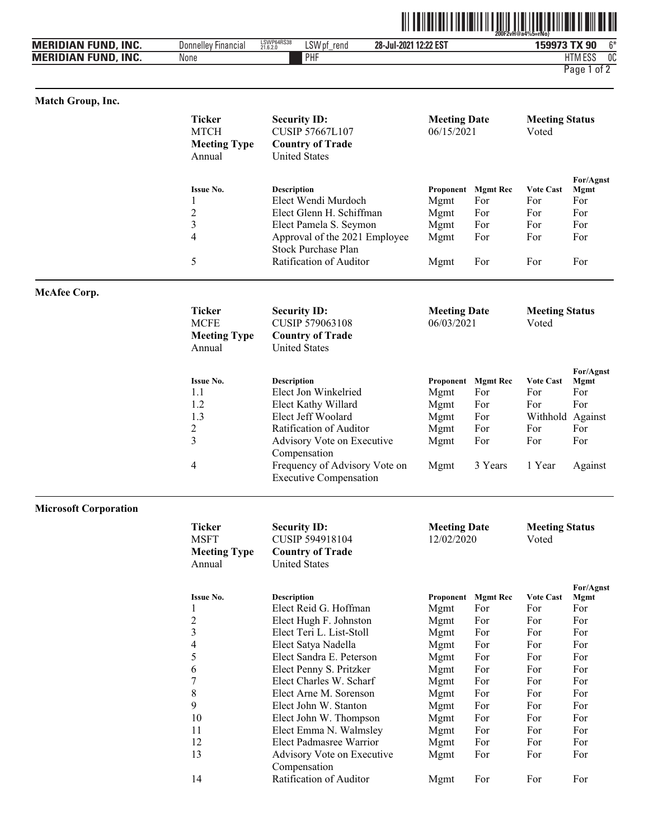| <b>MERIDIAN FUND, INC.</b>   | <b>Donnelley Financial</b> | LSWP64RS38<br>21.6.2.0<br>28-Jul-2021 12:22 EST<br>LSW pf_rend |                     |                    | 159973 TX 90          | $6*$                            |
|------------------------------|----------------------------|----------------------------------------------------------------|---------------------|--------------------|-----------------------|---------------------------------|
| <b>MERIDIAN FUND, INC.</b>   | None                       | PHF                                                            |                     |                    |                       | <b>HTMESS</b><br>0 <sup>C</sup> |
|                              |                            |                                                                |                     |                    |                       | Page 1 of 2                     |
| Match Group, Inc.            |                            |                                                                |                     |                    |                       |                                 |
|                              | <b>Ticker</b>              | <b>Security ID:</b>                                            | <b>Meeting Date</b> |                    | <b>Meeting Status</b> |                                 |
|                              | <b>MTCH</b>                | <b>CUSIP 57667L107</b>                                         | 06/15/2021          |                    | Voted                 |                                 |
|                              | <b>Meeting Type</b>        | <b>Country of Trade</b>                                        |                     |                    |                       |                                 |
|                              | Annual                     | <b>United States</b>                                           |                     |                    |                       |                                 |
|                              |                            |                                                                |                     |                    |                       | For/Agnst                       |
|                              | <b>Issue No.</b>           | Description                                                    |                     | Proponent Mgmt Rec | <b>Vote Cast</b>      | <b>Mgmt</b>                     |
|                              | 1                          | Elect Wendi Murdoch                                            | Mgmt                | For                | For                   | For                             |
|                              | $\overline{2}$             | Elect Glenn H. Schiffman                                       | Mgmt                | For                | For                   | For                             |
|                              | 3                          | Elect Pamela S. Seymon                                         | Mgmt                | For                | For                   | For                             |
|                              | 4                          | Approval of the 2021 Employee<br><b>Stock Purchase Plan</b>    | Mgmt                | For                | For                   | For                             |
|                              | 5                          | Ratification of Auditor                                        | Mgmt                | For                | For                   | For                             |
| <b>McAfee Corp.</b>          |                            |                                                                |                     |                    |                       |                                 |
|                              | <b>Ticker</b>              | <b>Security ID:</b>                                            | <b>Meeting Date</b> |                    | <b>Meeting Status</b> |                                 |
|                              | <b>MCFE</b>                | CUSIP 579063108                                                | 06/03/2021          |                    | Voted                 |                                 |
|                              | <b>Meeting Type</b>        | <b>Country of Trade</b>                                        |                     |                    |                       |                                 |
|                              | Annual                     | <b>United States</b>                                           |                     |                    |                       |                                 |
|                              |                            |                                                                |                     |                    |                       | For/Agnst                       |
|                              | <b>Issue No.</b>           | <b>Description</b>                                             |                     | Proponent Mgmt Rec | <b>Vote Cast</b>      | <b>Mgmt</b>                     |
|                              | 1.1                        | Elect Jon Winkelried                                           | Mgmt                | For                | For                   | For                             |
|                              | 1.2                        | Elect Kathy Willard                                            | Mgmt                | For                | For                   | For                             |
|                              | 1.3                        | Elect Jeff Woolard                                             | Mgmt                | For                | Withhold Against      |                                 |
|                              | 2                          | Ratification of Auditor                                        | Mgmt                | For                | For                   | For                             |
|                              | 3                          | Advisory Vote on Executive                                     | Mgmt                | For                | For                   | For                             |
|                              |                            | Compensation                                                   |                     |                    |                       |                                 |
|                              | 4                          | Frequency of Advisory Vote on                                  | Mgmt                | 3 Years            | 1 Year                | Against                         |
|                              |                            | <b>Executive Compensation</b>                                  |                     |                    |                       |                                 |
| <b>Microsoft Corporation</b> |                            |                                                                |                     |                    |                       |                                 |
|                              | <b>Ticker</b>              | <b>Security ID:</b>                                            | <b>Meeting Date</b> |                    | <b>Meeting Status</b> |                                 |
|                              | <b>MSFT</b>                | CUSIP 594918104                                                | 12/02/2020          |                    | Voted                 |                                 |
|                              | <b>Meeting Type</b>        | <b>Country of Trade</b>                                        |                     |                    |                       |                                 |
|                              | Annual                     | <b>United States</b>                                           |                     |                    |                       |                                 |
|                              |                            |                                                                |                     |                    |                       | For/Agnst                       |
|                              | <b>Issue No.</b>           | <b>Description</b>                                             | Proponent           | <b>Mgmt Rec</b>    | <b>Vote Cast</b>      | <b>Mgmt</b>                     |
|                              | 1                          | Elect Reid G. Hoffman                                          | Mgmt                | For                | For                   | For                             |
|                              | $\overline{2}$             | Elect Hugh F. Johnston                                         | Mgmt                | For                | For                   | For                             |
|                              | 3                          | Elect Teri L. List-Stoll                                       | Mgmt                | For                | For                   | For                             |
|                              | 4                          | Elect Satya Nadella                                            | Mgmt                | For                | For                   | For                             |
|                              | 5                          | Elect Sandra E. Peterson                                       | Mgmt                | For                | For                   | For                             |
|                              | 6                          | Elect Penny S. Pritzker                                        | Mgmt                | For                | For                   | For                             |
|                              | $\tau$                     | Elect Charles W. Scharf                                        | Mgmt                | For                | For                   | For                             |
|                              | $\,8\,$                    | Elect Arne M. Sorenson                                         | Mgmt                | For                | For                   | For                             |
|                              | 9                          | Elect John W. Stanton                                          | Mgmt                | For                | For                   | For                             |
|                              | 10                         | Elect John W. Thompson                                         | Mgmt                | For                | For                   | For                             |
|                              | 11                         | Elect Emma N. Walmsley                                         | Mgmt                | For                | For                   | For                             |
|                              | 12                         | Elect Padmasree Warrior                                        | Mgmt                | For                | For                   | For                             |
|                              | 13                         | Advisory Vote on Executive                                     | Mgmt                | For                | For                   | For                             |
|                              |                            | Compensation                                                   |                     |                    |                       |                                 |
|                              | 14                         | Ratification of Auditor                                        | Mgmt                | For                | For                   | For                             |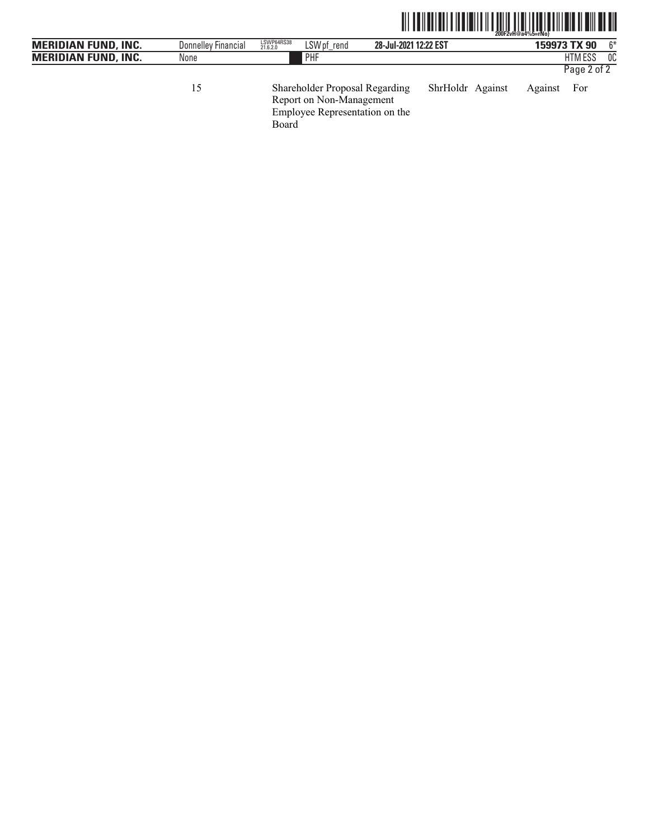

|                            |                     |                        |                                                                                              |                       |                  | 100111011011 |              |      |
|----------------------------|---------------------|------------------------|----------------------------------------------------------------------------------------------|-----------------------|------------------|--------------|--------------|------|
| <b>MERIDIAN FUND, INC.</b> | Donnelley Financial | LSWP64RS38<br>21.6.2.0 | LSW pf_rend                                                                                  | 28-Jul-2021 12:22 EST |                  |              | 159973 TX 90 | $6*$ |
| <b>MERIDIAN FUND, INC.</b> | None                |                        | PHF                                                                                          |                       |                  |              | HTM ESS      | 0C   |
|                            |                     |                        |                                                                                              |                       |                  |              | Page 2 of 2  |      |
|                            | 15                  | Board                  | Shareholder Proposal Regarding<br>Report on Non-Management<br>Employee Representation on the |                       | ShrHoldr Against | Against      | For          |      |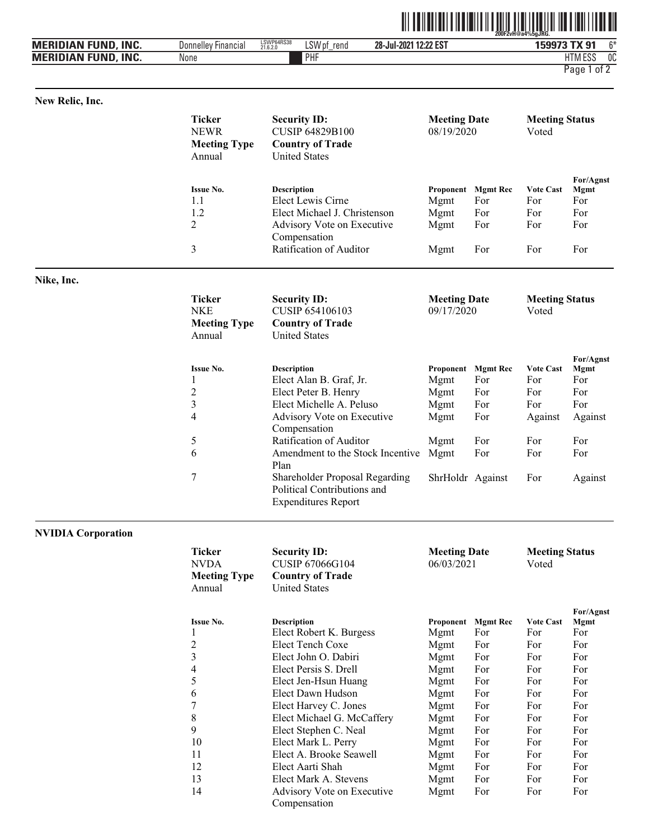| <b>Donnelley Financial</b> | LSW pf_rend                                                                                                                                                                                                                                                                              |                                                                                                                                                                                                                                                                                                                                                                                                                                                                                                                                                                                                                                                                                                                                                                                                  |                                                                                                                                                                                                                                           |                                                                                                                                                                                                                                                                                                                                                                                                       | $6*$                                                                                                                                                                                                                                                                                                   |
|----------------------------|------------------------------------------------------------------------------------------------------------------------------------------------------------------------------------------------------------------------------------------------------------------------------------------|--------------------------------------------------------------------------------------------------------------------------------------------------------------------------------------------------------------------------------------------------------------------------------------------------------------------------------------------------------------------------------------------------------------------------------------------------------------------------------------------------------------------------------------------------------------------------------------------------------------------------------------------------------------------------------------------------------------------------------------------------------------------------------------------------|-------------------------------------------------------------------------------------------------------------------------------------------------------------------------------------------------------------------------------------------|-------------------------------------------------------------------------------------------------------------------------------------------------------------------------------------------------------------------------------------------------------------------------------------------------------------------------------------------------------------------------------------------------------|--------------------------------------------------------------------------------------------------------------------------------------------------------------------------------------------------------------------------------------------------------------------------------------------------------|
| None                       | PHF                                                                                                                                                                                                                                                                                      |                                                                                                                                                                                                                                                                                                                                                                                                                                                                                                                                                                                                                                                                                                                                                                                                  |                                                                                                                                                                                                                                           |                                                                                                                                                                                                                                                                                                                                                                                                       | <b>HTMESS</b><br>0 <sup>C</sup>                                                                                                                                                                                                                                                                        |
|                            |                                                                                                                                                                                                                                                                                          |                                                                                                                                                                                                                                                                                                                                                                                                                                                                                                                                                                                                                                                                                                                                                                                                  |                                                                                                                                                                                                                                           |                                                                                                                                                                                                                                                                                                                                                                                                       | Page 1 of 2                                                                                                                                                                                                                                                                                            |
|                            |                                                                                                                                                                                                                                                                                          |                                                                                                                                                                                                                                                                                                                                                                                                                                                                                                                                                                                                                                                                                                                                                                                                  |                                                                                                                                                                                                                                           |                                                                                                                                                                                                                                                                                                                                                                                                       |                                                                                                                                                                                                                                                                                                        |
| <b>Ticker</b>              | <b>Security ID:</b>                                                                                                                                                                                                                                                                      |                                                                                                                                                                                                                                                                                                                                                                                                                                                                                                                                                                                                                                                                                                                                                                                                  |                                                                                                                                                                                                                                           |                                                                                                                                                                                                                                                                                                                                                                                                       |                                                                                                                                                                                                                                                                                                        |
|                            |                                                                                                                                                                                                                                                                                          |                                                                                                                                                                                                                                                                                                                                                                                                                                                                                                                                                                                                                                                                                                                                                                                                  |                                                                                                                                                                                                                                           |                                                                                                                                                                                                                                                                                                                                                                                                       |                                                                                                                                                                                                                                                                                                        |
|                            |                                                                                                                                                                                                                                                                                          |                                                                                                                                                                                                                                                                                                                                                                                                                                                                                                                                                                                                                                                                                                                                                                                                  |                                                                                                                                                                                                                                           |                                                                                                                                                                                                                                                                                                                                                                                                       |                                                                                                                                                                                                                                                                                                        |
|                            |                                                                                                                                                                                                                                                                                          |                                                                                                                                                                                                                                                                                                                                                                                                                                                                                                                                                                                                                                                                                                                                                                                                  |                                                                                                                                                                                                                                           |                                                                                                                                                                                                                                                                                                                                                                                                       |                                                                                                                                                                                                                                                                                                        |
|                            |                                                                                                                                                                                                                                                                                          |                                                                                                                                                                                                                                                                                                                                                                                                                                                                                                                                                                                                                                                                                                                                                                                                  |                                                                                                                                                                                                                                           |                                                                                                                                                                                                                                                                                                                                                                                                       | For/Agnst<br><b>Mgmt</b>                                                                                                                                                                                                                                                                               |
| 1.1                        |                                                                                                                                                                                                                                                                                          |                                                                                                                                                                                                                                                                                                                                                                                                                                                                                                                                                                                                                                                                                                                                                                                                  |                                                                                                                                                                                                                                           |                                                                                                                                                                                                                                                                                                                                                                                                       | For                                                                                                                                                                                                                                                                                                    |
| 1.2                        | Elect Michael J. Christenson                                                                                                                                                                                                                                                             |                                                                                                                                                                                                                                                                                                                                                                                                                                                                                                                                                                                                                                                                                                                                                                                                  | For                                                                                                                                                                                                                                       | For                                                                                                                                                                                                                                                                                                                                                                                                   | For                                                                                                                                                                                                                                                                                                    |
| $\overline{2}$             | Advisory Vote on Executive                                                                                                                                                                                                                                                               | Mgmt                                                                                                                                                                                                                                                                                                                                                                                                                                                                                                                                                                                                                                                                                                                                                                                             | For                                                                                                                                                                                                                                       | For                                                                                                                                                                                                                                                                                                                                                                                                   | For                                                                                                                                                                                                                                                                                                    |
|                            | Compensation                                                                                                                                                                                                                                                                             |                                                                                                                                                                                                                                                                                                                                                                                                                                                                                                                                                                                                                                                                                                                                                                                                  |                                                                                                                                                                                                                                           |                                                                                                                                                                                                                                                                                                                                                                                                       |                                                                                                                                                                                                                                                                                                        |
|                            |                                                                                                                                                                                                                                                                                          |                                                                                                                                                                                                                                                                                                                                                                                                                                                                                                                                                                                                                                                                                                                                                                                                  | For                                                                                                                                                                                                                                       |                                                                                                                                                                                                                                                                                                                                                                                                       | For                                                                                                                                                                                                                                                                                                    |
|                            |                                                                                                                                                                                                                                                                                          |                                                                                                                                                                                                                                                                                                                                                                                                                                                                                                                                                                                                                                                                                                                                                                                                  |                                                                                                                                                                                                                                           |                                                                                                                                                                                                                                                                                                                                                                                                       |                                                                                                                                                                                                                                                                                                        |
| <b>Ticker</b>              |                                                                                                                                                                                                                                                                                          |                                                                                                                                                                                                                                                                                                                                                                                                                                                                                                                                                                                                                                                                                                                                                                                                  |                                                                                                                                                                                                                                           |                                                                                                                                                                                                                                                                                                                                                                                                       |                                                                                                                                                                                                                                                                                                        |
| <b>NKE</b>                 | CUSIP 654106103                                                                                                                                                                                                                                                                          |                                                                                                                                                                                                                                                                                                                                                                                                                                                                                                                                                                                                                                                                                                                                                                                                  |                                                                                                                                                                                                                                           | Voted                                                                                                                                                                                                                                                                                                                                                                                                 |                                                                                                                                                                                                                                                                                                        |
| <b>Meeting Type</b>        | <b>Country of Trade</b>                                                                                                                                                                                                                                                                  |                                                                                                                                                                                                                                                                                                                                                                                                                                                                                                                                                                                                                                                                                                                                                                                                  |                                                                                                                                                                                                                                           |                                                                                                                                                                                                                                                                                                                                                                                                       |                                                                                                                                                                                                                                                                                                        |
| Annual                     | <b>United States</b>                                                                                                                                                                                                                                                                     |                                                                                                                                                                                                                                                                                                                                                                                                                                                                                                                                                                                                                                                                                                                                                                                                  |                                                                                                                                                                                                                                           |                                                                                                                                                                                                                                                                                                                                                                                                       |                                                                                                                                                                                                                                                                                                        |
|                            |                                                                                                                                                                                                                                                                                          |                                                                                                                                                                                                                                                                                                                                                                                                                                                                                                                                                                                                                                                                                                                                                                                                  |                                                                                                                                                                                                                                           |                                                                                                                                                                                                                                                                                                                                                                                                       | For/Agnst                                                                                                                                                                                                                                                                                              |
| <b>Issue No.</b>           | <b>Description</b>                                                                                                                                                                                                                                                                       |                                                                                                                                                                                                                                                                                                                                                                                                                                                                                                                                                                                                                                                                                                                                                                                                  | <b>Mgmt</b> Rec                                                                                                                                                                                                                           | <b>Vote Cast</b>                                                                                                                                                                                                                                                                                                                                                                                      | <b>Mgmt</b>                                                                                                                                                                                                                                                                                            |
| 1                          |                                                                                                                                                                                                                                                                                          |                                                                                                                                                                                                                                                                                                                                                                                                                                                                                                                                                                                                                                                                                                                                                                                                  |                                                                                                                                                                                                                                           |                                                                                                                                                                                                                                                                                                                                                                                                       | For                                                                                                                                                                                                                                                                                                    |
|                            |                                                                                                                                                                                                                                                                                          |                                                                                                                                                                                                                                                                                                                                                                                                                                                                                                                                                                                                                                                                                                                                                                                                  |                                                                                                                                                                                                                                           |                                                                                                                                                                                                                                                                                                                                                                                                       | For                                                                                                                                                                                                                                                                                                    |
|                            |                                                                                                                                                                                                                                                                                          |                                                                                                                                                                                                                                                                                                                                                                                                                                                                                                                                                                                                                                                                                                                                                                                                  |                                                                                                                                                                                                                                           |                                                                                                                                                                                                                                                                                                                                                                                                       | For                                                                                                                                                                                                                                                                                                    |
|                            |                                                                                                                                                                                                                                                                                          |                                                                                                                                                                                                                                                                                                                                                                                                                                                                                                                                                                                                                                                                                                                                                                                                  |                                                                                                                                                                                                                                           |                                                                                                                                                                                                                                                                                                                                                                                                       | Against                                                                                                                                                                                                                                                                                                |
|                            |                                                                                                                                                                                                                                                                                          |                                                                                                                                                                                                                                                                                                                                                                                                                                                                                                                                                                                                                                                                                                                                                                                                  |                                                                                                                                                                                                                                           |                                                                                                                                                                                                                                                                                                                                                                                                       | For                                                                                                                                                                                                                                                                                                    |
|                            |                                                                                                                                                                                                                                                                                          |                                                                                                                                                                                                                                                                                                                                                                                                                                                                                                                                                                                                                                                                                                                                                                                                  |                                                                                                                                                                                                                                           |                                                                                                                                                                                                                                                                                                                                                                                                       | For                                                                                                                                                                                                                                                                                                    |
|                            | Plan                                                                                                                                                                                                                                                                                     |                                                                                                                                                                                                                                                                                                                                                                                                                                                                                                                                                                                                                                                                                                                                                                                                  |                                                                                                                                                                                                                                           |                                                                                                                                                                                                                                                                                                                                                                                                       |                                                                                                                                                                                                                                                                                                        |
| $\tau$                     | Shareholder Proposal Regarding                                                                                                                                                                                                                                                           |                                                                                                                                                                                                                                                                                                                                                                                                                                                                                                                                                                                                                                                                                                                                                                                                  |                                                                                                                                                                                                                                           | For                                                                                                                                                                                                                                                                                                                                                                                                   | Against                                                                                                                                                                                                                                                                                                |
|                            | Political Contributions and                                                                                                                                                                                                                                                              |                                                                                                                                                                                                                                                                                                                                                                                                                                                                                                                                                                                                                                                                                                                                                                                                  |                                                                                                                                                                                                                                           |                                                                                                                                                                                                                                                                                                                                                                                                       |                                                                                                                                                                                                                                                                                                        |
|                            |                                                                                                                                                                                                                                                                                          |                                                                                                                                                                                                                                                                                                                                                                                                                                                                                                                                                                                                                                                                                                                                                                                                  |                                                                                                                                                                                                                                           |                                                                                                                                                                                                                                                                                                                                                                                                       |                                                                                                                                                                                                                                                                                                        |
|                            |                                                                                                                                                                                                                                                                                          |                                                                                                                                                                                                                                                                                                                                                                                                                                                                                                                                                                                                                                                                                                                                                                                                  |                                                                                                                                                                                                                                           |                                                                                                                                                                                                                                                                                                                                                                                                       |                                                                                                                                                                                                                                                                                                        |
| <b>Ticker</b>              | <b>Security ID:</b>                                                                                                                                                                                                                                                                      |                                                                                                                                                                                                                                                                                                                                                                                                                                                                                                                                                                                                                                                                                                                                                                                                  |                                                                                                                                                                                                                                           |                                                                                                                                                                                                                                                                                                                                                                                                       |                                                                                                                                                                                                                                                                                                        |
| <b>NVDA</b>                |                                                                                                                                                                                                                                                                                          |                                                                                                                                                                                                                                                                                                                                                                                                                                                                                                                                                                                                                                                                                                                                                                                                  |                                                                                                                                                                                                                                           | Voted                                                                                                                                                                                                                                                                                                                                                                                                 |                                                                                                                                                                                                                                                                                                        |
|                            |                                                                                                                                                                                                                                                                                          |                                                                                                                                                                                                                                                                                                                                                                                                                                                                                                                                                                                                                                                                                                                                                                                                  |                                                                                                                                                                                                                                           |                                                                                                                                                                                                                                                                                                                                                                                                       |                                                                                                                                                                                                                                                                                                        |
|                            |                                                                                                                                                                                                                                                                                          |                                                                                                                                                                                                                                                                                                                                                                                                                                                                                                                                                                                                                                                                                                                                                                                                  |                                                                                                                                                                                                                                           |                                                                                                                                                                                                                                                                                                                                                                                                       |                                                                                                                                                                                                                                                                                                        |
|                            |                                                                                                                                                                                                                                                                                          |                                                                                                                                                                                                                                                                                                                                                                                                                                                                                                                                                                                                                                                                                                                                                                                                  |                                                                                                                                                                                                                                           |                                                                                                                                                                                                                                                                                                                                                                                                       | For/Agnst                                                                                                                                                                                                                                                                                              |
|                            |                                                                                                                                                                                                                                                                                          |                                                                                                                                                                                                                                                                                                                                                                                                                                                                                                                                                                                                                                                                                                                                                                                                  |                                                                                                                                                                                                                                           |                                                                                                                                                                                                                                                                                                                                                                                                       | <b>Mgmt</b>                                                                                                                                                                                                                                                                                            |
|                            |                                                                                                                                                                                                                                                                                          |                                                                                                                                                                                                                                                                                                                                                                                                                                                                                                                                                                                                                                                                                                                                                                                                  |                                                                                                                                                                                                                                           |                                                                                                                                                                                                                                                                                                                                                                                                       | For                                                                                                                                                                                                                                                                                                    |
|                            |                                                                                                                                                                                                                                                                                          |                                                                                                                                                                                                                                                                                                                                                                                                                                                                                                                                                                                                                                                                                                                                                                                                  |                                                                                                                                                                                                                                           |                                                                                                                                                                                                                                                                                                                                                                                                       | For<br>For                                                                                                                                                                                                                                                                                             |
|                            |                                                                                                                                                                                                                                                                                          |                                                                                                                                                                                                                                                                                                                                                                                                                                                                                                                                                                                                                                                                                                                                                                                                  |                                                                                                                                                                                                                                           |                                                                                                                                                                                                                                                                                                                                                                                                       | For                                                                                                                                                                                                                                                                                                    |
|                            |                                                                                                                                                                                                                                                                                          |                                                                                                                                                                                                                                                                                                                                                                                                                                                                                                                                                                                                                                                                                                                                                                                                  |                                                                                                                                                                                                                                           |                                                                                                                                                                                                                                                                                                                                                                                                       | For                                                                                                                                                                                                                                                                                                    |
|                            |                                                                                                                                                                                                                                                                                          |                                                                                                                                                                                                                                                                                                                                                                                                                                                                                                                                                                                                                                                                                                                                                                                                  |                                                                                                                                                                                                                                           |                                                                                                                                                                                                                                                                                                                                                                                                       | For                                                                                                                                                                                                                                                                                                    |
|                            |                                                                                                                                                                                                                                                                                          |                                                                                                                                                                                                                                                                                                                                                                                                                                                                                                                                                                                                                                                                                                                                                                                                  |                                                                                                                                                                                                                                           |                                                                                                                                                                                                                                                                                                                                                                                                       | For                                                                                                                                                                                                                                                                                                    |
|                            |                                                                                                                                                                                                                                                                                          |                                                                                                                                                                                                                                                                                                                                                                                                                                                                                                                                                                                                                                                                                                                                                                                                  |                                                                                                                                                                                                                                           |                                                                                                                                                                                                                                                                                                                                                                                                       | For                                                                                                                                                                                                                                                                                                    |
|                            |                                                                                                                                                                                                                                                                                          |                                                                                                                                                                                                                                                                                                                                                                                                                                                                                                                                                                                                                                                                                                                                                                                                  |                                                                                                                                                                                                                                           |                                                                                                                                                                                                                                                                                                                                                                                                       | For                                                                                                                                                                                                                                                                                                    |
|                            |                                                                                                                                                                                                                                                                                          |                                                                                                                                                                                                                                                                                                                                                                                                                                                                                                                                                                                                                                                                                                                                                                                                  |                                                                                                                                                                                                                                           |                                                                                                                                                                                                                                                                                                                                                                                                       | For                                                                                                                                                                                                                                                                                                    |
|                            |                                                                                                                                                                                                                                                                                          |                                                                                                                                                                                                                                                                                                                                                                                                                                                                                                                                                                                                                                                                                                                                                                                                  |                                                                                                                                                                                                                                           |                                                                                                                                                                                                                                                                                                                                                                                                       | For                                                                                                                                                                                                                                                                                                    |
|                            |                                                                                                                                                                                                                                                                                          |                                                                                                                                                                                                                                                                                                                                                                                                                                                                                                                                                                                                                                                                                                                                                                                                  |                                                                                                                                                                                                                                           |                                                                                                                                                                                                                                                                                                                                                                                                       | For                                                                                                                                                                                                                                                                                                    |
|                            |                                                                                                                                                                                                                                                                                          |                                                                                                                                                                                                                                                                                                                                                                                                                                                                                                                                                                                                                                                                                                                                                                                                  |                                                                                                                                                                                                                                           |                                                                                                                                                                                                                                                                                                                                                                                                       | For                                                                                                                                                                                                                                                                                                    |
|                            |                                                                                                                                                                                                                                                                                          |                                                                                                                                                                                                                                                                                                                                                                                                                                                                                                                                                                                                                                                                                                                                                                                                  |                                                                                                                                                                                                                                           |                                                                                                                                                                                                                                                                                                                                                                                                       | For                                                                                                                                                                                                                                                                                                    |
|                            | <b>NEWR</b><br><b>Meeting Type</b><br>Annual<br><b>Issue No.</b><br>3<br>$\overline{c}$<br>3<br>4<br>5<br>6<br><b>Meeting Type</b><br>Annual<br><b>Issue No.</b><br>1<br>$\overline{2}$<br>$\mathfrak{Z}$<br>4<br>$\sqrt{5}$<br>6<br>7<br>$\,$ 8 $\,$<br>9<br>10<br>11<br>12<br>13<br>14 | LSWP64RS38<br>21.6.2.0<br>CUSIP 64829B100<br><b>Country of Trade</b><br><b>United States</b><br>Description<br>Elect Lewis Cirne<br>Ratification of Auditor<br><b>Security ID:</b><br>Elect Alan B. Graf, Jr.<br>Elect Peter B. Henry<br>Elect Michelle A. Peluso<br>Advisory Vote on Executive<br>Compensation<br>Ratification of Auditor<br><b>Expenditures Report</b><br>CUSIP 67066G104<br><b>Country of Trade</b><br><b>United States</b><br>Description<br>Elect Robert K. Burgess<br><b>Elect Tench Coxe</b><br>Elect John O. Dabiri<br>Elect Persis S. Drell<br>Elect Jen-Hsun Huang<br>Elect Dawn Hudson<br>Elect Harvey C. Jones<br>Elect Michael G. McCaffery<br>Elect Stephen C. Neal<br>Elect Mark L. Perry<br>Elect A. Brooke Seawell<br>Elect Aarti Shah<br>Elect Mark A. Stevens | 28-Jul-2021 12:22 EST<br>Mgmt<br>Mgmt<br>Mgmt<br>Mgmt<br>Mgmt<br>Mgmt<br>Mgmt<br>Mgmt<br>Amendment to the Stock Incentive<br>Mgmt<br>Mgmt<br>Mgmt<br>Mgmt<br>Mgmt<br>Mgmt<br>Mgmt<br>Mgmt<br>Mgmt<br>Mgmt<br>Mgmt<br>Mgmt<br>Mgmt<br>Mgmt | <b>Meeting Date</b><br>08/19/2020<br>Proponent<br><b>Mgmt</b> Rec<br>For<br><b>Meeting Date</b><br>09/17/2020<br>Proponent<br>For<br>For<br>For<br>For<br>For<br>For<br>ShrHoldr Against<br><b>Meeting Date</b><br>06/03/2021<br>Proponent<br><b>Mgmt Rec</b><br>For<br>For<br>For<br>For<br>For<br>For<br>For<br>For<br>For<br>For<br>For<br>For<br>For<br>Advisory Vote on Executive<br>For<br>Mgmt | 159973 TX 91<br><b>Meeting Status</b><br>Voted<br><b>Vote Cast</b><br>For<br>For<br><b>Meeting Status</b><br>For<br>For<br>For<br>Against<br>For<br>For<br><b>Meeting Status</b><br><b>Vote Cast</b><br>For<br>For<br>For<br>For<br>For<br>For<br>For<br>For<br>For<br>For<br>For<br>For<br>For<br>For |

Compensation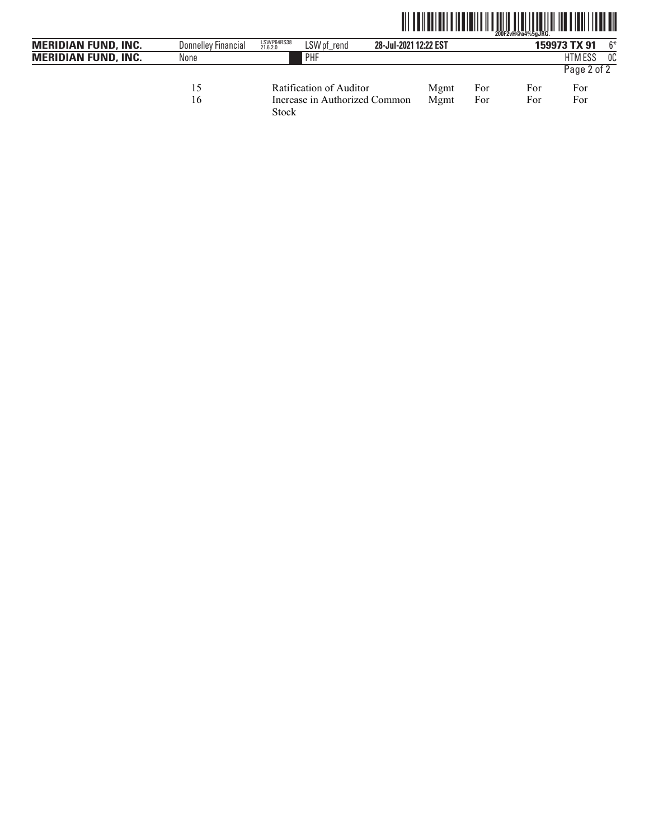

|                            |                            |                        |                               |                       | ------------------ |     |     |                |      |
|----------------------------|----------------------------|------------------------|-------------------------------|-----------------------|--------------------|-----|-----|----------------|------|
| <b>MERIDIAN FUND, INC.</b> | <b>Donnelley Financial</b> | LSWP64RS38<br>21.6.2.0 | LSW pf rend                   | 28-Jul-2021 12:22 EST |                    |     |     | 159973 TX 91   | $6*$ |
| <b>MERIDIAN FUND, INC.</b> | None                       |                        | <b>PHF</b>                    |                       |                    |     |     | <b>HTM ESS</b> | 0C   |
|                            |                            |                        |                               |                       |                    |     |     | Page 2 of 2    |      |
|                            |                            |                        | Ratification of Auditor       |                       | Mgmt               | For | For | For            |      |
|                            | 16                         | <b>Stock</b>           | Increase in Authorized Common |                       | Mgmt               | For | For | For            |      |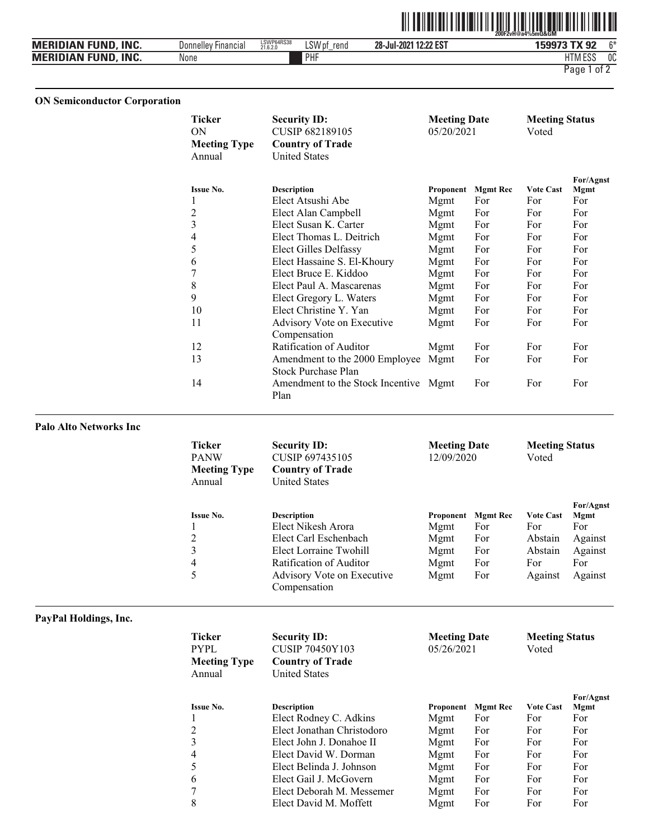|                            |                     |                        |                | $\ \ $                | 200F2vH@a4%5mD&GM | ║║   |
|----------------------------|---------------------|------------------------|----------------|-----------------------|-------------------|------|
| <b>MERIDIAN FUND, INC.</b> | Donnelley Financial | LSWP64RS38<br>21.6.2.0 | LSW pf<br>rend | 28-Jul-2021 12:22 EST | 159973 TX 92      | $6*$ |
| <b>MERIDIAN FUND, INC.</b> | None                |                        | PHF            |                       | <b>HTM ESS</b>    | 0C   |

### **ON Semiconductor Corporation**

| <b>Ticker</b><br>ON<br><b>Meeting Type</b><br>Annual | <b>Security ID:</b><br><b>CUSIP 682189105</b><br><b>Country of Trade</b><br><b>United States</b> | <b>Meeting Date</b><br>05/20/2021 |                 | <b>Meeting Status</b><br>Voted |                          |
|------------------------------------------------------|--------------------------------------------------------------------------------------------------|-----------------------------------|-----------------|--------------------------------|--------------------------|
| <b>Issue No.</b>                                     | <b>Description</b>                                                                               | Proponent                         | <b>Mgmt Rec</b> | <b>Vote Cast</b>               | For/Agnst<br><b>Mgmt</b> |
| 1                                                    | Elect Atsushi Abe                                                                                | Mgmt                              | For             | For                            | For                      |
| $\overline{c}$                                       | Elect Alan Campbell                                                                              | Mgmt                              | For             | For                            | For                      |
| 3                                                    | Elect Susan K. Carter                                                                            | Mgmt                              | For             | For                            | For                      |
| $\overline{4}$                                       | Elect Thomas L. Deitrich                                                                         | Mgmt                              | For             | For                            | For                      |
| 5                                                    | <b>Elect Gilles Delfassy</b>                                                                     | Mgmt                              | For             | For                            | For                      |
| 6                                                    | Elect Hassaine S. El-Khoury                                                                      | Mgmt                              | For             | For                            | For                      |
| 7                                                    | Elect Bruce E. Kiddoo                                                                            | Mgmt                              | For             | For                            | For                      |
| 8                                                    | Elect Paul A. Mascarenas                                                                         | Mgmt                              | For             | For                            | For                      |
| 9                                                    | Elect Gregory L. Waters                                                                          | Mgmt                              | For             | For                            | For                      |
| 10                                                   | Elect Christine Y. Yan                                                                           | Mgmt                              | For             | For                            | For                      |
| 11                                                   | Advisory Vote on Executive<br>Compensation                                                       | Mgmt                              | For             | For                            | For                      |
| 12                                                   | Ratification of Auditor                                                                          | Mgmt                              | For             | For                            | For                      |
| 13                                                   | Amendment to the 2000 Employee<br><b>Stock Purchase Plan</b>                                     | Mgmt                              | For             | For                            | For                      |
| 14                                                   | Amendment to the Stock Incentive<br>Plan                                                         | Mgmt                              | For             | For                            | For                      |

## **Palo Alto Networks Inc**

**PayPal Holdings, Inc.**

| <b>Ticker</b><br><b>PANW</b><br><b>Meeting Type</b><br>Annual | <b>Security ID:</b><br>CUSIP 697435105<br><b>Country of Trade</b><br><b>United States</b>                                                                            | <b>Meeting Date</b><br>12/09/2020                 |                                                    | <b>Meeting Status</b><br>Voted                                  |                                                                         |  |
|---------------------------------------------------------------|----------------------------------------------------------------------------------------------------------------------------------------------------------------------|---------------------------------------------------|----------------------------------------------------|-----------------------------------------------------------------|-------------------------------------------------------------------------|--|
| <b>Issue No.</b><br>1<br>$\overline{c}$<br>3<br>4<br>5        | <b>Description</b><br>Elect Nikesh Arora<br>Elect Carl Eschenbach<br>Elect Lorraine Twohill<br>Ratification of Auditor<br>Advisory Vote on Executive<br>Compensation | Proponent<br>Mgmt<br>Mgmt<br>Mgmt<br>Mgmt<br>Mgmt | <b>Mgmt</b> Rec<br>For<br>For<br>For<br>For<br>For | <b>Vote Cast</b><br>For<br>Abstain<br>Abstain<br>For<br>Against | For/Agnst<br><b>Mgmt</b><br>For<br>Against<br>Against<br>For<br>Against |  |
| <b>Ticker</b><br><b>PYPL</b><br><b>Meeting Type</b><br>Annual | <b>Security ID:</b><br><b>CUSIP 70450Y103</b><br><b>Country of Trade</b><br><b>United States</b>                                                                     | <b>Meeting Date</b><br>05/26/2021                 |                                                    | <b>Meeting Status</b><br>Voted                                  |                                                                         |  |
| <b>Issue No.</b>                                              | <b>Description</b>                                                                                                                                                   | Proponent                                         | <b>Mgmt</b> Rec                                    | <b>Vote Cast</b>                                                | For/Agnst<br><b>Mgmt</b>                                                |  |
| 1                                                             |                                                                                                                                                                      |                                                   |                                                    |                                                                 |                                                                         |  |
| $\overline{c}$                                                | Elect Rodney C. Adkins                                                                                                                                               | Mgmt                                              | For                                                | For                                                             | For                                                                     |  |
|                                                               | Elect Jonathan Christodoro                                                                                                                                           | Mgmt                                              | For                                                | For                                                             | For                                                                     |  |
| 3                                                             | Elect John J. Donahoe II                                                                                                                                             | Mgmt                                              | For                                                | For                                                             | For                                                                     |  |
| $\overline{4}$                                                | Elect David W. Dorman                                                                                                                                                | Mgmt                                              | For                                                | For                                                             | For                                                                     |  |
| 5                                                             | Elect Belinda J. Johnson                                                                                                                                             | Mgmt                                              | For                                                | For                                                             | For                                                                     |  |
| 6                                                             | Elect Gail J. McGovern                                                                                                                                               | Mgmt                                              | For                                                | For                                                             | For                                                                     |  |

7 Elect Deborah M. Messemer Mgmt For For<br>8 Elect David M. Moffett Mgmt For For

Elect David M. Moffett Mgmt For For For For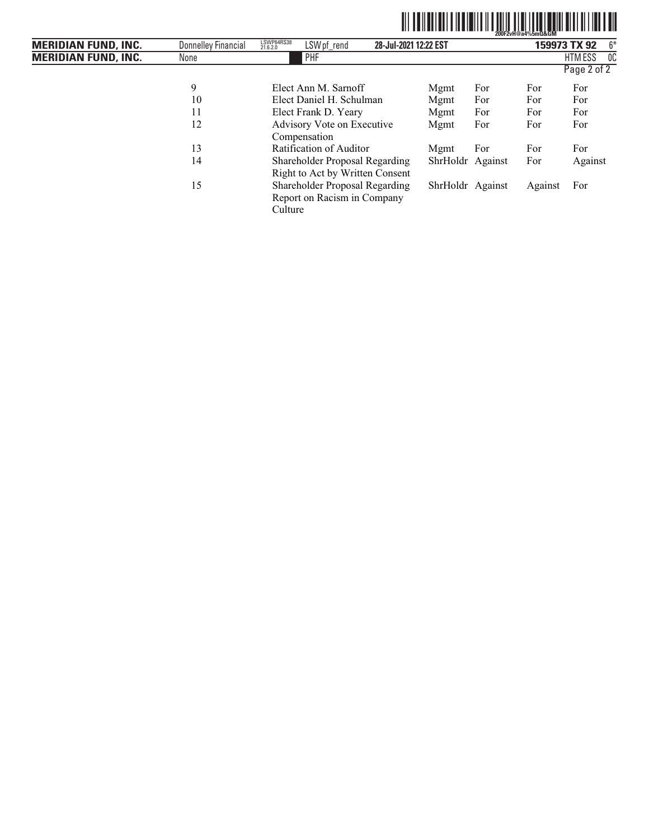

|                            |                            |                          |                                                                   |                       |                  |     |         | HII III      |      |
|----------------------------|----------------------------|--------------------------|-------------------------------------------------------------------|-----------------------|------------------|-----|---------|--------------|------|
| <b>MERIDIAN FUND, INC.</b> | <b>Donnelley Financial</b> | LSWP64RS38<br>21.6.2.0   | LSW pf_rend                                                       | 28-Jul-2021 12:22 EST |                  |     |         | 159973 TX 92 | $6*$ |
| <b>MERIDIAN FUND, INC.</b> | None                       |                          | PHF                                                               |                       |                  |     |         | HTM ESS      | 0C   |
|                            |                            |                          |                                                                   |                       |                  |     |         | Page 2 of 2  |      |
|                            | 9                          |                          | Elect Ann M. Sarnoff                                              |                       | Mgmt             | For | For     | For          |      |
|                            | 10                         | Elect Daniel H. Schulman |                                                                   |                       | Mgmt             | For | For     | For          |      |
|                            | 11                         |                          | Elect Frank D. Yeary                                              |                       | Mgmt             | For | For     | For          |      |
|                            | 12                         |                          | Advisory Vote on Executive<br>Compensation                        |                       | Mgmt             | For | For     | For          |      |
|                            | 13                         |                          | Ratification of Auditor                                           |                       | Mgmt             | For | For     | For          |      |
|                            | 14                         |                          | Shareholder Proposal Regarding<br>Right to Act by Written Consent |                       | ShrHoldr Against |     | For     | Against      |      |
|                            | 15                         | Culture                  | Shareholder Proposal Regarding<br>Report on Racism in Company     |                       | ShrHoldr Against |     | Against | For          |      |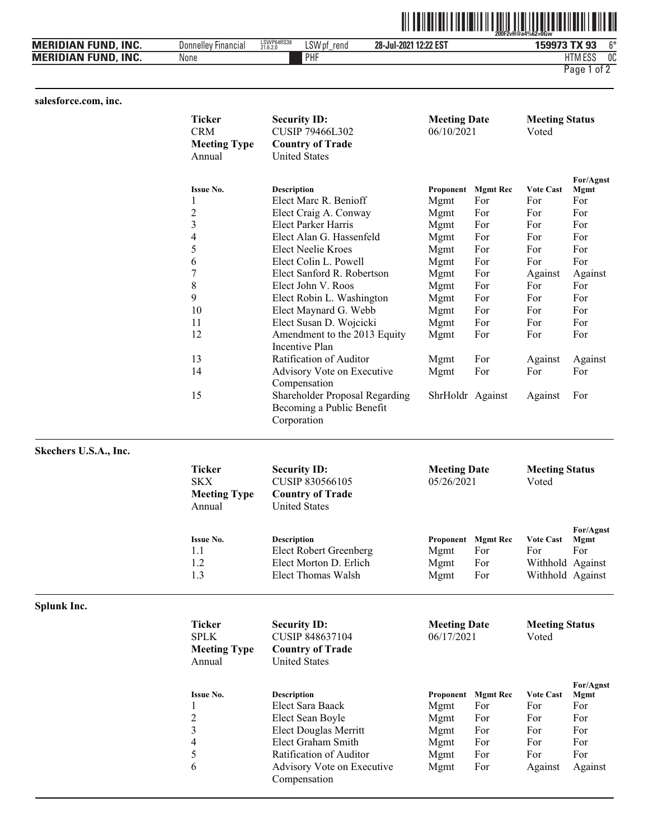| <b>MERIDIAN FUND, INC.</b> | <b>Donnelley Financial</b>                                    | LSWP64RS38<br>21.6.2.0<br>LSW pf_rend<br>28-Jul-2021 12:22 EST                                                                       |                                                   |                                                    | 159973 TX 93                                                    | $6*$                                                                   |
|----------------------------|---------------------------------------------------------------|--------------------------------------------------------------------------------------------------------------------------------------|---------------------------------------------------|----------------------------------------------------|-----------------------------------------------------------------|------------------------------------------------------------------------|
| <b>MERIDIAN FUND, INC.</b> | None                                                          | PHF                                                                                                                                  |                                                   |                                                    |                                                                 | 0 <sup>C</sup><br><b>HTM ESS</b><br>Page 1 of 2                        |
| salesforce.com, inc.       |                                                               |                                                                                                                                      |                                                   |                                                    |                                                                 |                                                                        |
|                            | <b>Ticker</b><br><b>CRM</b><br><b>Meeting Type</b><br>Annual  | <b>Security ID:</b><br>CUSIP 79466L302<br><b>Country of Trade</b><br><b>United States</b>                                            | <b>Meeting Date</b><br>06/10/2021                 |                                                    | <b>Meeting Status</b><br>Voted                                  |                                                                        |
|                            | <b>Issue No.</b><br>1<br>$\overline{c}$                       | <b>Description</b><br>Elect Marc R. Benioff<br>Elect Craig A. Conway                                                                 | Proponent<br>Mgmt<br>Mgmt                         | <b>Mgmt</b> Rec<br>For<br>For                      | <b>Vote Cast</b><br>For<br>For                                  | For/Agnst<br><b>Mgmt</b><br>For<br>For                                 |
|                            | 3<br>4<br>5<br>6                                              | Elect Parker Harris<br>Elect Alan G. Hassenfeld<br>Elect Neelie Kroes<br>Elect Colin L. Powell                                       | Mgmt<br>Mgmt<br>Mgmt<br>Mgmt                      | For<br>For<br>For<br>For                           | For<br>For<br>For<br>For                                        | For<br>For<br>For<br>For                                               |
|                            | 7<br>8<br>9                                                   | Elect Sanford R. Robertson<br>Elect John V. Roos<br>Elect Robin L. Washington                                                        | Mgmt<br>Mgmt<br>Mgmt                              | For<br>For<br>For                                  | Against<br>For<br>For                                           | Against<br>For<br>For                                                  |
|                            | 10<br>11<br>12                                                | Elect Maynard G. Webb<br>Elect Susan D. Wojcicki<br>Amendment to the 2013 Equity<br>Incentive Plan                                   | Mgmt<br>Mgmt<br>Mgmt                              | For<br>For<br>For                                  | For<br>For<br>For                                               | For<br>For<br>For                                                      |
|                            | 13<br>14                                                      | Ratification of Auditor<br>Advisory Vote on Executive<br>Compensation                                                                | Mgmt<br>Mgmt                                      | For<br>For                                         | Against<br>For                                                  | Against<br>For                                                         |
|                            | 15                                                            | Shareholder Proposal Regarding<br>Becoming a Public Benefit<br>Corporation                                                           | ShrHoldr Against                                  |                                                    | Against                                                         | For                                                                    |
| Skechers U.S.A., Inc.      | <b>Ticker</b><br><b>SKX</b><br><b>Meeting Type</b><br>Annual  | <b>Security ID:</b><br>CUSIP 830566105<br><b>Country of Trade</b><br><b>United States</b>                                            | <b>Meeting Date</b><br>05/26/2021                 |                                                    | <b>Meeting Status</b><br>Voted                                  |                                                                        |
|                            | <b>Issue No.</b><br>1.1<br>1.2<br>1.3                         | Description<br><b>Elect Robert Greenberg</b><br>Elect Morton D. Erlich<br>Elect Thomas Walsh                                         | Proponent<br>Mgmt<br>Mgmt<br>Mgmt                 | <b>Mgmt</b> Rec<br>For<br>For<br>For               | <b>Vote Cast</b><br>For<br>Withhold Against<br>Withhold Against | For/Agnst<br><b>Mgmt</b><br>For                                        |
| Splunk Inc.                |                                                               |                                                                                                                                      |                                                   |                                                    |                                                                 |                                                                        |
|                            | <b>Ticker</b><br><b>SPLK</b><br><b>Meeting Type</b><br>Annual | <b>Security ID:</b><br>CUSIP 848637104<br><b>Country of Trade</b><br><b>United States</b>                                            | <b>Meeting Date</b><br>06/17/2021                 |                                                    | <b>Meeting Status</b><br>Voted                                  |                                                                        |
|                            | <b>Issue No.</b><br>1<br>$\overline{2}$<br>3<br>4<br>5        | Description<br>Elect Sara Baack<br>Elect Sean Boyle<br><b>Elect Douglas Merritt</b><br>Elect Graham Smith<br>Ratification of Auditor | Proponent<br>Mgmt<br>Mgmt<br>Mgmt<br>Mgmt<br>Mgmt | <b>Mgmt Rec</b><br>For<br>For<br>For<br>For<br>For | <b>Vote Cast</b><br>For<br>For<br>For<br>For<br>For             | For/Agnst<br><b>Mgmt</b><br>For<br>For<br>For<br>For<br>For<br>Against |
|                            | 6                                                             | Advisory Vote on Executive<br>Compensation                                                                                           | Mgmt                                              | For                                                | Against                                                         |                                                                        |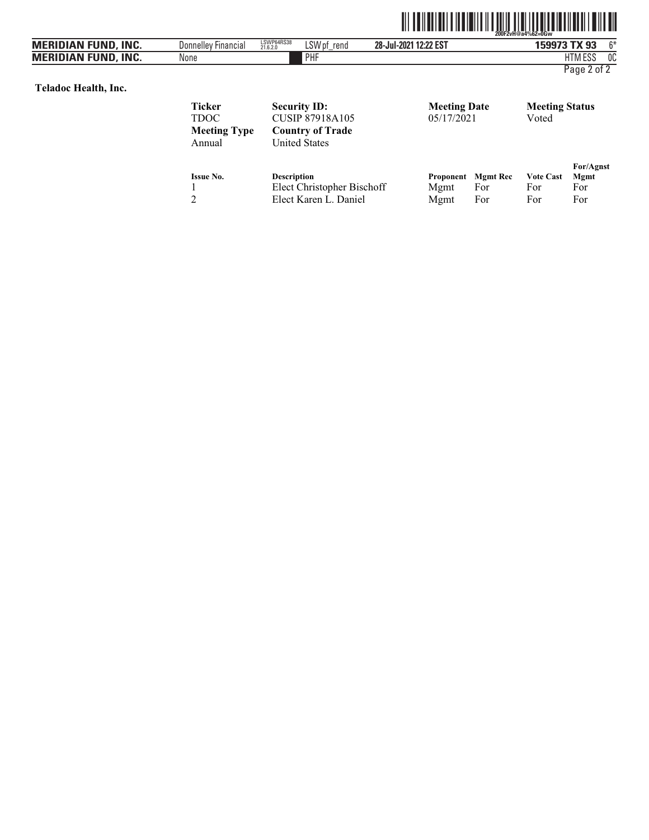

|                            |                                                               |                                                                                           |                       | 200F2vH@a4%62=0Gw                 |                               |                                |                                 |      |  |
|----------------------------|---------------------------------------------------------------|-------------------------------------------------------------------------------------------|-----------------------|-----------------------------------|-------------------------------|--------------------------------|---------------------------------|------|--|
| <b>MERIDIAN FUND, INC.</b> | Donnelley Financial                                           | LSWP64RS38<br>LSW pf_rend<br>21.6.2.0                                                     | 28-Jul-2021 12:22 EST |                                   |                               |                                | 159973 TX 93                    | $6*$ |  |
| <b>MERIDIAN FUND, INC.</b> | None                                                          | PHF                                                                                       |                       |                                   |                               |                                | <b>HTM ESS</b>                  | 0C   |  |
|                            |                                                               |                                                                                           |                       |                                   |                               |                                | Page $2$ of $2$                 |      |  |
| Teladoc Health, Inc.       |                                                               |                                                                                           |                       |                                   |                               |                                |                                 |      |  |
|                            | <b>Ticker</b><br><b>TDOC</b><br><b>Meeting Type</b><br>Annual | <b>Security ID:</b><br>CUSIP 87918A105<br><b>Country of Trade</b><br><b>United States</b> |                       | <b>Meeting Date</b><br>05/17/2021 |                               | <b>Meeting Status</b><br>Voted |                                 |      |  |
|                            | <b>Issue No.</b><br>2                                         | <b>Description</b><br>Elect Christopher Bischoff<br>Elect Karen L. Daniel                 |                       | Proponent<br>Mgmt<br>Mgmt         | <b>Mgmt Rec</b><br>For<br>For | <b>Vote Cast</b><br>For<br>For | For/Agnst<br>Mgmt<br>For<br>For |      |  |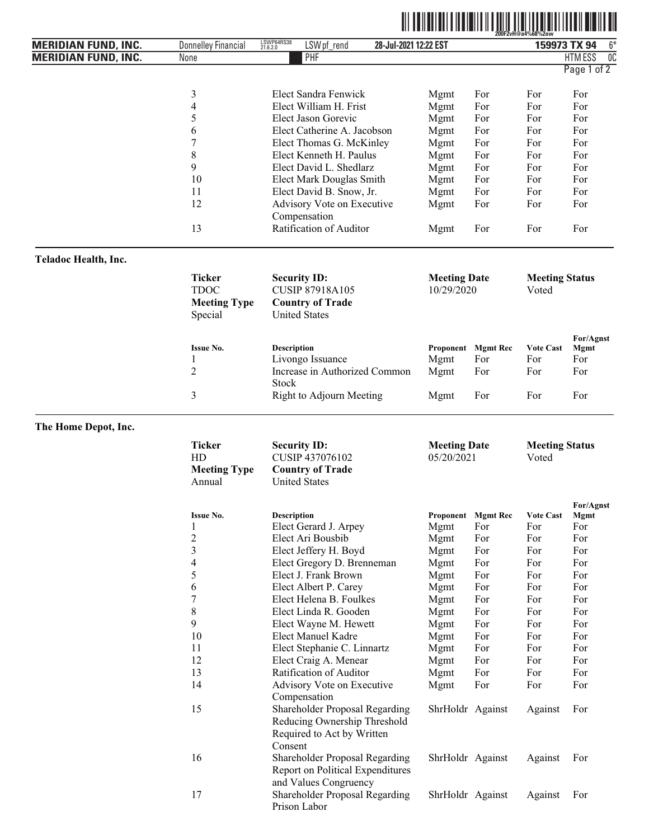

| <b>MERIDIAN FUND, INC.</b> | <b>Donnelley Financial</b> | LSWP64RS38<br>21.6.2.0<br>LSW pf_rend<br>28-Jul-2021 12:22 EST |                     |                        | 159973 TX 94          | $6*$                            |
|----------------------------|----------------------------|----------------------------------------------------------------|---------------------|------------------------|-----------------------|---------------------------------|
| <b>MERIDIAN FUND, INC.</b> | None                       | PHF                                                            |                     |                        |                       | <b>HTMESS</b><br>0 <sup>C</sup> |
|                            |                            |                                                                |                     |                        |                       | Page 1 of 2                     |
|                            | 3                          | Elect Sandra Fenwick                                           | Mgmt                | For                    | For                   | For                             |
|                            | 4                          | Elect William H. Frist                                         | Mgmt                | For                    | For                   | For                             |
|                            | 5                          | Elect Jason Gorevic                                            | Mgmt                | For                    | For                   | For                             |
|                            | 6                          | Elect Catherine A. Jacobson                                    | Mgmt                | For                    | For                   | For                             |
|                            | 7                          | Elect Thomas G. McKinley                                       | Mgmt                | For                    | For                   | For                             |
|                            | 8                          | Elect Kenneth H. Paulus                                        | Mgmt                | For                    | For                   | For                             |
|                            |                            |                                                                |                     |                        |                       |                                 |
|                            | 9                          | Elect David L. Shedlarz                                        | Mgmt                | For                    | For                   | For                             |
|                            | 10                         | Elect Mark Douglas Smith                                       | Mgmt                | For                    | For                   | For                             |
|                            | 11                         | Elect David B. Snow, Jr.                                       | Mgmt                | For                    | For                   | For                             |
|                            | 12                         | Advisory Vote on Executive<br>Compensation                     | Mgmt                | For                    | For                   | For                             |
|                            | 13                         | Ratification of Auditor                                        | Mgmt                | For                    | For                   | For                             |
| Teladoc Health, Inc.       |                            |                                                                |                     |                        |                       |                                 |
|                            | <b>Ticker</b>              | <b>Security ID:</b>                                            | <b>Meeting Date</b> |                        | <b>Meeting Status</b> |                                 |
|                            | <b>TDOC</b>                | <b>CUSIP 87918A105</b>                                         | 10/29/2020          |                        | Voted                 |                                 |
|                            |                            | <b>Country of Trade</b>                                        |                     |                        |                       |                                 |
|                            | <b>Meeting Type</b>        |                                                                |                     |                        |                       |                                 |
|                            | Special                    | <b>United States</b>                                           |                     |                        |                       |                                 |
|                            |                            |                                                                |                     |                        |                       |                                 |
|                            | <b>Issue No.</b>           |                                                                |                     |                        | <b>Vote Cast</b>      | For/Agnst                       |
|                            |                            | Description<br>Livongo Issuance                                | Proponent<br>Mgmt   | <b>Mgmt Rec</b><br>For | For                   | <b>Mgmt</b><br>For              |
|                            |                            |                                                                |                     |                        |                       |                                 |
|                            | 2                          | Increase in Authorized Common<br>Stock                         | Mgmt                | For                    | For                   | For                             |
|                            | 3                          | Right to Adjourn Meeting                                       | Mgmt                | For                    | For                   | For                             |
| The Home Depot, Inc.       |                            |                                                                |                     |                        |                       |                                 |
|                            | <b>Ticker</b>              | <b>Security ID:</b>                                            | <b>Meeting Date</b> |                        | <b>Meeting Status</b> |                                 |
|                            | HD                         | CUSIP 437076102                                                | 05/20/2021          |                        | Voted                 |                                 |
|                            | <b>Meeting Type</b>        | <b>Country of Trade</b>                                        |                     |                        |                       |                                 |
|                            | Annual                     | <b>United States</b>                                           |                     |                        |                       |                                 |
|                            |                            |                                                                |                     |                        |                       | For/Agnst                       |
|                            | Issue No.                  | <b>Description</b>                                             | Proponent           | <b>Mgmt</b> Rec        | <b>Vote Cast</b>      | <b>Mgmt</b>                     |
|                            | 1                          | Elect Gerard J. Arpey                                          | Mgmt                | For                    | For                   | For                             |
|                            | $\overline{c}$             | Elect Ari Bousbib                                              | Mgmt                | For                    | For                   | For                             |
|                            | 3                          | Elect Jeffery H. Boyd                                          | Mgmt                | For                    | For                   | For                             |
|                            | 4                          | Elect Gregory D. Brenneman                                     | Mgmt                | For                    | For                   | For                             |
|                            | 5                          | Elect J. Frank Brown                                           | Mgmt                | For                    | For                   | For                             |
|                            | 6                          | Elect Albert P. Carey                                          | Mgmt                | For                    | For                   | For                             |
|                            | 7                          | Elect Helena B. Foulkes                                        | Mgmt                | For                    | For                   | For                             |
|                            | 8                          | Elect Linda R. Gooden                                          |                     |                        | For                   | For                             |
|                            |                            |                                                                | Mgmt                | For                    |                       |                                 |
|                            | 9                          | Elect Wayne M. Hewett                                          | Mgmt                | For                    | For                   | For                             |
|                            | 10                         | Elect Manuel Kadre                                             | Mgmt                | For                    | For                   | For                             |
|                            | 11                         | Elect Stephanie C. Linnartz                                    | Mgmt                | For                    | For                   | For                             |
|                            | 12                         | Elect Craig A. Menear                                          | Mgmt                | For                    | For                   | For                             |
|                            | 13                         | Ratification of Auditor                                        | Mgmt                | For                    | For                   | For                             |
|                            | 14                         | Advisory Vote on Executive                                     | Mgmt                | For                    | For                   | For                             |
|                            |                            | Compensation                                                   |                     |                        |                       |                                 |
|                            | 15                         | Shareholder Proposal Regarding                                 | ShrHoldr Against    |                        | Against               | For                             |
|                            |                            | Reducing Ownership Threshold                                   |                     |                        |                       |                                 |
|                            |                            | Required to Act by Written                                     |                     |                        |                       |                                 |
|                            |                            | Consent                                                        |                     |                        |                       |                                 |
|                            | 16                         | Shareholder Proposal Regarding                                 | ShrHoldr Against    |                        | Against               | For                             |
|                            |                            | Report on Political Expenditures                               |                     |                        |                       |                                 |
|                            |                            | and Values Congruency                                          |                     |                        |                       |                                 |
|                            | 17                         | Shareholder Proposal Regarding                                 | ShrHoldr Against    |                        | Against               | For                             |
|                            |                            | Prison Labor                                                   |                     |                        |                       |                                 |
|                            |                            |                                                                |                     |                        |                       |                                 |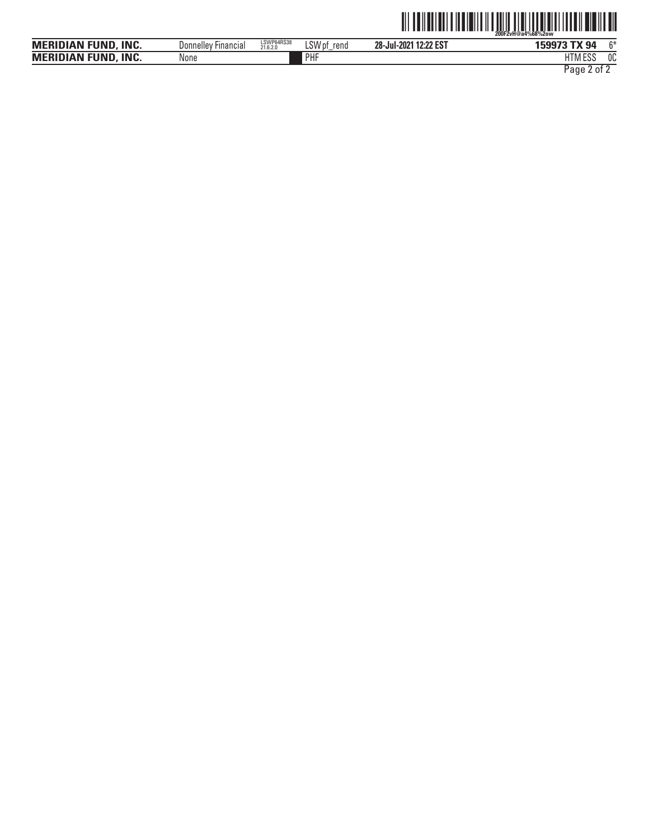

| INC.<br><b>MERIDIAN FUND</b>       | Financial<br><b>Donnelley</b> | LSWP64RS38<br>21.6.2.0 | LSW <sub>p</sub><br>rend | 12:22 EST<br>28-Jul-2021 | 159973 TX 94<br>JJJ. | $^{\sim}$ |
|------------------------------------|-------------------------------|------------------------|--------------------------|--------------------------|----------------------|-----------|
| <b>INC</b><br><b>MERIDIAN FUND</b> | None                          |                        | PHF                      |                          | roc.<br>HIM ESS      | 0C        |

Page 2 of 2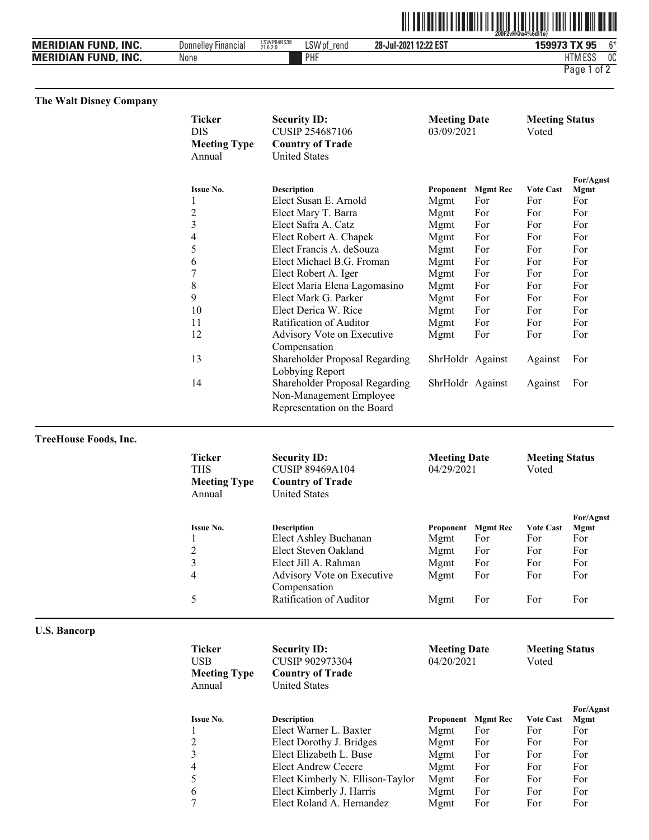| <b>MERIDIAN FUND, INC.</b> | <b>Donnelley Financial</b>                                   | LSWP64RS38<br>21.6.2.0 | LSW pf_rend                                                                                      | 28-Jul-2021 12:22 EST |                           |                                | 159973 TX 95<br>$6*$             |
|----------------------------|--------------------------------------------------------------|------------------------|--------------------------------------------------------------------------------------------------|-----------------------|---------------------------|--------------------------------|----------------------------------|
| <b>MERIDIAN FUND, INC.</b> | None                                                         |                        | PHF                                                                                              |                       |                           |                                | $\overline{0}$<br><b>HTM ESS</b> |
|                            |                                                              |                        |                                                                                                  |                       |                           |                                | Page 1 of 2                      |
| The Walt Disney Company    |                                                              |                        |                                                                                                  |                       |                           |                                |                                  |
|                            | <b>Ticker</b><br><b>DIS</b><br><b>Meeting Type</b><br>Annual |                        | <b>Security ID:</b><br><b>CUSIP 254687106</b><br><b>Country of Trade</b><br><b>United States</b> | 03/09/2021            | <b>Meeting Date</b>       | <b>Meeting Status</b><br>Voted |                                  |
|                            | <b>Issue No.</b>                                             | <b>Description</b>     |                                                                                                  |                       | <b>Proponent</b> Mgmt Rec | <b>Vote Cast</b>               | For/Agnst<br><b>Mgmt</b>         |
|                            |                                                              |                        | Elect Susan E. Arnold                                                                            | Mgmt                  | For                       | For                            | For                              |
|                            | $\overline{c}$                                               |                        | Elect Mary T. Barra                                                                              | Mgmt                  | For                       | For                            | For                              |
|                            | 3                                                            |                        | Elect Safra A. Catz                                                                              | Mgmt                  | For                       | For                            | For                              |
|                            | 4                                                            |                        | Elect Robert A. Chapek                                                                           | Mgmt                  | For                       | For                            | For                              |
|                            | 5                                                            |                        | Elect Francis A. deSouza                                                                         | Mgmt                  | For                       | For                            | For                              |
|                            | 6                                                            |                        | Elect Michael B.G. Froman                                                                        | Mgmt                  | For                       | For                            | For                              |
|                            | $\overline{7}$                                               |                        | Elect Robert A. Iger                                                                             | Mgmt                  | For                       | For                            | For                              |
|                            | $\,$ 8 $\,$                                                  |                        | Elect Maria Elena Lagomasino                                                                     | Mgmt                  | For                       | For                            | For                              |
|                            | 9                                                            |                        | Elect Mark G. Parker                                                                             | Mgmt                  | For                       | For                            | For                              |
|                            | 10                                                           |                        | Elect Derica W. Rice                                                                             | Mgmt                  | For                       | For                            | For                              |
|                            | 11                                                           |                        | Ratification of Auditor                                                                          | Mgmt                  | For                       | For                            | For                              |
|                            | 12                                                           |                        | Advisory Vote on Executive<br>Compensation                                                       | Mgmt                  | For                       | For                            | For                              |
|                            | 13                                                           |                        | Shareholder Proposal Regarding<br>Lobbying Report                                                |                       | ShrHoldr Against          | Against                        | For                              |

14 Shareholder Proposal Regarding

Non-Management Employee Representation on the Board

ShrHoldr Against Against For

**TreeHouse Foods, Inc.**

| <b>Ticker</b><br><b>THS</b><br><b>Meeting Type</b><br>Annual                                | <b>Security ID:</b><br><b>CUSIP 89469A104</b><br><b>Country of Trade</b><br><b>United States</b>                                                                                                  | <b>Meeting Date</b><br>04/29/2021            |                                                           | <b>Meeting Status</b><br>Voted                             |                                                                    |
|---------------------------------------------------------------------------------------------|---------------------------------------------------------------------------------------------------------------------------------------------------------------------------------------------------|----------------------------------------------|-----------------------------------------------------------|------------------------------------------------------------|--------------------------------------------------------------------|
| <b>Issue No.</b><br>1<br>$\frac{2}{3}$<br>4                                                 | <b>Description</b><br>Elect Ashley Buchanan<br>Elect Steven Oakland<br>Elect Jill A. Rahman<br>Advisory Vote on Executive                                                                         |                                              | <b>Mgmt Rec</b><br>For<br>For<br>For<br>For               | <b>Vote Cast</b><br>For<br>For<br>For<br>For               | For/Agnst<br><b>Mgmt</b><br>For<br>For<br>For<br>For               |
| 5                                                                                           | Ratification of Auditor                                                                                                                                                                           | Mgmt                                         | For                                                       | For                                                        | For                                                                |
| <b>Ticker</b><br><b>USB</b><br><b>Meeting Type</b><br>Annual                                | <b>Security ID:</b><br>CUSIP 902973304<br><b>Country of Trade</b><br><b>United States</b>                                                                                                         | <b>Meeting Date</b><br>04/20/2021            |                                                           | <b>Meeting Status</b><br>Voted                             |                                                                    |
| <b>Issue No.</b><br>1<br>$\overline{\mathbf{c}}$<br>3<br>$\overline{\mathcal{A}}$<br>5<br>6 | <b>Description</b><br>Elect Warner L. Baxter<br>Elect Dorothy J. Bridges<br>Elect Elizabeth L. Buse<br><b>Elect Andrew Cecere</b><br>Elect Kimberly N. Ellison-Taylor<br>Elect Kimberly J. Harris | Mgmt<br>Mgmt<br>Mgmt<br>Mgmt<br>Mgmt<br>Mgmt | <b>Mgmt Rec</b><br>For<br>For<br>For<br>For<br>For<br>For | <b>Vote Cast</b><br>For<br>For<br>For<br>For<br>For<br>For | For/Agnst<br><b>Mgmt</b><br>For<br>For<br>For<br>For<br>For<br>For |
|                                                                                             |                                                                                                                                                                                                   | Compensation                                 | Proponent<br>Mgmt<br>Mgmt<br>Mgmt<br>Mgmt                 | Proponent                                                  |                                                                    |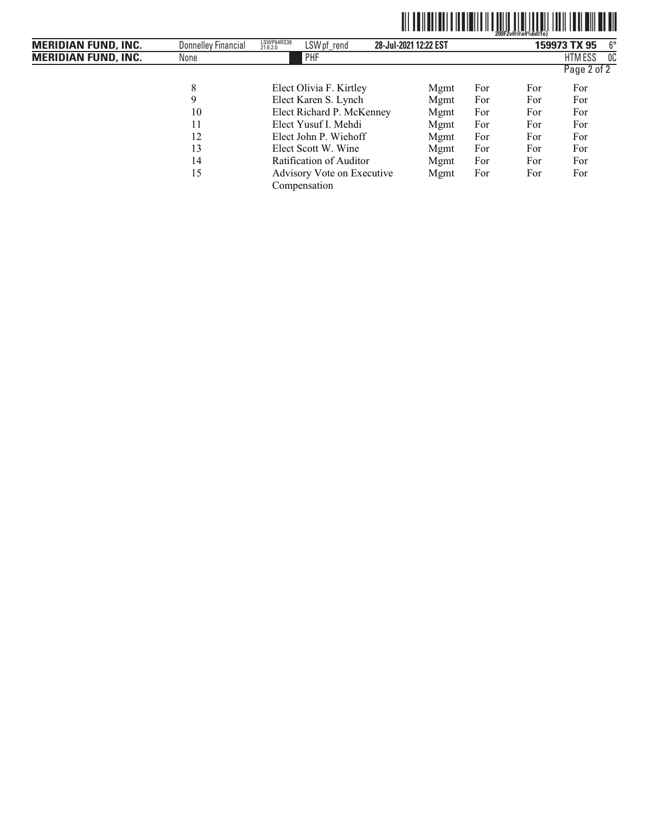

|                            | LUULUUUDUT/UUUIUU          |                        |                                            |                       |     |     |                 |      |
|----------------------------|----------------------------|------------------------|--------------------------------------------|-----------------------|-----|-----|-----------------|------|
| <b>MERIDIAN FUND, INC.</b> | <b>Donnelley Financial</b> | LSWP64RS38<br>21.6.2.0 | LSW pf_rend                                | 28-Jul-2021 12:22 EST |     |     | 159973 TX 95    | $6*$ |
| <b>MERIDIAN FUND, INC.</b> | None                       |                        | PHF                                        |                       |     |     | HTM ESS         | 0C   |
|                            |                            |                        |                                            |                       |     |     | Page $2$ of $2$ |      |
|                            | 8                          |                        | Elect Olivia F. Kirtley                    | Mgmt                  | For | For | For             |      |
|                            | 9                          | Elect Karen S. Lynch   |                                            | Mgmt                  | For | For | For             |      |
|                            | 10                         |                        | Elect Richard P. McKenney                  | Mgmt                  | For | For | For             |      |
|                            | 11                         |                        | Elect Yusuf I. Mehdi                       | Mgmt                  | For | For | For             |      |
|                            | 12                         |                        | Elect John P. Wiehoff                      | Mgmt                  | For | For | For             |      |
|                            | 13                         |                        | Elect Scott W. Wine                        | Mgmt                  | For | For | For             |      |
|                            | 14                         |                        | Ratification of Auditor                    | Mgmt                  | For | For | For             |      |
|                            | 15                         |                        | Advisory Vote on Executive<br>Compensation | Mgmt                  | For | For | For             |      |
|                            |                            |                        |                                            |                       |     |     |                 |      |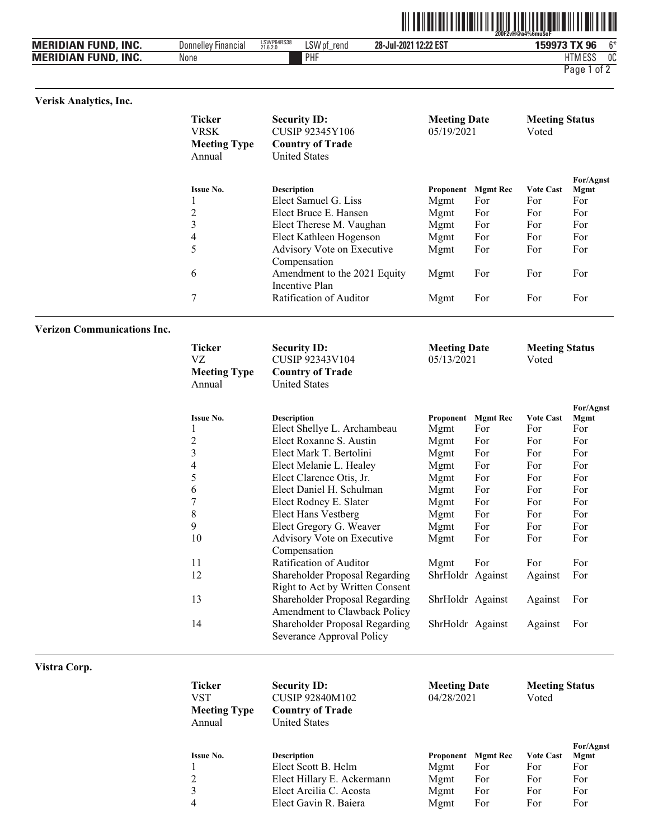|                                                                                                                                                                                                                                                                                                                                                                                                 |                     | LSWP64RS38<br>21.6.2.0  | LSW pf_rend                                     | 28-Jul-2021 12:22 EST |                     |                    | 159973 TX 96          |                |
|-------------------------------------------------------------------------------------------------------------------------------------------------------------------------------------------------------------------------------------------------------------------------------------------------------------------------------------------------------------------------------------------------|---------------------|-------------------------|-------------------------------------------------|-----------------------|---------------------|--------------------|-----------------------|----------------|
|                                                                                                                                                                                                                                                                                                                                                                                                 |                     |                         | PHF                                             |                       |                     |                    |                       | <b>HTM ESS</b> |
|                                                                                                                                                                                                                                                                                                                                                                                                 |                     |                         |                                                 |                       |                     |                    |                       | Page 1 of 2    |
| Verisk Analytics, Inc.                                                                                                                                                                                                                                                                                                                                                                          |                     |                         |                                                 |                       |                     |                    |                       |                |
|                                                                                                                                                                                                                                                                                                                                                                                                 | <b>Ticker</b>       |                         | <b>Security ID:</b>                             |                       | <b>Meeting Date</b> |                    | <b>Meeting Status</b> |                |
|                                                                                                                                                                                                                                                                                                                                                                                                 | <b>VRSK</b>         |                         | <b>CUSIP 92345Y106</b>                          |                       | 05/19/2021          |                    | Voted                 |                |
|                                                                                                                                                                                                                                                                                                                                                                                                 | <b>Meeting Type</b> |                         | <b>Country of Trade</b>                         |                       |                     |                    |                       |                |
|                                                                                                                                                                                                                                                                                                                                                                                                 |                     |                         | <b>United States</b>                            |                       |                     |                    |                       |                |
|                                                                                                                                                                                                                                                                                                                                                                                                 |                     |                         |                                                 |                       |                     |                    |                       | For/Agnst      |
|                                                                                                                                                                                                                                                                                                                                                                                                 | <b>Issue No.</b>    | Description             |                                                 |                       |                     | Proponent Mgmt Rec | <b>Vote Cast</b>      | <b>Mgmt</b>    |
|                                                                                                                                                                                                                                                                                                                                                                                                 | 1                   |                         | Elect Samuel G. Liss                            |                       | Mgmt                | For                | For                   | For            |
|                                                                                                                                                                                                                                                                                                                                                                                                 | $\overline{c}$      |                         | Elect Bruce E. Hansen                           |                       | Mgmt                | For                | For                   | For            |
|                                                                                                                                                                                                                                                                                                                                                                                                 | 3                   |                         | Elect Therese M. Vaughan                        |                       | Mgmt                | For                | For                   | For            |
|                                                                                                                                                                                                                                                                                                                                                                                                 | 4                   |                         | Elect Kathleen Hogenson                         |                       | Mgmt                | For                | For                   | For            |
|                                                                                                                                                                                                                                                                                                                                                                                                 | 5                   |                         | Advisory Vote on Executive                      |                       | Mgmt                | For                | For                   | For            |
|                                                                                                                                                                                                                                                                                                                                                                                                 |                     |                         | Compensation                                    |                       |                     |                    |                       |                |
|                                                                                                                                                                                                                                                                                                                                                                                                 |                     |                         | Amendment to the 2021 Equity                    |                       | Mgmt                | For                | For                   | For            |
|                                                                                                                                                                                                                                                                                                                                                                                                 |                     |                         | Incentive Plan                                  |                       |                     |                    |                       |                |
| <b>MERIDIAN FUND, INC.</b><br><b>Donnelley Financial</b><br><b>MERIDIAN FUND, INC.</b><br>None<br>Annual<br>6<br>7<br><b>Verizon Communications Inc.</b><br><b>Ticker</b><br><b>VZ</b><br><b>Meeting Type</b><br>Annual<br><b>Issue No.</b><br>1<br>$\overline{c}$<br>3<br>4<br>5<br>6<br>$\overline{7}$<br>$\,8\,$<br>9<br>10<br>11<br>12<br>13<br>14<br><b>Ticker</b><br><b>VST</b><br>Annual |                     | Ratification of Auditor |                                                 | Mgmt                  | For                 | For                | For                   |                |
|                                                                                                                                                                                                                                                                                                                                                                                                 |                     |                         |                                                 |                       |                     |                    |                       |                |
|                                                                                                                                                                                                                                                                                                                                                                                                 |                     |                         | <b>Security ID:</b>                             |                       | <b>Meeting Date</b> |                    | <b>Meeting Status</b> |                |
|                                                                                                                                                                                                                                                                                                                                                                                                 |                     |                         | CUSIP 92343V104                                 |                       | 05/13/2021          |                    | Voted                 |                |
|                                                                                                                                                                                                                                                                                                                                                                                                 |                     |                         |                                                 |                       |                     |                    |                       |                |
|                                                                                                                                                                                                                                                                                                                                                                                                 |                     |                         | <b>Country of Trade</b><br><b>United States</b> |                       |                     |                    |                       |                |
|                                                                                                                                                                                                                                                                                                                                                                                                 |                     |                         |                                                 |                       |                     |                    |                       |                |
|                                                                                                                                                                                                                                                                                                                                                                                                 |                     |                         |                                                 |                       |                     |                    |                       | For/Agnst      |
|                                                                                                                                                                                                                                                                                                                                                                                                 |                     | Description             |                                                 |                       | Proponent           | <b>Mgmt Rec</b>    | Vote Cast             | <b>Mgmt</b>    |
|                                                                                                                                                                                                                                                                                                                                                                                                 |                     |                         | Elect Shellye L. Archambeau                     |                       | Mgmt                | For                | For                   | For            |
|                                                                                                                                                                                                                                                                                                                                                                                                 |                     |                         | Elect Roxanne S. Austin                         |                       | Mgmt                | For                | For                   | For            |
|                                                                                                                                                                                                                                                                                                                                                                                                 |                     |                         | Elect Mark T. Bertolini                         |                       | Mgmt                | For                | For                   | For            |
|                                                                                                                                                                                                                                                                                                                                                                                                 |                     |                         | Elect Melanie L. Healey                         |                       | Mgmt                | For                | For                   | For            |
|                                                                                                                                                                                                                                                                                                                                                                                                 |                     |                         | Elect Clarence Otis, Jr.                        |                       | Mgmt                | For                | For                   | For            |
|                                                                                                                                                                                                                                                                                                                                                                                                 |                     |                         | Elect Daniel H. Schulman                        |                       | Mgmt                | For                | For                   | For            |
|                                                                                                                                                                                                                                                                                                                                                                                                 |                     |                         | Elect Rodney E. Slater                          |                       | Mgmt                | For                | For                   | For            |
|                                                                                                                                                                                                                                                                                                                                                                                                 |                     |                         | <b>Elect Hans Vestberg</b>                      |                       | Mgmt                | For                | For                   | For            |
|                                                                                                                                                                                                                                                                                                                                                                                                 |                     |                         | Elect Gregory G. Weaver                         |                       | Mgmt                | For                | For                   | For            |
|                                                                                                                                                                                                                                                                                                                                                                                                 |                     |                         | Advisory Vote on Executive                      |                       | Mgmt                | For                | For                   | For            |
|                                                                                                                                                                                                                                                                                                                                                                                                 |                     |                         | Compensation                                    |                       |                     |                    |                       |                |
|                                                                                                                                                                                                                                                                                                                                                                                                 |                     |                         | Ratification of Auditor                         |                       | Mgmt                | For                | For                   | For            |
|                                                                                                                                                                                                                                                                                                                                                                                                 |                     |                         |                                                 |                       |                     |                    |                       |                |
|                                                                                                                                                                                                                                                                                                                                                                                                 |                     |                         | Shareholder Proposal Regarding                  |                       | ShrHoldr Against    |                    | Against               | For            |
|                                                                                                                                                                                                                                                                                                                                                                                                 |                     |                         | Right to Act by Written Consent                 |                       |                     |                    |                       |                |
|                                                                                                                                                                                                                                                                                                                                                                                                 |                     |                         | Shareholder Proposal Regarding                  |                       | ShrHoldr Against    |                    | Against               | For            |
|                                                                                                                                                                                                                                                                                                                                                                                                 |                     |                         | Amendment to Clawback Policy                    |                       |                     |                    |                       |                |
|                                                                                                                                                                                                                                                                                                                                                                                                 |                     |                         | Shareholder Proposal Regarding                  |                       | ShrHoldr Against    |                    | Against               | For            |
|                                                                                                                                                                                                                                                                                                                                                                                                 |                     |                         | Severance Approval Policy                       |                       |                     |                    |                       |                |
| Vistra Corp.                                                                                                                                                                                                                                                                                                                                                                                    |                     |                         |                                                 |                       |                     |                    |                       |                |
|                                                                                                                                                                                                                                                                                                                                                                                                 |                     |                         | <b>Security ID:</b>                             |                       | <b>Meeting Date</b> |                    | <b>Meeting Status</b> |                |
|                                                                                                                                                                                                                                                                                                                                                                                                 |                     |                         | CUSIP 92840M102                                 |                       | 04/28/2021          |                    | Voted                 |                |
|                                                                                                                                                                                                                                                                                                                                                                                                 |                     |                         |                                                 |                       |                     |                    |                       |                |
|                                                                                                                                                                                                                                                                                                                                                                                                 | <b>Meeting Type</b> |                         | <b>Country of Trade</b>                         |                       |                     |                    |                       |                |

| <b>Issue No.</b> | <b>Description</b>         |      | <b>Proponent</b> Mgmt Rec | <b>Vote Cast</b> | For/Agnst<br>Mgmt |
|------------------|----------------------------|------|---------------------------|------------------|-------------------|
|                  | Elect Scott B. Helm        | Mgmt | For                       | For.             | For               |
|                  | Elect Hillary E. Ackermann | Mgmt | For                       | For              | For               |
|                  | Elect Arcilia C. Acosta    | Mgmt | For                       | For              | For               |
|                  | Elect Gavin R. Baiera      | Mgmt | For                       | For.             | For               |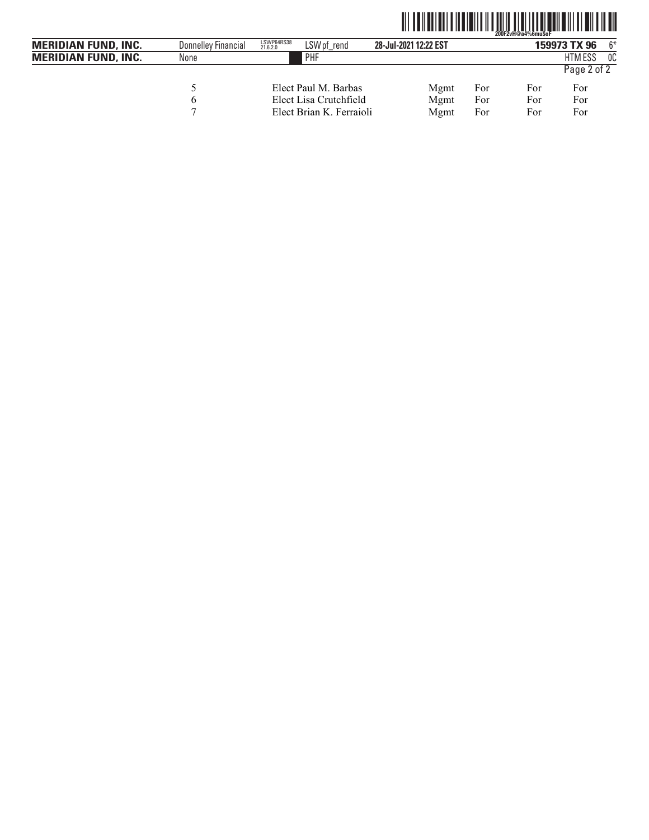

|                            |                     |                        |                          |                       |     | ------------------ |                |      |
|----------------------------|---------------------|------------------------|--------------------------|-----------------------|-----|--------------------|----------------|------|
| <b>MERIDIAN FUND, INC.</b> | Donnelley Financial | LSWP64RS38<br>21.6.2.0 | LSW pf rend              | 28-Jul-2021 12:22 EST |     |                    | 159973 TX 96   | $6*$ |
| <b>MERIDIAN FUND, INC.</b> | None                |                        | PHF                      |                       |     |                    | <b>HTM ESS</b> | 0C   |
|                            |                     |                        |                          |                       |     |                    | Page 2 of 2    |      |
|                            |                     |                        | Elect Paul M. Barbas     | Mgmt                  | For | For                | For            |      |
|                            |                     |                        | Elect Lisa Crutchfield   | Mgmt                  | For | For                | For            |      |
|                            |                     |                        | Elect Brian K. Ferraioli | Mgmt                  | For | For                | For            |      |
|                            |                     |                        |                          |                       |     |                    |                |      |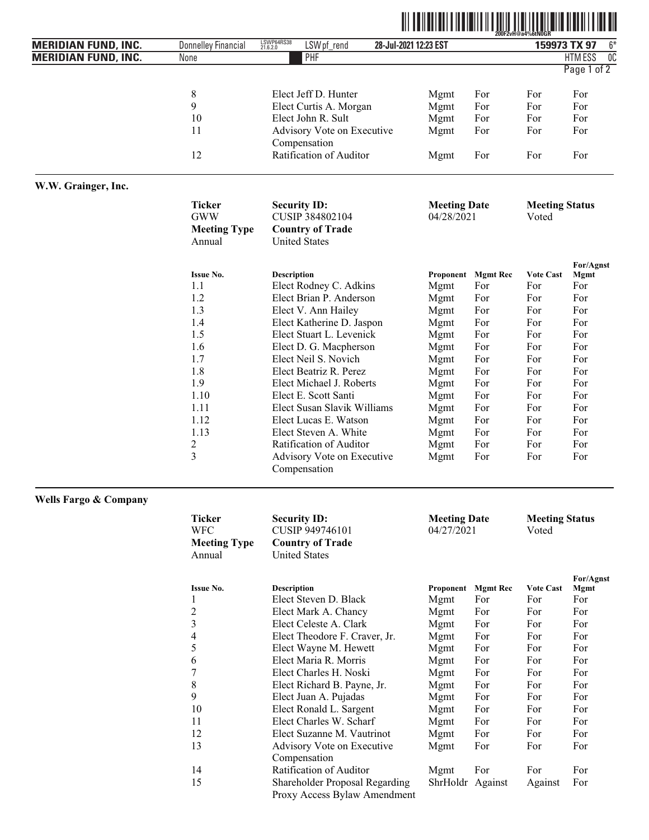| <b>MERIDIAN FUND, INC.</b>       | <b>Donnelley Financial</b> | LSWP64RS38<br>21.6.2.0<br>28-Jul-2021 12:23 EST<br>LSW pf_rend |                            |                 | 159973 TX 97            | $6*$                            |
|----------------------------------|----------------------------|----------------------------------------------------------------|----------------------------|-----------------|-------------------------|---------------------------------|
| <b>MERIDIAN FUND, INC.</b>       | None                       | PHF                                                            |                            |                 |                         | <b>HTMESS</b><br>0 <sup>C</sup> |
|                                  |                            |                                                                |                            |                 |                         | Page 1 of 2                     |
|                                  | $\,$ 8 $\,$                | Elect Jeff D. Hunter                                           | Mgmt                       | For             | For                     | For                             |
|                                  | 9                          | Elect Curtis A. Morgan                                         | Mgmt                       | For             | For                     | For                             |
|                                  | 10                         | Elect John R. Sult                                             | Mgmt                       | For             | For                     | For                             |
|                                  | 11                         | Advisory Vote on Executive                                     | Mgmt                       | For             | For                     | For                             |
|                                  |                            | Compensation                                                   |                            |                 |                         |                                 |
|                                  | 12                         | Ratification of Auditor                                        | Mgmt                       | For             | For                     | For                             |
| W.W. Grainger, Inc.              |                            |                                                                |                            |                 |                         |                                 |
|                                  | <b>Ticker</b>              | <b>Security ID:</b>                                            | <b>Meeting Date</b>        |                 | <b>Meeting Status</b>   |                                 |
|                                  | <b>GWW</b>                 | CUSIP 384802104                                                | 04/28/2021                 |                 | Voted                   |                                 |
|                                  | <b>Meeting Type</b>        | <b>Country of Trade</b>                                        |                            |                 |                         |                                 |
|                                  | Annual                     | <b>United States</b>                                           |                            |                 |                         |                                 |
|                                  |                            |                                                                |                            |                 |                         | For/Agnst                       |
|                                  | <b>Issue No.</b>           | <b>Description</b>                                             | Proponent                  | <b>Mgmt Rec</b> | <b>Vote Cast</b>        | <b>Mgmt</b>                     |
|                                  | 1.1                        | Elect Rodney C. Adkins                                         | Mgmt                       | For             | For                     | For                             |
|                                  | 1.2                        | Elect Brian P. Anderson                                        | Mgmt                       | For             | For                     | For                             |
|                                  | 1.3                        | Elect V. Ann Hailey                                            | Mgmt                       | For             | For                     | For                             |
|                                  | 1.4                        | Elect Katherine D. Jaspon                                      | Mgmt                       | For             | For                     | For                             |
|                                  | 1.5                        | Elect Stuart L. Levenick                                       | Mgmt                       | For             | For                     | For                             |
|                                  | 1.6                        | Elect D. G. Macpherson                                         | Mgmt                       | For             | For                     | For                             |
|                                  | 1.7                        | Elect Neil S. Novich                                           | Mgmt                       | For             | For                     | For                             |
|                                  | 1.8<br>1.9                 | Elect Beatriz R. Perez                                         | Mgmt                       | For             | For                     | For                             |
|                                  | 1.10                       | Elect Michael J. Roberts<br>Elect E. Scott Santi               | Mgmt                       | For<br>For      | For<br>For              | For<br>For                      |
|                                  | 1.11                       | Elect Susan Slavik Williams                                    | Mgmt<br>Mgmt               | For             | For                     | For                             |
|                                  | 1.12                       | Elect Lucas E. Watson                                          | Mgmt                       | For             | For                     | For                             |
|                                  | 1.13                       | Elect Steven A. White                                          | Mgmt                       | For             | For                     | For                             |
|                                  | $\overline{c}$             | Ratification of Auditor                                        | Mgmt                       | For             | For                     | For                             |
|                                  | 3                          | Advisory Vote on Executive                                     | Mgmt                       | For             | For                     | For                             |
|                                  |                            | Compensation                                                   |                            |                 |                         |                                 |
| <b>Wells Fargo &amp; Company</b> |                            |                                                                |                            |                 |                         |                                 |
|                                  | <b>Ticker</b>              | <b>Security ID:</b>                                            | <b>Meeting Date</b>        |                 | <b>Meeting Status</b>   |                                 |
|                                  | <b>WFC</b>                 | CUSIP 949746101                                                | 04/27/2021                 |                 | Voted                   |                                 |
|                                  | <b>Meeting Type</b>        | <b>Country of Trade</b>                                        |                            |                 |                         |                                 |
|                                  | Annual                     | <b>United States</b>                                           |                            |                 |                         |                                 |
|                                  |                            |                                                                |                            |                 |                         | For/Agnst                       |
|                                  | <b>Issue No.</b><br>1      | Description<br>Elect Steven D. Black                           | Proponent Mgmt Rec<br>Mgmt | For             | <b>Vote Cast</b><br>For | <b>Mgmt</b><br>For              |
|                                  | $\overline{2}$             | Elect Mark A. Chancy                                           | Mgmt                       | For             | For                     | For                             |
|                                  | $\mathfrak{Z}$             | Elect Celeste A. Clark                                         | Mgmt                       | For             | For                     | For                             |
|                                  | 4                          | Elect Theodore F. Craver, Jr.                                  | Mgmt                       | For             | For                     | For                             |
|                                  | 5                          | Elect Wayne M. Hewett                                          | Mgmt                       | For             | For                     | For                             |
|                                  | 6                          | Elect Maria R. Morris                                          | Mgmt                       | For             | For                     | For                             |
|                                  | 7                          | Elect Charles H. Noski                                         | Mgmt                       | For             | For                     | For                             |
|                                  | $\,$ 8 $\,$                | Elect Richard B. Payne, Jr.                                    | Mgmt                       | For             | For                     | For                             |
|                                  | 9                          | Elect Juan A. Pujadas                                          | Mgmt                       | For             | For                     | For                             |
|                                  | 10                         | Elect Ronald L. Sargent                                        | Mgmt                       | For             | For                     | For                             |
|                                  | 11                         | Elect Charles W. Scharf                                        | Mgmt                       | For             | For                     | For                             |
|                                  | 12                         | Elect Suzanne M. Vautrinot                                     | Mgmt                       | For             | For                     | For                             |
|                                  | 13                         | Advisory Vote on Executive<br>Compensation                     | Mgmt                       | For             | For                     | For                             |
|                                  | 14                         | Ratification of Auditor                                        | Mgmt                       | For             | For                     | For                             |
|                                  | 15                         | Shareholder Proposal Regarding                                 | ShrHoldr Against           |                 | Against                 | For                             |
|                                  |                            | Proxy Access Bylaw Amendment                                   |                            |                 |                         |                                 |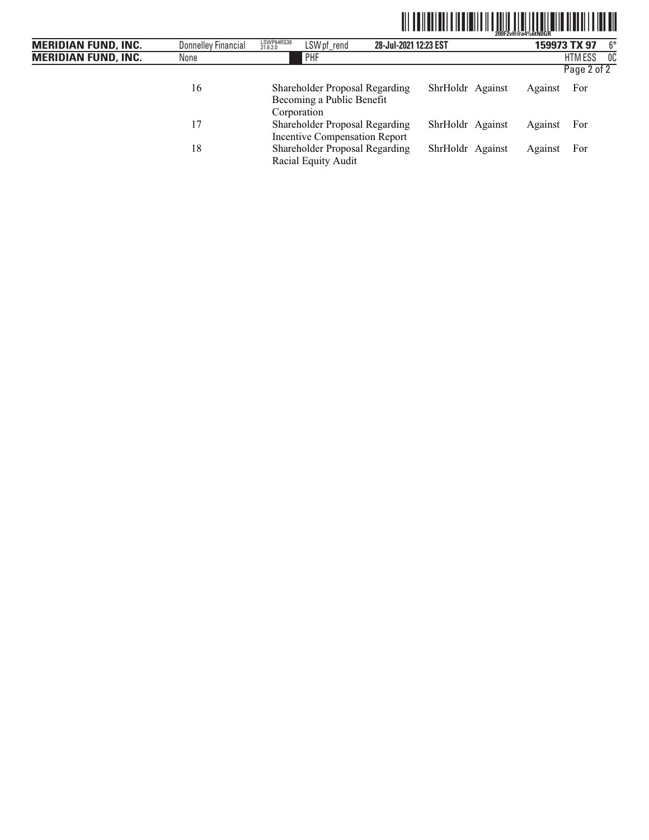

| <b>MERIDIAN FUND, INC.</b> | <b>Donnelley Financial</b> | LSWP64RS38<br>21.6.2.0 | LSW pf_rend                                                                | 28-Jul-2021 12:23 EST |                  |         | 159973 TX 97 | $6*$ |
|----------------------------|----------------------------|------------------------|----------------------------------------------------------------------------|-----------------------|------------------|---------|--------------|------|
| <b>MERIDIAN FUND, INC.</b> | None                       |                        | PHF                                                                        |                       |                  |         | HTM ESS      | 0C   |
|                            |                            |                        |                                                                            |                       |                  |         | Page 2 of 2  |      |
|                            | 16                         |                        | Shareholder Proposal Regarding<br>Becoming a Public Benefit<br>Corporation |                       | ShrHoldr Against | Against | For          |      |
| 17                         |                            |                        | Shareholder Proposal Regarding<br><b>Incentive Compensation Report</b>     |                       | ShrHoldr Against | Against | For          |      |
|                            | 18                         |                        | Shareholder Proposal Regarding<br>Racial Equity Audit                      |                       | ShrHoldr Against | Against | For          |      |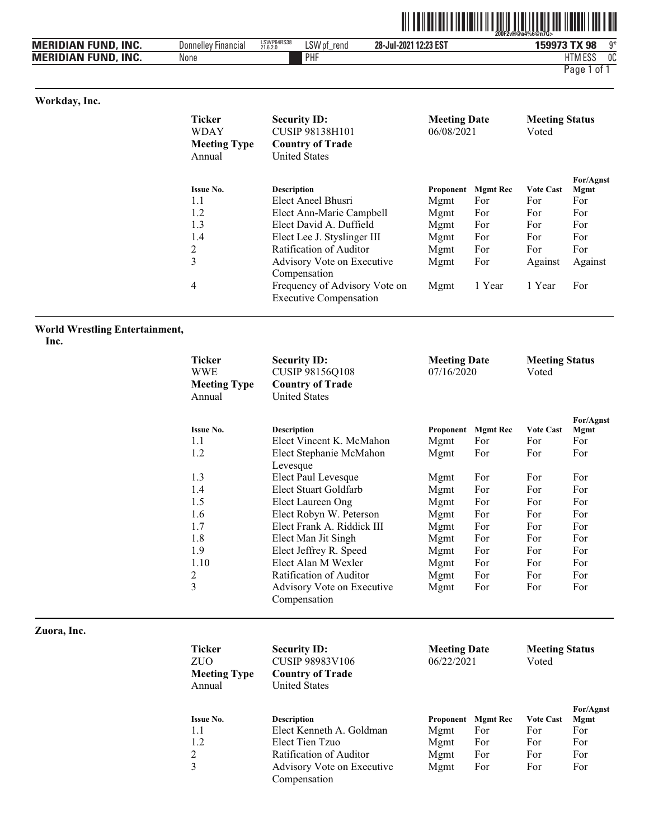|                                               |                                                                      |                                                                                                                                                                                        |                                                      |                                                       |                                                     | ║                                                           |
|-----------------------------------------------|----------------------------------------------------------------------|----------------------------------------------------------------------------------------------------------------------------------------------------------------------------------------|------------------------------------------------------|-------------------------------------------------------|-----------------------------------------------------|-------------------------------------------------------------|
| <b>MERIDIAN FUND, INC.</b>                    | <b>Donnelley Financial</b>                                           | LSWP64RS38<br>21.6.2.0<br>LSW pf_rend<br>28-Jul-2021 12:23 EST                                                                                                                         |                                                      |                                                       | 159973 TX 98                                        | $9*$                                                        |
| <b>MERIDIAN FUND, INC.</b>                    | None                                                                 | PHF                                                                                                                                                                                    |                                                      |                                                       |                                                     | 0 <sup>C</sup><br><b>HTM ESS</b><br>Page 1 of 1             |
| Workday, Inc.                                 |                                                                      |                                                                                                                                                                                        |                                                      |                                                       |                                                     |                                                             |
|                                               | <b>Ticker</b><br><b>WDAY</b><br><b>Meeting Type</b><br>Annual        | <b>Security ID:</b><br>CUSIP 98138H101<br><b>Country of Trade</b><br><b>United States</b>                                                                                              | <b>Meeting Date</b><br>06/08/2021                    |                                                       | <b>Meeting Status</b><br>Voted                      |                                                             |
|                                               | <b>Issue No.</b><br>1.1<br>1.2<br>1.3<br>1.4<br>$\overline{c}$       | <b>Description</b><br>Elect Aneel Bhusri<br>Elect Ann-Marie Campbell<br>Elect David A. Duffield<br>Elect Lee J. Styslinger III<br>Ratification of Auditor                              | Mgmt<br>Mgmt<br>Mgmt<br>Mgmt<br>Mgmt                 | Proponent Mgmt Rec<br>For<br>For<br>For<br>For<br>For | <b>Vote Cast</b><br>For<br>For<br>For<br>For<br>For | For/Agnst<br><b>Mgmt</b><br>For<br>For<br>For<br>For<br>For |
|                                               | 3<br>4                                                               | Advisory Vote on Executive<br>Compensation<br>Frequency of Advisory Vote on<br><b>Executive Compensation</b>                                                                           | Mgmt<br>Mgmt                                         | For<br>1 Year                                         | Against<br>1 Year                                   | Against<br>For                                              |
| <b>World Wrestling Entertainment,</b><br>Inc. |                                                                      |                                                                                                                                                                                        |                                                      |                                                       |                                                     |                                                             |
|                                               | <b>Ticker</b><br><b>WWE</b><br><b>Meeting Type</b><br>Annual         | <b>Security ID:</b><br>CUSIP 98156Q108<br><b>Country of Trade</b><br><b>United States</b>                                                                                              | <b>Meeting Date</b><br>07/16/2020                    |                                                       | <b>Meeting Status</b><br>Voted                      |                                                             |
|                                               | <b>Issue No.</b><br>1.1<br>1.2                                       | <b>Description</b><br>Elect Vincent K. McMahon<br>Elect Stephanie McMahon                                                                                                              | Mgmt<br>Mgmt                                         | Proponent Mgmt Rec<br>For<br>For                      | <b>Vote Cast</b><br>For<br>For                      | For/Agnst<br><b>Mgmt</b><br>For<br>For                      |
|                                               | 1.3<br>1.4<br>1.5                                                    | Levesque<br>Elect Paul Levesque<br>Elect Stuart Goldfarb<br>Elect Laureen Ong                                                                                                          | Mgmt<br>Mgmt<br>Mgmt                                 | For<br>For<br>For                                     | For<br>For<br>For                                   | For<br>For<br>For                                           |
|                                               | 1.6<br>1.7<br>1.8<br>1.9<br>1.10<br>$\overline{c}$<br>$\overline{3}$ | Elect Robyn W. Peterson<br>Elect Frank A. Riddick III<br>Elect Man Jit Singh<br>Elect Jeffrey R. Speed<br>Elect Alan M Wexler<br>Ratification of Auditor<br>Advisory Vote on Executive | Mgmt<br>Mgmt<br>Mgmt<br>Mgmt<br>Mgmt<br>Mgmt<br>Mgmt | For<br>For<br>For<br>For<br>For<br>For<br>For         | For<br>For<br>For<br>For<br>For<br>For<br>For       | For<br>For<br>For<br>For<br>For<br>For<br>For               |
|                                               |                                                                      | Compensation                                                                                                                                                                           |                                                      |                                                       |                                                     |                                                             |
| Zuora, Inc.                                   | <b>Ticker</b><br>ZUO<br><b>Meeting Type</b><br>Annual                | <b>Security ID:</b><br>CUSIP 98983V106<br><b>Country of Trade</b><br><b>United States</b>                                                                                              | <b>Meeting Date</b><br>06/22/2021                    |                                                       | <b>Meeting Status</b><br>Voted                      |                                                             |
|                                               | <b>Issue No.</b><br>1.1<br>1.2<br>$\overline{2}$<br>3                | <b>Description</b><br>Elect Kenneth A. Goldman<br>Elect Tien Tzuo<br>Ratification of Auditor<br>Advisory Vote on Executive<br>Compensation                                             | Proponent<br>Mgmt<br>Mgmt<br>Mgmt<br>Mgmt            | <b>Mgmt Rec</b><br>For<br>For<br>For<br>For           | <b>Vote Cast</b><br>For<br>For<br>For<br>For        | For/Agnst<br><b>Mgmt</b><br>For<br>For<br>For<br>For        |